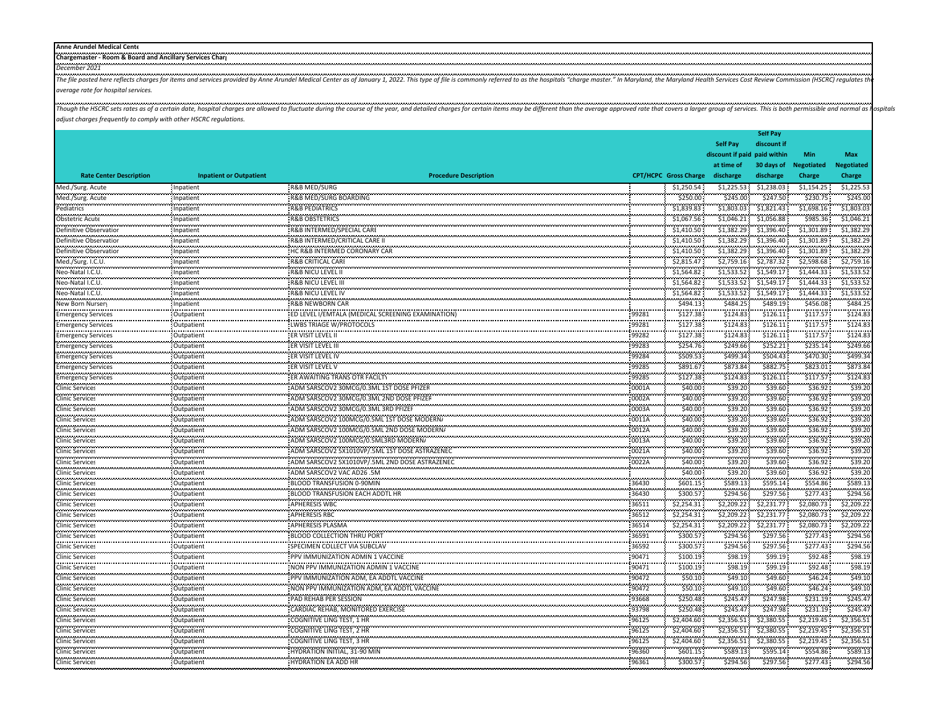| <b>Anne Aru</b>       |
|-----------------------|
| <b>Chargemaster -</b> |
| <br>Dancam'           |

The file posted here reflects charges for items and services provided by Anne Arundel Medical Center as of January 1, 2022. This type of file is commonly referred to as the hospitals "charge master." In Maryland, the Maryl *average rate for hospital services.*

Though the HSCRC sets rates as of a certain date, hospital charges are allowed to fluctuate during the course of the year, and detailed charges for certain items may be different than the average approved rate that covers *adjust charges frequently to comply with other HSCRC regulations.*

|                                |                                |                                                                                                   |                |                              |                              | <b>Self Pay</b>    |                    |                   |
|--------------------------------|--------------------------------|---------------------------------------------------------------------------------------------------|----------------|------------------------------|------------------------------|--------------------|--------------------|-------------------|
|                                |                                |                                                                                                   |                |                              | <b>Self Pay</b>              | discount if        |                    |                   |
|                                |                                |                                                                                                   |                |                              | discount if paid paid within |                    | Min                | Max               |
|                                |                                |                                                                                                   |                |                              | at time of                   | 30 days of         | <b>Negotiated</b>  | <b>Negotiated</b> |
| <b>Rate Center Description</b> | <b>Inpatient or Outpatient</b> | <b>Procedure Description</b>                                                                      |                | <b>CPT/HCPC Gross Charge</b> | discharge                    | discharge          | Charge             | Charge            |
| Med./Surg. Acute               | Inpatient<br>0000000000        | R&B MED/SURG                                                                                      |                | \$1,250.54                   | \$1,225.53                   | \$1,238.03         | \$1,154.25         | \$1,225.53        |
| Med./Surg. Acute               | Inpatient                      | R&B MED/SURG BOARDING                                                                             |                | \$250.00                     | \$245.00                     | \$247.50           | \$230.75           | \$245.00          |
| <br>Pediatrics                 | .<br>Inpatient                 | <b>R&amp;B PEDIATRICS</b>                                                                         |                | \$1,839.83                   | \$1,803.03                   | \$1,821.43         | \$1,698.16         | \$1,803.03        |
| <b></b><br>Obstetric Acute     | Inpatient                      | <b>R&amp;B OBSTETRICS</b>                                                                         |                | \$1,067.56                   | \$1,046.21                   | \$1,056.88         | \$985.36           | \$1,046.21        |
| Definitive Observation         | Inpatient                      | R&B INTERMED/SPECIAL CARE                                                                         |                | \$1,410.50                   | \$1,382.29                   | \$1,396.40         | \$1,301.89         | \$1,382.29        |
| Definitive Observation         | Inpatient                      | R&B INTERMED/CRITICAL CARE II                                                                     |                | \$1,410.50                   | \$1,382.29                   | \$1,396.40         | \$1,301.89         | \$1,382.29        |
| Definitive Observation         | Inpatient                      | HC R&B INTERMED CORONARY CAR                                                                      |                | \$1,410.50                   | \$1,382.29                   | \$1,396.40         | \$1,301.89         | \$1,382.29        |
| Med./Surg. I.C.U.              | .<br>Inpatient                 | R&B CRITICAL CARI                                                                                 |                | \$2,815.47                   | \$2,759.16                   | \$2,787.32         | \$2,598.68         | \$2,759.16        |
| Neo-Natal I.C.U.               | .<br>Inpatient                 | <b>R&amp;B NICU LEVEL II</b>                                                                      |                | \$1,564.82                   | \$1,533.52                   | \$1.549.17         | \$1,444.33         | \$1,533.52        |
| Neo-Natal I.C.U.               | ومحمد ومحمدت<br>Inpatient      | R&B NICU LEVEL III                                                                                |                | \$1,564.82                   | \$1,533.52                   | \$1,549.17         | \$1,444.33         | \$1,533.52        |
| .<br>Neo-Natal I.C.U.          | .<br>Inpatient                 | <br><b>R&amp;B NICU LEVEL IV</b>                                                                  |                | .<br>\$1.564.82              | .<br>\$1,533.52              | \$1.549.17         | .<br>\$1.444.33    | \$1,533.52        |
| New Born Nurser                | Inpatient                      | R&B NEWBORN CAR                                                                                   |                | \$494.13                     | \$484.25                     | \$489.19           | \$456.08           | \$484.25          |
| <b>Emergency Services</b>      | .<br>Outpatient                | ED LEVEL I/EMTALA (MEDICAL SCREENING EXAMINATION)                                                 | 99281          | \$127.38                     | \$124.83                     | .<br>\$126.11      | \$117.57           | .<br>\$124.83     |
| <b>Emergency Services</b>      | Outpatient                     | LWBS TRIAGE W/PROTOCOLS                                                                           | 99281          | \$127.38                     | \$124.83                     | \$126.11           | \$117.57           | \$124.83          |
| <b>Emergency Services</b>      | Outpatient                     | <b>ER VISIT LEVEL II</b>                                                                          | 99282          | \$127.38                     | \$124.83                     | \$126.11           | \$117.57           | \$124.83          |
| <br><b>Emergency Services</b>  | <br>Outpatient                 | ER VISIT LEVEL III                                                                                | 99283          | \$254.76                     | \$249.66                     | \$252.21           | \$235.14           | \$249.66          |
| <b>Emergency Services</b>      | <br>Outpatient                 | ER VISIT LEVEL IV                                                                                 | <br>99284      | \$509.53                     | \$499.34                     | \$504.43           | \$470.30           | \$499.34          |
| <b>Emergency Services</b>      | Outpatient                     | ER VISIT LEVEL V                                                                                  | 99285          | \$891.67                     | \$873.84                     | \$882.75           | \$823.01           | \$873.84          |
| <b>Emergency Services</b>      | .<br>Outpatient                | ER AWAITING TRANS OTR FACILTY                                                                     | .<br>99285     | .<br>\$127.38                | \$124.83                     | .<br>\$126.11      | .<br>\$117.57      | \$124.83          |
| <b>Clinic Services</b>         | Outpatient                     | ADM SARSCOV2 30MCG/0.3ML 1ST DOSE PFIZEF                                                          | 0001A          | \$40.00                      | \$39.20                      | \$39.60            | \$36.92            | \$39.20           |
| Clinic Services                | ممرمضون                        |                                                                                                   | 0002A          | \$40.00                      | \$39.20                      | \$39.60            | \$36.92            | \$39.20           |
|                                | Outpatient                     | ADM SARSCOV2 30MCG/0.3ML 3RD PFIZER                                                               | 0003A          | \$40.00                      | \$39.20                      | \$39.60            | \$36.92            | \$39.20           |
| <b>Clinic Services</b>         | Outpatient                     | ADM SARSCOV2 100MCG/0.5ML 1ST DOSE MODERNA                                                        | 0011A          |                              | \$39.20                      | \$39.60            |                    | \$39.20           |
| <b>Clinic Services</b><br>     | Outpatient<br>                 | ADM SARSCOV2 100MCG/0.5ML 2ND DOSE MODERN/                                                        |                | \$40.00                      | \$39.20                      | \$39.60            | \$36.92<br>\$36.92 | \$39.20           |
| <b>Clinic Services</b><br>.    | Outpatient<br>                 | :<br>: ADM SARSCOV2 100MCG/0.5ML3RD MODERN/                                                       | 0012A<br>0013A | \$40.00                      | \$39.20                      | \$39.60            | \$36.92            | \$39.20           |
| <b>Clinic Services</b>         | Outpatient                     |                                                                                                   |                | \$40.00                      |                              |                    | \$36.92            | \$39.20           |
| <b>Clinic Services</b><br>.    | Outpatient<br>                 | ADM SARSCOV2 5X1010VP/.5ML 1ST DOSE ASTRAZENEC<br>LADM SARSCOV2 5X1010VP/.5ML 2ND DOSE ASTRAZENEC | 0021A<br>.     | \$40.00<br>\$40.00           | \$39.20<br>\$39.20           | \$39.60<br>\$39.60 | \$36.92            | \$39.20           |
| <b>Clinic Services</b>         | Outpatient                     |                                                                                                   | 0022A          |                              |                              |                    |                    |                   |
| <b>Clinic Services</b>         | Outpatient                     | ADM SARSCOV2 VAC AD26 .5M                                                                         |                | \$40.00                      | \$39.20                      | \$39.60            | \$36.92            | \$39.20           |
| <b>Clinic Services</b>         | Outpatient                     | BLOOD TRANSFUSION 0-90MIN                                                                         | 36430          | \$601.15                     | \$589.13                     | \$595.14           | \$554.86           | \$589.13          |
| <b>Clinic Services</b>         | Outpatient                     | <b>BLOOD TRANSFUSION EACH ADDTL HR</b>                                                            | 36430          | \$300.57                     | \$294.56                     | \$297.56           | \$277.43           | \$294.56          |
| .<br>Clinic Services<br>       | Outpatient<br>.                | <b>APHERESIS WBC</b><br>                                                                          | 36511<br>      | \$2,254.31                   | \$2,209.22                   | \$2,231.77         | \$2,080.73         | \$2,209.22        |
| <b>Clinic Services</b><br>l.   | Outpatient<br>                 | <b>APHERESIS RBC</b><br>                                                                          | 36512          | \$2,254.31<br>.              | \$2,209.22                   | \$2,231.77         | \$2,080.73         | \$2,209.22        |
| <b>Clinic Services</b><br>.    | Outpatient<br>.                | APHERESIS PLASMA                                                                                  | 36514<br>.     | \$2,254.31<br>.              | \$2,209.22<br>               | \$2,231.77<br>     | \$2,080.73         | \$2,209.22<br>    |
| <b>Clinic Services</b><br>.    | Outpatient<br>                 | <b>BLOOD COLLECTION THRU PORT</b><br>                                                             | 36591<br>      | \$300.57<br>.                | \$294.56<br>                 | \$297.56<br>.      | \$277.43<br>.      | \$294.56<br>.     |
| <b>Clinic Services</b>         | Outpatient                     | SPECIMEN COLLECT VIA SUBCLAV                                                                      | 36592          | \$300.57                     | \$294.56                     | \$297.56           | \$277.43           | \$294.56          |
| <b>Clinic Services</b>         | Outpatient                     | PPV IMMUNIZATION ADMIN 1 VACCINE                                                                  | 90471          | \$100.19                     | \$98.19                      | \$99.19            | \$92.48            | \$98.19           |
| <b>Clinic Services</b>         | Outpatient                     | NON PPV IMMUNIZATION ADMIN 1 VACCINE                                                              | 90471          | \$100.19                     | \$98.19                      | \$99.19            | \$92.48            | \$98.19           |
| <b>Clinic Services</b><br>     | Outpatient<br>.                | PPV IMMUNIZATION ADM, EA ADDTL VACCINE                                                            | 90472          | \$50.10                      | \$49.10                      | \$49.60            | \$46.24\$          | \$49.10           |
| <b>Clinic Services</b><br>.    | Outpatient<br>.                | NON PPV IMMUNIZATION ADM, EA ADDTL VACCINE<br>                                                    | 90472          | \$50.10                      | \$49.10                      | \$49.60            | \$46.24\$          | \$49.10           |
| <b>Clinic Services</b>         | Outpatient                     | PAD REHAB PER SESSION                                                                             | 93668          | \$250.48                     | \$245.47                     | \$247.98           | \$231.19           | \$245.4           |
| l.<br>Clinic Services          | <br>Outpatient                 | <br>CARDIAC REHAB, MONITORED EXERCISE                                                             | <br>93798      | <br>\$250.48                 | \$245.47                     | .<br>\$247.98      | \$231.19           | \$245.4           |
| .<br><b>Clinic Services</b>    | .<br>Outpatient                | COGNITIVE LING TEST, 1 HR                                                                         | .<br>96125     | \$2,404.60                   | .<br>\$2,356.51              | <br>\$2,380.55     | \$2,219.45         | <br>\$2,356.5     |
| .<br><b>Clinic Services</b>    | <br>Outpatient                 | COGNITIVE LING TEST, 2 HR                                                                         | <br>96125      | .<br>\$2,404.60              | \$2,356.51                   | <br>\$2,380.55     | <br>\$2,219.45     | <br>\$2,356.5     |
| <b>Clinic Services</b>         | Outpatient                     | COGNITIVE LING TEST, 3 HR                                                                         | 96125          | \$2,404.60                   | \$2,356.51                   | \$2,380.55         | \$2,219.45         | \$2,356.51        |
| <b>Clinic Services</b>         | Outpatient                     | HYDRATION INITIAL, 31-90 MIN                                                                      | 96360          | \$601.15                     | \$589.13                     | \$595.14           | \$554.86           | \$589.13          |
| <b>Clinic Services</b>         | Outpatient                     | <b>HYDRATION EA ADD HR</b>                                                                        | 96361          | \$300.57                     | \$294.56                     | \$297.56           | \$277.43           | \$294.56          |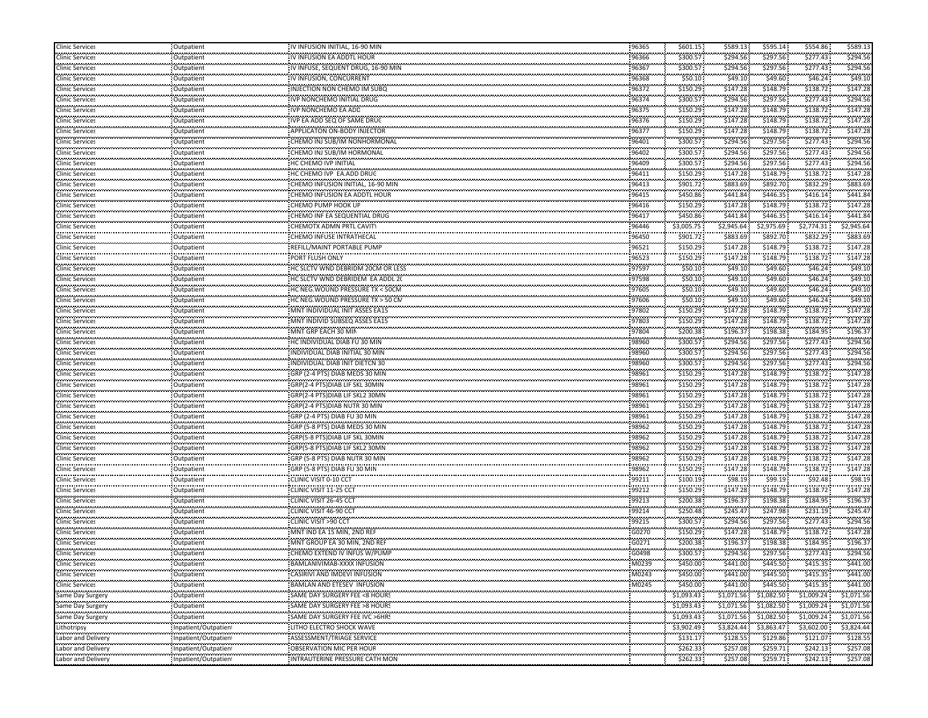| <b>Clinic Services</b>            | Outpatient                                                                                                                                                                                                                                                                                                                                                                                                                                       | IV INFUSION INITIAL, 16-90 MIN                                   | 96365                                | \$601.15             | \$589.13                  | \$595.14                    | \$554.86               | \$589.13             |
|-----------------------------------|--------------------------------------------------------------------------------------------------------------------------------------------------------------------------------------------------------------------------------------------------------------------------------------------------------------------------------------------------------------------------------------------------------------------------------------------------|------------------------------------------------------------------|--------------------------------------|----------------------|---------------------------|-----------------------------|------------------------|----------------------|
| <b>Clinic Services</b>            | Outpatient                                                                                                                                                                                                                                                                                                                                                                                                                                       | IV INFUSION EA ADDTL HOUR                                        | 96366                                | \$300.57             | \$294.56                  | \$297.56                    | \$277.43               | \$294.56             |
| <br>Clinic Services               | <br>Outpatient                                                                                                                                                                                                                                                                                                                                                                                                                                   | IV INFUSE, SEQUENT DRUG, 16-90 MIN                               | 96367                                | .<br>\$300.57        | \$294.56                  | \$297.56                    | \$277.43               | \$294.5              |
| .<br><b>Clinic Services</b>       | .<br>Outpatient                                                                                                                                                                                                                                                                                                                                                                                                                                  | IV INFUSION, CONCURRENT                                          | 96368                                | \$50.10              | \$49.10                   | \$49.60                     | \$46.24                | \$49.10              |
| .<br><b>Clinic Services</b>       | .<br>Outpatient                                                                                                                                                                                                                                                                                                                                                                                                                                  | INJECTION NON CHEMO IM SUBO                                      | 96372                                | .<br>\$150.29        | \$147.28                  | \$148.79                    | ,,,,,,,,,<br>\$138.72  | \$147.28             |
| <b>Clinic Services</b>            | Outpatient                                                                                                                                                                                                                                                                                                                                                                                                                                       | IVP NONCHEMO INITIAL DRUG                                        | 96374                                | \$300.57             | \$294.56                  | \$297.56                    | \$277.43               | \$294.56             |
| <b>Clinic Services</b>            | Outpatient                                                                                                                                                                                                                                                                                                                                                                                                                                       | IVP NONCHEMO EA ADD                                              | 96375                                | \$150.29             | \$147.28                  | \$148.79                    | \$138.72               | \$147.28             |
| .<br><b>Clinic Services</b>       | .<br>Outpatient                                                                                                                                                                                                                                                                                                                                                                                                                                  | IVP EA ADD SEQ OF SAME DRUG                                      | .<br>96376                           | \$150.29             | \$147.28                  | \$148.79                    | \$138.72               | \$147.28             |
| .<br><b>Clinic Services</b>       | .<br>Outpatient                                                                                                                                                                                                                                                                                                                                                                                                                                  | APPLICATON ON-BODY INJECTOR                                      | <br>96377                            | .<br>\$150.29        | <br>\$147.28              | ,,,,,,,,,<br>\$148.79       | .<br>\$138.72          | .<br>\$147.28        |
| .<br><b>Clinic Services</b>       | .<br>Outpatient                                                                                                                                                                                                                                                                                                                                                                                                                                  | CHEMO INJ SUB/IM NONHORMONAL                                     | .<br>96401                           | .<br>\$300.57        | \$294.56                  | \$297.56                    | \$277.43               | \$294.5              |
| <br><b>Clinic Services</b>        | <b></b><br>Outpatient                                                                                                                                                                                                                                                                                                                                                                                                                            | CHEMO INJ SUB/IM HORMONAL                                        | 96402                                | .<br>\$300.57        | \$294.56                  | \$297.56                    | \$277.43               | \$294.5              |
| .<br><b>Clinic Services</b>       | .<br>Outpatient                                                                                                                                                                                                                                                                                                                                                                                                                                  | HC CHEMO IVP INITIAL                                             | 96409                                | \$300.57             | \$294.56                  | \$297.56                    | \$277.43               | \$294.5              |
| .                                 |                                                                                                                                                                                                                                                                                                                                                                                                                                                  | HC CHEMO IVP EA.ADD DRUG                                         | 96411                                | \$150.29             | \$147.28                  | \$148.79                    | \$138.72               | \$147.28             |
| <b>Clinic Services</b>            | Outpatient                                                                                                                                                                                                                                                                                                                                                                                                                                       |                                                                  |                                      | \$901.72             | \$883.69                  | \$892.70                    | \$832.29               | \$883.69             |
| <b>Clinic Services</b><br>.       | Outpatient<br>                                                                                                                                                                                                                                                                                                                                                                                                                                   | CHEMO INFUSION INITIAL, 16-90 MIN                                | 96413<br>                            | .                    | .                         | .                           |                        | .                    |
| Clinic Services<br>.              | Outpatient<br>.                                                                                                                                                                                                                                                                                                                                                                                                                                  | CHEMO INFUSION EA ADDTL HOUR<br>CHEMO PUMP HOOK UP               | 96415<br>.                           | \$450.86<br>\$150.29 | \$441.84<br>.             | \$446.35<br>.               | \$416.14<br>\$138.72   | \$441.8<br>\$147.28  |
| <b>Clinic Services</b><br>.       | Outpatient<br>.                                                                                                                                                                                                                                                                                                                                                                                                                                  |                                                                  | 96416<br>-------                     | .                    | \$147.28<br>.             | \$148.79<br>.               |                        | .                    |
| <b>Clinic Services</b>            | Outpatient                                                                                                                                                                                                                                                                                                                                                                                                                                       | CHEMO INF EA SEQUENTIAL DRUG                                     | 96417                                | \$450.86             | \$441.84                  | \$446.35                    | \$416.14               | \$441.8              |
| <b>Clinic Services</b><br>        | Outpatient<br>                                                                                                                                                                                                                                                                                                                                                                                                                                   | CHEMOTX ADMN PRTL CAVITY                                         | 96446                                | \$3,005.75<br>.      | \$2,945.64<br>,,,,,,,,,,, | \$2,975.69                  | \$2,774.31             | \$2,945.64<br>.      |
| <b>Clinic Services</b><br><b></b> | Outpatient<br>.                                                                                                                                                                                                                                                                                                                                                                                                                                  | CHEMO INFUSE INTRATHECAL                                         | 96450                                | \$901.72<br>.        | \$883.69                  | \$892.70                    | \$832.29<br>,,,,,,,,,, | \$883.6<br>.         |
| <b>Clinic Services</b><br>.       | Outpatient<br>.                                                                                                                                                                                                                                                                                                                                                                                                                                  | REFILL/MAINT PORTABLE PUMP                                       | 96521                                | \$150.29<br>.        | \$147.28<br>              | \$148.79                    | \$138.72               | \$147.28             |
| <b>Clinic Services</b>            | Outpatient                                                                                                                                                                                                                                                                                                                                                                                                                                       | PORT FLUSH ONLY                                                  | 96523                                | \$150.29             | \$147.28                  | \$148.79                    | \$138.72               | \$147.28             |
| <b>Clinic Services</b>            | Outpatient                                                                                                                                                                                                                                                                                                                                                                                                                                       | HC SLCTV WND DEBRIDM 20CM OR LESS                                | 97597                                | \$50.10              | \$49.10                   | \$49.60                     | \$46.24                | \$49.10              |
| <b>Clinic Services</b>            | Outpatient                                                                                                                                                                                                                                                                                                                                                                                                                                       | HC SLCTV WND DEBRIDEM EA ADDL 20                                 | 97598                                | \$50.10              | \$49.10                   | \$49.60                     | \$46.24                | \$49.10              |
| .<br><b>Clinic Services</b>       | .<br>Outpatient                                                                                                                                                                                                                                                                                                                                                                                                                                  | HC NEG. WOUND PRESSURE TX < 50CM                                 | .<br>97605                           | \$50.10              | \$49.10                   | \$49.60                     | \$46.24                | \$49.10              |
| .<br><b>Clinic Services</b>       | .<br>Outpatient                                                                                                                                                                                                                                                                                                                                                                                                                                  | HC NEG. WOUND PRESSURE TX > 50 CM                                | 97606                                | \$50.10              | <br>\$49.10               | .<br>\$49.60                | \$46.24                | .<br>\$49.1          |
| <b>Clinic Services</b>            | Outpatient                                                                                                                                                                                                                                                                                                                                                                                                                                       | MNT INDIVIDUAL INIT ASSES EA15                                   | 97802                                | \$150.29             | \$147.28                  | \$148.79                    | \$138.72               | \$147.28             |
| .<br><b>Clinic Services</b>       | <br>Outpatient                                                                                                                                                                                                                                                                                                                                                                                                                                   | MNT INDIVID SUBSEQ ASSES EA15                                    | 97803                                | .<br>\$150.29        | <br>\$147.28              | .<br>\$148.79               | \$138.72               | ,,,,,,,,<br>\$147.28 |
| .<br><b>Clinic Services</b>       | .<br>Outpatient                                                                                                                                                                                                                                                                                                                                                                                                                                  | MNT GRP EACH 30 MIN                                              | 97804                                | .<br>\$200.38        | \$196.37                  | \$198.38                    | \$184.95               | \$196.3              |
| .<br><b>Clinic Services</b>       | .<br>Outpatient                                                                                                                                                                                                                                                                                                                                                                                                                                  | HC INDIVIDUAL DIAB FU 30 MIN                                     | 98960                                | <br>\$300.57         | \$294.56                  | \$297.56                    | \$277.43               | \$294.5              |
| <b>Clinic Services</b>            | Outpatient                                                                                                                                                                                                                                                                                                                                                                                                                                       | INDIVIDUAL DIAB INITIAL 30 MIN                                   | 98960                                | \$300.57             | \$294.56                  | \$297.56                    | \$277.43               | \$294.56             |
| <b>Clinic Services</b>            | Outpatient                                                                                                                                                                                                                                                                                                                                                                                                                                       | INDIVIDUAL DIAB INIT DIETCN 30                                   | 98960                                | \$300.57             | \$294.56                  | \$297.56                    | \$277.43               | \$294.56             |
| .<br><b>Clinic Services</b>       | .<br>Outpatient                                                                                                                                                                                                                                                                                                                                                                                                                                  | GRP (2-4 PTS) DIAB MEDS 30 MIN                                   | .<br>98961                           | \$150.29             | \$147.28                  | \$148.79                    | \$138.72               | \$147.28             |
| .<br><b>Clinic Services</b>       | .<br>Outpatient                                                                                                                                                                                                                                                                                                                                                                                                                                  | GRP(2-4 PTS)DIAB LIF SKL 30MIN                                   | 98961                                | .<br>\$150.29        | <br>\$147.28              | ,,,,,,,,,<br>\$148.79       | \$138.72               | .<br>\$147.28        |
| <b>Clinic Services</b>            | Outpatient                                                                                                                                                                                                                                                                                                                                                                                                                                       | GRP(2-4 PTS)DIAB LIF SKL2 30MN                                   | 98961                                | \$150.29             | \$147.28                  | \$148.79                    | \$138.72               | \$147.28             |
| .<br><b>Clinic Services</b>       | <br>Outpatient                                                                                                                                                                                                                                                                                                                                                                                                                                   | GRP(2-4 PTS)DIAB NUTR 30 MIN                                     | <br>98961                            | .<br>\$150.29        | .<br>\$147.28             | ,,,,,,,,,,<br>\$148.79      | \$138.72               | .<br>\$147.28        |
| <b></b><br><b>Clinic Services</b> | <b>.</b><br>Outpatient                                                                                                                                                                                                                                                                                                                                                                                                                           | GRP (2-4 PTS) DIAB FU 30 MIN                                     | 98961                                | .<br>\$150.29        | \$147.28                  | \$148.79                    | \$138.72               | .<br>\$147.28        |
| .<br><b>Clinic Services</b>       | .<br>Outpatient                                                                                                                                                                                                                                                                                                                                                                                                                                  | GRP (5-8 PTS) DIAB MEDS 30 MIN                                   | 98962                                | .<br>\$150.29        | <br>\$147.28              | \$148.79                    | \$138.72               | \$147.28             |
| <b>Clinic Services</b>            |                                                                                                                                                                                                                                                                                                                                                                                                                                                  | GRP(5-8 PTS)DIAB LIF SKL 30MIN                                   | 98962                                | \$150.29             | \$147.28                  | \$148.79                    | \$138.72               | \$147.28             |
|                                   | Outpatient                                                                                                                                                                                                                                                                                                                                                                                                                                       |                                                                  |                                      |                      |                           |                             | \$138.72               | \$147.28             |
| <b>Clinic Services</b><br>.       | Outpatient<br>.                                                                                                                                                                                                                                                                                                                                                                                                                                  | GRP(5-8 PTS)DIAB LIF SKL2 30MN<br>GRP (5-8 PTS) DIAB NUTR 30 MIN | 98962<br>.                           | \$150.29<br>\$150.29 | \$147.28<br>              | \$148.79<br>\$148.79        | \$138.72               | \$147.28             |
| <b>Clinic Services</b><br>.       | Outpatient<br>                                                                                                                                                                                                                                                                                                                                                                                                                                   |                                                                  | 98962<br>                            | .                    | \$147.28<br>              | ,,,,,,,,,                   | ,,,,,,,,,,             | .                    |
| <b>Clinic Services</b><br>.       | Outpatient<br>.                                                                                                                                                                                                                                                                                                                                                                                                                                  | GRP (5-8 PTS) DIAB FU 30 MIN<br>CLINIC VISIT 0-10 CCT            | 98962<br>.                           | \$150.29<br>.        | \$147.28<br>\$98.19       | \$148.79<br>\$99.19         | \$138.72<br>\$92.48    | \$147.28<br>\$98.1   |
| <b>Clinic Services</b><br>.       | Outpatient<br>                                                                                                                                                                                                                                                                                                                                                                                                                                   |                                                                  | 99211<br>                            | \$100.19<br>.        | .                         | ,,,,,,,,,,                  | ,,,,,,,,,,             | ,,,,,,,,             |
| <b>Clinic Services</b><br>.       | Outpatient<br><b>.</b>                                                                                                                                                                                                                                                                                                                                                                                                                           | CLINIC VISIT 11-25 CCT                                           | 99212<br><b><i><u>ARRAIN</u></i></b> | \$150.29<br>.        | \$147.28                  | \$148.79                    | \$138.72               | \$147.28             |
| <b>Clinic Services</b><br>.       | Outpatient<br><b>.</b>                                                                                                                                                                                                                                                                                                                                                                                                                           | CLINIC VISIT 26-45 CCT                                           | 99213                                | \$200.38             | \$196.37                  | \$198.38                    | \$184.95               | \$196.3              |
| <b>Clinic Services</b>            | Outpatient                                                                                                                                                                                                                                                                                                                                                                                                                                       | CLINIC VISIT 46-90 CCT                                           | 99214                                | \$250.48             | \$245.47                  | \$247.98                    | \$231.19               | \$245.4              |
| <b>Clinic Services</b><br>.       | Outpatient<br>                                                                                                                                                                                                                                                                                                                                                                                                                                   | CLINIC VISIT >90 CCT                                             | 99215                                | \$300.57<br>.        | \$294.56<br>.             | \$297.56<br>.               | \$277.43               | \$294.56             |
| Clinic Services<br>.              | Outpatient<br>.                                                                                                                                                                                                                                                                                                                                                                                                                                  | MNT IND EA 15 MIN, 2ND REF                                       | G0270<br>.                           | \$150.29             | \$147.28<br>.             | \$148.79<br>.               | \$138.72               | \$147.28             |
| <b>Clinic Services</b><br>.       | Outpatient<br>                                                                                                                                                                                                                                                                                                                                                                                                                                   | MNT GROUP EA 30 MIN, 2ND REF                                     | G0271                                | \$200.38<br>         | \$196.37<br>              | \$198.38<br>                | \$184.95<br>.          | \$196.3<br>.         |
| <b>Clinic Services</b>            | Outpatient<br>.                                                                                                                                                                                                                                                                                                                                                                                                                                  | CHEMO EXTEND IV INFUS W/PUMP                                     | G0498<br>,,,,,,,,,,,                 | \$300.57             | \$294.56<br>              | \$297.56<br>.               | \$277.43               | \$294.56             |
| Clinic Services                   | Outpatient                                                                                                                                                                                                                                                                                                                                                                                                                                       | BAMLANIVIMAB-XXXX INFUSION                                       | M0239                                | \$450.00             | \$441.00                  | \$445.50                    | \$415.35               | \$441.00             |
| <br><b>Clinic Services</b><br>.   | Outpatient<br>.                                                                                                                                                                                                                                                                                                                                                                                                                                  | CASIRIVI AND IMDEVI INFUSION                                     | M0243                                | \$450.00             | \$441.00                  | \$445.50                    | \$415.35               | .<br>\$441.00        |
| <b>Clinic Services</b>            | Outpatient                                                                                                                                                                                                                                                                                                                                                                                                                                       | <b>BAMLAN AND ETESEV INFUSION</b>                                | ,,,,,,,,,,<br>M0245                  | .<br>\$450.00        | \$441.00                  | .<br>\$445.50               | <br>\$415.35           | \$441.00             |
| Same Day Surgery                  | $\begin{aligned} \mathbf{u} & = \mathbf{u} + \mathbf{u} + \mathbf{u} + \mathbf{u} + \mathbf{u} + \mathbf{u} + \mathbf{u} + \mathbf{u} + \mathbf{u} + \mathbf{u} + \mathbf{u} + \mathbf{u} + \mathbf{u} + \mathbf{u} + \mathbf{u} + \mathbf{u} + \mathbf{u} + \mathbf{u} + \mathbf{u} + \mathbf{u} + \mathbf{u} + \mathbf{u} + \mathbf{u} + \mathbf{u} + \mathbf{u} + \mathbf{u} + \mathbf{u} + \mathbf{u} + \mathbf{u} + \mathbf{$<br>Outpatient | SAME DAY SURGERY FEE <8 HOURS                                    | .                                    | \$1,093.43           | \$1,071.56                | \$1,082.50                  | \$1,009.24             | \$1,071.56           |
| Same Day Surgery                  | Outpatient                                                                                                                                                                                                                                                                                                                                                                                                                                       | SAME DAY SURGERY FEE >8 HOURS                                    |                                      | \$1,093.43           | \$1,071.56                | \$1,082.50                  | \$1,009.24             | \$1,071.56           |
| <br>Same Day Surgery              | <br>Outpatient                                                                                                                                                                                                                                                                                                                                                                                                                                   | SAME DAY SURGERY FEE IVC >6HR!                                   |                                      | .<br>\$1,093.43      | .<br>\$1,071.56           | .<br>\$1,082.50             | .<br>\$1,009.24        | \$1,071.5            |
| Lithotripsy                       | Inpatient/Outpatient                                                                                                                                                                                                                                                                                                                                                                                                                             | LITHO ELECTRO SHOCK WAVE                                         |                                      | .<br>\$3,902.49      | .<br>\$3,824.44           | ,,,,,,,,,,,,,<br>\$3,863.47 | <br>\$3,602.00         | .<br>\$3,824.44      |
| <br>abor and Delivery.            | <br>Inpatient/Outpatient                                                                                                                                                                                                                                                                                                                                                                                                                         | ASSESSMENT/TRIAGE SERVICE                                        |                                      | .<br>\$131.17        | <br>\$128.55              | <br>\$129.86                | <br>\$121.07           | .<br>\$128.5         |
| .<br>Labor and Delivery           | ,,,,,,,,,,,,,,,,,,,,,,,,,,<br>Inpatient/Outpatient                                                                                                                                                                                                                                                                                                                                                                                               | OBSERVATION MIC PER HOUF                                         |                                      | \$262.33             | \$257.08                  | \$259.71                    | \$242.13               | \$257.08             |
| <br>Labor and Delivery            | Inpatient/Outpatient                                                                                                                                                                                                                                                                                                                                                                                                                             | INTRAUTERINE PRESSURE CATH MON                                   |                                      | <br>\$262.33         | .<br>\$257.08             | \$259.71                    | .<br>\$242.13          | .<br>\$257.08        |
|                                   |                                                                                                                                                                                                                                                                                                                                                                                                                                                  |                                                                  |                                      |                      |                           |                             |                        |                      |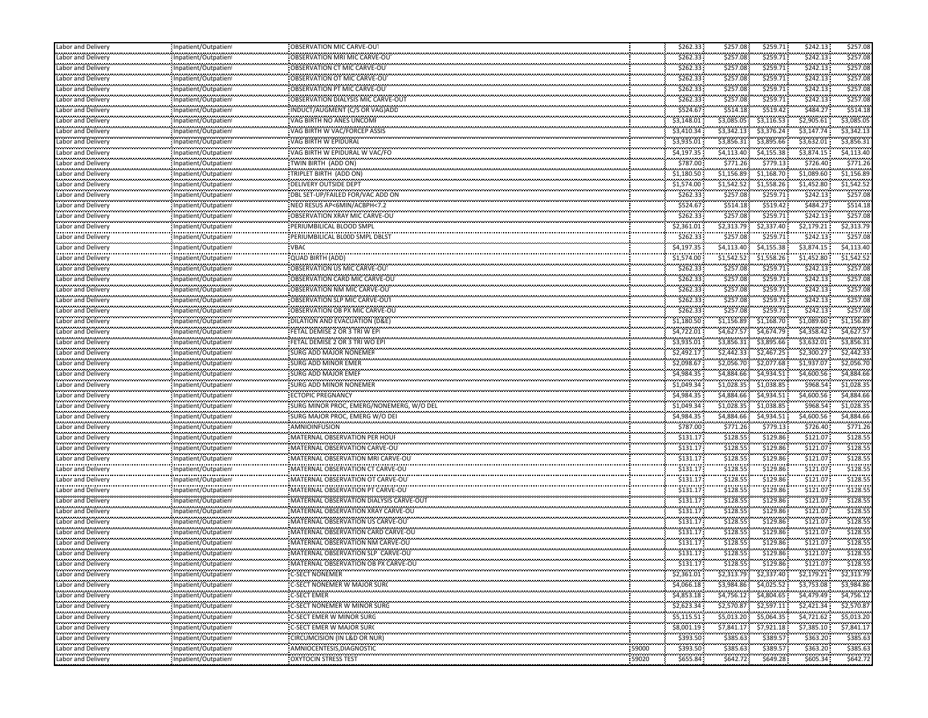| Labor and Delivery      | Inpatient/Outpatient                                 | OBSERVATION MIC CARVE-OUT                |       | \$262.33             | \$257.08               | \$259.71               | \$242.13               | \$257.08                 |
|-------------------------|------------------------------------------------------|------------------------------------------|-------|----------------------|------------------------|------------------------|------------------------|--------------------------|
| Labor and Delivery      | Inpatient/Outpatient                                 | OBSERVATION MRI MIC CARVE-OU             |       | \$262.33             | \$257.08               | \$259.71               | \$242.13               | \$257.08                 |
| <br>Labor and Delivery  | <br>Inpatient/Outpatient                             | OBSERVATION CT MIC CARVE-OU              |       | \$262.33             | \$257.08               | --------<br>\$259.71   | \$242.13               | \$257.08                 |
| Labor and Delivery      | Inpatient/Outpatient                                 | OBSERVATION OT MIC CARVE-OUT             |       | \$262.33             | \$257.08               | \$259.71               | \$242.13               | \$257.08                 |
| <br>Labor and Delivery  | Inpatient/Outpatient                                 | OBSERVATION PT MIC CARVE-OU              |       | \$262.33             | \$257.08               | \$259.71               | .<br>\$242.13          | \$257.08                 |
| Labor and Delivery      | Inpatient/Outpatient                                 | OBSERVATION DIALYSIS MIC CARVE-OUT       |       | \$262.33             | \$257.08               | \$259.71               | \$242.13               | \$257.08                 |
| Labor and Delivery      | Inpatient/Outpatient                                 | INDUCT/AUGMENT (C/S OR VAG)ADD           |       | \$524.67             | \$514.18               | \$519.42               | \$484.27               | \$514.18                 |
| Labor and Delivery      | ,,,,,,,,,,,,,,,,,,,,,,,,,,,,<br>Inpatient/Outpatient | VAG BIRTH NO ANES UNCOME                 |       | \$3,148.01           | \$3,085.05             | \$3,116.53             | \$2,905.61             | \$3,085.05               |
| <br>Labor and Deliverγ  | Inpatient/Outpatient                                 | VAG BIRTH W VAC/FORCEP ASSIS             |       | \$3,410.34           | \$3,342.13             | \$3,376.24             | \$3,147.74             | \$3,342.13               |
| Labor and Delivery      | ,,,,,,,,,,,,,,,,,,,,,,,,,,,,<br>Inpatient/Outpatient | VAG BIRTH W EPIDURAL                     |       | \$3,935.01           | \$3,856.31             | \$3,895.66             | \$3,632.01             | \$3,856.31               |
| <br>Labor and Delivery  | Inpatient/Outpatient                                 | VAG BIRTH W EPIDURAL W VAC/FO            |       | \$4,197.35           | \$4,113.40             | \$4,155.38             | \$3,874.15             | \$4,113.40               |
| Labor and Delivery      | Inpatient/Outpatient                                 | TWIN BIRTH (ADD ON)                      |       | \$787.00             | \$771.26               | \$779.13               | \$726.40               | \$771.26                 |
| Labor and Delivery      | Inpatient/Outpatient                                 | TRIPLET BIRTH (ADD ON)                   |       | \$1,180.50           | \$1,156.89             | \$1,168.70             | \$1,089.60             | \$1,156.89               |
| Labor and Delivery      | Inpatient/Outpatient                                 | DELIVERY OUTSIDE DEPT                    |       | \$1,574.00           | \$1,542.52             | \$1,558.26             | \$1,452.80             | \$1,542.52               |
| <br>Labor and Deliverv  | Inpatient/Outpatient                                 | DBL SET-UP/FAILED FOR/VAC ADD ON         |       | \$262.33             | \$257.08               | \$259.71               | \$242.13               | \$257.08                 |
| Labor and Delivery      | Inpatient/Outpatient                                 | NEO RESUS AP<6MIN/ACBPH<7.2              |       | \$524.67             | \$514.18               | \$519.42               | \$484.27               | \$514.18                 |
| <br>Labor and Delivery  | Inpatient/Outpatient                                 | OBSERVATION XRAY MIC CARVE-OU            |       | \$262.33             | \$257.08               | \$259.71               | \$242.13               | \$257.08                 |
| Labor and Delivery      |                                                      | PERIUMBILICAL BLOOD SMPL                 |       |                      |                        |                        |                        | \$2,313.79               |
|                         | Inpatient/Outpatient                                 | PERIUMBILICAL BLOOD SMPL DBLST           |       | \$2,361.01           | \$2,313.79<br>\$257.08 | \$2,337.40<br>\$259.71 | \$2,179.21<br>\$242.13 | \$257.08                 |
| Labor and Delivery      | Inpatient/Outpatient                                 |                                          |       | \$262.33             |                        |                        |                        |                          |
| Labor and Delivery<br>  | Inpatient/Outpatient                                 | <b>VBAC</b>                              |       | \$4,197.35           | \$4,113.40             | \$4,155.38             | \$3,874.15             | \$4,113.40<br>\$1,542.52 |
| Labor and Delivery      | Inpatient/Outpatient                                 | <b>QUAD BIRTH (ADD)</b>                  |       | \$1,574.00           | \$1,542.52             | \$1,558.26             | \$1,452.80<br>\$242.13 | \$257.08                 |
| Labor and Delivery      | Inpatient/Outpatient                                 | OBSERVATION US MIC CARVE-OU              |       | \$262.33             | \$257.08               | \$259.71               | \$242.13               |                          |
| Labor and Delivery      | Inpatient/Outpatient<br>,,,,,,,,,,,,,,,,,,,,,,,,,,,, | OBSERVATION CARD MIC CARVE-OU            |       | \$262.33<br>\$262.33 | \$257.08<br>\$257.08   | \$259.71<br>\$259.71   | \$242.13               | \$257.08<br>\$257.08     |
| Labor and Delivery<br>  | Inpatient/Outpatient                                 | OBSERVATION NM MIC CARVE-OUT             |       |                      |                        |                        |                        |                          |
| Labor and Delivery      | Inpatient/Outpatient                                 | OBSERVATION SLP MIC CARVE-OUT            |       | \$262.33             | \$257.08               | \$259.71               | \$242.13               | \$257.08                 |
| Labor and Delivery<br>  | Inpatient/Outpatient                                 | OBSERVATION OB PX MIC CARVE-OU           |       | \$262.33             | \$257.08               | \$259.71               | \$242.13               | \$257.08                 |
| Labor and Delivery      | Inpatient/Outpatient                                 | DILATION AND EVACUATION (D&E)            |       | \$1,180.50           | \$1,156.89             | \$1,168.70             | \$1,089.60             | \$1,156.89               |
| Labor and Delivery<br>  | Inpatient/Outpatient                                 | FETAL DEMISE 2 OR 3 TRI W EP             |       | \$4,722.01           | \$4,627.57             | \$4,674.79             | \$4,358.42             | \$4,627.57               |
| Labor and Delivery      | Inpatient/Outpatient                                 | FETAL DEMISE 2 OR 3 TRI WO EPI           |       | \$3,935.01           | \$3,856.31             | \$3,895.66             | \$3,632.01             | \$3,856.31               |
| Labor and Delivery      | Inpatient/Outpatient                                 | <b>SURG ADD MAJOR NONEMER</b>            |       | \$2,492.17           | \$2,442.33             | \$2,467.25             | \$2,300.27             | \$2,442.33               |
| Labor and Delivery      | Inpatient/Outpatient                                 | <b>SURG ADD MINOR EMER</b>               |       | \$2,098.67           | \$2,056.70             | \$2,077.68             | \$1,937.07             | \$2,056.70               |
| Labor and Delivery<br>  | Inpatient/Outpatient                                 | SURG ADD MAJOR EMEF                      |       | \$4,984.35           | \$4,884.66             | \$4.934.51             | \$4,600.56             | \$4,884.66               |
| Labor and Delivery      | Inpatient/Outpatient                                 | SURG ADD MINOR NONEMER                   |       | \$1,049.34           | \$1,028.35             | \$1,038.85             | \$968.54               | \$1,028.35               |
| Labor and Delivery<br>  | Inpatient/Outpatient                                 | <b>ECTOPIC PREGNANCY</b>                 |       | \$4,984.35           | \$4,884.66             | \$4,934.51             | \$4,600.56             | \$4,884.66               |
| Labor and Delivery      | Inpatient/Outpatient                                 | SURG MINOR PROC, EMERG/NONEMERG, W/O DEL |       | \$1,049.34           | \$1,028.35             | \$1,038.85             | \$968.54               | \$1,028.35               |
| Labor and Delivery<br>  | Inpatient/Outpatient                                 | SURG MAJOR PROC, EMERG W/O DEI           |       | \$4,984.35           | \$4,884.66             | \$4,934.51             | \$4,600.56             | \$4,884.66               |
| Labor and Delivery      | Inpatient/Outpatient                                 | AMNIOINFUSION                            |       | \$787.00             | \$771.26               | \$779.13               | \$726.40               | \$771.26                 |
| Labor and Delivery      | Inpatient/Outpatient                                 | MATERNAL OBSERVATION PER HOUR            |       | \$131.17             | \$128.55               | \$129.86               | \$121.07               | \$128.55                 |
| abor and Delivery.      | Inpatient/Outpatient<br>,,,,,,,,,,,,,,,,,,,,,,,,,,,, | MATERNAL OBSERVATION CARVE-OU            |       | \$131.17             | \$128.55               | \$129.86               | \$121.07               | \$128.55                 |
| Labor and Delivery<br>  | Inpatient/Outpatient                                 | MATERNAL OBSERVATION MRI CARVE-OU        |       | \$131.17             | \$128.55               | \$129.86               | \$121.07               | \$128.55                 |
| Labor and Deliverγ      | Inpatient/Outpatient                                 | MATERNAL OBSERVATION CT CARVE-OU         |       | \$131.17             | \$128.55               | \$129.86               | \$121.07               | \$128.55                 |
| Labor and Delivery<br>  | Inpatient/Outpatient                                 | MATERNAL OBSERVATION OT CARVE-OU         |       | \$131.17             | \$128.55               | \$129.86               | \$121.07               | \$128.55                 |
| Labor and Delivery      | Inpatient/Outpatient                                 | MATERNAL OBSERVATION PT CARVE-OU         |       | \$131.17             | \$128.55               | \$129.86               | \$121.07               | \$128.55                 |
| Labor and Delivery      | Inpatient/Outpatient                                 | MATERNAL OBSERVATION DIALYSIS CARVE-OUT  |       | \$131.17             | \$128.55               | \$129.86               | \$121.07               | \$128.55                 |
| Labor and Delivery      | Inpatient/Outpatient                                 | MATERNAL OBSERVATION XRAY CARVE-OU       |       | \$131.17             | \$128.55               | \$129.86               | \$121.07               | \$128.55                 |
| Labor and Delivery      | Inpatient/Outpatient                                 | MATERNAL OBSERVATION US CARVE-OUT        |       | \$131.17             | \$128.55               | \$129.86               | \$121.07               | \$128.55                 |
| <br>abor and Delivery.  | Inpatient/Outpatient                                 | MATERNAL OBSERVATION CARD CARVE-OU       |       | \$131.17             | \$128.55               | ---------<br>\$129.86  | \$121.07               | \$128.55                 |
| Labor and Deliverγ      | Inpatient/Outpatient                                 | MATERNAL OBSERVATION NM CARVE-OU         |       | \$131.17             | \$128.55               | \$129.86               | \$121.07               | \$128.55                 |
| <br>Labor and Delivery  | Inpatient/Outpatient                                 | MATERNAL OBSERVATION SLP CARVE-OU        |       | \$131.17             | \$128.55               | <br>\$129.86           | \$121.07               | \$128.55                 |
| <br>Labor and Delivery  | Inpatient/Outpatient                                 | MATERNAL OBSERVATION OB PX CARVE-OU      |       | \$131.17             | \$128.55               | .<br>\$129.86          | \$121.07               | \$128.55                 |
| .<br>Labor and Delivery | Inpatient/Outpatient                                 | <b>C-SECT NONEMER</b>                    |       | \$2,361.01           |                        | \$2,313.79 \$2,337.40  | \$2,179.21             | \$2,313.79               |
| .<br>Labor and Delivery | Inpatient/Outpatient                                 | C-SECT NONEMER W MAJOR SURC              |       | \$4,066.18           | \$3,984.86             | \$4,025.52             | \$3,753.08             | \$3,984.86               |
| Labor and Delivery      | Inpatient/Outpatient                                 | <b>C-SECT EMER</b>                       |       | \$4,853.18           | \$4,756.12             | \$4,804.65             | \$4,479.49             | \$4,756.12               |
| Labor and Delivery      | Inpatient/Outpatient                                 | C-SECT NONEMER W MINOR SURG              |       | \$2,623.34           | \$2,570.87             | \$2,597.11             | \$2,421.34             | \$2,570.87               |
| Labor and Delivery      | Inpatient/Outpatient                                 | C-SECT EMER W MINOR SURG                 |       | \$5,115.51           | \$5,013.20             | \$5,064.35             | \$4,721.62             | \$5,013.20               |
| Labor and Delivery      | Inpatient/Outpatient                                 | C-SECT EMER W MAJOR SUR(                 |       | \$8,001.19           | \$7,841.17             | \$7,921.18             | \$7,385.10             | \$7,841.17               |
| Labor and Delivery      | Inpatient/Outpatient                                 | CIRCUMCISION (IN L&D OR NUR)             |       | \$393.50             | <br>\$385.63           | \$389.57               | \$363.20               | \$385.63                 |
| <br>Labor and Delivery  | Inpatient/Outpatient                                 | AMNIOCENTESIS, DIAGNOSTIC                | 59000 | \$393.50             | .<br>\$385.63          | \$389.57               | \$363.20               | \$385.63                 |
|                         |                                                      |                                          |       |                      |                        |                        |                        |                          |
| Labor and Delivery      | Inpatient/Outpatient                                 | OXYTOCIN STRESS TEST                     | 59020 | \$655.84             | \$642.72               | \$649.28               | \$605.34               | \$642.72                 |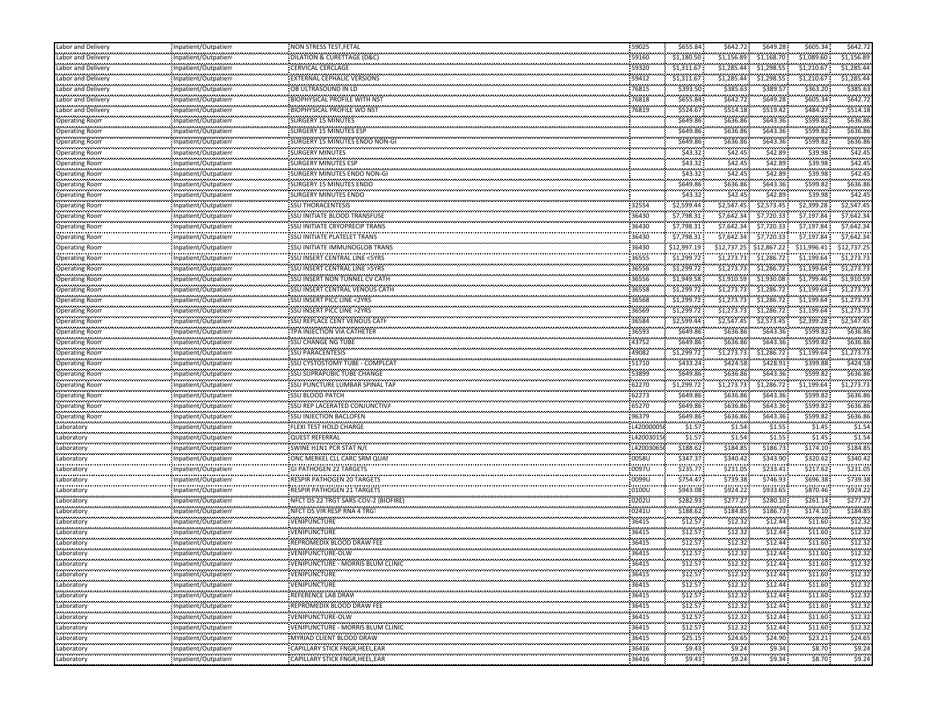| Labor and Delivery                      | Inpatient/Outpatient                         | NON STRESS TEST, FETAL                | 59025          | \$655.84               | \$642.72                 | \$649.28               | \$605.34                 | \$642.72             |
|-----------------------------------------|----------------------------------------------|---------------------------------------|----------------|------------------------|--------------------------|------------------------|--------------------------|----------------------|
| abor and Delivery                       | Inpatient/Outpatient                         | DILATION & CURETTAGE (D&C)            | 59160          | \$1,180.50             | \$1,156.89               | \$1,168.70             | \$1,089.60               | \$1,156.89           |
| <br>abor and Delivery.                  | .<br>Inpatient/Outpatient                    | <b>CERVICAL CERCLAGE</b>              | 59320          | \$1,311.67             | \$1,285.44               | \$1,298.55             | \$1,210.67               | \$1,285.44           |
| Labor and Delivery                      | Inpatient/Outpatient                         | <b>EXTERNAL CEPHALIC VERSIONS</b>     | 59412          | \$1,311.67             | \$1,285.44               | \$1.298.55             | \$1,210.67               | \$1,285.44           |
| <br>abor and Delivery.                  | Inpatient/Outpatient                         | OB ULTRASOUND IN LD                   | 76815          | \$393.50               | <br>\$385.63             | \$389.57               | \$363.20                 | \$385.6              |
| Labor and Delivery                      | Inpatient/Outpatient                         | <b>BIOPHYSICAL PROFILE WITH NS</b>    | 76818          | \$655.84               | \$642.72                 | \$649.28               | \$605.34                 | \$642.7              |
| abor and Delivery                       | Inpatient/Outpatien                          | <b>BIOPHYSICAL PROFILE WO NST</b>     | 76819          | \$524.67               | \$514.18                 | \$519.42               | \$484.27                 | \$514.18             |
| .<br>Operating Room                     | Inpatient/Outpatient                         | SURGERY 15 MINUTES                    |                | \$649.86               | \$636.86                 | \$643.36               | \$599.82                 | \$636.86             |
| .<br>Operating Room                     | Inpatient/Outpatient                         | SURGERY 15 MINUTES ESP                |                | \$649.86               | <br>\$636.86             | .<br>\$643.36          | \$599.82                 | \$636.8              |
| .<br>Operating Room                     | <br>Inpatient/Outpatient                     | SURGERY 15 MINUTES ENDO NON-GI        |                | \$649.86               | <br>\$636.86             | .<br>\$643.36          | \$599.82                 | \$636.8              |
| .<br>Operating Roon                     | Inpatient/Outpatien                          | <b>SURGERY MINUTES</b>                |                | \$43.32                | <br>\$42.45              | .<br>\$42.89           | \$39.98                  | \$42.4               |
| <b>Operating Room</b>                   | Inpatient/Outpatient                         | <b>SURGERY MINUTES ESP</b>            |                | \$43.32                | \$42.45                  | \$42.89                | \$39.98                  | \$42.4               |
| Operating Room                          | Inpatient/Outpatient                         | SURGERY MINUTES ENDO NON-GI           |                | \$43.32                | \$42.45                  | \$42.89                | \$39.98                  | \$42.4               |
| Operating Room                          | Inpatient/Outpatient                         | SURGERY 15 MINUTES ENDO               |                | \$649.86               | \$636.86                 | \$643.36               | \$599.82                 | \$636.86             |
| .<br>Operating Roon                     | Inpatient/Outpatient                         | <b>SURGERY MINUTES ENDO</b>           |                | .<br>\$43.32           | <br>\$42.45              | \$42.89                | \$39.98                  | \$42.4               |
| .<br>Operating Room                     | Inpatient/Outpatient                         | <b>SSU THORACENTESIS</b>              |                | \$2,599.44             | \$2,547.45               | \$2,573.45             | \$2,399.28               | \$2,547.45           |
| .<br><b>Operating Room</b>              | Inpatient/Outpatien                          | SSU INITIATE BLOOD TRANSFUSE          | 36430          | \$7,798.31             | \$7,642.34               | \$7,720.33             | \$7,197.84               | \$7,642.34           |
| Operating Roon                          | Inpatient/Outpatient                         | SSU INITIATE CRYOPRECIP TRANS         | 36430          | \$7,798.31             | \$7,642.34               | \$7,720.33             | \$7,197.84               | \$7,642.34           |
| .<br>Operating Roon                     | Inpatient/Outpatient                         | SSU INITIATE PLATELET TRANS           | 36430          | \$7,798.31             | \$7,642.34               | \$7,720.33             | \$7,197.84               | \$7,642.34           |
| <b>Operating Room</b>                   | Inpatient/Outpatient                         | SSU INITIATE IMMUNOGLOB TRANS         | 36430          | \$12,997.19            | \$12,737.25 \$12,867.22  |                        | \$11,996.41              | \$12,737.25          |
| .                                       |                                              | SSU INSERT CENTRAL LINE <5YRS         | 36555          | \$1,299.72             | \$1,273.73               | \$1,286.72             | \$1,199.64               | \$1,273.73           |
| Operating Roon<br><b>Operating Room</b> | Inpatient/Outpatient<br>Inpatient/Outpatient | SSU INSERT CENTRAL LINE > 5YRS        | 36556          | \$1,299.72             | \$1,273.73               | \$1,286.72             | \$1,199.64               | \$1,273.73           |
|                                         | Inpatient/Outpatien                          | <b>SSU INSERT NON TUNNEL CV CATH</b>  | 36556          | \$1,949.58             | \$1,910.59               | \$1,930.08             | \$1,799.46               | \$1,910.59           |
| Operating Roon<br>.                     | Inpatient/Outpatient                         | SSU INSERT CENTRAL VENOUS CATH        | 36558          |                        | \$1,273.73               | \$1,286.72             | \$1,199.64               | \$1,273.73           |
| Operating Room<br>.                     |                                              |                                       | 36568          | \$1,299.72             |                          |                        |                          |                      |
| Operating Room                          | Inpatient/Outpatien                          | SSU INSERT PICC LINE <2YRS            |                | \$1,299.72             | \$1,273.73               | \$1,286.72             | \$1,199.64               | \$1,273.73           |
| <b>Operating Roon</b><br>.              | Inpatient/Outpatient                         | <b>SSU INSERT PICC LINE &gt;2YRS</b>  | 36569<br>      | \$1,299.72             | \$1,273.73<br>\$2,547.45 | \$1,286.72             | \$1,199.64<br>\$2,399.28 | \$1,273.73           |
| Operating Room                          | Inpatient/Outpatient                         | SSU REPLACE CENT VENOUS CATH          | 36584          | \$2,599.44             |                          | \$2,573.45             | \$599.82                 | \$2,547.45           |
| Operating Room<br>.                     | Inpatient/Outpatient                         | TPA INJECTION VIA CATHETER            | 36593          | \$649.86               | \$636.86<br>.            | \$643.36<br>           | \$599.82                 | \$636.8<br>\$636.86  |
| Operating Roon                          | Inpatient/Outpatient                         | <b>SSU CHANGE NG TUBE</b>             | 43752          | \$649.86               | \$636.86                 | \$643.36<br>\$1,286.72 | \$1,199.64               |                      |
| <b>Operating Room</b>                   | Inpatient/Outpatient                         | <b>SSU PARACENTESIS</b>               | 49082          | \$1,299.72             | \$1,273.73               |                        |                          | \$1,273.73           |
| Operating Roon<br>.                     | Inpatient/Outpatien<br>Inpatient/Outpatient  | <b>SSU CYSTOSTOMY TUBE - COMPLCAT</b> | 51710<br>53899 | \$433.24<br>.          | \$424.58<br>\$636.86     | \$428.91<br>\$643.36   | \$399.88<br>\$599.82     | \$424.58<br>\$636.86 |
| Operating Room<br>.                     |                                              | SSU SUPRAPUBIC TUBE CHANGE            |                | \$649.86               |                          |                        |                          |                      |
| Operating Roon                          | Inpatient/Outpatien                          | SSU PUNCTURE LUMBAR SPINAL TAP        | 62270          | \$1,299.72             | \$1,273.73               | \$1,286.72             | \$1,199.64               | \$1,273.73           |
| Operating Roon<br>.                     | Inpatient/Outpatient                         | <b>SSU BLOOD PATCH</b>                | 62273          | \$649.86               | \$636.86                 | \$643.36<br>           | \$599.82                 | \$636.86             |
| Operating Room                          | Inpatient/Outpatient                         | SSU REP LACERATED CONJUNCTIVA         | 65270          | \$649.86               | \$636.86                 | \$643.36               | \$599.82                 | \$636.86             |
| Operating Room<br>                      | Inpatient/Outpatient                         | <b>SSU INJECTION BACLOFEN</b>         | 96379          | \$649.86               | \$636.86                 | \$643.36               | \$599.82                 | \$636.8              |
| .aboratory<br>والمحاملات والمحاوضة      | Inpatient/Outpatient                         | FLEXI TEST HOLD CHARGE                | L420000050     | \$1.57                 | \$1.54                   | \$1.55                 | \$1.45                   | \$1.5                |
| Laboratory                              | Inpatient/Outpatient                         | QUEST REFERRAL                        | L420030150     | \$1.57                 | \$1.54                   | \$1.55                 | \$1.45                   | \$1.54               |
| .aboratory<br>.                         | Inpatient/Outpatien                          | SWINE H1N1 PCR STAT N/C               | L420030650     | \$188.62               | \$184.85                 | \$186.73               | \$174.10                 | \$184.85             |
| Laboratory<br>                          | Inpatient/Outpatient                         | ONC MERKEL CLL CARC SRM QUAI          | 0058U<br>.     | \$347.37               | \$340.42                 | \$343.90               | \$320.62                 | \$340.42             |
| .aboratory<br>.                         | Inpatient/Outpatient                         | <b>GI PATHOGEN 22 TARGETS</b>         | 0097U          | \$235.77<br>,,,,,,,,,, | \$231.05                 | \$233.41               | \$217.62                 | \$231.0              |
| .aboratory<br>                          | Inpatient/Outpatient<br>                     | RESPIR PATHOGEN 20 TARGETS            | 0099U          | \$754.47               | \$739.38                 | \$746.93<br>.          | \$696.38                 | \$739.38             |
| .aboratory<br>.                         | Inpatient/Outpatient                         | RESPIR PATHOGEN 21 TARGETS            | 0100U          | \$943.08               | \$924.22                 | \$933.65               | \$870.46                 | \$924.2              |
| aboratory                               | Inpatient/Outpatient                         | NFCT DS 22 TRGT SARS-COV-2 (BIOFIRE)  | 0202U          | \$282.93               | \$277.27                 | \$280.10               | \$261.14                 | \$277.27             |
| .aboratory<br>,,,,,,,,,,,               | Inpatient/Outpatient                         | NFCT DS VIR RESP RNA 4 TRG            | 0241U          | \$188.62               | \$184.85                 | \$186.73               | \$174.10                 | \$184.85             |
| aboratory<br>                           | Inpatient/Outpatient                         | VENIPUNCTURE<br>.                     | 36415          | \$12.57                | \$12.32<br>              | \$12.44<br>.           | \$11.60                  | \$12.32              |
| .aboratory<br>.                         | Inpatient/Outpatient                         | VENIPUNCTURE                          | 36415          | \$12.57                | \$12.32                  | \$12.44                | \$11.60                  | \$12.32              |
| Laboratory<br>                          | Inpatient/Outpatient<br>.<br>.               | REPROMEDIX BLOOD DRAW FEE             | 36415          | \$12.57                | \$12.32                  | \$12.44                | \$11.60                  | \$12.32              |
| Laboratory                              | Inpatient/Outpatien                          | VENIPUNCTURE-OLW                      | 36415          | \$12.57                | \$12.32                  | \$12.44                | \$11.60                  | \$12.32              |
| .<br>Laboratory                         | Inpatient/Outpatient                         | VENIPUNCTURE - MORRIS BLUM CLINIC     | <br>36415      | \$12.57                | \$12.32                  | \$12.44                | \$11.60                  | \$12.32              |
| Laboratory                              | Inpatient/Outpatient                         | VENIPUNCTURE                          | 36415          | \$12.57                | \$12.32                  | \$12.44                | \$11.60                  | \$12.32              |
| <br>Laboratory                          | Inpatient/Outpatient                         | VENIPUNCTURE                          | 36415          | \$12.57                | \$12.32                  | \$12.44                | \$11.60                  | \$12.32              |
| Laboratory                              | Inpatient/Outpatient                         | REFERENCE LAB DRAW                    | 36415          | \$12.57                | \$12.32                  | \$12.44                | \$11.60                  | \$12.32              |
| للمتمتح فتتحدث<br>Laboratory            | Inpatient/Outpatient                         | REPROMEDIX BLOOD DRAW FEE             | 36415          | \$12.57                | \$12.32                  | \$12.44                | \$11.60                  | \$12.32              |
| .<br>Laboratory                         | Inpatient/Outpatient                         | <br>VENIPUNCTURE-OLW                  | .<br>36415     | \$12.57                | .<br>\$12.32             | <br>\$12.44            | <br>\$11.60              | \$12.32              |
| .<br>Laboratory                         | Inpatient/Outpatient                         | VENIPUNCTURE - MORRIS BLUM CLINIC     | 36415          | \$12.57                | \$12.32                  | \$12.44                | \$11.60                  | \$12.32              |
| .<br>Laboratory                         | <br>Inpatient/Outpatient                     | MYRIAD CLIENT BLOOD DRAW              | .<br>36415     | \$25.15                | .<br>\$24.65             | .<br>\$24.90           | \$23.21                  | \$24.65              |
| .<br>Laboratory                         | Inpatient/Outpatient                         | CAPILLARY STICK FNGR, HEEL, EAR       | 36416          | \$9.43                 | \$9.24                   | \$9.34                 | \$8.70                   | 59.24                |
| .<br>Laboratory                         | Inpatient/Outpatient                         | .<br>CAPILLARY STICK FNGR, HEEL, EAR  | 6.<br>36416    | \$9.43                 | \$9.24\$                 | \$9.34                 | \$8.70                   | \$9.24               |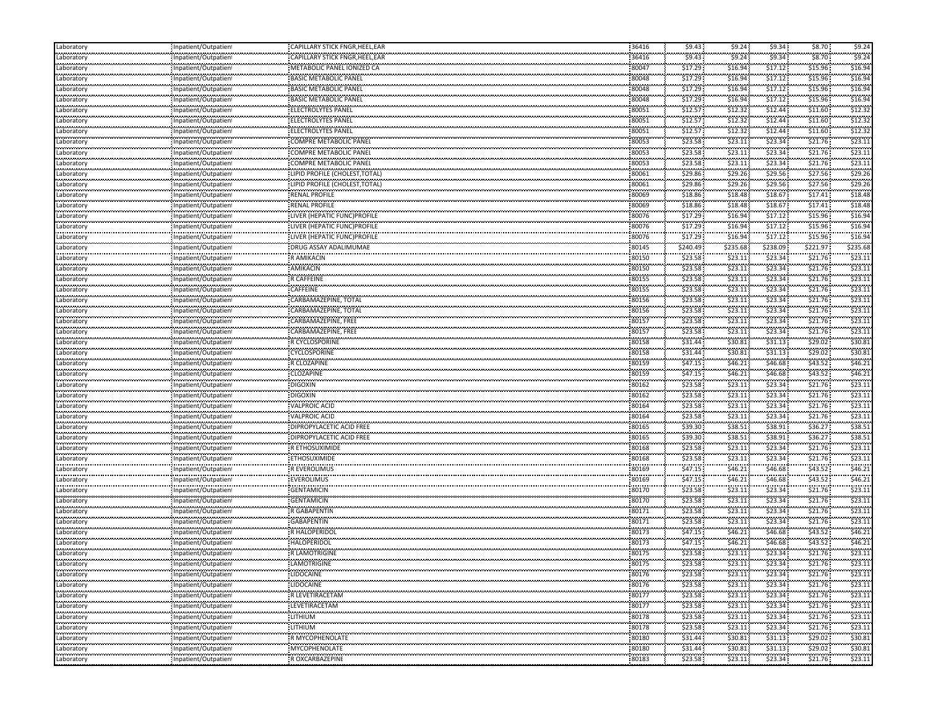| Laboratory                 | Inpatient/Outpatien                                  | CAPILLARY STICK FNGR, HEEL, EAR                    | 36416               | \$9.43             | \$9.24                                        | \$9.34               | \$8.70             | \$9.24               |
|----------------------------|------------------------------------------------------|----------------------------------------------------|---------------------|--------------------|-----------------------------------------------|----------------------|--------------------|----------------------|
| Laboratory                 | Inpatient/Outpatien                                  | CAPILLARY STICK FNGR, HEEL, EAR                    | 36416               | \$9.43             | \$9.24                                        | \$9.34               | \$8.70             | \$9.24               |
| <br>Laboratory             | .<br>Inpatient/Outpatien <sup>.</sup>                | METABOLIC PANEL IONIZED CA                         | <br>80047           | وواددته<br>\$17.29 | , , , , , , , ,<br>\$16.94                    | ,,,,,,,,,<br>\$17.12 | \$15.96            | \$16.94              |
| <b></b><br>Laboratory      | Inpatient/Outpatien                                  | <b>BASIC METABOLIC PANEL</b>                       | 80048               | $$17.29$ :         | \$16.94                                       | \$17.12              | \$15.96            | \$16.94              |
| <br>Laboratory             | <br>Inpatient/Outpatien                              | <br>BASIC METABOLIC PANEL                          | <br>80048           | .<br>\$17.29       | .<br>\$16.94                                  | .<br>\$17.12         | \$15.96            | \$16.94              |
| محدسته<br>Laboratory       | Inpatient/Outpatient                                 | <b>BASIC METABOLIC PANEL</b>                       | 80048               | \$17.29            | \$16.94                                       | \$17.12              | \$15.96            | \$16.94              |
| Laboratory                 | Inpatient/Outpatien                                  | <b>ELECTROLYTES PANEL</b>                          | 80051               | \$12.57            | \$12.32                                       | \$12.44              | \$11.60            | \$12.32              |
| .<br>Laboratory            | <br>                                                 | ELECTROLYTES PANEL                                 | 80051               | <br>\$12.57        | .<br>\$12.32                                  | \$12.44              | \$11.60            | \$12.3               |
|                            | npatient/Outpatien<br>                               |                                                    |                     | \$12.57            | .                                             | .                    | \$11.60            | \$12.3               |
| Laboratory<br>.            | npatient/Outpatien!<br>                              | ELECTROLYTES PANEL<br>,,,,,,,,,,,,,,,,,,,,,,,,,,,, | 80051<br>           | .                  | \$12.32<br>.                                  | \$12.44<br>          | \$21.76            | \$23.1               |
| Laboratory<br>             | Inpatient/Outpatien                                  | COMPRE METABOLIC PANEL<br>                         | 80053<br>           | \$23.58<br>\$23.58 | \$23.11<br>                                   | \$23.34<br>\$23.34   | \$21.76            | \$23.1               |
| Laboratory<br><b></b>      | Inpatient/Outpatien                                  | COMPRE METABOLIC PANEL                             | 80053               |                    | \$23.11                                       |                      | \$21.76            | \$23.1               |
| Laboratory<br>.            | Inpatient/Outpatien                                  | COMPRE METABOLIC PANEL                             | 80053               | \$23.58            | \$23.11                                       | \$23.34              |                    |                      |
| Laboratory<br>لمحدث محدث   | Inpatient/Outpatient                                 | LIPID PROFILE (CHOLEST, TOTAL)                     | 80061               | \$29.86            | \$29.26                                       | \$29.56              | \$27.56            | \$29.26              |
| Laboratory<br>             | Inpatient/Outpatien<br>                              | LIPID PROFILE (CHOLEST, TOTAL)                     | 80061<br>           | \$29.86<br>.       | \$29.26<br>.                                  | \$29.56<br>.         | \$27.56            | \$29.26              |
| Laboratory<br>.            | npatient/Outpatien                                   | RENAL PROFILE<br>.                                 | 80069               | \$18.86            | \$18.48<br>                                   | \$18.67              | \$17.41            | \$18.48              |
| aboratory<br>              | npatient/Outpatien<br>                               | RENAL PROFILE                                      | 80069<br>           | \$18.86            | \$18.48<br>.                                  | \$18.67<br>.         | \$17.41            | \$18.48              |
| Laboratory<br>لمحدث محدث   | Inpatient/Outpatien!                                 | LIVER (HEPATIC FUNC) PROFILE                       | 80076               | \$17.29            | \$16.94                                       | \$17.12              | \$15.96            | \$16.94              |
| Laboratory                 | Inpatient/Outpatien                                  | LIVER (HEPATIC FUNC) PROFILE                       | 80076               | \$17.29            | \$16.94                                       | \$17.12              | \$15.96            | \$16.94              |
| <br>Laboratory             | npatient/Outpatient                                  | LIVER (HEPATIC FUNC) PROFILE                       | 80076               | \$17.29            | .<br>\$16.94                                  | \$17.12              | \$15.96            | \$16.94              |
| .<br>Laboratory            | <br>Inpatient/Outpatien                              | DRUG ASSAY ADALIMUMAE                              | 80145               | \$240.49           | <b>********</b><br>\$235.68                   | \$238.09             | \$221.97           | \$235.68             |
| <br>Laboratory             | <br>Inpatient/Outpatien                              | ,,,,,,,,,,,,,,,,,,,,,,,,,,,,,,,,<br>R AMIKACIN     | 80150               | \$23.58            | .<br>\$23.11                                  | \$23.34              | \$21.76            | \$23.1               |
| Laboratory                 | Inpatient/Outpatient                                 | AMIKACIN                                           | 80150               | \$23.58            | \$23.11                                       | \$23.34              | \$21.76            | \$23.1               |
| Laboratory                 | Inpatient/Outpatien                                  | R CAFFEINE                                         | 80155               | \$23.58            | \$23.11                                       | \$23.34              | \$21.76            | \$23.1               |
| .<br>Laboratory            | .<br><br>npatient/Outpatien                          | .<br>CAFFEINE                                      | 80155               | \$23.58            | \$23.11                                       | \$23.34              | \$21.76            | \$23.1               |
| <br>Laboratory             | Inpatient/Outpatient                                 | .<br>CARBAMAZEPINE, TOTAL                          | <br>80156           | \$23.58            | .<br>\$23.11                                  | .<br>\$23.34         | \$21.76            | \$23.1               |
| .<br>Laboratory            | Inpatient/Outpatien                                  | CARBAMAZEPINE, TOTAL                               | 80156               | \$23.58            | \$23.11                                       | \$23.34              | \$21.76            | \$23.1               |
| <br>Laboratory             | <br>npatient/Outpatien                               | <br>CARBAMAZEPINE, FREE                            | <br>80157           | \$23.58            | <br>\$23.11                                   | .<br>\$23.34         | \$21.76            | \$23.1               |
| .                          | .<br><br>Inpatient/Outpatien                         | ,,,,,,,,,,,,,,,,,,,,,,<br>CARBAMAZEPINE, FREE      | 80157               | .<br>\$23.58       | <b><i><u>ALCOHOL: 2005</u></i></b><br>\$23.11 | \$23.34              | \$21.76            | \$23.1               |
| Laboratory<br>             |                                                      | .                                                  | 80158               | \$31.44            | .                                             | \$31.13              | \$29.02            | \$30.81              |
| Laboratory<br>محدسته       | Inpatient/Outpatient                                 | R CYCLOSPORINE                                     | 80158               | \$31.44            | \$30.81<br>\$30.81                            | \$31.13              | \$29.02            | \$30.81              |
| Laboratory                 | Inpatient/Outpatient                                 | <b>CYCLOSPORINE</b>                                | 80159               | \$47.15            | \$46.21                                       | \$46.68              | \$43.52            | \$46.21              |
| Laboratory<br>.            | Inpatient/Outpatien                                  | R CLOZAPINE<br>.                                   | 80159               | .                  | .                                             | \$46.68              | \$43.52            | \$46.21              |
| Laboratory<br>             | npatient/Outpatien                                   | CLOZAPINE<br>.                                     |                     | \$47.15<br>\$23.58 | \$46.21<br>.                                  | .                    | \$21.76            | \$23.1               |
| Laboratory<br>,,,,,,,,,,,, | Inpatient/Outpatient                                 | <b>DIGOXIN</b>                                     | 80162               |                    | \$23.11                                       | \$23.34              |                    |                      |
| Laboratory<br>             | Inpatient/Outpatien<br>                              | : DIGOXIN<br>.                                     | 80162<br>           | \$23.58<br>.       | \$23.11<br>                                   | \$23.34<br>.         | \$21.76            | \$23.1               |
| Laboratory<br>.            | npatient/Outpatien                                   | VALPROIC ACID                                      | 80164               | \$23.58            | \$23.11<br><b><i><u>ALCOHOL: 2005</u></i></b> | \$23.34              | \$21.76            | \$23.1               |
| aboratory<br>              | Inpatient/Outpatien<br>                              | VALPROIC ACID<br>                                  | 80164<br>           | \$23.58            | \$23.11<br>.                                  | \$23.34<br>.         | \$21.76            | \$23.1               |
| Laboratory<br>محدسته       | Inpatient/Outpatient                                 | DIPROPYLACETIC ACID FREE                           | 80165               | \$39.30            | \$38.51                                       | \$38.91              | \$36.27            | \$38.51              |
| Laboratory                 | Inpatient/Outpatient                                 | DIPROPYLACETIC ACID FREE                           | 80165               | \$39.30            | \$38.51                                       | \$38.91              | \$36.27            | \$38.51              |
| Laboratory                 | Inpatient/Outpatient                                 | R ETHOSUXIMIDE                                     | 80168               | \$23.58            | \$23.11                                       | \$23.34              | \$21.76            | \$23.11              |
| .<br>Laboratory            | <br>npatient/Outpatien                               | <b>ETHOSUXIMIDE</b>                                | 80168               | .<br>\$23.58       | .<br>\$23.11                                  | \$23.34              | \$21.76            | \$23.1               |
| <br>Laboratory             | <br>npatient/Outpatien                               | <br>R EVEROLIMUS                                   | <br>80169           | \$47.15            | .<br>\$46.21                                  | .<br>\$46.68         | \$43.52            | \$46.21              |
| .<br>Laboratory            | ,,,,,,,,,,,,,,,,,,,,,,,,,<br>Inpatient/Outpatien     | ,,,,,,,,,,,,,,,,,,<br>EVEROLIMUS                   | 80169               | .<br>\$47.15       | .<br>\$46.21                                  | <br>\$46.68          | <br>\$43.52        | \$46.21              |
| <br>Laboratory             | Inpatient/Outpatien <sup>.</sup>                     | <b>.</b> .<br>GENTAMICIN                           | <br>80170           | \$23.58            | <br>\$23.11                                   | .<br>\$23.34         | \$21.76            | \$23.1               |
| <b></b><br>Laboratory      | Inpatient/Outpatient                                 | <b>GENTAMICIN</b>                                  | 80170               | \$23.58            | \$23.11                                       | \$23.34              | \$21.76            | \$23.11              |
| <br>Laboratory             | Inpatient/Outpatient                                 | R GABAPENTIN                                       | 80171               | \$23.58            | \$23.11                                       | \$23.34              | \$21.76            | \$23.11              |
| لمحدث محدث<br>Laboratory   | Inpatient/Outpatien                                  | <b>GABAPENTIN</b>                                  | 80171               | \$23.58            | \$23.11                                       | \$23.34              | \$21.76            | \$23.11              |
| <br>Laboratory             | <br>.<br>npatient/Outpatien                          | .<br>R HALOPERIDOL                                 | <br>80173           | .<br>\$47.15       | .<br>\$46.21                                  | .<br>\$46.68         | \$43.52            | \$46.21              |
| .<br>aboratory             | ,,,,,,,,,,,,,,,,,,,,,,,,,<br>npatient/Outpatien      | ,,,,,,,,,,,,,,,,,,,,<br><b>HALOPERIDOL</b>         | 80173               | .<br>\$47.15       | <br>\$46.21                                   | <br>\$46.68          | <br>\$43.52        | <br>\$46.21          |
| <br>Laboratory             | npatient/Outpatien!                                  | <br>R LAMOTRIGINE                                  | <br>80175           | \$23.58            | .<br>\$23.11                                  | .<br>\$23.34         | \$21.76            | \$23.11              |
| Laboratory                 | ,,,,,,,,,,,,,,,,,,,,,,,,,,,,<br>Inpatient/Outpatient | <b>LAMOTRIGINE</b>                                 | .<br>80175          | .<br>\$23.58       | <br>\$23.11                                   | <br>\$23.34          | \$21.76            | ,,,,,,,,,<br>\$23.11 |
| Laboratory                 | Inpatient/Outpatient                                 | <b>LIDOCAINE</b>                                   | .<br>80176          | \$23.58            | \$23.11                                       | \$23.34              | \$21.76            | .<br>\$23.11         |
| .<br>Laboratory            | ,,,,,,,,,,,,,,,,,,,,,,,,,                            | .                                                  |                     | \$23.58            |                                               |                      | age of the control |                      |
| .<br>Laboratory            | : Inpatient/Outpatien                                | : LIDOCAINE                                        | 80176<br>80177      | \$23.58            | \$23.11<br>\$23.11                            | \$23.34<br>\$23.34   | \$21.76<br>\$21.76 | \$23.11<br>\$23.11   |
| .<br>Laboratory            | Inpatient/Outpatient                                 | R LEVETIRACETAN<br>متحدد متحدد متحدد متحدث         | 80177               | \$23.58            | \$23.11                                       | \$23.34              | \$21.76            | \$23.11              |
| Laboratory                 | Inpatient/Outpatient<br>                             | <b>LEVETIRACETAM</b><br>.                          | .                   | \$23.58            |                                               | .                    |                    | .                    |
| Laboratory                 | Inpatient/Outpatient                                 | <b>LITHIUM</b><br>.                                | 80178<br>80178      | \$23.58            | \$23.11<br>.                                  | \$23.34<br>          | \$21.76<br>        | \$23.11<br>.         |
|                            | Inpatient/Outpatient<br>                             | LITHIUM<br>                                        |                     |                    | \$23.11<br>                                   | \$23.34<br>.         | \$21.76            | \$23.11<br>.         |
| Laboratory<br>.            | Inpatient/Outpatien!<br>,,,,,,,,,,,,,,,,,,,,,,,,,,   | R MYCOPHENOLATE                                    | 80180<br>.          | \$31.44            | \$30.81<br>.                                  | \$31.13<br>          | \$29.02<br>        | \$30.81<br>.         |
| Laboratory<br>             | Inpatient/Outpatient<br>                             | <b>MYCOPHENOLATE</b>                               | 80180<br>,,,,,,,,,, | \$31.44            | \$30.81<br>.                                  | \$31.13<br>.         | \$29.02            | \$30.81              |
| Laboratory                 | Inpatient/Outpatient                                 | R OXCARBAZEPINI                                    | 80183               | \$23.58            | \$23.11                                       | \$23.34              | \$21.76            | \$23.11              |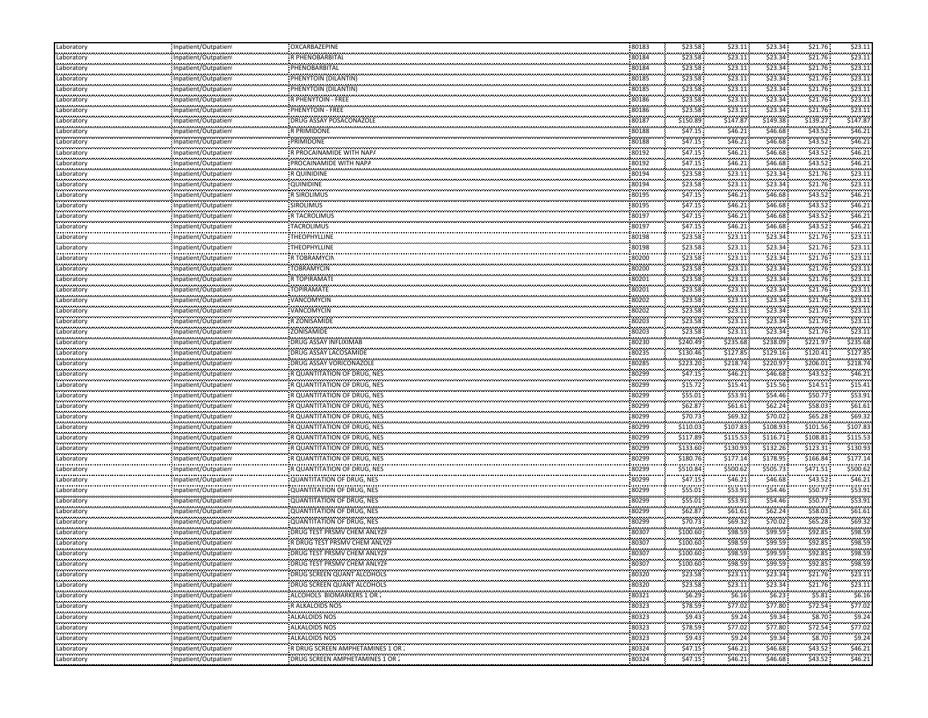| Laboratory               | Inpatient/Outpatient                         | OXCARBAZEPINE                         | 80183          | \$23.58             | \$23.11               | \$23.34            | \$21.76           | \$23.11  |
|--------------------------|----------------------------------------------|---------------------------------------|----------------|---------------------|-----------------------|--------------------|-------------------|----------|
| Laboratory               | Inpatient/Outpatient                         | R PHENOBARBITAL                       | 80184          | \$23.58             | \$23.11               | \$23.34            | \$21.76           | \$23.11  |
| .<br>Laboratory          | Inpatient/Outpatien!                         | PHENOBARBITAL                         | 80184          | \$23.58             | \$23.11               | \$23.34            | \$21.76           | \$23.11  |
| .<br>Laboratory          | Inpatient/Outpatient                         | PHENYTOIN (DILANTIN)                  | 80185          | \$23.58             | \$23.11               | \$23.34            | \$21.76           | \$23.1   |
| .<br>Laboratory          | Inpatient/Outpatient                         | PHENYTOIN (DILANTIN)                  | 80185          | \$23.58             | \$23.11               | \$23.34            | \$21.76           | \$23.11  |
| Laboratory               | Inpatient/Outpatient                         | R PHENYTOIN - FREE                    | 80186          | \$23.58             | \$23.11               | \$23.34            | \$21.76           | \$23.11  |
| Laboratory               | Inpatient/Outpatient                         | PHENYTOIN - FREE                      | 80186          | \$23.58             | \$23.11               | \$23.34            | \$21.76           | \$23.11  |
| .<br>Laboratory          | Inpatient/Outpatient                         | DRUG ASSAY POSACONAZOLE               | 80187          | \$150.89            | \$147.87              | \$149.38           | \$139.27          | \$147.87 |
| .<br>Laboratory          | Inpatient/Outpatient                         | R PRIMIDONE                           | 80188          | \$47.15             | \$46.21               | \$46.68            | \$43.52           | \$46.21  |
| Laboratory               | Inpatient/Outpatient                         | PRIMIDONE                             | 80188          | \$47.15             | \$46.21               | \$46.68            | \$43.52\$         | \$46.21  |
| .                        |                                              | R PROCAINAMIDE WITH NAPA              | 80192          | \$47.15             | \$46.21               | \$46.68            | \$43.52           | \$46.2   |
| Laboratory               | Inpatient/Outpatient                         |                                       | 80192          |                     |                       |                    | \$43.52           | \$46.21  |
| Laboratory<br>Laboratory | Inpatient/Outpatient                         | PROCAINAMIDE WITH NAPA<br>R QUINIDINE |                | \$47.15             | \$46.21               | \$46.68<br>\$23.34 | \$21.76           | \$23.11  |
|                          | Inpatient/Outpatient                         |                                       | 80194          | \$23.58             | \$23.11               |                    |                   |          |
| Laboratory<br>.          | Inpatient/Outpatient                         | QUINIDINE                             | 80194          | \$23.58             | \$23.11               | \$23.34            | \$21.76           | \$23.11  |
| Laboratory               | Inpatient/Outpatient                         | <b>R SIROLIMUS</b>                    | 80195          | \$47.15             | \$46.21               | \$46.68            | \$43.52\$         | \$46.2   |
| .<br>Laboratory<br>.     | Inpatient/Outpatient                         | <b>SIROLIMUS</b>                      | 80195          | \$47.15             | \$46.21               | \$46.68            | \$43.52           | \$46.21  |
| Laboratory               | Inpatient/Outpatient                         | R TACROLIMUS                          | 80197          | \$47.15             | \$46.21               | \$46.68            | \$43.52           | \$46.21  |
| Laboratory<br>.          | Inpatient/Outpatient                         | TACROLIMUS                            | 80197          | \$47.15             | \$46.21               | \$46.68            | \$43.52           | \$46.21  |
| Laboratory               | Inpatient/Outpatient                         | <b>THEOPHYLLINE</b>                   | 80198          | \$23.58             | \$23.11               | \$23.34            | \$21.76           | \$23.11  |
| Laboratory               | Inpatient/Outpatient                         | THEOPHYLLINE                          | 80198          | \$23.58             | \$23.11               | \$23.34            | \$21.76           | \$23.1   |
| .<br>Laboratory          | Inpatient/Outpatien!                         | R TOBRAMYCIN                          | 80200          | \$23.58             | \$23.11               | \$23.34            | \$21.76           | \$23.11  |
| Laboratory               | Inpatient/Outpatient                         | <b>TOBRAMYCIN</b>                     | 80200          | \$23.58             | \$23.11               | \$23.34            | \$21.76           | \$23.11  |
| Laboratory               | Inpatient/Outpatient                         | <b>R TOPIRAMATE</b>                   | 80201          | \$23.58             | \$23.11               | \$23.34            | \$21.76           | \$23.1   |
| Laboratory               | Inpatient/Outpatien!                         | <b>TOPIRAMATE</b>                     | 80201          | \$23.58             | \$23.11               | \$23.34            | \$21.76           | \$23.1   |
| .<br>Laboratory          | Inpatient/Outpatient                         | VANCOMYCIN                            | 80202          | \$23.58             | \$23.11               | \$23.34            | \$21.76           | \$23.11  |
| Laboratory               | Inpatient/Outpatient                         | VANCOMYCIN                            | 80202          | \$23.58             | \$23.11               | \$23.34            | \$21.76           | \$23.11  |
| .<br>Laboratory          | Inpatient/Outpatient                         | R ZONISAMIDE                          | 80203          | \$23.58             | \$23.11               | \$23.34            | \$21.76           | \$23.11  |
| <br>Laboratory           | Inpatient/Outpatient                         | ZONISAMIDE                            | 80203          | \$23.58             | \$23.11               | \$23.34            | \$21.76           | \$23.1   |
| .                        | Inpatient/Outpatient                         | DRUG ASSAY INFLIXIMAB                 | 80230          | \$240.49            | \$235.68              | \$238.09           | \$221.97          | \$235.68 |
| Laboratory               |                                              | DRUG ASSAY LACOSAMIDE                 | 80235          | \$130.46            | \$127.85              | \$129.16           | \$120.41          | \$127.85 |
| Laboratory               | Inpatient/Outpatient<br>Inpatient/Outpatient |                                       |                |                     | \$218.74              | \$220.97           | \$206.01          | \$218.74 |
| Laboratory<br>Laboratory |                                              | DRUG ASSAY VORICONAZOLE               | 80285<br>80299 | \$223.20<br>\$47.15 | \$46.21               | \$46.68            | \$43.52           | \$46.21  |
| .                        | Inpatient/Outpatient                         | R QUANTITATION OF DRUG, NES           | 80299          |                     | \$15.41               | \$15.56            | \$14.51           | \$15.41  |
| Laboratory               | Inpatient/Outpatient                         | R QUANTITATION OF DRUG, NES           |                | \$15.72             |                       |                    |                   |          |
| Laboratory               | Inpatient/Outpatient                         | R QUANTITATION OF DRUG, NES           | 80299          | \$55.01             | \$53.91               | \$54.46            | \$50.77           | \$53.91  |
| Laboratory<br>.          | Inpatient/Outpatient                         | R QUANTITATION OF DRUG, NES           | 80299          | \$62.87             | \$61.61               | \$62.24            | \$58.03           | \$61.61  |
| Laboratory<br>.          | Inpatient/Outpatient                         | R QUANTITATION OF DRUG, NES           | 80299          | \$70.73             | \$69.32               | \$70.02            | \$65.28\$         | \$69.32  |
| Laboratory               | Inpatient/Outpatient                         | R QUANTITATION OF DRUG, NES           | 80299          | \$110.03            | \$107.83              | \$108.93           | \$101.56          | \$107.83 |
| Laboratory               | Inpatient/Outpatient                         | R QUANTITATION OF DRUG, NES           | 80299          | \$117.89            | \$115.53              | \$116.71           | \$108.81          | \$115.53 |
| Laboratory               | Inpatient/Outpatient                         | R QUANTITATION OF DRUG, NES           | 80299          | \$133.60            | \$130.93              | \$132.26           | \$123.31          | \$130.93 |
| Laboratory               | Inpatient/Outpatient                         | R QUANTITATION OF DRUG, NES           | 80299          | \$180.76            | \$177.14              | \$178.95           | \$166.84          | \$177.14 |
| .<br>Laboratory          | Inpatient/Outpatien!                         | R QUANTITATION OF DRUG, NES           | 80299          | \$510.84            | \$500.62              | \$505.73           | \$471.51          | \$500.62 |
| متبتدي<br>Laboratory     | Inpatient/Outpatient                         | <b>QUANTITATION OF DRUG, NES</b>      | 80299          | \$47.15             | \$46.21               | \$46.68            | \$43.52           | \$46.21  |
| .<br>Laboratory          | Inpatient/Outpatient                         | <b>QUANTITATION OF DRUG, NES</b>      | 80299          | \$55.01             | \$53.91               | \$54.46            | \$50.77           | \$53.91  |
| .<br>Laboratory          | Inpatient/Outpatient                         | QUANTITATION OF DRUG, NES             | 80299          | \$55.01             | \$53.91               | \$54.46            | \$50.77           | \$53.91  |
| .<br>Laboratory          | npatient/Outpatient                          | <b>QUANTITATION OF DRUG, NES</b>      | 80299          | \$62.87             | \$61.61               | \$62.24            | \$58.03           | \$61.61  |
| Laboratory               | Inpatient/Outpatient                         | QUANTITATION OF DRUG, NES             | 80299          | \$70.73             | \$69.32               | \$70.02            | \$65.28\$         | \$69.32  |
| .<br>Laboratory          | Inpatient/Outpatient                         | DRUG TEST PRSMV CHEM ANLYZF           | 80307          | \$100.60            | \$98.59               | \$99.59            | \$92.85           | \$98.59  |
| .<br>Laboratory          | Inpatient/Outpatien                          | R DRUG TEST PRSMV CHEM ANLYZF         | 80307          | \$100.60            | \$98.59               | \$99.59            | \$92.85           | \$98.59  |
| .<br>Laboratory          | Inpatient/Outpatien!                         | DRUG TEST PRSMV CHEM ANLYZF           | 80307          | \$100.60            | \$98.59               | \$99.59            | \$92.85           | \$98.59  |
| Laboratory               | Inpatient/Outpatient                         | DRUG TEST PRSMV CHEM ANLYZE           | 80307          | \$100.60            | \$98.59               | \$99.59            | \$92.85           | 598.59   |
| .<br>Laboratory          | Inpatient/Outpatient                         | DRUG SCREEN QUANT ALCOHOLS            | 80320          | \$23.58             | \$23.11               | \$23.34            | \$21.76           | \$23.11  |
| .                        | Inpatient/Outpatient                         | DRUG SCREEN QUANT ALCOHOLS            | 80320          | \$23.58             | \$23.11               | \$23.34            | \$21.76           | \$23.11  |
| Laboratory<br>Laboratory | Inpatient/Outpatient                         | ALCOHOLS BIOMARKERS 1 OR :            | 80321          | \$6.29              | \$6.16\$              | \$6.23             | \$5.81            | \$6.16   |
|                          |                                              |                                       | 80323          | \$78.59             |                       | \$77.80            |                   | \$77.02  |
| Laboratory<br>Laboratory | Inpatient/Outpatient<br>Inpatient/Outpatient | R ALKALOIDS NOS<br>ALKALOIDS NOS      | 80323          | \$9.43              | \$77.02\$<br>\$9.24\$ | \$9.34             | \$72.54<br>\$8.70 | \$9.24   |
| .<br>Laboratory          | Inpatient/Outpatient                         | <br>ALKALOIDS NOS                     | 80323          | \$78.59             |                       |                    |                   |          |
|                          |                                              |                                       |                |                     | \$77.02               | \$77.80            | \$72.54           | \$77.02  |
| .<br>Laboratory          | nin<br>Inpatient/Outpatient                  | <br>ALKALOIDS NOS                     | 80323          | \$9.43              | \$9.24                | \$9.34             | \$8.70            | \$9.24   |
| .<br>Laboratory          | Inpatient/Outpatient                         | R DRUG SCREEN AMPHETAMINES 1 OR       | 80324          | \$47.15             | \$46.21               | \$46.68            | \$43.52           | \$46.21  |
| Laboratory               | Inpatient/Outpatient                         | DRUG SCREEN AMPHETAMINES 1 OR 2       | 80324          | \$47.15             | \$46.21               | \$46.68            | \$43.52           | \$46.21  |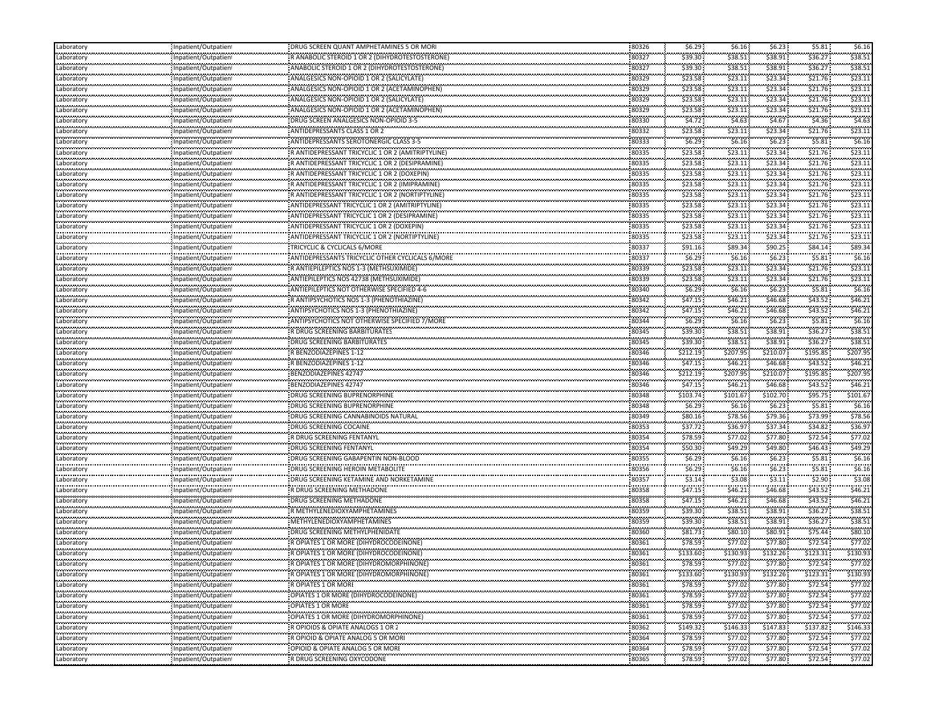| Laboratory                    | Inpatient/Outpatien              | DRUG SCREEN QUANT AMPHETAMINES 5 OR MOR                                                     | 80326          | \$6.29            | \$6.16:           | \$6.23              | \$5.81   | \$6.16            |
|-------------------------------|----------------------------------|---------------------------------------------------------------------------------------------|----------------|-------------------|-------------------|---------------------|----------|-------------------|
| Laboratory                    | Inpatient/Outpatien              | R ANABOLIC STEROID 1 OR 2 (DIHYDROTESTOSTERONE)                                             | 80327          | \$39.30           | \$38.51           | \$38.91             | \$36.27  | \$38.51           |
| .<br>Laboratory               | Inpatient/Outpatien              | ANABOLIC STEROID 1 OR 2 (DIHYDROTESTOSTERONE)                                               | 80327          | \$39.30           | \$38.51           | \$38.91             | \$36.27  | \$38.51           |
| <br>Laboratory                | Inpatient/Outpatien              | ANALGESICS NON-OPIOID 1 OR 2 (SALICYLATE)                                                   | 80329          | \$23.58           | \$23.11           | \$23.34             | \$21.76  | \$23.11           |
| .<br>Laboratory               | Inpatient/Outpatien!             | ANALGESICS NON-OPIOID 1 OR 2 (ACETAMINOPHEN)                                                | 80329          | \$23.58           | \$23.11           | \$23.34             | \$21.76  | \$23.11           |
| Laboratory                    | : Inpatient/Outpatien            | ANALGESICS NON-OPIOID 1 OR 2 (SALICYLATE)                                                   | 80329          | \$23.58           | \$23.11           | \$23.34             | \$21.76  | \$23.11           |
| Laboratory                    | Inpatient/Outpatient             | ANALGESICS NON-OPIOID 1 OR 2 (ACETAMINOPHEN)                                                | 80329          | \$23.58           | \$23.11           | \$23.34             | \$21.76  | \$23.11           |
| .<br>Laboratory               | Inpatient/Outpatien <sup>.</sup> | DRUG SCREEN ANALGESICS NON-OPIOID 3-5                                                       | 80330          | \$4.72            | \$4.63            | \$4.67              | \$4.36   | \$4.63            |
| <br>Laboratory                | Inpatient/Outpatien!             | ANTIDEPRESSANTS CLASS 1 OR 2                                                                | 80332          | \$23.58           | \$23.11           | \$23.34             | \$21.76  | \$23.11           |
| <br>Laboratory                | Inpatient/Outpatien              | ANTIDEPRESSANTS SEROTONERGIC CLASS 3-5                                                      | 80333          | \$6.29            | \$6.16            | \$6.23\$            | \$5.81   | \$6.16            |
| .<br>Laboratory               | Inpatient/Outpatient             | R ANTIDEPRESSANT TRICYCLIC 1 OR 2 (AMITRIPTYLINE)                                           | 80335          | \$23.58           | \$23.11           | \$23.34             | \$21.76  | \$23.11           |
| <br>Laboratory                | : Inpatient/Outpatien            | R ANTIDEPRESSANT TRICYCLIC 1 OR 2 (DESIPRAMINE)                                             | 80335          | \$23.58           | \$23.11           | \$23.34             | \$21.76  | \$23.11           |
| Laboratory                    | Inpatient/Outpatien!             | R ANTIDEPRESSANT TRICYCLIC 1 OR 2 (DOXEPIN)                                                 | 80335          | \$23.58           | \$23.11           | \$23.34             | \$21.76  | \$23.11           |
| Laboratory                    | Inpatient/Outpatien              | R ANTIDEPRESSANT TRICYCLIC 1 OR 2 (IMIPRAMINE)                                              | 80335          | \$23.58           | \$23.11           | \$23.34             | \$21.76  | \$23.11           |
| .<br>Laboratory               | Inpatient/Outpatien!             | R ANTIDEPRESSANT TRICYCLIC 1 OR 2 (NORTIPTYLINE)                                            | 80335          | \$23.58           | \$23.11           | \$23.34             | \$21.76  | \$23.11           |
|                               | Inpatient/Outpatien              | ANTIDEPRESSANT TRICYCLIC 1 OR 2 (AMITRIPTYLINE)                                             | 80335          | \$23.58           | \$23.11           | \$23.34             | \$21.76  | \$23.11           |
| Laboratory<br>.<br>Laboratory |                                  | ANTIDEPRESSANT TRICYCLIC 1 OR 2 (DESIPRAMINE)                                               | 80335          | \$23.58           | \$23.11           | \$23.34             | \$21.76  | \$23.11           |
|                               | Inpatient/Outpatien!             |                                                                                             | 80335          | \$23.58           | \$23.11           | \$23.34             | \$21.76  | \$23.11           |
| Laboratory<br>                | Inpatient/Outpatien              | ANTIDEPRESSANT TRICYCLIC 1 OR 2 (DOXEPIN)<br>ANTIDEPRESSANT TRICYCLIC 1 OR 2 (NORTIPTYLINE) | 80335          | \$23.58           | \$23.11           | \$23.34             | \$21.76  | \$23.11           |
| Laboratory                    | Inpatient/Outpatien!             |                                                                                             | 80337          |                   |                   |                     | \$84.14  | \$89.34           |
| Laboratory<br>.               | Inpatient/Outpatien              | TRICYCLIC & CYCLICALS 6/MORE                                                                | 80337          | \$91.16<br>\$6.29 | \$89.34<br>\$6.16 | \$90.25<br>\$6.23   | \$5.81   | \$6.16            |
| Laboratory                    | Inpatient/Outpatien!             | ANTIDEPRESSANTS TRICYCLIC OTHER CYCLICALS 6/MORE                                            |                |                   |                   |                     |          |                   |
| Laboratory                    | : Inpatient/Outpatien            | R ANTIEPILEPTICS NOS 1-3 (METHSUXIMIDE)                                                     | 80339          | \$23.58           | \$23.11           | \$23.34             | \$21.76  | \$23.11           |
| Laboratory<br>                | Inpatient/Outpatient             | ANTIEPILEPTICS NOS 42738 (METHSUXIMIDE)                                                     | 80339<br>80340 | \$23.58           | \$23.11<br>\$6.16 | \$23.34<br>\$6.23\$ | \$21.76  | \$23.11<br>\$6.16 |
| Laboratory<br>.               | Inpatient/Outpatien              | ANTIEPILEPTICS NOT OTHERWISE SPECIFIED 4-6                                                  |                | \$6.29            |                   |                     | \$5.81   |                   |
| Laboratory                    | Inpatient/Outpatien!             | R ANTIPSYCHOTICS NOS 1-3 (PHENOTHIAZINE)                                                    | 80342          | \$47.15           | \$46.21           | \$46.68             | \$43.52  | \$46.21           |
| Laboratory<br>                | Inpatient/Outpatien              | ANTIPSYCHOTICS NOS 1-3 (PHENOTHIAZINE)                                                      | 80342          | \$47.15           | \$46.21           | \$46.68             | \$43.52  | \$46.21           |
| Laboratory<br>.               | Inpatient/Outpatien!             | ANTIPSYCHOTICS NOT OTHERWISE SPECIFIED 7/MORE                                               | 80344          | \$6.29            | \$6.16\$          | \$6.23              | \$5.81   | \$6.16            |
| Laboratory<br>.               | Inpatient/Outpatien              | R DRUG SCREENING BARBITURATES                                                               | 80345          | \$39.30           | \$38.51           | \$38.91             | \$36.27  | \$38.51           |
| Laboratory                    | Inpatient/Outpatien!             | <b>DRUG SCREENING BARBITURATES</b>                                                          | 80345          | \$39.30           | \$38.51           | \$38.91             | \$36.27  | \$38.51           |
| Laboratory                    | : Inpatient/Outpatien            | R BENZODIAZEPINES 1-12                                                                      | 80346          | \$212.19          | \$207.95          | \$210.07            | \$195.85 | \$207.95          |
| Laboratory<br>                | Inpatient/Outpatien              | R BENZODIAZEPINES 1-12                                                                      | 80346          | \$47.15           | \$46.21           | \$46.68             | \$43.52  | \$46.2\$          |
| Laboratory<br>                | Inpatient/Outpatien              | BENZODIAZEPINES 42747                                                                       | 80346          | \$212.19          | \$207.95          | \$210.07            | \$195.85 | \$207.95          |
| Laboratory                    | Inpatient/Outpatient             | BENZODIAZEPINES 42747                                                                       | 80346          | \$47.15           | \$46.21           | \$46.68             | \$43.52  | \$46.2            |
| Laboratory                    | Inpatient/Outpatien              | DRUG SCREENING BUPRENORPHINE                                                                | 80348          | \$103.74          | \$101.67          | \$102.70            | \$95.75  | \$101.67          |
| <br>Laboratory                | Inpatient/Outpatien!             | DRUG SCREENING BUPRENORPHINE                                                                | 80348          | \$6.29            | \$6.16            | \$6.23              | \$5.81   | \$6.16            |
| <br>Laboratory                | Inpatient/Outpatien              | DRUG SCREENING CANNABINOIDS NATURAL                                                         | 80349          | \$80.16           | \$78.56           | \$79.36             | \$73.99  | \$78.56           |
| .<br>Laboratory               | Inpatient/Outpatien!             | DRUG SCREENING COCAINE                                                                      | 80353          | \$37.72           | \$36.97           | \$37.34             | \$34.82  | \$36.97           |
| Laboratory                    | : Inpatient/Outpatien            | R DRUG SCREENING FENTANYI                                                                   | 80354          | \$78.59           | \$77.02           | \$77.80             | \$72.54  | \$77.02           |
| Laboratory                    | Inpatient/Outpatien              | DRUG SCREENING FENTANYL                                                                     | 80354          | \$50.30.          | \$49.29           | \$49.80             | \$46.43  | \$49.29           |
| <br>Laboratory                | Inpatient/Outpatien              | DRUG SCREENING GABAPENTIN NON-BLOOD                                                         | 80355          | \$6.29            | \$6.16            | \$6.23\$            | \$5.81   | \$6.16            |
| <br>Laboratory                | Inpatient/Outpatien!             | DRUG SCREENING HEROIN METABOLITE                                                            | 80356          | \$6.29            | \$6.16\$          | \$6.23              | \$5.81   | \$6.16            |
| <br>Laboratory                | Inpatient/Outpatien              | DRUG SCREENING KETAMINE AND NORKETAMINE                                                     | 80357          | \$3.14            | \$3.08            | \$3.11              | \$2.90   | \$3.08            |
| .<br>Laboratory               | Inpatient/Outpatien!             | R DRUG SCREENING METHADONE                                                                  | 80358          | \$47.15           | \$46.21           | \$46.68             | \$43.52  | \$46.21           |
| <br>Laboratory                | Inpatient/Outpatien              | DRUG SCREENING METHADONE                                                                    | 80358          | \$47.15           | \$46.21           | \$46.68             | \$43.52  | \$46.21           |
| Laboratory                    | Inpatient/Outpatien!             | R METHYLENEDIOXYAMPHETAMINES                                                                | 80359          | \$39.30           | \$38.51           | \$38.91             | \$36.27  | \$38.51           |
| Laboratory                    | Inpatient/Outpatien              | : METHYLENEDIOXYAMPHETAMINES                                                                | 80359          | \$39.30           | \$38.51           | \$38.91             | \$36.27  | \$38.51           |
| <br>Laboratory                | Inpatient/Outpatien!             | <b>DRUG SCREENING METHYLPHENIDATE</b>                                                       | 80360          | \$81.73           | \$80.10           | \$80.91             | \$75.44  | \$80.10           |
| <br>Laboratory                | npatient/Outpatien               | R OPIATES 1 OR MORE (DIHYDROCODEINONE)                                                      | 80361          | \$78.59           | \$77.02           | \$77.80             | \$72.54  | \$77.02           |
| <br>Laboratory                | Inpatient/Outpatien!             | R OPIATES 1 OR MORE (DIHYDROCODEINONE)                                                      | 80361          | \$133.60          | \$130.93          | \$132.26            | \$123.31 | \$130.93          |
| .<br>Laboratory               | Inpatient/Outpatien              | R OPIATES 1 OR MORE (DIHYDROMORPHINONE)                                                     | 80361          | \$78.59           | \$77.02\$         | \$77.80             | \$72.54  | \$77.02           |
| <br>Laboratory                | Inpatient/Outpatient             | R OPIATES 1 OR MORE (DIHYDROMORPHINONE)                                                     | 80361          | \$133.60          | \$130.93          | \$132.26            | \$123.31 | \$130.93          |
| .<br>Laboratory               | <br>Inpatient/Outpatient         | R OPIATES 1 OR MORI                                                                         | 80361          | \$78.59           | \$77.02           | \$77.80             | \$72.54  | \$77.02           |
| Laboratory                    | Inpatient/Outpatient             | OPIATES 1 OR MORE (DIHYDROCODEINONE)                                                        | 80361          | \$78.59           | \$77.02           | \$77.80             | \$72.54  | \$77.02           |
| Laboratory                    | Inpatient/Outpatient             | OPIATES 1 OR MORE                                                                           | 80361          | \$78.59           | \$77.02           | \$77.80             | \$72.54  | \$77.02           |
| <br>Laboratory                | Inpatient/Outpatient             | OPIATES 1 OR MORE (DIHYDROMORPHINONE)                                                       | 80361          | \$78.59           | \$77.02\$         | \$77.80             | \$72.54  | \$77.02           |
| Laboratory                    | Inpatient/Outpatient             |                                                                                             | 80362          | \$149.32          | \$146.33          | \$147.83            | \$137.82 | \$146.33          |
| <br>Laboratory                | <br>Inpatient/Outpatient         | R OPIOIDS & OPIATE ANALOGS 1 OR 2<br>.<br>"R OPIOID & OPIATE ANALOG 5 OR MOR                | 80364          | \$78.59           | \$77.02\$         | \$77.80             | \$72.54  | \$77.02           |
| بتعريبهم                      | Inpatient/Outpatient             | OPIOID & OPIATE ANALOG 5 OR MORE                                                            | 80364          | \$78.59           | \$77.02           | \$77.80             | \$72.54  | \$77.02           |
| Laboratory<br>                | Inpatient/Outpatient             | R DRUG SCREENING OXYCODONE                                                                  | 80365          | \$78.59           | \$77.02\$         | \$77.80             | \$72.54  | \$77.02           |
| Laboratory                    |                                  |                                                                                             |                |                   |                   |                     |          |                   |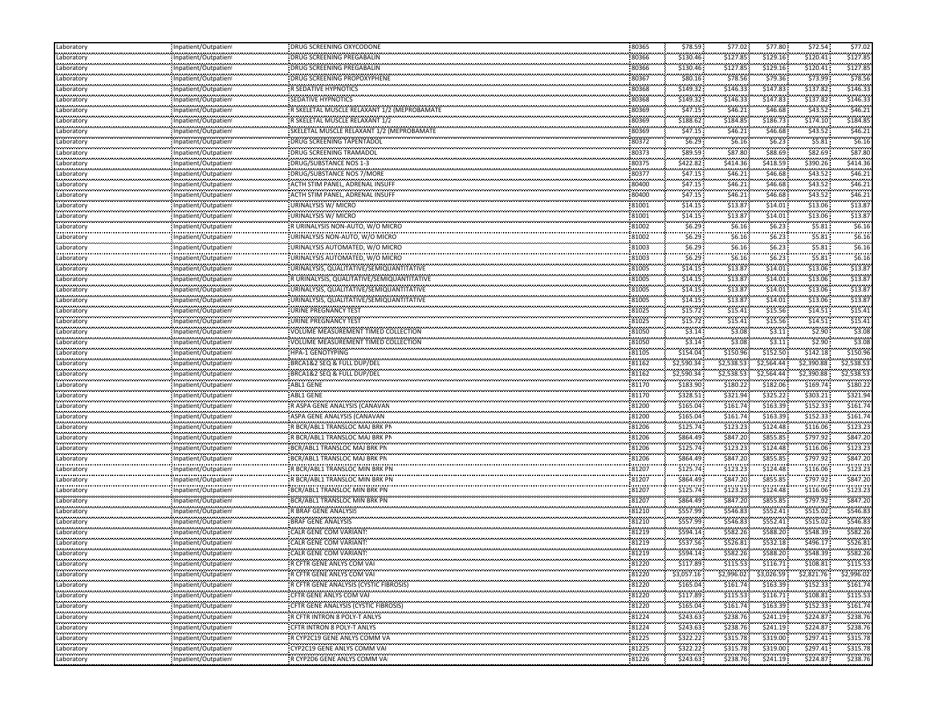| Laboratory                                                                                                   | Inpatient/Outpatient                              | DRUG SCREENING OXYCODONE                                                    | 80365               | \$78.59                      | \$77.02               | \$77.80                   | \$72.54                    | \$77.02       |
|--------------------------------------------------------------------------------------------------------------|---------------------------------------------------|-----------------------------------------------------------------------------|---------------------|------------------------------|-----------------------|---------------------------|----------------------------|---------------|
| Laboratory                                                                                                   | Inpatient/Outpatient                              | DRUG SCREENING PREGABALIN                                                   | 80366               | \$130.46                     | \$127.85              | \$129.16                  | \$120.41                   | \$127.85      |
| <br>Laboratory                                                                                               | Inpatient/Outpatient                              | DRUG SCREENING PREGABALIN                                                   | <br>80366           | <br>\$130.46                 | .<br>\$127.85         | ,,,,,,,,,<br>\$129.16     | \$120.41                   | \$127.85      |
| <br>Laboratory                                                                                               | Inpatient/Outpatient                              | DRUG SCREENING PROPOXYPHENE                                                 | 80367               | \$80.16                      | \$78.56               | \$79.36                   | \$73.99                    | \$78.5        |
| <br>Laboratory                                                                                               | <br>Inpatient/Outpatient                          | <br>R SEDATIVE HYPNOTICS                                                    | <br>80368           | <br>\$149.32                 | .<br>\$146.33         | ,,,,,,,,,<br>\$147.83     | \$137.82                   | \$146.3       |
| Laboratory                                                                                                   | Inpatient/Outpatient                              | SEDATIVE HYPNOTICS                                                          | 80368               | \$149.32                     | \$146.33              | \$147.83                  | \$137.82                   | \$146.3       |
| Laboratory                                                                                                   | Inpatient/Outpatient                              | R SKELETAL MUSCLE RELAXANT 1/2 (MEPROBAMATE                                 | 80369               | \$47.15                      | \$46.21               | \$46.68                   | \$43.52                    | \$46.21       |
| <br>Laboratory                                                                                               |                                                   |                                                                             | 80369               | ,,,,,,,,,,,                  | ,,,,,,,,,,            | ,,,,,,,,,,,               | \$174.10                   | \$184.8       |
| .                                                                                                            | Inpatient/Outpatient<br>                          | R SKELETAL MUSCLE RELAXANT 1/2<br>SKELETAL MUSCLE RELAXANT 1/2 (MEPROBAMATE |                     | \$188.62<br>.                | \$184.85<br>          | \$186.73<br>.             | \$43.52                    | \$46.21       |
| Laboratory<br>                                                                                               | Inpatient/Outpatien!<br>                          |                                                                             | 80369<br>           | \$47.15<br>.                 | \$46.21<br>           | \$46.68<br>               | \$5.81                     | \$6.1         |
| Laboratory<br>.                                                                                              | Inpatient/Outpatient                              | DRUG SCREENING TAPENTADOL                                                   | 80372<br>80373      | \$6.29\$<br>\$89.59          | \$6.16\$<br>\$87.80   | \$6.23<br>,,,,,,,,,       | \$82.69                    | \$87.80       |
| Laboratory<br>.                                                                                              | Inpatient/Outpatient                              | DRUG SCREENING TRAMADOL                                                     |                     |                              |                       | \$88.69                   |                            |               |
| Laboratory<br>.                                                                                              | Inpatient/Outpatient                              | DRUG/SUBSTANCE NOS 1-3                                                      | 80375               | \$422.82                     | \$414.36              | \$418.59                  | \$390.26                   | \$414.3       |
| Laboratory                                                                                                   | Inpatient/Outpatient                              | DRUG/SUBSTANCE NOS 7/MORE                                                   | 80377               | \$47.15                      | \$46.21               | \$46.68                   | \$43.52                    | \$46.21       |
| Laboratory<br>                                                                                               | Inpatient/Outpatient                              | ACTH STIM PANEL, ADRENAL INSUFF                                             | 80400<br>           | \$47.15<br>.                 | \$46.21<br>.          | \$46.68\$<br>.            | \$43.52\$                  | \$46.21       |
| Laboratory<br>                                                                                               | Inpatient/Outpatient<br>                          | ACTH STIM PANEL, ADRENAL INSUFF                                             | 80400               | \$47.15<br>.                 | \$46.21<br>.          | \$46.68                   | \$43.52                    | \$46.2\$      |
| Laboratory<br>                                                                                               | Inpatient/Outpatient                              | URINALYSIS W/ MICRO                                                         | 81001               | \$14.15                      | \$13.87               | \$14.01                   | \$13.06                    | \$13.8        |
| Laboratory                                                                                                   | <br>Inpatient/Outpatient                          | URINALYSIS W/ MICRO                                                         | 81001               | .<br>\$14.15                 | .<br>\$13.87          | .<br>\$14.01              | \$13.06                    | \$13.8        |
| Laboratory                                                                                                   | Inpatient/Outpatient                              | R URINALYSIS NON-AUTO, W/O MICRO                                            | 81002               | \$6.29                       | \$6.16\$              | \$6.23                    | \$5.81                     | \$6.16        |
| .<br>Laboratory                                                                                              | <br>Inpatient/Outpatient                          | URINALYSIS NON-AUTO, W/O MICRO                                              | <br>81002           | \$6.29                       | \$6.16\$              | .<br>\$6.23               | \$5.81                     | \$6.1         |
| .<br>Laboratory                                                                                              | Inpatient/Outpatient                              | URINALYSIS AUTOMATED, W/O MICRO                                             | 81003               | against an<br>\$6.29         | .<br>\$6.16           | .<br>\$6.23               | \$5.81                     | \$6.1         |
| <br>Laboratory                                                                                               | Inpatient/Outpatient                              | URINALYSIS AUTOMATED, W/O MICRO                                             | <br>81003           | \$6.29                       | \$6.16                | .<br>\$6.23               | \$5.81                     | \$6.16        |
| Laboratory                                                                                                   | Inpatient/Outpatient                              | URINALYSIS, QUALITATIVE/SEMIQUANTITATIVE                                    | 81005               | \$14.15                      | \$13.87               | \$14.01                   | \$13.06                    | \$13.8        |
| Laboratory                                                                                                   | Inpatient/Outpatient                              | R URINALYSIS, QUALITATIVE/SEMIQUANTITATIVE                                  | 81005               | \$14.15                      | \$13.87               | \$14.01                   | \$13.06                    | \$13.8        |
| <br>Laboratory                                                                                               | Inpatient/Outpatient                              | URINALYSIS, QUALITATIVE/SEMIQUANTITATIVE                                    | 81005               | \$14.15                      | .<br>\$13.87          | \$14.01                   | \$13.06                    | \$13.8        |
| <br>Laboratory                                                                                               | <br>Inpatient/Outpatient                          | URINALYSIS, QUALITATIVE/SEMIQUANTITATIVE                                    | <br>81005           | .<br>\$14.15                 | <br>\$13.87           | .<br>\$14.01              | \$13.06                    | \$13.8        |
| Laboratory                                                                                                   | Inpatient/Outpatient                              | URINE PREGNANCY TEST                                                        | 81025               | \$15.72                      | \$15.41               | \$15.56                   | \$14.51                    | \$15.41       |
| .                                                                                                            |                                                   |                                                                             |                     | .                            | .                     | .                         | \$14.51                    | \$15.4        |
| Laboratory                                                                                                   | Inpatient/Outpatient                              | URINE PREGNANCY TEST                                                        | 81025               | \$15.72<br>والمعامرة والمراد | \$15.41<br>بمعجمهم    | \$15.56<br>\$3.11         | \$2.90                     | \$3.08        |
| Laboratory<br>                                                                                               | Inpatient/Outpatient<br>                          | VOLUME MEASUREMENT TIMED COLLECTION                                         | 81050<br>           | \$3.14<br>\$3.14             | \$3.08<br>\$3.08      | \$3.11                    | \$2.90                     | \$3.08        |
| Laboratory                                                                                                   | Inpatient/Outpatient                              | VOLUME MEASUREMENT TIMED COLLECTION                                         | 81050               | \$154.04                     |                       |                           |                            | \$150.9       |
| Laboratory                                                                                                   | Inpatient/Outpatient                              | HPA-1 GENOTYPING                                                            | 81105               |                              | \$150.96              | \$152.50                  | \$142.18                   |               |
|                                                                                                              |                                                   |                                                                             |                     |                              |                       |                           |                            |               |
| Laboratory                                                                                                   | Inpatient/Outpatient                              | BRCA1&2 SEQ & FULL DUP/DEL                                                  | 81162               | \$2,590.34                   | \$2,538.53            | \$2,564.44                | \$2,390.88                 | \$2,538.53    |
| <br>Laboratory                                                                                               | Inpatient/Outpatient                              | BRCA1&2 SEQ & FULL DUP/DEL                                                  | 81162               | .<br>\$2,590.34              | .<br>\$2,538.53       | <br>\$2,564.44            | ,,,,,,,,,,,,<br>\$2,390.88 | \$2,538.53    |
| <br>Laboratory                                                                                               | <br>Inpatient/Outpatient                          | <br>ABL1 GENE                                                               | <br>81170           | .<br>\$183.90                | \$180.22              | .<br>\$182.06             | \$169.74                   | \$180.2       |
|                                                                                                              | Inpatient/Outpatient                              | ABL1 GENE                                                                   | 81170               | \$328.51                     | \$321.94              | \$325.22                  | \$303.21                   | \$321.9       |
| Laboratory<br><br>Laboratory                                                                                 | <br>Inpatient/Outpatient                          | R ASPA GENE ANALYSIS (CANAVAN                                               | <br>81200           | .<br>\$165.04                | <br>\$161.74          | ,,,,,,,,<br>\$163.39      | \$152.33                   | \$161.7       |
| .<br>Laboratory                                                                                              | Inpatient/Outpatient                              | ASPA GENE ANALYSIS (CANAVAN                                                 | 81200               | \$165.04                     | \$161.74              | \$163.39                  | \$152.33                   | \$161.7       |
| <br>Laboratory                                                                                               | <br>Inpatient/Outpatient                          | R BCR/ABL1 TRANSLOC MAJ BRK PN                                              | <br>81206           | .<br>\$125.74                | <br>\$123.23          | ,,,,,,,,<br>\$124.48      | \$116.06                   | \$123.2       |
|                                                                                                              | Inpatient/Outpatient                              | R BCR/ABL1 TRANSLOC MAJ BRK PN                                              | 81206               | \$864.49                     | \$847.20              | \$855.85                  | \$797.92                   | \$847.20      |
| Laboratory<br>Laboratory                                                                                     | Inpatient/Outpatient                              | BCR/ABL1 TRANSLOC MAJ BRK PN                                                | 81206               | \$125.74                     | \$123.23              | \$124.48                  | \$116.06                   | \$123.23      |
| <br>Laboratory                                                                                               | Inpatient/Outpatient                              | BCR/ABL1 TRANSLOC MAJ BRK PN                                                |                     | .<br>\$864.49                | <br>\$847.20          |                           |                            |               |
| .<br>Laboratory                                                                                              |                                                   | R BCR/ABL1 TRANSLOC MIN BRK PN                                              | 81206<br><br>81207  | .<br>\$125.74                | <br>\$123.23          | \$855.85<br>.<br>\$124.48 | \$797.92                   | \$847.20      |
|                                                                                                              | Inpatient/Outpatien!<br>                          |                                                                             |                     | .                            |                       |                           | \$116.06                   | \$123.2<br>.  |
| Laboratory<br>.                                                                                              | Inpatient/Outpatient<br>                          | R BCR/ABL1 TRANSLOC MIN BRK PN                                              | 81207<br>           | \$864.49<br>.                | \$847.20<br>          | \$855.85<br>,,,,,,,,,     | \$797.92                   | \$847.20      |
| Laboratory<br>                                                                                               | Inpatient/Outpatient                              | BCR/ABL1 TRANSLOC MIN BRK PN                                                | 81207               | \$125.74                     | \$123.23              | \$124.48                  | \$116.06                   | \$123.2       |
| Laboratory<br>.                                                                                              | Inpatient/Outpatient                              | BCR/ABL1 TRANSLOC MIN BRK PN                                                | 81207               | \$864.49                     | \$847.20              | \$855.85                  | \$797.92                   | \$847.20      |
| Laboratory                                                                                                   | Inpatient/Outpatient                              | R BRAF GENE ANALYSIS                                                        | 81210               | \$557.99                     | \$546.83              | \$552.41                  | \$515.02                   | \$546.83      |
| Laboratory<br>.                                                                                              | Inpatient/Outpatient<br>                          | <b>BRAF GENE ANALYSIS</b>                                                   | 81210<br>           | \$557.99<br>.                | \$546.83<br>          | \$552.41<br>,,,,,,,,      | \$515.02                   | \$546.8       |
| Laboratory<br>                                                                                               | Inpatient/Outpatient<br>                          | CALR GENE COM VARIANT!<br>,,,,,,,,,,,,,,,,,,,,,,,,,,,,,,,,,,                | 81219               | \$594.14<br>                 | \$582.26<br>          | \$588.20                  | \$548.39<br>.              | \$582.2       |
| Laboratory<br>                                                                                               | Inpatient/Outpatien                               | CALR GENE COM VARIANT                                                       | 81219               | \$537.56<br>                 | \$526.81<br>          | \$532.18<br>,,,,,,,,      | \$496.17                   | \$526.8       |
| Laboratory                                                                                                   | Inpatient/Outpatient                              | CALR GENE COM VARIANT!                                                      | 81219<br>.          | \$594.14<br>.                | \$582.26<br>.         | \$588.20<br>.             | \$548.39                   | \$582.26<br>. |
|                                                                                                              | Inpatient/Outpatient                              | R CFTR GENE ANLYS COM VA                                                    | 81220<br>,,,,,,,,,, | \$117.89                     | \$115.53              | \$116.71                  | \$108.81                   | \$115.53      |
|                                                                                                              | Inpatient/Outpatient                              | R CFTR GENE ANLYS COM VAI                                                   | 81220               | \$3,057.16                   | \$2,996.02 \$3,026.59 |                           | \$2,821.76                 | \$2,996.02    |
|                                                                                                              | Inpatient/Outpatient                              | R CFTR GENE ANALYSIS (CYSTIC FIBROSIS)                                      | 81220               | \$165.04                     | \$161.74              | \$163.39                  | \$152.33                   | \$161.74      |
|                                                                                                              | Inpatient/Outpatient                              | CFTR GENE ANLYS COM VAI                                                     | 81220               | \$117.89                     | \$115.53              | \$116.71                  | \$108.81                   | \$115.53      |
|                                                                                                              | Inpatient/Outpatient                              | CFTR GENE ANALYSIS (CYSTIC FIBROSIS)                                        | 81220               | \$165.04                     | \$161.74              | \$163.39                  | \$152.33                   | \$161.74      |
|                                                                                                              | <br>Inpatient/Outpatient                          | <br>R CFTR INTRON 8 POLY-T ANLYS                                            | .<br>81224          | <br>\$243.63                 | \$238.76              | .<br>\$241.19             | ,,,,,,,,,,,<br>\$224.87    | <br>\$238.7   |
|                                                                                                              | Inpatient/Outpatient                              | CFTR INTRON 8 POLY-T ANLYS                                                  | 81224               | .<br>\$243.63                | .<br>\$238.76         | .<br>\$241.19             | .<br>\$224.87              | \$238.7       |
| Laboratory<br>Laboratory<br>Laboratory<br>Laboratory<br>Laboratory<br>Laboratory<br>Laboratory<br>Laboratory | <br>Inpatient/Outpatient                          | R CYP2C19 GENE ANLYS COMM VA                                                | .<br>81225          | .<br>\$322.22                | .<br>\$315.78         | .<br>\$319.00             | .<br>\$297.41              | .<br>\$315.78 |
| Laboratory                                                                                                   | ,,,,,,,,,,,,,,,,,,,,,,,,,<br>Inpatient/Outpatient | CYP2C19 GENE ANLYS COMM VAI                                                 | .<br>81225          | .<br>\$322.22                | .<br>\$315.78         | .<br>\$319.00             | .<br>\$297.41              | \$315.78      |
| Laboratory                                                                                                   | Inpatient/Outpatient                              | R CYP2D6 GENE ANLYS COMM VAL                                                | ,,,,,,,,,,<br>81226 | <br>\$243.63                 | \$238.76              | .<br>\$241.19             | \$224.87                   | \$238.76      |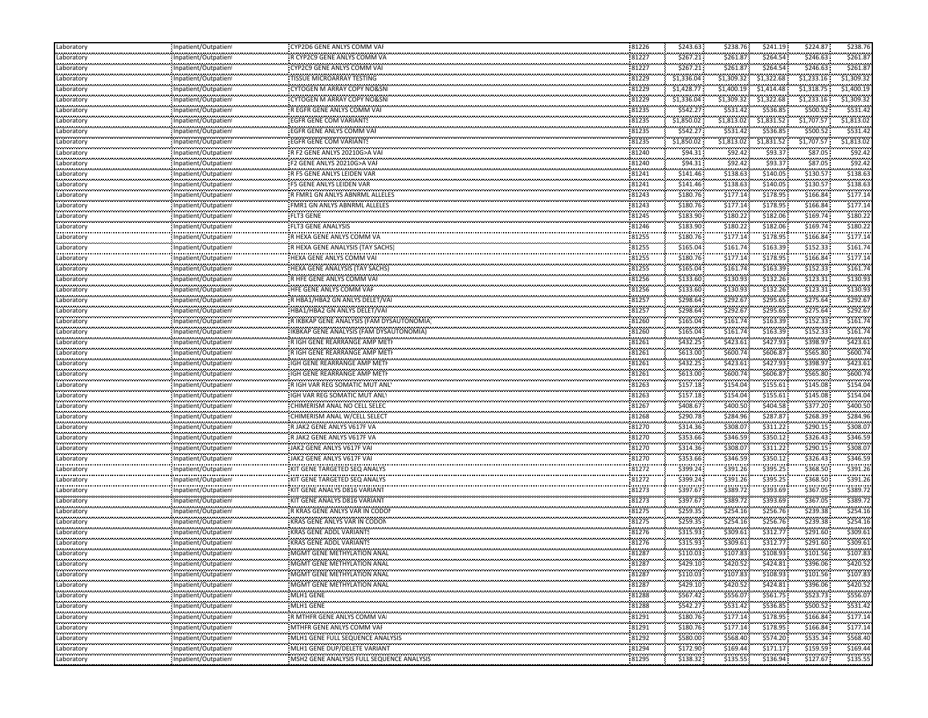| Laboratory                    | Inpatient/Outpatien                          | CYP2D6 GENE ANLYS COMM VAI                                     | 81226          | \$243.63             | \$238.76             | \$241.19             | \$224.87             | \$238.76             |
|-------------------------------|----------------------------------------------|----------------------------------------------------------------|----------------|----------------------|----------------------|----------------------|----------------------|----------------------|
| Laboratory                    | Inpatient/Outpatien                          | R CYP2C9 GENE ANLYS COMM VA                                    | 81227          | \$267.21             | \$261.87             | \$264.54             | \$246.63             | \$261.87             |
| <br>Laboratory                | Inpatient/Outpatient                         | CYP2C9 GENE ANLYS COMM VAI                                     | 81227          | \$267.21             | \$261.87             | \$264.54             | \$246.63             | \$261.8              |
| .<br>Laboratory               | Inpatient/Outpatient                         | TISSUE MICROARRAY TESTING                                      | 81229          | \$1,336.04           | \$1,309.32           | \$1,322.68           | \$1,233.16           | \$1,309.32           |
| .<br>Laboratory               | Inpatient/Outpatient                         | <b>CYTOGEN M ARRAY COPY NO&amp;SNI</b>                         | 81229          | \$1,428.77           | \$1,400.19           | \$1,414.48           | \$1,318.75           | \$1,400.19           |
| Laboratory                    | Inpatient/Outpatient                         | CYTOGEN M ARRAY COPY NO&SN                                     | 81229          | \$1,336.04           | \$1,309.32           | \$1,322.68           | \$1,233.16           | \$1,309.32           |
| Laboratory                    | Inpatient/Outpatient                         | R EGFR GENE ANLYS COMM VAI                                     | 81235          | \$542.27             | \$531.42             | \$536.85             | \$500.52             | \$531.42             |
| ومومودوه<br>Laboratory        | Inpatient/Outpatient                         | <b>EGFR GENE COM VARIANTS</b>                                  | 81235          | \$1,850.02           | \$1,813.02           | \$1,831.52           | \$1,707.57           | \$1,813.02           |
| <br>Laboratory                | Inpatient/Outpatien!                         | EGFR GENE ANLYS COMM VAF                                       | 81235          | \$542.27             | \$531.42             | \$536.85             | \$500.52             | \$531.42             |
| المعرف والمرا<br>Laboratory   | Inpatient/Outpatient                         | <b>EGFR GENE COM VARIANTS</b>                                  | 81235          | \$1,850.02           | \$1,813.02           | \$1,831.52           | \$1,707.57           | \$1,813.02           |
| .<br>Laboratory               | Inpatient/Outpatient                         | R F2 GENE ANLYS 20210G>A VAI                                   | 81240          | \$94.31              | \$92.42              | \$93.37              | \$87.05              | \$92.42              |
| Laboratory                    | Inpatient/Outpatient                         | F2 GENE ANLYS 20210G>A VAI                                     | 81240          | \$94.31              | \$92.42              | \$93.37              | \$87.05              | \$92.42              |
| Laboratory                    | Inpatient/Outpatient                         | R F5 GENE ANLYS LEIDEN VAR                                     | 81241          | \$141.46             | \$138.63             | \$140.05             | \$130.57             | \$138.63             |
| Laboratory                    | Inpatient/Outpatient                         | F5 GENE ANLYS LEIDEN VAR                                       | 81241          | \$141.46             | \$138.63             | \$140.05             | \$130.57             | \$138.63             |
| .<br>Laboratory               | Inpatient/Outpatient                         | R FMR1 GN ANLYS ABNRML ALLELES                                 | 81243          | \$180.76             | \$177.14             | \$178.95             | \$166.84             | \$177.14             |
| تعتبره بتعجب<br>Laboratory    | Inpatient/Outpatient                         |                                                                | 81243          | \$180.76             | \$177.14             | \$178.95             | \$166.84             | \$177.14             |
| gaangaa<br>Laboratory         | Inpatient/Outpatient                         |                                                                | 81245          | \$183.90             | \$180.22             | \$182.06             | \$169.74             | \$180.22             |
| Laboratory                    | Inpatient/Outpatient                         | <b>FLT3 GENE ANALYSIS</b>                                      | 81246          | \$183.90             | \$180.22             | \$182.06             | \$169.74             | \$180.22             |
| .<br>Laboratory               | Inpatient/Outpatient                         | R HEXA GENE ANLYS COMM VA                                      | 81255          | \$180.76             | \$177.14             | \$178.95             | \$166.84             | \$177.14             |
| Laboratory                    | Inpatient/Outpatient                         | R HEXA GENE ANALYSIS (TAY SACHS)                               | 81255          | \$165.04             | \$161.74             | \$163.39             | \$152.33             | \$161.7              |
| aga an agus a<br>Laboratory   | Inpatient/Outpatient                         | HEXA GENE ANLYS COMM VAI                                       | 81255          | \$180.76             | \$177.14             | \$178.95             | \$166.84             | \$177.14             |
| Laboratory                    | Inpatient/Outpatient                         | HEXA GENE ANALYSIS (TAY SACHS)                                 | 81255          | \$165.04             | \$161.74             | \$163.39             | \$152.33             | \$161.74             |
| Laboratory                    | Inpatient/Outpatient                         | R HFE GENE ANLYS COMM VAI                                      | 81256          | \$133.60             | \$130.93             | \$132.26             | \$123.31             | \$130.93             |
| المعرف والمرا<br>Laboratory   | Inpatient/Outpatient                         | HFE GENE ANLYS COMM VAF                                        | 81256          | \$133.60             | \$130.93             | \$132.26             | \$123.31             | \$130.93             |
| ومعرضه ومحاربه<br>Laboratory  | Inpatient/Outpatient                         | R HBA1/HBA2 GN ANLYS DELET/VAI                                 | 81257          | \$298.64             | \$292.67             | \$295.65             | \$275.64             | \$292.6              |
| Laboratory                    | Inpatient/Outpatient                         | HBA1/HBA2 GN ANLYS DELET/VAI                                   | 81257          | \$298.64             | \$292.67             | \$295.65             | \$275.64             | \$292.67             |
| .<br>Laboratory               | Inpatient/Outpatient                         | R IKBKAP GENE ANALYSIS (FAM DYSAUTONOMIA)                      | 81260          | \$165.04             | \$161.74             | \$163.39             | \$152.33             | \$161.7              |
| Laboratory                    | Inpatient/Outpatient                         | IKBKAP GENE ANALYSIS (FAM DYSAUTONOMIA)                        | 81260          | \$165.04             | \$161.74             | \$163.39             | \$152.33             | \$161.7              |
| <br>Laboratory                | Inpatient/Outpatient                         | R IGH GENE REARRANGE AMP METI                                  | 81261          | \$432.25             | \$423.61             | \$427.93             | \$398.97             | \$423.61             |
| Laboratory                    | Inpatient/Outpatient                         | R IGH GENE REARRANGE AMP METI                                  | 81261          | \$613.00             | \$600.74             | \$606.87             | \$565.80             | \$600.74             |
| Laboratory                    | Inpatient/Outpatient                         | IGH GENE REARRANGE AMP METH                                    | 81261          | \$432.25             | \$423.61             | \$427.93             | \$398.97             | \$423.61             |
| المعرف والمرا<br>Laboratory   | Inpatient/Outpatient                         | IGH GENE REARRANGE AMP METH                                    | 81261          | \$613.00             | \$600.74             | \$606.87             | \$565.80             | \$600.7              |
| gaangaa                       | Inpatient/Outpatient                         | R IGH VAR REG SOMATIC MUT ANL'                                 | 81263          | \$157.18             | \$154.04             | \$155.61             | \$145.08             | \$154.0              |
| Laboratory<br>Laboratory      | Inpatient/Outpatien                          | IGH VAR REG SOMATIC MUT ANLY                                   | 81263          | \$157.18             | \$154.04             | \$155.61             | \$145.08             | \$154.04             |
| .<br>Laboratory               | Inpatient/Outpatient                         | CHIMERISM ANAL NO CELL SELEC                                   | 81267          | \$408.67             | \$400.50             | \$404.58             | \$377.20             | \$400.50             |
| .<br>Laboratory               | Inpatient/Outpatient                         | CHIMERISM ANAL W/CELL SELECT                                   | 81268          | \$290.78             | \$284.96             | \$287.87             | \$268.39             | \$284.96             |
|                               | Inpatient/Outpatient                         | R JAK2 GENE ANLYS V617F VA                                     | 81270          | \$314.36             | \$308.07             | \$311.22             | \$290.15             | \$308.07             |
| Laboratory                    |                                              | R JAK2 GENE ANLYS V617F VA                                     | 81270          | \$353.66             | \$346.59             | \$350.12             | \$326.43             | \$346.59             |
| Laboratory                    | Inpatient/Outpatient                         | JAK2 GENE ANLYS V617F VAI                                      | 81270          | \$314.36             | \$308.07             | \$311.22             | \$290.15             | \$308.07             |
| Laboratory<br>المعرف والمرا   | Inpatient/Outpatient                         | JAK2 GENE ANLYS V617F VAI                                      | 81270          | \$353.66             | \$346.59             | \$350.12             | \$326.43             | \$346.59             |
| Laboratory<br>.<br>Laboratory | Inpatient/Outpatient                         |                                                                | 81272          | \$399.24             | \$391.26             | \$395.25             | \$368.50             | \$391.26             |
| المعرف والمرا                 | Inpatient/Outpatien!                         | KIT GENE TARGETED SEQ ANALYS<br>KIT GENE TARGETED SEQ ANALYS   | 81272          | \$399.24             | \$391.26             | \$395.25             | \$368.50             | \$391.26             |
| Laboratory<br>.<br>Laboratory | Inpatient/Outpatien                          |                                                                | 81273          | \$397.67             | \$389.72             | \$393.69             | \$367.05             | \$389.7              |
|                               | Inpatient/Outpatient                         | KIT GENE ANALYS D816 VARIANT                                   | 81273          |                      |                      | \$393.69             | \$367.05             | \$389.72             |
| Laboratory<br>Laboratory      | Inpatient/Outpatient                         | KIT GENE ANALYS D816 VARIANT<br>R KRAS GENE ANLYS VAR IN CODO! | 81275          | \$397.67<br>\$259.35 | \$389.72<br>\$254.16 | \$256.76             | \$239.38             | \$254.16             |
|                               | Inpatient/Outpatient                         |                                                                |                |                      |                      |                      |                      | \$254.16             |
| Laboratory<br>                | Inpatient/Outpatient                         | KRAS GENE ANLYS VAR IN CODON                                   | 81275<br>81276 | \$259.35             | \$254.16<br>\$309.61 | \$256.76<br>\$312.77 | \$239.38<br>\$291.60 | \$309.61             |
| Laboratory<br>بعدود بمعرو     | Inpatient/Outpatient                         | KRAS GENE ADDL VARIANTS                                        | 81276          | \$315.93<br>\$315.93 | \$309.61             | \$312.77             | \$291.60             | \$309.61             |
| Laboratory<br>                | Inpatient/Outpatien                          | KRAS GENE ADDL VARIANTS                                        |                |                      | \$107.83             | \$108.93             | \$101.56             | \$107.83             |
| Laboratory<br>Laboratory      | Inpatient/Outpatient<br>Inpatient/Outpatient | MGMT GENE METHYLATION ANAL<br>MGMT GENE METHYLATION ANAL       | 81287<br>81287 | \$110.03<br>\$429.10 | \$420.52             | \$424.81             | \$396.06             | \$420.52             |
| .                             |                                              |                                                                |                |                      |                      |                      |                      |                      |
| Laboratory<br>.               | Inpatient/Outpatient                         | MGMT GENE METHYLATION ANAL                                     | 81287<br>81287 | \$110.03<br>\$429.10 | \$107.83             | \$108.93             | \$101.56<br>         | \$107.83             |
| Laboratory<br>Laboratory      | Inpatient/Outpatient<br>Inpatient/Outpatient | MGMT GENE METHYLATION ANAL<br>MLH1 GENE                        | 81288          | \$567.42             | \$420.52<br>\$556.07 | \$424.81<br>\$561.75 | \$396.06<br>\$523.73 | \$420.52<br>\$556.07 |
|                               |                                              |                                                                | 81288          | \$542.27             | \$531.42             | \$536.85             | \$500.52             | \$531.42             |
| Laboratory<br>.<br>Laboratory | Inpatient/Outpatient<br>Inpatient/Outpatient | MLH1 GENE<br>R MTHFR GENE ANLYS COMM VAL                       | 81291          | \$180.76             | \$177.14             | \$178.95             | \$166.84             | \$177.14             |
| .<br>Laboratory               | Inpatient/Outpatient                         | MTHFR GENE ANLYS COMM VAF                                      | 81291          | \$180.76             | \$177.14             | \$178.95             | \$166.84             | \$177.14             |
| .<br>Laboratory               | Inpatient/Outpatient                         | MLH1 GENE FULL SEQUENCE ANALYSIS                               | 81292          | \$580.00             | \$568.40             | \$574.20             | \$535.34             | \$568.40             |
| .<br>Laboratory               | Inpatient/Outpatient                         | :<br>: MLH1 GENE DUP/DELETE VARIANT                            | 81294          | \$172.90             | \$169.44             | \$171.17             | \$159.59             | \$169.44             |
|                               | Inpatient/Outpatient                         | MSH2 GENE ANALYSIS FULL SEQUENCE ANALYSIS                      | 81295          | \$138.32             | \$135.55             | \$136.94             | \$127.67             | \$135.55             |
| Laboratory                    |                                              |                                                                |                |                      |                      |                      |                      |                      |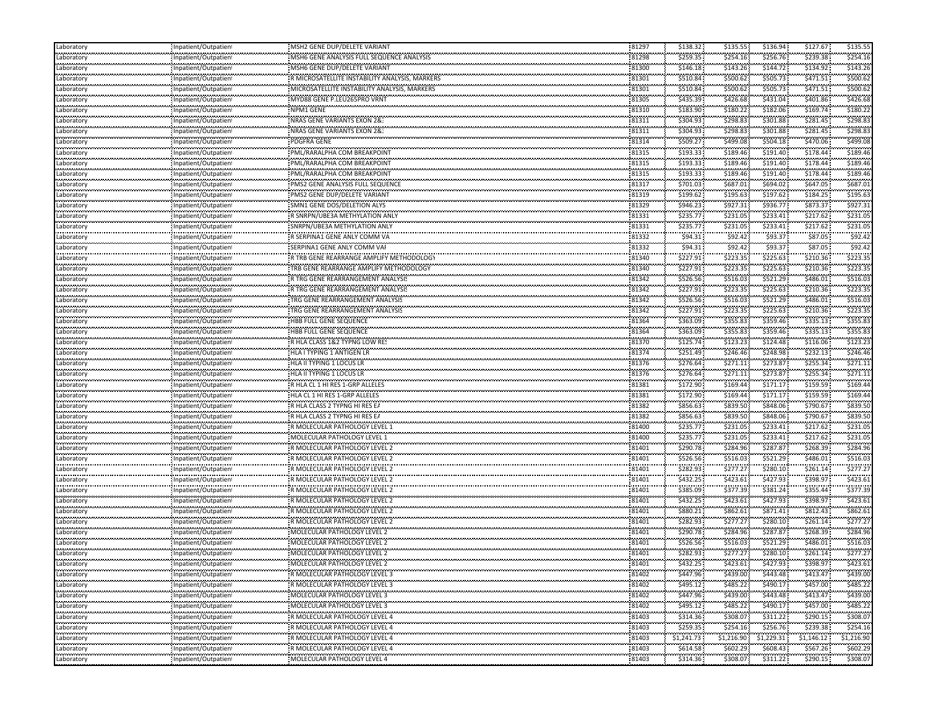| \$256.76<br>\$239.38<br>\$254.16<br>\$259.35<br>\$254.16<br>MSH6 GENE ANALYSIS FULL SEQUENCE ANALYSIS<br>81298<br>Inpatient/Outpatien<br><br>\$146.18<br>\$143.26<br>\$144.72<br>\$134.92<br>\$143.2<br>81300<br>MSH6 GENE DUP/DELETE VARIANT<br>Laboratory<br>Inpatient/Outpatient<br>\$505.73<br>\$471.51<br>\$500.62<br>81301<br>\$510.84<br>\$500.62<br>R MICROSATELLITE INSTABILITY ANALYSIS, MARKERS<br>Laboratory<br>Inpatient/Outpatient<br><br>\$471.51<br>\$500.62<br>81301<br>\$510.84<br>\$500.62<br>\$505.73<br>Laboratory<br>Inpatient/Outpatient<br>\$401.86<br>\$426.68<br>81305<br>\$426.68<br>\$431.04<br>\$435.39<br>MYD88 GENE P.LEU265PRO VRNT<br>Inpatient/Outpatient<br>Laboratory<br>\$180.22<br>\$180.22<br>\$182.06<br>\$169.74<br>\$183.90<br>NPM1 GENE<br>81310<br>Laboratory<br>Inpatient/Outpatient<br>.<br>81311<br>\$281.45<br>\$298.83<br>NRAS GENE VARIANTS EXON 2&<br>\$304.93<br>\$298.83<br>\$301.88<br>Laboratory<br>Inpatient/Outpatien<br><br>NRAS GENE VARIANTS EXON 2&:<br>81311<br>\$298.83<br>\$281.45<br>\$298.8<br>\$304.93<br>\$301.88<br>Laboratory<br>npatient/Outpatien!<br>.<br>PDGFRA GENE<br>81314<br>\$509.27<br>\$499.08<br>\$504.18<br>\$499.0<br>\$470.06<br>Laboratory<br>Inpatient/Outpatien<br><br>81315<br>\$178.44<br>\$189.4<br>PML/RARALPHA COM BREAKPOINT<br>\$189.46<br>\$191.40<br>\$193.33<br>Laboratory<br>Inpatient/Outpatient<br>.<br>81315<br>\$191.40<br>\$178.44<br>\$189.46<br>PML/RARALPHA COM BREAKPOINT<br>\$193.33<br>\$189.46<br>Laboratory<br>Inpatient/Outpatient<br><br>\$178.44<br>\$189.46<br>PML/RARALPHA COM BREAKPOINT<br>81315<br>\$193.33<br>\$189.46<br>\$191.40<br>Inpatient/Outpatient<br>\$694.02<br>\$647.05<br>\$687.01<br>81317<br>\$701.03<br>\$687.01<br>PMS2 GENE ANALYSIS FULL SEQUENCE<br>Laboratory<br>Inpatient/Outpatient<br><br>81319<br>\$195.63<br>\$184.25<br>\$195.63<br>\$199.62<br>\$197.62<br>npatient/Outpatien!<br>.<br>81329<br>\$946.23<br>\$936.77<br>\$873.37<br>SMN1 GENE DOS/DELETION ALYS<br>\$927.31<br>\$927.31<br>Inpatient/Outpatien<br><br>81331<br>\$231.05<br>\$217.62<br>\$231.0<br>.<br>"R SNRPN/UBE3A METHYLATION ANLY<br>\$235.77<br>\$233.41<br>Inpatient/Outpatient<br>\$233.41<br>\$217.62<br>\$235.77<br>\$231.05<br>\$231.05<br>81331<br>SNRPN/UBE3A METHYLATION ANLY<br>Inpatient/Outpatient<br><br>\$93.37<br>\$87.05<br>.<br>\$92.4<br>R SERPINA1 GENE ANLY COMM VA<br>81332<br>\$94.31<br>\$92.42<br>Inpatient/Outpatient<br><br>81332<br>\$94.31<br>\$93.37<br>\$87.05<br>\$92.42<br>\$92.42<br>SERPINA1 GENE ANLY COMM VAI<br>Inpatient/Outpatient<br><br>\$225.63<br>81340<br>\$223.35<br>\$210.36<br>\$223.3<br>\$227.91<br>R TRB GENE REARRANGE AMPLIFY METHODOLOGY<br>Inpatient/Outpatient<br>\$225.63<br>\$223.35<br>\$227.91<br>\$223.35<br>\$210.36<br>TRB GENE REARRANGE AMPLIFY METHODOLOGY<br>81340<br>Laboratory<br>Inpatient/Outpatient<br>\$516.03<br>\$521.29<br>\$486.01<br>\$516.03<br>\$526.56<br>81342<br>R TRG GENE REARRANGEMENT ANALYSIS<br>Laboratory<br>Inpatient/Outpatient<br>.<br>81342<br>\$227.91<br>\$225.63<br>\$210.36<br>\$223.35<br>\$223.35<br>R TRG GENE REARRANGEMENT ANALYSIS<br>Laboratory<br>Inpatient/Outpatient<br><br>TRG GENE REARRANGEMENT ANALYSIS<br>81342<br>\$526.56<br>\$516.03<br>\$486.01<br>\$516.03<br>\$521.29<br>Laboratory<br>Inpatient/Outpatient<br>\$225.63<br>\$223.35<br>\$210.36<br>\$223.35<br>\$227.91<br>81342<br>TRG GENE REARRANGEMENT ANALYSIS<br>Laboratory<br>Inpatient/Outpatient<br><br>\$335.13<br>\$355.8<br>HBB FULL GENE SEQUENCE<br>81364<br>\$355.83<br>\$359.46<br>\$363.09<br>Laboratory<br>Inpatient/Outpatient<br>\$359.46<br>\$355.83<br>\$355.83<br>\$335.13<br>\$363.09<br>81364<br>HBB FULL GENE SEQUENCE<br>Inpatient/Outpatient<br>Laboratory<br><br>\$124.48<br>\$116.06<br>:<br>- R HLA CLASS 1&2 TYPNG LOW RE!<br>81370<br>\$123.23<br>\$123.2<br>\$125.74<br>Laboratory<br>Inpatient/Outpatient<br>\$232.13<br>\$246.46<br>\$251.49<br>\$246.46<br>\$248.98<br>81374<br>HLA I TYPING 1 ANTIGEN LR<br>Inpatient/Outpatient<br>Laboratory<br>\$255.34<br>\$271.11<br>\$271.11<br>\$273.87<br>\$276.64<br>81376<br>HLA II TYPING 1 LOCUS LR<br>Inpatient/Outpatient<br>.<br>81376<br>\$255.34<br>\$276.64<br>\$271.11<br>\$273.87<br>\$271.11<br>HLA II TYPING 1 LOCUS LR<br>Inpatient/Outpatient<br><br>\$159.59<br>\$169.44<br>\$169.4<br>R HLA CL 1 HI RES 1-GRP ALLELES<br>81381<br>\$172.90<br>\$171.17<br>Inpatient/Outpatient<br>\$171.17<br>\$159.59<br>\$169.44<br>\$172.90<br>\$169.44<br>HLA CL 1 HI RES 1-GRP ALLELES<br>81381<br>Inpatient/Outpatient<br><br>\$856.63<br>\$790.67<br>\$839.50<br>R HLA CLASS 2 TYPNG HI RES EA<br>81382<br>\$839.50<br>\$848.06<br>Laboratory<br>Inpatient/Outpatient<br>\$839.50<br>\$856.63<br>\$848.06<br>\$790.67<br>R HLA CLASS 2 TYPNG HI RES EA<br>81382<br>\$839.50<br>Inpatient/Outpatient<br><br>\$231.05<br>\$231.0<br>81400<br>\$235.77<br>\$233.41<br>\$217.62<br>R MOLECULAR PATHOLOGY LEVEL 1<br>Inpatient/Outpatient<br>\$233.41<br>\$231.05<br>\$217.62<br>\$231.05<br>81400<br>\$235.77<br>MOLECULAR PATHOLOGY LEVEL 1<br>Inpatient/Outpatient<br>\$268.39<br>\$284.96<br>\$284.96<br>\$287.87<br>\$290.78<br>R MOLECULAR PATHOLOGY LEVEL 2<br>81401<br>Inpatient/Outpatient<br>.<br>\$516.03<br>81401<br>\$526.56<br>\$516.03<br>\$486.01<br>R MOLECULAR PATHOLOGY LEVEL 2<br>\$521.29<br>Inpatient/Outpatien<br><br>\$261.14<br>81401<br>\$277.27<br>\$280.10<br>\$277.2"<br>R MOLECULAR PATHOLOGY LEVEL 2<br>\$282.93<br>npatient/Outpatien!<br>.<br>\$398.97<br>\$423.61<br>R MOLECULAR PATHOLOGY LEVEL 2<br>81401<br>\$432.25<br>\$423.61<br>\$427.93<br>Inpatient/Outpatien<br><br>\$355.44<br>\$377.39<br>\$381.24<br>\$377.39<br>R MOLECULAR PATHOLOGY LEVEL 2<br>81401<br>\$385.09<br>Laboratory<br>Inpatient/Outpatient<br>\$398.97<br>\$427.93<br>\$423.61<br>81401<br>\$432.25<br>\$423.61<br>R MOLECULAR PATHOLOGY LEVEL 2<br>Inpatient/Outpatient<br>.<br>\$862.61<br>\$880.21<br>\$862.61<br>\$871.41<br>\$812.43<br>R MOLECULAR PATHOLOGY LEVEL 2<br>81401<br>Laboratory<br>Inpatient/Outpatient<br>\$277.27<br>\$280.10<br>\$261.14<br>\$277.27<br>\$282.93<br>81401<br>R MOLECULAR PATHOLOGY LEVEL 2<br>Inpatient/Outpatient<br><br>MOLECULAR PATHOLOGY LEVEL 2<br>\$284.96<br>\$268.39<br>\$284.96<br>81401<br>\$290.78<br>\$287.87<br>Laboratory<br>npatient/Outpatient<br>.<br>81401<br>\$516.03<br>MOLECULAR PATHOLOGY LEVEL 2<br>\$526.56<br>\$516.03<br>\$486.01<br>\$521.29<br>Inpatient/Outpatien<br><br>MOLECULAR PATHOLOGY LEVEL 2<br>\$277.27<br>\$277.27<br>\$282.93<br>\$280.10<br>81401<br>\$261.14<br>Inpatient/Outpatien!<br>.<br>MOLECULAR PATHOLOGY LEVEL 2<br>\$398.97<br>\$423.61<br>81401<br>\$432.25<br>\$423.61<br>\$427.93<br>Inpatient/Outpatient<br>81402<br>\$447.96<br>\$443.48<br>\$439.00<br>\$439.00<br>R MOLECULAR PATHOLOGY LEVEL 3<br>\$413.47<br>Inpatient/Outpatient<br>.<br>\$457.00<br>81402<br>\$495.12<br>\$490.17<br>\$485.22<br>\$485.22<br>R MOLECULAR PATHOLOGY LEVEL 3<br>Inpatient/Outpatient<br><br><br>\$447.96<br>MOLECULAR PATHOLOGY LEVEL 3<br>81402<br>\$439.00<br>\$443.48<br>\$413.47<br>\$439.00<br>Inpatient/Outpatient<br>\$495.12<br>\$490.17<br>\$457.00<br>\$485.22<br>81402<br>\$485.22<br>MOLECULAR PATHOLOGY LEVEL 3<br>Inpatient/Outpatient<br>.<br><br>81403<br>\$308.07<br>R MOLECULAR PATHOLOGY LEVEL 4<br>\$314.36<br>\$308.07<br>\$311.22<br>\$290.15<br>Inpatient/Outpatient<br>.<br>R MOLECULAR PATHOLOGY LEVEL 4<br>81403<br>\$259.35<br>\$254.16<br>\$256.76<br>\$239.38<br>\$254.16<br>Inpatient/Outpatient<br><br>81403<br><br>\$1,146.12<br>R MOLECULAR PATHOLOGY LEVEL 4<br>\$1,241.73<br>\$1,229.31<br>Inpatient/Outpatient<br>\$1,216.90<br>\$1,216.90<br>.<br>R MOLECULAR PATHOLOGY LEVEL 4<br>81403<br>\$614.58<br>\$567.26<br>\$602.29<br>\$608.43<br>\$602.29<br>Inpatient/Outpatient<br>.<br><br>MOLECULAR PATHOLOGY LEVEL 4<br>81403<br>\$314.36<br>\$308.07<br>\$290.15<br>\$311.22<br>\$308.07<br>Laboratory<br>Inpatient/Outpatient | Laboratory | Inpatient/Outpatien | MSH2 GENE DUP/DELETE VARIANT | 81297 | \$138.32 | \$135.55 | \$136.94 | \$127.67 | \$135.55 |
|-------------------------------------------------------------------------------------------------------------------------------------------------------------------------------------------------------------------------------------------------------------------------------------------------------------------------------------------------------------------------------------------------------------------------------------------------------------------------------------------------------------------------------------------------------------------------------------------------------------------------------------------------------------------------------------------------------------------------------------------------------------------------------------------------------------------------------------------------------------------------------------------------------------------------------------------------------------------------------------------------------------------------------------------------------------------------------------------------------------------------------------------------------------------------------------------------------------------------------------------------------------------------------------------------------------------------------------------------------------------------------------------------------------------------------------------------------------------------------------------------------------------------------------------------------------------------------------------------------------------------------------------------------------------------------------------------------------------------------------------------------------------------------------------------------------------------------------------------------------------------------------------------------------------------------------------------------------------------------------------------------------------------------------------------------------------------------------------------------------------------------------------------------------------------------------------------------------------------------------------------------------------------------------------------------------------------------------------------------------------------------------------------------------------------------------------------------------------------------------------------------------------------------------------------------------------------------------------------------------------------------------------------------------------------------------------------------------------------------------------------------------------------------------------------------------------------------------------------------------------------------------------------------------------------------------------------------------------------------------------------------------------------------------------------------------------------------------------------------------------------------------------------------------------------------------------------------------------------------------------------------------------------------------------------------------------------------------------------------------------------------------------------------------------------------------------------------------------------------------------------------------------------------------------------------------------------------------------------------------------------------------------------------------------------------------------------------------------------------------------------------------------------------------------------------------------------------------------------------------------------------------------------------------------------------------------------------------------------------------------------------------------------------------------------------------------------------------------------------------------------------------------------------------------------------------------------------------------------------------------------------------------------------------------------------------------------------------------------------------------------------------------------------------------------------------------------------------------------------------------------------------------------------------------------------------------------------------------------------------------------------------------------------------------------------------------------------------------------------------------------------------------------------------------------------------------------------------------------------------------------------------------------------------------------------------------------------------------------------------------------------------------------------------------------------------------------------------------------------------------------------------------------------------------------------------------------------------------------------------------------------------------------------------------------------------------------------------------------------------------------------------------------------------------------------------------------------------------------------------------------------------------------------------------------------------------------------------------------------------------------------------------------------------------------------------------------------------------------------------------------------------------------------------------------------------------------------------------------------------------------------------------------------------------------------------------------------------------------------------------------------------------------------------------------------------------------------------------------------------------------------------------------------------------------------------------------------------------------------------------------------------------------------------------------------------------------------------------------------------------------------------------------------------------------------------------------------------------------------------------------------------------------------------------------------------------------------------------------------------------------------------------------------------------------------------------------------------------------------------------------------------------------------------------------------------------------------------------------------------------------------------------------------------------------------------------------------------------------------------------------------------------------------------------------------------------------------------------------------------------------------------------------------------------------------------------------------------------------------------------------------------------------------------------------------------------------------------------------------------------------------------------------------------------------------------------------------------------------------------------------------------------------------------------------------------------------------------------------------------------------------------------------------------------------------------------------------------------------------------------------------------------------------------------------------------------------------------------------------------------------------------------------------------------------------------------------------------------------------------------------------------------------------------------------------|------------|---------------------|------------------------------|-------|----------|----------|----------|----------|----------|
|                                                                                                                                                                                                                                                                                                                                                                                                                                                                                                                                                                                                                                                                                                                                                                                                                                                                                                                                                                                                                                                                                                                                                                                                                                                                                                                                                                                                                                                                                                                                                                                                                                                                                                                                                                                                                                                                                                                                                                                                                                                                                                                                                                                                                                                                                                                                                                                                                                                                                                                                                                                                                                                                                                                                                                                                                                                                                                                                                                                                                                                                                                                                                                                                                                                                                                                                                                                                                                                                                                                                                                                                                                                                                                                                                                                                                                                                                                                                                                                                                                                                                                                                                                                                                                                                                                                                                                                                                                                                                                                                                                                                                                                                                                                                                                                                                                                                                                                                                                                                                                                                                                                                                                                                                                                                                                                                                                                                                                                                                                                                                                                                                                                                                                                                                                                                                                                                                                                                                                                                                                                                                                                                                                                                                                                                                                                                                                                                                                                                                                                                                                                                                                                                                                                                                                                                                                                                                                                                                                                                                                                                                                                                                                                                                                                                                                                                                                                                                                                                                                                                                                                                                                                                                                                                                                                                                                                                                                                                                                                                                                                       | Laboratory |                     |                              |       |          |          |          |          |          |
|                                                                                                                                                                                                                                                                                                                                                                                                                                                                                                                                                                                                                                                                                                                                                                                                                                                                                                                                                                                                                                                                                                                                                                                                                                                                                                                                                                                                                                                                                                                                                                                                                                                                                                                                                                                                                                                                                                                                                                                                                                                                                                                                                                                                                                                                                                                                                                                                                                                                                                                                                                                                                                                                                                                                                                                                                                                                                                                                                                                                                                                                                                                                                                                                                                                                                                                                                                                                                                                                                                                                                                                                                                                                                                                                                                                                                                                                                                                                                                                                                                                                                                                                                                                                                                                                                                                                                                                                                                                                                                                                                                                                                                                                                                                                                                                                                                                                                                                                                                                                                                                                                                                                                                                                                                                                                                                                                                                                                                                                                                                                                                                                                                                                                                                                                                                                                                                                                                                                                                                                                                                                                                                                                                                                                                                                                                                                                                                                                                                                                                                                                                                                                                                                                                                                                                                                                                                                                                                                                                                                                                                                                                                                                                                                                                                                                                                                                                                                                                                                                                                                                                                                                                                                                                                                                                                                                                                                                                                                                                                                                                                       |            |                     |                              |       |          |          |          |          |          |
|                                                                                                                                                                                                                                                                                                                                                                                                                                                                                                                                                                                                                                                                                                                                                                                                                                                                                                                                                                                                                                                                                                                                                                                                                                                                                                                                                                                                                                                                                                                                                                                                                                                                                                                                                                                                                                                                                                                                                                                                                                                                                                                                                                                                                                                                                                                                                                                                                                                                                                                                                                                                                                                                                                                                                                                                                                                                                                                                                                                                                                                                                                                                                                                                                                                                                                                                                                                                                                                                                                                                                                                                                                                                                                                                                                                                                                                                                                                                                                                                                                                                                                                                                                                                                                                                                                                                                                                                                                                                                                                                                                                                                                                                                                                                                                                                                                                                                                                                                                                                                                                                                                                                                                                                                                                                                                                                                                                                                                                                                                                                                                                                                                                                                                                                                                                                                                                                                                                                                                                                                                                                                                                                                                                                                                                                                                                                                                                                                                                                                                                                                                                                                                                                                                                                                                                                                                                                                                                                                                                                                                                                                                                                                                                                                                                                                                                                                                                                                                                                                                                                                                                                                                                                                                                                                                                                                                                                                                                                                                                                                                                       |            |                     |                              |       |          |          |          |          |          |
|                                                                                                                                                                                                                                                                                                                                                                                                                                                                                                                                                                                                                                                                                                                                                                                                                                                                                                                                                                                                                                                                                                                                                                                                                                                                                                                                                                                                                                                                                                                                                                                                                                                                                                                                                                                                                                                                                                                                                                                                                                                                                                                                                                                                                                                                                                                                                                                                                                                                                                                                                                                                                                                                                                                                                                                                                                                                                                                                                                                                                                                                                                                                                                                                                                                                                                                                                                                                                                                                                                                                                                                                                                                                                                                                                                                                                                                                                                                                                                                                                                                                                                                                                                                                                                                                                                                                                                                                                                                                                                                                                                                                                                                                                                                                                                                                                                                                                                                                                                                                                                                                                                                                                                                                                                                                                                                                                                                                                                                                                                                                                                                                                                                                                                                                                                                                                                                                                                                                                                                                                                                                                                                                                                                                                                                                                                                                                                                                                                                                                                                                                                                                                                                                                                                                                                                                                                                                                                                                                                                                                                                                                                                                                                                                                                                                                                                                                                                                                                                                                                                                                                                                                                                                                                                                                                                                                                                                                                                                                                                                                                                       |            |                     |                              |       |          |          |          |          |          |
|                                                                                                                                                                                                                                                                                                                                                                                                                                                                                                                                                                                                                                                                                                                                                                                                                                                                                                                                                                                                                                                                                                                                                                                                                                                                                                                                                                                                                                                                                                                                                                                                                                                                                                                                                                                                                                                                                                                                                                                                                                                                                                                                                                                                                                                                                                                                                                                                                                                                                                                                                                                                                                                                                                                                                                                                                                                                                                                                                                                                                                                                                                                                                                                                                                                                                                                                                                                                                                                                                                                                                                                                                                                                                                                                                                                                                                                                                                                                                                                                                                                                                                                                                                                                                                                                                                                                                                                                                                                                                                                                                                                                                                                                                                                                                                                                                                                                                                                                                                                                                                                                                                                                                                                                                                                                                                                                                                                                                                                                                                                                                                                                                                                                                                                                                                                                                                                                                                                                                                                                                                                                                                                                                                                                                                                                                                                                                                                                                                                                                                                                                                                                                                                                                                                                                                                                                                                                                                                                                                                                                                                                                                                                                                                                                                                                                                                                                                                                                                                                                                                                                                                                                                                                                                                                                                                                                                                                                                                                                                                                                                                       |            |                     |                              |       |          |          |          |          |          |
|                                                                                                                                                                                                                                                                                                                                                                                                                                                                                                                                                                                                                                                                                                                                                                                                                                                                                                                                                                                                                                                                                                                                                                                                                                                                                                                                                                                                                                                                                                                                                                                                                                                                                                                                                                                                                                                                                                                                                                                                                                                                                                                                                                                                                                                                                                                                                                                                                                                                                                                                                                                                                                                                                                                                                                                                                                                                                                                                                                                                                                                                                                                                                                                                                                                                                                                                                                                                                                                                                                                                                                                                                                                                                                                                                                                                                                                                                                                                                                                                                                                                                                                                                                                                                                                                                                                                                                                                                                                                                                                                                                                                                                                                                                                                                                                                                                                                                                                                                                                                                                                                                                                                                                                                                                                                                                                                                                                                                                                                                                                                                                                                                                                                                                                                                                                                                                                                                                                                                                                                                                                                                                                                                                                                                                                                                                                                                                                                                                                                                                                                                                                                                                                                                                                                                                                                                                                                                                                                                                                                                                                                                                                                                                                                                                                                                                                                                                                                                                                                                                                                                                                                                                                                                                                                                                                                                                                                                                                                                                                                                                                       |            |                     |                              |       |          |          |          |          |          |
|                                                                                                                                                                                                                                                                                                                                                                                                                                                                                                                                                                                                                                                                                                                                                                                                                                                                                                                                                                                                                                                                                                                                                                                                                                                                                                                                                                                                                                                                                                                                                                                                                                                                                                                                                                                                                                                                                                                                                                                                                                                                                                                                                                                                                                                                                                                                                                                                                                                                                                                                                                                                                                                                                                                                                                                                                                                                                                                                                                                                                                                                                                                                                                                                                                                                                                                                                                                                                                                                                                                                                                                                                                                                                                                                                                                                                                                                                                                                                                                                                                                                                                                                                                                                                                                                                                                                                                                                                                                                                                                                                                                                                                                                                                                                                                                                                                                                                                                                                                                                                                                                                                                                                                                                                                                                                                                                                                                                                                                                                                                                                                                                                                                                                                                                                                                                                                                                                                                                                                                                                                                                                                                                                                                                                                                                                                                                                                                                                                                                                                                                                                                                                                                                                                                                                                                                                                                                                                                                                                                                                                                                                                                                                                                                                                                                                                                                                                                                                                                                                                                                                                                                                                                                                                                                                                                                                                                                                                                                                                                                                                                       |            |                     |                              |       |          |          |          |          |          |
|                                                                                                                                                                                                                                                                                                                                                                                                                                                                                                                                                                                                                                                                                                                                                                                                                                                                                                                                                                                                                                                                                                                                                                                                                                                                                                                                                                                                                                                                                                                                                                                                                                                                                                                                                                                                                                                                                                                                                                                                                                                                                                                                                                                                                                                                                                                                                                                                                                                                                                                                                                                                                                                                                                                                                                                                                                                                                                                                                                                                                                                                                                                                                                                                                                                                                                                                                                                                                                                                                                                                                                                                                                                                                                                                                                                                                                                                                                                                                                                                                                                                                                                                                                                                                                                                                                                                                                                                                                                                                                                                                                                                                                                                                                                                                                                                                                                                                                                                                                                                                                                                                                                                                                                                                                                                                                                                                                                                                                                                                                                                                                                                                                                                                                                                                                                                                                                                                                                                                                                                                                                                                                                                                                                                                                                                                                                                                                                                                                                                                                                                                                                                                                                                                                                                                                                                                                                                                                                                                                                                                                                                                                                                                                                                                                                                                                                                                                                                                                                                                                                                                                                                                                                                                                                                                                                                                                                                                                                                                                                                                                                       |            |                     |                              |       |          |          |          |          |          |
|                                                                                                                                                                                                                                                                                                                                                                                                                                                                                                                                                                                                                                                                                                                                                                                                                                                                                                                                                                                                                                                                                                                                                                                                                                                                                                                                                                                                                                                                                                                                                                                                                                                                                                                                                                                                                                                                                                                                                                                                                                                                                                                                                                                                                                                                                                                                                                                                                                                                                                                                                                                                                                                                                                                                                                                                                                                                                                                                                                                                                                                                                                                                                                                                                                                                                                                                                                                                                                                                                                                                                                                                                                                                                                                                                                                                                                                                                                                                                                                                                                                                                                                                                                                                                                                                                                                                                                                                                                                                                                                                                                                                                                                                                                                                                                                                                                                                                                                                                                                                                                                                                                                                                                                                                                                                                                                                                                                                                                                                                                                                                                                                                                                                                                                                                                                                                                                                                                                                                                                                                                                                                                                                                                                                                                                                                                                                                                                                                                                                                                                                                                                                                                                                                                                                                                                                                                                                                                                                                                                                                                                                                                                                                                                                                                                                                                                                                                                                                                                                                                                                                                                                                                                                                                                                                                                                                                                                                                                                                                                                                                                       |            |                     |                              |       |          |          |          |          |          |
|                                                                                                                                                                                                                                                                                                                                                                                                                                                                                                                                                                                                                                                                                                                                                                                                                                                                                                                                                                                                                                                                                                                                                                                                                                                                                                                                                                                                                                                                                                                                                                                                                                                                                                                                                                                                                                                                                                                                                                                                                                                                                                                                                                                                                                                                                                                                                                                                                                                                                                                                                                                                                                                                                                                                                                                                                                                                                                                                                                                                                                                                                                                                                                                                                                                                                                                                                                                                                                                                                                                                                                                                                                                                                                                                                                                                                                                                                                                                                                                                                                                                                                                                                                                                                                                                                                                                                                                                                                                                                                                                                                                                                                                                                                                                                                                                                                                                                                                                                                                                                                                                                                                                                                                                                                                                                                                                                                                                                                                                                                                                                                                                                                                                                                                                                                                                                                                                                                                                                                                                                                                                                                                                                                                                                                                                                                                                                                                                                                                                                                                                                                                                                                                                                                                                                                                                                                                                                                                                                                                                                                                                                                                                                                                                                                                                                                                                                                                                                                                                                                                                                                                                                                                                                                                                                                                                                                                                                                                                                                                                                                                       |            |                     |                              |       |          |          |          |          |          |
|                                                                                                                                                                                                                                                                                                                                                                                                                                                                                                                                                                                                                                                                                                                                                                                                                                                                                                                                                                                                                                                                                                                                                                                                                                                                                                                                                                                                                                                                                                                                                                                                                                                                                                                                                                                                                                                                                                                                                                                                                                                                                                                                                                                                                                                                                                                                                                                                                                                                                                                                                                                                                                                                                                                                                                                                                                                                                                                                                                                                                                                                                                                                                                                                                                                                                                                                                                                                                                                                                                                                                                                                                                                                                                                                                                                                                                                                                                                                                                                                                                                                                                                                                                                                                                                                                                                                                                                                                                                                                                                                                                                                                                                                                                                                                                                                                                                                                                                                                                                                                                                                                                                                                                                                                                                                                                                                                                                                                                                                                                                                                                                                                                                                                                                                                                                                                                                                                                                                                                                                                                                                                                                                                                                                                                                                                                                                                                                                                                                                                                                                                                                                                                                                                                                                                                                                                                                                                                                                                                                                                                                                                                                                                                                                                                                                                                                                                                                                                                                                                                                                                                                                                                                                                                                                                                                                                                                                                                                                                                                                                                                       |            |                     |                              |       |          |          |          |          |          |
|                                                                                                                                                                                                                                                                                                                                                                                                                                                                                                                                                                                                                                                                                                                                                                                                                                                                                                                                                                                                                                                                                                                                                                                                                                                                                                                                                                                                                                                                                                                                                                                                                                                                                                                                                                                                                                                                                                                                                                                                                                                                                                                                                                                                                                                                                                                                                                                                                                                                                                                                                                                                                                                                                                                                                                                                                                                                                                                                                                                                                                                                                                                                                                                                                                                                                                                                                                                                                                                                                                                                                                                                                                                                                                                                                                                                                                                                                                                                                                                                                                                                                                                                                                                                                                                                                                                                                                                                                                                                                                                                                                                                                                                                                                                                                                                                                                                                                                                                                                                                                                                                                                                                                                                                                                                                                                                                                                                                                                                                                                                                                                                                                                                                                                                                                                                                                                                                                                                                                                                                                                                                                                                                                                                                                                                                                                                                                                                                                                                                                                                                                                                                                                                                                                                                                                                                                                                                                                                                                                                                                                                                                                                                                                                                                                                                                                                                                                                                                                                                                                                                                                                                                                                                                                                                                                                                                                                                                                                                                                                                                                                       |            |                     |                              |       |          |          |          |          |          |
|                                                                                                                                                                                                                                                                                                                                                                                                                                                                                                                                                                                                                                                                                                                                                                                                                                                                                                                                                                                                                                                                                                                                                                                                                                                                                                                                                                                                                                                                                                                                                                                                                                                                                                                                                                                                                                                                                                                                                                                                                                                                                                                                                                                                                                                                                                                                                                                                                                                                                                                                                                                                                                                                                                                                                                                                                                                                                                                                                                                                                                                                                                                                                                                                                                                                                                                                                                                                                                                                                                                                                                                                                                                                                                                                                                                                                                                                                                                                                                                                                                                                                                                                                                                                                                                                                                                                                                                                                                                                                                                                                                                                                                                                                                                                                                                                                                                                                                                                                                                                                                                                                                                                                                                                                                                                                                                                                                                                                                                                                                                                                                                                                                                                                                                                                                                                                                                                                                                                                                                                                                                                                                                                                                                                                                                                                                                                                                                                                                                                                                                                                                                                                                                                                                                                                                                                                                                                                                                                                                                                                                                                                                                                                                                                                                                                                                                                                                                                                                                                                                                                                                                                                                                                                                                                                                                                                                                                                                                                                                                                                                                       | Laboratory |                     |                              |       |          |          |          |          |          |
|                                                                                                                                                                                                                                                                                                                                                                                                                                                                                                                                                                                                                                                                                                                                                                                                                                                                                                                                                                                                                                                                                                                                                                                                                                                                                                                                                                                                                                                                                                                                                                                                                                                                                                                                                                                                                                                                                                                                                                                                                                                                                                                                                                                                                                                                                                                                                                                                                                                                                                                                                                                                                                                                                                                                                                                                                                                                                                                                                                                                                                                                                                                                                                                                                                                                                                                                                                                                                                                                                                                                                                                                                                                                                                                                                                                                                                                                                                                                                                                                                                                                                                                                                                                                                                                                                                                                                                                                                                                                                                                                                                                                                                                                                                                                                                                                                                                                                                                                                                                                                                                                                                                                                                                                                                                                                                                                                                                                                                                                                                                                                                                                                                                                                                                                                                                                                                                                                                                                                                                                                                                                                                                                                                                                                                                                                                                                                                                                                                                                                                                                                                                                                                                                                                                                                                                                                                                                                                                                                                                                                                                                                                                                                                                                                                                                                                                                                                                                                                                                                                                                                                                                                                                                                                                                                                                                                                                                                                                                                                                                                                                       |            |                     |                              |       |          |          |          |          |          |
|                                                                                                                                                                                                                                                                                                                                                                                                                                                                                                                                                                                                                                                                                                                                                                                                                                                                                                                                                                                                                                                                                                                                                                                                                                                                                                                                                                                                                                                                                                                                                                                                                                                                                                                                                                                                                                                                                                                                                                                                                                                                                                                                                                                                                                                                                                                                                                                                                                                                                                                                                                                                                                                                                                                                                                                                                                                                                                                                                                                                                                                                                                                                                                                                                                                                                                                                                                                                                                                                                                                                                                                                                                                                                                                                                                                                                                                                                                                                                                                                                                                                                                                                                                                                                                                                                                                                                                                                                                                                                                                                                                                                                                                                                                                                                                                                                                                                                                                                                                                                                                                                                                                                                                                                                                                                                                                                                                                                                                                                                                                                                                                                                                                                                                                                                                                                                                                                                                                                                                                                                                                                                                                                                                                                                                                                                                                                                                                                                                                                                                                                                                                                                                                                                                                                                                                                                                                                                                                                                                                                                                                                                                                                                                                                                                                                                                                                                                                                                                                                                                                                                                                                                                                                                                                                                                                                                                                                                                                                                                                                                                                       | Laboratory |                     |                              |       |          |          |          |          |          |
|                                                                                                                                                                                                                                                                                                                                                                                                                                                                                                                                                                                                                                                                                                                                                                                                                                                                                                                                                                                                                                                                                                                                                                                                                                                                                                                                                                                                                                                                                                                                                                                                                                                                                                                                                                                                                                                                                                                                                                                                                                                                                                                                                                                                                                                                                                                                                                                                                                                                                                                                                                                                                                                                                                                                                                                                                                                                                                                                                                                                                                                                                                                                                                                                                                                                                                                                                                                                                                                                                                                                                                                                                                                                                                                                                                                                                                                                                                                                                                                                                                                                                                                                                                                                                                                                                                                                                                                                                                                                                                                                                                                                                                                                                                                                                                                                                                                                                                                                                                                                                                                                                                                                                                                                                                                                                                                                                                                                                                                                                                                                                                                                                                                                                                                                                                                                                                                                                                                                                                                                                                                                                                                                                                                                                                                                                                                                                                                                                                                                                                                                                                                                                                                                                                                                                                                                                                                                                                                                                                                                                                                                                                                                                                                                                                                                                                                                                                                                                                                                                                                                                                                                                                                                                                                                                                                                                                                                                                                                                                                                                                                       | Laboratory |                     |                              |       |          |          |          |          |          |
|                                                                                                                                                                                                                                                                                                                                                                                                                                                                                                                                                                                                                                                                                                                                                                                                                                                                                                                                                                                                                                                                                                                                                                                                                                                                                                                                                                                                                                                                                                                                                                                                                                                                                                                                                                                                                                                                                                                                                                                                                                                                                                                                                                                                                                                                                                                                                                                                                                                                                                                                                                                                                                                                                                                                                                                                                                                                                                                                                                                                                                                                                                                                                                                                                                                                                                                                                                                                                                                                                                                                                                                                                                                                                                                                                                                                                                                                                                                                                                                                                                                                                                                                                                                                                                                                                                                                                                                                                                                                                                                                                                                                                                                                                                                                                                                                                                                                                                                                                                                                                                                                                                                                                                                                                                                                                                                                                                                                                                                                                                                                                                                                                                                                                                                                                                                                                                                                                                                                                                                                                                                                                                                                                                                                                                                                                                                                                                                                                                                                                                                                                                                                                                                                                                                                                                                                                                                                                                                                                                                                                                                                                                                                                                                                                                                                                                                                                                                                                                                                                                                                                                                                                                                                                                                                                                                                                                                                                                                                                                                                                                                       | Laboratory |                     |                              |       |          |          |          |          |          |
|                                                                                                                                                                                                                                                                                                                                                                                                                                                                                                                                                                                                                                                                                                                                                                                                                                                                                                                                                                                                                                                                                                                                                                                                                                                                                                                                                                                                                                                                                                                                                                                                                                                                                                                                                                                                                                                                                                                                                                                                                                                                                                                                                                                                                                                                                                                                                                                                                                                                                                                                                                                                                                                                                                                                                                                                                                                                                                                                                                                                                                                                                                                                                                                                                                                                                                                                                                                                                                                                                                                                                                                                                                                                                                                                                                                                                                                                                                                                                                                                                                                                                                                                                                                                                                                                                                                                                                                                                                                                                                                                                                                                                                                                                                                                                                                                                                                                                                                                                                                                                                                                                                                                                                                                                                                                                                                                                                                                                                                                                                                                                                                                                                                                                                                                                                                                                                                                                                                                                                                                                                                                                                                                                                                                                                                                                                                                                                                                                                                                                                                                                                                                                                                                                                                                                                                                                                                                                                                                                                                                                                                                                                                                                                                                                                                                                                                                                                                                                                                                                                                                                                                                                                                                                                                                                                                                                                                                                                                                                                                                                                                       | Laboratory |                     |                              |       |          |          |          |          |          |
|                                                                                                                                                                                                                                                                                                                                                                                                                                                                                                                                                                                                                                                                                                                                                                                                                                                                                                                                                                                                                                                                                                                                                                                                                                                                                                                                                                                                                                                                                                                                                                                                                                                                                                                                                                                                                                                                                                                                                                                                                                                                                                                                                                                                                                                                                                                                                                                                                                                                                                                                                                                                                                                                                                                                                                                                                                                                                                                                                                                                                                                                                                                                                                                                                                                                                                                                                                                                                                                                                                                                                                                                                                                                                                                                                                                                                                                                                                                                                                                                                                                                                                                                                                                                                                                                                                                                                                                                                                                                                                                                                                                                                                                                                                                                                                                                                                                                                                                                                                                                                                                                                                                                                                                                                                                                                                                                                                                                                                                                                                                                                                                                                                                                                                                                                                                                                                                                                                                                                                                                                                                                                                                                                                                                                                                                                                                                                                                                                                                                                                                                                                                                                                                                                                                                                                                                                                                                                                                                                                                                                                                                                                                                                                                                                                                                                                                                                                                                                                                                                                                                                                                                                                                                                                                                                                                                                                                                                                                                                                                                                                                       | Laboratory |                     |                              |       |          |          |          |          |          |
|                                                                                                                                                                                                                                                                                                                                                                                                                                                                                                                                                                                                                                                                                                                                                                                                                                                                                                                                                                                                                                                                                                                                                                                                                                                                                                                                                                                                                                                                                                                                                                                                                                                                                                                                                                                                                                                                                                                                                                                                                                                                                                                                                                                                                                                                                                                                                                                                                                                                                                                                                                                                                                                                                                                                                                                                                                                                                                                                                                                                                                                                                                                                                                                                                                                                                                                                                                                                                                                                                                                                                                                                                                                                                                                                                                                                                                                                                                                                                                                                                                                                                                                                                                                                                                                                                                                                                                                                                                                                                                                                                                                                                                                                                                                                                                                                                                                                                                                                                                                                                                                                                                                                                                                                                                                                                                                                                                                                                                                                                                                                                                                                                                                                                                                                                                                                                                                                                                                                                                                                                                                                                                                                                                                                                                                                                                                                                                                                                                                                                                                                                                                                                                                                                                                                                                                                                                                                                                                                                                                                                                                                                                                                                                                                                                                                                                                                                                                                                                                                                                                                                                                                                                                                                                                                                                                                                                                                                                                                                                                                                                                       | Laboratory |                     |                              |       |          |          |          |          |          |
|                                                                                                                                                                                                                                                                                                                                                                                                                                                                                                                                                                                                                                                                                                                                                                                                                                                                                                                                                                                                                                                                                                                                                                                                                                                                                                                                                                                                                                                                                                                                                                                                                                                                                                                                                                                                                                                                                                                                                                                                                                                                                                                                                                                                                                                                                                                                                                                                                                                                                                                                                                                                                                                                                                                                                                                                                                                                                                                                                                                                                                                                                                                                                                                                                                                                                                                                                                                                                                                                                                                                                                                                                                                                                                                                                                                                                                                                                                                                                                                                                                                                                                                                                                                                                                                                                                                                                                                                                                                                                                                                                                                                                                                                                                                                                                                                                                                                                                                                                                                                                                                                                                                                                                                                                                                                                                                                                                                                                                                                                                                                                                                                                                                                                                                                                                                                                                                                                                                                                                                                                                                                                                                                                                                                                                                                                                                                                                                                                                                                                                                                                                                                                                                                                                                                                                                                                                                                                                                                                                                                                                                                                                                                                                                                                                                                                                                                                                                                                                                                                                                                                                                                                                                                                                                                                                                                                                                                                                                                                                                                                                                       | Laboratory |                     |                              |       |          |          |          |          |          |
|                                                                                                                                                                                                                                                                                                                                                                                                                                                                                                                                                                                                                                                                                                                                                                                                                                                                                                                                                                                                                                                                                                                                                                                                                                                                                                                                                                                                                                                                                                                                                                                                                                                                                                                                                                                                                                                                                                                                                                                                                                                                                                                                                                                                                                                                                                                                                                                                                                                                                                                                                                                                                                                                                                                                                                                                                                                                                                                                                                                                                                                                                                                                                                                                                                                                                                                                                                                                                                                                                                                                                                                                                                                                                                                                                                                                                                                                                                                                                                                                                                                                                                                                                                                                                                                                                                                                                                                                                                                                                                                                                                                                                                                                                                                                                                                                                                                                                                                                                                                                                                                                                                                                                                                                                                                                                                                                                                                                                                                                                                                                                                                                                                                                                                                                                                                                                                                                                                                                                                                                                                                                                                                                                                                                                                                                                                                                                                                                                                                                                                                                                                                                                                                                                                                                                                                                                                                                                                                                                                                                                                                                                                                                                                                                                                                                                                                                                                                                                                                                                                                                                                                                                                                                                                                                                                                                                                                                                                                                                                                                                                                       |            |                     |                              |       |          |          |          |          |          |
|                                                                                                                                                                                                                                                                                                                                                                                                                                                                                                                                                                                                                                                                                                                                                                                                                                                                                                                                                                                                                                                                                                                                                                                                                                                                                                                                                                                                                                                                                                                                                                                                                                                                                                                                                                                                                                                                                                                                                                                                                                                                                                                                                                                                                                                                                                                                                                                                                                                                                                                                                                                                                                                                                                                                                                                                                                                                                                                                                                                                                                                                                                                                                                                                                                                                                                                                                                                                                                                                                                                                                                                                                                                                                                                                                                                                                                                                                                                                                                                                                                                                                                                                                                                                                                                                                                                                                                                                                                                                                                                                                                                                                                                                                                                                                                                                                                                                                                                                                                                                                                                                                                                                                                                                                                                                                                                                                                                                                                                                                                                                                                                                                                                                                                                                                                                                                                                                                                                                                                                                                                                                                                                                                                                                                                                                                                                                                                                                                                                                                                                                                                                                                                                                                                                                                                                                                                                                                                                                                                                                                                                                                                                                                                                                                                                                                                                                                                                                                                                                                                                                                                                                                                                                                                                                                                                                                                                                                                                                                                                                                                                       |            |                     |                              |       |          |          |          |          |          |
|                                                                                                                                                                                                                                                                                                                                                                                                                                                                                                                                                                                                                                                                                                                                                                                                                                                                                                                                                                                                                                                                                                                                                                                                                                                                                                                                                                                                                                                                                                                                                                                                                                                                                                                                                                                                                                                                                                                                                                                                                                                                                                                                                                                                                                                                                                                                                                                                                                                                                                                                                                                                                                                                                                                                                                                                                                                                                                                                                                                                                                                                                                                                                                                                                                                                                                                                                                                                                                                                                                                                                                                                                                                                                                                                                                                                                                                                                                                                                                                                                                                                                                                                                                                                                                                                                                                                                                                                                                                                                                                                                                                                                                                                                                                                                                                                                                                                                                                                                                                                                                                                                                                                                                                                                                                                                                                                                                                                                                                                                                                                                                                                                                                                                                                                                                                                                                                                                                                                                                                                                                                                                                                                                                                                                                                                                                                                                                                                                                                                                                                                                                                                                                                                                                                                                                                                                                                                                                                                                                                                                                                                                                                                                                                                                                                                                                                                                                                                                                                                                                                                                                                                                                                                                                                                                                                                                                                                                                                                                                                                                                                       |            |                     |                              |       |          |          |          |          |          |
|                                                                                                                                                                                                                                                                                                                                                                                                                                                                                                                                                                                                                                                                                                                                                                                                                                                                                                                                                                                                                                                                                                                                                                                                                                                                                                                                                                                                                                                                                                                                                                                                                                                                                                                                                                                                                                                                                                                                                                                                                                                                                                                                                                                                                                                                                                                                                                                                                                                                                                                                                                                                                                                                                                                                                                                                                                                                                                                                                                                                                                                                                                                                                                                                                                                                                                                                                                                                                                                                                                                                                                                                                                                                                                                                                                                                                                                                                                                                                                                                                                                                                                                                                                                                                                                                                                                                                                                                                                                                                                                                                                                                                                                                                                                                                                                                                                                                                                                                                                                                                                                                                                                                                                                                                                                                                                                                                                                                                                                                                                                                                                                                                                                                                                                                                                                                                                                                                                                                                                                                                                                                                                                                                                                                                                                                                                                                                                                                                                                                                                                                                                                                                                                                                                                                                                                                                                                                                                                                                                                                                                                                                                                                                                                                                                                                                                                                                                                                                                                                                                                                                                                                                                                                                                                                                                                                                                                                                                                                                                                                                                                       |            |                     |                              |       |          |          |          |          |          |
|                                                                                                                                                                                                                                                                                                                                                                                                                                                                                                                                                                                                                                                                                                                                                                                                                                                                                                                                                                                                                                                                                                                                                                                                                                                                                                                                                                                                                                                                                                                                                                                                                                                                                                                                                                                                                                                                                                                                                                                                                                                                                                                                                                                                                                                                                                                                                                                                                                                                                                                                                                                                                                                                                                                                                                                                                                                                                                                                                                                                                                                                                                                                                                                                                                                                                                                                                                                                                                                                                                                                                                                                                                                                                                                                                                                                                                                                                                                                                                                                                                                                                                                                                                                                                                                                                                                                                                                                                                                                                                                                                                                                                                                                                                                                                                                                                                                                                                                                                                                                                                                                                                                                                                                                                                                                                                                                                                                                                                                                                                                                                                                                                                                                                                                                                                                                                                                                                                                                                                                                                                                                                                                                                                                                                                                                                                                                                                                                                                                                                                                                                                                                                                                                                                                                                                                                                                                                                                                                                                                                                                                                                                                                                                                                                                                                                                                                                                                                                                                                                                                                                                                                                                                                                                                                                                                                                                                                                                                                                                                                                                                       |            |                     |                              |       |          |          |          |          |          |
|                                                                                                                                                                                                                                                                                                                                                                                                                                                                                                                                                                                                                                                                                                                                                                                                                                                                                                                                                                                                                                                                                                                                                                                                                                                                                                                                                                                                                                                                                                                                                                                                                                                                                                                                                                                                                                                                                                                                                                                                                                                                                                                                                                                                                                                                                                                                                                                                                                                                                                                                                                                                                                                                                                                                                                                                                                                                                                                                                                                                                                                                                                                                                                                                                                                                                                                                                                                                                                                                                                                                                                                                                                                                                                                                                                                                                                                                                                                                                                                                                                                                                                                                                                                                                                                                                                                                                                                                                                                                                                                                                                                                                                                                                                                                                                                                                                                                                                                                                                                                                                                                                                                                                                                                                                                                                                                                                                                                                                                                                                                                                                                                                                                                                                                                                                                                                                                                                                                                                                                                                                                                                                                                                                                                                                                                                                                                                                                                                                                                                                                                                                                                                                                                                                                                                                                                                                                                                                                                                                                                                                                                                                                                                                                                                                                                                                                                                                                                                                                                                                                                                                                                                                                                                                                                                                                                                                                                                                                                                                                                                                                       |            |                     |                              |       |          |          |          |          |          |
|                                                                                                                                                                                                                                                                                                                                                                                                                                                                                                                                                                                                                                                                                                                                                                                                                                                                                                                                                                                                                                                                                                                                                                                                                                                                                                                                                                                                                                                                                                                                                                                                                                                                                                                                                                                                                                                                                                                                                                                                                                                                                                                                                                                                                                                                                                                                                                                                                                                                                                                                                                                                                                                                                                                                                                                                                                                                                                                                                                                                                                                                                                                                                                                                                                                                                                                                                                                                                                                                                                                                                                                                                                                                                                                                                                                                                                                                                                                                                                                                                                                                                                                                                                                                                                                                                                                                                                                                                                                                                                                                                                                                                                                                                                                                                                                                                                                                                                                                                                                                                                                                                                                                                                                                                                                                                                                                                                                                                                                                                                                                                                                                                                                                                                                                                                                                                                                                                                                                                                                                                                                                                                                                                                                                                                                                                                                                                                                                                                                                                                                                                                                                                                                                                                                                                                                                                                                                                                                                                                                                                                                                                                                                                                                                                                                                                                                                                                                                                                                                                                                                                                                                                                                                                                                                                                                                                                                                                                                                                                                                                                                       |            |                     |                              |       |          |          |          |          |          |
|                                                                                                                                                                                                                                                                                                                                                                                                                                                                                                                                                                                                                                                                                                                                                                                                                                                                                                                                                                                                                                                                                                                                                                                                                                                                                                                                                                                                                                                                                                                                                                                                                                                                                                                                                                                                                                                                                                                                                                                                                                                                                                                                                                                                                                                                                                                                                                                                                                                                                                                                                                                                                                                                                                                                                                                                                                                                                                                                                                                                                                                                                                                                                                                                                                                                                                                                                                                                                                                                                                                                                                                                                                                                                                                                                                                                                                                                                                                                                                                                                                                                                                                                                                                                                                                                                                                                                                                                                                                                                                                                                                                                                                                                                                                                                                                                                                                                                                                                                                                                                                                                                                                                                                                                                                                                                                                                                                                                                                                                                                                                                                                                                                                                                                                                                                                                                                                                                                                                                                                                                                                                                                                                                                                                                                                                                                                                                                                                                                                                                                                                                                                                                                                                                                                                                                                                                                                                                                                                                                                                                                                                                                                                                                                                                                                                                                                                                                                                                                                                                                                                                                                                                                                                                                                                                                                                                                                                                                                                                                                                                                                       |            |                     |                              |       |          |          |          |          |          |
|                                                                                                                                                                                                                                                                                                                                                                                                                                                                                                                                                                                                                                                                                                                                                                                                                                                                                                                                                                                                                                                                                                                                                                                                                                                                                                                                                                                                                                                                                                                                                                                                                                                                                                                                                                                                                                                                                                                                                                                                                                                                                                                                                                                                                                                                                                                                                                                                                                                                                                                                                                                                                                                                                                                                                                                                                                                                                                                                                                                                                                                                                                                                                                                                                                                                                                                                                                                                                                                                                                                                                                                                                                                                                                                                                                                                                                                                                                                                                                                                                                                                                                                                                                                                                                                                                                                                                                                                                                                                                                                                                                                                                                                                                                                                                                                                                                                                                                                                                                                                                                                                                                                                                                                                                                                                                                                                                                                                                                                                                                                                                                                                                                                                                                                                                                                                                                                                                                                                                                                                                                                                                                                                                                                                                                                                                                                                                                                                                                                                                                                                                                                                                                                                                                                                                                                                                                                                                                                                                                                                                                                                                                                                                                                                                                                                                                                                                                                                                                                                                                                                                                                                                                                                                                                                                                                                                                                                                                                                                                                                                                                       |            |                     |                              |       |          |          |          |          |          |
|                                                                                                                                                                                                                                                                                                                                                                                                                                                                                                                                                                                                                                                                                                                                                                                                                                                                                                                                                                                                                                                                                                                                                                                                                                                                                                                                                                                                                                                                                                                                                                                                                                                                                                                                                                                                                                                                                                                                                                                                                                                                                                                                                                                                                                                                                                                                                                                                                                                                                                                                                                                                                                                                                                                                                                                                                                                                                                                                                                                                                                                                                                                                                                                                                                                                                                                                                                                                                                                                                                                                                                                                                                                                                                                                                                                                                                                                                                                                                                                                                                                                                                                                                                                                                                                                                                                                                                                                                                                                                                                                                                                                                                                                                                                                                                                                                                                                                                                                                                                                                                                                                                                                                                                                                                                                                                                                                                                                                                                                                                                                                                                                                                                                                                                                                                                                                                                                                                                                                                                                                                                                                                                                                                                                                                                                                                                                                                                                                                                                                                                                                                                                                                                                                                                                                                                                                                                                                                                                                                                                                                                                                                                                                                                                                                                                                                                                                                                                                                                                                                                                                                                                                                                                                                                                                                                                                                                                                                                                                                                                                                                       |            |                     |                              |       |          |          |          |          |          |
|                                                                                                                                                                                                                                                                                                                                                                                                                                                                                                                                                                                                                                                                                                                                                                                                                                                                                                                                                                                                                                                                                                                                                                                                                                                                                                                                                                                                                                                                                                                                                                                                                                                                                                                                                                                                                                                                                                                                                                                                                                                                                                                                                                                                                                                                                                                                                                                                                                                                                                                                                                                                                                                                                                                                                                                                                                                                                                                                                                                                                                                                                                                                                                                                                                                                                                                                                                                                                                                                                                                                                                                                                                                                                                                                                                                                                                                                                                                                                                                                                                                                                                                                                                                                                                                                                                                                                                                                                                                                                                                                                                                                                                                                                                                                                                                                                                                                                                                                                                                                                                                                                                                                                                                                                                                                                                                                                                                                                                                                                                                                                                                                                                                                                                                                                                                                                                                                                                                                                                                                                                                                                                                                                                                                                                                                                                                                                                                                                                                                                                                                                                                                                                                                                                                                                                                                                                                                                                                                                                                                                                                                                                                                                                                                                                                                                                                                                                                                                                                                                                                                                                                                                                                                                                                                                                                                                                                                                                                                                                                                                                                       | Laboratory |                     |                              |       |          |          |          |          |          |
|                                                                                                                                                                                                                                                                                                                                                                                                                                                                                                                                                                                                                                                                                                                                                                                                                                                                                                                                                                                                                                                                                                                                                                                                                                                                                                                                                                                                                                                                                                                                                                                                                                                                                                                                                                                                                                                                                                                                                                                                                                                                                                                                                                                                                                                                                                                                                                                                                                                                                                                                                                                                                                                                                                                                                                                                                                                                                                                                                                                                                                                                                                                                                                                                                                                                                                                                                                                                                                                                                                                                                                                                                                                                                                                                                                                                                                                                                                                                                                                                                                                                                                                                                                                                                                                                                                                                                                                                                                                                                                                                                                                                                                                                                                                                                                                                                                                                                                                                                                                                                                                                                                                                                                                                                                                                                                                                                                                                                                                                                                                                                                                                                                                                                                                                                                                                                                                                                                                                                                                                                                                                                                                                                                                                                                                                                                                                                                                                                                                                                                                                                                                                                                                                                                                                                                                                                                                                                                                                                                                                                                                                                                                                                                                                                                                                                                                                                                                                                                                                                                                                                                                                                                                                                                                                                                                                                                                                                                                                                                                                                                                       | Laboratory |                     |                              |       |          |          |          |          |          |
|                                                                                                                                                                                                                                                                                                                                                                                                                                                                                                                                                                                                                                                                                                                                                                                                                                                                                                                                                                                                                                                                                                                                                                                                                                                                                                                                                                                                                                                                                                                                                                                                                                                                                                                                                                                                                                                                                                                                                                                                                                                                                                                                                                                                                                                                                                                                                                                                                                                                                                                                                                                                                                                                                                                                                                                                                                                                                                                                                                                                                                                                                                                                                                                                                                                                                                                                                                                                                                                                                                                                                                                                                                                                                                                                                                                                                                                                                                                                                                                                                                                                                                                                                                                                                                                                                                                                                                                                                                                                                                                                                                                                                                                                                                                                                                                                                                                                                                                                                                                                                                                                                                                                                                                                                                                                                                                                                                                                                                                                                                                                                                                                                                                                                                                                                                                                                                                                                                                                                                                                                                                                                                                                                                                                                                                                                                                                                                                                                                                                                                                                                                                                                                                                                                                                                                                                                                                                                                                                                                                                                                                                                                                                                                                                                                                                                                                                                                                                                                                                                                                                                                                                                                                                                                                                                                                                                                                                                                                                                                                                                                                       |            |                     |                              |       |          |          |          |          |          |
|                                                                                                                                                                                                                                                                                                                                                                                                                                                                                                                                                                                                                                                                                                                                                                                                                                                                                                                                                                                                                                                                                                                                                                                                                                                                                                                                                                                                                                                                                                                                                                                                                                                                                                                                                                                                                                                                                                                                                                                                                                                                                                                                                                                                                                                                                                                                                                                                                                                                                                                                                                                                                                                                                                                                                                                                                                                                                                                                                                                                                                                                                                                                                                                                                                                                                                                                                                                                                                                                                                                                                                                                                                                                                                                                                                                                                                                                                                                                                                                                                                                                                                                                                                                                                                                                                                                                                                                                                                                                                                                                                                                                                                                                                                                                                                                                                                                                                                                                                                                                                                                                                                                                                                                                                                                                                                                                                                                                                                                                                                                                                                                                                                                                                                                                                                                                                                                                                                                                                                                                                                                                                                                                                                                                                                                                                                                                                                                                                                                                                                                                                                                                                                                                                                                                                                                                                                                                                                                                                                                                                                                                                                                                                                                                                                                                                                                                                                                                                                                                                                                                                                                                                                                                                                                                                                                                                                                                                                                                                                                                                                                       | Laboratory |                     |                              |       |          |          |          |          |          |
|                                                                                                                                                                                                                                                                                                                                                                                                                                                                                                                                                                                                                                                                                                                                                                                                                                                                                                                                                                                                                                                                                                                                                                                                                                                                                                                                                                                                                                                                                                                                                                                                                                                                                                                                                                                                                                                                                                                                                                                                                                                                                                                                                                                                                                                                                                                                                                                                                                                                                                                                                                                                                                                                                                                                                                                                                                                                                                                                                                                                                                                                                                                                                                                                                                                                                                                                                                                                                                                                                                                                                                                                                                                                                                                                                                                                                                                                                                                                                                                                                                                                                                                                                                                                                                                                                                                                                                                                                                                                                                                                                                                                                                                                                                                                                                                                                                                                                                                                                                                                                                                                                                                                                                                                                                                                                                                                                                                                                                                                                                                                                                                                                                                                                                                                                                                                                                                                                                                                                                                                                                                                                                                                                                                                                                                                                                                                                                                                                                                                                                                                                                                                                                                                                                                                                                                                                                                                                                                                                                                                                                                                                                                                                                                                                                                                                                                                                                                                                                                                                                                                                                                                                                                                                                                                                                                                                                                                                                                                                                                                                                                       | Laboratory |                     |                              |       |          |          |          |          |          |
|                                                                                                                                                                                                                                                                                                                                                                                                                                                                                                                                                                                                                                                                                                                                                                                                                                                                                                                                                                                                                                                                                                                                                                                                                                                                                                                                                                                                                                                                                                                                                                                                                                                                                                                                                                                                                                                                                                                                                                                                                                                                                                                                                                                                                                                                                                                                                                                                                                                                                                                                                                                                                                                                                                                                                                                                                                                                                                                                                                                                                                                                                                                                                                                                                                                                                                                                                                                                                                                                                                                                                                                                                                                                                                                                                                                                                                                                                                                                                                                                                                                                                                                                                                                                                                                                                                                                                                                                                                                                                                                                                                                                                                                                                                                                                                                                                                                                                                                                                                                                                                                                                                                                                                                                                                                                                                                                                                                                                                                                                                                                                                                                                                                                                                                                                                                                                                                                                                                                                                                                                                                                                                                                                                                                                                                                                                                                                                                                                                                                                                                                                                                                                                                                                                                                                                                                                                                                                                                                                                                                                                                                                                                                                                                                                                                                                                                                                                                                                                                                                                                                                                                                                                                                                                                                                                                                                                                                                                                                                                                                                                                       |            |                     |                              |       |          |          |          |          |          |
|                                                                                                                                                                                                                                                                                                                                                                                                                                                                                                                                                                                                                                                                                                                                                                                                                                                                                                                                                                                                                                                                                                                                                                                                                                                                                                                                                                                                                                                                                                                                                                                                                                                                                                                                                                                                                                                                                                                                                                                                                                                                                                                                                                                                                                                                                                                                                                                                                                                                                                                                                                                                                                                                                                                                                                                                                                                                                                                                                                                                                                                                                                                                                                                                                                                                                                                                                                                                                                                                                                                                                                                                                                                                                                                                                                                                                                                                                                                                                                                                                                                                                                                                                                                                                                                                                                                                                                                                                                                                                                                                                                                                                                                                                                                                                                                                                                                                                                                                                                                                                                                                                                                                                                                                                                                                                                                                                                                                                                                                                                                                                                                                                                                                                                                                                                                                                                                                                                                                                                                                                                                                                                                                                                                                                                                                                                                                                                                                                                                                                                                                                                                                                                                                                                                                                                                                                                                                                                                                                                                                                                                                                                                                                                                                                                                                                                                                                                                                                                                                                                                                                                                                                                                                                                                                                                                                                                                                                                                                                                                                                                                       | Laboratory |                     |                              |       |          |          |          |          |          |
|                                                                                                                                                                                                                                                                                                                                                                                                                                                                                                                                                                                                                                                                                                                                                                                                                                                                                                                                                                                                                                                                                                                                                                                                                                                                                                                                                                                                                                                                                                                                                                                                                                                                                                                                                                                                                                                                                                                                                                                                                                                                                                                                                                                                                                                                                                                                                                                                                                                                                                                                                                                                                                                                                                                                                                                                                                                                                                                                                                                                                                                                                                                                                                                                                                                                                                                                                                                                                                                                                                                                                                                                                                                                                                                                                                                                                                                                                                                                                                                                                                                                                                                                                                                                                                                                                                                                                                                                                                                                                                                                                                                                                                                                                                                                                                                                                                                                                                                                                                                                                                                                                                                                                                                                                                                                                                                                                                                                                                                                                                                                                                                                                                                                                                                                                                                                                                                                                                                                                                                                                                                                                                                                                                                                                                                                                                                                                                                                                                                                                                                                                                                                                                                                                                                                                                                                                                                                                                                                                                                                                                                                                                                                                                                                                                                                                                                                                                                                                                                                                                                                                                                                                                                                                                                                                                                                                                                                                                                                                                                                                                                       | Laboratory |                     |                              |       |          |          |          |          |          |
|                                                                                                                                                                                                                                                                                                                                                                                                                                                                                                                                                                                                                                                                                                                                                                                                                                                                                                                                                                                                                                                                                                                                                                                                                                                                                                                                                                                                                                                                                                                                                                                                                                                                                                                                                                                                                                                                                                                                                                                                                                                                                                                                                                                                                                                                                                                                                                                                                                                                                                                                                                                                                                                                                                                                                                                                                                                                                                                                                                                                                                                                                                                                                                                                                                                                                                                                                                                                                                                                                                                                                                                                                                                                                                                                                                                                                                                                                                                                                                                                                                                                                                                                                                                                                                                                                                                                                                                                                                                                                                                                                                                                                                                                                                                                                                                                                                                                                                                                                                                                                                                                                                                                                                                                                                                                                                                                                                                                                                                                                                                                                                                                                                                                                                                                                                                                                                                                                                                                                                                                                                                                                                                                                                                                                                                                                                                                                                                                                                                                                                                                                                                                                                                                                                                                                                                                                                                                                                                                                                                                                                                                                                                                                                                                                                                                                                                                                                                                                                                                                                                                                                                                                                                                                                                                                                                                                                                                                                                                                                                                                                                       | Laboratory |                     |                              |       |          |          |          |          |          |
|                                                                                                                                                                                                                                                                                                                                                                                                                                                                                                                                                                                                                                                                                                                                                                                                                                                                                                                                                                                                                                                                                                                                                                                                                                                                                                                                                                                                                                                                                                                                                                                                                                                                                                                                                                                                                                                                                                                                                                                                                                                                                                                                                                                                                                                                                                                                                                                                                                                                                                                                                                                                                                                                                                                                                                                                                                                                                                                                                                                                                                                                                                                                                                                                                                                                                                                                                                                                                                                                                                                                                                                                                                                                                                                                                                                                                                                                                                                                                                                                                                                                                                                                                                                                                                                                                                                                                                                                                                                                                                                                                                                                                                                                                                                                                                                                                                                                                                                                                                                                                                                                                                                                                                                                                                                                                                                                                                                                                                                                                                                                                                                                                                                                                                                                                                                                                                                                                                                                                                                                                                                                                                                                                                                                                                                                                                                                                                                                                                                                                                                                                                                                                                                                                                                                                                                                                                                                                                                                                                                                                                                                                                                                                                                                                                                                                                                                                                                                                                                                                                                                                                                                                                                                                                                                                                                                                                                                                                                                                                                                                                                       | Laboratory |                     |                              |       |          |          |          |          |          |
|                                                                                                                                                                                                                                                                                                                                                                                                                                                                                                                                                                                                                                                                                                                                                                                                                                                                                                                                                                                                                                                                                                                                                                                                                                                                                                                                                                                                                                                                                                                                                                                                                                                                                                                                                                                                                                                                                                                                                                                                                                                                                                                                                                                                                                                                                                                                                                                                                                                                                                                                                                                                                                                                                                                                                                                                                                                                                                                                                                                                                                                                                                                                                                                                                                                                                                                                                                                                                                                                                                                                                                                                                                                                                                                                                                                                                                                                                                                                                                                                                                                                                                                                                                                                                                                                                                                                                                                                                                                                                                                                                                                                                                                                                                                                                                                                                                                                                                                                                                                                                                                                                                                                                                                                                                                                                                                                                                                                                                                                                                                                                                                                                                                                                                                                                                                                                                                                                                                                                                                                                                                                                                                                                                                                                                                                                                                                                                                                                                                                                                                                                                                                                                                                                                                                                                                                                                                                                                                                                                                                                                                                                                                                                                                                                                                                                                                                                                                                                                                                                                                                                                                                                                                                                                                                                                                                                                                                                                                                                                                                                                                       | Laboratory |                     |                              |       |          |          |          |          |          |
|                                                                                                                                                                                                                                                                                                                                                                                                                                                                                                                                                                                                                                                                                                                                                                                                                                                                                                                                                                                                                                                                                                                                                                                                                                                                                                                                                                                                                                                                                                                                                                                                                                                                                                                                                                                                                                                                                                                                                                                                                                                                                                                                                                                                                                                                                                                                                                                                                                                                                                                                                                                                                                                                                                                                                                                                                                                                                                                                                                                                                                                                                                                                                                                                                                                                                                                                                                                                                                                                                                                                                                                                                                                                                                                                                                                                                                                                                                                                                                                                                                                                                                                                                                                                                                                                                                                                                                                                                                                                                                                                                                                                                                                                                                                                                                                                                                                                                                                                                                                                                                                                                                                                                                                                                                                                                                                                                                                                                                                                                                                                                                                                                                                                                                                                                                                                                                                                                                                                                                                                                                                                                                                                                                                                                                                                                                                                                                                                                                                                                                                                                                                                                                                                                                                                                                                                                                                                                                                                                                                                                                                                                                                                                                                                                                                                                                                                                                                                                                                                                                                                                                                                                                                                                                                                                                                                                                                                                                                                                                                                                                                       | Laboratory |                     |                              |       |          |          |          |          |          |
|                                                                                                                                                                                                                                                                                                                                                                                                                                                                                                                                                                                                                                                                                                                                                                                                                                                                                                                                                                                                                                                                                                                                                                                                                                                                                                                                                                                                                                                                                                                                                                                                                                                                                                                                                                                                                                                                                                                                                                                                                                                                                                                                                                                                                                                                                                                                                                                                                                                                                                                                                                                                                                                                                                                                                                                                                                                                                                                                                                                                                                                                                                                                                                                                                                                                                                                                                                                                                                                                                                                                                                                                                                                                                                                                                                                                                                                                                                                                                                                                                                                                                                                                                                                                                                                                                                                                                                                                                                                                                                                                                                                                                                                                                                                                                                                                                                                                                                                                                                                                                                                                                                                                                                                                                                                                                                                                                                                                                                                                                                                                                                                                                                                                                                                                                                                                                                                                                                                                                                                                                                                                                                                                                                                                                                                                                                                                                                                                                                                                                                                                                                                                                                                                                                                                                                                                                                                                                                                                                                                                                                                                                                                                                                                                                                                                                                                                                                                                                                                                                                                                                                                                                                                                                                                                                                                                                                                                                                                                                                                                                                                       |            |                     |                              |       |          |          |          |          |          |
|                                                                                                                                                                                                                                                                                                                                                                                                                                                                                                                                                                                                                                                                                                                                                                                                                                                                                                                                                                                                                                                                                                                                                                                                                                                                                                                                                                                                                                                                                                                                                                                                                                                                                                                                                                                                                                                                                                                                                                                                                                                                                                                                                                                                                                                                                                                                                                                                                                                                                                                                                                                                                                                                                                                                                                                                                                                                                                                                                                                                                                                                                                                                                                                                                                                                                                                                                                                                                                                                                                                                                                                                                                                                                                                                                                                                                                                                                                                                                                                                                                                                                                                                                                                                                                                                                                                                                                                                                                                                                                                                                                                                                                                                                                                                                                                                                                                                                                                                                                                                                                                                                                                                                                                                                                                                                                                                                                                                                                                                                                                                                                                                                                                                                                                                                                                                                                                                                                                                                                                                                                                                                                                                                                                                                                                                                                                                                                                                                                                                                                                                                                                                                                                                                                                                                                                                                                                                                                                                                                                                                                                                                                                                                                                                                                                                                                                                                                                                                                                                                                                                                                                                                                                                                                                                                                                                                                                                                                                                                                                                                                                       | Laboratory |                     |                              |       |          |          |          |          |          |
|                                                                                                                                                                                                                                                                                                                                                                                                                                                                                                                                                                                                                                                                                                                                                                                                                                                                                                                                                                                                                                                                                                                                                                                                                                                                                                                                                                                                                                                                                                                                                                                                                                                                                                                                                                                                                                                                                                                                                                                                                                                                                                                                                                                                                                                                                                                                                                                                                                                                                                                                                                                                                                                                                                                                                                                                                                                                                                                                                                                                                                                                                                                                                                                                                                                                                                                                                                                                                                                                                                                                                                                                                                                                                                                                                                                                                                                                                                                                                                                                                                                                                                                                                                                                                                                                                                                                                                                                                                                                                                                                                                                                                                                                                                                                                                                                                                                                                                                                                                                                                                                                                                                                                                                                                                                                                                                                                                                                                                                                                                                                                                                                                                                                                                                                                                                                                                                                                                                                                                                                                                                                                                                                                                                                                                                                                                                                                                                                                                                                                                                                                                                                                                                                                                                                                                                                                                                                                                                                                                                                                                                                                                                                                                                                                                                                                                                                                                                                                                                                                                                                                                                                                                                                                                                                                                                                                                                                                                                                                                                                                                                       |            |                     |                              |       |          |          |          |          |          |
|                                                                                                                                                                                                                                                                                                                                                                                                                                                                                                                                                                                                                                                                                                                                                                                                                                                                                                                                                                                                                                                                                                                                                                                                                                                                                                                                                                                                                                                                                                                                                                                                                                                                                                                                                                                                                                                                                                                                                                                                                                                                                                                                                                                                                                                                                                                                                                                                                                                                                                                                                                                                                                                                                                                                                                                                                                                                                                                                                                                                                                                                                                                                                                                                                                                                                                                                                                                                                                                                                                                                                                                                                                                                                                                                                                                                                                                                                                                                                                                                                                                                                                                                                                                                                                                                                                                                                                                                                                                                                                                                                                                                                                                                                                                                                                                                                                                                                                                                                                                                                                                                                                                                                                                                                                                                                                                                                                                                                                                                                                                                                                                                                                                                                                                                                                                                                                                                                                                                                                                                                                                                                                                                                                                                                                                                                                                                                                                                                                                                                                                                                                                                                                                                                                                                                                                                                                                                                                                                                                                                                                                                                                                                                                                                                                                                                                                                                                                                                                                                                                                                                                                                                                                                                                                                                                                                                                                                                                                                                                                                                                                       | Laboratory |                     |                              |       |          |          |          |          |          |
|                                                                                                                                                                                                                                                                                                                                                                                                                                                                                                                                                                                                                                                                                                                                                                                                                                                                                                                                                                                                                                                                                                                                                                                                                                                                                                                                                                                                                                                                                                                                                                                                                                                                                                                                                                                                                                                                                                                                                                                                                                                                                                                                                                                                                                                                                                                                                                                                                                                                                                                                                                                                                                                                                                                                                                                                                                                                                                                                                                                                                                                                                                                                                                                                                                                                                                                                                                                                                                                                                                                                                                                                                                                                                                                                                                                                                                                                                                                                                                                                                                                                                                                                                                                                                                                                                                                                                                                                                                                                                                                                                                                                                                                                                                                                                                                                                                                                                                                                                                                                                                                                                                                                                                                                                                                                                                                                                                                                                                                                                                                                                                                                                                                                                                                                                                                                                                                                                                                                                                                                                                                                                                                                                                                                                                                                                                                                                                                                                                                                                                                                                                                                                                                                                                                                                                                                                                                                                                                                                                                                                                                                                                                                                                                                                                                                                                                                                                                                                                                                                                                                                                                                                                                                                                                                                                                                                                                                                                                                                                                                                                                       |            |                     |                              |       |          |          |          |          |          |
|                                                                                                                                                                                                                                                                                                                                                                                                                                                                                                                                                                                                                                                                                                                                                                                                                                                                                                                                                                                                                                                                                                                                                                                                                                                                                                                                                                                                                                                                                                                                                                                                                                                                                                                                                                                                                                                                                                                                                                                                                                                                                                                                                                                                                                                                                                                                                                                                                                                                                                                                                                                                                                                                                                                                                                                                                                                                                                                                                                                                                                                                                                                                                                                                                                                                                                                                                                                                                                                                                                                                                                                                                                                                                                                                                                                                                                                                                                                                                                                                                                                                                                                                                                                                                                                                                                                                                                                                                                                                                                                                                                                                                                                                                                                                                                                                                                                                                                                                                                                                                                                                                                                                                                                                                                                                                                                                                                                                                                                                                                                                                                                                                                                                                                                                                                                                                                                                                                                                                                                                                                                                                                                                                                                                                                                                                                                                                                                                                                                                                                                                                                                                                                                                                                                                                                                                                                                                                                                                                                                                                                                                                                                                                                                                                                                                                                                                                                                                                                                                                                                                                                                                                                                                                                                                                                                                                                                                                                                                                                                                                                                       | Laboratory |                     |                              |       |          |          |          |          |          |
|                                                                                                                                                                                                                                                                                                                                                                                                                                                                                                                                                                                                                                                                                                                                                                                                                                                                                                                                                                                                                                                                                                                                                                                                                                                                                                                                                                                                                                                                                                                                                                                                                                                                                                                                                                                                                                                                                                                                                                                                                                                                                                                                                                                                                                                                                                                                                                                                                                                                                                                                                                                                                                                                                                                                                                                                                                                                                                                                                                                                                                                                                                                                                                                                                                                                                                                                                                                                                                                                                                                                                                                                                                                                                                                                                                                                                                                                                                                                                                                                                                                                                                                                                                                                                                                                                                                                                                                                                                                                                                                                                                                                                                                                                                                                                                                                                                                                                                                                                                                                                                                                                                                                                                                                                                                                                                                                                                                                                                                                                                                                                                                                                                                                                                                                                                                                                                                                                                                                                                                                                                                                                                                                                                                                                                                                                                                                                                                                                                                                                                                                                                                                                                                                                                                                                                                                                                                                                                                                                                                                                                                                                                                                                                                                                                                                                                                                                                                                                                                                                                                                                                                                                                                                                                                                                                                                                                                                                                                                                                                                                                                       |            |                     |                              |       |          |          |          |          |          |
|                                                                                                                                                                                                                                                                                                                                                                                                                                                                                                                                                                                                                                                                                                                                                                                                                                                                                                                                                                                                                                                                                                                                                                                                                                                                                                                                                                                                                                                                                                                                                                                                                                                                                                                                                                                                                                                                                                                                                                                                                                                                                                                                                                                                                                                                                                                                                                                                                                                                                                                                                                                                                                                                                                                                                                                                                                                                                                                                                                                                                                                                                                                                                                                                                                                                                                                                                                                                                                                                                                                                                                                                                                                                                                                                                                                                                                                                                                                                                                                                                                                                                                                                                                                                                                                                                                                                                                                                                                                                                                                                                                                                                                                                                                                                                                                                                                                                                                                                                                                                                                                                                                                                                                                                                                                                                                                                                                                                                                                                                                                                                                                                                                                                                                                                                                                                                                                                                                                                                                                                                                                                                                                                                                                                                                                                                                                                                                                                                                                                                                                                                                                                                                                                                                                                                                                                                                                                                                                                                                                                                                                                                                                                                                                                                                                                                                                                                                                                                                                                                                                                                                                                                                                                                                                                                                                                                                                                                                                                                                                                                                                       | Laboratory |                     |                              |       |          |          |          |          |          |
|                                                                                                                                                                                                                                                                                                                                                                                                                                                                                                                                                                                                                                                                                                                                                                                                                                                                                                                                                                                                                                                                                                                                                                                                                                                                                                                                                                                                                                                                                                                                                                                                                                                                                                                                                                                                                                                                                                                                                                                                                                                                                                                                                                                                                                                                                                                                                                                                                                                                                                                                                                                                                                                                                                                                                                                                                                                                                                                                                                                                                                                                                                                                                                                                                                                                                                                                                                                                                                                                                                                                                                                                                                                                                                                                                                                                                                                                                                                                                                                                                                                                                                                                                                                                                                                                                                                                                                                                                                                                                                                                                                                                                                                                                                                                                                                                                                                                                                                                                                                                                                                                                                                                                                                                                                                                                                                                                                                                                                                                                                                                                                                                                                                                                                                                                                                                                                                                                                                                                                                                                                                                                                                                                                                                                                                                                                                                                                                                                                                                                                                                                                                                                                                                                                                                                                                                                                                                                                                                                                                                                                                                                                                                                                                                                                                                                                                                                                                                                                                                                                                                                                                                                                                                                                                                                                                                                                                                                                                                                                                                                                                       | Laboratory |                     |                              |       |          |          |          |          |          |
|                                                                                                                                                                                                                                                                                                                                                                                                                                                                                                                                                                                                                                                                                                                                                                                                                                                                                                                                                                                                                                                                                                                                                                                                                                                                                                                                                                                                                                                                                                                                                                                                                                                                                                                                                                                                                                                                                                                                                                                                                                                                                                                                                                                                                                                                                                                                                                                                                                                                                                                                                                                                                                                                                                                                                                                                                                                                                                                                                                                                                                                                                                                                                                                                                                                                                                                                                                                                                                                                                                                                                                                                                                                                                                                                                                                                                                                                                                                                                                                                                                                                                                                                                                                                                                                                                                                                                                                                                                                                                                                                                                                                                                                                                                                                                                                                                                                                                                                                                                                                                                                                                                                                                                                                                                                                                                                                                                                                                                                                                                                                                                                                                                                                                                                                                                                                                                                                                                                                                                                                                                                                                                                                                                                                                                                                                                                                                                                                                                                                                                                                                                                                                                                                                                                                                                                                                                                                                                                                                                                                                                                                                                                                                                                                                                                                                                                                                                                                                                                                                                                                                                                                                                                                                                                                                                                                                                                                                                                                                                                                                                                       | Laboratory |                     |                              |       |          |          |          |          |          |
|                                                                                                                                                                                                                                                                                                                                                                                                                                                                                                                                                                                                                                                                                                                                                                                                                                                                                                                                                                                                                                                                                                                                                                                                                                                                                                                                                                                                                                                                                                                                                                                                                                                                                                                                                                                                                                                                                                                                                                                                                                                                                                                                                                                                                                                                                                                                                                                                                                                                                                                                                                                                                                                                                                                                                                                                                                                                                                                                                                                                                                                                                                                                                                                                                                                                                                                                                                                                                                                                                                                                                                                                                                                                                                                                                                                                                                                                                                                                                                                                                                                                                                                                                                                                                                                                                                                                                                                                                                                                                                                                                                                                                                                                                                                                                                                                                                                                                                                                                                                                                                                                                                                                                                                                                                                                                                                                                                                                                                                                                                                                                                                                                                                                                                                                                                                                                                                                                                                                                                                                                                                                                                                                                                                                                                                                                                                                                                                                                                                                                                                                                                                                                                                                                                                                                                                                                                                                                                                                                                                                                                                                                                                                                                                                                                                                                                                                                                                                                                                                                                                                                                                                                                                                                                                                                                                                                                                                                                                                                                                                                                                       | Laboratory |                     |                              |       |          |          |          |          |          |
|                                                                                                                                                                                                                                                                                                                                                                                                                                                                                                                                                                                                                                                                                                                                                                                                                                                                                                                                                                                                                                                                                                                                                                                                                                                                                                                                                                                                                                                                                                                                                                                                                                                                                                                                                                                                                                                                                                                                                                                                                                                                                                                                                                                                                                                                                                                                                                                                                                                                                                                                                                                                                                                                                                                                                                                                                                                                                                                                                                                                                                                                                                                                                                                                                                                                                                                                                                                                                                                                                                                                                                                                                                                                                                                                                                                                                                                                                                                                                                                                                                                                                                                                                                                                                                                                                                                                                                                                                                                                                                                                                                                                                                                                                                                                                                                                                                                                                                                                                                                                                                                                                                                                                                                                                                                                                                                                                                                                                                                                                                                                                                                                                                                                                                                                                                                                                                                                                                                                                                                                                                                                                                                                                                                                                                                                                                                                                                                                                                                                                                                                                                                                                                                                                                                                                                                                                                                                                                                                                                                                                                                                                                                                                                                                                                                                                                                                                                                                                                                                                                                                                                                                                                                                                                                                                                                                                                                                                                                                                                                                                                                       | Laboratory |                     |                              |       |          |          |          |          |          |
|                                                                                                                                                                                                                                                                                                                                                                                                                                                                                                                                                                                                                                                                                                                                                                                                                                                                                                                                                                                                                                                                                                                                                                                                                                                                                                                                                                                                                                                                                                                                                                                                                                                                                                                                                                                                                                                                                                                                                                                                                                                                                                                                                                                                                                                                                                                                                                                                                                                                                                                                                                                                                                                                                                                                                                                                                                                                                                                                                                                                                                                                                                                                                                                                                                                                                                                                                                                                                                                                                                                                                                                                                                                                                                                                                                                                                                                                                                                                                                                                                                                                                                                                                                                                                                                                                                                                                                                                                                                                                                                                                                                                                                                                                                                                                                                                                                                                                                                                                                                                                                                                                                                                                                                                                                                                                                                                                                                                                                                                                                                                                                                                                                                                                                                                                                                                                                                                                                                                                                                                                                                                                                                                                                                                                                                                                                                                                                                                                                                                                                                                                                                                                                                                                                                                                                                                                                                                                                                                                                                                                                                                                                                                                                                                                                                                                                                                                                                                                                                                                                                                                                                                                                                                                                                                                                                                                                                                                                                                                                                                                                                       | Laboratory |                     |                              |       |          |          |          |          |          |
|                                                                                                                                                                                                                                                                                                                                                                                                                                                                                                                                                                                                                                                                                                                                                                                                                                                                                                                                                                                                                                                                                                                                                                                                                                                                                                                                                                                                                                                                                                                                                                                                                                                                                                                                                                                                                                                                                                                                                                                                                                                                                                                                                                                                                                                                                                                                                                                                                                                                                                                                                                                                                                                                                                                                                                                                                                                                                                                                                                                                                                                                                                                                                                                                                                                                                                                                                                                                                                                                                                                                                                                                                                                                                                                                                                                                                                                                                                                                                                                                                                                                                                                                                                                                                                                                                                                                                                                                                                                                                                                                                                                                                                                                                                                                                                                                                                                                                                                                                                                                                                                                                                                                                                                                                                                                                                                                                                                                                                                                                                                                                                                                                                                                                                                                                                                                                                                                                                                                                                                                                                                                                                                                                                                                                                                                                                                                                                                                                                                                                                                                                                                                                                                                                                                                                                                                                                                                                                                                                                                                                                                                                                                                                                                                                                                                                                                                                                                                                                                                                                                                                                                                                                                                                                                                                                                                                                                                                                                                                                                                                                                       | Laboratory |                     |                              |       |          |          |          |          |          |
|                                                                                                                                                                                                                                                                                                                                                                                                                                                                                                                                                                                                                                                                                                                                                                                                                                                                                                                                                                                                                                                                                                                                                                                                                                                                                                                                                                                                                                                                                                                                                                                                                                                                                                                                                                                                                                                                                                                                                                                                                                                                                                                                                                                                                                                                                                                                                                                                                                                                                                                                                                                                                                                                                                                                                                                                                                                                                                                                                                                                                                                                                                                                                                                                                                                                                                                                                                                                                                                                                                                                                                                                                                                                                                                                                                                                                                                                                                                                                                                                                                                                                                                                                                                                                                                                                                                                                                                                                                                                                                                                                                                                                                                                                                                                                                                                                                                                                                                                                                                                                                                                                                                                                                                                                                                                                                                                                                                                                                                                                                                                                                                                                                                                                                                                                                                                                                                                                                                                                                                                                                                                                                                                                                                                                                                                                                                                                                                                                                                                                                                                                                                                                                                                                                                                                                                                                                                                                                                                                                                                                                                                                                                                                                                                                                                                                                                                                                                                                                                                                                                                                                                                                                                                                                                                                                                                                                                                                                                                                                                                                                                       | Laboratory |                     |                              |       |          |          |          |          |          |
|                                                                                                                                                                                                                                                                                                                                                                                                                                                                                                                                                                                                                                                                                                                                                                                                                                                                                                                                                                                                                                                                                                                                                                                                                                                                                                                                                                                                                                                                                                                                                                                                                                                                                                                                                                                                                                                                                                                                                                                                                                                                                                                                                                                                                                                                                                                                                                                                                                                                                                                                                                                                                                                                                                                                                                                                                                                                                                                                                                                                                                                                                                                                                                                                                                                                                                                                                                                                                                                                                                                                                                                                                                                                                                                                                                                                                                                                                                                                                                                                                                                                                                                                                                                                                                                                                                                                                                                                                                                                                                                                                                                                                                                                                                                                                                                                                                                                                                                                                                                                                                                                                                                                                                                                                                                                                                                                                                                                                                                                                                                                                                                                                                                                                                                                                                                                                                                                                                                                                                                                                                                                                                                                                                                                                                                                                                                                                                                                                                                                                                                                                                                                                                                                                                                                                                                                                                                                                                                                                                                                                                                                                                                                                                                                                                                                                                                                                                                                                                                                                                                                                                                                                                                                                                                                                                                                                                                                                                                                                                                                                                                       | Laboratory |                     |                              |       |          |          |          |          |          |
|                                                                                                                                                                                                                                                                                                                                                                                                                                                                                                                                                                                                                                                                                                                                                                                                                                                                                                                                                                                                                                                                                                                                                                                                                                                                                                                                                                                                                                                                                                                                                                                                                                                                                                                                                                                                                                                                                                                                                                                                                                                                                                                                                                                                                                                                                                                                                                                                                                                                                                                                                                                                                                                                                                                                                                                                                                                                                                                                                                                                                                                                                                                                                                                                                                                                                                                                                                                                                                                                                                                                                                                                                                                                                                                                                                                                                                                                                                                                                                                                                                                                                                                                                                                                                                                                                                                                                                                                                                                                                                                                                                                                                                                                                                                                                                                                                                                                                                                                                                                                                                                                                                                                                                                                                                                                                                                                                                                                                                                                                                                                                                                                                                                                                                                                                                                                                                                                                                                                                                                                                                                                                                                                                                                                                                                                                                                                                                                                                                                                                                                                                                                                                                                                                                                                                                                                                                                                                                                                                                                                                                                                                                                                                                                                                                                                                                                                                                                                                                                                                                                                                                                                                                                                                                                                                                                                                                                                                                                                                                                                                                                       | Laboratory |                     |                              |       |          |          |          |          |          |
|                                                                                                                                                                                                                                                                                                                                                                                                                                                                                                                                                                                                                                                                                                                                                                                                                                                                                                                                                                                                                                                                                                                                                                                                                                                                                                                                                                                                                                                                                                                                                                                                                                                                                                                                                                                                                                                                                                                                                                                                                                                                                                                                                                                                                                                                                                                                                                                                                                                                                                                                                                                                                                                                                                                                                                                                                                                                                                                                                                                                                                                                                                                                                                                                                                                                                                                                                                                                                                                                                                                                                                                                                                                                                                                                                                                                                                                                                                                                                                                                                                                                                                                                                                                                                                                                                                                                                                                                                                                                                                                                                                                                                                                                                                                                                                                                                                                                                                                                                                                                                                                                                                                                                                                                                                                                                                                                                                                                                                                                                                                                                                                                                                                                                                                                                                                                                                                                                                                                                                                                                                                                                                                                                                                                                                                                                                                                                                                                                                                                                                                                                                                                                                                                                                                                                                                                                                                                                                                                                                                                                                                                                                                                                                                                                                                                                                                                                                                                                                                                                                                                                                                                                                                                                                                                                                                                                                                                                                                                                                                                                                                       | Laboratory |                     |                              |       |          |          |          |          |          |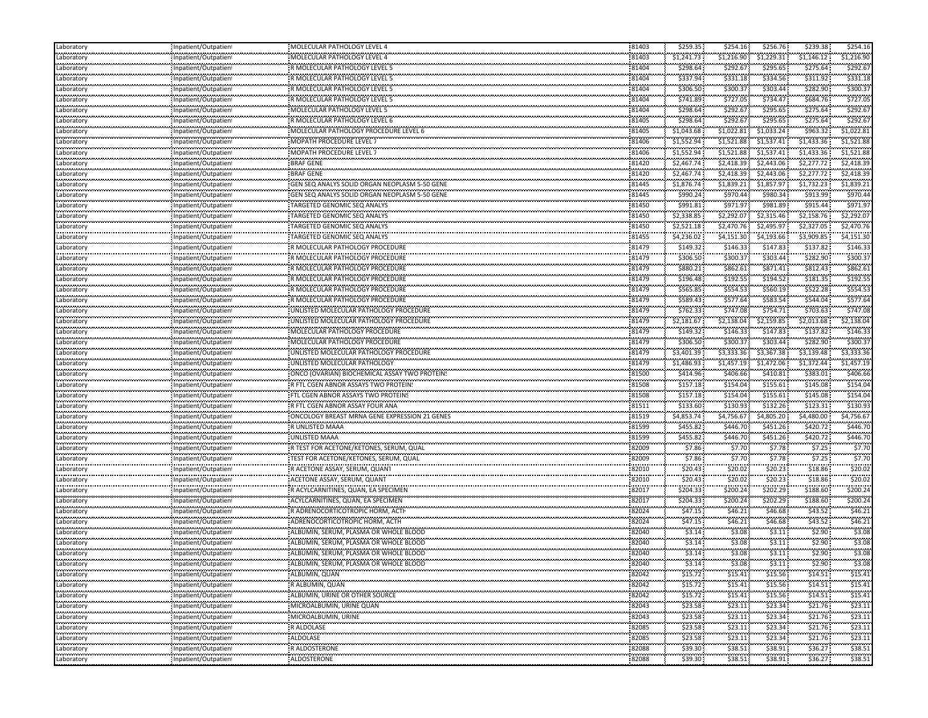| Laboratory            | Inpatient/Outpatient                              | MOLECULAR PATHOLOGY LEVEL 4                                               | 81403              | \$259.35             | \$254.16               | \$256.76              | \$239.38               | \$254.16                |
|-----------------------|---------------------------------------------------|---------------------------------------------------------------------------|--------------------|----------------------|------------------------|-----------------------|------------------------|-------------------------|
| Laboratory            | Inpatient/Outpatient                              | MOLECULAR PATHOLOGY LEVEL 4                                               | 81403              | \$1,241.73           | \$1,216.90             | \$1,229.31            | \$1,146.12             | \$1,216.90              |
| <br>Laboratory        | <br>Inpatient/Outpatient                          | R MOLECULAR PATHOLOGY LEVEL 5                                             | <br>81404          | .<br>\$298.64        | \$292.67               | ,,,,,,,,,<br>\$295.65 | \$275.64               | \$292.6                 |
| <br>Laboratory        | Inpatient/Outpatient                              | R MOLECULAR PATHOLOGY LEVEL 5                                             | 81404              | \$337.94             | \$331.18               | \$334.56              | \$311.92               | \$331.18                |
| <br>Laboratory        | <br>Inpatient/Outpatient                          | R MOLECULAR PATHOLOGY LEVEL 5                                             | <br>81404          | .<br>\$306.50        | <br>\$300.37           | .<br>\$303.44         | \$282.90               | \$300.3                 |
| Laboratory            |                                                   | R MOLECULAR PATHOLOGY LEVEL 5                                             | 81404              | \$741.89             | \$727.05               | \$734.47              | \$684.76               | \$727.05                |
|                       | Inpatient/Outpatient                              |                                                                           | 81404              | \$298.64             | \$292.67               | \$295.65              | \$275.64               | \$292.67                |
| Laboratory<br>        | Inpatient/Outpatient                              | MOLECULAR PATHOLOGY LEVEL 5                                               | 81405              | .                    |                        | \$295.65              | \$275.64               | \$292.6                 |
| Laboratory<br>.       | Inpatient/Outpatient                              | R MOLECULAR PATHOLOGY LEVEL 6                                             |                    | \$298.64             | \$292.67<br>,,,,,,,,,, |                       |                        |                         |
| Laboratory<br>        | Inpatient/Outpatien!<br>,,,,,,,,,,,,,,,,,,,,,,,,, | MOLECULAR PATHOLOGY PROCEDURE LEVEL 6                                     | 81405<br>.         | \$1,043.68<br>.      | \$1,022.81<br>.        | \$1,033.24<br>.       | \$963.32<br>.          | \$1,022.8<br>,,,,,,,,,, |
| Laboratory<br>        | Inpatient/Outpatient<br>                          | MOPATH PROCEDURE LEVEL 7                                                  | 81406<br>          | \$1,552.94<br>.      | \$1,521.88             | \$1,537.41            | \$1,433.36             | \$1,521.88              |
| Laboratory<br>.       | Inpatient/Outpatient                              | MOPATH PROCEDURE LEVEL 7                                                  | 81406              | \$1,552.94           | \$1,521.88             | \$1,537.41            | \$1,433.36             | \$1,521.88              |
| Laboratory<br>.       | Inpatient/Outpatient                              | BRAF GENE                                                                 | 81420              | \$2,467.74           | \$2,418.39             | \$2,443.06            | \$2,277.72             | \$2,418.39              |
| Laboratory            | Inpatient/Outpatient                              | <b>BRAF GENE</b>                                                          | 81420              | \$2,467.74           | \$2,418.39             | \$2,443.06            | \$2,277.72             | \$2,418.39              |
| Laboratory            | Inpatient/Outpatient<br>                          | GEN SEQ ANALYS SOLID ORGAN NEOPLASM 5-50 GENE                             | 81445              | \$1,876.74           | \$1,839.21             | \$1,857.97            | \$1,732.23             | \$1,839.21              |
| <br>Laboratory        | Inpatient/Outpatient                              | GEN SEQ ANALYS SOLID ORGAN NEOPLASM 5-50 GENE                             | <br>81445          | .<br>\$990.24        | \$970.44               | \$980.34              | \$913.99               | \$970.4                 |
| <br>Laboratory        | Inpatient/Outpatient                              | TARGETED GENOMIC SEQ ANALYS                                               | 81450              | .<br>\$991.81        | \$971.97               | \$981.89              | \$915.44               | \$971.9                 |
| <br>Laboratory        | <br>Inpatient/Outpatient                          | TARGETED GENOMIC SEQ ANALYS                                               | 81450              | .<br>\$2,338.85      | \$2,292.07             | \$2,315.46            | \$2,158.76             | \$2,292.07              |
| Laboratory            | Inpatient/Outpatient                              | <b>TARGETED GENOMIC SEQ ANALYS</b>                                        | 81450              | \$2,521.18           | \$2,470.76             | \$2,495.97            | \$2,327.05             | \$2,470.76              |
| <br>Laboratory        | Inpatient/Outpatient                              | TARGETED GENOMIC SEQ ANALYS                                               | <br>81455          | .<br>\$4,236.02      | \$4,151.30             | \$4,193.66            | \$3,909.85             | \$4,151.30              |
| .<br>Laboratory       | Inpatient/Outpatient                              | R MOLECULAR PATHOLOGY PROCEDURE                                           | 81479              | <br>\$149.32         | \$146.33               | \$147.83              | \$137.82               | \$146.3                 |
| <br>Laboratory        | <br>Inpatient/Outpatient                          | R MOLECULAR PATHOLOGY PROCEDURE                                           | <br>81479          | \$306.50             | \$300.37               | \$303.44              | \$282.90               | \$300.3                 |
| Laboratory            | Inpatient/Outpatient                              | R MOLECULAR PATHOLOGY PROCEDURE                                           | 81479              | \$880.21             | \$862.61               | \$871.41              | \$812.43               | \$862.6                 |
| Laboratory            | Inpatient/Outpatient                              | R MOLECULAR PATHOLOGY PROCEDURE                                           | 81479              | \$196.48             | \$192.55               | \$194.52              | \$181.35               | \$192.5                 |
| Laboratory            |                                                   |                                                                           | 81479              | \$565.85             | \$554.53               | \$560.19              | \$522.28               | \$554.5                 |
|                       | Inpatient/Outpatient<br>                          | R MOLECULAR PATHOLOGY PROCEDURE                                           |                    | .                    |                        | ,,,,,,,,,,            | \$544.04               | \$577.6                 |
| Laboratory            | Inpatient/Outpatient                              | R MOLECULAR PATHOLOGY PROCEDURE<br>UNLISTED MOLECULAR PATHOLOGY PROCEDURE | 81479              | \$589.43             | \$577.64               | \$583.54              |                        |                         |
| Laboratory<br>        | Inpatient/Outpatient                              |                                                                           | 81479<br>          | \$762.33<br>.        | \$747.08               | \$754.71              | \$703.63               | \$747.0                 |
| Laboratory<br>.       | Inpatient/Outpatient<br>,,,,,,,,,,,,,,,,,,,,,,,,  | UNLISTED MOLECULAR PATHOLOGY PROCEDURE                                    | 81479              | \$2,181.67           | \$2,138.04             | \$2,159.85            | \$2,013.68             | \$2,138.04              |
| Laboratory<br>        | Inpatient/Outpatient<br>                          | MOLECULAR PATHOLOGY PROCEDURE                                             | 81479<br>          | \$149.32             | \$146.33               | \$147.83              | \$137.82               | \$146.3                 |
| Laboratory            | Inpatient/Outpatient                              | MOLECULAR PATHOLOGY PROCEDURE                                             | 81479              | \$306.50             | \$300.37               | \$303.44              | \$282.90               | \$300.3                 |
| Laboratory            | Inpatient/Outpatient                              | UNLISTED MOLECULAR PATHOLOGY PROCEDURE                                    | 81479              | \$3,401.39           | \$3,333.36             | \$3,367.38            | \$3,139.48             | \$3,333.36              |
| Laboratory            | Inpatient/Outpatient                              | UNLISTED MOLECULAR PATHOLOGY                                              | 81479              | \$1,486.93           | \$1,457.19             | \$1,472.06            | \$1,372.44             | \$1,457.19              |
| <br>Laboratory        | Inpatient/Outpatient                              | ONCO (OVARIAN) BIOCHEMICAL ASSAY TWO PROTEIN!                             | 81500              | .<br>\$414.96        | \$406.66               | .<br>\$410.81         | \$383.01               | \$406.6                 |
| <br>Laboratory        | Inpatient/Outpatient                              | R FTL CGEN ABNOR ASSAYS TWO PROTEIN!                                      | <br>81508          | .<br>\$157.18        | <br>\$154.04           | ,,,,,,,,,<br>\$155.61 | \$145.08               | \$154.0                 |
| Laboratory            | Inpatient/Outpatient                              | FTL CGEN ABNOR ASSAYS TWO PROTEINS                                        | 81508              | \$157.18             | \$154.04               | \$155.61              | \$145.08               | \$154.04                |
| <br>Laboratory        | Inpatient/Outpatient                              | R FTL CGEN ABNOR ASSAY FOUR ANA                                           | <br>81511          | .<br>\$133.60        | <br>\$130.93           | ,,,,,,,,<br>\$132.26  | \$123.31               | \$130.9                 |
| .<br>Laboratory       | Inpatient/Outpatient                              | ONCOLOGY BREAST MRNA GENE EXPRESSION 21 GENES                             | 81519              | .<br>\$4,853.74      | \$4,756.67             | .<br>\$4,805.20       | \$4,480.00             | .<br>\$4,756.67         |
| <br>Laboratory        | <br>Inpatient/Outpatient                          | R UNLISTED MAAA                                                           | <br>81599          | <br>\$455.82         | \$446.70               | .<br>\$451.26         | \$420.72               | \$446.7                 |
| Laboratory            | Inpatient/Outpatient                              | UNLISTED MAAA                                                             | 81599              | \$455.82             | \$446.70               | \$451.26              | \$420.72               | \$446.70                |
| Laboratory            | Inpatient/Outpatient                              | R TEST FOR ACETONE/KETONES, SERUM, QUAL                                   | 82009              | \$7.86               | \$7.70                 | \$7.78                | \$7.25                 | \$7.7                   |
|                       |                                                   |                                                                           | 82009              | \$7.86               | \$7.70                 | \$7.78                | \$7.25                 | \$7.7                   |
| Laboratory<br>.       | Inpatient/Outpatient                              | TEST FOR ACETONE/KETONES, SERUM, QUAL                                     |                    | \$20.43              |                        | ,,,,,,,,,             | \$18.86                | \$20.0                  |
| Laboratory<br>        | Inpatient/Outpatient<br>,,,,,,,,,,,,,,,,,,,,,,,,, | R ACETONE ASSAY, SERUM, QUANT                                             | 82010<br>82010     | .                    | \$20.02<br>.           | \$20.23<br>\$20.23\$  | \$18.86                | \$20.0                  |
| Laboratory<br>        | Inpatient/Outpatient<br>                          | ACETONE ASSAY, SERUM, QUANT                                               |                    | \$20.43<br>,,,,,,,,, | \$20.02<br>,,,,,,,,,,  | ,,,,,,,,,,            |                        |                         |
| Laboratory<br>.       | Inpatient/Outpatient                              | R ACYLCARNITINES, QUAN, EA SPECIMEN                                       | 82017              | \$204.33             | \$200.24               | \$202.29              | \$188.60               | \$200.2                 |
| Laboratory<br><b></b> | Inpatient/Outpatient                              | ACYLCARNITINES, QUAN, EA SPECIMEN                                         | 82017              | \$204.33             | \$200.24               | \$202.29              | \$188.60               | \$200.24                |
| Laboratory            | Inpatient/Outpatient                              | R ADRENOCORTICOTROPIC HORM, ACTI                                          | 82024              | \$47.15              | \$46.21                | \$46.68               | \$43.52                | \$46.21                 |
| Laboratory<br>.       | Inpatient/Outpatient<br>                          | ADRENOCORTICOTROPIC HORM, ACTH                                            | 82024<br>          | \$47.15<br>          | \$46.21                | \$46.68\$<br>.        | \$43.52                | \$46.21                 |
| Laboratory<br>        | Inpatient/Outpatient                              | ALBUMIN, SERUM, PLASMA OR WHOLE BLOOD                                     | 82040              | \$3.14               | \$3.08                 | \$3.11                | \$2.90                 | \$3.08                  |
| Laboratory            | Inpatient/Outpatien                               | ALBUMIN, SERUM, PLASMA OR WHOLE BLOOD                                     | 82040              | .<br>\$3.14          | <br>\$3.08             | <br>\$3.11            | .<br>\$2.90            | \$3.08                  |
| <br>Laboratory        | Inpatient/Outpatient                              | ALBUMIN, SERUM, PLASMA OR WHOLE BLOOD                                     | <br>82040          | <br>\$3.14           | \$3.08                 | .<br>\$3.11           | \$2.90                 | \$3.08                  |
| Laboratory            | Inpatient/Outpatient                              | ALBUMIN, SERUM, PLASMA OR WHOLE BLOOD                                     | .<br>82040         | .<br>\$3.14          | <br>\$3.08             | <br>\$3.11 :          | .<br>\$2.90            | \$3.08                  |
| Laboratory            | Inpatient/Outpatient                              | ALBUMIN, QUAN                                                             | .<br>82042         | \$15.72              | \$15.41                | \$15.56               | \$14.51                | .<br>\$15.41            |
| Laboratory            | Inpatient/Outpatient                              | R ALBUMIN, QUAN                                                           | 82042              | \$15.72              | \$15.41                | \$15.56               | \$14.51                | \$15.41                 |
| Laboratory            | Inpatient/Outpatient                              | ALBUMIN, URINE OR OTHER SOURCE                                            | 82042              | \$15.72              | \$15.41                | \$15.56               | \$14.51                | \$15.41                 |
| Laboratory            | Inpatient/Outpatient                              | MICROALBUMIN, URINE QUAN                                                  | 82043              | \$23.58              | \$23.11                | \$23.34               | \$21.76                | \$23.11                 |
| .<br>Laboratory       | <br>Inpatient/Outpatient                          | <br>MICROALBUMIN, URINE                                                   | .<br>82043         | \$23.58              | <br>\$23.11            | .<br>\$23.34          | <br>\$21.76            | .<br>\$23.11            |
| Laboratory            | Inpatient/Outpatient                              | ,,,,,,,,,,,,,,,,,,,,,,,,,,,,,,,,,<br>R ALDOLASE                           | 82085              | \$23.58              | .<br>\$23.11           | <br>\$23.34           | <br>\$21.76            | .<br>\$23.11            |
| Laboratory            |                                                   | .                                                                         | .                  | \$23.58              |                        | .                     |                        | .                       |
| Laboratory            | Inpatient/Outpatient<br>,,,,,,,,,,,,,,,,,,,,,,,,, | ALDOLASE<br>.                                                             | 82085<br>.         |                      | \$23.11<br>.           | \$23.34<br>           | \$21.76<br>against the | \$23.11<br>.            |
| Laboratory            | Inpatient/Outpatient                              | R ALDOSTERONE                                                             | 82088<br>,,,,,,,,, | \$39.30<br>\$39.30   | \$38.51<br>            | \$38.91<br>.          | \$36.27<br>.           | \$38.51                 |
|                       | Inpatient/Outpatient                              | ALDOSTERONE                                                               | 82088              |                      | \$38.51                | \$38.91               | \$36.27                | \$38.51                 |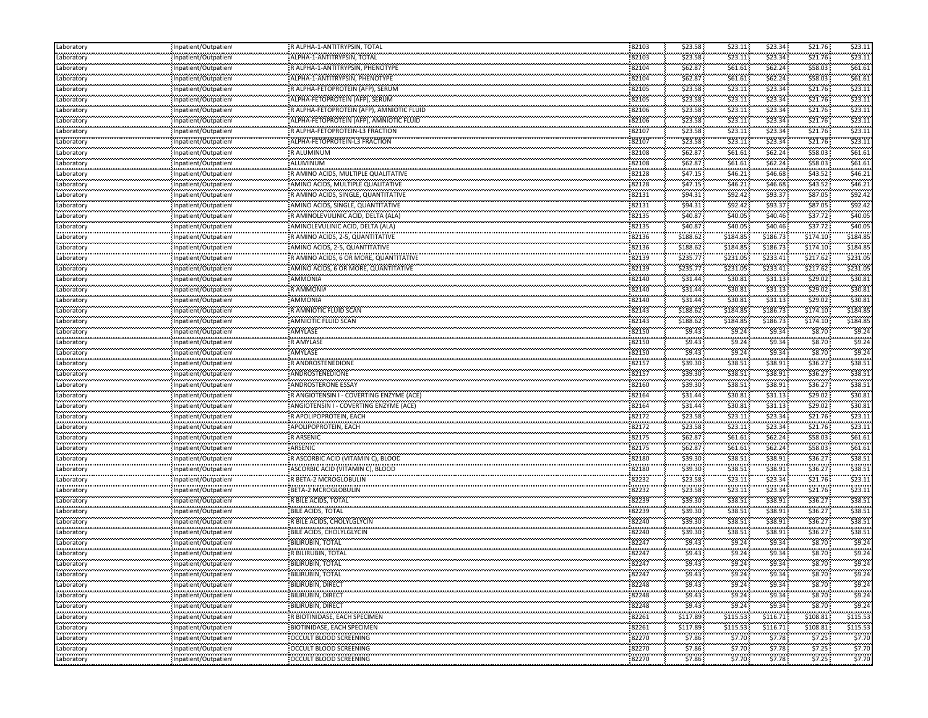| Laboratory                     | Inpatient/Outpatient                         | R ALPHA-1-ANTITRYPSIN, TOTAL                     | 82103          | \$23.58              | \$23.11                   | \$23.34                    | \$21.76              | \$23.11              |
|--------------------------------|----------------------------------------------|--------------------------------------------------|----------------|----------------------|---------------------------|----------------------------|----------------------|----------------------|
| Laboratory                     | Inpatient/Outpatient                         | ALPHA-1-ANTITRYPSIN, TOTAL                       | 82103          | \$23.58              | \$23.11                   | \$23.34                    | \$21.76              | \$23.11              |
| .<br>Laboratory                | Inpatient/Outpatient                         | R ALPHA-1-ANTITRYPSIN, PHENOTYPE                 | 82104          | \$62.87              | <br>\$61.61               | \$62.24                    | \$58.03              | \$61.61              |
| .<br>Laboratory                | Inpatient/Outpatient                         | ALPHA-1-ANTITRYPSIN, PHENOTYPE                   | 82104          | \$62.87              | \$61.61                   | \$62.24                    | \$58.03              | \$61.61              |
| <br>Laboratory                 | Inpatient/Outpatient                         | R ALPHA-FETOPROTEIN (AFP), SERUM                 | 82105          | \$23.58              | <br>\$23.11               | \$23.34                    | \$21.76              | \$23.1               |
| Laboratory                     | Inpatient/Outpatient                         | : ALPHA-FETOPROTEIN (AFP), SERUM                 | 82105          | \$23.58              | \$23.11                   | \$23.34                    | \$21.76              | \$23.11              |
| Laboratory                     | Inpatient/Outpatient                         | R ALPHA-FETOPROTEIN (AFP), AMNIOTIC FLUID        | 82106          | \$23.58              | \$23.11                   | \$23.34                    | \$21.76              | \$23.11              |
| <br>Laboratory                 | Inpatient/Outpatien                          | ALPHA-FETOPROTEIN (AFP), AMNIOTIC FLUID          | 82106          | \$23.58              | \$23.11                   | \$23.34                    | \$21.76              | \$23.1               |
| <br>Laboratory                 | Inpatient/Outpatien!                         | R ALPHA-FETOPROTEIN-L3 FRACTION                  | 82107          | \$23.58              | \$23.11                   | \$23.34                    | \$21.76              | \$23.1               |
| .<br>Laboratory                | <br>Inpatient/Outpatien                      | ALPHA-FETOPROTEIN-L3 FRACTION                    | 82107          | \$23.58              | \$23.11                   | \$23.34                    | \$21.76              | \$23.1               |
| .                              |                                              | R ALUMINUM                                       | 82108          | \$62.87              | \$61.61                   | \$62.24                    | \$58.03              | \$61.61              |
| Laboratory<br>.                | Inpatient/Outpatient                         |                                                  | 82108          | \$62.87              |                           | \$62.24                    | \$58.03              | \$61.61              |
| Laboratory                     | Inpatient/Outpatient                         | ALUMINUM                                         |                |                      | \$61.61                   |                            | \$43.52              | \$46.2\$             |
| Laboratory                     | Inpatient/Outpatient                         | R AMINO ACIDS, MULTIPLE QUALITATIVE              | 82128<br>82128 | \$47.15<br>\$47.15   | \$46.21<br>\$46.21        | \$46.68<br>\$46.68         | \$43.52              | \$46.21              |
| Laboratory<br>.                | Inpatient/Outpatient                         | AMINO ACIDS. MULTIPLE QUALITATIVE                |                | .                    | <b><i>ALCOHOL: NO</i></b> | .                          | \$87.05              | \$92.4               |
| Laboratory<br>.                | Inpatient/Outpatient                         | RAMINO ACIDS, SINGLE, QUANTITATIVE               | 82131          | \$94.31              | \$92.42                   | \$93.37                    |                      |                      |
| Laboratory<br>                 | Inpatient/Outpatien<br>                      | AMINO ACIDS, SINGLE, QUANTITATIVE                | 82131          | \$94.31              | \$92.42                   | \$93.37                    | \$87.05              | \$92.4               |
| Laboratory<br>.                | Inpatient/Outpatient                         | R AMINOLEVULINIC ACID, DELTA (ALA)               | 82135          | \$40.87              | \$40.05                   | \$40.46                    | \$37.72              | \$40.0               |
| Laboratory<br>.                | Inpatient/Outpatient                         | AMINOLEVULINIC ACID, DELTA (ALA)                 | 82135          | \$40.87              | \$40.05<br>               | \$40.46                    | \$37.72              | \$40.05              |
| Laboratory<br>                 | Inpatient/Outpatient                         | R AMINO ACIDS, 2-5, QUANTITATIVE                 | 82136          | \$188.62             | \$184.85                  | ,,,,,,,,,,<br>\$186.73<br> | \$174.10             | \$184.8              |
| Laboratory                     | Inpatient/Outpatient                         | AMINO ACIDS, 2-5, QUANTITATIVE                   | 82136          | \$188.62             | \$184.85                  | \$186.73                   | \$174.10             | \$184.8              |
| <br>Laboratory                 | Inpatient/Outpatient                         | R AMINO ACIDS, 6 OR MORE, QUANTITATIVE           | 82139          | \$235.77             | \$231.05                  | \$233.41                   | \$217.62             | \$231.0              |
| Laboratory                     | Inpatient/Outpatient                         | AMINO ACIDS, 6 OR MORE, QUANTITATIVE             | 82139          | \$235.77             | \$231.05                  | \$233.41                   | \$217.62             | \$231.05             |
| Laboratory                     | Inpatient/Outpatient                         | AMMONIA                                          | 82140          | \$31.44              | \$30.81                   | \$31.13                    | \$29.02\$            | \$30.8               |
| .<br>Laboratory                | Inpatient/Outpatien!                         | R AMMONIA                                        | 82140          | \$31.44              | \$30.81                   | \$31.13                    | \$29.02\$            | \$30.8               |
| <br>Laboratory                 | Inpatient/Outpatient                         | <br>AMMONIA                                      | 82140          | \$31.44              | .<br>\$30.81              | <br>\$31.13                | \$29.02              | \$30.8               |
| Laboratory                     | Inpatient/Outpatient                         | R AMNIOTIC FLUID SCAN                            | 82143          | \$188.62             | \$184.85                  | \$186.73                   | \$174.10             | \$184.85             |
| .<br>Laboratory                | Inpatient/Outpatient                         | <br>AMNIOTIC FLUID SCAN                          | 82143          | \$188.62             | \$184.85                  | ,,,,,,,,,,<br>\$186.73     | \$174.10             | \$184.8              |
| .<br>Laboratory                | Inpatient/Outpatient                         | AMYLASE                                          | 82150          | \$9.43               | \$9.24                    | \$9.34                     | \$8.70               | \$9.2                |
| <br>Laboratory                 | Inpatient/Outpatient                         | .<br>R AMYLASE                                   | 82150          | \$9.43               | \$9.24                    | \$9.34                     | \$8.70               | \$9.2                |
| Laboratory                     | Inpatient/Outpatient                         | <b>AMYLASE</b>                                   | 82150          | \$9.43               | \$9.24                    | \$9.34                     | \$8.70               | \$9.2                |
| .                              |                                              | R ANDROSTENEDIONE                                | 82157          | \$39.30              | \$38.51                   | \$38.91                    | \$36.27              | \$38.51              |
| Laboratory<br>.                | Inpatient/Outpatient                         | ANDROSTENEDIONE                                  | 82157          | \$39.30              | \$38.51                   | \$38.91                    | \$36.27              | \$38.5               |
| Laboratory<br>                 | Inpatient/Outpatien!<br>                     |                                                  |                | \$39.30              |                           | \$38.91                    | \$36.27              | \$38.5               |
| Laboratory                     | Inpatient/Outpatient                         | ANDROSTERONE ESSAY                               | 82160          | \$31.44              | \$38.51                   | \$31.13                    | \$29.02              |                      |
| Laboratory<br>.                | Inpatient/Outpatient                         | R ANGIOTENSIN I - COVERTING ENZYME (ACE)         | 82164<br>      | .                    | \$30.81<br>               | .                          | \$29.02              | \$30.81<br>\$30.8    |
| Laboratory<br>                 | Inpatient/Outpatient                         | ANGIOTENSIN I - COVERTING ENZYME (ACE)           | 82164          | \$31.44              | \$30.81                   | \$31.13                    |                      |                      |
| Laboratory<br>                 | Inpatient/Outpatient                         | R APOLIPOPROTEIN, EACH                           | 82172          | \$23.58              | \$23.11                   | \$23.34                    | \$21.76              | \$23.1               |
| Laboratory<br>المحادث والمحادث | Inpatient/Outpatient                         | APOLIPOPROTEIN, EACH                             | 82172          | \$23.58              | \$23.11                   | \$23.34                    | \$21.76              | \$23.1               |
| Laboratory                     | Inpatient/Outpatient                         | <b>RARSENIC</b>                                  | 82175          | \$62.87              | \$61.61                   | \$62.24                    | \$58.03              | \$61.61              |
| Laboratory<br>.                | Inpatient/Outpatient                         | ARSENIC                                          | 82175          | \$62.87              | \$61.61                   | \$62.24                    | \$58.03              | \$61.61              |
| Laboratory                     | Inpatient/Outpatien                          | R ASCORBIC ACID (VITAMIN C), BLOOD               | 82180          | \$39.30              | \$38.51                   | \$38.91                    | \$36.27              | \$38.5               |
| <br>Laboratory                 | Inpatient/Outpatient                         | ASCORBIC ACID (VITAMIN C), BLOOD                 | 82180          | \$39.30              | \$38.51                   | \$38.91                    | \$36.27              | \$38.5               |
| .<br>Laboratory                | <br>Inpatient/Outpatien                      | R BETA-2 MCROGLOBULIN                            | 82232          | \$23.58              | \$23.11                   | \$23.34                    | \$21.76              | \$23.1               |
| .<br>Laboratory                | Inpatient/Outpatient                         | BETA-2 MCROGLOBULIN                              | 82232          | \$23.58              | \$23.11                   | \$23.34                    | \$21.76              | \$23.1               |
| .<br>Laboratory                | Inpatient/Outpatient                         | R BILE ACIDS, TOTAL                              | 82239          | \$39.30              | \$38.51                   | \$38.91                    | \$36.27              | \$38.51              |
| Laboratory                     | Inpatient/Outpatient                         | <b>BILE ACIDS, TOTAL</b>                         | 82239          | \$39.30              | \$38.51                   | \$38.91                    | \$36.27              | \$38.5               |
| Laboratory                     | Inpatient/Outpatient                         | R BILE ACIDS, CHOLYLGLYCIN                       | 82240          | \$39.30              | \$38.51                   | \$38.91                    | \$36.27              | \$38.51              |
| <br>Laboratory                 | <br>Inpatient/Outpatient                     | BILE ACIDS, CHOLYLGLYCIN                         | 82240          | \$39.30              | <br>\$38.51               | .<br>\$38.91               | \$36.27              | \$38.5               |
| .<br>Laboratory                | npatient/Outpatien                           | <b>BILIRUBIN, TOTAL</b>                          | 82247          | \$9.43               | \$9.24                    | \$9.34                     | \$8.70               | \$9.2                |
| <br>Laboratory                 | Inpatient/Outpatient                         | R BILIRUBIN, TOTAL                               | 82247          | \$9.43               | \$9.24                    | \$9.34                     | \$8.70               | \$9.24               |
| <br>Laboratory                 | Inpatient/Outpatient                         | <b>BILIRUBIN, TOTAL</b>                          | 82247          | \$9.43               | \$9.24                    | \$9.34                     | \$8.70               | \$9.24               |
| Laboratory                     | Inpatient/Outpatient                         | <b>BILIRUBIN, TOTAL</b>                          | 82247          | \$9.43               | \$9.24                    | \$9.34                     | \$8.70               | \$9.24               |
| .<br>Laboratory                | Inpatient/Outpatient                         | BILIRUBIN, DIRECT                                | 82248          | \$9.43               | \$9.24                    | \$9.34                     | \$8.70               | \$9.24               |
| Laboratory                     | Inpatient/Outpatient                         | <b>BILIRUBIN, DIRECT</b>                         | 82248          | \$9.43               | \$9.24                    | \$9.34                     | \$8.70               | \$9.24               |
| .<br>Laboratory                | Inpatient/Outpatient                         | <b>BILIRUBIN, DIRECT</b>                         | 82248          | \$9.43               | \$9.24                    | \$9.34                     | \$8.70               | \$9.24               |
|                                |                                              | R BIOTINIDASE, EACH SPECIMEN                     | 82261          | .                    |                           | .                          | .                    | .                    |
| Laboratory<br>.                | Inpatient/Outpatient<br>Inpatient/Outpatient | BIOTINIDASE, EACH SPECIMEN                       | 82261          | \$117.89<br>\$117.89 | \$115.53<br>\$115.53      | \$116.71<br>\$116.71       | \$108.81<br>\$108.81 | \$115.53<br>\$115.53 |
| Laboratory<br>.                |                                              |                                                  | 82270          | \$7.86               | \$7.70                    |                            | .                    | \$7.70               |
| Laboratory<br>.                | Inpatient/Outpatient<br>Inpatient/Outpatient | OCCULT BLOOD SCREENING<br>OCCULT BLOOD SCREENING | 82270          | \$7.86               |                           | \$7.78<br>\$7.78           | \$7.25<br>\$7.25     | \$7.70               |
| Laboratory<br>.                |                                              |                                                  |                |                      | \$7.70                    |                            |                      |                      |
| Laboratory                     | Inpatient/Outpatient                         | OCCULT BLOOD SCREENING                           | 82270          | \$7.86               | \$7.70                    | \$7.78                     | \$7.25               | \$7.70               |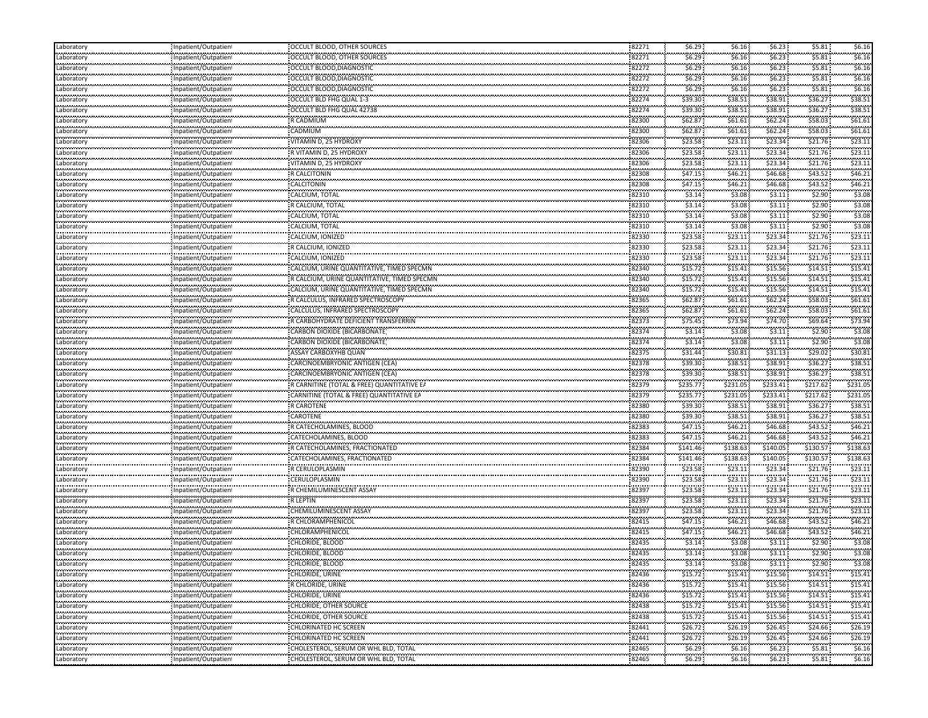| Laboratory                                       | Inpatient/Outpatient                                 | OCCULT BLOOD, OTHER SOURCES                                      | 82271          | \$6.29             | \$6.16              | \$6.23\$                                     | \$5.81                        | \$6.16             |
|--------------------------------------------------|------------------------------------------------------|------------------------------------------------------------------|----------------|--------------------|---------------------|----------------------------------------------|-------------------------------|--------------------|
| معامد محمد محا<br>Laboratory                     | Inpatient/Outpatien                                  | OCCULT BLOOD, OTHER SOURCES                                      | 82271          | \$6.29             | \$6.16              | \$6.23                                       | \$5.81                        | \$6.16             |
| <br>Laboratory                                   | .<br>Inpatient/Outpatien                             | OCCULT BLOOD, DIAGNOSTIC                                         | 82272          | \$6.29             | \$6.16\$            | .<br>\$6.23                                  | \$5.81                        | \$6.16             |
| .<br>Laboratory                                  | .<br>Inpatient/Outpatien                             | OCCULT BLOOD, DIAGNOSTIC                                         | 82272          | <br>\$6.29         | \$6.16              | .<br>\$6.23                                  | .<br>\$5.81                   | <br>\$6.16         |
| Laboratory                                       | Inpatient/Outpatient                                 | OCCULT BLOOD, DIAGNOSTIC                                         | 82272          | \$6.29             | \$6.16\$            | \$6.23                                       | \$5.81                        | \$6.16             |
| بالمحادث والمحادثات<br>Laboratory                | Inpatient/Outpatien                                  | OCCULT BLD FHG QUAL 1-3                                          | 82274          | \$39.30            | \$38.51             | \$38.91                                      | \$36.27                       | \$38.5             |
| .<br>Laboratory                                  | Inpatient/Outpatien                                  | OCCULT BLD FHG QUAL 42738                                        | 82274          | \$39.30            | \$38.51             | \$38.91                                      | \$36.27                       | \$38.51            |
| .<br>Laboratory                                  | .<br>                                                | R CADMIUM                                                        | 82300          | \$62.87            | <br>\$61.61         | \$62.24                                      | \$58.03                       | \$61.61            |
|                                                  | Inpatient/Outpatien<br>                              | .                                                                |                | \$62.87            | .                   | .                                            | \$58.03                       | \$61.61            |
| Laboratory<br>.                                  | Inpatient/Outpatien<br>,,,,,,,,,,,,,,,,,,,,,,,,,     | CADMIUM<br>.                                                     | 82300<br>82306 | \$23.58            | \$61.61<br>\$23.11  | \$62.24<br>\$23.34                           | \$21.76                       | \$23.1             |
| Laboratory<br>                                   | Inpatient/Outpatien                                  | VITAMIN D, 25 HYDROXY<br>                                        |                | \$23.58            |                     | .                                            | \$21.76                       | \$23.1             |
| Laboratory<br>.                                  | Inpatient/Outpatien                                  | R VITAMIN D, 25 HYDROXY                                          | 82306          |                    | \$23.11             | \$23.34<br>                                  | \$21.76                       | \$23.1             |
| Laboratory<br>.                                  | Inpatient/Outpatien                                  | VITAMIN D, 25 HYDROXY                                            | 82306          | \$23.58            | \$23.11             | \$23.34                                      |                               |                    |
| Laboratory<br>محمد محمد مح                       | Inpatient/Outpatien                                  | R CALCITONIN                                                     | 82308          | \$47.15            | \$46.21             | \$46.68                                      | \$43.52                       | \$46.21            |
| Laboratory<br>                                   | Inpatient/Outpatien                                  | CALCITONIN                                                       | 82308          | \$47.15            | \$46.21             | \$46.68<br>.                                 | \$43.52\$                     | \$46.2\$           |
| Laboratory<br>.                                  | Inpatient/Outpatien<br>.<br>.                        | CALCIUM, TOTAL<br>,,,,,,,,,,,,,,,,,,,,,,,                        | 82310          | \$3.14             | \$3.08              | \$3.11<br><b><i><u>ALCOHOL: 2002</u></i></b> | \$2.90                        | \$3.08             |
| Laboratory                                       | Inpatient/Outpatien                                  | R CALCIUM, TOTAL                                                 | 82310          | \$3.14             | \$3.08              | \$3.11<br>.                                  | \$2.90                        | \$3.0              |
| Laboratory<br>محمد معاملته                       | Inpatient/Outpatien                                  | CALCIUM, TOTAL                                                   | 82310          | \$3.14             | \$3.08              | \$3.11                                       | \$2.90                        | \$3.08             |
| Laboratory                                       | Inpatient/Outpatien                                  | CALCIUM, TOTAL                                                   | 82310          | \$3.14             | \$3.08              | \$3.11                                       | \$2.90                        | \$3.08             |
| Laboratory                                       | Inpatient/Outpatien                                  | CALCIUM, IONIZED                                                 | 82330          | \$23.58            | \$23.11             | ,,,,,,,,,<br>\$23.34                         | \$21.76                       | \$23.1             |
| .<br>Laboratory                                  | Inpatient/Outpatien                                  | R CALCIUM, IONIZED                                               | 82330          | \$23.58            | \$23.11             | \$23.34                                      | \$21.76                       | \$23.1             |
| <br>Laboratory                                   | Inpatient/Outpatien                                  | CALCIUM, IONIZED                                                 | <br>82330      | \$23.58            | \$23.11             | .<br>\$23.34                                 | \$21.76                       | \$23.1             |
| Laboratory                                       | Inpatient/Outpatien                                  | CALCIUM, URINE QUANTITATIVE, TIMED SPECMN                        | 82340          | \$15.72            | \$15.41             | \$15.56                                      | \$14.51                       | \$15.41            |
| Laboratory                                       | Inpatient/Outpatien                                  | R CALCIUM, URINE QUANTITATIVE, TIMED SPECMN                      | 82340          | \$15.72            | \$15.41             | \$15.56                                      | \$14.51                       | \$15.41            |
| .<br>Laboratory                                  | .<br>Inpatient/Outpatien                             | CALCIUM, URINE QUANTITATIVE, TIMED SPECMN                        | 82340          | \$15.72            | <br>\$15.41         | \$15.56                                      | \$14.51                       | \$15.4             |
| Laboratory                                       | <br>Inpatient/Outpatien                              | R CALCULUS, INFRARED SPECTROSCOPY                                | 82365          | \$62.87            | \$61.61             | \$62.24                                      | \$58.03                       | \$61.61            |
| لمحتمد فتحتمد فتعا<br>Laboratory                 | Inpatient/Outpatien                                  | CALCULUS, INFRARED SPECTROSCOPY                                  | 82365          | \$62.87            | \$61.61             | \$62.24\$                                    | \$58.03                       | \$61.61            |
| Laboratory                                       | Inpatient/Outpatien                                  | R CARBOHYDRATE DEFICIENT TRANSFERRIN                             | 82373          | \$75.45            | \$73.94             | .<br>\$74.70                                 | \$69.64                       | \$73.9             |
| .<br>Laboratory                                  | Inpatient/Outpatien                                  | CARBON DIOXIDE (BICARBONATE)                                     | 82374          | \$3.14             | \$3.08              | \$3.11                                       | \$2.90                        | \$3.08             |
| Laboratory                                       |                                                      | CARBON DIOXIDE (BICARBONATE)                                     | 82374          | \$3.14             | \$3.08              | \$3.11                                       | \$2.90                        | \$3.08             |
| ستعتب ستعدد<br>Laboratory                        | Inpatient/Outpatien                                  |                                                                  | 82375          |                    |                     | \$31.13                                      | \$29.02\$                     | \$30.81            |
|                                                  | : Inpatient/Outpatien                                | ASSAY CARBOXYHB QUAN                                             | 82378          | \$31.44<br>\$39.30 | \$30.81             | \$38.91                                      | \$36.27                       | \$38.5             |
| Laboratory<br>.                                  | Inpatient/Outpatien<br>.<br>.                        | CARCINOEMBRYONIC ANTIGEN (CEA)<br>CARCINOEMBRYONIC ANTIGEN (CEA) | 82378          | \$39.30            | \$38.51<br>\$38.51  | \$38.91                                      | \$36.27                       | \$38.5             |
| Laboratory                                       | Inpatient/Outpatien<br>                              |                                                                  | 82379          | \$235.77           | \$231.05            | .                                            | \$217.62                      | \$231.0            |
| Laboratory<br>محمد محمد مح                       | Inpatient/Outpatien                                  | R CARNITINE (TOTAL & FREE) QUANTITATIVE EA                       |                |                    |                     | \$233.41                                     |                               |                    |
| Laboratory                                       | Inpatient/Outpatien                                  | CARNITINE (TOTAL & FREE) QUANTITATIVE EA                         | 82379          | \$235.77           | \$231.05            | \$233.41                                     | \$217.62                      | \$231.05           |
| <b>Laboratory</b><br>.                           | Inpatient/Outpatien<br>                              | <b>R CAROTENE</b><br>.                                           | 82380          | \$39.30            | \$38.51<br>-------- | \$38.91<br>                                  | \$36.27                       | \$38.5             |
| Laboratory                                       | Inpatient/Outpatien                                  | CAROTENE                                                         | 82380          | \$39.30            | \$38.51             | \$38.91                                      | \$36.27                       | \$38.5             |
| Laboratory                                       | Inpatient/Outpatien                                  | R CATECHOLAMINES, BLOOD                                          | 82383          | \$47.15            | \$46.21             | \$46.68                                      | \$43.52\$                     | \$46.2\$           |
| Laboratory<br>بالمحادث والمحادث                  | Inpatient/Outpatien                                  | CATECHOLAMINES, BLOOD                                            | 82383          | \$47.15            | \$46.21             | \$46.68                                      | \$43.52\$                     | \$46.2             |
| Laboratory<br>.                                  | Inpatient/Outpatien<br><br>                          | R CATECHOLAMINES, FRACTIONATED                                   | 82384          | \$141.46<br>       | \$138.63            | \$140.05                                     | \$130.57                      | \$138.63           |
| Laboratory                                       | Inpatient/Outpatien                                  | CATECHOLAMINES, FRACTIONATED                                     | 82384          | \$141.46           | \$138.63            | \$140.05                                     | \$130.57                      | \$138.63           |
| <br>Laboratory                                   | <br>Inpatient/Outpatien                              | R CERULOPLASMIN                                                  | <br>82390      | \$23.58            | <br>\$23.11         | .<br>\$23.34                                 | \$21.76                       | \$23.1             |
| .<br>Laboratory                                  | Inpatient/Outpatien                                  | ,,,,,,,,,,,,,,,,,,,,,,,,,<br>CERULOPLASMIN                       | 82390          | \$23.58            | \$23.11             | \$23.34                                      | \$21.76                       | \$23.1             |
| <br>Laboratory                                   | Inpatient/Outpatien                                  | <br>R CHEMILUMINESCENT ASSAY                                     | <br>82397      | \$23.58            | \$23.11             | .<br>\$23.34                                 | \$21.76                       | \$23.1             |
| .<br>Laboratory                                  | <b></b><br>Inpatient/Outpatien                       | R LEPTIN                                                         | .<br>82397     | <br>\$23.58        | -------<br>\$23.11  | .<br>\$23.34                                 | \$21.76                       | \$23.1             |
| <b><i><u>ALCOHOL: 2001</u></i></b><br>Laboratory | Inpatient/Outpatient                                 | CHEMILUMINESCENT ASSAY                                           | 82397          | \$23.58            | \$23.11             | \$23.34                                      | \$21.76                       | \$23.11            |
| لمحتمد فتحتمد فتعا<br>Laboratory                 | Inpatient/Outpatien                                  | R CHLORAMPHENICOL                                                | 82415          | \$47.15            | \$46.21             | \$46.68                                      | \$43.52                       | \$46.21            |
| <br>Laboratory                                   | .<br><br>Inpatient/Outpatien                         | CHLORAMPHENICOL                                                  | 82415          | <br>\$47.15        | <br>\$46.21         | .<br>\$46.68                                 | \$43.52                       | \$46.21            |
| .<br>Laboratory                                  | <br>.<br>Inpatient/Outpatien                         | CHLORIDE, BLOOD                                                  | <br>82435      | <br>\$3.14         | \$3.08              | .,<br>\$3.11                                 | \$2.90                        | \$3.08             |
| .<br>Laboratory                                  | Inpatient/Outpatient                                 | <br>CHLORIDE, BLOOD                                              | <br>82435      | .<br>\$3.14        | \$3.08              | .<br>S3.11                                   | \$2.90                        | \$3.08             |
| .<br>Laboratory                                  | Inpatient/Outpatien                                  | CHLORIDE, BLOOD                                                  | 82435          | \$3.14             | \$3.08              | open mende<br>\$3.11                         | \$2.90                        | \$3.08             |
| Laboratory                                       | Inpatient/Outpatient                                 | <br>CHLORIDE, URINE                                              | .<br>82436     | \$15.72            | \$15.41             | <br>\$15.56                                  | \$14.51                       | .<br>\$15.41       |
| Laboratory                                       | Inpatient/Outpatien                                  | R CHLORIDE, URINE                                                | 82436          | <br>\$15.72        | \$15.41             | <br>\$15.56                                  | <b>***********</b><br>\$14.51 | .<br>\$15.41       |
| Laboratory                                       | Inpatient/Outpatient                                 | CHLORIDE, URINE                                                  | 82436          | \$15.72            | \$15.41             | \$15.56                                      | \$14.51                       | \$15.41            |
| Laboratory                                       |                                                      | CHLORIDE, OTHER SOURCE                                           | 82438          | \$15.72            |                     |                                              |                               |                    |
| Laboratory                                       | Inpatient/Outpatient<br>                             | CHLORIDE, OTHER SOURCE                                           | 82438          | \$15.72            | \$15.41<br>.        | \$15.56<br>\$15.56                           | \$14.51<br>\$14.51            | \$15.41<br>\$15.41 |
| Laboratory                                       | Inpatient/Outpatient<br>,,,,,,,,,,,,,,,,,,,,,,,,,,,, | ,,,,,,,,,,,,,,,,,,,,,,,,,,,,,,,,,,,,                             | 82441          | \$26.72            | \$15.41<br>.        | <b><i><u>ALCOHOL: 000</u></i></b>            |                               |                    |
| Laboratory                                       | Inpatient/Outpatient<br>                             | CHLORINATED HC SCREEN<br>CHLORINATED HC SCREEN                   | 82441          | \$26.72            | \$26.19<br>.        | \$26.45<br>.                                 | \$24.66<br>\$24.66            | \$26.19<br>.       |
| Laboratory                                       | Inpatient/Outpatient<br>                             | ,,,,,,,,,,,,,,,,,,,,,,,,,,,,,,,,,,                               |                |                    | \$26.19             | \$26.45                                      |                               | \$26.19<br>\$6.16  |
| Laboratory                                       | Inpatient/Outpatient<br>                             | CHOLESTEROL, SERUM OR WHL BLD, TOTAL                             | 82465<br>.     | \$6.29             | \$6.16<br>.         | \$6.23\$<br>.                                | \$5.81                        |                    |
|                                                  | Inpatient/Outpatient                                 | CHOLESTEROL, SERUM OR WHL BLD, TOTAL                             | 82465          | \$6.29             | \$6.16              | \$6.23\$                                     | \$5.81                        | \$6.16             |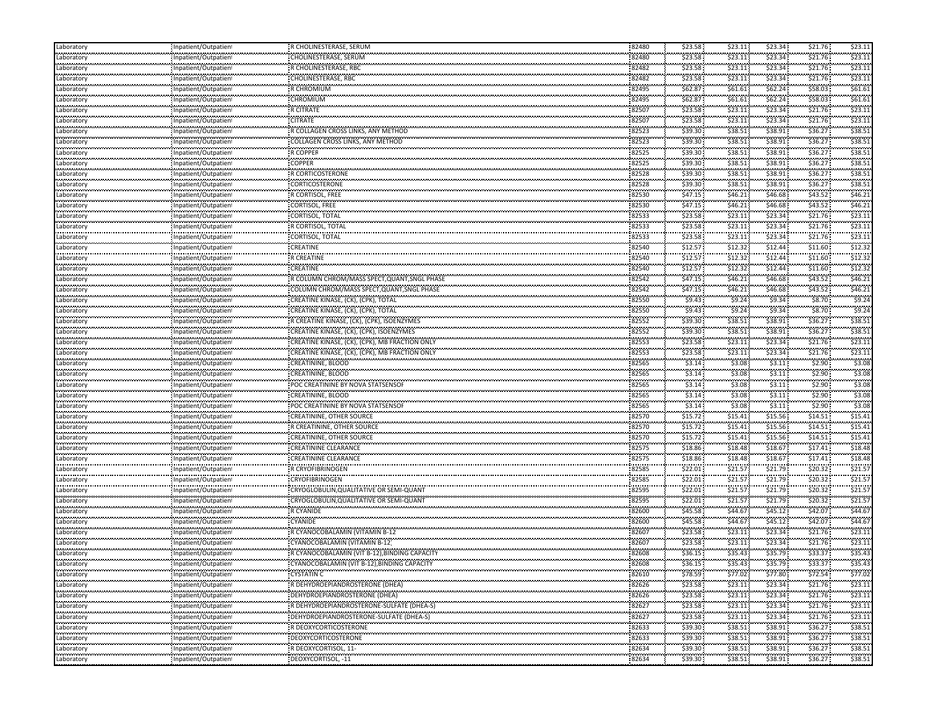| Laboratory                    | Inpatient/Outpatien  | R CHOLINESTERASE, SERUM                              | 82480 | \$23.58 | \$23.11 | \$23.34 | \$21.76   | \$23.11 |
|-------------------------------|----------------------|------------------------------------------------------|-------|---------|---------|---------|-----------|---------|
| Laboratory                    | Inpatient/Outpatien  | CHOLINESTERASE, SERUM                                | 82480 | \$23.58 | \$23.11 | \$23.34 | \$21.76   | \$23.11 |
| <br>Laboratory                | Inpatient/Outpatient | R CHOLINESTERASE, RBC                                | 82482 | \$23.58 | \$23.11 | \$23.34 | \$21.76   | \$23.11 |
| <br>Laboratory                | Inpatient/Outpatient | <b>CHOLINESTERASE, RBC</b>                           | 82482 | \$23.58 | \$23.11 | \$23.34 | \$21.76   | \$23.11 |
| <br>Laboratory                | Inpatient/Outpatient | R CHROMIUM                                           | 82495 | \$62.87 | \$61.61 | \$62.24 | \$58.03   | \$61.61 |
| Laboratory                    | Inpatient/Outpatient | CHROMIUM                                             | 82495 | \$62.87 | \$61.61 | \$62.24 | \$58.03   | \$61.61 |
| Laboratory                    | Inpatient/Outpatient | <b>R CITRATE</b>                                     | 82507 | \$23.58 | \$23.11 | \$23.34 | \$21.76   | \$23.11 |
| المعرف والمرا<br>Laboratory   | Inpatient/Outpatient | <b>CITRATE</b>                                       | 82507 | \$23.58 | \$23.11 | \$23.34 | \$21.76   | \$23.11 |
| <br>Laboratory                | Inpatient/Outpatient | R COLLAGEN CROSS LINKS, ANY METHOD                   | 82523 | \$39.30 | \$38.51 | \$38.91 | \$36.27   | \$38.51 |
| .<br>Laboratory               | Inpatient/Outpatient | <b>COLLAGEN CROSS LINKS, ANY METHOD</b>              | 82523 | \$39.30 | \$38.51 | \$38.91 | \$36.27   | \$38.51 |
| .<br>Laboratory               | Inpatient/Outpatient | R COPPEF                                             | 82525 | \$39.30 | \$38.51 | \$38.91 | \$36.27   | \$38.51 |
| Laboratory                    | Inpatient/Outpatient | <b>COPPER</b>                                        | 82525 | \$39.30 | \$38.51 | \$38.91 | \$36.27   | \$38.51 |
| Laboratory                    | Inpatient/Outpatient | <b>R CORTICOSTERONE</b>                              | 82528 | \$39.30 | \$38.51 | \$38.91 | \$36.27   | \$38.51 |
| Laboratory                    |                      | CORTICOSTERONE                                       | 82528 | \$39.30 | \$38.51 | \$38.91 | \$36.27   | \$38.51 |
|                               | Inpatient/Outpatient | R CORTISOL, FREE                                     | 82530 | \$47.15 | \$46.21 | \$46.68 | \$43.52   | \$46.21 |
| Laboratory<br>.               | Inpatient/Outpatient | CORTISOL, FREE                                       | 82530 | \$47.15 | \$46.21 | \$46.68 | \$43.52   | \$46.21 |
| Laboratory<br>                | Inpatient/Outpatien  |                                                      | 82533 | \$23.58 | \$23.11 | \$23.34 | \$21.76   | \$23.11 |
| Laboratory                    | Inpatient/Outpatient | CORTISOL, TOTAL                                      |       |         |         |         |           |         |
| Laboratory                    | Inpatient/Outpatient | R CORTISOL, TOTAL                                    | 82533 | \$23.58 | \$23.11 | \$23.34 | \$21.76   | \$23.11 |
| .<br>Laboratory               | Inpatient/Outpatient | CORTISOL, TOTAL                                      | 82533 | \$23.58 | \$23.11 | \$23.34 | \$21.76   | \$23.11 |
| Laboratory<br>فمعتمدهم        | Inpatient/Outpatient | CREATINE                                             | 82540 | \$12.57 | \$12.32 | \$12.44 | \$11.60   | \$12.32 |
| Laboratory                    | Inpatient/Outpatient | <b>R CREATINE</b>                                    | 82540 | \$12.57 | \$12.32 | \$12.44 | \$11.60   | \$12.32 |
| Laboratory                    | Inpatient/Outpatient | <b>CREATINE</b>                                      | 82540 | \$12.57 | \$12.32 | \$12.44 | \$11.60   | \$12.32 |
| Laboratory                    | Inpatient/Outpatient | R COLUMN CHROM/MASS SPECT, QUANT, SNGL PHASE         | 82542 | \$47.15 | \$46.21 | \$46.68 | \$43.52   | \$46.21 |
| المعرف والمرا<br>Laboratory   | Inpatient/Outpatient | COLUMN CHROM/MASS SPECT, QUANT, SNGL PHASE           | 82542 | \$47.15 | \$46.21 | \$46.68 | \$43.52   | \$46.21 |
| gaangaa<br>Laboratory         | Inpatient/Outpatient | CREATINE KINASE, (CK), (CPK), TOTAL                  | 82550 | \$9.43  | \$9.24  | \$9.34  | \$8.70    | \$9.2   |
| Laboratory                    | Inpatient/Outpatient | CREATINE KINASE, (CK), (CPK), TOTAL                  | 82550 | \$9.43  | \$9.24  | \$9.34  | \$8.70    | \$9.24  |
| <br>Laboratory                | Inpatient/Outpatient | R CREATINE KINASE, (CK), (CPK), ISOENZYMES           | 82552 | \$39.30 | \$38.51 | \$38.91 | \$36.27   | \$38.51 |
| Laboratory                    | Inpatient/Outpatient | CREATINE KINASE, (CK), (CPK), ISOENZYMES             | 82552 | \$39.30 | \$38.51 | \$38.91 | \$36.27   | \$38.51 |
| <br>Laboratory                | Inpatient/Outpatient | CREATINE KINASE, (CK), (CPK), MB FRACTION ONLY       | 82553 | \$23.58 | \$23.11 | \$23.34 | \$21.76   | \$23.11 |
| Laboratory                    | Inpatient/Outpatient | CREATINE KINASE, (CK), (CPK), MB FRACTION ONLY       | 82553 | \$23.58 | \$23.11 | \$23.34 | \$21.76   | \$23.11 |
| Laboratory                    | Inpatient/Outpatient | CREATININE, BLOOD                                    | 82565 | \$3.14  | \$3.08  | \$3.11  | \$2.90    | \$3.08  |
| المعرف والمرا<br>Laboratory   | Inpatient/Outpatient | CREATININE, BLOOD                                    | 82565 | \$3.14  | \$3.08  | \$3.11  | \$2.90    | \$3.08  |
| gaangaa<br>Laboratory         | Inpatient/Outpatient | POC CREATININE BY NOVA STATSENSOF                    | 82565 | \$3.14  | \$3.08  | \$3.11  | \$2.90    | \$3.08  |
| Laboratory                    | Inpatient/Outpatient | CREATININE, BLOOD                                    | 82565 | \$3.14  | \$3.08  | \$3.11  | \$2.90    | \$3.08  |
| .<br>Laboratory               | Inpatient/Outpatient | POC CREATININE BY NOVA STATSENSOF                    | 82565 | \$3.14  | \$3.08  | \$3.11  | \$2.90    | \$3.08  |
| <br>Laboratory                | Inpatient/Outpatient | CREATININE, OTHER SOURCE                             | 82570 | \$15.72 | \$15.41 | \$15.56 | \$14.51   | \$15.41 |
| <br>Laboratory                | Inpatient/Outpatient | R CREATININE, OTHER SOURCE                           | 82570 | \$15.72 | \$15.41 | \$15.56 | \$14.51   | \$15.41 |
| Laboratory                    | Inpatient/Outpatient | <b>CREATININE, OTHER SOURCE</b>                      | 82570 | \$15.72 | \$15.41 | \$15.56 | \$14.51   | \$15.41 |
|                               |                      | <b>CREATININE CLEARANCE</b>                          | 82575 | \$18.86 | \$18.48 | \$18.67 | \$17.41   | \$18.48 |
| Laboratory<br>المعرف والمرا   | Inpatient/Outpatient | <b>CREATININE CLEARANCE</b>                          | 82575 | \$18.86 | \$18.48 | \$18.67 | \$17.41   | \$18.48 |
| Laboratory<br>                | Inpatient/Outpatient |                                                      | 82585 | \$22.01 | \$21.57 | \$21.79 | \$20.32   | \$21.5  |
| Laboratory<br>.               | Inpatient/Outpatient | R CRYOFIBRINOGEN<br><b>CRYOFIBRINOGEN</b>            | 82585 | \$22.01 | \$21.57 | \$21.79 | \$20.32   | \$21.5  |
| Laboratory<br>.<br>Laboratory | Inpatient/Outpatien  |                                                      | 82595 | \$22.01 | \$21.57 | \$21.79 | \$20.32   | \$21.5  |
|                               | Inpatient/Outpatient | CRYOGLOBULIN, QUALITATIVE OR SEMI-QUANT              | 82595 | \$22.01 |         | \$21.79 | \$20.32\$ | \$21.57 |
| Laboratory                    | Inpatient/Outpatient | CRYOGLOBULIN, QUALITATIVE OR SEMI-QUANT<br>R CYANIDE |       |         | \$21.57 |         |           |         |
| .<br>Laboratory               | Inpatient/Outpatient |                                                      | 82600 | \$45.58 | \$44.67 | \$45.12 | \$42.07   | \$44.67 |
| Laboratory<br>                | Inpatient/Outpatient | <b>CYANIDE</b>                                       | 82600 | \$45.58 | \$44.67 | \$45.12 | \$42.07   | \$44.67 |
| Laboratory<br>.               | Inpatient/Outpatient | R CYANOCOBALAMIN (VITAMIN B-12                       | 82607 | \$23.58 | \$23.11 | \$23.34 | \$21.76   | \$23.11 |
| Laboratory<br>                | Inpatient/Outpatien  | CYANOCOBALAMIN (VITAMIN B-12                         | 82607 | \$23.58 | \$23.11 | \$23.34 | \$21.76   | \$23.11 |
| Laboratory                    | Inpatient/Outpatient | R CYANOCOBALAMIN (VIT B-12). BINDING CAPACITY        | 82608 | \$36.15 | \$35.43 | \$35.79 | \$33.37   | \$35.43 |
| Laboratory<br>.               | Inpatient/Outpatient | CYANOCOBALAMIN (VIT B-12), BINDING CAPACITY          | 82608 | \$36.15 | \$35.43 | \$35.79 | \$33.37   | \$35.43 |
| Laboratory<br>.               | Inpatient/Outpatient | CYSTATIN C                                           | 82610 | \$78.59 | \$77.02 | \$77.80 | \$72.54   | \$77.02 |
| Laboratory                    | Inpatient/Outpatient | R DEHYDROEPIANDROSTERONE (DHEA)                      | 82626 | \$23.58 | \$23.11 | \$23.34 | \$21.76   | \$23.11 |
| Laboratory                    | Inpatient/Outpatient | DEHYDROEPIANDROSTERONE (DHEA)                        | 82626 | \$23.58 | \$23.11 | \$23.34 | \$21.76   | \$23.11 |
| Laboratory                    | Inpatient/Outpatient | : R DEHYDROEPIANDROSTERONE-SULFATE (DHEA-S)          | 82627 | \$23.58 | \$23.11 | \$23.34 | \$21.76   | \$23.11 |
| Laboratory                    | Inpatient/Outpatient | DEHYDROEPIANDROSTERONE-SULFATE (DHEA-S)              | 82627 | \$23.58 | \$23.11 | \$23.34 | \$21.76   | \$23.11 |
| .<br>Laboratory               | Inpatient/Outpatient | R DEOXYCORTICOSTERONE                                | 82633 | \$39.30 | \$38.51 | \$38.91 | \$36.27   | \$38.51 |
| .<br>Laboratory               | minuminuminum        | DEOXYCORTICOSTERONE                                  | 82633 | \$39.30 | \$38.51 | \$38.91 | \$36.27   | \$38.51 |
| .<br>Laboratory               | Inpatient/Outpatient | R DEOXYCORTISOL, 11-                                 | 82634 | \$39.30 | \$38.51 | \$38.91 | \$36.27   | \$38.51 |
| ,,,,,,,,,,,,                  | Inpatient/Outpatient | DEOXYCORTISOL, -11                                   | 82634 | \$39.30 | \$38.51 | \$38.91 | \$36.27   | \$38.51 |
| Laboratory                    |                      |                                                      |       |         |         |         |           |         |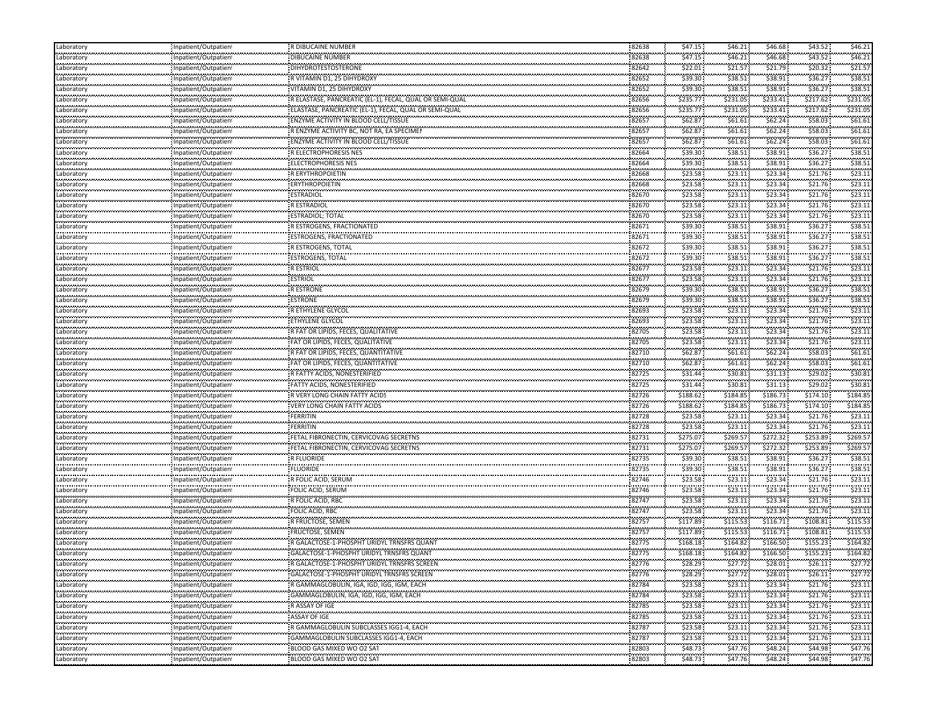| Laboratory                         | Inpatient/Outpatien                                                          | R DIBUCAINE NUMBER                                                                             | 82638          | \$47.15            | \$46.21             | \$46.68             | \$43.52             | \$46.21            |
|------------------------------------|------------------------------------------------------------------------------|------------------------------------------------------------------------------------------------|----------------|--------------------|---------------------|---------------------|---------------------|--------------------|
| Laboratory                         | Inpatient/Outpatient                                                         | DIBUCAINE NUMBER                                                                               | 82638          | \$47.15            | \$46.21             | \$46.68             | \$43.52             | \$46.21            |
| <br>Laboratory                     | Inpatient/Outpatient                                                         | <b>DIHYDROTESTOSTERONE</b>                                                                     | 82642          | \$22.01            | \$21.57             | \$21.79             | \$20.32             | \$21.57            |
| Laboratory                         | Inpatient/Outpatient                                                         | R VITAMIN D1, 25 DIHYDROXY                                                                     | 82652          | \$39.30            | \$38.51             | \$38.91             | \$36.27             | \$38.51            |
| <br>Laboratory                     | Inpatient/Outpatien!                                                         | VITAMIN D1, 25 DIHYDROXY                                                                       | 82652          | \$39.30            | \$38.51             | \$38.91             | \$36.27             | \$38.51            |
| Laboratory                         | Inpatient/Outpatient                                                         | R ELASTASE, PANCREATIC (EL-1), FECAL, QUAL OR SEMI-QUAL                                        | 82656          | \$235.77           | \$231.05            | \$233.41            | \$217.62            | \$231.05           |
| Laboratory                         | Inpatient/Outpatient                                                         | ELASTASE, PANCREATIC (EL-1), FECAL, QUAL OR SEMI-QUAL                                          | 82656          | \$235.77           | \$231.05            | \$233.41            | \$217.62            | \$231.05           |
| ngan sa guna<br>Laboratory         | ,,,,,,,,,,,,,,,,,,,,,,,,,                                                    | ENZYME ACTIVITY IN BLOOD CELL/TISSUE                                                           | 82657          | \$62.87            | \$61.61             | \$62.24             | \$58.03             | \$61.61            |
|                                    | Inpatient/Outpatient                                                         | R ENZYME ACTIVITY BC, NOT RA, EA SPECIMEN                                                      | 22.22          | \$62.87            | \$61.61             | \$62.24             | \$58.03             | \$61.61            |
| Laboratory<br>                     | Inpatient/Outpatient                                                         | ENZYME ACTIVITY IN BLOOD CELL/TISSUE                                                           | 82657<br>82657 | \$62.87            | \$61.61             | \$62.24             | \$58.03             | \$61.61            |
| Laboratory<br>                     | Inpatient/Outpatien                                                          | R ELECTROPHORESIS NES                                                                          |                | \$39.30            | \$38.51             | \$38.91             | \$36.27             | \$38.5             |
| Laboratory<br>.                    | Inpatient/Outpatien!                                                         | ELECTROPHORESIS NES                                                                            | 82664<br>82664 | \$39.30            |                     | \$38.91             | \$36.27             | \$38.51            |
| Laboratory<br>.                    | Inpatient/Outpatient                                                         |                                                                                                |                |                    | \$38.51             |                     |                     |                    |
| Laboratory                         | Inpatient/Outpatient                                                         | R ERYTHROPOIETIN                                                                               | 82668          | \$23.58            | \$23.11             | \$23.34             | \$21.76             | \$23.11            |
| Laboratory<br>                     | Inpatient/Outpatient                                                         | <b>ERYTHROPOIETIN</b>                                                                          | 82668          | \$23.58            | \$23.11             | \$23.34             | \$21.76             | \$23.1             |
| Laboratory<br>                     | npatient/Outpatien!                                                          | ESTRADIOL                                                                                      | 82670          | \$23.58            | \$23.11             | \$23.34             | \$21.76             | \$23.11            |
| Laboratory<br>                     | Inpatient/Outpatien                                                          | <b>RESTRADIOL</b>                                                                              | 82670          | \$23.58            | \$23.11             | \$23.34             | \$21.76             | \$23.1             |
| Laboratory                         | Inpatient/Outpatient                                                         | ESTRADIOL; TOTAL                                                                               | 82670          | \$23.58            | \$23.11             | \$23.34             | \$21.76             | \$23.11            |
| Laboratory                         | Inpatient/Outpatient                                                         | R ESTROGENS, FRACTIONATED                                                                      | 82671          | \$39.30            | \$38.51             | \$38.91             | \$36.27             | \$38.51            |
| <br>Laboratory                     | Inpatient/Outpatien!                                                         | ESTROGENS, FRACTIONATED                                                                        | 82671          | \$39.30            | \$38.51             | \$38.91             | \$36.27             | \$38.52            |
| .<br>Laboratory                    | Inpatient/Outpatien!                                                         | R ESTROGENS, TOTAL                                                                             | 82672          | \$39.30            | \$38.51             | \$38.91             | \$36.27             | \$38.51            |
| <br>Laboratory                     | Inpatient/Outpatien!                                                         | ESTROGENS, TOTAL                                                                               | 82672          | \$39.30            | \$38.51             | \$38.91             | \$36.27             | \$38.51            |
| Laboratory                         | Inpatient/Outpatient                                                         | <b>RESTRIOL</b>                                                                                | 82677          | \$23.58            | \$23.11             | \$23.34             | \$21.76             | \$23.1             |
| Laboratory                         | Inpatient/Outpatient                                                         | <b>ESTRIOL</b>                                                                                 | 82677          | \$23.58            | \$23.11             | \$23.34             | \$21.76             | \$23.11            |
| .<br>Laboratory                    | Inpatient/Outpatien!                                                         | وعافيت<br>R ESTRONE                                                                            | 82679          | \$39.30            | \$38.51             | \$38.91             | \$36.27             | \$38.51            |
| <br>Laboratory                     | Inpatient/Outpatien!                                                         | ESTRONE                                                                                        | 82679          | \$39.30            | \$38.51             | \$38.91             | \$36.27             | \$38.51            |
| Laboratory                         | Inpatient/Outpatient                                                         | R ETHYLENE GLYCOL                                                                              | 82693          | \$23.58            | \$23.11             | \$23.34             | \$21.76             | \$23.1             |
|                                    |                                                                              | ETHYLENE GLYCOL                                                                                | 82693          | \$23.58            | \$23.11             | \$23.34             | \$21.76             | \$23.11            |
| Laboratory                         | Inpatient/Outpatien!                                                         | R FAT OR LIPIDS, FECES, QUALITATIVE                                                            | 82705          | \$23.58            | \$23.11             | \$23.34             | \$21.76             | \$23.1             |
| Laboratory<br>                     | Inpatient/Outpatient                                                         | FAT OR LIPIDS, FECES, QUALITATIVE                                                              | 82705          | \$23.58            | \$23.11             | \$23.34             | \$21.76             | \$23.11            |
| Laboratory                         | Inpatient/Outpatient                                                         |                                                                                                |                |                    |                     |                     |                     |                    |
| Laboratory                         | Inpatient/Outpatient                                                         | R FAT OR LIPIDS, FECES, QUANTITATIVE                                                           | 82710          | \$62.87            | \$61.61             | \$62.24             | \$58.03             | \$61.61            |
| Laboratory<br>.                    | Inpatient/Outpatient                                                         | FAT OR LIPIDS, FECES, QUANTITATIVE                                                             | 82710          | \$62.87            | \$61.61             | \$62.24             | \$58.03             | \$61.61            |
| Laboratory<br>.                    | Inpatient/Outpatient                                                         | R FATTY ACIDS, NONESTERIFIED                                                                   | 82725          | \$31.44            | \$30.81             | \$31.13             | \$29.02             | \$30.81            |
| Laboratory                         | Inpatient/Outpatien!                                                         | FATTY ACIDS, NONESTERIFIED                                                                     | 82725          | \$31.44            | \$30.81             | \$31.13             | \$29.02             | \$30.81            |
| Laboratory<br>                     | Inpatient/Outpatient                                                         | R VERY LONG CHAIN FATTY ACIDS                                                                  | 82726          | \$188.62           | \$184.85            | \$186.73            | \$174.10            | \$184.85           |
| Laboratory                         | Inpatient/Outpatien!                                                         | /ERY LONG CHAIN FATTY ACIDS                                                                    | 82726          | \$188.62           | \$184.85            | \$186.73            | \$174.10            | \$184.85           |
| Laboratory<br>                     | Inpatient/Outpatient                                                         | FERRITIN                                                                                       | 82728          | \$23.58            | \$23.11             | \$23.34             | \$21.76             | \$23.11            |
| Laboratory                         | Inpatient/Outpatien!                                                         | FERRITIN                                                                                       | 82728          | \$23.58            | \$23.11             | \$23.34             | \$21.76             | \$23.11            |
| Laboratory                         | Inpatient/Outpatient                                                         | FETAL FIBRONECTIN, CERVICOVAG SECRETNS                                                         | 82731          | \$275.07           | \$269.57            | \$272.32            | \$253.89            | \$269.57           |
| Laboratory                         | Inpatient/Outpatient                                                         | FETAL FIBRONECTIN, CERVICOVAG SECRETNS                                                         | 82731          | \$275.07           | \$269.57            | \$272.32            | \$253.89            | \$269.57           |
| .<br>Laboratory                    | Inpatient/Outpatient                                                         | R FLUORIDE                                                                                     | 82735          | \$39.30            | \$38.51             | \$38.91             | \$36.27             | \$38.51            |
| <br>Laboratory                     | Inpatient/Outpatient                                                         | FLUORIDE                                                                                       | 82735          | \$39.30            | \$38.51             | \$38.91             | \$36.27             | \$38.5             |
| .<br>Laboratory                    | Inpatient/Outpatien                                                          | R FOLIC ACID, SERUM                                                                            | 82746          | \$23.58            | \$23.11             | \$23.34             | \$21.76             | \$23.1             |
| <br>Laboratory                     | Inpatient/Outpatien!                                                         | FOLIC ACID, SERUM                                                                              | 82746          | \$23.58            | \$23.11             | \$23.34             | \$21.76             | \$23.11            |
| Laboratory                         | Inpatient/Outpatient                                                         | R FOLIC ACID, RBC                                                                              | 82747          | \$23.58            | \$23.11             | \$23.34             | \$21.76             | \$23.11            |
| .<br>Laboratory                    | Inpatient/Outpatient                                                         | FOLIC ACID, RBC                                                                                | 82747          | \$23.58            | \$23.11             | \$23.34             | \$21.76             | \$23.1             |
| Laboratory                         | Inpatient/Outpatient                                                         | R FRUCTOSE, SEMEN                                                                              | 82757          | \$117.89           | \$115.53            | \$116.71            | \$108.81            | \$115.53           |
| <br>Laboratory                     | npatient/Outpatien!                                                          | FRUCTOSE, SEMEN                                                                                | 82757          | \$117.89           | .<br>\$115.53       | \$116.71            | \$108.81            | \$115.53           |
| .<br>Laboratory                    | Inpatient/Outpatien                                                          | R GALACTOSE-1-PHOSPHT URIDYL TRNSFRS QUANT                                                     | 82775          | \$168.18           | \$164.82            | \$166.50            | \$155.23            | \$164.82           |
|                                    |                                                                              |                                                                                                |                | \$168.18           |                     |                     |                     | \$164.82           |
| Laboratory<br>.<br>Laboratory      | Inpatient/Outpatient                                                         | GALACTOSE-1-PHOSPHT URIDYL TRNSFRS QUANT<br>:<br>- R GALACTOSE-1-PHOSPHT URIDYL TRNSFRS SCREEN | 82775<br>82776 | \$28.29            | \$164.82<br>\$27.72 | \$166.50<br>\$28.01 | \$155.23<br>\$26.11 | \$27.72            |
|                                    | Inpatient/Outpatient                                                         |                                                                                                |                | \$28.29            | \$27.72             | \$28.01             | \$26.11             | \$27.72            |
| Laboratory                         | Inpatient/Outpatient<br>Inpatient/Outpatient                                 | GALACTOSE-1-PHOSPHT URIDYL TRNSFRS SCREEN                                                      | 82776<br>82784 | \$23.58            | \$23.11             | \$23.34             | \$21.76             | \$23.11            |
| Laboratory<br>Laboratory           |                                                                              | R GAMMAGLOBULIN, IGA, IGD, IGG, IGM, EACH                                                      |                |                    |                     |                     |                     |                    |
|                                    | Inpatient/Outpatient                                                         | GAMMAGLOBULIN, IGA, IGD, IGG, IGM, EACH                                                        | 82784          | \$23.58            | \$23.11             | \$23.34             | \$21.76             | \$23.11            |
| Laboratory<br>Laboratory           | Inpatient/Outpatient<br>,,,,,,,,,,,,,,,,,,,,,,,                              | R ASSAY OF IGE<br>,,,,,,,,,,,,,,,,                                                             | 82785<br>82785 | \$23.58<br>\$23.58 | \$23.11<br>\$23.11  | \$23.34<br>\$23.34  | \$21.76<br>\$21.76  | \$23.11<br>\$23.11 |
|                                    |                                                                              |                                                                                                |                |                    |                     |                     |                     |                    |
|                                    | Inpatient/Outpatien!                                                         | ASSAY OF IGE                                                                                   |                |                    |                     |                     |                     |                    |
|                                    | Inpatient/Outpatient                                                         | e eo ao am<br>R GAMMAGLOBULIN SUBCLASSES IGG1-4, EACH                                          | 82787          | \$23.58            | \$23.11             | \$23.34             | \$21.76             | \$23.11            |
| .<br>Laboratory<br>.<br>Laboratory | Inpatient/Outpatient                                                         | :<br> GAMMAGLOBULIN SUBCLASSES IGG1-4, EACH                                                    | 82787          | \$23.58            | \$23.11             | \$23.34             | \$21.76             | \$23.11            |
| .<br>Laboratory<br>Laboratory      | ,,,,,,,,,,,,,,,,,,,,,,,,<br>Inpatient/Outpatient<br>,,,,,,,,,,,,,,,,,,,,,,,, | BLOOD GAS MIXED WO O2 SAT                                                                      | 82803<br>82803 | \$48.73<br>\$48.73 | \$47.76<br>\$47.76  | \$48.24<br>\$48.24  | \$44.98<br>\$44.98  | \$47.76<br>\$47.76 |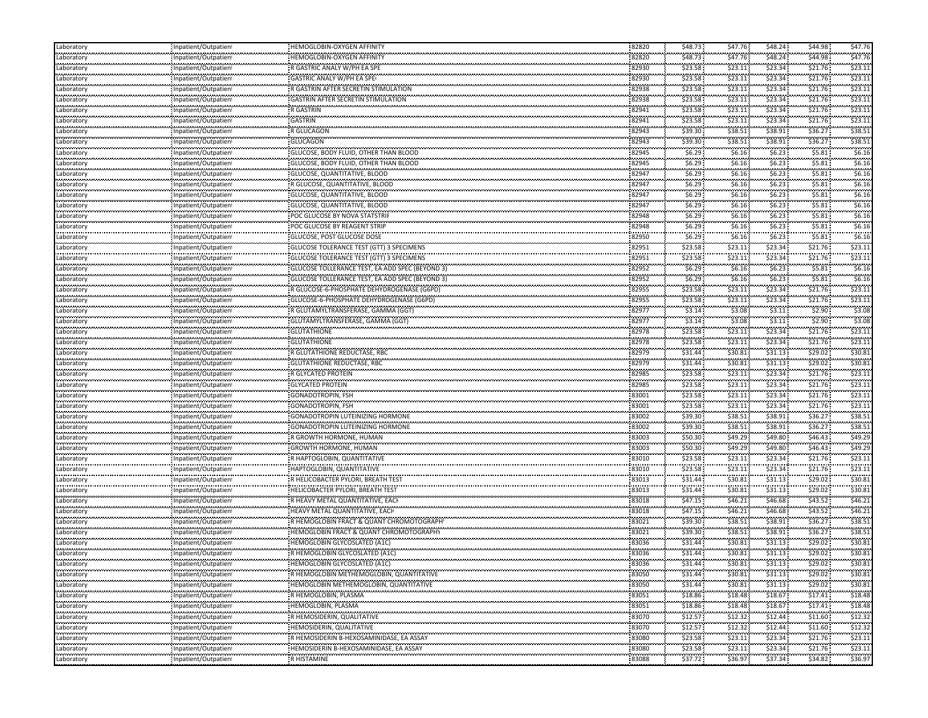| Laboratory                                       | Inpatient/Outpatient                                                    | HEMOGLOBIN-OXYGEN AFFINITY                                           | 82820          | \$48.73              | \$47.76                          | \$48.24            | \$44.98      | \$47.76     |
|--------------------------------------------------|-------------------------------------------------------------------------|----------------------------------------------------------------------|----------------|----------------------|----------------------------------|--------------------|--------------|-------------|
| معامد محمد محا<br>Laboratory                     | Inpatient/Outpatien                                                     | HEMOGLOBIN-OXYGEN AFFINITY                                           | 82820          | \$48.73              | \$47.76                          | \$48.24            | \$44.98      | \$47.76     |
| <br>Laboratory                                   | Inpatient/Outpatien                                                     | R GASTRIC ANALY W/PH EA SPE                                          | <br>82930      | \$23.58              | \$23.11                          | \$23.34            | \$21.76      | \$23.11     |
| .<br>Laboratory                                  | Inpatient/Outpatien                                                     | GASTRIC ANALY W/PH EA SPE                                            | 82930          | \$23.58              | .<br>\$23.11                     | <br>\$23.34        | \$21.76      | \$23.11     |
| Laboratory                                       | Inpatient/Outpatient                                                    | R GASTRIN AFTER SECRETIN STIMULATION                                 | 82938          | \$23.58              | \$23.11                          | \$23.34            | \$21.76      | \$23.11     |
| بمحدد محمد محا<br>Laboratory                     | Inpatient/Outpatien                                                     | <b>GASTRIN AFTER SECRETIN STIMULATION</b>                            | 82938          | \$23.58              | \$23.11                          | \$23.34            | \$21.76      | \$23.11     |
| Laboratory                                       | Inpatient/Outpatien                                                     | <b>R GASTRIN</b>                                                     | 82941          | \$23.58              | \$23.11                          | \$23.34            | \$21.76      | \$23.11     |
| .<br>Laboratory                                  | .<br>Inpatient/Outpatien                                                | .<br><b>GASTRIN</b>                                                  | 82941          | \$23.58              | <br>\$23.11                      | \$23.34            | \$21.76      | \$23.1      |
| <br>Laboratory                                   |                                                                         | <br>R GLUCAGON                                                       | <br>82943      | \$39.30              | \$38.51                          | \$38.91            | \$36.27      | \$38.5      |
| .                                                | Inpatient/Outpatien<br>.<br>.                                           | .<br><b>GLUCAGON</b>                                                 | 82943          | \$39.30              |                                  | \$38.91            | \$36.27      | \$38.5      |
| Laboratory<br>.                                  | Inpatient/Outpatien                                                     |                                                                      |                | .                    | \$38.51<br>120111-01<br>\$6.16\$ | \$6.23             | \$5.81       | \$6.16      |
| Laboratory<br>.                                  | Inpatient/Outpatien                                                     | GLUCOSE, BODY FLUID, OTHER THAN BLOOD                                | 82945          | \$6.29<br>           | .                                |                    | \$5.81       | \$6.16      |
| Laboratory<br>.                                  | Inpatient/Outpatien                                                     | GLUCOSE, BODY FLUID, OTHER THAN BLOOD                                | 82945<br>82947 | \$6.29<br>\$6.29     | \$6.16\$<br>\$6.16               | \$6.23<br>\$6.23   | \$5.81       | \$6.16      |
| Laboratory<br>Laboratory                         | Inpatient/Outpatien                                                     | <b>GLUCOSE, QUANTITATIVE, BLOOD</b>                                  |                | \$6.29               | \$6.16                           | \$6.23             | \$5.81       | \$6.16      |
| .                                                | Inpatient/Outpatien<br>.                                                | R GLUCOSE, QUANTITATIVE, BLOOD                                       | 82947<br>82947 |                      | \$6.16\$                         |                    |              |             |
| Laboratory<br>.                                  | Inpatient/Outpatien<br>.<br>                                            | GLUCOSE, QUANTITATIVE, BLOOD                                         | 1111111        | \$6.29<br>.,         |                                  | \$6.23<br>.        | \$5.81       | \$6.16      |
| Laboratory                                       | Inpatient/Outpatien<br>                                                 | GLUCOSE, QUANTITATIVE, BLOOD                                         | 82947<br>      | \$6.29\$             | \$6.16                           | \$6.23             | \$5.81       | \$6.16      |
| Laboratory                                       | Inpatient/Outpatien                                                     | POC GLUCOSE BY NOVA STATSTRIF                                        | 82948          | \$6.29               | \$6.16                           | \$6.23             | \$5.81       | \$6.16      |
| Laboratory                                       | Inpatient/Outpatien<br>                                                 | POC GLUCOSE BY REAGENT STRIP                                         | 82948<br>.     | \$6.29<br>.          | \$6.16                           | \$6.23             | \$5.81       | \$6.16      |
| Laboratory<br>.                                  | Inpatient/Outpatien                                                     | GLUCOSE, POST GLUCOSE DOSE                                           | 82950          | \$6.29\$             | \$6.16                           | \$6.23             | \$5.81       | \$6.16      |
| Laboratory<br>.                                  | Inpatient/Outpatien<br>                                                 | GLUCOSE TOLERANCE TEST (GTT) 3 SPECIMENS                             | 82951<br>      | \$23.58              | \$23.11                          | \$23.34            | \$21.76      | \$23.11     |
| Laboratory                                       | Inpatient/Outpatien                                                     | <b>GLUCOSE TOLERANCE TEST (GTT) 3 SPECIMENS</b>                      | 82951          | ,,,,,,,,,<br>\$23.58 | \$23.11                          | \$23.34            | \$21.76      | \$23.11     |
| ستعدد ستعددت<br>Laboratory                       | Inpatient/Outpatien                                                     | GLUCOSE TOLLERANCE TEST, EA ADD SPEC (BEYOND 3)                      | 82952          | \$6.29               | \$6.16                           | \$6.23             | \$5.81       | \$6.16      |
| Laboratory                                       | Inpatient/Outpatien                                                     | GLUCOSE TOLLERANCE TEST, EA ADD SPEC (BEYOND 3)                      | 82952          | \$6.29               | \$6.16                           | \$6.23             | \$5.81       | \$6.16      |
| .<br>Laboratory                                  | .<br>Inpatient/Outpatien                                                | R GLUCOSE-6-PHOSPHATE DEHYDROGENASE (G6PD)                           | 82955          | \$23.58              | ,,,,,,,,<br>\$23.11              | \$23.34            | \$21.76      | \$23.11     |
| Laboratory                                       | Inpatient/Outpatien                                                     | GLUCOSE-6-PHOSPHATE DEHYDROGENASE (G6PD)                             | <br>82955      | \$23.58              | \$23.11                          | \$23.34            | \$21.76      | \$23.11     |
| لمحتمد فالمحتمد فالما<br>Laboratory              | Inpatient/Outpatien                                                     | R GLUTAMYLTRANSFERASE, GAMMA (GGT)                                   | 82977          | \$3.14               | \$3.08                           | \$3.11             | \$2.90       | \$3.08      |
| Laboratory                                       | <br>Inpatient/Outpatien                                                 | GLUTAMYLTRANSFERASE, GAMMA (GGT)                                     | 82977          | \$3.14               | \$3.08                           | \$3.11             | \$2.90       | \$3.08      |
| .<br>Laboratory                                  | Inpatient/Outpatien                                                     | <b>GLUTATHIONE</b>                                                   | 82978          | \$23.58              | \$23.11                          | \$23.34            | \$21.76      | \$23.1      |
| Laboratory                                       | Inpatient/Outpatien                                                     | <b>GLUTATHIONE</b>                                                   | <br>82978      | \$23.58              | \$23.11                          | \$23.34            | \$21.76      | \$23.11     |
| بمحدد محمد محا<br>Laboratory                     | Inpatient/Outpatien                                                     | R GLUTATHIONE REDUCTASE, RBC                                         | 82979          | \$31.44              | \$30.81                          | \$31.13            | \$29.02      | \$30.81     |
| Laboratory                                       | Inpatient/Outpatien                                                     | <b>GLUTATHIONE REDUCTASE, RBC</b>                                    | 82979          | \$31.44              | \$30.81                          | \$31.13            | \$29.02\$    | \$30.8      |
| .<br>Laboratory                                  | .<br>Inpatient/Outpatien                                                | R GLYCATED PROTEIN                                                   | 82985          | \$23.58              | \$23.11                          | \$23.34            | \$21.76      | \$23.11     |
| Laboratory                                       | <br>Inpatient/Outpatien                                                 | <b>GLYCATED PROTEIN</b>                                              | <br>82985      | \$23.58              | \$23.11                          | \$23.34            | \$21.76      | \$23.11     |
| Laboratory                                       |                                                                         | <b>GONADOTROPIN, FSH</b>                                             | 83001          | \$23.58              | \$23.11                          | \$23.34            | \$21.76      | \$23.11     |
| Laboratory                                       | Inpatient/Outpatien<br>                                                 | GONADOTROPIN, FSH                                                    | 83001          | \$23.58              | \$23.11                          | \$23.34            | \$21.76      | \$23.1      |
| .                                                | Inpatient/Outpatien                                                     |                                                                      |                | \$39.30              |                                  |                    | \$36.27      | \$38.5      |
| Laboratory<br>Laboratory                         | Inpatient/Outpatien                                                     | GONADOTROPIN LUTEINIZING HORMONE<br>GONADOTROPIN LUTEINIZING HORMONE | 83002<br>83002 | \$39.30              | \$38.51<br>\$38.51               | \$38.91<br>\$38.91 | \$36.27      | \$38.5      |
|                                                  | Inpatient/Outpatien                                                     |                                                                      |                |                      |                                  |                    | \$46.43\$    | \$49.29     |
| Laboratory<br>سيبيب                              | Inpatient/Outpatien                                                     | R GROWTH HORMONE, HUMAN                                              | 83003<br>83003 | \$50.30<br>\$50.30   | \$49.29<br>\$49.29               | \$49.80<br>\$49.80 | \$46.43\$    | \$49.29     |
| Laboratory<br>.                                  | Inpatient/Outpatien<br>.                                                | <b>GROWTH HORMONE, HUMAN</b>                                         | 83010          |                      |                                  |                    |              |             |
| Laboratory<br>                                   | Inpatient/Outpatien                                                     | R HAPTOGLOBIN, QUANTITATIVE                                          |                | \$23.58<br>.         | \$23.11                          | \$23.34            | \$21.76      | \$23.11     |
| Laboratory<br>.                                  | Inpatient/Outpatien                                                     | HAPTOGLOBIN, QUANTITATIVE                                            | 83010          | \$23.58              | \$23.11<br>                      | \$23.34            | \$21.76      | \$23.11     |
| Laboratory<br>                                   | Inpatient/Outpatien                                                     | R HELICOBACTER PYLORI, BREATH TEST                                   | 83013<br>      | \$31.44              | \$30.81                          | \$31.13            | \$29.02\$    | \$30.8      |
| Laboratory<br>.                                  | Inpatient/Outpatien                                                     | HELICOBACTER PYLORI, BREATH TEST                                     | 83013          | \$31.44              | \$30.81<br>                      | \$31.13<br>        | \$29.02<br>. | \$30.8      |
| Laboratory<br><b><i><u>ALCOHOL: 2001</u></i></b> | Inpatient/Outpatien                                                     | R HEAVY METAL QUANTITATIVE, EACH                                     | 83018          | \$47.15              | \$46.21                          | \$46.68            | \$43.52      | \$46.21     |
| Laboratory<br>لمحتمد فالمحتمد فالما              | Inpatient/Outpatien                                                     | HEAVY METAL QUANTITATIVE, EACH                                       | 83018          | \$47.15              | \$46.21                          | \$46.68            | \$43.52      | \$46.21     |
| Laboratory<br>.                                  | Inpatient/Outpatien<br>.                                                | R HEMOGLOBIN FRACT & QUANT CHROMOTOGRAPH                             | 83021<br>      | \$39.30              | \$38.51                          | \$38.91            | \$36.27      | \$38.5      |
| Laboratory                                       | Inpatient/Outpatien                                                     | HEMOGLOBIN FRACT & QUANT CHROMOTOGRAPHY                              | 83021          | \$39.30              | \$38.51                          | \$38.91            | \$36.27      | \$38.51     |
| .<br>Laboratory                                  | <br>Inpatient/Outpatien                                                 | HEMOGLOBIN GLYCOSLATED (A1C)                                         | .<br>83036     | \$31.44              | .<br>\$30.81                     | <br>\$31.13        | \$29.02      | \$30.8      |
| .<br>Laboratory                                  | Inpatient/Outpatient                                                    | R HEMOGLOBIN GLYCOSLATED (A1C)                                       | <br>83036      | \$31.44              | <br>\$30.81                      | .<br>\$31.13       | \$29.02      | \$30.81     |
| Laboratory                                       | Inpatient/Outpatien                                                     | HEMOGLOBIN GLYCOSLATED (A1C)                                         | 83036          | \$31.44              | .<br>\$30.81                     | <br>\$31.13        | \$29.02\$    | \$30.81     |
| Laboratory                                       | Inpatient/Outpatien                                                     | R HEMOGLOBIN METHEMOGLOBIN, QUANTITATIVE                             | .<br>83050     | .<br>\$31.44         | \$30.81                          | \$31.13            | \$29.02      | \$30.81     |
| Laboratory                                       | Inpatient/Outpatien                                                     | HEMOGLOBIN METHEMOGLOBIN, QUANTITATIVE                               | 83050          | \$31.44              | \$30.81                          | \$31.13            | .<br>\$29.02 | <br>\$30.81 |
| Laboratory                                       | Inpatient/Outpatient                                                    | R HEMOGLOBIN, PLASMA                                                 | 83051          | \$18.86              | \$18.48                          | \$18.67            | \$17.41      | \$18.48     |
| Laboratory                                       | والمحاملة والمتحدث والمتحدث والمتحدث والمتحدثات<br>Inpatient/Outpatient | HEMOGLOBIN, PLASMA                                                   | 83051          | \$18.86              | \$18.48                          | \$18.67            | \$17.41      | \$18.48     |
| Laboratory                                       | Inpatient/Outpatient                                                    | R HEMOSIDERIN, QUALITATIVE                                           | 83070          | \$12.57              | \$12.32                          | \$12.44            | \$11.60      | \$12.32     |
| Laboratory                                       | ,,,,,,,,,,,,,,,,,,,,,,,,,,,<br>Inpatient/Outpatient                     | HEMOSIDERIN, QUALITATIVE                                             | 83070          | \$12.57              | .<br>\$12.32                     | <br>\$12.44        | .<br>\$11.60 | <br>\$12.32 |
| Laboratory                                       | <br>Inpatient/Outpatient                                                |                                                                      | 83080          | \$23.58              | \$23.11                          | \$23.34            | \$21.76      | \$23.11     |
| Laboratory                                       | ,,,,,,,,,,,,,,,,,,,,,,,,,,,<br>Inpatient/Outpatient                     | HEMOSIDERIN B-HEXOSAMINIDASE, EA ASSAY                               | 83080          | \$23.58              | \$23.11                          | <br>\$23.34        | \$21.76      | \$23.11     |
| Laboratory                                       |                                                                         | R HISTAMINE                                                          | .              | .                    | \$36.97                          |                    |              |             |
|                                                  | Inpatient/Outpatient                                                    |                                                                      | 83088          | \$37.72              |                                  | \$37.34            | \$34.82      | \$36.97     |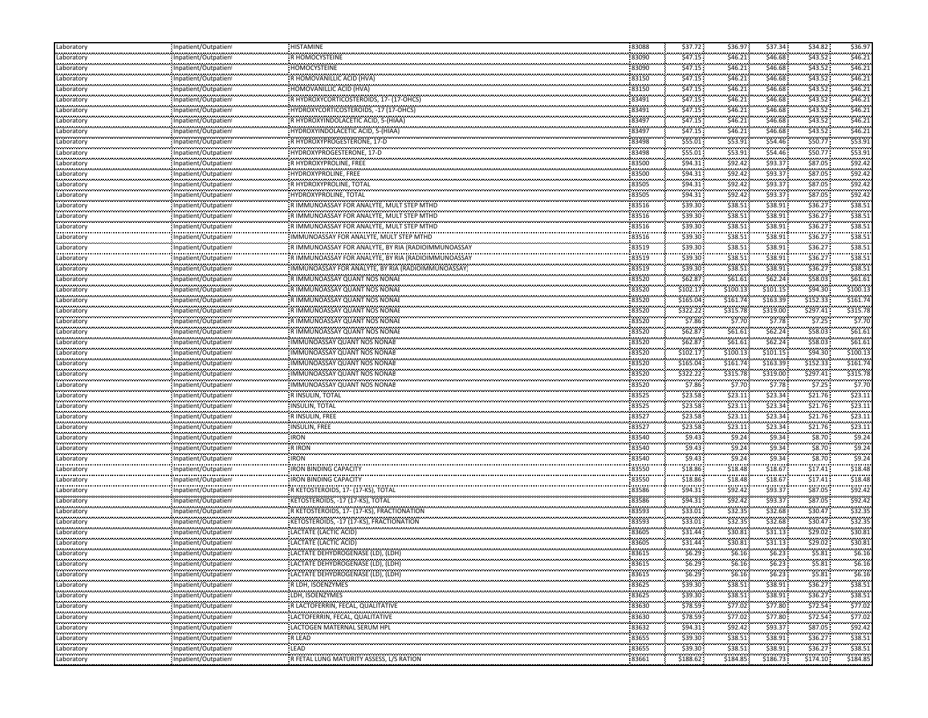| Laboratory                | Inpatient/Outpatient                                 | HISTAMINE                                                      | 83088                                | \$37.72                  | \$36.97                                       | \$37.34               | \$34.82                    | \$36.97      |
|---------------------------|------------------------------------------------------|----------------------------------------------------------------|--------------------------------------|--------------------------|-----------------------------------------------|-----------------------|----------------------------|--------------|
| Laboratory                | Inpatient/Outpatien                                  | R HOMOCYSTEINE                                                 | 83090                                | \$47.15                  | \$46.21                                       | \$46.68               | \$43.52                    | \$46.21      |
| <br>Laboratory            | Inpatient/Outpatien <sup>.</sup>                     | <br>HOMOCYSTEINE                                               | <br>83090                            | .<br>\$47.15             | <br>\$46.21                                   | .<br>\$46.68          | \$43.52                    | \$46.21      |
| <b></b><br>Laboratory     | Inpatient/Outpatien                                  | R HOMOVANILLIC ACID (HVA)                                      | 83150                                | \$47.15                  | \$46.21                                       | \$46.68               | \$43.52                    | \$46.21      |
| <br>Laboratory            | <br>Inpatient/Outpatient                             | HOMOVANILLIC ACID (HVA)                                        | <br>83150                            | .<br>\$47.15             | .<br>\$46.21                                  | .<br>\$46.68          | \$43.52\$                  | \$46.21      |
| ,,,,,,,,,,,<br>Laboratory | Inpatient/Outpatient                                 | R HYDROXYCORTICOSTEROIDS, 17- (17-OHCS)                        | 83491                                | \$47.15                  | \$46.21                                       | \$46.68               | \$43.52                    | \$46.21      |
| Laboratory                | Inpatient/Outpatien                                  | HYDROXYCORTICOSTEROIDS, -17 (17-OHCS)                          | 83491                                | \$47.15                  | \$46.21                                       | \$46.68               | \$43.52                    | \$46.21      |
| .<br>Laboratory           | .<br>                                                |                                                                | 83497                                | .<br>\$47.15             | <br>\$46.21                                   | \$46.68               | \$43.52                    | \$46.21      |
|                           | Inpatient/Outpatien <sup>.</sup><br>                 | R HYDROXYINDOLACETIC ACID, 5-(HIAA)                            |                                      | \$47.15                  | .                                             | .                     | \$43.52                    | \$46.2       |
| Laboratory<br>.           | npatient/Outpatien!                                  | HYDROXYINDOLACETIC ACID, 5-(HIAA)                              | 83497<br>                            | .                        | \$46.21<br>                                   | \$46.68<br>\$54.46    |                            | \$53.9       |
| Laboratory<br>            | Inpatient/Outpatien<br>                              | R HYDROXYPROGESTERONE, 17-D                                    | 83498<br>                            | \$55.01<br>\$55.01       | \$53.91<br>.                                  | \$54.46               | \$50.77<br>\$50.77         | \$53.9       |
| Laboratory<br><b></b>     | Inpatient/Outpatien                                  | HYDROXYPROGESTERONE, 17-D                                      | 83498<br>83500                       |                          | \$53.91                                       |                       | \$87.05                    | \$92.4       |
| Laboratory<br>.           | Inpatient/Outpatien                                  | R HYDROXYPROLINE, FREE                                         |                                      | \$94.31                  | \$92.42                                       | \$93.37               |                            |              |
| Laboratory<br>.           | Inpatient/Outpatient                                 | HYDROXYPROLINE, FREE                                           | 83500                                | \$94.31                  | \$92.42                                       | \$93.37               | \$87.05                    | \$92.4       |
| Laboratory<br>            | Inpatient/Outpatien<br>                              | R HYDROXYPROLINE, TOTAL                                        | 83505<br>                            | \$94.31<br>.             | \$92.42<br>.                                  | \$93.37<br>.          | \$87.05                    | \$92.42      |
| Laboratory<br>.           | Inpatient/Outpatien <sup>.</sup>                     | HYDROXYPROLINE, TOTAL                                          | 83505                                | \$94.31                  | \$92.42<br>                                   | \$93.37               | \$87.05                    | \$92.4       |
| Laboratory<br>            | Inpatient/Outpatien <sup>.</sup><br>                 | R IMMUNOASSAY FOR ANALYTE, MULT STEP MTHD                      | 83516<br>                            | \$39.30                  | \$38.51<br>.                                  | \$38.91               | \$36.27                    | \$38.5       |
| Laboratory<br>لمحدث محدث  | Inpatient/Outpatient                                 | R IMMUNOASSAY FOR ANALYTE, MULT STEP MTHD                      | 83516                                | \$39.30                  | \$38.51                                       | \$38.91               | \$36.27                    | \$38.5       |
| Laboratory                | Inpatient/Outpatien                                  | R IMMUNOASSAY FOR ANALYTE, MULT STEP MTHD                      | 83516                                | \$39.30                  | \$38.51                                       | \$38.91               | \$36.27                    | \$38.5       |
| <br>Laboratory            | npatient/Outpatien                                   | IMMUNOASSAY FOR ANALYTE, MULT STEP MTHD                        | <br>83516                            | \$39.30                  | .<br>\$38.51                                  | \$38.91               | \$36.27                    | \$38.5       |
| <br>Laboratory            | <br>Inpatient/Outpatien                              | R IMMUNOASSAY FOR ANALYTE, BY RIA (RADIOIMMUNOASSA)            | 83519                                | generation of<br>\$39.30 | <b><i><u>ALCOHOL: 2005</u></i></b><br>\$38.51 | \$38.91               | \$36.27                    | 538.5        |
| <br>Laboratory            | <br>Inpatient/Outpatien                              | R IMMUNOASSAY FOR ANALYTE, BY RIA (RADIOIMMUNOASSAY            | 83519                                | \$39.30                  | \$38.51                                       | \$38.91               | \$36.27                    | \$38.5       |
| Laboratory                | Inpatient/Outpatient                                 | IMMUNOASSAY FOR ANALYTE, BY RIA (RADIOIMMUNOASSAY)             | 83519                                | \$39.30                  | \$38.51                                       | \$38.91               | \$36.27                    | \$38.51      |
| Laboratory                | Inpatient/Outpatien                                  | R IMMUNOASSAY QUANT NOS NONAE                                  | 83520                                | \$62.87                  | \$61.61                                       | \$62.24               | \$58.03                    | \$61.6\$     |
| .<br>Laboratory           | Inpatient/Outpatien                                  | R IMMUNOASSAY QUANT NOS NONAE                                  | 83520                                | ,,,,,,,,,,,<br>\$102.17  | \$100.13                                      | \$101.15              | \$94.30                    | \$100.1      |
| <br>Laboratory            | <br>Inpatient/Outpatient                             | R IMMUNOASSAY QUANT NOS NONAE                                  | <br>83520                            | .<br>\$165.04            | \$161.74                                      | ,,,,,,,,,<br>\$163.39 | \$152.33                   | \$161.7      |
| .<br>Laboratory           | Inpatient/Outpatien                                  | R IMMUNOASSAY QUANT NOS NONAE                                  | 83520                                | \$322.22                 | \$315.78                                      | \$319.00              | \$297.41                   | \$315.78     |
| <br>Laboratory            | Inpatient/Outpatien                                  | R IMMUNOASSAY QUANT NOS NONAE                                  | <br>83520                            | <br>\$7.86               | \$7.70                                        | <br>\$7.78            | \$7.25                     | \$7.7        |
| .                         |                                                      |                                                                | 83520                                | <b>STATISTICS</b>        |                                               | .                     | .                          | \$61.6\$     |
| Laboratory<br>            | Inpatient/Outpatien                                  | R IMMUNOASSAY QUANT NOS NONAE<br>IMMUNOASSAY QUANT NOS NONAE   | 83520                                | \$62.87<br>\$62.87       | \$61.61<br>\$61.61                            | \$62.24<br>\$62.24    | \$58.03<br>\$58.03         | \$61.6\$     |
| Laboratory<br>محدسته      | Inpatient/Outpatient                                 |                                                                | 83520                                |                          | \$100.13                                      | \$101.15              | \$94.30                    | \$100.13     |
| Laboratory                | Inpatient/Outpatient                                 | IMMUNOASSAY QUANT NOS NONAE                                    | 83520                                | \$102.17<br>\$165.04     |                                               | \$163.39              | \$152.33                   | \$161.7      |
| Laboratory<br>.           | Inpatient/Outpatien                                  | IMMUNOASSAY QUANT NOS NONAE                                    | 83520                                | .                        | \$161.74<br>                                  |                       |                            | \$315.78     |
| Laboratory<br>            | Inpatient/Outpatien<br>                              | IMMUNOASSAY QUANT NOS NONAE                                    |                                      | \$322.22                 | \$315.78                                      | \$319.00              | \$297.41                   |              |
| Laboratory<br>.           | Inpatient/Outpatient                                 | IMMUNOASSAY QUANT NOS NONAE                                    | 83520                                | \$7.86                   | \$7.70                                        | \$7.78                | \$7.25                     | \$7.7        |
| Laboratory<br>            | Inpatient/Outpatien                                  | R INSULIN, TOTAL<br>                                           | 83525<br>                            | \$23.58<br>.             | \$23.11<br>                                   | \$23.34<br>.          | \$21.76                    | \$23.1       |
| Laboratory<br>.           | Inpatient/Outpatien <sup>.</sup>                     | <b>INSULIN, TOTAL</b>                                          | 83525                                | \$23.58                  | \$23.11<br>.                                  | \$23.34               | \$21.76                    | \$23.1       |
| Laboratory<br>            | Inpatient/Outpatien<br>                              | R INSULIN, FREE<br>.                                           | 83527<br>                            | \$23.58                  | \$23.11<br>.                                  | \$23.34<br>.          | \$21.76                    | 523.1        |
| Laboratory                | Inpatient/Outpatient                                 | INSULIN, FREE                                                  | 83527                                | \$23.58                  | \$23.11                                       | \$23.34               | \$21.76                    | \$23.1       |
| محدسته<br>Laboratory      | Inpatient/Outpatien                                  | محمدت<br>. IRON                                                | 83540                                | \$9.43                   | \$9.24                                        | \$9.34                | \$8.70                     | \$9.2        |
| Laboratory                | Inpatient/Outpatien                                  | <b>RIRON</b>                                                   | 83540                                | \$9.43                   | \$9.24                                        | \$9.34                | \$8.70                     | \$9.24       |
| .<br>Laboratory           | Inpatient/Outpatien <sup>.</sup>                     | 6.<br><b>IRON</b>                                              | 83540                                | 1,000,000<br>\$9.43      | <br>\$9.24                                    | \$9.34                | \$8.70                     | \$9.2        |
| <br>Laboratory            | <br>npatient/Outpatien                               | <b>IRON BINDING CAPACITY</b>                                   | <br>83550                            | \$18.86                  | , , , , , , , , ,<br>\$18.48                  | ,,,,,,,,,<br>\$18.67  | \$17.41                    | \$18.48      |
| .<br>Laboratory           | Inpatient/Outpatien                                  | ,,,,,,,,,,,,,,,,,,,,,,,,,,,,,,<br><b>IRON BINDING CAPACITY</b> | 83550                                | .<br>\$18.86             | .<br>\$18.48                                  | <br>\$18.67           | \$17.41                    | \$18.48      |
| <br>Laboratory            | <br>Inpatient/Outpatien                              | -R KETOSTEROIDS, 17- (17-KS), TOTAL                            | <br>83586                            | .<br>\$94.31             | .<br>\$92.42                                  | .<br>\$93.37          | \$87.05                    | \$92.4       |
| <b></b><br>Laboratory     | Inpatient/Outpatien                                  | KETOSTEROIDS, -17 (17-KS), TOTAL                               | 83586                                | \$94.31                  | \$92.42                                       | \$93.37               | \$87.05                    | \$92.4       |
| .<br>Laboratory           | Inpatient/Outpatient                                 | R KETOSTEROIDS, 17- (17-KS), FRACTIONATION                     | 83593                                | \$33.01                  | \$32.35                                       | \$32.68               | \$30.47                    | \$32.35      |
| لمحدث محدث<br>Laboratory  | Inpatient/Outpatien                                  | KETOSTEROIDS, -17 (17-KS), FRACTIONATION                       | 83593                                | \$33.01                  | \$32.35                                       | \$32.68               | \$30.47                    | \$32.35      |
| <br>Laboratory            | .<br>npatient/Outpatien                              | LACTATE (LACTIC ACID)                                          | <br>83605                            | .<br>\$31.44             | .<br>\$30.81                                  | .<br>\$31.13          | \$29.02                    | \$30.81      |
| .<br>aboratory            | <br>npatient/Outpatien                               | ,,,,,,,,,,,,,,,,,,,,,,,,,,,,,<br>LACTATE (LACTIC ACID)         | <b><i><u>ARREST</u></i></b><br>83605 | .<br>\$31.44             | .<br>\$30.81                                  | <br>\$31.13           | <br>\$29.02                | \$30.8       |
|                           |                                                      | LACTATE DEHYDROGENASE (LD), (LDH)                              | <br>83615                            | <br>\$6.29               | .<br>\$6.16                                   | .                     | \$5.81                     | \$6.16       |
| Laboratory<br>Laboratory  | npatient/Outpatien!                                  | LACTATE DEHYDROGENASE (LD), (LDH)                              | .                                    | .                        |                                               | Ş6.23                 |                            | \$6.16       |
| Laboratory                | Inpatient/Outpatien                                  |                                                                | 83615<br>6.                          | \$6.29<br>.              | \$6.16<br>\$6.16                              | \$6.23<br>            | \$5.81<br>\$5.81           | \$6.16       |
| Laboratory                | Inpatient/Outpatient                                 | LACTATE DEHYDROGENASE (LD), (LDH)                              | 83615<br>.                           | \$6.29                   |                                               | \$6.23                | <b>Services</b>            |              |
| .                         | Inpatient/Outpatien                                  | R LDH, ISOENZYMES<br>LDH, ISOENZYMES                           | 83625                                | \$39.30                  | \$38.51                                       | \$38.91               | \$36.27                    | \$38.51      |
| Laboratory<br>.           | Inpatient/Outpatient                                 |                                                                | 83625<br>,,,,,,,,,,,                 | \$39.30                  | \$38.51                                       | \$38.91               | \$36.27                    | \$38.51      |
| Laboratory                | Inpatient/Outpatient<br>                             | R LACTOFERRIN, FECAL, QUALITATIVE                              | 83630<br>.                           | \$78.59                  | \$77.02<br>                                   | \$77.80<br>.          | \$72.54                    | \$77.02<br>. |
| Laboratory                | Inpatient/Outpatient<br>,,,,,,,,,,,,,,,,,,,,,,,,,,,, | LACTOFERRIN, FECAL, QUALITATIVE                                | 83630                                | \$78.59                  | \$77.02<br>.                                  | \$77.80<br>           | \$72.54<br><b>ALCOHOL:</b> | \$77.0<br>.  |
| Laboratory<br>            | Inpatient/Outpatient<br>                             | LACTOGEN MATERNAL SERUM HPL                                    | 83632<br>,,,,,,,,,,                  | \$94.31                  | \$92.42<br>.                                  | \$93.37<br>.          | \$87.05<br>                | \$92.42<br>. |
| Laboratory<br>.           | Inpatient/Outpatien!                                 | R LEAD<br>.                                                    | 83655                                | \$39.30                  | \$38.51                                       | \$38.91               | \$36.27                    | \$38.51      |
| Laboratory                | Inpatient/Outpatient                                 | : LEAD                                                         | .<br>83655                           | .<br>\$39.30             | .<br>\$38.51                                  | .<br>\$38.91          | against the<br>\$36.27     | .<br>\$38.51 |
| Laboratory                | Inpatient/Outpatient                                 | R FETAL LUNG MATURITY ASSESS, L/S RATION                       | ,,,,,,,,,,,<br>83661                 | .<br>\$188.62            | .<br>\$184.85                                 | .<br>\$186.73         | \$174.10                   | \$184.85     |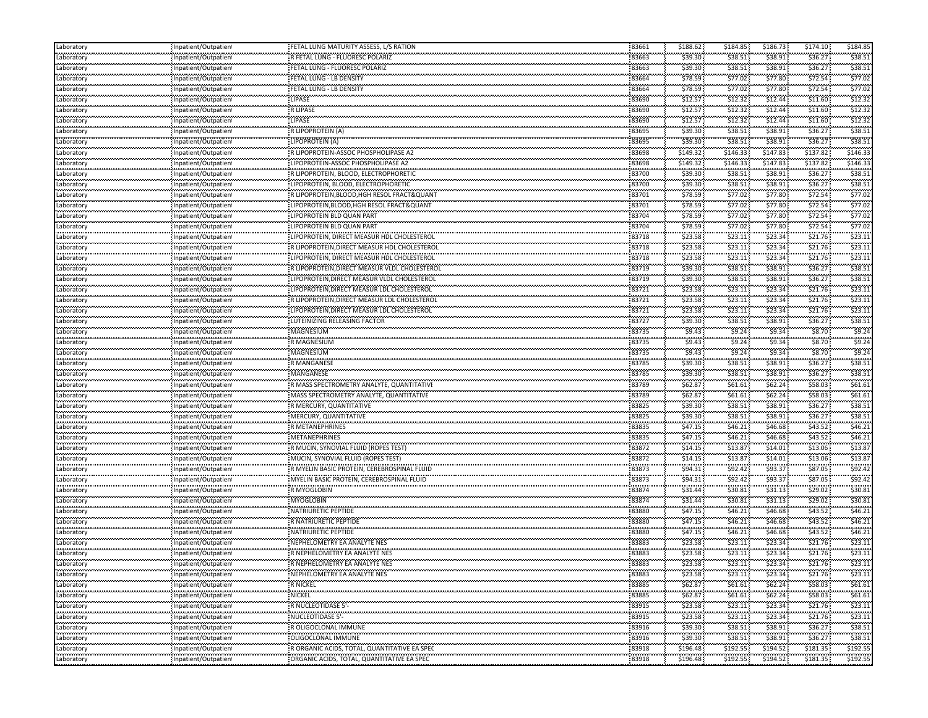| Laboratory            | Inpatient/Outpatient                             | FETAL LUNG MATURITY ASSESS, L/S RATION                 | 83661          | \$188.62              | \$184.85              | \$186.73               | \$174.10                          | \$184.85            |
|-----------------------|--------------------------------------------------|--------------------------------------------------------|----------------|-----------------------|-----------------------|------------------------|-----------------------------------|---------------------|
| Laboratory            | Inpatient/Outpatien                              | R FETAL LUNG - FLUORESC POLARIZ                        | 83663          | \$39.30               | \$38.51               | \$38.91                | \$36.27                           | \$38.51             |
| <br>Laboratory        | Inpatient/Outpatien                              | FETAL LUNG - FLUORESC POLARIZ                          | 83663          | \$39.30               | \$38.51               | \$38.91                | \$36.27                           | \$38.5              |
| وموجوده<br>Laboratory | Inpatient/Outpatient                             | FETAL LUNG - LB DENSITY                                | 83664          | \$78.59               | \$77.02               | \$77.80                | \$72.54                           | \$77.0              |
| <br>Laboratory        | <br>Inpatient/Outpatient                         | <br>FETAL LUNG - LB DENSITY                            | 83664          | \$78.59               | .<br>\$77.02          | \$77.80                | \$72.54                           | \$77.0              |
| Laboratory            | Inpatient/Outpatient                             | : LIPASE                                               | 83690          | \$12.57               | \$12.32               | \$12.44                | \$11.60                           | \$12.3              |
| Laboratory            | Inpatient/Outpatient                             | R LIPASE                                               | 83690          | \$12.57               | \$12.32               | \$12.44                | \$11.60                           | \$12.3              |
| <br>Laboratory        | ,,,,,,,,,,,,,,,,,,,,,,,,,<br>npatient/Outpatien  | .<br>LIPASE                                            | 83690          | \$12.57               | \$12.32               | \$12.44                | \$11.60                           | \$12.3              |
| <br>Laboratory        | <br>Inpatient/Outpatien!                         | R LIPOPROTEIN (A)                                      | 83695          | \$39.30               | \$38.51               | \$38.91                | \$36.27                           | \$38.5              |
| .<br>Laboratory       | ,,,,,,,,,,,,,,,,,,,,,,,,,<br>Inpatient/Outpatien | LIPOPROTEIN (A)                                        | 83695          | \$39.30               | \$38.51               | \$38.91                | \$36.27                           | \$38.5              |
| <br>Laboratory        | <br>Inpatient/Outpatien                          | R LIPOPROTEIN-ASSOC PHOSPHOLIPASE A                    | 83698          | ,,,,,,,,,<br>\$149.32 | ,,,,,,,,,<br>\$146.33 | ,,,,,,,,,<br>\$147.83  | \$137.82                          | ,,,,,,,,<br>\$146.3 |
| .<br>Laboratory       | Inpatient/Outpatient                             | LIPOPROTEIN-ASSOC PHOSPHOLIPASE A2                     | 83698          | ,,,,,,,,,<br>\$149.32 | \$146.33              | \$147.83               | \$137.82                          | \$146.3             |
| .<br>Laboratory       | Inpatient/Outpatient                             | R LIPOPROTEIN, BLOOD, ELECTROPHORETIC                  | 83700          | \$39.30               | \$38.51               | \$38.91                | \$36.27                           | \$38.5              |
| Laboratory            | Inpatient/Outpatient                             | LIPOPROTEIN, BLOOD, ELECTROPHORETIC                    | 83700          | \$39.30               | \$38.51               | \$38.91                | \$36.27                           | \$38.5              |
| <br>Laboratory        | Inpatient/Outpatien                              | R LIPOPROTEIN, BLOOD, HGH RESOL FRACT& QUANT           | 83701          | \$78.59               | \$77.02               | \$77.80                | \$72.54                           | \$77.0              |
| .<br>Laboratory       | <br>npatient/Outpatien                           | LIPOPROTEIN, BLOOD, HGH RESOL FRACT&QUANT              | .<br>83701     | \$78.59               | .<br>\$77.02          | \$77.80                | \$72.54                           | \$77.0              |
|                       | Inpatient/Outpatien                              | LIPOPROTEIN BLD QUAN PART                              | 83704          | \$78.59               | <br>\$77.02           | \$77.80                | \$72.54                           | \$77.0              |
| Laboratory            |                                                  | LIPOPROTEIN BLD QUAN PART                              | 83704          | \$78.59               | \$77.02               | \$77.80                | \$72.54                           | \$77.02             |
| Laboratory<br>        | Inpatient/Outpatient                             |                                                        |                | .                     | \$23.11               | \$23.34                | \$21.76                           | \$23.1              |
| Laboratory<br>        | Inpatient/Outpatien<br>                          | LIPOPROTEIN, DIRECT MEASUR HDL CHOLESTERO              | 83718<br>83718 | \$23.58<br>\$23.58    | \$23.11               | \$23.34                | \$21.76                           | \$23.1              |
| Laboratory<br>        | Inpatient/Outpatien                              | R LIPOPROTEIN, DIRECT MEASUR HDL CHOLESTEROI           |                | .                     | \$23.11               | \$23.34                | \$21.76                           | \$23.1              |
| Laboratory            | Inpatient/Outpatien                              | LIPOPROTEIN, DIRECT MEASUR HDL CHOLESTEROL             | 83718          | \$23.58               |                       |                        |                                   |                     |
| Laboratory            | Inpatient/Outpatien                              | R LIPOPROTEIN, DIRECT MEASUR VLDL CHOLESTERO           | 83719          | \$39.30               | \$38.51               | \$38.91                | \$36.27                           | \$38.51             |
| Laboratory<br>        | Inpatient/Outpatient<br>                         | LIPOPROTEIN, DIRECT MEASUR VLDL CHOLESTEROL            | 83719<br>.     | \$39.30<br>\$23.58    | \$38.51<br>\$23.11    | \$38.91<br>\$23.34     | \$36.27<br>\$21.76                | \$38.5<br>\$23.1    |
| Laboratory<br>        | Inpatient/Outpatien                              | LIPOPROTEIN, DIRECT MEASUR LDL CHOLESTEROL             | 83721          |                       |                       |                        |                                   |                     |
| Laboratory            | Inpatient/Outpatien                              | R LIPOPROTEIN, DIRECT MEASUR LDL CHOLESTEROL           | 83721          | \$23.58               | \$23.11               | \$23.34                | \$21.76                           | \$23.1              |
| Laboratory<br>        | Inpatient/Outpatient                             | LIPOPROTEIN, DIRECT MEASUR LDL CHOLESTEROL             | 83721          | \$23.58               | \$23.11               | \$23.34                | \$21.76                           | \$23.1              |
| Laboratory<br>.       | Inpatient/Outpatien                              | LUTEINIZING RELEASING FACTOR                           | 83727          | \$39.30               | \$38.51               | \$38.91                | \$36.27                           | \$38.5              |
| Laboratory<br>        | Inpatient/Outpatient                             | MAGNESIUM<br>                                          | 83735          | \$9.43<br>.           | \$9.24                | \$9.34<br>.            | \$8.70                            | \$9.2               |
| Laboratory            | Inpatient/Outpatien                              | R MAGNESIUM                                            | 83735          | \$9.43                | \$9.24                | \$9.34                 | \$8.70                            | \$9.2               |
| Laboratory            | Inpatient/Outpatient                             | MAGNESIUM                                              | 83735          | \$9.43                | \$9.24                | \$9.34                 | \$8.70                            | \$9.24              |
| Laboratory            | Inpatient/Outpatient                             | <b>R MANGANESE</b>                                     | 83785          | \$39.30               | \$38.51               | \$38.91                | \$36.27                           | \$38.5              |
| <br>Laboratory        | <br>Inpatient/Outpatien                          | MANGANESE                                              | 83785          | \$39.30               | \$38.51               | \$38.91                | \$36.27                           | \$38.5              |
| <br>Laboratory        | <br>Inpatient/Outpatient                         | R MASS SPECTROMETRY ANALYTE, QUANTITATIVE              | 83789          | .<br>\$62.87          | \$61.61               | \$62.24                | \$58.03                           | \$61.6              |
| Laboratory            | Inpatient/Outpatien                              | MASS SPECTROMETRY ANALYTE, QUANTITATIVE                | 83789          | \$62.87               | \$61.61               | \$62.24                | \$58.03                           | \$61.61             |
| <br>Laboratory        | <br>Inpatient/Outpatient                         | R MERCURY, QUANTITATIVE                                | 83825          | \$39.30               | \$38.51               | \$38.91                | \$36.27                           | \$38.5              |
| .<br>Laboratory       | Inpatient/Outpatient                             | MERCURY, QUANTITATIVE                                  | 83825          | \$39.30               | \$38.51               | \$38.91                | \$36.27                           | \$38.5              |
| <br>Laboratory        | Inpatient/Outpatien                              | R METANEPHRINES                                        | 83835          | .<br>\$47.15          | .<br>\$46.21          | .<br>\$46.68           | \$43.52                           | \$46.2              |
| Laboratory            | Inpatient/Outpatient                             | <b>METANEPHRINES</b>                                   | 83835          | \$47.15               | \$46.21               | \$46.68                | \$43.52                           | \$46.21             |
| Laboratory            | Inpatient/Outpatien                              | R MUCIN, SYNOVIAL FLUID (ROPES TEST)                   | 83872          | \$14.15               | \$13.87               | \$14.01                | \$13.06                           | \$13.8              |
| .<br>Laboratory       | <br>npatient/Outpatien                           | MUCIN, SYNOVIAL FLUID (ROPES TEST)                     | 83872          | \$14.15               | \$13.87               | \$14.01                | \$13.06                           | \$13.8              |
| <br>Laboratory        | <br>Inpatient/Outpatien                          | R MYELIN BASIC PROTEIN, CEREBROSPINAL FLUID            | <br>83873      | \$94.31               | \$92.42               | \$93.37                | \$87.05                           | \$92.4              |
| .<br>Laboratory       | ,,,,,,,,,,,,,,,,,,,,,,,,,<br>Inpatient/Outpatien | MYELIN BASIC PROTEIN, CEREBROSPINAL FLUID              | 83873          | \$94.31               | .<br>\$92.42          | \$93.37                | \$87.05                           | \$92.4              |
| <br>Laboratory        | <br>Inpatient/Outpatient                         | R MYOGLOBIN                                            | 83874          | \$31.44               | .<br>\$30.81          | \$31.13                | \$29.02                           | \$30.8              |
| .<br>Laboratory       | Inpatient/Outpatient                             | .<br><b>MYOGLOBIN</b>                                  | 83874          | \$31.44               | \$30.81               | \$31.13                | \$29.02                           | \$30.8              |
| .<br>Laboratory       | Inpatient/Outpatient                             | NATRIURETIC PEPTIDE                                    | 83880          | \$47.15               | \$46.21               | \$46.68                | \$43.52                           | \$46.2              |
| Laboratory            | Inpatient/Outpatient                             | R NATRIURETIC PEPTIDE                                  | 83880          | \$47.15               | \$46.21               | \$46.68                | \$43.52                           | \$46.21             |
| <br>Laboratory        | <br>Inpatient/Outpatien <sup>.</sup>             | NATRIURETIC PEPTIDE                                    | 83880          | .<br>\$47.15          | .<br>\$46.21          | .<br>\$46.68           | \$43.52                           | \$46.2              |
| .<br>Laboratory       | ,,,,,,,,,,,,,,,,,,,,,,,,,<br>npatient/Outpatien  | NEPHELOMETRY EA ANALYTE NES                            | 83883          | \$23.58               | \$23.11               | \$23.34                | \$21.76                           | \$23.1              |
| <br>Laboratory        | <br>Inpatient/Outpatien                          | R NEPHELOMETRY EA ANALYTE NES                          | 83883          | .<br>\$23.58          | <br>\$23.11           | .<br>\$23.34           | \$21.76                           | \$23.1              |
| .<br>Laboratory       | Inpatient/Outpatien                              | R NEPHELOMETRY EA ANALYTE NES                          | 83883          | \$23.58               | \$23.11               | \$23.34                | \$21.76                           | \$23.11             |
| .<br>Laboratory       | <br>Inpatient/Outpatient                         | NEPHELOMETRY EA ANALYTE NES                            | 83883          | \$23.58               | <br>\$23.11           | .<br>\$23.34           | .<br>\$21.76                      | \$23.11             |
| .<br>Laboratory       | Inpatient/Outpatient                             | <b>R NICKEL</b>                                        | 83885          | \$62.87               | .<br>\$61.61          | \$62.24\$              | <b>Agency Control</b><br>\$58.03: | \$61.61             |
| .<br>Laboratory       | Inpatient/Outpatient                             | .<br><b>NICKEL</b>                                     | 83885          | \$62.87               | \$61.61               | \$62.24                | \$58.03                           | \$61.6\$            |
| Laboratory            | Inpatient/Outpatient                             | <b>R NUCLEOTIDASE 5'</b>                               | 83915          | \$23.58               | \$23.11               | \$23.34                | \$21.76                           | \$23.11             |
| .                     | Inpatient/Outpatient                             | NUCLEOTIDASE 5'-                                       | 83915          | \$23.58               | \$23.11               | \$23.34                | \$21.76                           | .<br>\$23.1         |
| Laboratory<br>.       |                                                  |                                                        | 83916          | \$39.30               | .                     | \$38.91                |                                   | \$38.51             |
| Laboratory<br>        | Inpatient/Outpatient<br>                         | R OLIGOCLONAL IMMUNE<br>                               | .<br>83916     | \$39.30               | \$38.51<br>\$38.51    | .<br>\$38.91           | \$36.27<br>                       | .                   |
| Laboratory<br>.       | Inpatient/Outpatient                             | OLIGOCLONAL IMMUNE<br>,,,,,,,,,,,,,,,,,,,,,,,,,,,,,,,, | 83918          | \$196.48              | \$192.55              | .                      | \$36.27<br>.                      | \$38.5<br>\$192.55  |
| Laboratory<br>        | Inpatient/Outpatient                             | R ORGANIC ACIDS, TOTAL, QUANTITATIVE EA SPEC           | ,,,,,,,,,      |                       | .                     | \$194.52<br>,,,,,,,,,, | \$181.35<br>,,,,,,,,,,,,          |                     |
| Laboratory            | Inpatient/Outpatient                             | ORGANIC ACIDS, TOTAL, QUANTITATIVE EA SPEC             | 83918          | \$196.48              | \$192.55              | \$194.52               | \$181.35                          | \$192.55            |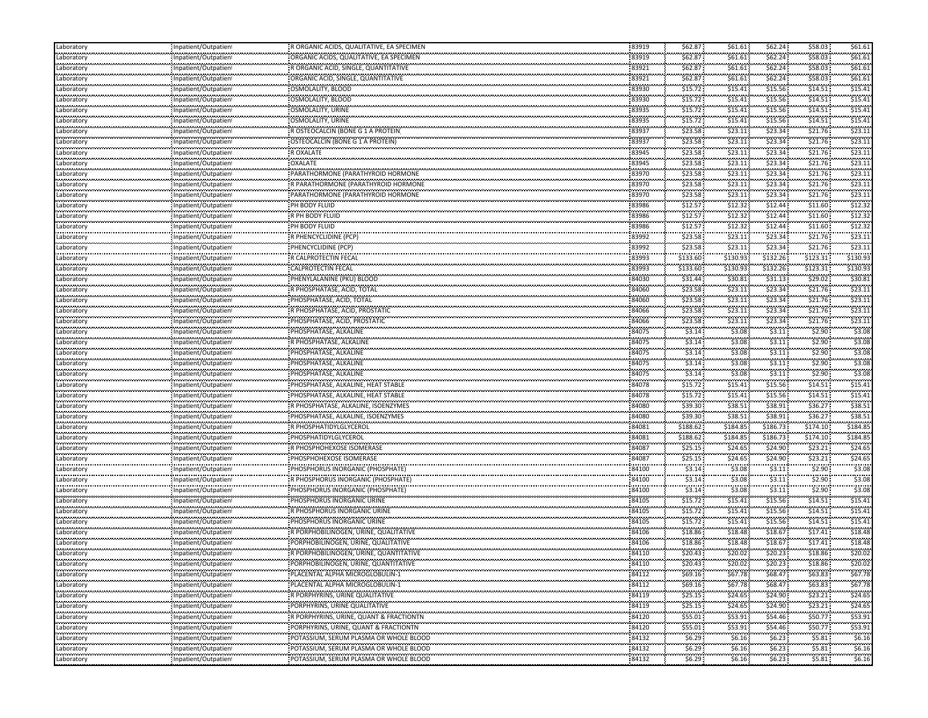| \$62.24<br>\$61.61<br>83919<br>\$62.87<br>\$61.61<br>ORGANIC ACIDS, QUALITATIVE, EA SPECIMEN<br>Laboratory<br>Inpatient/Outpatient<br>.<br>83921<br>\$62.24<br>\$58.03<br>\$62.87<br>\$61.61<br>\$61.61<br>R ORGANIC ACID, SINGLE, QUANTITATIVE<br>Inpatient/Outpatien!<br>Laboratory<br>.<br>83921<br>\$62.24<br>\$62.87<br>\$58.03<br>\$61.61<br>ORGANIC ACID, SINGLE, QUANTITATIVE<br>\$61.61<br>Laboratory<br>Inpatient/Outpatient<br>.<br>83930<br>\$15.56<br>\$15.41<br>Inpatient/Outpatient<br>\$15.72<br>\$15.41<br>\$14.51<br>OSMOLALITY, BLOOD<br>Laboratory<br>\$14.51<br>\$15.41<br>\$15.56<br>: OSMOLALITY, BLOOD<br>83930<br>\$15.72<br>\$15.41<br>Laboratory<br>Inpatient/Outpatient<br>\$15.41<br>\$15.56<br>\$14.51<br>83935<br>\$15.72<br>\$15.41<br>OSMOLALITY, URINE<br>Laboratory<br>Inpatient/Outpatient<br>83935<br>Laboratory<br>\$15.72<br>\$15.56<br>\$14.51<br>\$15.41<br>\$15.41<br>OSMOLALITY, URINE<br>Inpatient/Outpatient<br>.<br>83937<br>\$23.34<br>\$23.11<br>\$23.58<br>\$23.11<br>\$21.76<br>R OSTEOCALCIN (BONE G 1 A PROTEIN<br>Inpatient/Outpatient<br>Laboratory<br>متونسيه<br>83937<br>\$23.58<br>\$23.34<br>\$21.76<br>\$23.1<br>\$23.11<br>OSTEOCALCIN (BONE G 1 A PROTEIN)<br>Inpatient/Outpatient<br>Laboratory<br>.<br>83945<br>\$23.58<br>\$23.11<br>\$23.34<br>\$23.11<br>\$21.76<br>Inpatient/Outpatient<br>R OXALATE<br>Laboratory<br>83945<br>\$23.11<br>\$21.76<br>\$23.58<br>OXALATE<br>\$23.11<br>\$23.34<br>Laboratory<br>Inpatient/Outpatient<br>Laboratory<br>\$23.34<br>\$21.76<br>\$23.11<br>83970<br>\$23.58<br>\$23.11<br>Inpatient/Outpatient<br>PARATHORMONE (PARATHYROID HORMONE<br>\$21.76<br>\$23.11<br>\$23.34<br>\$23.58<br>\$23.11<br>83970<br>R PARATHORMONE (PARATHYROID HORMONE<br>Laboratory<br>Inpatient/Outpatient<br>.<br>\$23.34<br>\$23.11<br>83970<br>\$23.58<br>\$23.11<br>\$21.76<br>Inpatient/Outpatient<br>PARATHORMONE (PARATHYROID HORMONE<br>Laboratory<br>بمعودهم<br>83986<br>\$12.57<br>\$12.32<br>\$12.44<br>\$11.60<br>\$12.32<br>PH BODY FLUID<br>Inpatient/Outpatient<br>Laboratory<br>.<br>83986<br>\$12.57<br>\$12.32<br>\$12.44<br>\$12.32<br>\$11.60<br>R PH BODY FLUID<br>Inpatient/Outpatient<br>Laboratory<br>\$11.60<br>\$12.32<br>\$12.44<br>\$12.57<br>\$12.32<br>PH BODY FLUID<br>83986<br>Laboratory<br>Inpatient/Outpatient<br>.<br>83992<br>\$23.34<br>\$21.76<br>\$23.11<br>\$23.58<br>\$23.11<br>Inpatient/Outpatient<br>R PHENCYCLIDINE (PCP)<br>Laboratory<br>83992<br>\$23.1<br>\$21.76<br>\$23.58<br>\$23.11<br>\$23.34<br>PHENCYCLIDINE (PCP)<br>Laboratory<br>Inpatient/Outpatient<br>.<br>83993<br>\$132.26<br>\$130.93<br>\$133.60<br>\$130.93<br>\$123.31<br>R CALPROTECTIN FECAL<br>Inpatient/Outpatien!<br>Laboratory<br>\$132.26<br>\$130.93<br>\$123.31<br>83993<br>\$133.60<br>\$130.93<br><b>CALPROTECTIN FECAL</b><br>Laboratory<br>Inpatient/Outpatient<br>\$29.02<br>\$30.81<br>\$31.44<br>\$30.81<br>\$31.13<br>PHENYLALANINE (PKU) BLOOD<br>84030<br>Laboratory<br>Inpatient/Outpatient<br>Laboratory<br>84060<br>\$23.58<br>\$23.34<br>\$21.76<br>\$23.11<br>\$23.1<br>R PHOSPHATASE, ACID, TOTAL<br>Inpatient/Outpatient<br>.<br>84060<br>\$23.58<br>\$23.11<br>\$23.34<br>\$21.76<br>\$23.11<br>PHOSPHATASE, ACID, TOTAL<br>Inpatient/Outpatient<br>Laboratory<br>\$21.76<br>\$23.11<br>\$23.34<br>\$23.58<br>\$23.11<br>R PHOSPHATASE, ACID, PROSTATIC<br>84066<br>Laboratory<br>Inpatient/Outpatient<br>.<br>84066<br>\$23.11<br>Inpatient/Outpatient<br>\$23.58<br>\$23.11<br>\$23.34<br>\$21.76<br>PHOSPHATASE, ACID, PROSTATIC<br>Laboratory<br><br>84075<br>\$3.14<br>\$3.08<br>\$3.11<br>\$2.90<br>\$3.08<br>Laboratory<br>PHOSPHATASE, ALKALINE<br>Inpatient/Outpatient<br>.<br>84075<br>\$3.08<br>\$3.14<br>\$3.08<br>\$3.11<br>\$2.90<br>R PHOSPHATASE, ALKALINE<br>Inpatient/Outpatient<br>Laboratory<br>\$3.08<br>\$3.11<br>\$2.90<br>\$3.14<br>84075<br>\$3.08<br>PHOSPHATASE, ALKALINE<br>Laboratory<br>Inpatient/Outpatient<br>\$3.08<br>\$2.90<br>\$3.14<br>\$3.08<br>\$3.11<br>PHOSPHATASE, ALKALINE<br>84075<br>Laboratory<br>Inpatient/Outpatient<br>Laboratory<br>84075<br>\$3.14<br>\$3.11<br>\$2.90<br>\$3.08<br>\$3.08<br>PHOSPHATASE, ALKALINE<br>Inpatient/Outpatient<br>.<br>84078<br>\$15.56<br>\$15.72<br>\$15.41<br>\$14.51<br>\$15.41<br>PHOSPHATASE, ALKALINE, HEAT STABLE<br>Inpatient/Outpatient<br>Laboratory<br>\$15.56<br>\$15.41<br>\$14.51<br>\$15.72<br>PHOSPHATASE, ALKALINE, HEAT STABLE<br>84078<br>\$15.41<br>Laboratory<br>Inpatient/Outpatient<br>.<br>84080<br>\$38.91<br>\$38.5<br>Inpatient/Outpatient<br>\$39.30<br>\$38.51<br>\$36.27<br>R PHOSPHATASE, ALKALINE, ISOENZYMES<br>Laboratory<br>.<br>84080<br>\$39.30<br>\$38.91<br>\$36.27<br>\$38.51<br>PHOSPHATASE, ALKALINE, ISOENZYMES<br>\$38.51<br>Laboratory<br>Inpatient/Outpatient<br>.<br>84081<br>\$184.85<br>\$184.85<br>\$188.62<br>\$186.73<br>\$174.10<br>R PHOSPHATIDYLGLYCEROL<br>Inpatient/Outpatient<br>Laboratory<br>\$174.10<br>\$184.85<br>\$184.85<br>\$186.73<br><b>PHOSPHATIDYLGLYCEROL</b><br>84081<br>\$188.62<br>Laboratory<br>Inpatient/Outpatient<br>\$23.21<br>\$24.90<br>\$24.65<br>\$25.15<br>\$24.65<br>R PHOSPHOHEXOSE ISOMERASE<br>84087<br>Laboratory<br>Inpatient/Outpatient<br>Laboratory<br>84087<br>\$25.15<br>\$24.90<br>\$23.21<br>\$24.65<br>\$24.65<br>PHOSPHOHEXOSE ISOMERASE<br>Inpatient/Outpatient<br>.<br>84100<br>\$3.14<br>\$3.08<br>\$3.08<br>\$3.11<br>\$2.90<br>PHOSPHORUS INORGANIC (PHOSPHATE)<br>Inpatient/Outpatient<br>Laboratory<br>,,,,,,,,,,<br>84100<br>\$3.14<br>\$3.11<br>\$3.08<br>\$3.08<br>\$2.90<br>Inpatient/Outpatient<br>R PHOSPHORUS INORGANIC (PHOSPHATE)<br>Laboratory<br>.<br>\$3.11<br>\$3.08<br>\$3.14<br>\$3.08<br>\$2.90<br>84100<br>Inpatient/Outpatient<br>PHOSPHORUS INORGANIC (PHOSPHATE)<br>Laboratory<br>.<br>84105<br>\$15.56<br>\$14.51<br>\$15.41<br>PHOSPHORUS INORGANIC URINE<br>\$15.72<br>\$15.41<br>Laboratory<br>Inpatient/Outpatient<br>.<br>Laboratory<br>\$15.56<br>\$15.41<br>84105<br>\$14.51<br>\$15.72<br>\$15.41<br>Inpatient/Outpatient<br>R PHOSPHORUS INORGANIC URINE<br>\$15.41<br>\$14.51<br>\$15.56<br>PHOSPHORUS INORGANIC URINE<br>84105<br>\$15.72<br>\$15.41<br>Laboratory<br>Inpatient/Outpatient<br>.<br>\$18.48<br>84106<br>\$18.48<br>\$18.67<br>\$18.86<br>\$17.41<br>R PORPHOBILINOGEN, URINE, QUALITATIVE<br>Inpatient/Outpatient<br>Laboratory<br>بمعودهم<br>84106<br>\$18.86<br>\$18.67<br>\$17.41<br>\$18.48<br>\$18.48<br>PORPHOBILINOGEN, URINE, QUALITATIVE<br>Inpatient/Outpatient<br>Laboratory<br>.<br>\$20.23<br>\$20.02<br>\$20.02<br>\$20.43<br>\$18.86<br>R PORPHOBILINOGEN, URINE, QUANTITATIVE<br>84110<br>Inpatient/Outpatien!<br>Laboratory<br>.<br>Laboratory<br>Inpatient/Outpatient<br>\$18.86<br>84110<br>\$20.43<br>\$20.02<br>\$20.23<br>\$20.02<br>PORPHOBILINOGEN, URINE, QUANTITATIVE<br>.<br>PLACENTAL ALPHA MICROGLOBULIN-1<br>84112<br>\$69.16<br>\$68.47<br>\$63.83<br>\$67.78<br>\$67.78<br>Inpatient/Outpatient<br>Laboratory<br>.<br>84112<br>\$63.83<br>\$69.16<br>\$67.78<br>\$67.78<br>\$68.47<br>Laboratory<br>Inpatient/Outpatient<br>PLACENTAL ALPHA MICROGLOBULIN-1<br>Laboratory<br>Inpatient/Outpatient<br>84119<br>\$23.21<br>\$24.65<br>\$25.15<br>\$24.65<br>\$24.90<br>R PORPHYRINS, URINE QUALITATIVE<br>84119<br>\$25.15<br>\$23.21<br>\$24.65<br>Laboratory<br>\$24.90<br>\$24.65<br>PORPHYRINS, URINE QUALITATIVE<br>Inpatient/Outpatient<br>.<br>Laboratory<br>Inpatient/Outpatient<br>84120<br>\$55.01<br>\$53.91<br>\$54.46<br>\$50.77<br>\$53.91<br>R PORPHYRINS, URINE, QUANT & FRACTIONTN<br>.<br>Laboratory<br>Inpatient/Outpatient<br>84120<br>\$55.01<br>\$54.46<br>\$50.77<br>\$53.91<br>\$53.91<br>.<br>Laboratory<br>nin<br>Inpatient/Outpatient<br>84132<br>\$6.29<br>\$6.16<br>\$6.16<br>\$6.23<br>\$5.81<br>.<br>Laboratory<br>Inpatient/Outpatient<br>84132<br>POTASSIUM, SERUM PLASMA OR WHOLE BLOOD<br>\$6.29<br>\$6.16<br>\$6.23\$<br>\$5.81<br>\$6.16<br>Inpatient/Outpatient<br>84132<br>POTASSIUM, SERUM PLASMA OR WHOLE BLOOD<br>\$6.16<br>\$5.81 | Laboratory      | Inpatient/Outpatient | R ORGANIC ACIDS, QUALITATIVE, EA SPECIMEN | 83919 | \$62.87 | \$61.61 | \$62.24 | \$58.03 | \$61.61 |
|------------------------------------------------------------------------------------------------------------------------------------------------------------------------------------------------------------------------------------------------------------------------------------------------------------------------------------------------------------------------------------------------------------------------------------------------------------------------------------------------------------------------------------------------------------------------------------------------------------------------------------------------------------------------------------------------------------------------------------------------------------------------------------------------------------------------------------------------------------------------------------------------------------------------------------------------------------------------------------------------------------------------------------------------------------------------------------------------------------------------------------------------------------------------------------------------------------------------------------------------------------------------------------------------------------------------------------------------------------------------------------------------------------------------------------------------------------------------------------------------------------------------------------------------------------------------------------------------------------------------------------------------------------------------------------------------------------------------------------------------------------------------------------------------------------------------------------------------------------------------------------------------------------------------------------------------------------------------------------------------------------------------------------------------------------------------------------------------------------------------------------------------------------------------------------------------------------------------------------------------------------------------------------------------------------------------------------------------------------------------------------------------------------------------------------------------------------------------------------------------------------------------------------------------------------------------------------------------------------------------------------------------------------------------------------------------------------------------------------------------------------------------------------------------------------------------------------------------------------------------------------------------------------------------------------------------------------------------------------------------------------------------------------------------------------------------------------------------------------------------------------------------------------------------------------------------------------------------------------------------------------------------------------------------------------------------------------------------------------------------------------------------------------------------------------------------------------------------------------------------------------------------------------------------------------------------------------------------------------------------------------------------------------------------------------------------------------------------------------------------------------------------------------------------------------------------------------------------------------------------------------------------------------------------------------------------------------------------------------------------------------------------------------------------------------------------------------------------------------------------------------------------------------------------------------------------------------------------------------------------------------------------------------------------------------------------------------------------------------------------------------------------------------------------------------------------------------------------------------------------------------------------------------------------------------------------------------------------------------------------------------------------------------------------------------------------------------------------------------------------------------------------------------------------------------------------------------------------------------------------------------------------------------------------------------------------------------------------------------------------------------------------------------------------------------------------------------------------------------------------------------------------------------------------------------------------------------------------------------------------------------------------------------------------------------------------------------------------------------------------------------------------------------------------------------------------------------------------------------------------------------------------------------------------------------------------------------------------------------------------------------------------------------------------------------------------------------------------------------------------------------------------------------------------------------------------------------------------------------------------------------------------------------------------------------------------------------------------------------------------------------------------------------------------------------------------------------------------------------------------------------------------------------------------------------------------------------------------------------------------------------------------------------------------------------------------------------------------------------------------------------------------------------------------------------------------------------------------------------------------------------------------------------------------------------------------------------------------------------------------------------------------------------------------------------------------------------------------------------------------------------------------------------------------------------------------------------------------------------------------------------------------------------------------------------------------------------------------------------------------------------------------------------------------------------------------------------------------------------------------------------------------------------------------------------------------------------------------------------------------------------------------------------------------------------------------------------------------------------------------------------------------------------------------------------------------------------------------------------------------------------------------------------------------------------------------------------------------------------------------------------------------------------------------------------------------------------------------------------------------------------------------------------------------------------------------------------------------------------------------------------------------------------------------------------------------------------------------------------------------------------------------------------------------------------------------------------------|-----------------|----------------------|-------------------------------------------|-------|---------|---------|---------|---------|---------|
|                                                                                                                                                                                                                                                                                                                                                                                                                                                                                                                                                                                                                                                                                                                                                                                                                                                                                                                                                                                                                                                                                                                                                                                                                                                                                                                                                                                                                                                                                                                                                                                                                                                                                                                                                                                                                                                                                                                                                                                                                                                                                                                                                                                                                                                                                                                                                                                                                                                                                                                                                                                                                                                                                                                                                                                                                                                                                                                                                                                                                                                                                                                                                                                                                                                                                                                                                                                                                                                                                                                                                                                                                                                                                                                                                                                                                                                                                                                                                                                                                                                                                                                                                                                                                                                                                                                                                                                                                                                                                                                                                                                                                                                                                                                                                                                                                                                                                                                                                                                                                                                                                                                                                                                                                                                                                                                                                                                                                                                                                                                                                                                                                                                                                                                                                                                                                                                                                                                                                                                                                                                                                                                                                                                                                                                                                                                                                                                                                                                                                                                                                                                                                                                                                                                                                                                                                                                                                                                                                                                                                                                                                                                                                                                                                                                                                                                                                                                                                                                                                                                                                                                                                                                                                                                                                                                                                                                                                                                                                                                                                                                                                          |                 |                      |                                           |       |         |         |         | \$58.03 |         |
|                                                                                                                                                                                                                                                                                                                                                                                                                                                                                                                                                                                                                                                                                                                                                                                                                                                                                                                                                                                                                                                                                                                                                                                                                                                                                                                                                                                                                                                                                                                                                                                                                                                                                                                                                                                                                                                                                                                                                                                                                                                                                                                                                                                                                                                                                                                                                                                                                                                                                                                                                                                                                                                                                                                                                                                                                                                                                                                                                                                                                                                                                                                                                                                                                                                                                                                                                                                                                                                                                                                                                                                                                                                                                                                                                                                                                                                                                                                                                                                                                                                                                                                                                                                                                                                                                                                                                                                                                                                                                                                                                                                                                                                                                                                                                                                                                                                                                                                                                                                                                                                                                                                                                                                                                                                                                                                                                                                                                                                                                                                                                                                                                                                                                                                                                                                                                                                                                                                                                                                                                                                                                                                                                                                                                                                                                                                                                                                                                                                                                                                                                                                                                                                                                                                                                                                                                                                                                                                                                                                                                                                                                                                                                                                                                                                                                                                                                                                                                                                                                                                                                                                                                                                                                                                                                                                                                                                                                                                                                                                                                                                                                          |                 |                      |                                           |       |         |         |         |         |         |
|                                                                                                                                                                                                                                                                                                                                                                                                                                                                                                                                                                                                                                                                                                                                                                                                                                                                                                                                                                                                                                                                                                                                                                                                                                                                                                                                                                                                                                                                                                                                                                                                                                                                                                                                                                                                                                                                                                                                                                                                                                                                                                                                                                                                                                                                                                                                                                                                                                                                                                                                                                                                                                                                                                                                                                                                                                                                                                                                                                                                                                                                                                                                                                                                                                                                                                                                                                                                                                                                                                                                                                                                                                                                                                                                                                                                                                                                                                                                                                                                                                                                                                                                                                                                                                                                                                                                                                                                                                                                                                                                                                                                                                                                                                                                                                                                                                                                                                                                                                                                                                                                                                                                                                                                                                                                                                                                                                                                                                                                                                                                                                                                                                                                                                                                                                                                                                                                                                                                                                                                                                                                                                                                                                                                                                                                                                                                                                                                                                                                                                                                                                                                                                                                                                                                                                                                                                                                                                                                                                                                                                                                                                                                                                                                                                                                                                                                                                                                                                                                                                                                                                                                                                                                                                                                                                                                                                                                                                                                                                                                                                                                                          |                 |                      |                                           |       |         |         |         |         |         |
|                                                                                                                                                                                                                                                                                                                                                                                                                                                                                                                                                                                                                                                                                                                                                                                                                                                                                                                                                                                                                                                                                                                                                                                                                                                                                                                                                                                                                                                                                                                                                                                                                                                                                                                                                                                                                                                                                                                                                                                                                                                                                                                                                                                                                                                                                                                                                                                                                                                                                                                                                                                                                                                                                                                                                                                                                                                                                                                                                                                                                                                                                                                                                                                                                                                                                                                                                                                                                                                                                                                                                                                                                                                                                                                                                                                                                                                                                                                                                                                                                                                                                                                                                                                                                                                                                                                                                                                                                                                                                                                                                                                                                                                                                                                                                                                                                                                                                                                                                                                                                                                                                                                                                                                                                                                                                                                                                                                                                                                                                                                                                                                                                                                                                                                                                                                                                                                                                                                                                                                                                                                                                                                                                                                                                                                                                                                                                                                                                                                                                                                                                                                                                                                                                                                                                                                                                                                                                                                                                                                                                                                                                                                                                                                                                                                                                                                                                                                                                                                                                                                                                                                                                                                                                                                                                                                                                                                                                                                                                                                                                                                                                          |                 |                      |                                           |       |         |         |         |         |         |
|                                                                                                                                                                                                                                                                                                                                                                                                                                                                                                                                                                                                                                                                                                                                                                                                                                                                                                                                                                                                                                                                                                                                                                                                                                                                                                                                                                                                                                                                                                                                                                                                                                                                                                                                                                                                                                                                                                                                                                                                                                                                                                                                                                                                                                                                                                                                                                                                                                                                                                                                                                                                                                                                                                                                                                                                                                                                                                                                                                                                                                                                                                                                                                                                                                                                                                                                                                                                                                                                                                                                                                                                                                                                                                                                                                                                                                                                                                                                                                                                                                                                                                                                                                                                                                                                                                                                                                                                                                                                                                                                                                                                                                                                                                                                                                                                                                                                                                                                                                                                                                                                                                                                                                                                                                                                                                                                                                                                                                                                                                                                                                                                                                                                                                                                                                                                                                                                                                                                                                                                                                                                                                                                                                                                                                                                                                                                                                                                                                                                                                                                                                                                                                                                                                                                                                                                                                                                                                                                                                                                                                                                                                                                                                                                                                                                                                                                                                                                                                                                                                                                                                                                                                                                                                                                                                                                                                                                                                                                                                                                                                                                                          |                 |                      |                                           |       |         |         |         |         |         |
|                                                                                                                                                                                                                                                                                                                                                                                                                                                                                                                                                                                                                                                                                                                                                                                                                                                                                                                                                                                                                                                                                                                                                                                                                                                                                                                                                                                                                                                                                                                                                                                                                                                                                                                                                                                                                                                                                                                                                                                                                                                                                                                                                                                                                                                                                                                                                                                                                                                                                                                                                                                                                                                                                                                                                                                                                                                                                                                                                                                                                                                                                                                                                                                                                                                                                                                                                                                                                                                                                                                                                                                                                                                                                                                                                                                                                                                                                                                                                                                                                                                                                                                                                                                                                                                                                                                                                                                                                                                                                                                                                                                                                                                                                                                                                                                                                                                                                                                                                                                                                                                                                                                                                                                                                                                                                                                                                                                                                                                                                                                                                                                                                                                                                                                                                                                                                                                                                                                                                                                                                                                                                                                                                                                                                                                                                                                                                                                                                                                                                                                                                                                                                                                                                                                                                                                                                                                                                                                                                                                                                                                                                                                                                                                                                                                                                                                                                                                                                                                                                                                                                                                                                                                                                                                                                                                                                                                                                                                                                                                                                                                                                          |                 |                      |                                           |       |         |         |         |         |         |
|                                                                                                                                                                                                                                                                                                                                                                                                                                                                                                                                                                                                                                                                                                                                                                                                                                                                                                                                                                                                                                                                                                                                                                                                                                                                                                                                                                                                                                                                                                                                                                                                                                                                                                                                                                                                                                                                                                                                                                                                                                                                                                                                                                                                                                                                                                                                                                                                                                                                                                                                                                                                                                                                                                                                                                                                                                                                                                                                                                                                                                                                                                                                                                                                                                                                                                                                                                                                                                                                                                                                                                                                                                                                                                                                                                                                                                                                                                                                                                                                                                                                                                                                                                                                                                                                                                                                                                                                                                                                                                                                                                                                                                                                                                                                                                                                                                                                                                                                                                                                                                                                                                                                                                                                                                                                                                                                                                                                                                                                                                                                                                                                                                                                                                                                                                                                                                                                                                                                                                                                                                                                                                                                                                                                                                                                                                                                                                                                                                                                                                                                                                                                                                                                                                                                                                                                                                                                                                                                                                                                                                                                                                                                                                                                                                                                                                                                                                                                                                                                                                                                                                                                                                                                                                                                                                                                                                                                                                                                                                                                                                                                                          |                 |                      |                                           |       |         |         |         |         |         |
|                                                                                                                                                                                                                                                                                                                                                                                                                                                                                                                                                                                                                                                                                                                                                                                                                                                                                                                                                                                                                                                                                                                                                                                                                                                                                                                                                                                                                                                                                                                                                                                                                                                                                                                                                                                                                                                                                                                                                                                                                                                                                                                                                                                                                                                                                                                                                                                                                                                                                                                                                                                                                                                                                                                                                                                                                                                                                                                                                                                                                                                                                                                                                                                                                                                                                                                                                                                                                                                                                                                                                                                                                                                                                                                                                                                                                                                                                                                                                                                                                                                                                                                                                                                                                                                                                                                                                                                                                                                                                                                                                                                                                                                                                                                                                                                                                                                                                                                                                                                                                                                                                                                                                                                                                                                                                                                                                                                                                                                                                                                                                                                                                                                                                                                                                                                                                                                                                                                                                                                                                                                                                                                                                                                                                                                                                                                                                                                                                                                                                                                                                                                                                                                                                                                                                                                                                                                                                                                                                                                                                                                                                                                                                                                                                                                                                                                                                                                                                                                                                                                                                                                                                                                                                                                                                                                                                                                                                                                                                                                                                                                                                          |                 |                      |                                           |       |         |         |         |         |         |
|                                                                                                                                                                                                                                                                                                                                                                                                                                                                                                                                                                                                                                                                                                                                                                                                                                                                                                                                                                                                                                                                                                                                                                                                                                                                                                                                                                                                                                                                                                                                                                                                                                                                                                                                                                                                                                                                                                                                                                                                                                                                                                                                                                                                                                                                                                                                                                                                                                                                                                                                                                                                                                                                                                                                                                                                                                                                                                                                                                                                                                                                                                                                                                                                                                                                                                                                                                                                                                                                                                                                                                                                                                                                                                                                                                                                                                                                                                                                                                                                                                                                                                                                                                                                                                                                                                                                                                                                                                                                                                                                                                                                                                                                                                                                                                                                                                                                                                                                                                                                                                                                                                                                                                                                                                                                                                                                                                                                                                                                                                                                                                                                                                                                                                                                                                                                                                                                                                                                                                                                                                                                                                                                                                                                                                                                                                                                                                                                                                                                                                                                                                                                                                                                                                                                                                                                                                                                                                                                                                                                                                                                                                                                                                                                                                                                                                                                                                                                                                                                                                                                                                                                                                                                                                                                                                                                                                                                                                                                                                                                                                                                                          |                 |                      |                                           |       |         |         |         |         |         |
|                                                                                                                                                                                                                                                                                                                                                                                                                                                                                                                                                                                                                                                                                                                                                                                                                                                                                                                                                                                                                                                                                                                                                                                                                                                                                                                                                                                                                                                                                                                                                                                                                                                                                                                                                                                                                                                                                                                                                                                                                                                                                                                                                                                                                                                                                                                                                                                                                                                                                                                                                                                                                                                                                                                                                                                                                                                                                                                                                                                                                                                                                                                                                                                                                                                                                                                                                                                                                                                                                                                                                                                                                                                                                                                                                                                                                                                                                                                                                                                                                                                                                                                                                                                                                                                                                                                                                                                                                                                                                                                                                                                                                                                                                                                                                                                                                                                                                                                                                                                                                                                                                                                                                                                                                                                                                                                                                                                                                                                                                                                                                                                                                                                                                                                                                                                                                                                                                                                                                                                                                                                                                                                                                                                                                                                                                                                                                                                                                                                                                                                                                                                                                                                                                                                                                                                                                                                                                                                                                                                                                                                                                                                                                                                                                                                                                                                                                                                                                                                                                                                                                                                                                                                                                                                                                                                                                                                                                                                                                                                                                                                                                          |                 |                      |                                           |       |         |         |         |         |         |
|                                                                                                                                                                                                                                                                                                                                                                                                                                                                                                                                                                                                                                                                                                                                                                                                                                                                                                                                                                                                                                                                                                                                                                                                                                                                                                                                                                                                                                                                                                                                                                                                                                                                                                                                                                                                                                                                                                                                                                                                                                                                                                                                                                                                                                                                                                                                                                                                                                                                                                                                                                                                                                                                                                                                                                                                                                                                                                                                                                                                                                                                                                                                                                                                                                                                                                                                                                                                                                                                                                                                                                                                                                                                                                                                                                                                                                                                                                                                                                                                                                                                                                                                                                                                                                                                                                                                                                                                                                                                                                                                                                                                                                                                                                                                                                                                                                                                                                                                                                                                                                                                                                                                                                                                                                                                                                                                                                                                                                                                                                                                                                                                                                                                                                                                                                                                                                                                                                                                                                                                                                                                                                                                                                                                                                                                                                                                                                                                                                                                                                                                                                                                                                                                                                                                                                                                                                                                                                                                                                                                                                                                                                                                                                                                                                                                                                                                                                                                                                                                                                                                                                                                                                                                                                                                                                                                                                                                                                                                                                                                                                                                                          |                 |                      |                                           |       |         |         |         |         |         |
|                                                                                                                                                                                                                                                                                                                                                                                                                                                                                                                                                                                                                                                                                                                                                                                                                                                                                                                                                                                                                                                                                                                                                                                                                                                                                                                                                                                                                                                                                                                                                                                                                                                                                                                                                                                                                                                                                                                                                                                                                                                                                                                                                                                                                                                                                                                                                                                                                                                                                                                                                                                                                                                                                                                                                                                                                                                                                                                                                                                                                                                                                                                                                                                                                                                                                                                                                                                                                                                                                                                                                                                                                                                                                                                                                                                                                                                                                                                                                                                                                                                                                                                                                                                                                                                                                                                                                                                                                                                                                                                                                                                                                                                                                                                                                                                                                                                                                                                                                                                                                                                                                                                                                                                                                                                                                                                                                                                                                                                                                                                                                                                                                                                                                                                                                                                                                                                                                                                                                                                                                                                                                                                                                                                                                                                                                                                                                                                                                                                                                                                                                                                                                                                                                                                                                                                                                                                                                                                                                                                                                                                                                                                                                                                                                                                                                                                                                                                                                                                                                                                                                                                                                                                                                                                                                                                                                                                                                                                                                                                                                                                                                          |                 |                      |                                           |       |         |         |         |         |         |
|                                                                                                                                                                                                                                                                                                                                                                                                                                                                                                                                                                                                                                                                                                                                                                                                                                                                                                                                                                                                                                                                                                                                                                                                                                                                                                                                                                                                                                                                                                                                                                                                                                                                                                                                                                                                                                                                                                                                                                                                                                                                                                                                                                                                                                                                                                                                                                                                                                                                                                                                                                                                                                                                                                                                                                                                                                                                                                                                                                                                                                                                                                                                                                                                                                                                                                                                                                                                                                                                                                                                                                                                                                                                                                                                                                                                                                                                                                                                                                                                                                                                                                                                                                                                                                                                                                                                                                                                                                                                                                                                                                                                                                                                                                                                                                                                                                                                                                                                                                                                                                                                                                                                                                                                                                                                                                                                                                                                                                                                                                                                                                                                                                                                                                                                                                                                                                                                                                                                                                                                                                                                                                                                                                                                                                                                                                                                                                                                                                                                                                                                                                                                                                                                                                                                                                                                                                                                                                                                                                                                                                                                                                                                                                                                                                                                                                                                                                                                                                                                                                                                                                                                                                                                                                                                                                                                                                                                                                                                                                                                                                                                                          |                 |                      |                                           |       |         |         |         |         |         |
|                                                                                                                                                                                                                                                                                                                                                                                                                                                                                                                                                                                                                                                                                                                                                                                                                                                                                                                                                                                                                                                                                                                                                                                                                                                                                                                                                                                                                                                                                                                                                                                                                                                                                                                                                                                                                                                                                                                                                                                                                                                                                                                                                                                                                                                                                                                                                                                                                                                                                                                                                                                                                                                                                                                                                                                                                                                                                                                                                                                                                                                                                                                                                                                                                                                                                                                                                                                                                                                                                                                                                                                                                                                                                                                                                                                                                                                                                                                                                                                                                                                                                                                                                                                                                                                                                                                                                                                                                                                                                                                                                                                                                                                                                                                                                                                                                                                                                                                                                                                                                                                                                                                                                                                                                                                                                                                                                                                                                                                                                                                                                                                                                                                                                                                                                                                                                                                                                                                                                                                                                                                                                                                                                                                                                                                                                                                                                                                                                                                                                                                                                                                                                                                                                                                                                                                                                                                                                                                                                                                                                                                                                                                                                                                                                                                                                                                                                                                                                                                                                                                                                                                                                                                                                                                                                                                                                                                                                                                                                                                                                                                                                          |                 |                      |                                           |       |         |         |         |         |         |
|                                                                                                                                                                                                                                                                                                                                                                                                                                                                                                                                                                                                                                                                                                                                                                                                                                                                                                                                                                                                                                                                                                                                                                                                                                                                                                                                                                                                                                                                                                                                                                                                                                                                                                                                                                                                                                                                                                                                                                                                                                                                                                                                                                                                                                                                                                                                                                                                                                                                                                                                                                                                                                                                                                                                                                                                                                                                                                                                                                                                                                                                                                                                                                                                                                                                                                                                                                                                                                                                                                                                                                                                                                                                                                                                                                                                                                                                                                                                                                                                                                                                                                                                                                                                                                                                                                                                                                                                                                                                                                                                                                                                                                                                                                                                                                                                                                                                                                                                                                                                                                                                                                                                                                                                                                                                                                                                                                                                                                                                                                                                                                                                                                                                                                                                                                                                                                                                                                                                                                                                                                                                                                                                                                                                                                                                                                                                                                                                                                                                                                                                                                                                                                                                                                                                                                                                                                                                                                                                                                                                                                                                                                                                                                                                                                                                                                                                                                                                                                                                                                                                                                                                                                                                                                                                                                                                                                                                                                                                                                                                                                                                                          |                 |                      |                                           |       |         |         |         |         |         |
|                                                                                                                                                                                                                                                                                                                                                                                                                                                                                                                                                                                                                                                                                                                                                                                                                                                                                                                                                                                                                                                                                                                                                                                                                                                                                                                                                                                                                                                                                                                                                                                                                                                                                                                                                                                                                                                                                                                                                                                                                                                                                                                                                                                                                                                                                                                                                                                                                                                                                                                                                                                                                                                                                                                                                                                                                                                                                                                                                                                                                                                                                                                                                                                                                                                                                                                                                                                                                                                                                                                                                                                                                                                                                                                                                                                                                                                                                                                                                                                                                                                                                                                                                                                                                                                                                                                                                                                                                                                                                                                                                                                                                                                                                                                                                                                                                                                                                                                                                                                                                                                                                                                                                                                                                                                                                                                                                                                                                                                                                                                                                                                                                                                                                                                                                                                                                                                                                                                                                                                                                                                                                                                                                                                                                                                                                                                                                                                                                                                                                                                                                                                                                                                                                                                                                                                                                                                                                                                                                                                                                                                                                                                                                                                                                                                                                                                                                                                                                                                                                                                                                                                                                                                                                                                                                                                                                                                                                                                                                                                                                                                                                          |                 |                      |                                           |       |         |         |         |         |         |
|                                                                                                                                                                                                                                                                                                                                                                                                                                                                                                                                                                                                                                                                                                                                                                                                                                                                                                                                                                                                                                                                                                                                                                                                                                                                                                                                                                                                                                                                                                                                                                                                                                                                                                                                                                                                                                                                                                                                                                                                                                                                                                                                                                                                                                                                                                                                                                                                                                                                                                                                                                                                                                                                                                                                                                                                                                                                                                                                                                                                                                                                                                                                                                                                                                                                                                                                                                                                                                                                                                                                                                                                                                                                                                                                                                                                                                                                                                                                                                                                                                                                                                                                                                                                                                                                                                                                                                                                                                                                                                                                                                                                                                                                                                                                                                                                                                                                                                                                                                                                                                                                                                                                                                                                                                                                                                                                                                                                                                                                                                                                                                                                                                                                                                                                                                                                                                                                                                                                                                                                                                                                                                                                                                                                                                                                                                                                                                                                                                                                                                                                                                                                                                                                                                                                                                                                                                                                                                                                                                                                                                                                                                                                                                                                                                                                                                                                                                                                                                                                                                                                                                                                                                                                                                                                                                                                                                                                                                                                                                                                                                                                                          |                 |                      |                                           |       |         |         |         |         |         |
|                                                                                                                                                                                                                                                                                                                                                                                                                                                                                                                                                                                                                                                                                                                                                                                                                                                                                                                                                                                                                                                                                                                                                                                                                                                                                                                                                                                                                                                                                                                                                                                                                                                                                                                                                                                                                                                                                                                                                                                                                                                                                                                                                                                                                                                                                                                                                                                                                                                                                                                                                                                                                                                                                                                                                                                                                                                                                                                                                                                                                                                                                                                                                                                                                                                                                                                                                                                                                                                                                                                                                                                                                                                                                                                                                                                                                                                                                                                                                                                                                                                                                                                                                                                                                                                                                                                                                                                                                                                                                                                                                                                                                                                                                                                                                                                                                                                                                                                                                                                                                                                                                                                                                                                                                                                                                                                                                                                                                                                                                                                                                                                                                                                                                                                                                                                                                                                                                                                                                                                                                                                                                                                                                                                                                                                                                                                                                                                                                                                                                                                                                                                                                                                                                                                                                                                                                                                                                                                                                                                                                                                                                                                                                                                                                                                                                                                                                                                                                                                                                                                                                                                                                                                                                                                                                                                                                                                                                                                                                                                                                                                                                          |                 |                      |                                           |       |         |         |         |         |         |
|                                                                                                                                                                                                                                                                                                                                                                                                                                                                                                                                                                                                                                                                                                                                                                                                                                                                                                                                                                                                                                                                                                                                                                                                                                                                                                                                                                                                                                                                                                                                                                                                                                                                                                                                                                                                                                                                                                                                                                                                                                                                                                                                                                                                                                                                                                                                                                                                                                                                                                                                                                                                                                                                                                                                                                                                                                                                                                                                                                                                                                                                                                                                                                                                                                                                                                                                                                                                                                                                                                                                                                                                                                                                                                                                                                                                                                                                                                                                                                                                                                                                                                                                                                                                                                                                                                                                                                                                                                                                                                                                                                                                                                                                                                                                                                                                                                                                                                                                                                                                                                                                                                                                                                                                                                                                                                                                                                                                                                                                                                                                                                                                                                                                                                                                                                                                                                                                                                                                                                                                                                                                                                                                                                                                                                                                                                                                                                                                                                                                                                                                                                                                                                                                                                                                                                                                                                                                                                                                                                                                                                                                                                                                                                                                                                                                                                                                                                                                                                                                                                                                                                                                                                                                                                                                                                                                                                                                                                                                                                                                                                                                                          |                 |                      |                                           |       |         |         |         |         |         |
|                                                                                                                                                                                                                                                                                                                                                                                                                                                                                                                                                                                                                                                                                                                                                                                                                                                                                                                                                                                                                                                                                                                                                                                                                                                                                                                                                                                                                                                                                                                                                                                                                                                                                                                                                                                                                                                                                                                                                                                                                                                                                                                                                                                                                                                                                                                                                                                                                                                                                                                                                                                                                                                                                                                                                                                                                                                                                                                                                                                                                                                                                                                                                                                                                                                                                                                                                                                                                                                                                                                                                                                                                                                                                                                                                                                                                                                                                                                                                                                                                                                                                                                                                                                                                                                                                                                                                                                                                                                                                                                                                                                                                                                                                                                                                                                                                                                                                                                                                                                                                                                                                                                                                                                                                                                                                                                                                                                                                                                                                                                                                                                                                                                                                                                                                                                                                                                                                                                                                                                                                                                                                                                                                                                                                                                                                                                                                                                                                                                                                                                                                                                                                                                                                                                                                                                                                                                                                                                                                                                                                                                                                                                                                                                                                                                                                                                                                                                                                                                                                                                                                                                                                                                                                                                                                                                                                                                                                                                                                                                                                                                                                          |                 |                      |                                           |       |         |         |         |         |         |
|                                                                                                                                                                                                                                                                                                                                                                                                                                                                                                                                                                                                                                                                                                                                                                                                                                                                                                                                                                                                                                                                                                                                                                                                                                                                                                                                                                                                                                                                                                                                                                                                                                                                                                                                                                                                                                                                                                                                                                                                                                                                                                                                                                                                                                                                                                                                                                                                                                                                                                                                                                                                                                                                                                                                                                                                                                                                                                                                                                                                                                                                                                                                                                                                                                                                                                                                                                                                                                                                                                                                                                                                                                                                                                                                                                                                                                                                                                                                                                                                                                                                                                                                                                                                                                                                                                                                                                                                                                                                                                                                                                                                                                                                                                                                                                                                                                                                                                                                                                                                                                                                                                                                                                                                                                                                                                                                                                                                                                                                                                                                                                                                                                                                                                                                                                                                                                                                                                                                                                                                                                                                                                                                                                                                                                                                                                                                                                                                                                                                                                                                                                                                                                                                                                                                                                                                                                                                                                                                                                                                                                                                                                                                                                                                                                                                                                                                                                                                                                                                                                                                                                                                                                                                                                                                                                                                                                                                                                                                                                                                                                                                                          |                 |                      |                                           |       |         |         |         |         |         |
|                                                                                                                                                                                                                                                                                                                                                                                                                                                                                                                                                                                                                                                                                                                                                                                                                                                                                                                                                                                                                                                                                                                                                                                                                                                                                                                                                                                                                                                                                                                                                                                                                                                                                                                                                                                                                                                                                                                                                                                                                                                                                                                                                                                                                                                                                                                                                                                                                                                                                                                                                                                                                                                                                                                                                                                                                                                                                                                                                                                                                                                                                                                                                                                                                                                                                                                                                                                                                                                                                                                                                                                                                                                                                                                                                                                                                                                                                                                                                                                                                                                                                                                                                                                                                                                                                                                                                                                                                                                                                                                                                                                                                                                                                                                                                                                                                                                                                                                                                                                                                                                                                                                                                                                                                                                                                                                                                                                                                                                                                                                                                                                                                                                                                                                                                                                                                                                                                                                                                                                                                                                                                                                                                                                                                                                                                                                                                                                                                                                                                                                                                                                                                                                                                                                                                                                                                                                                                                                                                                                                                                                                                                                                                                                                                                                                                                                                                                                                                                                                                                                                                                                                                                                                                                                                                                                                                                                                                                                                                                                                                                                                                          |                 |                      |                                           |       |         |         |         |         |         |
|                                                                                                                                                                                                                                                                                                                                                                                                                                                                                                                                                                                                                                                                                                                                                                                                                                                                                                                                                                                                                                                                                                                                                                                                                                                                                                                                                                                                                                                                                                                                                                                                                                                                                                                                                                                                                                                                                                                                                                                                                                                                                                                                                                                                                                                                                                                                                                                                                                                                                                                                                                                                                                                                                                                                                                                                                                                                                                                                                                                                                                                                                                                                                                                                                                                                                                                                                                                                                                                                                                                                                                                                                                                                                                                                                                                                                                                                                                                                                                                                                                                                                                                                                                                                                                                                                                                                                                                                                                                                                                                                                                                                                                                                                                                                                                                                                                                                                                                                                                                                                                                                                                                                                                                                                                                                                                                                                                                                                                                                                                                                                                                                                                                                                                                                                                                                                                                                                                                                                                                                                                                                                                                                                                                                                                                                                                                                                                                                                                                                                                                                                                                                                                                                                                                                                                                                                                                                                                                                                                                                                                                                                                                                                                                                                                                                                                                                                                                                                                                                                                                                                                                                                                                                                                                                                                                                                                                                                                                                                                                                                                                                                          |                 |                      |                                           |       |         |         |         |         |         |
|                                                                                                                                                                                                                                                                                                                                                                                                                                                                                                                                                                                                                                                                                                                                                                                                                                                                                                                                                                                                                                                                                                                                                                                                                                                                                                                                                                                                                                                                                                                                                                                                                                                                                                                                                                                                                                                                                                                                                                                                                                                                                                                                                                                                                                                                                                                                                                                                                                                                                                                                                                                                                                                                                                                                                                                                                                                                                                                                                                                                                                                                                                                                                                                                                                                                                                                                                                                                                                                                                                                                                                                                                                                                                                                                                                                                                                                                                                                                                                                                                                                                                                                                                                                                                                                                                                                                                                                                                                                                                                                                                                                                                                                                                                                                                                                                                                                                                                                                                                                                                                                                                                                                                                                                                                                                                                                                                                                                                                                                                                                                                                                                                                                                                                                                                                                                                                                                                                                                                                                                                                                                                                                                                                                                                                                                                                                                                                                                                                                                                                                                                                                                                                                                                                                                                                                                                                                                                                                                                                                                                                                                                                                                                                                                                                                                                                                                                                                                                                                                                                                                                                                                                                                                                                                                                                                                                                                                                                                                                                                                                                                                                          |                 |                      |                                           |       |         |         |         |         |         |
|                                                                                                                                                                                                                                                                                                                                                                                                                                                                                                                                                                                                                                                                                                                                                                                                                                                                                                                                                                                                                                                                                                                                                                                                                                                                                                                                                                                                                                                                                                                                                                                                                                                                                                                                                                                                                                                                                                                                                                                                                                                                                                                                                                                                                                                                                                                                                                                                                                                                                                                                                                                                                                                                                                                                                                                                                                                                                                                                                                                                                                                                                                                                                                                                                                                                                                                                                                                                                                                                                                                                                                                                                                                                                                                                                                                                                                                                                                                                                                                                                                                                                                                                                                                                                                                                                                                                                                                                                                                                                                                                                                                                                                                                                                                                                                                                                                                                                                                                                                                                                                                                                                                                                                                                                                                                                                                                                                                                                                                                                                                                                                                                                                                                                                                                                                                                                                                                                                                                                                                                                                                                                                                                                                                                                                                                                                                                                                                                                                                                                                                                                                                                                                                                                                                                                                                                                                                                                                                                                                                                                                                                                                                                                                                                                                                                                                                                                                                                                                                                                                                                                                                                                                                                                                                                                                                                                                                                                                                                                                                                                                                                                          |                 |                      |                                           |       |         |         |         |         |         |
|                                                                                                                                                                                                                                                                                                                                                                                                                                                                                                                                                                                                                                                                                                                                                                                                                                                                                                                                                                                                                                                                                                                                                                                                                                                                                                                                                                                                                                                                                                                                                                                                                                                                                                                                                                                                                                                                                                                                                                                                                                                                                                                                                                                                                                                                                                                                                                                                                                                                                                                                                                                                                                                                                                                                                                                                                                                                                                                                                                                                                                                                                                                                                                                                                                                                                                                                                                                                                                                                                                                                                                                                                                                                                                                                                                                                                                                                                                                                                                                                                                                                                                                                                                                                                                                                                                                                                                                                                                                                                                                                                                                                                                                                                                                                                                                                                                                                                                                                                                                                                                                                                                                                                                                                                                                                                                                                                                                                                                                                                                                                                                                                                                                                                                                                                                                                                                                                                                                                                                                                                                                                                                                                                                                                                                                                                                                                                                                                                                                                                                                                                                                                                                                                                                                                                                                                                                                                                                                                                                                                                                                                                                                                                                                                                                                                                                                                                                                                                                                                                                                                                                                                                                                                                                                                                                                                                                                                                                                                                                                                                                                                                          |                 |                      |                                           |       |         |         |         |         |         |
|                                                                                                                                                                                                                                                                                                                                                                                                                                                                                                                                                                                                                                                                                                                                                                                                                                                                                                                                                                                                                                                                                                                                                                                                                                                                                                                                                                                                                                                                                                                                                                                                                                                                                                                                                                                                                                                                                                                                                                                                                                                                                                                                                                                                                                                                                                                                                                                                                                                                                                                                                                                                                                                                                                                                                                                                                                                                                                                                                                                                                                                                                                                                                                                                                                                                                                                                                                                                                                                                                                                                                                                                                                                                                                                                                                                                                                                                                                                                                                                                                                                                                                                                                                                                                                                                                                                                                                                                                                                                                                                                                                                                                                                                                                                                                                                                                                                                                                                                                                                                                                                                                                                                                                                                                                                                                                                                                                                                                                                                                                                                                                                                                                                                                                                                                                                                                                                                                                                                                                                                                                                                                                                                                                                                                                                                                                                                                                                                                                                                                                                                                                                                                                                                                                                                                                                                                                                                                                                                                                                                                                                                                                                                                                                                                                                                                                                                                                                                                                                                                                                                                                                                                                                                                                                                                                                                                                                                                                                                                                                                                                                                                          |                 |                      |                                           |       |         |         |         |         |         |
|                                                                                                                                                                                                                                                                                                                                                                                                                                                                                                                                                                                                                                                                                                                                                                                                                                                                                                                                                                                                                                                                                                                                                                                                                                                                                                                                                                                                                                                                                                                                                                                                                                                                                                                                                                                                                                                                                                                                                                                                                                                                                                                                                                                                                                                                                                                                                                                                                                                                                                                                                                                                                                                                                                                                                                                                                                                                                                                                                                                                                                                                                                                                                                                                                                                                                                                                                                                                                                                                                                                                                                                                                                                                                                                                                                                                                                                                                                                                                                                                                                                                                                                                                                                                                                                                                                                                                                                                                                                                                                                                                                                                                                                                                                                                                                                                                                                                                                                                                                                                                                                                                                                                                                                                                                                                                                                                                                                                                                                                                                                                                                                                                                                                                                                                                                                                                                                                                                                                                                                                                                                                                                                                                                                                                                                                                                                                                                                                                                                                                                                                                                                                                                                                                                                                                                                                                                                                                                                                                                                                                                                                                                                                                                                                                                                                                                                                                                                                                                                                                                                                                                                                                                                                                                                                                                                                                                                                                                                                                                                                                                                                                          |                 |                      |                                           |       |         |         |         |         |         |
|                                                                                                                                                                                                                                                                                                                                                                                                                                                                                                                                                                                                                                                                                                                                                                                                                                                                                                                                                                                                                                                                                                                                                                                                                                                                                                                                                                                                                                                                                                                                                                                                                                                                                                                                                                                                                                                                                                                                                                                                                                                                                                                                                                                                                                                                                                                                                                                                                                                                                                                                                                                                                                                                                                                                                                                                                                                                                                                                                                                                                                                                                                                                                                                                                                                                                                                                                                                                                                                                                                                                                                                                                                                                                                                                                                                                                                                                                                                                                                                                                                                                                                                                                                                                                                                                                                                                                                                                                                                                                                                                                                                                                                                                                                                                                                                                                                                                                                                                                                                                                                                                                                                                                                                                                                                                                                                                                                                                                                                                                                                                                                                                                                                                                                                                                                                                                                                                                                                                                                                                                                                                                                                                                                                                                                                                                                                                                                                                                                                                                                                                                                                                                                                                                                                                                                                                                                                                                                                                                                                                                                                                                                                                                                                                                                                                                                                                                                                                                                                                                                                                                                                                                                                                                                                                                                                                                                                                                                                                                                                                                                                                                          |                 |                      |                                           |       |         |         |         |         |         |
|                                                                                                                                                                                                                                                                                                                                                                                                                                                                                                                                                                                                                                                                                                                                                                                                                                                                                                                                                                                                                                                                                                                                                                                                                                                                                                                                                                                                                                                                                                                                                                                                                                                                                                                                                                                                                                                                                                                                                                                                                                                                                                                                                                                                                                                                                                                                                                                                                                                                                                                                                                                                                                                                                                                                                                                                                                                                                                                                                                                                                                                                                                                                                                                                                                                                                                                                                                                                                                                                                                                                                                                                                                                                                                                                                                                                                                                                                                                                                                                                                                                                                                                                                                                                                                                                                                                                                                                                                                                                                                                                                                                                                                                                                                                                                                                                                                                                                                                                                                                                                                                                                                                                                                                                                                                                                                                                                                                                                                                                                                                                                                                                                                                                                                                                                                                                                                                                                                                                                                                                                                                                                                                                                                                                                                                                                                                                                                                                                                                                                                                                                                                                                                                                                                                                                                                                                                                                                                                                                                                                                                                                                                                                                                                                                                                                                                                                                                                                                                                                                                                                                                                                                                                                                                                                                                                                                                                                                                                                                                                                                                                                                          |                 |                      |                                           |       |         |         |         |         |         |
|                                                                                                                                                                                                                                                                                                                                                                                                                                                                                                                                                                                                                                                                                                                                                                                                                                                                                                                                                                                                                                                                                                                                                                                                                                                                                                                                                                                                                                                                                                                                                                                                                                                                                                                                                                                                                                                                                                                                                                                                                                                                                                                                                                                                                                                                                                                                                                                                                                                                                                                                                                                                                                                                                                                                                                                                                                                                                                                                                                                                                                                                                                                                                                                                                                                                                                                                                                                                                                                                                                                                                                                                                                                                                                                                                                                                                                                                                                                                                                                                                                                                                                                                                                                                                                                                                                                                                                                                                                                                                                                                                                                                                                                                                                                                                                                                                                                                                                                                                                                                                                                                                                                                                                                                                                                                                                                                                                                                                                                                                                                                                                                                                                                                                                                                                                                                                                                                                                                                                                                                                                                                                                                                                                                                                                                                                                                                                                                                                                                                                                                                                                                                                                                                                                                                                                                                                                                                                                                                                                                                                                                                                                                                                                                                                                                                                                                                                                                                                                                                                                                                                                                                                                                                                                                                                                                                                                                                                                                                                                                                                                                                                          |                 |                      |                                           |       |         |         |         |         |         |
|                                                                                                                                                                                                                                                                                                                                                                                                                                                                                                                                                                                                                                                                                                                                                                                                                                                                                                                                                                                                                                                                                                                                                                                                                                                                                                                                                                                                                                                                                                                                                                                                                                                                                                                                                                                                                                                                                                                                                                                                                                                                                                                                                                                                                                                                                                                                                                                                                                                                                                                                                                                                                                                                                                                                                                                                                                                                                                                                                                                                                                                                                                                                                                                                                                                                                                                                                                                                                                                                                                                                                                                                                                                                                                                                                                                                                                                                                                                                                                                                                                                                                                                                                                                                                                                                                                                                                                                                                                                                                                                                                                                                                                                                                                                                                                                                                                                                                                                                                                                                                                                                                                                                                                                                                                                                                                                                                                                                                                                                                                                                                                                                                                                                                                                                                                                                                                                                                                                                                                                                                                                                                                                                                                                                                                                                                                                                                                                                                                                                                                                                                                                                                                                                                                                                                                                                                                                                                                                                                                                                                                                                                                                                                                                                                                                                                                                                                                                                                                                                                                                                                                                                                                                                                                                                                                                                                                                                                                                                                                                                                                                                                          |                 |                      |                                           |       |         |         |         |         |         |
|                                                                                                                                                                                                                                                                                                                                                                                                                                                                                                                                                                                                                                                                                                                                                                                                                                                                                                                                                                                                                                                                                                                                                                                                                                                                                                                                                                                                                                                                                                                                                                                                                                                                                                                                                                                                                                                                                                                                                                                                                                                                                                                                                                                                                                                                                                                                                                                                                                                                                                                                                                                                                                                                                                                                                                                                                                                                                                                                                                                                                                                                                                                                                                                                                                                                                                                                                                                                                                                                                                                                                                                                                                                                                                                                                                                                                                                                                                                                                                                                                                                                                                                                                                                                                                                                                                                                                                                                                                                                                                                                                                                                                                                                                                                                                                                                                                                                                                                                                                                                                                                                                                                                                                                                                                                                                                                                                                                                                                                                                                                                                                                                                                                                                                                                                                                                                                                                                                                                                                                                                                                                                                                                                                                                                                                                                                                                                                                                                                                                                                                                                                                                                                                                                                                                                                                                                                                                                                                                                                                                                                                                                                                                                                                                                                                                                                                                                                                                                                                                                                                                                                                                                                                                                                                                                                                                                                                                                                                                                                                                                                                                                          |                 |                      |                                           |       |         |         |         |         |         |
|                                                                                                                                                                                                                                                                                                                                                                                                                                                                                                                                                                                                                                                                                                                                                                                                                                                                                                                                                                                                                                                                                                                                                                                                                                                                                                                                                                                                                                                                                                                                                                                                                                                                                                                                                                                                                                                                                                                                                                                                                                                                                                                                                                                                                                                                                                                                                                                                                                                                                                                                                                                                                                                                                                                                                                                                                                                                                                                                                                                                                                                                                                                                                                                                                                                                                                                                                                                                                                                                                                                                                                                                                                                                                                                                                                                                                                                                                                                                                                                                                                                                                                                                                                                                                                                                                                                                                                                                                                                                                                                                                                                                                                                                                                                                                                                                                                                                                                                                                                                                                                                                                                                                                                                                                                                                                                                                                                                                                                                                                                                                                                                                                                                                                                                                                                                                                                                                                                                                                                                                                                                                                                                                                                                                                                                                                                                                                                                                                                                                                                                                                                                                                                                                                                                                                                                                                                                                                                                                                                                                                                                                                                                                                                                                                                                                                                                                                                                                                                                                                                                                                                                                                                                                                                                                                                                                                                                                                                                                                                                                                                                                                          |                 |                      |                                           |       |         |         |         |         |         |
|                                                                                                                                                                                                                                                                                                                                                                                                                                                                                                                                                                                                                                                                                                                                                                                                                                                                                                                                                                                                                                                                                                                                                                                                                                                                                                                                                                                                                                                                                                                                                                                                                                                                                                                                                                                                                                                                                                                                                                                                                                                                                                                                                                                                                                                                                                                                                                                                                                                                                                                                                                                                                                                                                                                                                                                                                                                                                                                                                                                                                                                                                                                                                                                                                                                                                                                                                                                                                                                                                                                                                                                                                                                                                                                                                                                                                                                                                                                                                                                                                                                                                                                                                                                                                                                                                                                                                                                                                                                                                                                                                                                                                                                                                                                                                                                                                                                                                                                                                                                                                                                                                                                                                                                                                                                                                                                                                                                                                                                                                                                                                                                                                                                                                                                                                                                                                                                                                                                                                                                                                                                                                                                                                                                                                                                                                                                                                                                                                                                                                                                                                                                                                                                                                                                                                                                                                                                                                                                                                                                                                                                                                                                                                                                                                                                                                                                                                                                                                                                                                                                                                                                                                                                                                                                                                                                                                                                                                                                                                                                                                                                                                          |                 |                      |                                           |       |         |         |         |         |         |
|                                                                                                                                                                                                                                                                                                                                                                                                                                                                                                                                                                                                                                                                                                                                                                                                                                                                                                                                                                                                                                                                                                                                                                                                                                                                                                                                                                                                                                                                                                                                                                                                                                                                                                                                                                                                                                                                                                                                                                                                                                                                                                                                                                                                                                                                                                                                                                                                                                                                                                                                                                                                                                                                                                                                                                                                                                                                                                                                                                                                                                                                                                                                                                                                                                                                                                                                                                                                                                                                                                                                                                                                                                                                                                                                                                                                                                                                                                                                                                                                                                                                                                                                                                                                                                                                                                                                                                                                                                                                                                                                                                                                                                                                                                                                                                                                                                                                                                                                                                                                                                                                                                                                                                                                                                                                                                                                                                                                                                                                                                                                                                                                                                                                                                                                                                                                                                                                                                                                                                                                                                                                                                                                                                                                                                                                                                                                                                                                                                                                                                                                                                                                                                                                                                                                                                                                                                                                                                                                                                                                                                                                                                                                                                                                                                                                                                                                                                                                                                                                                                                                                                                                                                                                                                                                                                                                                                                                                                                                                                                                                                                                                          |                 |                      |                                           |       |         |         |         |         |         |
|                                                                                                                                                                                                                                                                                                                                                                                                                                                                                                                                                                                                                                                                                                                                                                                                                                                                                                                                                                                                                                                                                                                                                                                                                                                                                                                                                                                                                                                                                                                                                                                                                                                                                                                                                                                                                                                                                                                                                                                                                                                                                                                                                                                                                                                                                                                                                                                                                                                                                                                                                                                                                                                                                                                                                                                                                                                                                                                                                                                                                                                                                                                                                                                                                                                                                                                                                                                                                                                                                                                                                                                                                                                                                                                                                                                                                                                                                                                                                                                                                                                                                                                                                                                                                                                                                                                                                                                                                                                                                                                                                                                                                                                                                                                                                                                                                                                                                                                                                                                                                                                                                                                                                                                                                                                                                                                                                                                                                                                                                                                                                                                                                                                                                                                                                                                                                                                                                                                                                                                                                                                                                                                                                                                                                                                                                                                                                                                                                                                                                                                                                                                                                                                                                                                                                                                                                                                                                                                                                                                                                                                                                                                                                                                                                                                                                                                                                                                                                                                                                                                                                                                                                                                                                                                                                                                                                                                                                                                                                                                                                                                                                          |                 |                      |                                           |       |         |         |         |         |         |
|                                                                                                                                                                                                                                                                                                                                                                                                                                                                                                                                                                                                                                                                                                                                                                                                                                                                                                                                                                                                                                                                                                                                                                                                                                                                                                                                                                                                                                                                                                                                                                                                                                                                                                                                                                                                                                                                                                                                                                                                                                                                                                                                                                                                                                                                                                                                                                                                                                                                                                                                                                                                                                                                                                                                                                                                                                                                                                                                                                                                                                                                                                                                                                                                                                                                                                                                                                                                                                                                                                                                                                                                                                                                                                                                                                                                                                                                                                                                                                                                                                                                                                                                                                                                                                                                                                                                                                                                                                                                                                                                                                                                                                                                                                                                                                                                                                                                                                                                                                                                                                                                                                                                                                                                                                                                                                                                                                                                                                                                                                                                                                                                                                                                                                                                                                                                                                                                                                                                                                                                                                                                                                                                                                                                                                                                                                                                                                                                                                                                                                                                                                                                                                                                                                                                                                                                                                                                                                                                                                                                                                                                                                                                                                                                                                                                                                                                                                                                                                                                                                                                                                                                                                                                                                                                                                                                                                                                                                                                                                                                                                                                                          |                 |                      |                                           |       |         |         |         |         |         |
|                                                                                                                                                                                                                                                                                                                                                                                                                                                                                                                                                                                                                                                                                                                                                                                                                                                                                                                                                                                                                                                                                                                                                                                                                                                                                                                                                                                                                                                                                                                                                                                                                                                                                                                                                                                                                                                                                                                                                                                                                                                                                                                                                                                                                                                                                                                                                                                                                                                                                                                                                                                                                                                                                                                                                                                                                                                                                                                                                                                                                                                                                                                                                                                                                                                                                                                                                                                                                                                                                                                                                                                                                                                                                                                                                                                                                                                                                                                                                                                                                                                                                                                                                                                                                                                                                                                                                                                                                                                                                                                                                                                                                                                                                                                                                                                                                                                                                                                                                                                                                                                                                                                                                                                                                                                                                                                                                                                                                                                                                                                                                                                                                                                                                                                                                                                                                                                                                                                                                                                                                                                                                                                                                                                                                                                                                                                                                                                                                                                                                                                                                                                                                                                                                                                                                                                                                                                                                                                                                                                                                                                                                                                                                                                                                                                                                                                                                                                                                                                                                                                                                                                                                                                                                                                                                                                                                                                                                                                                                                                                                                                                                          |                 |                      |                                           |       |         |         |         |         |         |
|                                                                                                                                                                                                                                                                                                                                                                                                                                                                                                                                                                                                                                                                                                                                                                                                                                                                                                                                                                                                                                                                                                                                                                                                                                                                                                                                                                                                                                                                                                                                                                                                                                                                                                                                                                                                                                                                                                                                                                                                                                                                                                                                                                                                                                                                                                                                                                                                                                                                                                                                                                                                                                                                                                                                                                                                                                                                                                                                                                                                                                                                                                                                                                                                                                                                                                                                                                                                                                                                                                                                                                                                                                                                                                                                                                                                                                                                                                                                                                                                                                                                                                                                                                                                                                                                                                                                                                                                                                                                                                                                                                                                                                                                                                                                                                                                                                                                                                                                                                                                                                                                                                                                                                                                                                                                                                                                                                                                                                                                                                                                                                                                                                                                                                                                                                                                                                                                                                                                                                                                                                                                                                                                                                                                                                                                                                                                                                                                                                                                                                                                                                                                                                                                                                                                                                                                                                                                                                                                                                                                                                                                                                                                                                                                                                                                                                                                                                                                                                                                                                                                                                                                                                                                                                                                                                                                                                                                                                                                                                                                                                                                                          |                 |                      |                                           |       |         |         |         |         |         |
|                                                                                                                                                                                                                                                                                                                                                                                                                                                                                                                                                                                                                                                                                                                                                                                                                                                                                                                                                                                                                                                                                                                                                                                                                                                                                                                                                                                                                                                                                                                                                                                                                                                                                                                                                                                                                                                                                                                                                                                                                                                                                                                                                                                                                                                                                                                                                                                                                                                                                                                                                                                                                                                                                                                                                                                                                                                                                                                                                                                                                                                                                                                                                                                                                                                                                                                                                                                                                                                                                                                                                                                                                                                                                                                                                                                                                                                                                                                                                                                                                                                                                                                                                                                                                                                                                                                                                                                                                                                                                                                                                                                                                                                                                                                                                                                                                                                                                                                                                                                                                                                                                                                                                                                                                                                                                                                                                                                                                                                                                                                                                                                                                                                                                                                                                                                                                                                                                                                                                                                                                                                                                                                                                                                                                                                                                                                                                                                                                                                                                                                                                                                                                                                                                                                                                                                                                                                                                                                                                                                                                                                                                                                                                                                                                                                                                                                                                                                                                                                                                                                                                                                                                                                                                                                                                                                                                                                                                                                                                                                                                                                                                          |                 |                      |                                           |       |         |         |         |         |         |
|                                                                                                                                                                                                                                                                                                                                                                                                                                                                                                                                                                                                                                                                                                                                                                                                                                                                                                                                                                                                                                                                                                                                                                                                                                                                                                                                                                                                                                                                                                                                                                                                                                                                                                                                                                                                                                                                                                                                                                                                                                                                                                                                                                                                                                                                                                                                                                                                                                                                                                                                                                                                                                                                                                                                                                                                                                                                                                                                                                                                                                                                                                                                                                                                                                                                                                                                                                                                                                                                                                                                                                                                                                                                                                                                                                                                                                                                                                                                                                                                                                                                                                                                                                                                                                                                                                                                                                                                                                                                                                                                                                                                                                                                                                                                                                                                                                                                                                                                                                                                                                                                                                                                                                                                                                                                                                                                                                                                                                                                                                                                                                                                                                                                                                                                                                                                                                                                                                                                                                                                                                                                                                                                                                                                                                                                                                                                                                                                                                                                                                                                                                                                                                                                                                                                                                                                                                                                                                                                                                                                                                                                                                                                                                                                                                                                                                                                                                                                                                                                                                                                                                                                                                                                                                                                                                                                                                                                                                                                                                                                                                                                                          |                 |                      |                                           |       |         |         |         |         |         |
|                                                                                                                                                                                                                                                                                                                                                                                                                                                                                                                                                                                                                                                                                                                                                                                                                                                                                                                                                                                                                                                                                                                                                                                                                                                                                                                                                                                                                                                                                                                                                                                                                                                                                                                                                                                                                                                                                                                                                                                                                                                                                                                                                                                                                                                                                                                                                                                                                                                                                                                                                                                                                                                                                                                                                                                                                                                                                                                                                                                                                                                                                                                                                                                                                                                                                                                                                                                                                                                                                                                                                                                                                                                                                                                                                                                                                                                                                                                                                                                                                                                                                                                                                                                                                                                                                                                                                                                                                                                                                                                                                                                                                                                                                                                                                                                                                                                                                                                                                                                                                                                                                                                                                                                                                                                                                                                                                                                                                                                                                                                                                                                                                                                                                                                                                                                                                                                                                                                                                                                                                                                                                                                                                                                                                                                                                                                                                                                                                                                                                                                                                                                                                                                                                                                                                                                                                                                                                                                                                                                                                                                                                                                                                                                                                                                                                                                                                                                                                                                                                                                                                                                                                                                                                                                                                                                                                                                                                                                                                                                                                                                                                          |                 |                      |                                           |       |         |         |         |         |         |
|                                                                                                                                                                                                                                                                                                                                                                                                                                                                                                                                                                                                                                                                                                                                                                                                                                                                                                                                                                                                                                                                                                                                                                                                                                                                                                                                                                                                                                                                                                                                                                                                                                                                                                                                                                                                                                                                                                                                                                                                                                                                                                                                                                                                                                                                                                                                                                                                                                                                                                                                                                                                                                                                                                                                                                                                                                                                                                                                                                                                                                                                                                                                                                                                                                                                                                                                                                                                                                                                                                                                                                                                                                                                                                                                                                                                                                                                                                                                                                                                                                                                                                                                                                                                                                                                                                                                                                                                                                                                                                                                                                                                                                                                                                                                                                                                                                                                                                                                                                                                                                                                                                                                                                                                                                                                                                                                                                                                                                                                                                                                                                                                                                                                                                                                                                                                                                                                                                                                                                                                                                                                                                                                                                                                                                                                                                                                                                                                                                                                                                                                                                                                                                                                                                                                                                                                                                                                                                                                                                                                                                                                                                                                                                                                                                                                                                                                                                                                                                                                                                                                                                                                                                                                                                                                                                                                                                                                                                                                                                                                                                                                                          |                 |                      |                                           |       |         |         |         |         |         |
|                                                                                                                                                                                                                                                                                                                                                                                                                                                                                                                                                                                                                                                                                                                                                                                                                                                                                                                                                                                                                                                                                                                                                                                                                                                                                                                                                                                                                                                                                                                                                                                                                                                                                                                                                                                                                                                                                                                                                                                                                                                                                                                                                                                                                                                                                                                                                                                                                                                                                                                                                                                                                                                                                                                                                                                                                                                                                                                                                                                                                                                                                                                                                                                                                                                                                                                                                                                                                                                                                                                                                                                                                                                                                                                                                                                                                                                                                                                                                                                                                                                                                                                                                                                                                                                                                                                                                                                                                                                                                                                                                                                                                                                                                                                                                                                                                                                                                                                                                                                                                                                                                                                                                                                                                                                                                                                                                                                                                                                                                                                                                                                                                                                                                                                                                                                                                                                                                                                                                                                                                                                                                                                                                                                                                                                                                                                                                                                                                                                                                                                                                                                                                                                                                                                                                                                                                                                                                                                                                                                                                                                                                                                                                                                                                                                                                                                                                                                                                                                                                                                                                                                                                                                                                                                                                                                                                                                                                                                                                                                                                                                                                          |                 |                      |                                           |       |         |         |         |         |         |
|                                                                                                                                                                                                                                                                                                                                                                                                                                                                                                                                                                                                                                                                                                                                                                                                                                                                                                                                                                                                                                                                                                                                                                                                                                                                                                                                                                                                                                                                                                                                                                                                                                                                                                                                                                                                                                                                                                                                                                                                                                                                                                                                                                                                                                                                                                                                                                                                                                                                                                                                                                                                                                                                                                                                                                                                                                                                                                                                                                                                                                                                                                                                                                                                                                                                                                                                                                                                                                                                                                                                                                                                                                                                                                                                                                                                                                                                                                                                                                                                                                                                                                                                                                                                                                                                                                                                                                                                                                                                                                                                                                                                                                                                                                                                                                                                                                                                                                                                                                                                                                                                                                                                                                                                                                                                                                                                                                                                                                                                                                                                                                                                                                                                                                                                                                                                                                                                                                                                                                                                                                                                                                                                                                                                                                                                                                                                                                                                                                                                                                                                                                                                                                                                                                                                                                                                                                                                                                                                                                                                                                                                                                                                                                                                                                                                                                                                                                                                                                                                                                                                                                                                                                                                                                                                                                                                                                                                                                                                                                                                                                                                                          |                 |                      |                                           |       |         |         |         |         |         |
|                                                                                                                                                                                                                                                                                                                                                                                                                                                                                                                                                                                                                                                                                                                                                                                                                                                                                                                                                                                                                                                                                                                                                                                                                                                                                                                                                                                                                                                                                                                                                                                                                                                                                                                                                                                                                                                                                                                                                                                                                                                                                                                                                                                                                                                                                                                                                                                                                                                                                                                                                                                                                                                                                                                                                                                                                                                                                                                                                                                                                                                                                                                                                                                                                                                                                                                                                                                                                                                                                                                                                                                                                                                                                                                                                                                                                                                                                                                                                                                                                                                                                                                                                                                                                                                                                                                                                                                                                                                                                                                                                                                                                                                                                                                                                                                                                                                                                                                                                                                                                                                                                                                                                                                                                                                                                                                                                                                                                                                                                                                                                                                                                                                                                                                                                                                                                                                                                                                                                                                                                                                                                                                                                                                                                                                                                                                                                                                                                                                                                                                                                                                                                                                                                                                                                                                                                                                                                                                                                                                                                                                                                                                                                                                                                                                                                                                                                                                                                                                                                                                                                                                                                                                                                                                                                                                                                                                                                                                                                                                                                                                                                          |                 |                      |                                           |       |         |         |         |         |         |
|                                                                                                                                                                                                                                                                                                                                                                                                                                                                                                                                                                                                                                                                                                                                                                                                                                                                                                                                                                                                                                                                                                                                                                                                                                                                                                                                                                                                                                                                                                                                                                                                                                                                                                                                                                                                                                                                                                                                                                                                                                                                                                                                                                                                                                                                                                                                                                                                                                                                                                                                                                                                                                                                                                                                                                                                                                                                                                                                                                                                                                                                                                                                                                                                                                                                                                                                                                                                                                                                                                                                                                                                                                                                                                                                                                                                                                                                                                                                                                                                                                                                                                                                                                                                                                                                                                                                                                                                                                                                                                                                                                                                                                                                                                                                                                                                                                                                                                                                                                                                                                                                                                                                                                                                                                                                                                                                                                                                                                                                                                                                                                                                                                                                                                                                                                                                                                                                                                                                                                                                                                                                                                                                                                                                                                                                                                                                                                                                                                                                                                                                                                                                                                                                                                                                                                                                                                                                                                                                                                                                                                                                                                                                                                                                                                                                                                                                                                                                                                                                                                                                                                                                                                                                                                                                                                                                                                                                                                                                                                                                                                                                                          |                 |                      |                                           |       |         |         |         |         |         |
|                                                                                                                                                                                                                                                                                                                                                                                                                                                                                                                                                                                                                                                                                                                                                                                                                                                                                                                                                                                                                                                                                                                                                                                                                                                                                                                                                                                                                                                                                                                                                                                                                                                                                                                                                                                                                                                                                                                                                                                                                                                                                                                                                                                                                                                                                                                                                                                                                                                                                                                                                                                                                                                                                                                                                                                                                                                                                                                                                                                                                                                                                                                                                                                                                                                                                                                                                                                                                                                                                                                                                                                                                                                                                                                                                                                                                                                                                                                                                                                                                                                                                                                                                                                                                                                                                                                                                                                                                                                                                                                                                                                                                                                                                                                                                                                                                                                                                                                                                                                                                                                                                                                                                                                                                                                                                                                                                                                                                                                                                                                                                                                                                                                                                                                                                                                                                                                                                                                                                                                                                                                                                                                                                                                                                                                                                                                                                                                                                                                                                                                                                                                                                                                                                                                                                                                                                                                                                                                                                                                                                                                                                                                                                                                                                                                                                                                                                                                                                                                                                                                                                                                                                                                                                                                                                                                                                                                                                                                                                                                                                                                                                          |                 |                      |                                           |       |         |         |         |         |         |
|                                                                                                                                                                                                                                                                                                                                                                                                                                                                                                                                                                                                                                                                                                                                                                                                                                                                                                                                                                                                                                                                                                                                                                                                                                                                                                                                                                                                                                                                                                                                                                                                                                                                                                                                                                                                                                                                                                                                                                                                                                                                                                                                                                                                                                                                                                                                                                                                                                                                                                                                                                                                                                                                                                                                                                                                                                                                                                                                                                                                                                                                                                                                                                                                                                                                                                                                                                                                                                                                                                                                                                                                                                                                                                                                                                                                                                                                                                                                                                                                                                                                                                                                                                                                                                                                                                                                                                                                                                                                                                                                                                                                                                                                                                                                                                                                                                                                                                                                                                                                                                                                                                                                                                                                                                                                                                                                                                                                                                                                                                                                                                                                                                                                                                                                                                                                                                                                                                                                                                                                                                                                                                                                                                                                                                                                                                                                                                                                                                                                                                                                                                                                                                                                                                                                                                                                                                                                                                                                                                                                                                                                                                                                                                                                                                                                                                                                                                                                                                                                                                                                                                                                                                                                                                                                                                                                                                                                                                                                                                                                                                                                                          |                 |                      |                                           |       |         |         |         |         |         |
|                                                                                                                                                                                                                                                                                                                                                                                                                                                                                                                                                                                                                                                                                                                                                                                                                                                                                                                                                                                                                                                                                                                                                                                                                                                                                                                                                                                                                                                                                                                                                                                                                                                                                                                                                                                                                                                                                                                                                                                                                                                                                                                                                                                                                                                                                                                                                                                                                                                                                                                                                                                                                                                                                                                                                                                                                                                                                                                                                                                                                                                                                                                                                                                                                                                                                                                                                                                                                                                                                                                                                                                                                                                                                                                                                                                                                                                                                                                                                                                                                                                                                                                                                                                                                                                                                                                                                                                                                                                                                                                                                                                                                                                                                                                                                                                                                                                                                                                                                                                                                                                                                                                                                                                                                                                                                                                                                                                                                                                                                                                                                                                                                                                                                                                                                                                                                                                                                                                                                                                                                                                                                                                                                                                                                                                                                                                                                                                                                                                                                                                                                                                                                                                                                                                                                                                                                                                                                                                                                                                                                                                                                                                                                                                                                                                                                                                                                                                                                                                                                                                                                                                                                                                                                                                                                                                                                                                                                                                                                                                                                                                                                          |                 |                      |                                           |       |         |         |         |         |         |
|                                                                                                                                                                                                                                                                                                                                                                                                                                                                                                                                                                                                                                                                                                                                                                                                                                                                                                                                                                                                                                                                                                                                                                                                                                                                                                                                                                                                                                                                                                                                                                                                                                                                                                                                                                                                                                                                                                                                                                                                                                                                                                                                                                                                                                                                                                                                                                                                                                                                                                                                                                                                                                                                                                                                                                                                                                                                                                                                                                                                                                                                                                                                                                                                                                                                                                                                                                                                                                                                                                                                                                                                                                                                                                                                                                                                                                                                                                                                                                                                                                                                                                                                                                                                                                                                                                                                                                                                                                                                                                                                                                                                                                                                                                                                                                                                                                                                                                                                                                                                                                                                                                                                                                                                                                                                                                                                                                                                                                                                                                                                                                                                                                                                                                                                                                                                                                                                                                                                                                                                                                                                                                                                                                                                                                                                                                                                                                                                                                                                                                                                                                                                                                                                                                                                                                                                                                                                                                                                                                                                                                                                                                                                                                                                                                                                                                                                                                                                                                                                                                                                                                                                                                                                                                                                                                                                                                                                                                                                                                                                                                                                                          |                 |                      |                                           |       |         |         |         |         |         |
|                                                                                                                                                                                                                                                                                                                                                                                                                                                                                                                                                                                                                                                                                                                                                                                                                                                                                                                                                                                                                                                                                                                                                                                                                                                                                                                                                                                                                                                                                                                                                                                                                                                                                                                                                                                                                                                                                                                                                                                                                                                                                                                                                                                                                                                                                                                                                                                                                                                                                                                                                                                                                                                                                                                                                                                                                                                                                                                                                                                                                                                                                                                                                                                                                                                                                                                                                                                                                                                                                                                                                                                                                                                                                                                                                                                                                                                                                                                                                                                                                                                                                                                                                                                                                                                                                                                                                                                                                                                                                                                                                                                                                                                                                                                                                                                                                                                                                                                                                                                                                                                                                                                                                                                                                                                                                                                                                                                                                                                                                                                                                                                                                                                                                                                                                                                                                                                                                                                                                                                                                                                                                                                                                                                                                                                                                                                                                                                                                                                                                                                                                                                                                                                                                                                                                                                                                                                                                                                                                                                                                                                                                                                                                                                                                                                                                                                                                                                                                                                                                                                                                                                                                                                                                                                                                                                                                                                                                                                                                                                                                                                                                          |                 |                      |                                           |       |         |         |         |         |         |
|                                                                                                                                                                                                                                                                                                                                                                                                                                                                                                                                                                                                                                                                                                                                                                                                                                                                                                                                                                                                                                                                                                                                                                                                                                                                                                                                                                                                                                                                                                                                                                                                                                                                                                                                                                                                                                                                                                                                                                                                                                                                                                                                                                                                                                                                                                                                                                                                                                                                                                                                                                                                                                                                                                                                                                                                                                                                                                                                                                                                                                                                                                                                                                                                                                                                                                                                                                                                                                                                                                                                                                                                                                                                                                                                                                                                                                                                                                                                                                                                                                                                                                                                                                                                                                                                                                                                                                                                                                                                                                                                                                                                                                                                                                                                                                                                                                                                                                                                                                                                                                                                                                                                                                                                                                                                                                                                                                                                                                                                                                                                                                                                                                                                                                                                                                                                                                                                                                                                                                                                                                                                                                                                                                                                                                                                                                                                                                                                                                                                                                                                                                                                                                                                                                                                                                                                                                                                                                                                                                                                                                                                                                                                                                                                                                                                                                                                                                                                                                                                                                                                                                                                                                                                                                                                                                                                                                                                                                                                                                                                                                                                                          |                 |                      |                                           |       |         |         |         |         |         |
|                                                                                                                                                                                                                                                                                                                                                                                                                                                                                                                                                                                                                                                                                                                                                                                                                                                                                                                                                                                                                                                                                                                                                                                                                                                                                                                                                                                                                                                                                                                                                                                                                                                                                                                                                                                                                                                                                                                                                                                                                                                                                                                                                                                                                                                                                                                                                                                                                                                                                                                                                                                                                                                                                                                                                                                                                                                                                                                                                                                                                                                                                                                                                                                                                                                                                                                                                                                                                                                                                                                                                                                                                                                                                                                                                                                                                                                                                                                                                                                                                                                                                                                                                                                                                                                                                                                                                                                                                                                                                                                                                                                                                                                                                                                                                                                                                                                                                                                                                                                                                                                                                                                                                                                                                                                                                                                                                                                                                                                                                                                                                                                                                                                                                                                                                                                                                                                                                                                                                                                                                                                                                                                                                                                                                                                                                                                                                                                                                                                                                                                                                                                                                                                                                                                                                                                                                                                                                                                                                                                                                                                                                                                                                                                                                                                                                                                                                                                                                                                                                                                                                                                                                                                                                                                                                                                                                                                                                                                                                                                                                                                                                          |                 |                      |                                           |       |         |         |         |         |         |
|                                                                                                                                                                                                                                                                                                                                                                                                                                                                                                                                                                                                                                                                                                                                                                                                                                                                                                                                                                                                                                                                                                                                                                                                                                                                                                                                                                                                                                                                                                                                                                                                                                                                                                                                                                                                                                                                                                                                                                                                                                                                                                                                                                                                                                                                                                                                                                                                                                                                                                                                                                                                                                                                                                                                                                                                                                                                                                                                                                                                                                                                                                                                                                                                                                                                                                                                                                                                                                                                                                                                                                                                                                                                                                                                                                                                                                                                                                                                                                                                                                                                                                                                                                                                                                                                                                                                                                                                                                                                                                                                                                                                                                                                                                                                                                                                                                                                                                                                                                                                                                                                                                                                                                                                                                                                                                                                                                                                                                                                                                                                                                                                                                                                                                                                                                                                                                                                                                                                                                                                                                                                                                                                                                                                                                                                                                                                                                                                                                                                                                                                                                                                                                                                                                                                                                                                                                                                                                                                                                                                                                                                                                                                                                                                                                                                                                                                                                                                                                                                                                                                                                                                                                                                                                                                                                                                                                                                                                                                                                                                                                                                                          |                 |                      |                                           |       |         |         |         |         |         |
|                                                                                                                                                                                                                                                                                                                                                                                                                                                                                                                                                                                                                                                                                                                                                                                                                                                                                                                                                                                                                                                                                                                                                                                                                                                                                                                                                                                                                                                                                                                                                                                                                                                                                                                                                                                                                                                                                                                                                                                                                                                                                                                                                                                                                                                                                                                                                                                                                                                                                                                                                                                                                                                                                                                                                                                                                                                                                                                                                                                                                                                                                                                                                                                                                                                                                                                                                                                                                                                                                                                                                                                                                                                                                                                                                                                                                                                                                                                                                                                                                                                                                                                                                                                                                                                                                                                                                                                                                                                                                                                                                                                                                                                                                                                                                                                                                                                                                                                                                                                                                                                                                                                                                                                                                                                                                                                                                                                                                                                                                                                                                                                                                                                                                                                                                                                                                                                                                                                                                                                                                                                                                                                                                                                                                                                                                                                                                                                                                                                                                                                                                                                                                                                                                                                                                                                                                                                                                                                                                                                                                                                                                                                                                                                                                                                                                                                                                                                                                                                                                                                                                                                                                                                                                                                                                                                                                                                                                                                                                                                                                                                                                          |                 |                      |                                           |       |         |         |         |         |         |
|                                                                                                                                                                                                                                                                                                                                                                                                                                                                                                                                                                                                                                                                                                                                                                                                                                                                                                                                                                                                                                                                                                                                                                                                                                                                                                                                                                                                                                                                                                                                                                                                                                                                                                                                                                                                                                                                                                                                                                                                                                                                                                                                                                                                                                                                                                                                                                                                                                                                                                                                                                                                                                                                                                                                                                                                                                                                                                                                                                                                                                                                                                                                                                                                                                                                                                                                                                                                                                                                                                                                                                                                                                                                                                                                                                                                                                                                                                                                                                                                                                                                                                                                                                                                                                                                                                                                                                                                                                                                                                                                                                                                                                                                                                                                                                                                                                                                                                                                                                                                                                                                                                                                                                                                                                                                                                                                                                                                                                                                                                                                                                                                                                                                                                                                                                                                                                                                                                                                                                                                                                                                                                                                                                                                                                                                                                                                                                                                                                                                                                                                                                                                                                                                                                                                                                                                                                                                                                                                                                                                                                                                                                                                                                                                                                                                                                                                                                                                                                                                                                                                                                                                                                                                                                                                                                                                                                                                                                                                                                                                                                                                                          | .<br>Laboratory |                      |                                           |       | \$6.29  |         | \$6.23  |         | \$6.16  |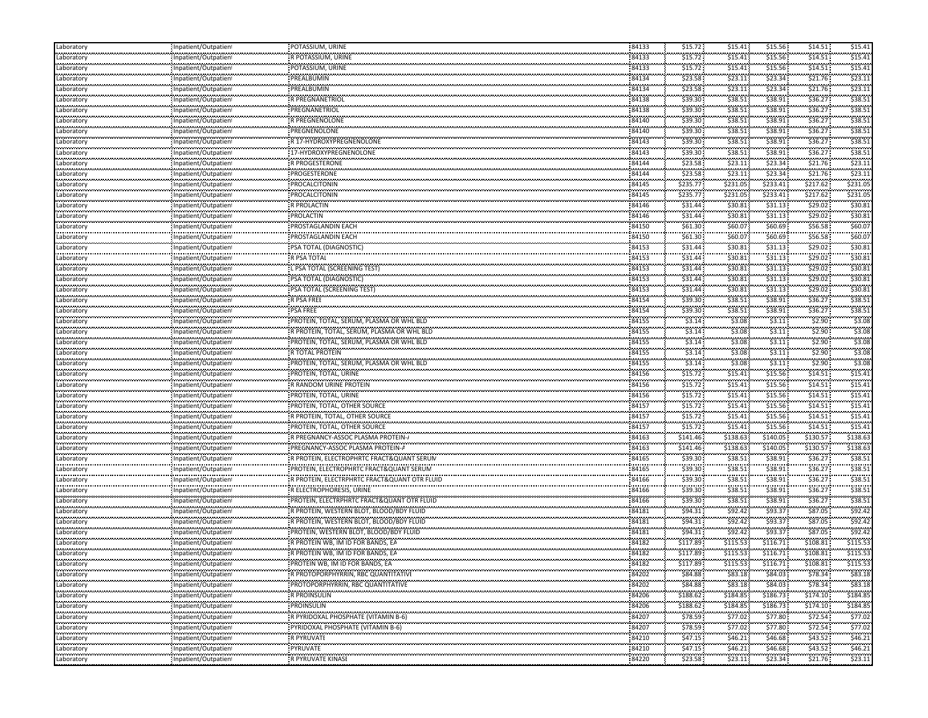| Laboratory      | Inpatient/Outpatient                                 | POTASSIUM, URINE                                                  | 84133               | \$15.72              | \$15.41          | \$15.56               | \$14.51            | \$15.41       |
|-----------------|------------------------------------------------------|-------------------------------------------------------------------|---------------------|----------------------|------------------|-----------------------|--------------------|---------------|
| Laboratory      | Inpatient/Outpatient                                 | R POTASSIUM, URINE                                                | 84133               | \$15.72              | \$15.41          | \$15.56               | \$14.51            | \$15.41       |
| <br>Laboratory  | Inpatient/Outpatient                                 | POTASSIUM, URINE                                                  | <br>84133           | .<br>\$15.72         | .<br>\$15.41     | .<br>\$15.56          | \$14.51            | \$15.41       |
| <br>Laboratory  | Inpatient/Outpatient                                 | PREALBUMIN                                                        | 84134               | \$23.58              | \$23.11          | \$23.34               | \$21.76            | \$23.1        |
| <br>Laboratory  | <br>Inpatient/Outpatien!                             | <br>PREALBUMIN                                                    | <br>84134           | \$23.58              | \$23.11          | .<br>\$23.34          | \$21.76            | \$23.11       |
| Laboratory      | Inpatient/Outpatient                                 | R PREGNANETRIOI                                                   | 84138               | \$39.30              | \$38.51          | \$38.91               | \$36.27            | \$38.5        |
| Laboratory      | Inpatient/Outpatient                                 | PREGNANETRIOL                                                     | 84138               | \$39.30              | \$38.51          | \$38.91               | \$36.27            | \$38.5        |
| <br>Laboratory  |                                                      | R PREGNENOLONE                                                    | 84140               | .<br>\$39.30         | .<br>\$38.51     | \$38.91               | \$36.27            | \$38.52       |
| .               | Inpatient/Outpatient                                 |                                                                   |                     | \$39.30              |                  | \$38.91               | \$36.27            | \$38.5        |
| Laboratory<br>  | Inpatient/Outpatient                                 | PREGNENOLONE<br>,,,,,,,,,,,,,,,,,,,,,,,,                          | 84140<br>84143      | .                    | \$38.51<br>.     | \$38.91               |                    | \$38.5        |
| Laboratory<br>  | Inpatient/Outpatient                                 | R 17-HYDROXYPREGNENOLONE<br>,,,,,,,,,,,,,,,,,,,,,,,,,,,,,,,,,,,,, |                     | \$39.30<br>.         | \$38.51<br>      | .                     | \$36.27<br>\$36.27 | \$38.5        |
| Laboratory<br>. | Inpatient/Outpatient                                 | 17-HYDROXYPREGNENOLONE                                            | 84143               | \$39.30              | \$38.51          | \$38.91               |                    |               |
| Laboratory<br>. | Inpatient/Outpatient                                 | R PROGESTERONE                                                    | 84144               | \$23.58              | \$23.11          | \$23.34               | \$21.76            | \$23.1        |
| Laboratory      | Inpatient/Outpatient                                 | PROGESTERONE                                                      | 84144               | \$23.58              | \$23.11          | \$23.34               | \$21.76            | \$23.11       |
| Laboratory<br>. | Inpatient/Outpatient<br>                             | PROCALCITONIN                                                     | 84145               | \$235.77<br>.        | \$231.05<br>.    | \$233.41<br>,,,,,,,,, | \$217.62           | \$231.05      |
| Laboratory<br>  | Inpatient/Outpatien!<br>                             | PROCALCITONIN                                                     | 84145               | \$235.77<br>.        | \$231.05<br>.    | \$233.41              | \$217.62           | \$231.0       |
| Laboratory      | Inpatient/Outpatien!                                 | R PROLACTIN                                                       | 84146               | \$31.44              | \$30.81          | \$31.13               | \$29.02\$          | \$30.8        |
| <br>Laboratory  | <br>Inpatient/Outpatien!                             | <br>PROLACTIN                                                     | <br>84146           | \$31.44              | \$30.81          | .<br>\$31.13          | \$29.02            | \$30.81       |
| Laboratory      | Inpatient/Outpatient                                 | <b>PROSTAGLANDIN EACH</b>                                         | 84150               | \$61.30              | \$60.07          | \$60.69               | \$56.58            | \$60.0        |
| <br>Laboratory  | <br>Inpatient/Outpatient                             | ,,,,,,,,,,,,,,,,,,,,,,,,,,,<br>PROSTAGLANDIN EACH                 | 84150               | .<br>\$61.30         | .<br>\$60.07     | .<br>\$60.69          | \$56.58            | \$60.0\$      |
| <br>Laboratory  | Inpatient/Outpatient                                 | : PSA TOTAL (DIAGNOSTIC)                                          | 84153               | \$31.44              | \$30.81          | \$31.13               | \$29.02            | \$30.8        |
| <br>Laboratory  | <br>Inpatient/Outpatien!                             | <br>R PSA TOTAL                                                   | <br>84153           | .<br>\$31.44         | .<br>\$30.81     | .<br>\$31.13          | \$29.02            | \$30.8        |
| Laboratory      | Inpatient/Outpatient                                 | L PSA TOTAL (SCREENING TEST)                                      | 84153               | \$31.44              | \$30.81          | \$31.13               | \$29.02            | \$30.8        |
| Laboratory      | Inpatient/Outpatient                                 | PSA TOTAL (DIAGNOSTIC)                                            | 84153               | \$31.44              | \$30.81          | \$31.13               | \$29.02\$          | \$30.8        |
| <br>Laboratory  | Inpatient/Outpatien!                                 | ,,,,,,,,,,,,,,,,,,,,,,,,,,,,,,,,<br>PSA TOTAL (SCREENING TEST)    | 84153               | <br>\$31.44          | <br>\$30.81      | \$31.13               | \$29.02\$          | \$30.8        |
| <br>Laboratory  |                                                      | ,,,,,,,,,,,,,,,,,,,,,,,,,,,,,,,,,<br>R PSA FREE                   | <br>84154           | \$39.30              | \$38.51          | \$38.91               | \$36.27            | \$38.5        |
|                 | Inpatient/Outpatien!                                 |                                                                   | 84154               | \$39.30              |                  | \$38.91               | \$36.27            | \$38.5        |
| Laboratory<br>  | Inpatient/Outpatient                                 | PSA FREE                                                          | .                   |                      | \$38.51<br>.     | \$3.11                | \$2.90             | \$3.08        |
| Laboratory<br>  | Inpatient/Outpatient                                 | PROTEIN, TOTAL, SERUM, PLASMA OR WHL BLD                          | 84155<br>84155      | \$3.14<br>ومعتبر     | \$3.08<br>\$3.08 | \$3.11                | \$2.90             | \$3.08        |
| Laboratory<br>  | Inpatient/Outpatient                                 | R PROTEIN, TOTAL, SERUM, PLASMA OR WHL BLD                        |                     | \$3.14<br>.          |                  |                       | .                  |               |
| Laboratory      | Inpatient/Outpatient                                 | PROTEIN, TOTAL, SERUM, PLASMA OR WHL BLD                          | 84155               | \$3.14               | \$3.08           | \$3.11                | \$2.90             | \$3.08        |
| Laboratory      | Inpatient/Outpatient                                 | <b>R TOTAL PROTEIN</b>                                            | 84155               | \$3.14               | \$3.08           | \$3.11                | \$2.90             | \$3.08        |
| Laboratory<br>  | Inpatient/Outpatient<br>                             | PROTEIN, TOTAL, SERUM, PLASMA OR WHL BLD                          | 84155               | \$3.14<br>,,,,,,,,,, | \$3.08<br>.      | \$3.11<br>.           | \$2.90             | \$3.08        |
| Laboratory<br>  | Inpatient/Outpatien!<br>                             | PROTEIN, TOTAL, URINE<br>                                         | 84156<br>           | \$15.72              | \$15.41<br>      | \$15.56               | \$14.51            | \$15.4        |
| Laboratory      | Inpatient/Outpatien!                                 | R RANDOM URINE PROTEIN                                            | 84156               | \$15.72              | \$15.41          | \$15.56               | \$14.51            | \$15.41       |
| Laboratory      | Inpatient/Outpatient                                 | PROTEIN, TOTAL, URINE                                             | 84156               | \$15.72              | \$15.41          | \$15.56               | \$14.51            | \$15.4        |
| <br>Laboratory  | Inpatient/Outpatient                                 | PROTEIN, TOTAL, OTHER SOURCE                                      | 84157               | \$15.72              | .<br>$$15.41$ :  | .<br>\$15.56          | \$14.51            | \$15.4        |
| <br>Laboratory  | Inpatient/Outpatient                                 | R PROTEIN, TOTAL, OTHER SOURCE                                    | 84157               | \$15.72              | \$15.41          | .<br>\$15.56          | \$14.51            | \$15.41       |
| <br>Laboratory  | Inpatient/Outpatient                                 | PROTEIN, TOTAL, OTHER SOURCE                                      | <br>84157           | .<br>\$15.72         | \$15.41          | .<br>\$15.56          | \$14.51            | \$15.41       |
| Laboratory      | Inpatient/Outpatient                                 | R PREGNANCY-ASSOC PLASMA PROTEIN-A                                | 84163               | \$141.46             | \$138.63         | \$140.05              | \$130.57           | \$138.63      |
| Laboratory      | Inpatient/Outpatient                                 | PREGNANCY-ASSOC PLASMA PROTEIN-A                                  | 84163               | \$141.46             | \$138.63         | \$140.05              | \$130.57           | \$138.63      |
| <br>Laboratory  | <br>'npatient/Outpatien                              | R PROTEIN, ELECTROPHRTC FRACT&QUANT SERUN                         | 84165               | \$39.30              | <br>\$38.51      | \$38.91               | \$36.27            | \$38.5        |
| .<br>Laboratory | Inpatient/Outpatient                                 | PROTEIN, ELECTROPHRTC FRACT&QUANT SERUM                           | <br>84165           | \$39.30              | \$38.51          | \$38.91               | \$36.27            | \$38.5        |
| <br>Laboratory  | <br>Inpatient/Outpatien                              | R PROTEIN, ELECTRPHRTC FRACT&QUANT OTR FLUID                      | .<br>84166          | .<br>\$39.30         | .<br>\$38.51     | <br>\$38.91           | <br>\$36.27        | \$38.5        |
| <br>Laboratory  | Inpatient/Outpatien                                  | R ELECTROPHORESIS, URINE                                          | <br>84166           | .<br>\$39.30         | .<br>\$38.51     | \$38.91               | \$36.27            | \$38.5        |
| <br>Laboratory  | Inpatient/Outpatient                                 | <b>PROTEIN, ELECTRPHRTC FRACT&amp;QUANT OTR FLUID</b>             | 84166               | \$39.30              | \$38.51          | \$38.91               | \$36.27            | \$38.51       |
| .<br>Laboratory |                                                      | R PROTEIN, WESTERN BLOT, BLOOD/BDY FLUID                          | 84181               | \$94.31              | \$92.42          | \$93.37               | \$87.05            | \$92.42       |
| Laboratory      | Inpatient/Outpatient                                 |                                                                   | 84181               | \$94.31              | \$92.42          | \$93.37               | \$87.05            | \$92.42       |
| .               | Inpatient/Outpatient                                 | R PROTEIN, WESTERN BLOT, BLOOD/BDY FLUID                          |                     | .                    | \$92.42          | .                     | \$87.05            | \$92.42       |
| Laboratory<br>  | Inpatient/Outpatien<br>                              | PROTEIN, WESTERN BLOT, BLOOD/BDY FLUID                            | 84181<br>84182      | \$94.31<br>.         | .                | \$93.37<br>.          | ,,,,,,,,,,         | \$115.53      |
| Laboratory<br>  | 'npatient/Outpatien                                  | R PROTEIN WB, IM ID FOR BANDS, EA                                 |                     | \$117.89<br>.        | \$115.53<br>.    | \$116.71              | \$108.81           |               |
| Laboratory      | Inpatient/Outpatien!<br>,,,,,,,,,,,,,,,,,,,,,,,,,,,, | R PROTEIN WB, IM ID FOR BANDS, EA                                 | 84182<br>           | \$117.89             | \$115.53<br>     | \$116.71<br>          | \$108.81           | \$115.53<br>. |
| Laboratory      | Inpatient/Outpatient                                 | PROTEIN WB, IM ID FOR BANDS, EA                                   | 84182<br>,,,,,,,,,, | \$117.89             | \$115.53         | \$116.71              | \$108.81           | \$115.53      |
| Laboratory      | Inpatient/Outpatient                                 | R PROTOPORPHYRRIN, RBC QUANTITATIVI                               | 84202               | \$84.88              | \$83.18          | \$84.03               | \$78.34            | \$83.18       |
| Laboratory<br>. | Inpatient/Outpatient                                 | PROTOPORPHYRRIN, RBC QUANTITATIVE                                 | 84202               | \$84.88              | \$83.18          | \$84.03               | \$78.34            | \$83.18       |
| Laboratory      | Inpatient/Outpatient                                 | R PROINSULIN                                                      | 84206               | \$188.62             | \$184.85         | \$186.73              | \$174.10           | \$184.85      |
| Laboratory      | Inpatient/Outpatient                                 | PROINSULIN                                                        | 84206               | \$188.62             | \$184.85         | \$186.73:             | \$174.10           | \$184.85      |
| .<br>Laboratory | <br>Inpatient/Outpatient                             | <br>R PYRIDOXAL PHOSPHATE (VITAMIN B-6)                           | .<br>84207          | \$78.59              | \$77.02          | <br>\$77.80           | <br>\$72.54        | \$77.02       |
| Laboratory      | Inpatient/Outpatient                                 | PYRIDOXAL PHOSPHATE (VITAMIN B-6)                                 | 84207               | .<br>\$78.59         | \$77.02          | .<br>\$77.80          | <br>\$72.54        | \$77.0        |
| Laboratory      | <br>Inpatient/Outpatient                             | R PYRUVATI                                                        | .<br>84210          | .<br>\$47.15         | .<br>\$46.21     | .<br>\$46.68          | \$43.52            | .<br>\$46.21  |
| Laboratory      | Inpatient/Outpatient                                 | .<br>PYRUVATE                                                     | <br>84210           | <br>\$47.15          | .<br>\$46.21     | .<br>\$46.68          | <br>\$43.52        | <br>\$46.21   |
| <br>Laboratory  | Inpatient/Outpatient                                 | R PYRUVATE KINASI                                                 | .<br>84220          | \$23.58              | \$23.11          | .<br>\$23.34          | .<br>\$21.76       | \$23.11       |
|                 |                                                      |                                                                   |                     |                      |                  |                       |                    |               |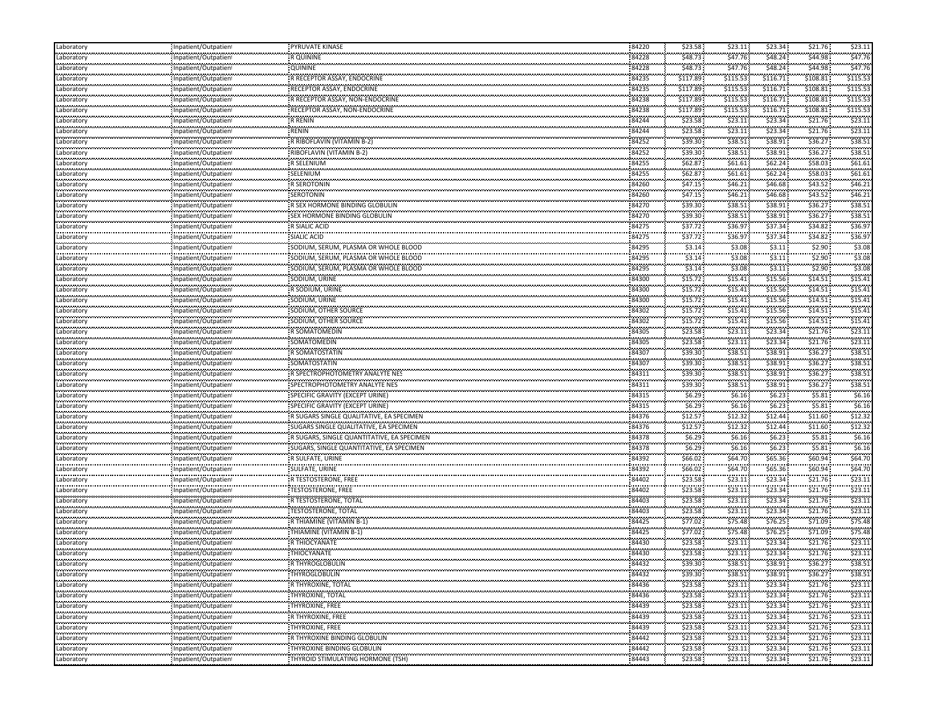| \$44.98<br>\$47.76<br>\$48.73<br>\$47.76<br>\$48.24<br>Laboratory<br>84228<br>R QUININE<br>Inpatient/Outpatient<br><br>84228<br>\$47.76<br>\$48.73<br>\$47.76<br>\$48.24<br>\$44.98<br>QUININE<br>Laboratory<br>Inpatient/Outpatien!<br>84235<br>\$116.71<br>\$115.53<br>\$117.89<br>\$115.53<br>\$108.81<br>Inpatient/Outpatient<br>R RECEPTOR ASSAY, ENDOCRINE<br>Laboratory<br><br>RECEPTOR ASSAY, ENDOCRINE<br>84235<br>\$115.53<br>\$116.71<br>\$115.53<br>\$117.89<br>\$108.81<br>Laboratory<br>Inpatient/Outpatien!<br>\$115.53<br>\$116.71<br>\$115.53<br>84238<br>\$117.89<br>\$108.81<br>R RECEPTOR ASSAY, NON-ENDOCRINE<br>Laboratory<br>Inpatient/Outpatient<br>\$115.53<br>\$115.53<br>\$108.81<br>84238<br>\$116.71<br>\$117.89<br>RECEPTOR ASSAY, NON-ENDOCRINE<br>Laboratory<br>Inpatient/Outpatient<br>ngan magaalo<br>,,,,,,,,,,,,,,,,,,,,,,,,,<br>84244<br>\$21.76<br>\$23.1<br>\$23.11<br>\$23.34<br>\$23.58<br>Laboratory<br>Inpatient/Outpatient<br><br>\$23.58<br>\$23.11<br>\$23.34<br>\$21.76<br>\$23.11<br>84244<br>Laboratory<br>npatient/Outpatien!<br>RENIN<br><br>\$38.51<br>84252<br>\$39.30<br>\$38.91<br>\$36.27<br>\$38.51<br>R RIBOFLAVIN (VITAMIN B-2)<br>Laboratory<br>Inpatient/Outpatien<br><br>84252<br><b>RIBOFLAVIN (VITAMIN B-2)</b><br>\$38.5<br>\$39.30<br>\$38.51<br>\$38.91<br>\$36.27<br>Laboratory<br>Inpatient/Outpatien!<br>.<br>R SELENIUM<br>.<br>84255<br>\$62.87<br>\$62.24<br>\$58.03<br>\$61.61<br>\$61.61<br>Inpatient/Outpatient<br>Laboratory<br>وموجودهم ووا<br>Inpatient/Outpatient<br>SELENIUM<br>84255<br>\$62.87<br>\$62.24<br>\$61.61<br>Laboratory<br>\$61.61<br>\$58.03<br>\$46.21<br>\$47.15<br>\$46.21<br>\$46.68<br>\$43.52<br>84260<br><b>R SEROTONIN</b><br>Laboratory<br>Inpatient/Outpatient<br><br><b>SEROTONIN</b><br>84260<br>\$43.52\$<br>\$46.2<br>\$47.15<br>\$46.21<br>\$46.68<br>Laboratory<br>npatient/Outpatien!<br>ngan magaalo<br>R SEX HORMONE BINDING GLOBULIN<br>84270<br>\$39.30<br>\$36.27<br>\$38.51<br>\$38.51<br>\$38.91<br>Inpatient/Outpatien<br><br>84270<br>\$39.30<br>\$38.51<br>\$38.51<br>\$38.91<br>\$36.27<br>Laboratory<br>Inpatient/Outpatient<br>\$37.72<br>\$34.82<br>\$36.97<br>84275<br>\$36.97<br>\$37.34<br><b>R SIALIC ACID</b><br>Inpatient/Outpatient<br>Laboratory<br><br>-<br>SIALIC ACID<br>84275<br>\$37.72<br>,,,,,,,,<br>\$37.34<br>\$34.82<br>\$36.97<br>\$36.97<br>Laboratory<br>Inpatient/Outpatien!<br>.<br>84295<br>\$3.14<br>\$3.08<br>\$3.08<br>\$3.11<br>\$2.90<br>SODIUM, SERUM, PLASMA OR WHOLE BLOOD<br>Inpatient/Outpatien!<br>Laboratory<br><br>84295<br>\$3.14<br>\$3.08<br>\$3.11<br>\$2.90<br>\$3.08<br>SODIUM, SERUM, PLASMA OR WHOLE BLOOD<br>Laboratory<br>Inpatient/Outpatient<br>\$3.14<br>\$3.11<br>\$3.08<br>Laboratory<br>84295<br>\$3.08<br>\$2.90<br>SODIUM, SERUM, PLASMA OR WHOLE BLOOD<br>Inpatient/Outpatient<br>\$15.72<br>\$15.56<br>\$14.51<br>\$15.41<br>84300<br>\$15.41<br>SODIUM, URINE<br>Inpatient/Outpatient<br>Laboratory<br>.<br>84300<br>\$15.56<br>\$15.4<br>R SODIUM, URINE<br>\$15.72<br>\$15.41<br>\$14.51<br>Laboratory<br>Inpatient/Outpatient<br><br>SODIUM, URINE<br>84300<br>\$15.41<br>\$15.4<br>\$15.72<br>\$15.56<br>\$14.51<br>Laboratory<br>Inpatient/Outpatient<br>\$15.41<br>\$15.72<br>\$15.41<br>\$15.56<br>\$14.51<br>84302<br>SODIUM, OTHER SOURCE<br>Laboratory<br>Inpatient/Outpatient<br><br>84302<br>\$15.4<br>SODIUM, OTHER SOURCE<br>\$15.72<br>\$15.41<br>\$15.56<br>\$14.51<br>Laboratory<br>Inpatient/Outpatient<br>84305<br>\$23.1<br>\$23.34<br>\$21.76<br>\$23.58<br>\$23.11<br>R SOMATOMEDIN<br>Inpatient/Outpatient<br>Laboratory<br><br>SOMATOMEDIN<br>84305<br>\$23.11<br>\$21.76<br>\$23.11<br>\$23.58<br>\$23.34<br>Laboratory<br>Inpatient/Outpatient<br>\$36.27<br>\$38.51<br>Laboratory<br>84307<br>\$39.30<br>\$38.51<br>\$38.91<br>R SOMATOSTATIN<br>Inpatient/Outpatient<br>\$38.91<br>\$36.27<br>\$38.51<br>\$39.30<br>\$38.51<br>84307<br>SOMATOSTATIN<br>Inpatient/Outpatient<br>.<br>84311<br>\$38.51<br>R SPECTROPHOTOMETRY ANALYTE NES<br>\$39.30<br>\$38.51<br>\$38.91<br>\$36.27<br>Laboratory<br>Inpatient/Outpatient<br>.<br>84311<br>SPECTROPHOTOMETRY ANALYTE NES<br>\$39.30<br>\$38.51<br>\$38.91<br>\$38.51<br>\$36.27<br>Laboratory<br>Inpatient/Outpatient<br>\$6.16<br>\$6.29<br>\$5.81<br>\$6.16<br>\$6.23<br>84315<br>SPECIFIC GRAVITY (EXCEPT URINE)<br>Laboratory<br>Inpatient/Outpatient<br><br>84315<br>\$6.16<br>,,,,,,<br>\$6.16<br>\$5.81<br>\$6.23<br>SPECIFIC GRAVITY (EXCEPT URINE)<br>Laboratory<br>Inpatient/Outpatient<br>\$6.29<br>\$12.57<br>84376<br>\$12.44<br>\$12.32<br>\$11.60<br>\$12.32<br>R SUGARS SINGLE QUALITATIVE, EA SPECIMEN<br>Inpatient/Outpatient<br>Laboratory<br><br>84376<br>\$12.32<br>\$12.32<br>\$12.57<br>\$12.44<br>\$11.60<br>Laboratory<br>Inpatient/Outpatient<br>\$6.16<br>\$6.29<br>\$6.16<br>\$5.81<br>Laboratory<br>\$6.23<br>84378<br>R SUGARS, SINGLE QUANTITATIVE, EA SPECIMEN<br>Inpatient/Outpatient<br>\$6.16<br>\$6.29<br>\$6.16<br>\$6.23<br>\$5.81<br>84378<br>SUGARS, SINGLE QUANTITATIVE, EA SPECIMEN<br>Inpatient/Outpatient<br>Laboratory<br>.<br>84392<br>R SULFATE, URINE<br>\$66.02<br>\$65.36<br>\$60.94<br>\$64.70<br>\$64.70<br>Laboratory<br>Inpatient/Outpatient<br><br>SULFATE, URINE<br>84392<br>\$64.70<br>\$66.02<br>\$64.70<br>\$65.36<br>\$60.94<br>Laboratory<br>npatient/Outpatien!<br>.<br>R TESTOSTERONE, FREE<br>\$21.76<br>\$23.1<br>84402<br>\$23.58<br>\$23.34<br>\$23.11<br>Laboratory<br>Inpatient/Outpatien<br><br>TESTOSTERONE, FREE<br>84402<br>\$23.11<br>\$23.58<br>\$23.11<br>\$23.34<br>\$21.76<br>Laboratory<br>Inpatient/Outpatien!<br>84403<br>\$23.58<br>\$21.76<br>\$23.11<br>\$23.11<br>\$23.34<br>R TESTOSTERONE, TOTAL<br>Inpatient/Outpatient<br>Laboratory<br>.<br>Inpatient/Outpatient<br>\$23.11<br>84403<br>\$23.58<br>\$23.11<br>\$23.34<br>\$21.76<br>Laboratory<br><b>TESTOSTERONE, TOTAL</b><br>\$75.48<br>\$77.02<br>\$75.48<br>\$76.25<br>\$71.09<br>84425<br>R THIAMINE (VITAMIN B-1)<br>Laboratory<br>Inpatient/Outpatient<br>.<br>84425<br>,,,,,,,<br>\$75.48<br>.<br>THIAMINE (VITAMIN B-1)<br>\$77.02<br>\$76.25<br>\$71.09<br>\$75.48<br>Laboratory<br>npatient/Outpatien!<br>.<br>R THIOCYANATE<br>84430<br>\$23.34<br>\$21.76<br>\$23.11<br>\$23.58<br>\$23.11<br>Laboratory<br>Inpatient/Outpatien<br><br>\$21.76<br>\$23.11<br>\$23.58<br>\$23.11<br>\$23.34<br>THIOCYANATE<br>84430<br>Laboratory<br>Inpatient/Outpatien!<br>.<br>Laboratory<br>R THYROGLOBULIN<br>84432<br>\$39.30<br>\$36.27<br>\$38.51<br>\$38.51<br>\$38.91<br>Inpatient/Outpatient<br>84432<br>\$39.30<br>\$38.51<br>\$38.91<br>\$36.27<br>Laboratory<br>\$38.51<br>THYROGLOBULIN<br>Inpatient/Outpatient<br>.<br>Inpatient/Outpatient<br>R THYROXINE, TOTAL<br>84436<br>\$23.58<br>\$21.76<br>\$23.11<br>\$23.34<br>\$23.11<br>Laboratory<br>Laboratory<br>Inpatient/Outpatient<br>THYROXINE, TOTAL<br>84436<br>\$23.58<br>\$23.11<br>\$23.34<br>\$21.76<br>\$23.11<br>\$23.58<br>\$23.11<br>Laboratory<br>84439<br>\$23.11<br>\$23.34<br>\$21.76<br>THYROXINE, FREE<br>Inpatient/Outpatient<br>.<br>,,,,,,,,,,,,,,,,,,,,,,,<br>R THYROXINE, FREE<br>84439<br>\$23.58<br>\$23.11<br>\$23.34<br>\$21.76<br>\$23.11<br>Laboratory<br>Inpatient/Outpatient<br>Laboratory<br>84439<br><b>THYROXINE, FREE</b><br>\$23.58<br>\$23.34<br>\$21.76<br>\$23.11<br>\$23.11<br>Inpatient/Outpatient<br>.<br>R THYROXINE BINDING GLOBULIN<br>84442<br>\$23.58<br>\$23.11<br>\$23.34<br>\$21.76<br>\$23.11<br>Inpatient/Outpatient<br>.<br>Laboratory<br>,,,,,,,,,,,,,,,,,,,,,,,,<br>THYROXINE BINDING GLOBULIN<br>84442<br>\$23.58<br>\$21.76<br>\$23.11<br>\$23.34<br>\$23.11<br>Inpatient/Outpatient<br>,,,,,,,,,,,,,,,,,,,,,,,<br>THYROID STIMULATING HORMONE (TSH)<br>izantza<br>\$23.58<br>\$23.11<br>\$21.76<br>\$23.34<br>\$23.11<br>Inpatient/Outpatient<br>84443 | Laboratory      | Inpatient/Outpatient | PYRUVATE KINASE | 84220 | \$23.58 | \$23.11 | \$23.34 | \$21.76 | \$23.11 |
|------------------------------------------------------------------------------------------------------------------------------------------------------------------------------------------------------------------------------------------------------------------------------------------------------------------------------------------------------------------------------------------------------------------------------------------------------------------------------------------------------------------------------------------------------------------------------------------------------------------------------------------------------------------------------------------------------------------------------------------------------------------------------------------------------------------------------------------------------------------------------------------------------------------------------------------------------------------------------------------------------------------------------------------------------------------------------------------------------------------------------------------------------------------------------------------------------------------------------------------------------------------------------------------------------------------------------------------------------------------------------------------------------------------------------------------------------------------------------------------------------------------------------------------------------------------------------------------------------------------------------------------------------------------------------------------------------------------------------------------------------------------------------------------------------------------------------------------------------------------------------------------------------------------------------------------------------------------------------------------------------------------------------------------------------------------------------------------------------------------------------------------------------------------------------------------------------------------------------------------------------------------------------------------------------------------------------------------------------------------------------------------------------------------------------------------------------------------------------------------------------------------------------------------------------------------------------------------------------------------------------------------------------------------------------------------------------------------------------------------------------------------------------------------------------------------------------------------------------------------------------------------------------------------------------------------------------------------------------------------------------------------------------------------------------------------------------------------------------------------------------------------------------------------------------------------------------------------------------------------------------------------------------------------------------------------------------------------------------------------------------------------------------------------------------------------------------------------------------------------------------------------------------------------------------------------------------------------------------------------------------------------------------------------------------------------------------------------------------------------------------------------------------------------------------------------------------------------------------------------------------------------------------------------------------------------------------------------------------------------------------------------------------------------------------------------------------------------------------------------------------------------------------------------------------------------------------------------------------------------------------------------------------------------------------------------------------------------------------------------------------------------------------------------------------------------------------------------------------------------------------------------------------------------------------------------------------------------------------------------------------------------------------------------------------------------------------------------------------------------------------------------------------------------------------------------------------------------------------------------------------------------------------------------------------------------------------------------------------------------------------------------------------------------------------------------------------------------------------------------------------------------------------------------------------------------------------------------------------------------------------------------------------------------------------------------------------------------------------------------------------------------------------------------------------------------------------------------------------------------------------------------------------------------------------------------------------------------------------------------------------------------------------------------------------------------------------------------------------------------------------------------------------------------------------------------------------------------------------------------------------------------------------------------------------------------------------------------------------------------------------------------------------------------------------------------------------------------------------------------------------------------------------------------------------------------------------------------------------------------------------------------------------------------------------------------------------------------------------------------------------------------------------------------------------------------------------------------------------------------------------------------------------------------------------------------------------------------------------------------------------------------------------------------------------------------------------------------------------------------------------------------------------------------------------------------------------------------------------------------------------------------------------------------------------------------------------------------------------------------------------------------------------------------------------------------------------------------------------------------------------------------------------------------------------------------------------------------------------------------------------------------------------------------------------------------------------------------------------------------------------------------------------------------------------------------------------------------------------------------------------------------------------------------------------------------------------------------------------------------------------------------------------------------------------------------------------------------------------------------------------------------------------------------------------------------------------------------------------------------------------------------------|-----------------|----------------------|-----------------|-------|---------|---------|---------|---------|---------|
|                                                                                                                                                                                                                                                                                                                                                                                                                                                                                                                                                                                                                                                                                                                                                                                                                                                                                                                                                                                                                                                                                                                                                                                                                                                                                                                                                                                                                                                                                                                                                                                                                                                                                                                                                                                                                                                                                                                                                                                                                                                                                                                                                                                                                                                                                                                                                                                                                                                                                                                                                                                                                                                                                                                                                                                                                                                                                                                                                                                                                                                                                                                                                                                                                                                                                                                                                                                                                                                                                                                                                                                                                                                                                                                                                                                                                                                                                                                                                                                                                                                                                                                                                                                                                                                                                                                                                                                                                                                                                                                                                                                                                                                                                                                                                                                                                                                                                                                                                                                                                                                                                                                                                                                                                                                                                                                                                                                                                                                                                                                                                                                                                                                                                                                                                                                                                                                                                                                                                                                                                                                                                                                                                                                                                                                                                                                                                                                                                                                                                                                                                                                                                                                                                                                                                                                                                                                                                                                                                                                                                                                                                                                                                                                                                                                                                                                                                                                                                                                                                                                                                                                                                                                                                                                                                                                                                                                                                                |                 |                      |                 |       |         |         |         |         |         |
|                                                                                                                                                                                                                                                                                                                                                                                                                                                                                                                                                                                                                                                                                                                                                                                                                                                                                                                                                                                                                                                                                                                                                                                                                                                                                                                                                                                                                                                                                                                                                                                                                                                                                                                                                                                                                                                                                                                                                                                                                                                                                                                                                                                                                                                                                                                                                                                                                                                                                                                                                                                                                                                                                                                                                                                                                                                                                                                                                                                                                                                                                                                                                                                                                                                                                                                                                                                                                                                                                                                                                                                                                                                                                                                                                                                                                                                                                                                                                                                                                                                                                                                                                                                                                                                                                                                                                                                                                                                                                                                                                                                                                                                                                                                                                                                                                                                                                                                                                                                                                                                                                                                                                                                                                                                                                                                                                                                                                                                                                                                                                                                                                                                                                                                                                                                                                                                                                                                                                                                                                                                                                                                                                                                                                                                                                                                                                                                                                                                                                                                                                                                                                                                                                                                                                                                                                                                                                                                                                                                                                                                                                                                                                                                                                                                                                                                                                                                                                                                                                                                                                                                                                                                                                                                                                                                                                                                                                                |                 |                      |                 |       |         |         |         |         |         |
|                                                                                                                                                                                                                                                                                                                                                                                                                                                                                                                                                                                                                                                                                                                                                                                                                                                                                                                                                                                                                                                                                                                                                                                                                                                                                                                                                                                                                                                                                                                                                                                                                                                                                                                                                                                                                                                                                                                                                                                                                                                                                                                                                                                                                                                                                                                                                                                                                                                                                                                                                                                                                                                                                                                                                                                                                                                                                                                                                                                                                                                                                                                                                                                                                                                                                                                                                                                                                                                                                                                                                                                                                                                                                                                                                                                                                                                                                                                                                                                                                                                                                                                                                                                                                                                                                                                                                                                                                                                                                                                                                                                                                                                                                                                                                                                                                                                                                                                                                                                                                                                                                                                                                                                                                                                                                                                                                                                                                                                                                                                                                                                                                                                                                                                                                                                                                                                                                                                                                                                                                                                                                                                                                                                                                                                                                                                                                                                                                                                                                                                                                                                                                                                                                                                                                                                                                                                                                                                                                                                                                                                                                                                                                                                                                                                                                                                                                                                                                                                                                                                                                                                                                                                                                                                                                                                                                                                                                                |                 |                      |                 |       |         |         |         |         |         |
|                                                                                                                                                                                                                                                                                                                                                                                                                                                                                                                                                                                                                                                                                                                                                                                                                                                                                                                                                                                                                                                                                                                                                                                                                                                                                                                                                                                                                                                                                                                                                                                                                                                                                                                                                                                                                                                                                                                                                                                                                                                                                                                                                                                                                                                                                                                                                                                                                                                                                                                                                                                                                                                                                                                                                                                                                                                                                                                                                                                                                                                                                                                                                                                                                                                                                                                                                                                                                                                                                                                                                                                                                                                                                                                                                                                                                                                                                                                                                                                                                                                                                                                                                                                                                                                                                                                                                                                                                                                                                                                                                                                                                                                                                                                                                                                                                                                                                                                                                                                                                                                                                                                                                                                                                                                                                                                                                                                                                                                                                                                                                                                                                                                                                                                                                                                                                                                                                                                                                                                                                                                                                                                                                                                                                                                                                                                                                                                                                                                                                                                                                                                                                                                                                                                                                                                                                                                                                                                                                                                                                                                                                                                                                                                                                                                                                                                                                                                                                                                                                                                                                                                                                                                                                                                                                                                                                                                                                                |                 |                      |                 |       |         |         |         |         |         |
|                                                                                                                                                                                                                                                                                                                                                                                                                                                                                                                                                                                                                                                                                                                                                                                                                                                                                                                                                                                                                                                                                                                                                                                                                                                                                                                                                                                                                                                                                                                                                                                                                                                                                                                                                                                                                                                                                                                                                                                                                                                                                                                                                                                                                                                                                                                                                                                                                                                                                                                                                                                                                                                                                                                                                                                                                                                                                                                                                                                                                                                                                                                                                                                                                                                                                                                                                                                                                                                                                                                                                                                                                                                                                                                                                                                                                                                                                                                                                                                                                                                                                                                                                                                                                                                                                                                                                                                                                                                                                                                                                                                                                                                                                                                                                                                                                                                                                                                                                                                                                                                                                                                                                                                                                                                                                                                                                                                                                                                                                                                                                                                                                                                                                                                                                                                                                                                                                                                                                                                                                                                                                                                                                                                                                                                                                                                                                                                                                                                                                                                                                                                                                                                                                                                                                                                                                                                                                                                                                                                                                                                                                                                                                                                                                                                                                                                                                                                                                                                                                                                                                                                                                                                                                                                                                                                                                                                                                                |                 |                      |                 |       |         |         |         |         |         |
|                                                                                                                                                                                                                                                                                                                                                                                                                                                                                                                                                                                                                                                                                                                                                                                                                                                                                                                                                                                                                                                                                                                                                                                                                                                                                                                                                                                                                                                                                                                                                                                                                                                                                                                                                                                                                                                                                                                                                                                                                                                                                                                                                                                                                                                                                                                                                                                                                                                                                                                                                                                                                                                                                                                                                                                                                                                                                                                                                                                                                                                                                                                                                                                                                                                                                                                                                                                                                                                                                                                                                                                                                                                                                                                                                                                                                                                                                                                                                                                                                                                                                                                                                                                                                                                                                                                                                                                                                                                                                                                                                                                                                                                                                                                                                                                                                                                                                                                                                                                                                                                                                                                                                                                                                                                                                                                                                                                                                                                                                                                                                                                                                                                                                                                                                                                                                                                                                                                                                                                                                                                                                                                                                                                                                                                                                                                                                                                                                                                                                                                                                                                                                                                                                                                                                                                                                                                                                                                                                                                                                                                                                                                                                                                                                                                                                                                                                                                                                                                                                                                                                                                                                                                                                                                                                                                                                                                                                                |                 |                      |                 |       |         |         |         |         |         |
|                                                                                                                                                                                                                                                                                                                                                                                                                                                                                                                                                                                                                                                                                                                                                                                                                                                                                                                                                                                                                                                                                                                                                                                                                                                                                                                                                                                                                                                                                                                                                                                                                                                                                                                                                                                                                                                                                                                                                                                                                                                                                                                                                                                                                                                                                                                                                                                                                                                                                                                                                                                                                                                                                                                                                                                                                                                                                                                                                                                                                                                                                                                                                                                                                                                                                                                                                                                                                                                                                                                                                                                                                                                                                                                                                                                                                                                                                                                                                                                                                                                                                                                                                                                                                                                                                                                                                                                                                                                                                                                                                                                                                                                                                                                                                                                                                                                                                                                                                                                                                                                                                                                                                                                                                                                                                                                                                                                                                                                                                                                                                                                                                                                                                                                                                                                                                                                                                                                                                                                                                                                                                                                                                                                                                                                                                                                                                                                                                                                                                                                                                                                                                                                                                                                                                                                                                                                                                                                                                                                                                                                                                                                                                                                                                                                                                                                                                                                                                                                                                                                                                                                                                                                                                                                                                                                                                                                                                                |                 |                      |                 |       |         |         |         |         |         |
|                                                                                                                                                                                                                                                                                                                                                                                                                                                                                                                                                                                                                                                                                                                                                                                                                                                                                                                                                                                                                                                                                                                                                                                                                                                                                                                                                                                                                                                                                                                                                                                                                                                                                                                                                                                                                                                                                                                                                                                                                                                                                                                                                                                                                                                                                                                                                                                                                                                                                                                                                                                                                                                                                                                                                                                                                                                                                                                                                                                                                                                                                                                                                                                                                                                                                                                                                                                                                                                                                                                                                                                                                                                                                                                                                                                                                                                                                                                                                                                                                                                                                                                                                                                                                                                                                                                                                                                                                                                                                                                                                                                                                                                                                                                                                                                                                                                                                                                                                                                                                                                                                                                                                                                                                                                                                                                                                                                                                                                                                                                                                                                                                                                                                                                                                                                                                                                                                                                                                                                                                                                                                                                                                                                                                                                                                                                                                                                                                                                                                                                                                                                                                                                                                                                                                                                                                                                                                                                                                                                                                                                                                                                                                                                                                                                                                                                                                                                                                                                                                                                                                                                                                                                                                                                                                                                                                                                                                                |                 |                      |                 |       |         |         |         |         |         |
|                                                                                                                                                                                                                                                                                                                                                                                                                                                                                                                                                                                                                                                                                                                                                                                                                                                                                                                                                                                                                                                                                                                                                                                                                                                                                                                                                                                                                                                                                                                                                                                                                                                                                                                                                                                                                                                                                                                                                                                                                                                                                                                                                                                                                                                                                                                                                                                                                                                                                                                                                                                                                                                                                                                                                                                                                                                                                                                                                                                                                                                                                                                                                                                                                                                                                                                                                                                                                                                                                                                                                                                                                                                                                                                                                                                                                                                                                                                                                                                                                                                                                                                                                                                                                                                                                                                                                                                                                                                                                                                                                                                                                                                                                                                                                                                                                                                                                                                                                                                                                                                                                                                                                                                                                                                                                                                                                                                                                                                                                                                                                                                                                                                                                                                                                                                                                                                                                                                                                                                                                                                                                                                                                                                                                                                                                                                                                                                                                                                                                                                                                                                                                                                                                                                                                                                                                                                                                                                                                                                                                                                                                                                                                                                                                                                                                                                                                                                                                                                                                                                                                                                                                                                                                                                                                                                                                                                                                                |                 |                      |                 |       |         |         |         |         |         |
|                                                                                                                                                                                                                                                                                                                                                                                                                                                                                                                                                                                                                                                                                                                                                                                                                                                                                                                                                                                                                                                                                                                                                                                                                                                                                                                                                                                                                                                                                                                                                                                                                                                                                                                                                                                                                                                                                                                                                                                                                                                                                                                                                                                                                                                                                                                                                                                                                                                                                                                                                                                                                                                                                                                                                                                                                                                                                                                                                                                                                                                                                                                                                                                                                                                                                                                                                                                                                                                                                                                                                                                                                                                                                                                                                                                                                                                                                                                                                                                                                                                                                                                                                                                                                                                                                                                                                                                                                                                                                                                                                                                                                                                                                                                                                                                                                                                                                                                                                                                                                                                                                                                                                                                                                                                                                                                                                                                                                                                                                                                                                                                                                                                                                                                                                                                                                                                                                                                                                                                                                                                                                                                                                                                                                                                                                                                                                                                                                                                                                                                                                                                                                                                                                                                                                                                                                                                                                                                                                                                                                                                                                                                                                                                                                                                                                                                                                                                                                                                                                                                                                                                                                                                                                                                                                                                                                                                                                                |                 |                      |                 |       |         |         |         |         |         |
|                                                                                                                                                                                                                                                                                                                                                                                                                                                                                                                                                                                                                                                                                                                                                                                                                                                                                                                                                                                                                                                                                                                                                                                                                                                                                                                                                                                                                                                                                                                                                                                                                                                                                                                                                                                                                                                                                                                                                                                                                                                                                                                                                                                                                                                                                                                                                                                                                                                                                                                                                                                                                                                                                                                                                                                                                                                                                                                                                                                                                                                                                                                                                                                                                                                                                                                                                                                                                                                                                                                                                                                                                                                                                                                                                                                                                                                                                                                                                                                                                                                                                                                                                                                                                                                                                                                                                                                                                                                                                                                                                                                                                                                                                                                                                                                                                                                                                                                                                                                                                                                                                                                                                                                                                                                                                                                                                                                                                                                                                                                                                                                                                                                                                                                                                                                                                                                                                                                                                                                                                                                                                                                                                                                                                                                                                                                                                                                                                                                                                                                                                                                                                                                                                                                                                                                                                                                                                                                                                                                                                                                                                                                                                                                                                                                                                                                                                                                                                                                                                                                                                                                                                                                                                                                                                                                                                                                                                                |                 |                      |                 |       |         |         |         |         |         |
|                                                                                                                                                                                                                                                                                                                                                                                                                                                                                                                                                                                                                                                                                                                                                                                                                                                                                                                                                                                                                                                                                                                                                                                                                                                                                                                                                                                                                                                                                                                                                                                                                                                                                                                                                                                                                                                                                                                                                                                                                                                                                                                                                                                                                                                                                                                                                                                                                                                                                                                                                                                                                                                                                                                                                                                                                                                                                                                                                                                                                                                                                                                                                                                                                                                                                                                                                                                                                                                                                                                                                                                                                                                                                                                                                                                                                                                                                                                                                                                                                                                                                                                                                                                                                                                                                                                                                                                                                                                                                                                                                                                                                                                                                                                                                                                                                                                                                                                                                                                                                                                                                                                                                                                                                                                                                                                                                                                                                                                                                                                                                                                                                                                                                                                                                                                                                                                                                                                                                                                                                                                                                                                                                                                                                                                                                                                                                                                                                                                                                                                                                                                                                                                                                                                                                                                                                                                                                                                                                                                                                                                                                                                                                                                                                                                                                                                                                                                                                                                                                                                                                                                                                                                                                                                                                                                                                                                                                                |                 |                      |                 |       |         |         |         |         |         |
|                                                                                                                                                                                                                                                                                                                                                                                                                                                                                                                                                                                                                                                                                                                                                                                                                                                                                                                                                                                                                                                                                                                                                                                                                                                                                                                                                                                                                                                                                                                                                                                                                                                                                                                                                                                                                                                                                                                                                                                                                                                                                                                                                                                                                                                                                                                                                                                                                                                                                                                                                                                                                                                                                                                                                                                                                                                                                                                                                                                                                                                                                                                                                                                                                                                                                                                                                                                                                                                                                                                                                                                                                                                                                                                                                                                                                                                                                                                                                                                                                                                                                                                                                                                                                                                                                                                                                                                                                                                                                                                                                                                                                                                                                                                                                                                                                                                                                                                                                                                                                                                                                                                                                                                                                                                                                                                                                                                                                                                                                                                                                                                                                                                                                                                                                                                                                                                                                                                                                                                                                                                                                                                                                                                                                                                                                                                                                                                                                                                                                                                                                                                                                                                                                                                                                                                                                                                                                                                                                                                                                                                                                                                                                                                                                                                                                                                                                                                                                                                                                                                                                                                                                                                                                                                                                                                                                                                                                                |                 |                      |                 |       |         |         |         |         |         |
|                                                                                                                                                                                                                                                                                                                                                                                                                                                                                                                                                                                                                                                                                                                                                                                                                                                                                                                                                                                                                                                                                                                                                                                                                                                                                                                                                                                                                                                                                                                                                                                                                                                                                                                                                                                                                                                                                                                                                                                                                                                                                                                                                                                                                                                                                                                                                                                                                                                                                                                                                                                                                                                                                                                                                                                                                                                                                                                                                                                                                                                                                                                                                                                                                                                                                                                                                                                                                                                                                                                                                                                                                                                                                                                                                                                                                                                                                                                                                                                                                                                                                                                                                                                                                                                                                                                                                                                                                                                                                                                                                                                                                                                                                                                                                                                                                                                                                                                                                                                                                                                                                                                                                                                                                                                                                                                                                                                                                                                                                                                                                                                                                                                                                                                                                                                                                                                                                                                                                                                                                                                                                                                                                                                                                                                                                                                                                                                                                                                                                                                                                                                                                                                                                                                                                                                                                                                                                                                                                                                                                                                                                                                                                                                                                                                                                                                                                                                                                                                                                                                                                                                                                                                                                                                                                                                                                                                                                                |                 |                      |                 |       |         |         |         |         |         |
|                                                                                                                                                                                                                                                                                                                                                                                                                                                                                                                                                                                                                                                                                                                                                                                                                                                                                                                                                                                                                                                                                                                                                                                                                                                                                                                                                                                                                                                                                                                                                                                                                                                                                                                                                                                                                                                                                                                                                                                                                                                                                                                                                                                                                                                                                                                                                                                                                                                                                                                                                                                                                                                                                                                                                                                                                                                                                                                                                                                                                                                                                                                                                                                                                                                                                                                                                                                                                                                                                                                                                                                                                                                                                                                                                                                                                                                                                                                                                                                                                                                                                                                                                                                                                                                                                                                                                                                                                                                                                                                                                                                                                                                                                                                                                                                                                                                                                                                                                                                                                                                                                                                                                                                                                                                                                                                                                                                                                                                                                                                                                                                                                                                                                                                                                                                                                                                                                                                                                                                                                                                                                                                                                                                                                                                                                                                                                                                                                                                                                                                                                                                                                                                                                                                                                                                                                                                                                                                                                                                                                                                                                                                                                                                                                                                                                                                                                                                                                                                                                                                                                                                                                                                                                                                                                                                                                                                                                                |                 |                      |                 |       |         |         |         |         |         |
|                                                                                                                                                                                                                                                                                                                                                                                                                                                                                                                                                                                                                                                                                                                                                                                                                                                                                                                                                                                                                                                                                                                                                                                                                                                                                                                                                                                                                                                                                                                                                                                                                                                                                                                                                                                                                                                                                                                                                                                                                                                                                                                                                                                                                                                                                                                                                                                                                                                                                                                                                                                                                                                                                                                                                                                                                                                                                                                                                                                                                                                                                                                                                                                                                                                                                                                                                                                                                                                                                                                                                                                                                                                                                                                                                                                                                                                                                                                                                                                                                                                                                                                                                                                                                                                                                                                                                                                                                                                                                                                                                                                                                                                                                                                                                                                                                                                                                                                                                                                                                                                                                                                                                                                                                                                                                                                                                                                                                                                                                                                                                                                                                                                                                                                                                                                                                                                                                                                                                                                                                                                                                                                                                                                                                                                                                                                                                                                                                                                                                                                                                                                                                                                                                                                                                                                                                                                                                                                                                                                                                                                                                                                                                                                                                                                                                                                                                                                                                                                                                                                                                                                                                                                                                                                                                                                                                                                                                                | Laboratory      |                      |                 |       |         |         |         |         |         |
|                                                                                                                                                                                                                                                                                                                                                                                                                                                                                                                                                                                                                                                                                                                                                                                                                                                                                                                                                                                                                                                                                                                                                                                                                                                                                                                                                                                                                                                                                                                                                                                                                                                                                                                                                                                                                                                                                                                                                                                                                                                                                                                                                                                                                                                                                                                                                                                                                                                                                                                                                                                                                                                                                                                                                                                                                                                                                                                                                                                                                                                                                                                                                                                                                                                                                                                                                                                                                                                                                                                                                                                                                                                                                                                                                                                                                                                                                                                                                                                                                                                                                                                                                                                                                                                                                                                                                                                                                                                                                                                                                                                                                                                                                                                                                                                                                                                                                                                                                                                                                                                                                                                                                                                                                                                                                                                                                                                                                                                                                                                                                                                                                                                                                                                                                                                                                                                                                                                                                                                                                                                                                                                                                                                                                                                                                                                                                                                                                                                                                                                                                                                                                                                                                                                                                                                                                                                                                                                                                                                                                                                                                                                                                                                                                                                                                                                                                                                                                                                                                                                                                                                                                                                                                                                                                                                                                                                                                                |                 |                      |                 |       |         |         |         |         |         |
|                                                                                                                                                                                                                                                                                                                                                                                                                                                                                                                                                                                                                                                                                                                                                                                                                                                                                                                                                                                                                                                                                                                                                                                                                                                                                                                                                                                                                                                                                                                                                                                                                                                                                                                                                                                                                                                                                                                                                                                                                                                                                                                                                                                                                                                                                                                                                                                                                                                                                                                                                                                                                                                                                                                                                                                                                                                                                                                                                                                                                                                                                                                                                                                                                                                                                                                                                                                                                                                                                                                                                                                                                                                                                                                                                                                                                                                                                                                                                                                                                                                                                                                                                                                                                                                                                                                                                                                                                                                                                                                                                                                                                                                                                                                                                                                                                                                                                                                                                                                                                                                                                                                                                                                                                                                                                                                                                                                                                                                                                                                                                                                                                                                                                                                                                                                                                                                                                                                                                                                                                                                                                                                                                                                                                                                                                                                                                                                                                                                                                                                                                                                                                                                                                                                                                                                                                                                                                                                                                                                                                                                                                                                                                                                                                                                                                                                                                                                                                                                                                                                                                                                                                                                                                                                                                                                                                                                                                                |                 |                      |                 |       |         |         |         |         |         |
|                                                                                                                                                                                                                                                                                                                                                                                                                                                                                                                                                                                                                                                                                                                                                                                                                                                                                                                                                                                                                                                                                                                                                                                                                                                                                                                                                                                                                                                                                                                                                                                                                                                                                                                                                                                                                                                                                                                                                                                                                                                                                                                                                                                                                                                                                                                                                                                                                                                                                                                                                                                                                                                                                                                                                                                                                                                                                                                                                                                                                                                                                                                                                                                                                                                                                                                                                                                                                                                                                                                                                                                                                                                                                                                                                                                                                                                                                                                                                                                                                                                                                                                                                                                                                                                                                                                                                                                                                                                                                                                                                                                                                                                                                                                                                                                                                                                                                                                                                                                                                                                                                                                                                                                                                                                                                                                                                                                                                                                                                                                                                                                                                                                                                                                                                                                                                                                                                                                                                                                                                                                                                                                                                                                                                                                                                                                                                                                                                                                                                                                                                                                                                                                                                                                                                                                                                                                                                                                                                                                                                                                                                                                                                                                                                                                                                                                                                                                                                                                                                                                                                                                                                                                                                                                                                                                                                                                                                                |                 |                      |                 |       |         |         |         |         |         |
|                                                                                                                                                                                                                                                                                                                                                                                                                                                                                                                                                                                                                                                                                                                                                                                                                                                                                                                                                                                                                                                                                                                                                                                                                                                                                                                                                                                                                                                                                                                                                                                                                                                                                                                                                                                                                                                                                                                                                                                                                                                                                                                                                                                                                                                                                                                                                                                                                                                                                                                                                                                                                                                                                                                                                                                                                                                                                                                                                                                                                                                                                                                                                                                                                                                                                                                                                                                                                                                                                                                                                                                                                                                                                                                                                                                                                                                                                                                                                                                                                                                                                                                                                                                                                                                                                                                                                                                                                                                                                                                                                                                                                                                                                                                                                                                                                                                                                                                                                                                                                                                                                                                                                                                                                                                                                                                                                                                                                                                                                                                                                                                                                                                                                                                                                                                                                                                                                                                                                                                                                                                                                                                                                                                                                                                                                                                                                                                                                                                                                                                                                                                                                                                                                                                                                                                                                                                                                                                                                                                                                                                                                                                                                                                                                                                                                                                                                                                                                                                                                                                                                                                                                                                                                                                                                                                                                                                                                                |                 |                      |                 |       |         |         |         |         |         |
|                                                                                                                                                                                                                                                                                                                                                                                                                                                                                                                                                                                                                                                                                                                                                                                                                                                                                                                                                                                                                                                                                                                                                                                                                                                                                                                                                                                                                                                                                                                                                                                                                                                                                                                                                                                                                                                                                                                                                                                                                                                                                                                                                                                                                                                                                                                                                                                                                                                                                                                                                                                                                                                                                                                                                                                                                                                                                                                                                                                                                                                                                                                                                                                                                                                                                                                                                                                                                                                                                                                                                                                                                                                                                                                                                                                                                                                                                                                                                                                                                                                                                                                                                                                                                                                                                                                                                                                                                                                                                                                                                                                                                                                                                                                                                                                                                                                                                                                                                                                                                                                                                                                                                                                                                                                                                                                                                                                                                                                                                                                                                                                                                                                                                                                                                                                                                                                                                                                                                                                                                                                                                                                                                                                                                                                                                                                                                                                                                                                                                                                                                                                                                                                                                                                                                                                                                                                                                                                                                                                                                                                                                                                                                                                                                                                                                                                                                                                                                                                                                                                                                                                                                                                                                                                                                                                                                                                                                                |                 |                      |                 |       |         |         |         |         |         |
|                                                                                                                                                                                                                                                                                                                                                                                                                                                                                                                                                                                                                                                                                                                                                                                                                                                                                                                                                                                                                                                                                                                                                                                                                                                                                                                                                                                                                                                                                                                                                                                                                                                                                                                                                                                                                                                                                                                                                                                                                                                                                                                                                                                                                                                                                                                                                                                                                                                                                                                                                                                                                                                                                                                                                                                                                                                                                                                                                                                                                                                                                                                                                                                                                                                                                                                                                                                                                                                                                                                                                                                                                                                                                                                                                                                                                                                                                                                                                                                                                                                                                                                                                                                                                                                                                                                                                                                                                                                                                                                                                                                                                                                                                                                                                                                                                                                                                                                                                                                                                                                                                                                                                                                                                                                                                                                                                                                                                                                                                                                                                                                                                                                                                                                                                                                                                                                                                                                                                                                                                                                                                                                                                                                                                                                                                                                                                                                                                                                                                                                                                                                                                                                                                                                                                                                                                                                                                                                                                                                                                                                                                                                                                                                                                                                                                                                                                                                                                                                                                                                                                                                                                                                                                                                                                                                                                                                                                                |                 |                      |                 |       |         |         |         |         |         |
|                                                                                                                                                                                                                                                                                                                                                                                                                                                                                                                                                                                                                                                                                                                                                                                                                                                                                                                                                                                                                                                                                                                                                                                                                                                                                                                                                                                                                                                                                                                                                                                                                                                                                                                                                                                                                                                                                                                                                                                                                                                                                                                                                                                                                                                                                                                                                                                                                                                                                                                                                                                                                                                                                                                                                                                                                                                                                                                                                                                                                                                                                                                                                                                                                                                                                                                                                                                                                                                                                                                                                                                                                                                                                                                                                                                                                                                                                                                                                                                                                                                                                                                                                                                                                                                                                                                                                                                                                                                                                                                                                                                                                                                                                                                                                                                                                                                                                                                                                                                                                                                                                                                                                                                                                                                                                                                                                                                                                                                                                                                                                                                                                                                                                                                                                                                                                                                                                                                                                                                                                                                                                                                                                                                                                                                                                                                                                                                                                                                                                                                                                                                                                                                                                                                                                                                                                                                                                                                                                                                                                                                                                                                                                                                                                                                                                                                                                                                                                                                                                                                                                                                                                                                                                                                                                                                                                                                                                                |                 |                      |                 |       |         |         |         |         |         |
|                                                                                                                                                                                                                                                                                                                                                                                                                                                                                                                                                                                                                                                                                                                                                                                                                                                                                                                                                                                                                                                                                                                                                                                                                                                                                                                                                                                                                                                                                                                                                                                                                                                                                                                                                                                                                                                                                                                                                                                                                                                                                                                                                                                                                                                                                                                                                                                                                                                                                                                                                                                                                                                                                                                                                                                                                                                                                                                                                                                                                                                                                                                                                                                                                                                                                                                                                                                                                                                                                                                                                                                                                                                                                                                                                                                                                                                                                                                                                                                                                                                                                                                                                                                                                                                                                                                                                                                                                                                                                                                                                                                                                                                                                                                                                                                                                                                                                                                                                                                                                                                                                                                                                                                                                                                                                                                                                                                                                                                                                                                                                                                                                                                                                                                                                                                                                                                                                                                                                                                                                                                                                                                                                                                                                                                                                                                                                                                                                                                                                                                                                                                                                                                                                                                                                                                                                                                                                                                                                                                                                                                                                                                                                                                                                                                                                                                                                                                                                                                                                                                                                                                                                                                                                                                                                                                                                                                                                                |                 |                      |                 |       |         |         |         |         |         |
|                                                                                                                                                                                                                                                                                                                                                                                                                                                                                                                                                                                                                                                                                                                                                                                                                                                                                                                                                                                                                                                                                                                                                                                                                                                                                                                                                                                                                                                                                                                                                                                                                                                                                                                                                                                                                                                                                                                                                                                                                                                                                                                                                                                                                                                                                                                                                                                                                                                                                                                                                                                                                                                                                                                                                                                                                                                                                                                                                                                                                                                                                                                                                                                                                                                                                                                                                                                                                                                                                                                                                                                                                                                                                                                                                                                                                                                                                                                                                                                                                                                                                                                                                                                                                                                                                                                                                                                                                                                                                                                                                                                                                                                                                                                                                                                                                                                                                                                                                                                                                                                                                                                                                                                                                                                                                                                                                                                                                                                                                                                                                                                                                                                                                                                                                                                                                                                                                                                                                                                                                                                                                                                                                                                                                                                                                                                                                                                                                                                                                                                                                                                                                                                                                                                                                                                                                                                                                                                                                                                                                                                                                                                                                                                                                                                                                                                                                                                                                                                                                                                                                                                                                                                                                                                                                                                                                                                                                                |                 |                      |                 |       |         |         |         |         |         |
|                                                                                                                                                                                                                                                                                                                                                                                                                                                                                                                                                                                                                                                                                                                                                                                                                                                                                                                                                                                                                                                                                                                                                                                                                                                                                                                                                                                                                                                                                                                                                                                                                                                                                                                                                                                                                                                                                                                                                                                                                                                                                                                                                                                                                                                                                                                                                                                                                                                                                                                                                                                                                                                                                                                                                                                                                                                                                                                                                                                                                                                                                                                                                                                                                                                                                                                                                                                                                                                                                                                                                                                                                                                                                                                                                                                                                                                                                                                                                                                                                                                                                                                                                                                                                                                                                                                                                                                                                                                                                                                                                                                                                                                                                                                                                                                                                                                                                                                                                                                                                                                                                                                                                                                                                                                                                                                                                                                                                                                                                                                                                                                                                                                                                                                                                                                                                                                                                                                                                                                                                                                                                                                                                                                                                                                                                                                                                                                                                                                                                                                                                                                                                                                                                                                                                                                                                                                                                                                                                                                                                                                                                                                                                                                                                                                                                                                                                                                                                                                                                                                                                                                                                                                                                                                                                                                                                                                                                                |                 |                      |                 |       |         |         |         |         |         |
|                                                                                                                                                                                                                                                                                                                                                                                                                                                                                                                                                                                                                                                                                                                                                                                                                                                                                                                                                                                                                                                                                                                                                                                                                                                                                                                                                                                                                                                                                                                                                                                                                                                                                                                                                                                                                                                                                                                                                                                                                                                                                                                                                                                                                                                                                                                                                                                                                                                                                                                                                                                                                                                                                                                                                                                                                                                                                                                                                                                                                                                                                                                                                                                                                                                                                                                                                                                                                                                                                                                                                                                                                                                                                                                                                                                                                                                                                                                                                                                                                                                                                                                                                                                                                                                                                                                                                                                                                                                                                                                                                                                                                                                                                                                                                                                                                                                                                                                                                                                                                                                                                                                                                                                                                                                                                                                                                                                                                                                                                                                                                                                                                                                                                                                                                                                                                                                                                                                                                                                                                                                                                                                                                                                                                                                                                                                                                                                                                                                                                                                                                                                                                                                                                                                                                                                                                                                                                                                                                                                                                                                                                                                                                                                                                                                                                                                                                                                                                                                                                                                                                                                                                                                                                                                                                                                                                                                                                                |                 |                      |                 |       |         |         |         |         |         |
|                                                                                                                                                                                                                                                                                                                                                                                                                                                                                                                                                                                                                                                                                                                                                                                                                                                                                                                                                                                                                                                                                                                                                                                                                                                                                                                                                                                                                                                                                                                                                                                                                                                                                                                                                                                                                                                                                                                                                                                                                                                                                                                                                                                                                                                                                                                                                                                                                                                                                                                                                                                                                                                                                                                                                                                                                                                                                                                                                                                                                                                                                                                                                                                                                                                                                                                                                                                                                                                                                                                                                                                                                                                                                                                                                                                                                                                                                                                                                                                                                                                                                                                                                                                                                                                                                                                                                                                                                                                                                                                                                                                                                                                                                                                                                                                                                                                                                                                                                                                                                                                                                                                                                                                                                                                                                                                                                                                                                                                                                                                                                                                                                                                                                                                                                                                                                                                                                                                                                                                                                                                                                                                                                                                                                                                                                                                                                                                                                                                                                                                                                                                                                                                                                                                                                                                                                                                                                                                                                                                                                                                                                                                                                                                                                                                                                                                                                                                                                                                                                                                                                                                                                                                                                                                                                                                                                                                                                                |                 |                      |                 |       |         |         |         |         |         |
|                                                                                                                                                                                                                                                                                                                                                                                                                                                                                                                                                                                                                                                                                                                                                                                                                                                                                                                                                                                                                                                                                                                                                                                                                                                                                                                                                                                                                                                                                                                                                                                                                                                                                                                                                                                                                                                                                                                                                                                                                                                                                                                                                                                                                                                                                                                                                                                                                                                                                                                                                                                                                                                                                                                                                                                                                                                                                                                                                                                                                                                                                                                                                                                                                                                                                                                                                                                                                                                                                                                                                                                                                                                                                                                                                                                                                                                                                                                                                                                                                                                                                                                                                                                                                                                                                                                                                                                                                                                                                                                                                                                                                                                                                                                                                                                                                                                                                                                                                                                                                                                                                                                                                                                                                                                                                                                                                                                                                                                                                                                                                                                                                                                                                                                                                                                                                                                                                                                                                                                                                                                                                                                                                                                                                                                                                                                                                                                                                                                                                                                                                                                                                                                                                                                                                                                                                                                                                                                                                                                                                                                                                                                                                                                                                                                                                                                                                                                                                                                                                                                                                                                                                                                                                                                                                                                                                                                                                                |                 |                      |                 |       |         |         |         |         |         |
|                                                                                                                                                                                                                                                                                                                                                                                                                                                                                                                                                                                                                                                                                                                                                                                                                                                                                                                                                                                                                                                                                                                                                                                                                                                                                                                                                                                                                                                                                                                                                                                                                                                                                                                                                                                                                                                                                                                                                                                                                                                                                                                                                                                                                                                                                                                                                                                                                                                                                                                                                                                                                                                                                                                                                                                                                                                                                                                                                                                                                                                                                                                                                                                                                                                                                                                                                                                                                                                                                                                                                                                                                                                                                                                                                                                                                                                                                                                                                                                                                                                                                                                                                                                                                                                                                                                                                                                                                                                                                                                                                                                                                                                                                                                                                                                                                                                                                                                                                                                                                                                                                                                                                                                                                                                                                                                                                                                                                                                                                                                                                                                                                                                                                                                                                                                                                                                                                                                                                                                                                                                                                                                                                                                                                                                                                                                                                                                                                                                                                                                                                                                                                                                                                                                                                                                                                                                                                                                                                                                                                                                                                                                                                                                                                                                                                                                                                                                                                                                                                                                                                                                                                                                                                                                                                                                                                                                                                                |                 |                      |                 |       |         |         |         |         |         |
|                                                                                                                                                                                                                                                                                                                                                                                                                                                                                                                                                                                                                                                                                                                                                                                                                                                                                                                                                                                                                                                                                                                                                                                                                                                                                                                                                                                                                                                                                                                                                                                                                                                                                                                                                                                                                                                                                                                                                                                                                                                                                                                                                                                                                                                                                                                                                                                                                                                                                                                                                                                                                                                                                                                                                                                                                                                                                                                                                                                                                                                                                                                                                                                                                                                                                                                                                                                                                                                                                                                                                                                                                                                                                                                                                                                                                                                                                                                                                                                                                                                                                                                                                                                                                                                                                                                                                                                                                                                                                                                                                                                                                                                                                                                                                                                                                                                                                                                                                                                                                                                                                                                                                                                                                                                                                                                                                                                                                                                                                                                                                                                                                                                                                                                                                                                                                                                                                                                                                                                                                                                                                                                                                                                                                                                                                                                                                                                                                                                                                                                                                                                                                                                                                                                                                                                                                                                                                                                                                                                                                                                                                                                                                                                                                                                                                                                                                                                                                                                                                                                                                                                                                                                                                                                                                                                                                                                                                                |                 |                      |                 |       |         |         |         |         |         |
|                                                                                                                                                                                                                                                                                                                                                                                                                                                                                                                                                                                                                                                                                                                                                                                                                                                                                                                                                                                                                                                                                                                                                                                                                                                                                                                                                                                                                                                                                                                                                                                                                                                                                                                                                                                                                                                                                                                                                                                                                                                                                                                                                                                                                                                                                                                                                                                                                                                                                                                                                                                                                                                                                                                                                                                                                                                                                                                                                                                                                                                                                                                                                                                                                                                                                                                                                                                                                                                                                                                                                                                                                                                                                                                                                                                                                                                                                                                                                                                                                                                                                                                                                                                                                                                                                                                                                                                                                                                                                                                                                                                                                                                                                                                                                                                                                                                                                                                                                                                                                                                                                                                                                                                                                                                                                                                                                                                                                                                                                                                                                                                                                                                                                                                                                                                                                                                                                                                                                                                                                                                                                                                                                                                                                                                                                                                                                                                                                                                                                                                                                                                                                                                                                                                                                                                                                                                                                                                                                                                                                                                                                                                                                                                                                                                                                                                                                                                                                                                                                                                                                                                                                                                                                                                                                                                                                                                                                                | Laboratory      |                      |                 |       |         |         |         |         |         |
|                                                                                                                                                                                                                                                                                                                                                                                                                                                                                                                                                                                                                                                                                                                                                                                                                                                                                                                                                                                                                                                                                                                                                                                                                                                                                                                                                                                                                                                                                                                                                                                                                                                                                                                                                                                                                                                                                                                                                                                                                                                                                                                                                                                                                                                                                                                                                                                                                                                                                                                                                                                                                                                                                                                                                                                                                                                                                                                                                                                                                                                                                                                                                                                                                                                                                                                                                                                                                                                                                                                                                                                                                                                                                                                                                                                                                                                                                                                                                                                                                                                                                                                                                                                                                                                                                                                                                                                                                                                                                                                                                                                                                                                                                                                                                                                                                                                                                                                                                                                                                                                                                                                                                                                                                                                                                                                                                                                                                                                                                                                                                                                                                                                                                                                                                                                                                                                                                                                                                                                                                                                                                                                                                                                                                                                                                                                                                                                                                                                                                                                                                                                                                                                                                                                                                                                                                                                                                                                                                                                                                                                                                                                                                                                                                                                                                                                                                                                                                                                                                                                                                                                                                                                                                                                                                                                                                                                                                                |                 |                      |                 |       |         |         |         |         |         |
|                                                                                                                                                                                                                                                                                                                                                                                                                                                                                                                                                                                                                                                                                                                                                                                                                                                                                                                                                                                                                                                                                                                                                                                                                                                                                                                                                                                                                                                                                                                                                                                                                                                                                                                                                                                                                                                                                                                                                                                                                                                                                                                                                                                                                                                                                                                                                                                                                                                                                                                                                                                                                                                                                                                                                                                                                                                                                                                                                                                                                                                                                                                                                                                                                                                                                                                                                                                                                                                                                                                                                                                                                                                                                                                                                                                                                                                                                                                                                                                                                                                                                                                                                                                                                                                                                                                                                                                                                                                                                                                                                                                                                                                                                                                                                                                                                                                                                                                                                                                                                                                                                                                                                                                                                                                                                                                                                                                                                                                                                                                                                                                                                                                                                                                                                                                                                                                                                                                                                                                                                                                                                                                                                                                                                                                                                                                                                                                                                                                                                                                                                                                                                                                                                                                                                                                                                                                                                                                                                                                                                                                                                                                                                                                                                                                                                                                                                                                                                                                                                                                                                                                                                                                                                                                                                                                                                                                                                                |                 |                      |                 |       |         |         |         |         |         |
|                                                                                                                                                                                                                                                                                                                                                                                                                                                                                                                                                                                                                                                                                                                                                                                                                                                                                                                                                                                                                                                                                                                                                                                                                                                                                                                                                                                                                                                                                                                                                                                                                                                                                                                                                                                                                                                                                                                                                                                                                                                                                                                                                                                                                                                                                                                                                                                                                                                                                                                                                                                                                                                                                                                                                                                                                                                                                                                                                                                                                                                                                                                                                                                                                                                                                                                                                                                                                                                                                                                                                                                                                                                                                                                                                                                                                                                                                                                                                                                                                                                                                                                                                                                                                                                                                                                                                                                                                                                                                                                                                                                                                                                                                                                                                                                                                                                                                                                                                                                                                                                                                                                                                                                                                                                                                                                                                                                                                                                                                                                                                                                                                                                                                                                                                                                                                                                                                                                                                                                                                                                                                                                                                                                                                                                                                                                                                                                                                                                                                                                                                                                                                                                                                                                                                                                                                                                                                                                                                                                                                                                                                                                                                                                                                                                                                                                                                                                                                                                                                                                                                                                                                                                                                                                                                                                                                                                                                                |                 |                      |                 |       |         |         |         |         |         |
|                                                                                                                                                                                                                                                                                                                                                                                                                                                                                                                                                                                                                                                                                                                                                                                                                                                                                                                                                                                                                                                                                                                                                                                                                                                                                                                                                                                                                                                                                                                                                                                                                                                                                                                                                                                                                                                                                                                                                                                                                                                                                                                                                                                                                                                                                                                                                                                                                                                                                                                                                                                                                                                                                                                                                                                                                                                                                                                                                                                                                                                                                                                                                                                                                                                                                                                                                                                                                                                                                                                                                                                                                                                                                                                                                                                                                                                                                                                                                                                                                                                                                                                                                                                                                                                                                                                                                                                                                                                                                                                                                                                                                                                                                                                                                                                                                                                                                                                                                                                                                                                                                                                                                                                                                                                                                                                                                                                                                                                                                                                                                                                                                                                                                                                                                                                                                                                                                                                                                                                                                                                                                                                                                                                                                                                                                                                                                                                                                                                                                                                                                                                                                                                                                                                                                                                                                                                                                                                                                                                                                                                                                                                                                                                                                                                                                                                                                                                                                                                                                                                                                                                                                                                                                                                                                                                                                                                                                                |                 |                      |                 |       |         |         |         |         |         |
|                                                                                                                                                                                                                                                                                                                                                                                                                                                                                                                                                                                                                                                                                                                                                                                                                                                                                                                                                                                                                                                                                                                                                                                                                                                                                                                                                                                                                                                                                                                                                                                                                                                                                                                                                                                                                                                                                                                                                                                                                                                                                                                                                                                                                                                                                                                                                                                                                                                                                                                                                                                                                                                                                                                                                                                                                                                                                                                                                                                                                                                                                                                                                                                                                                                                                                                                                                                                                                                                                                                                                                                                                                                                                                                                                                                                                                                                                                                                                                                                                                                                                                                                                                                                                                                                                                                                                                                                                                                                                                                                                                                                                                                                                                                                                                                                                                                                                                                                                                                                                                                                                                                                                                                                                                                                                                                                                                                                                                                                                                                                                                                                                                                                                                                                                                                                                                                                                                                                                                                                                                                                                                                                                                                                                                                                                                                                                                                                                                                                                                                                                                                                                                                                                                                                                                                                                                                                                                                                                                                                                                                                                                                                                                                                                                                                                                                                                                                                                                                                                                                                                                                                                                                                                                                                                                                                                                                                                                |                 |                      |                 |       |         |         |         |         |         |
|                                                                                                                                                                                                                                                                                                                                                                                                                                                                                                                                                                                                                                                                                                                                                                                                                                                                                                                                                                                                                                                                                                                                                                                                                                                                                                                                                                                                                                                                                                                                                                                                                                                                                                                                                                                                                                                                                                                                                                                                                                                                                                                                                                                                                                                                                                                                                                                                                                                                                                                                                                                                                                                                                                                                                                                                                                                                                                                                                                                                                                                                                                                                                                                                                                                                                                                                                                                                                                                                                                                                                                                                                                                                                                                                                                                                                                                                                                                                                                                                                                                                                                                                                                                                                                                                                                                                                                                                                                                                                                                                                                                                                                                                                                                                                                                                                                                                                                                                                                                                                                                                                                                                                                                                                                                                                                                                                                                                                                                                                                                                                                                                                                                                                                                                                                                                                                                                                                                                                                                                                                                                                                                                                                                                                                                                                                                                                                                                                                                                                                                                                                                                                                                                                                                                                                                                                                                                                                                                                                                                                                                                                                                                                                                                                                                                                                                                                                                                                                                                                                                                                                                                                                                                                                                                                                                                                                                                                                |                 |                      |                 |       |         |         |         |         |         |
|                                                                                                                                                                                                                                                                                                                                                                                                                                                                                                                                                                                                                                                                                                                                                                                                                                                                                                                                                                                                                                                                                                                                                                                                                                                                                                                                                                                                                                                                                                                                                                                                                                                                                                                                                                                                                                                                                                                                                                                                                                                                                                                                                                                                                                                                                                                                                                                                                                                                                                                                                                                                                                                                                                                                                                                                                                                                                                                                                                                                                                                                                                                                                                                                                                                                                                                                                                                                                                                                                                                                                                                                                                                                                                                                                                                                                                                                                                                                                                                                                                                                                                                                                                                                                                                                                                                                                                                                                                                                                                                                                                                                                                                                                                                                                                                                                                                                                                                                                                                                                                                                                                                                                                                                                                                                                                                                                                                                                                                                                                                                                                                                                                                                                                                                                                                                                                                                                                                                                                                                                                                                                                                                                                                                                                                                                                                                                                                                                                                                                                                                                                                                                                                                                                                                                                                                                                                                                                                                                                                                                                                                                                                                                                                                                                                                                                                                                                                                                                                                                                                                                                                                                                                                                                                                                                                                                                                                                                |                 |                      |                 |       |         |         |         |         |         |
|                                                                                                                                                                                                                                                                                                                                                                                                                                                                                                                                                                                                                                                                                                                                                                                                                                                                                                                                                                                                                                                                                                                                                                                                                                                                                                                                                                                                                                                                                                                                                                                                                                                                                                                                                                                                                                                                                                                                                                                                                                                                                                                                                                                                                                                                                                                                                                                                                                                                                                                                                                                                                                                                                                                                                                                                                                                                                                                                                                                                                                                                                                                                                                                                                                                                                                                                                                                                                                                                                                                                                                                                                                                                                                                                                                                                                                                                                                                                                                                                                                                                                                                                                                                                                                                                                                                                                                                                                                                                                                                                                                                                                                                                                                                                                                                                                                                                                                                                                                                                                                                                                                                                                                                                                                                                                                                                                                                                                                                                                                                                                                                                                                                                                                                                                                                                                                                                                                                                                                                                                                                                                                                                                                                                                                                                                                                                                                                                                                                                                                                                                                                                                                                                                                                                                                                                                                                                                                                                                                                                                                                                                                                                                                                                                                                                                                                                                                                                                                                                                                                                                                                                                                                                                                                                                                                                                                                                                                |                 |                      |                 |       |         |         |         |         |         |
|                                                                                                                                                                                                                                                                                                                                                                                                                                                                                                                                                                                                                                                                                                                                                                                                                                                                                                                                                                                                                                                                                                                                                                                                                                                                                                                                                                                                                                                                                                                                                                                                                                                                                                                                                                                                                                                                                                                                                                                                                                                                                                                                                                                                                                                                                                                                                                                                                                                                                                                                                                                                                                                                                                                                                                                                                                                                                                                                                                                                                                                                                                                                                                                                                                                                                                                                                                                                                                                                                                                                                                                                                                                                                                                                                                                                                                                                                                                                                                                                                                                                                                                                                                                                                                                                                                                                                                                                                                                                                                                                                                                                                                                                                                                                                                                                                                                                                                                                                                                                                                                                                                                                                                                                                                                                                                                                                                                                                                                                                                                                                                                                                                                                                                                                                                                                                                                                                                                                                                                                                                                                                                                                                                                                                                                                                                                                                                                                                                                                                                                                                                                                                                                                                                                                                                                                                                                                                                                                                                                                                                                                                                                                                                                                                                                                                                                                                                                                                                                                                                                                                                                                                                                                                                                                                                                                                                                                                                |                 |                      |                 |       |         |         |         |         |         |
|                                                                                                                                                                                                                                                                                                                                                                                                                                                                                                                                                                                                                                                                                                                                                                                                                                                                                                                                                                                                                                                                                                                                                                                                                                                                                                                                                                                                                                                                                                                                                                                                                                                                                                                                                                                                                                                                                                                                                                                                                                                                                                                                                                                                                                                                                                                                                                                                                                                                                                                                                                                                                                                                                                                                                                                                                                                                                                                                                                                                                                                                                                                                                                                                                                                                                                                                                                                                                                                                                                                                                                                                                                                                                                                                                                                                                                                                                                                                                                                                                                                                                                                                                                                                                                                                                                                                                                                                                                                                                                                                                                                                                                                                                                                                                                                                                                                                                                                                                                                                                                                                                                                                                                                                                                                                                                                                                                                                                                                                                                                                                                                                                                                                                                                                                                                                                                                                                                                                                                                                                                                                                                                                                                                                                                                                                                                                                                                                                                                                                                                                                                                                                                                                                                                                                                                                                                                                                                                                                                                                                                                                                                                                                                                                                                                                                                                                                                                                                                                                                                                                                                                                                                                                                                                                                                                                                                                                                                |                 |                      |                 |       |         |         |         |         |         |
|                                                                                                                                                                                                                                                                                                                                                                                                                                                                                                                                                                                                                                                                                                                                                                                                                                                                                                                                                                                                                                                                                                                                                                                                                                                                                                                                                                                                                                                                                                                                                                                                                                                                                                                                                                                                                                                                                                                                                                                                                                                                                                                                                                                                                                                                                                                                                                                                                                                                                                                                                                                                                                                                                                                                                                                                                                                                                                                                                                                                                                                                                                                                                                                                                                                                                                                                                                                                                                                                                                                                                                                                                                                                                                                                                                                                                                                                                                                                                                                                                                                                                                                                                                                                                                                                                                                                                                                                                                                                                                                                                                                                                                                                                                                                                                                                                                                                                                                                                                                                                                                                                                                                                                                                                                                                                                                                                                                                                                                                                                                                                                                                                                                                                                                                                                                                                                                                                                                                                                                                                                                                                                                                                                                                                                                                                                                                                                                                                                                                                                                                                                                                                                                                                                                                                                                                                                                                                                                                                                                                                                                                                                                                                                                                                                                                                                                                                                                                                                                                                                                                                                                                                                                                                                                                                                                                                                                                                                |                 |                      |                 |       |         |         |         |         |         |
|                                                                                                                                                                                                                                                                                                                                                                                                                                                                                                                                                                                                                                                                                                                                                                                                                                                                                                                                                                                                                                                                                                                                                                                                                                                                                                                                                                                                                                                                                                                                                                                                                                                                                                                                                                                                                                                                                                                                                                                                                                                                                                                                                                                                                                                                                                                                                                                                                                                                                                                                                                                                                                                                                                                                                                                                                                                                                                                                                                                                                                                                                                                                                                                                                                                                                                                                                                                                                                                                                                                                                                                                                                                                                                                                                                                                                                                                                                                                                                                                                                                                                                                                                                                                                                                                                                                                                                                                                                                                                                                                                                                                                                                                                                                                                                                                                                                                                                                                                                                                                                                                                                                                                                                                                                                                                                                                                                                                                                                                                                                                                                                                                                                                                                                                                                                                                                                                                                                                                                                                                                                                                                                                                                                                                                                                                                                                                                                                                                                                                                                                                                                                                                                                                                                                                                                                                                                                                                                                                                                                                                                                                                                                                                                                                                                                                                                                                                                                                                                                                                                                                                                                                                                                                                                                                                                                                                                                                                |                 |                      |                 |       |         |         |         |         |         |
|                                                                                                                                                                                                                                                                                                                                                                                                                                                                                                                                                                                                                                                                                                                                                                                                                                                                                                                                                                                                                                                                                                                                                                                                                                                                                                                                                                                                                                                                                                                                                                                                                                                                                                                                                                                                                                                                                                                                                                                                                                                                                                                                                                                                                                                                                                                                                                                                                                                                                                                                                                                                                                                                                                                                                                                                                                                                                                                                                                                                                                                                                                                                                                                                                                                                                                                                                                                                                                                                                                                                                                                                                                                                                                                                                                                                                                                                                                                                                                                                                                                                                                                                                                                                                                                                                                                                                                                                                                                                                                                                                                                                                                                                                                                                                                                                                                                                                                                                                                                                                                                                                                                                                                                                                                                                                                                                                                                                                                                                                                                                                                                                                                                                                                                                                                                                                                                                                                                                                                                                                                                                                                                                                                                                                                                                                                                                                                                                                                                                                                                                                                                                                                                                                                                                                                                                                                                                                                                                                                                                                                                                                                                                                                                                                                                                                                                                                                                                                                                                                                                                                                                                                                                                                                                                                                                                                                                                                                |                 |                      |                 |       |         |         |         |         |         |
|                                                                                                                                                                                                                                                                                                                                                                                                                                                                                                                                                                                                                                                                                                                                                                                                                                                                                                                                                                                                                                                                                                                                                                                                                                                                                                                                                                                                                                                                                                                                                                                                                                                                                                                                                                                                                                                                                                                                                                                                                                                                                                                                                                                                                                                                                                                                                                                                                                                                                                                                                                                                                                                                                                                                                                                                                                                                                                                                                                                                                                                                                                                                                                                                                                                                                                                                                                                                                                                                                                                                                                                                                                                                                                                                                                                                                                                                                                                                                                                                                                                                                                                                                                                                                                                                                                                                                                                                                                                                                                                                                                                                                                                                                                                                                                                                                                                                                                                                                                                                                                                                                                                                                                                                                                                                                                                                                                                                                                                                                                                                                                                                                                                                                                                                                                                                                                                                                                                                                                                                                                                                                                                                                                                                                                                                                                                                                                                                                                                                                                                                                                                                                                                                                                                                                                                                                                                                                                                                                                                                                                                                                                                                                                                                                                                                                                                                                                                                                                                                                                                                                                                                                                                                                                                                                                                                                                                                                                |                 |                      |                 |       |         |         |         |         |         |
|                                                                                                                                                                                                                                                                                                                                                                                                                                                                                                                                                                                                                                                                                                                                                                                                                                                                                                                                                                                                                                                                                                                                                                                                                                                                                                                                                                                                                                                                                                                                                                                                                                                                                                                                                                                                                                                                                                                                                                                                                                                                                                                                                                                                                                                                                                                                                                                                                                                                                                                                                                                                                                                                                                                                                                                                                                                                                                                                                                                                                                                                                                                                                                                                                                                                                                                                                                                                                                                                                                                                                                                                                                                                                                                                                                                                                                                                                                                                                                                                                                                                                                                                                                                                                                                                                                                                                                                                                                                                                                                                                                                                                                                                                                                                                                                                                                                                                                                                                                                                                                                                                                                                                                                                                                                                                                                                                                                                                                                                                                                                                                                                                                                                                                                                                                                                                                                                                                                                                                                                                                                                                                                                                                                                                                                                                                                                                                                                                                                                                                                                                                                                                                                                                                                                                                                                                                                                                                                                                                                                                                                                                                                                                                                                                                                                                                                                                                                                                                                                                                                                                                                                                                                                                                                                                                                                                                                                                                |                 |                      |                 |       |         |         |         |         |         |
|                                                                                                                                                                                                                                                                                                                                                                                                                                                                                                                                                                                                                                                                                                                                                                                                                                                                                                                                                                                                                                                                                                                                                                                                                                                                                                                                                                                                                                                                                                                                                                                                                                                                                                                                                                                                                                                                                                                                                                                                                                                                                                                                                                                                                                                                                                                                                                                                                                                                                                                                                                                                                                                                                                                                                                                                                                                                                                                                                                                                                                                                                                                                                                                                                                                                                                                                                                                                                                                                                                                                                                                                                                                                                                                                                                                                                                                                                                                                                                                                                                                                                                                                                                                                                                                                                                                                                                                                                                                                                                                                                                                                                                                                                                                                                                                                                                                                                                                                                                                                                                                                                                                                                                                                                                                                                                                                                                                                                                                                                                                                                                                                                                                                                                                                                                                                                                                                                                                                                                                                                                                                                                                                                                                                                                                                                                                                                                                                                                                                                                                                                                                                                                                                                                                                                                                                                                                                                                                                                                                                                                                                                                                                                                                                                                                                                                                                                                                                                                                                                                                                                                                                                                                                                                                                                                                                                                                                                                |                 |                      |                 |       |         |         |         |         |         |
|                                                                                                                                                                                                                                                                                                                                                                                                                                                                                                                                                                                                                                                                                                                                                                                                                                                                                                                                                                                                                                                                                                                                                                                                                                                                                                                                                                                                                                                                                                                                                                                                                                                                                                                                                                                                                                                                                                                                                                                                                                                                                                                                                                                                                                                                                                                                                                                                                                                                                                                                                                                                                                                                                                                                                                                                                                                                                                                                                                                                                                                                                                                                                                                                                                                                                                                                                                                                                                                                                                                                                                                                                                                                                                                                                                                                                                                                                                                                                                                                                                                                                                                                                                                                                                                                                                                                                                                                                                                                                                                                                                                                                                                                                                                                                                                                                                                                                                                                                                                                                                                                                                                                                                                                                                                                                                                                                                                                                                                                                                                                                                                                                                                                                                                                                                                                                                                                                                                                                                                                                                                                                                                                                                                                                                                                                                                                                                                                                                                                                                                                                                                                                                                                                                                                                                                                                                                                                                                                                                                                                                                                                                                                                                                                                                                                                                                                                                                                                                                                                                                                                                                                                                                                                                                                                                                                                                                                                                |                 |                      |                 |       |         |         |         |         |         |
|                                                                                                                                                                                                                                                                                                                                                                                                                                                                                                                                                                                                                                                                                                                                                                                                                                                                                                                                                                                                                                                                                                                                                                                                                                                                                                                                                                                                                                                                                                                                                                                                                                                                                                                                                                                                                                                                                                                                                                                                                                                                                                                                                                                                                                                                                                                                                                                                                                                                                                                                                                                                                                                                                                                                                                                                                                                                                                                                                                                                                                                                                                                                                                                                                                                                                                                                                                                                                                                                                                                                                                                                                                                                                                                                                                                                                                                                                                                                                                                                                                                                                                                                                                                                                                                                                                                                                                                                                                                                                                                                                                                                                                                                                                                                                                                                                                                                                                                                                                                                                                                                                                                                                                                                                                                                                                                                                                                                                                                                                                                                                                                                                                                                                                                                                                                                                                                                                                                                                                                                                                                                                                                                                                                                                                                                                                                                                                                                                                                                                                                                                                                                                                                                                                                                                                                                                                                                                                                                                                                                                                                                                                                                                                                                                                                                                                                                                                                                                                                                                                                                                                                                                                                                                                                                                                                                                                                                                                |                 |                      |                 |       |         |         |         |         |         |
|                                                                                                                                                                                                                                                                                                                                                                                                                                                                                                                                                                                                                                                                                                                                                                                                                                                                                                                                                                                                                                                                                                                                                                                                                                                                                                                                                                                                                                                                                                                                                                                                                                                                                                                                                                                                                                                                                                                                                                                                                                                                                                                                                                                                                                                                                                                                                                                                                                                                                                                                                                                                                                                                                                                                                                                                                                                                                                                                                                                                                                                                                                                                                                                                                                                                                                                                                                                                                                                                                                                                                                                                                                                                                                                                                                                                                                                                                                                                                                                                                                                                                                                                                                                                                                                                                                                                                                                                                                                                                                                                                                                                                                                                                                                                                                                                                                                                                                                                                                                                                                                                                                                                                                                                                                                                                                                                                                                                                                                                                                                                                                                                                                                                                                                                                                                                                                                                                                                                                                                                                                                                                                                                                                                                                                                                                                                                                                                                                                                                                                                                                                                                                                                                                                                                                                                                                                                                                                                                                                                                                                                                                                                                                                                                                                                                                                                                                                                                                                                                                                                                                                                                                                                                                                                                                                                                                                                                                                |                 |                      |                 |       |         |         |         |         |         |
|                                                                                                                                                                                                                                                                                                                                                                                                                                                                                                                                                                                                                                                                                                                                                                                                                                                                                                                                                                                                                                                                                                                                                                                                                                                                                                                                                                                                                                                                                                                                                                                                                                                                                                                                                                                                                                                                                                                                                                                                                                                                                                                                                                                                                                                                                                                                                                                                                                                                                                                                                                                                                                                                                                                                                                                                                                                                                                                                                                                                                                                                                                                                                                                                                                                                                                                                                                                                                                                                                                                                                                                                                                                                                                                                                                                                                                                                                                                                                                                                                                                                                                                                                                                                                                                                                                                                                                                                                                                                                                                                                                                                                                                                                                                                                                                                                                                                                                                                                                                                                                                                                                                                                                                                                                                                                                                                                                                                                                                                                                                                                                                                                                                                                                                                                                                                                                                                                                                                                                                                                                                                                                                                                                                                                                                                                                                                                                                                                                                                                                                                                                                                                                                                                                                                                                                                                                                                                                                                                                                                                                                                                                                                                                                                                                                                                                                                                                                                                                                                                                                                                                                                                                                                                                                                                                                                                                                                                                |                 |                      |                 |       |         |         |         |         |         |
|                                                                                                                                                                                                                                                                                                                                                                                                                                                                                                                                                                                                                                                                                                                                                                                                                                                                                                                                                                                                                                                                                                                                                                                                                                                                                                                                                                                                                                                                                                                                                                                                                                                                                                                                                                                                                                                                                                                                                                                                                                                                                                                                                                                                                                                                                                                                                                                                                                                                                                                                                                                                                                                                                                                                                                                                                                                                                                                                                                                                                                                                                                                                                                                                                                                                                                                                                                                                                                                                                                                                                                                                                                                                                                                                                                                                                                                                                                                                                                                                                                                                                                                                                                                                                                                                                                                                                                                                                                                                                                                                                                                                                                                                                                                                                                                                                                                                                                                                                                                                                                                                                                                                                                                                                                                                                                                                                                                                                                                                                                                                                                                                                                                                                                                                                                                                                                                                                                                                                                                                                                                                                                                                                                                                                                                                                                                                                                                                                                                                                                                                                                                                                                                                                                                                                                                                                                                                                                                                                                                                                                                                                                                                                                                                                                                                                                                                                                                                                                                                                                                                                                                                                                                                                                                                                                                                                                                                                                |                 |                      |                 |       |         |         |         |         |         |
|                                                                                                                                                                                                                                                                                                                                                                                                                                                                                                                                                                                                                                                                                                                                                                                                                                                                                                                                                                                                                                                                                                                                                                                                                                                                                                                                                                                                                                                                                                                                                                                                                                                                                                                                                                                                                                                                                                                                                                                                                                                                                                                                                                                                                                                                                                                                                                                                                                                                                                                                                                                                                                                                                                                                                                                                                                                                                                                                                                                                                                                                                                                                                                                                                                                                                                                                                                                                                                                                                                                                                                                                                                                                                                                                                                                                                                                                                                                                                                                                                                                                                                                                                                                                                                                                                                                                                                                                                                                                                                                                                                                                                                                                                                                                                                                                                                                                                                                                                                                                                                                                                                                                                                                                                                                                                                                                                                                                                                                                                                                                                                                                                                                                                                                                                                                                                                                                                                                                                                                                                                                                                                                                                                                                                                                                                                                                                                                                                                                                                                                                                                                                                                                                                                                                                                                                                                                                                                                                                                                                                                                                                                                                                                                                                                                                                                                                                                                                                                                                                                                                                                                                                                                                                                                                                                                                                                                                                                |                 |                      |                 |       |         |         |         |         |         |
|                                                                                                                                                                                                                                                                                                                                                                                                                                                                                                                                                                                                                                                                                                                                                                                                                                                                                                                                                                                                                                                                                                                                                                                                                                                                                                                                                                                                                                                                                                                                                                                                                                                                                                                                                                                                                                                                                                                                                                                                                                                                                                                                                                                                                                                                                                                                                                                                                                                                                                                                                                                                                                                                                                                                                                                                                                                                                                                                                                                                                                                                                                                                                                                                                                                                                                                                                                                                                                                                                                                                                                                                                                                                                                                                                                                                                                                                                                                                                                                                                                                                                                                                                                                                                                                                                                                                                                                                                                                                                                                                                                                                                                                                                                                                                                                                                                                                                                                                                                                                                                                                                                                                                                                                                                                                                                                                                                                                                                                                                                                                                                                                                                                                                                                                                                                                                                                                                                                                                                                                                                                                                                                                                                                                                                                                                                                                                                                                                                                                                                                                                                                                                                                                                                                                                                                                                                                                                                                                                                                                                                                                                                                                                                                                                                                                                                                                                                                                                                                                                                                                                                                                                                                                                                                                                                                                                                                                                                |                 |                      |                 |       |         |         |         |         |         |
|                                                                                                                                                                                                                                                                                                                                                                                                                                                                                                                                                                                                                                                                                                                                                                                                                                                                                                                                                                                                                                                                                                                                                                                                                                                                                                                                                                                                                                                                                                                                                                                                                                                                                                                                                                                                                                                                                                                                                                                                                                                                                                                                                                                                                                                                                                                                                                                                                                                                                                                                                                                                                                                                                                                                                                                                                                                                                                                                                                                                                                                                                                                                                                                                                                                                                                                                                                                                                                                                                                                                                                                                                                                                                                                                                                                                                                                                                                                                                                                                                                                                                                                                                                                                                                                                                                                                                                                                                                                                                                                                                                                                                                                                                                                                                                                                                                                                                                                                                                                                                                                                                                                                                                                                                                                                                                                                                                                                                                                                                                                                                                                                                                                                                                                                                                                                                                                                                                                                                                                                                                                                                                                                                                                                                                                                                                                                                                                                                                                                                                                                                                                                                                                                                                                                                                                                                                                                                                                                                                                                                                                                                                                                                                                                                                                                                                                                                                                                                                                                                                                                                                                                                                                                                                                                                                                                                                                                                                |                 |                      |                 |       |         |         |         |         |         |
|                                                                                                                                                                                                                                                                                                                                                                                                                                                                                                                                                                                                                                                                                                                                                                                                                                                                                                                                                                                                                                                                                                                                                                                                                                                                                                                                                                                                                                                                                                                                                                                                                                                                                                                                                                                                                                                                                                                                                                                                                                                                                                                                                                                                                                                                                                                                                                                                                                                                                                                                                                                                                                                                                                                                                                                                                                                                                                                                                                                                                                                                                                                                                                                                                                                                                                                                                                                                                                                                                                                                                                                                                                                                                                                                                                                                                                                                                                                                                                                                                                                                                                                                                                                                                                                                                                                                                                                                                                                                                                                                                                                                                                                                                                                                                                                                                                                                                                                                                                                                                                                                                                                                                                                                                                                                                                                                                                                                                                                                                                                                                                                                                                                                                                                                                                                                                                                                                                                                                                                                                                                                                                                                                                                                                                                                                                                                                                                                                                                                                                                                                                                                                                                                                                                                                                                                                                                                                                                                                                                                                                                                                                                                                                                                                                                                                                                                                                                                                                                                                                                                                                                                                                                                                                                                                                                                                                                                                                |                 |                      |                 |       |         |         |         |         |         |
|                                                                                                                                                                                                                                                                                                                                                                                                                                                                                                                                                                                                                                                                                                                                                                                                                                                                                                                                                                                                                                                                                                                                                                                                                                                                                                                                                                                                                                                                                                                                                                                                                                                                                                                                                                                                                                                                                                                                                                                                                                                                                                                                                                                                                                                                                                                                                                                                                                                                                                                                                                                                                                                                                                                                                                                                                                                                                                                                                                                                                                                                                                                                                                                                                                                                                                                                                                                                                                                                                                                                                                                                                                                                                                                                                                                                                                                                                                                                                                                                                                                                                                                                                                                                                                                                                                                                                                                                                                                                                                                                                                                                                                                                                                                                                                                                                                                                                                                                                                                                                                                                                                                                                                                                                                                                                                                                                                                                                                                                                                                                                                                                                                                                                                                                                                                                                                                                                                                                                                                                                                                                                                                                                                                                                                                                                                                                                                                                                                                                                                                                                                                                                                                                                                                                                                                                                                                                                                                                                                                                                                                                                                                                                                                                                                                                                                                                                                                                                                                                                                                                                                                                                                                                                                                                                                                                                                                                                                |                 |                      |                 |       |         |         |         |         |         |
|                                                                                                                                                                                                                                                                                                                                                                                                                                                                                                                                                                                                                                                                                                                                                                                                                                                                                                                                                                                                                                                                                                                                                                                                                                                                                                                                                                                                                                                                                                                                                                                                                                                                                                                                                                                                                                                                                                                                                                                                                                                                                                                                                                                                                                                                                                                                                                                                                                                                                                                                                                                                                                                                                                                                                                                                                                                                                                                                                                                                                                                                                                                                                                                                                                                                                                                                                                                                                                                                                                                                                                                                                                                                                                                                                                                                                                                                                                                                                                                                                                                                                                                                                                                                                                                                                                                                                                                                                                                                                                                                                                                                                                                                                                                                                                                                                                                                                                                                                                                                                                                                                                                                                                                                                                                                                                                                                                                                                                                                                                                                                                                                                                                                                                                                                                                                                                                                                                                                                                                                                                                                                                                                                                                                                                                                                                                                                                                                                                                                                                                                                                                                                                                                                                                                                                                                                                                                                                                                                                                                                                                                                                                                                                                                                                                                                                                                                                                                                                                                                                                                                                                                                                                                                                                                                                                                                                                                                                | Laboratory      |                      |                 |       |         |         |         |         |         |
|                                                                                                                                                                                                                                                                                                                                                                                                                                                                                                                                                                                                                                                                                                                                                                                                                                                                                                                                                                                                                                                                                                                                                                                                                                                                                                                                                                                                                                                                                                                                                                                                                                                                                                                                                                                                                                                                                                                                                                                                                                                                                                                                                                                                                                                                                                                                                                                                                                                                                                                                                                                                                                                                                                                                                                                                                                                                                                                                                                                                                                                                                                                                                                                                                                                                                                                                                                                                                                                                                                                                                                                                                                                                                                                                                                                                                                                                                                                                                                                                                                                                                                                                                                                                                                                                                                                                                                                                                                                                                                                                                                                                                                                                                                                                                                                                                                                                                                                                                                                                                                                                                                                                                                                                                                                                                                                                                                                                                                                                                                                                                                                                                                                                                                                                                                                                                                                                                                                                                                                                                                                                                                                                                                                                                                                                                                                                                                                                                                                                                                                                                                                                                                                                                                                                                                                                                                                                                                                                                                                                                                                                                                                                                                                                                                                                                                                                                                                                                                                                                                                                                                                                                                                                                                                                                                                                                                                                                                |                 |                      |                 |       |         |         |         |         |         |
|                                                                                                                                                                                                                                                                                                                                                                                                                                                                                                                                                                                                                                                                                                                                                                                                                                                                                                                                                                                                                                                                                                                                                                                                                                                                                                                                                                                                                                                                                                                                                                                                                                                                                                                                                                                                                                                                                                                                                                                                                                                                                                                                                                                                                                                                                                                                                                                                                                                                                                                                                                                                                                                                                                                                                                                                                                                                                                                                                                                                                                                                                                                                                                                                                                                                                                                                                                                                                                                                                                                                                                                                                                                                                                                                                                                                                                                                                                                                                                                                                                                                                                                                                                                                                                                                                                                                                                                                                                                                                                                                                                                                                                                                                                                                                                                                                                                                                                                                                                                                                                                                                                                                                                                                                                                                                                                                                                                                                                                                                                                                                                                                                                                                                                                                                                                                                                                                                                                                                                                                                                                                                                                                                                                                                                                                                                                                                                                                                                                                                                                                                                                                                                                                                                                                                                                                                                                                                                                                                                                                                                                                                                                                                                                                                                                                                                                                                                                                                                                                                                                                                                                                                                                                                                                                                                                                                                                                                                | .<br>Laboratory |                      |                 |       |         |         |         |         |         |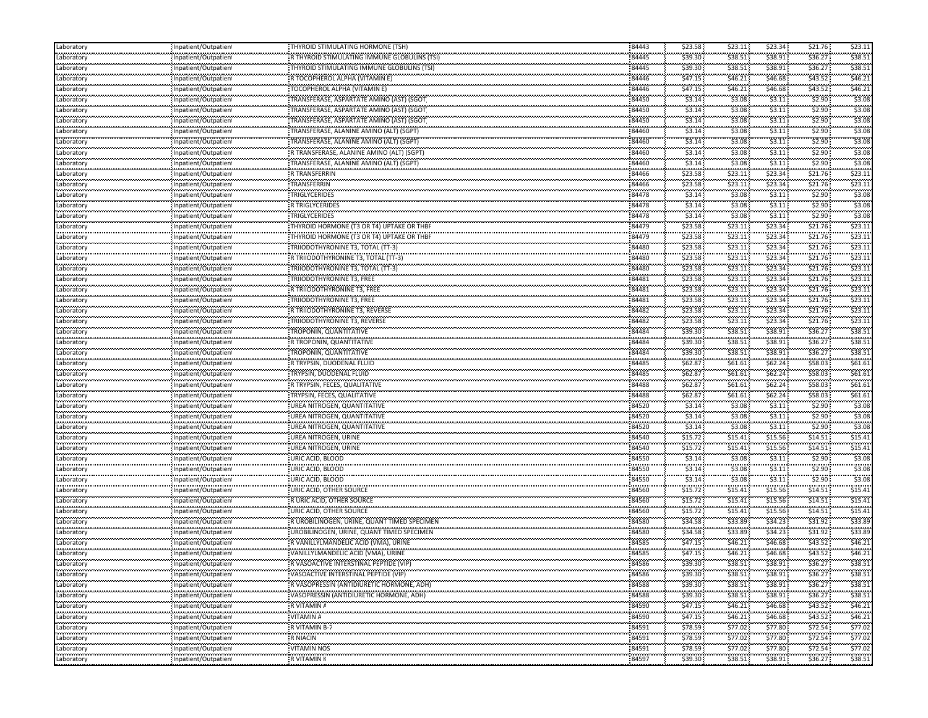| Laboratory                    | Inpatient/Outpatient                              | THYROID STIMULATING HORMONE (TSH)                                                 | 84443          | \$23.58             | \$23.11                                      | \$23.34            | \$21.76                          | \$23.11            |
|-------------------------------|---------------------------------------------------|-----------------------------------------------------------------------------------|----------------|---------------------|----------------------------------------------|--------------------|----------------------------------|--------------------|
| Laboratory                    | Inpatient/Outpatien                               | R THYROID STIMULATING IMMUNE GLOBULINS (TSI                                       | 84445          | \$39.30             | \$38.51                                      | \$38.91            | \$36.27                          | \$38.51            |
| <br>Laboratory                | Inpatient/Outpatien                               | THYROID STIMULATING IMMUNE GLOBULINS (TSI)                                        | <br>84445      | \$39.30             | \$38.51                                      | \$38.91            | \$36.27                          | \$38.5             |
| .<br>Laboratory               | <br>Inpatient/Outpatien                           | R TOCOPHEROL ALPHA (VITAMIN E)                                                    | 84446          | \$47.15             | \$46.21                                      | \$46.68            | \$43.52                          | \$46.2             |
| <br>Laboratory                | <br>Inpatient/Outpatient                          | TOCOPHEROL ALPHA (VITAMIN E)                                                      | 84446          | ,,,,,,,,<br>\$47.15 | <br>\$46.21                                  | \$46.68            | \$43.52                          | \$46.2             |
| Laboratory                    | Inpatient/Outpatient                              | TRANSFERASE, ASPARTATE AMINO (AST) (SGOT                                          | 84450          | \$3.14              | \$3.08                                       | \$3.11             | \$2.90                           | \$3.08             |
| Laboratory                    | Inpatient/Outpatient                              | TRANSFERASE, ASPARTATE AMINO (AST) (SGOT                                          | 84450          | \$3.14              | \$3.08                                       | \$3.11             | \$2.90                           | \$3.08             |
| .<br>Laboratory               | npatient/Outpatien                                | TRANSFERASE, ASPARTATE AMINO (AST) (SGOT                                          | 84450          | \$3.14              | \$3.08                                       | \$3.11             | \$2.90                           | \$3.08             |
| <br>Laboratory                | Inpatient/Outpatien                               | TRANSFERASE, ALANINE AMINO (ALT) (SGPT)                                           | 84460          | \$3.14              | \$3.08                                       | \$3.11             | \$2.90                           | \$3.0              |
| .<br>Laboratory               | ,,,,,,,,,,,,,,,,,,,,,,,,,<br>Inpatient/Outpatien  | TRANSFERASE, ALANINE AMINO (ALT) (SGPT)                                           | 84460          | \$3.14              | \$3.08                                       | \$3.11             | \$2.90                           | \$3.08             |
| <br>Laboratory                | Inpatient/Outpatien                               | R TRANSFERASE, ALANINE AMINO (ALT) (SGPT)                                         | 84460          | \$3.14              | \$3.08                                       | \$3.11             | \$2.90                           | \$3.08             |
| <br>Laboratory                | <br>Inpatient/Outpatient                          | TRANSFERASE, ALANINE AMINO (ALT) (SGPT)                                           | 84460          | \$3.14              | \$3.08                                       | \$3.11             | \$2.90                           | \$3.08             |
| . <b>.</b><br>Laboratory      | Inpatient/Outpatient                              | R TRANSFERRIN                                                                     | 84466          | \$23.58             | \$23.11                                      | \$23.34            | \$21.76                          | \$23.1             |
| Laboratory                    | Inpatient/Outpatien                               | TRANSFERRIN                                                                       | 84466          | \$23.58             | \$23.11                                      | \$23.34            | \$21.76                          | \$23.1             |
| <br>Laboratory                | <br>Inpatient/Outpatient                          | TRIGLYCERIDES                                                                     | 84478          | \$3.14              | \$3.08                                       | \$3.11             | \$2.90                           | \$3.08             |
| .<br>Laboratory               | Inpatient/Outpatien                               | R TRIGLYCERIDES                                                                   | .<br>84478     | \$3.14              | \$3.08                                       | \$3.11             | \$2.90                           | \$3.08             |
|                               |                                                   | <br>TRIGLYCERIDES                                                                 | 84478          | \$3.14              | \$3.08                                       | \$3.11             | \$2.90                           | \$3.08             |
| Laboratory                    | Inpatient/Outpatient                              | THYROID HORMONE (T3 OR T4) UPTAKE OR THB                                          | 84479          | \$23.58             | \$23.11                                      | \$23.34            | \$21.76                          | \$23.1             |
| Laboratory<br>                | Inpatient/Outpatien                               |                                                                                   |                | .                   | \$23.11                                      | \$23.34            | \$21.76                          | \$23.1             |
| Laboratory<br>.               | Inpatient/Outpatien                               | THYROID HORMONE (T3 OR T4) UPTAKE OR THBF                                         | 84479<br>84480 | \$23.58<br>\$23.58  | \$23.11                                      | \$23.34            | \$21.76                          | \$23.1             |
| Laboratory<br>                | Inpatient/Outpatient                              | TRIIODOTHYRONINE T3, TOTAL (TT-3)                                                 |                | .                   | \$23.11                                      | \$23.34            | \$21.76                          | \$23.1             |
| Laboratory                    | Inpatient/Outpatien                               | R TRIIODOTHYRONINE T3, TOTAL (TT-3)                                               | 84480          | \$23.58             |                                              |                    |                                  |                    |
| Laboratory                    | Inpatient/Outpatien                               | TRIIODOTHYRONINE T3, TOTAL (TT-3)                                                 | 84480          | \$23.58             | \$23.11                                      | \$23.34            | \$21.76                          | \$23.1             |
| Laboratory<br>.               | Inpatient/Outpatient<br>,,,,,,,,,,,,,,,,,,,,,,,,, | TRIIODOTHYRONINE T3, FREE                                                         | 84481          | \$23.58             | \$23.11                                      | \$23.34            | \$21.76                          | \$23.1             |
| Laboratory<br>                | Inpatient/Outpatien                               | R TRIIODOTHYRONINE T3, FREE                                                       | 84481          | \$23.58             | \$23.11                                      | \$23.34            | \$21.76                          | \$23.1             |
| Laboratory                    | Inpatient/Outpatient                              | TRIIODOTHYRONINE T3, FREE                                                         | 84481          | \$23.58             | \$23.11                                      | \$23.34            | \$21.76                          | \$23.1             |
| Laboratory<br>                | Inpatient/Outpatien                               | R TRIIODOTHYRONINE T3, REVERSE                                                    | 84482          | \$23.58             | \$23.11                                      | \$23.34            | \$21.76                          | \$23.1             |
| Laboratory<br>                | Inpatient/Outpatien                               | TRIIODOTHYRONINE T3, REVERSE                                                      | 84482          | \$23.58             | \$23.11                                      | \$23.34            | \$21.76                          | \$23.1             |
| Laboratory                    | Inpatient/Outpatient                              | TROPONIN, QUANTITATIVE                                                            | 84484          | \$39.30             | \$38.51                                      | \$38.91            | \$36.27                          | \$38.5             |
| <br>Laboratory                | Inpatient/Outpatien                               | R TROPONIN, QUANTITATIVE                                                          | 84484          | \$39.30             | <br>\$38.51                                  | \$38.91            | \$36.27                          | \$38.5             |
| Laboratory                    | Inpatient/Outpatient                              | TROPONIN, QUANTITATIVE                                                            | 84484          | \$39.30             | \$38.51                                      | \$38.91            | \$36.27                          | \$38.51            |
| Laboratory                    | Inpatient/Outpatient                              | R TRYPSIN, DUODENAL FLUID                                                         | 84485          | \$62.87             | \$61.61                                      | \$62.24            | \$58.03                          | \$61.6\$           |
| .<br>Laboratory               | ,,,,,,,,,,,,,,,,,,,,,,,,,<br>Inpatient/Outpatien! | TRYPSIN, DUODENAL FLUID                                                           | 84485          | \$62.87             | \$61.61                                      | \$62.24            | \$58.03                          | \$61.6\$           |
| <br>Laboratory                | <br>Inpatient/Outpatient                          | R TRYPSIN, FECES, QUALITATIVE                                                     | 84488          | .<br>\$62.87        | \$61.61                                      | \$62.24            | \$58.03                          | \$61.6             |
| Laboratory                    | Inpatient/Outpatien                               | TRYPSIN, FECES, QUALITATIVE                                                       | 84488          | \$62.87             | \$61.61                                      | \$62.24            | \$58.03                          | \$61.61            |
| <br>Laboratory                | Inpatient/Outpatient                              | UREA NITROGEN, QUANTITATIVE                                                       | 84520          | \$3.14              | \$3.08                                       | \$3.11             | \$2.90                           | \$3.08             |
| .<br>Laboratory               | Inpatient/Outpatient                              | UREA NITROGEN, QUANTITATIVE                                                       | 84520          | \$3.14              | \$3.08                                       | \$3.11             | \$2.90                           | \$3.08             |
| <br>Laboratory                | Inpatient/Outpatien                               | UREA NITROGEN, QUANTITATIVE                                                       | 84520          | \$3.14              | \$3.08                                       | \$3.11             | \$2.90                           | \$3.0              |
| Laboratory                    | Inpatient/Outpatient                              | UREA NITROGEN, URINE                                                              | 84540          | \$15.72             | \$15.41                                      | \$15.56            | \$14.51                          | \$15.41            |
| Laboratory                    | Inpatient/Outpatien                               | UREA NITROGEN, URINE                                                              | 84540          | \$15.72             | \$15.41                                      | \$15.56            | \$14.51                          | \$15.4             |
| .<br>Laboratory               | ,,,,,,,,,,,,,,,,,,,,,,,,,<br>npatient/Outpatien   | URIC ACID, BLOOD                                                                  | 84550          | \$3.14              | \$3.08                                       | \$3.11             | \$2.90                           | \$3.08             |
| <br>Laboratory                | Inpatient/Outpatien                               | URIC ACID, BLOOD                                                                  | 84550          | \$3.14              | \$3.08                                       | \$3.11             | \$2.90                           | \$3.0              |
| .<br>Laboratory               | ,,,,,,,,,,,,,,,,,,,,,,,,,<br>Inpatient/Outpatien  | URIC ACID, BLOOD                                                                  | 84550          | \$3.14              | \$3.08                                       | \$3.11             | \$2.90                           | \$3.08             |
| <br>Laboratory                | Inpatient/Outpatien                               | URIC ACID, OTHER SOURCE                                                           | 84560          | \$15.72             | <b><i><u>ALCOHOL: 000</u></i></b><br>\$15.41 | \$15.56            | \$14.51                          | \$15.4             |
| <br>Laboratory                | Inpatient/Outpatient                              | R URIC ACID, OTHER SOURCE                                                         | 84560          | بمصححهم<br>\$15.72  | \$15.41                                      | \$15.56            | \$14.51                          | \$15.4             |
| .<br>Laboratory               | Inpatient/Outpatient                              | URIC ACID, OTHER SOURCE                                                           | 84560          | \$15.72             | \$15.41                                      | \$15.56            | \$14.51                          | \$15.4             |
| Laboratory                    | Inpatient/Outpatien                               | R UROBILINOGEN, URINE, QUANT TIMED SPECIMEN                                       | 84580          | \$34.58             | \$33.89                                      | \$34.23            | \$31.92                          | \$33.89            |
| <br>Laboratory                | <br>Inpatient/Outpatien <sup>.</sup>              | UROBILINOGEN, URINE, QUANT TIMED SPECIMEN                                         | 84580          | .<br>\$34.58        | .<br>\$33.89                                 | \$34.23            | \$31.92                          | \$33.8             |
| .                             | ,,,,,,,,,,,,,,,,,,,,,,,,,<br>npatient/Outpatien   | R VANILLYLMANDELIC ACID (VMA), URINE                                              | 84585          | \$47.15             | .<br>\$46.21                                 | \$46.68            | \$43.52                          | \$46.21            |
| Laboratory<br>                | Inpatient/Outpatien                               | VANILLYLMANDELIC ACID (VMA), URINE                                                | 84585          | .<br>\$47.15        | .<br>\$46.21                                 | .<br>\$46.68       | \$43.52                          | \$46.2             |
| Laboratory<br>.<br>Laboratory |                                                   | R VASOACTIVE INTERSTINAL PEPTIDE (VIP)                                            | 84586          | \$39.30             | .<br>\$38.51                                 | \$38.91            | \$36.27                          | \$38.51            |
| .                             | Inpatient/Outpatien<br>                           |                                                                                   |                |                     | .                                            | .                  |                                  |                    |
| Laboratory<br>.               | Inpatient/Outpatient                              | VASOACTIVE INTERSTINAL PEPTIDE (VIP)<br>R VASOPRESSIN (ANTIDIURETIC HORMONE, ADH) | 84586<br>84588 | \$39.30<br>\$39.30  | \$38.51<br>.                                 | \$38.91<br>\$38.91 | \$36.27<br><b>Agency Control</b> | \$38.51<br>\$38.51 |
| Laboratory<br>.               | Inpatient/Outpatient<br>------------------------  | VASOPRESSIN (ANTIDIURETIC HORMONE, ADH)                                           | 84588          | \$39.30             | \$38.51<br>\$38.51                           | \$38.91            | \$36.27:<br>\$36.27              | \$38.5             |
| Laboratory                    | Inpatient/Outpatient                              |                                                                                   | 84590          | \$47.15             | \$46.21                                      | \$46.68            | ومستعب                           | \$46.21            |
| Laboratory<br>                | Inpatient/Outpatient                              | R VITAMIN A<br>                                                                   | 84590          | \$47.15             | \$46.21                                      | .                  | \$43.52<br>\$43.52               | .                  |
| Laboratory<br>.               | Inpatient/Outpatient                              | VITAMIN A<br>R VITAMIN B-7                                                        | 84591          | \$78.59             |                                              | \$46.68<br>        | \$72.54                          | \$46.2<br>         |
| Laboratory<br>                | Inpatient/Outpatient<br>                          |                                                                                   | .              | \$78.59             | \$77.02<br>                                  | \$77.80<br>.       |                                  | \$77.0<br>.        |
| Laboratory<br>.               | Inpatient/Outpatient                              | R NIACIN<br>.                                                                     | 84591          |                     | \$77.02<br>.                                 | \$77.80            | \$72.54                          | \$77.02            |
| Laboratory<br>.               | Inpatient/Outpatient                              | VITAMIN NOS<br>.                                                                  | 84591<br>.     | \$78.59             | \$77.02                                      | \$77.80            | \$72.54<br>.                     | \$77.02            |
| Laboratory                    | Inpatient/Outpatient                              | R VITAMIN K                                                                       | 84597          | \$39.30             | \$38.51                                      | \$38.91            | \$36.27                          | \$38.51            |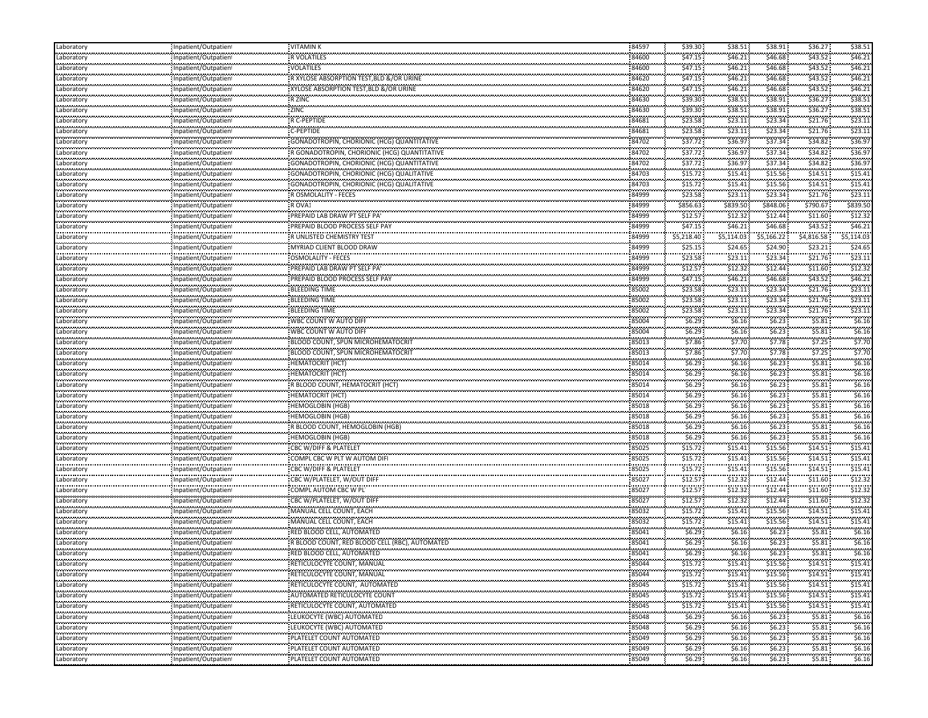| Laboratory                    | Inpatient/Outpatien  | <b>VITAMINK</b>                                | 84597          | \$39.30    | \$38.51    | \$38.91    | \$36.27    | \$38.51  |
|-------------------------------|----------------------|------------------------------------------------|----------------|------------|------------|------------|------------|----------|
| Laboratory                    | Inpatient/Outpatien  | <b>R VOLATILES</b>                             | 84600          | \$47.15    | \$46.21    | \$46.68    | \$43.52    | \$46.21  |
| <br>Laboratory                | Inpatient/Outpatient | VOLATILES                                      | 84600          | \$47.15    | \$46.21    | \$46.68    | \$43.52    | \$46.21  |
| <br>Laboratory                | Inpatient/Outpatient | R XYLOSE ABSORPTION TEST, BLD &/OR URINE       | 84620          | \$47.15    | \$46.21    | \$46.68    | \$43.52    | \$46.21  |
| <br>Laboratory                | Inpatient/Outpatient | XYLOSE ABSORPTION TEST, BLD &/OR URINE         | 84620          | \$47.15    | \$46.21    | \$46.68    | \$43.52    | \$46.21  |
| Laboratory                    | Inpatient/Outpatient | R ZINC                                         | 84630          | \$39.30    | \$38.51    | \$38.91    | \$36.27    | \$38.51  |
| Laboratory                    | Inpatient/Outpatient | ZINC                                           | 84630          | \$39.30    | \$38.51    | \$38.91    | \$36.27    | \$38.51  |
| المعرف والمرا<br>Laboratory   | Inpatient/Outpatient | R C-PEPTIDE                                    | 84681          | \$23.58    | \$23.11    | \$23.34    | \$21.76    | \$23.11  |
|                               | Inpatient/Outpatient | C-PEPTIDE                                      | 84681          | \$23.58    | \$23.11    | \$23.34    | \$21.76    | \$23.11  |
| Laboratory<br>.               |                      |                                                | 84702          | \$37.72    | \$36.97    | \$37.34    | \$34.82    | \$36.9   |
| Laboratory<br>.<br>Laboratory | Inpatient/Outpatient |                                                |                | \$37.72    | \$36.97    | \$37.34    | \$34.82    | \$36.9   |
|                               | Inpatient/Outpatient | R GONADOTROPIN, CHORIONIC (HCG) QUANTITATIVE   | 84702          |            |            |            | \$34.82    | \$36.97  |
| Laboratory                    | Inpatient/Outpatient | GONADOTROPIN, CHORIONIC (HCG) QUANTITATIVE     | 84702          | \$37.72    | \$36.97    | \$37.34    |            |          |
| Laboratory                    | Inpatient/Outpatient | GONADOTROPIN, CHORIONIC (HCG) QUALITATIVE      | 84703          | \$15.72    | \$15.41    | \$15.56    | \$14.51    | \$15.41  |
| Laboratory<br>gaangan         | Inpatient/Outpatient | GONADOTROPIN, CHORIONIC (HCG) QUALITATIVE      | 84703          | \$15.72    | \$15.41    | \$15.56    | \$14.51    | \$15.41  |
| Laboratory<br>.               | Inpatient/Outpatient | R OSMOLALITY - FECES                           | 84999          | \$23.58    | \$23.11    | \$23.34    | \$21.76    | \$23.11  |
| Laboratory<br>                | Inpatient/Outpatient | R OVA1                                         | 84999          | \$856.63   | \$839.50   | \$848.06   | \$790.67   | \$839.50 |
| Laboratory                    | Inpatient/Outpatient | PREPAID LAB DRAW PT SELF PA'                   | 84999          | \$12.57    | \$12.32    | \$12.44    | \$11.60    | \$12.32  |
| Laboratory                    | Inpatient/Outpatient | PREPAID BLOOD PROCESS SELF PAY                 | 84999          | \$47.15    | \$46.21    | \$46.68    | \$43.52    | \$46.21  |
| .<br>Laboratory               | Inpatient/Outpatient | R UNLISTED CHEMISTRY TEST                      | 84999          | \$5,218.40 | \$5,114.03 | \$5,166.22 | \$4,816.58 | 5,114.03 |
| Laboratory                    | Inpatient/Outpatient | MYRIAD CLIENT BLOOD DRAW                       | 84999          | \$25.15    | \$24.65    | \$24.90    | \$23.21    | \$24.65  |
| فمعتمدهم<br>Laboratory        | Inpatient/Outpatient | OSMOLALITY - FECES                             | 84999          | \$23.58    | \$23.11    | \$23.34    | \$21.76    | \$23.11  |
| Laboratory                    | Inpatient/Outpatient | PREPAID LAB DRAW PT SELF PAY                   | 84999          | \$12.57    | \$12.32    | \$12.44    | \$11.60    | \$12.32  |
| Laboratory                    | Inpatient/Outpatient | PREPAID BLOOD PROCESS SELF PAY                 | 84999          | \$47.15    | \$46.21    | \$46.68    | \$43.52    | \$46.21  |
| المعرف والمرا<br>Laboratory   | Inpatient/Outpatient | BLEEDING TIME                                  | 85002          | \$23.58    | \$23.11    | \$23.34    | \$21.76    | \$23.11  |
|                               | Inpatient/Outpatient | <b>BLEEDING TIME</b>                           | 85002          | \$23.58    | \$23.11    | \$23.34    | \$21.76    | \$23.11  |
| Laboratory                    |                      | <b>BLEEDING TIME</b>                           |                | \$23.58    | \$23.11    | \$23.34    | \$21.76    | \$23.11  |
| Laboratory<br>                | Inpatient/Outpatient |                                                | 85002<br>85004 | \$6.29     | \$6.16\$   | \$6.23     | \$5.81     | \$6.16   |
| Laboratory                    | Inpatient/Outpatient | WBC COUNT W AUTO DIFI                          |                |            |            |            |            |          |
| Laboratory<br>                | Inpatient/Outpatient | WBC COUNT W AUTO DIFI                          | 85004          | \$6.29     | \$6.16     | \$6.23\$   | \$5.81     | \$6.16   |
| Laboratory                    | Inpatient/Outpatient | BLOOD COUNT, SPUN MICROHEMATOCRIT              | 85013          | \$7.86     | \$7.70     | \$7.78     | \$7.25     | \$7.70   |
| Laboratory                    | Inpatient/Outpatient | BLOOD COUNT, SPUN MICROHEMATOCRIT              | 85013          | \$7.86     | \$7.70     | \$7.78     | \$7.25     | \$7.70   |
| Laboratory                    | Inpatient/Outpatient | <b>HEMATOCRIT (HCT)</b>                        | 85014          | \$6.29\$   | \$6.16\$   | \$6.23     | \$5.81     | \$6.16   |
| المعرف والمرا<br>Laboratory   | Inpatient/Outpatient | HEMATOCRIT (HCT)                               | 85014          | \$6.29     | \$6.16     | \$6.23\$   | \$5.81     | \$6.16   |
| gaangaa<br>Laboratory         | Inpatient/Outpatient | R BLOOD COUNT, HEMATOCRIT (HCT)                | 85014          | \$6.29     | \$6.16\$   | \$6.23     | \$5.81     | \$6.16   |
| Laboratory                    | Inpatient/Outpatient | <b>HEMATOCRIT (HCT)</b>                        | 85014          | \$6.29\$   | \$6.16     | \$6.23\$   | \$5.81     | \$6.16   |
| .<br>Laboratory               | Inpatient/Outpatient | <b>HEMOGLOBIN (HGB)</b>                        | 85018          | \$6.29     | \$6.16     | \$6.23\$   | \$5.81     | \$6.16   |
| <br>Laboratory                | Inpatient/Outpatient | HEMOGLOBIN (HGB)                               | 85018          | \$6.29     | \$6.16     | \$6.23\$   | \$5.81     | \$6.16   |
| <br>Laboratory                | Inpatient/Outpatient | R BLOOD COUNT, HEMOGLOBIN (HGB)                | 85018          | \$6.29     | \$6.16\$   | \$6.23     | \$5.81     | \$6.16   |
| Laboratory                    | Inpatient/Outpatient | <b>HEMOGLOBIN (HGB)</b>                        | 85018          | \$6.29     | \$6.16\$   | \$6.23\$   | \$5.81     | \$6.16   |
| Laboratory                    | Inpatient/Outpatient | CBC W/DIFF & PLATELET                          | 85025          | \$15.72    | \$15.41    | \$15.56    | \$14.51    | \$15.41  |
| المعرف والمرا<br>Laboratory   | Inpatient/Outpatient | COMPL CBC W PLT W AUTOM DIF                    | 85025          | \$15.72    | \$15.41    | \$15.56    | \$14.51    | \$15.41  |
|                               |                      | <b>CBC W/DIFF &amp; PLATELET</b>               | 85025          | \$15.72    | \$15.41    | \$15.56    | \$14.51    | \$15.41  |
| Laboratory<br>.               | Inpatient/Outpatien! | CBC W/PLATELET, W/OUT DIFF                     | 85027          | \$12.57    | \$12.32    | \$12.44    | \$11.60    | \$12.32  |
| Laboratory<br>.<br>Laboratory | Inpatient/Outpatien  |                                                | 85027          | \$12.57    | \$12.32    | \$12.44    | \$11.60    | \$12.32  |
|                               | Inpatient/Outpatient | COMPL AUTOM CBC W PL                           | 85027          | \$12.57    |            |            | \$11.60    | \$12.32  |
| Laboratory                    | Inpatient/Outpatient | CBC W/PLATELET, W/OUT DIFF                     |                |            | \$12.32    | \$12.44    |            |          |
| .<br>Laboratory               | Inpatient/Outpatient | MANUAL CELL COUNT, EACH                        | 85032          | \$15.72    | \$15.41    | \$15.56    | \$14.51    | \$15.41  |
| Laboratory<br>                | Inpatient/Outpatient | MANUAL CELL COUNT, EACH                        | 85032          | \$15.72    | \$15.41    | \$15.56    | \$14.51    | \$15.41  |
| Laboratory<br>.               | Inpatient/Outpatient | RED BLOOD CELL, AUTOMATED                      | 85041          | \$6.29     | \$6.16     | \$6.23     | \$5.81     | \$6.16   |
| Laboratory                    | Inpatient/Outpatien  | R BLOOD COUNT, RED BLOOD CELL (RBC), AUTOMATED | 85041          | \$6.29     | \$6.16     | \$6.23\$   | \$5.81     | \$6.16   |
| <br>Laboratory                | Inpatient/Outpatient | RED BLOOD CELL, AUTOMATED                      | 85041          | \$6.29     | \$6.16\$   | \$6.23     | \$5.81     | \$6.16   |
| Laboratory                    | Inpatient/Outpatient | RETICULOCYTE COUNT, MANUAL                     | 85044          | \$15.72    | \$15.41    | \$15.56    | \$14.51    | \$15.41  |
| <br>Laboratory                | Inpatient/Outpatient | RETICULOCYTE COUNT, MANUAL                     | 85044          | \$15.72    | \$15.41    | \$15.56    | \$14.51    | \$15.41  |
| .<br>Laboratory               | Inpatient/Outpatient | : RETICULOCYTE COUNT, AUTOMATED                | 85045          | \$15.72    | \$15.41    | \$15.56    | \$14.51    | \$15.41  |
| Laboratory                    | Inpatient/Outpatient | <b>AUTOMATED RETICULOCYTE COUNT</b>            | 85045          | \$15.72    | \$15.41    | \$15.56    | \$14.51    | \$15.41  |
| Laboratory                    | Inpatient/Outpatient | : RETICULOCYTE COUNT, AUTOMATED                | 85045          | \$15.72    | \$15.41    | \$15.56    | \$14.51    | \$15.41  |
| Laboratory                    | Inpatient/Outpatient | LEUKOCYTE (WBC) AUTOMATED                      | 85048          | \$6.29     | \$6.16     | \$6.23     | \$5.81     | \$6.16   |
| .<br>Laboratory               | Inpatient/Outpatient | <b>LEUKOCYTE (WBC) AUTOMATED</b>               | 85048          | \$6.29     | \$6.16     | \$6.23\$   | \$5.81     | \$6.16   |
| .<br>Laboratory               | Inpatient/Outpatient | PLATELET COUNT AUTOMATED                       | 85049          | \$6.29     | \$6.16\$   | \$6.23     | \$5.81     | \$6.16   |
| .<br>Laboratory               | Inpatient/Outpatient | PLATELET COUNT AUTOMATED                       | 85049          | \$6.29     | \$6.16     | \$6.23\$   | \$5.81     | \$6.16   |
|                               |                      |                                                |                |            |            |            |            |          |
| Laboratory                    | Inpatient/Outpatient | PLATELET COUNT AUTOMATED                       | 85049          | \$6.29     | \$6.16\$   | \$6.23\$   | \$5.81     | \$6.16   |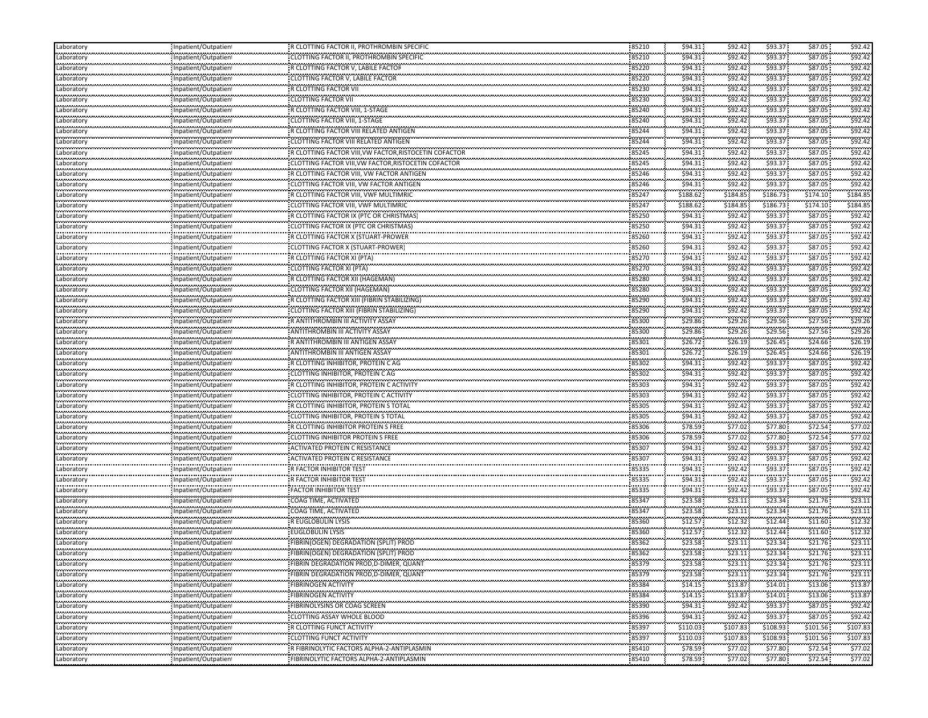| Laboratory                                | Inpatient/Outpatien                                | R CLOTTING FACTOR II, PROTHROMBIN SPECIFIC                                       | 85210                | \$94.31              | \$92.42               | \$93.37               | \$87.05                      | \$92.42       |
|-------------------------------------------|----------------------------------------------------|----------------------------------------------------------------------------------|----------------------|----------------------|-----------------------|-----------------------|------------------------------|---------------|
| Laboratory                                | Inpatient/Outpatien                                | CLOTTING FACTOR II, PROTHROMBIN SPECIFIC                                         | 85210                | \$94.31              | \$92.42               | \$93.37               | \$87.05                      | \$92.42       |
| <br>Laboratory                            | Inpatient/Outpatien                                | R CLOTTING FACTOR V, LABILE FACTOR                                               | 85220                | .<br>\$94.31         | .<br>\$92.42          | .<br>\$93.37          | \$87.05                      | \$92.4        |
| <b></b><br>Laboratory                     | Inpatient/Outpatien                                | CLOTTING FACTOR V, LABILE FACTOR                                                 | 85220                | \$94.31              | \$92.42               | \$93.37               | \$87.05                      | \$92.4        |
| <br>Laboratory                            | Inpatient/Outpatien                                | <br>R CLOTTING FACTOR VII                                                        | <br>85230            | \$94.31              | <br>\$92.42           | .<br>\$93.37          | \$87.05                      | \$92.4        |
| محددتمان<br>Laboratory                    | Inpatient/Outpatien                                | <b>CLOTTING FACTOR VII</b>                                                       | 85230                | \$94.31              | \$92.42               | \$93.37               | \$87.05                      | \$92.4        |
| Laboratory                                | Inpatient/Outpatien                                | R CLOTTING FACTOR VIII, 1-STAGE                                                  | 85240                | \$94.31              | \$92.42               | \$93.37               | \$87.05                      | \$92.42       |
| .<br>Laboratory                           | .<br><br>Inpatient/Outpatien                       | CLOTTING FACTOR VIII, 1-STAGE                                                    | 85240                | \$94.31              | .<br>\$92.42          | \$93.37               | \$87.05                      | \$92.4        |
| <br>Laboratory                            | npatient/Outpatien                                 | R CLOTTING FACTOR VIII RELATED ANTIGEN                                           | 85244                | \$94.31              | \$92.42               | \$93.37               | \$87.05                      | \$92.4        |
| .                                         | Inpatient/Outpatien                                | CLOTTING FACTOR VIII RELATED ANTIGEN                                             | 85244                | \$94.31              | .<br>\$92.42          | <br>\$93.37           | \$87.05                      | \$92.4        |
| Laboratory<br>                            |                                                    |                                                                                  | 85245                | \$94.31              | \$92.42               | .                     | \$87.05                      | \$92.4        |
| Laboratory<br><b></b>                     | Inpatient/Outpatien                                | R CLOTTING FACTOR VIII, VW FACTOR, RISTOCETIN COFACTOR                           | 85245                | \$94.31              |                       | \$93.37               | \$87.05                      | \$92.4        |
| Laboratory<br>.                           | Inpatient/Outpatien                                | CLOTTING FACTOR VIII, VW FACTOR, RISTOCETIN COFACTOR                             | 85246                | \$94.31              | \$92.42<br>\$92.42    | \$93.37<br>\$93.37    | \$87.05                      | \$92.4        |
| Laboratory<br>.                           | Inpatient/Outpatien                                | R CLOTTING FACTOR VIII, VW FACTOR ANTIGEN                                        | 85246                |                      |                       |                       |                              | \$92.4        |
| Laboratory<br>                            | Inpatient/Outpatien                                | CLOTTING FACTOR VIII, VW FACTOR ANTIGEN                                          | --------             | \$94.31<br>,,,,,,,,, | \$92.42<br>,,,,,,,,,, | \$93.37<br>,,,,,,,,,, | \$87.05<br>                  |               |
| Laboratory<br>.                           | Inpatient/Outpatien                                | R CLOTTING FACTOR VIII, VWF MULTIMRIC                                            | 85247                | \$188.62<br>.        | \$184.85<br>.         | \$186.73              | \$174.10                     | \$184.8       |
| aboratory<br>                             | Inpatient/Outpatien                                | CLOTTING FACTOR VIII, VWF MULTIMRIC                                              | 85247                | \$188.62             | \$184.85              | \$186.73              | \$174.10                     | \$184.85      |
| Laboratory<br>لمحدث محدث                  | Inpatient/Outpatien                                | R CLOTTING FACTOR IX (PTC OR CHRISTMAS)                                          | 85250                | \$94.31              | \$92.42               | \$93.37               | \$87.05                      | \$92.4        |
| Laboratory<br>                            | Inpatient/Outpatien<br>                            | CLOTTING FACTOR IX (PTC OR CHRISTMAS)                                            | 85250                | \$94.31              | \$92.42               | \$93.37               | \$87.05                      | \$92.4        |
| Laboratory<br><b></b>                     | npatient/Outpatien                                 | R CLOTTING FACTOR X (STUART-PROWER                                               | 85260                | \$94.31              | \$92.42               | \$93.37               | \$87.05                      | \$92.4        |
| Laboratory                                | Inpatient/Outpatien                                | CLOTTING FACTOR X (STUART-PROWER                                                 | 85260                | \$94.31              | \$92.42               | .<br>\$93.37          | \$87.05                      | \$92.4        |
| <br>Laboratory                            | <br>Inpatient/Outpatien                            | R CLOTTING FACTOR XI (PTA)                                                       | 85270                | \$94.31              | \$92.42               | \$93.37               | \$87.05                      | \$92.4        |
| Laboratory                                | Inpatient/Outpatien                                | <b>CLOTTING FACTOR XI (PTA)</b>                                                  | 85270                | \$94.31              | \$92.42               | \$93.37               | \$87.05                      | \$92.4        |
| Laboratory                                | Inpatient/Outpatien                                | R CLOTTING FACTOR XII (HAGEMAN)                                                  | 85280                | \$94.31              | \$92.42               | \$93.37               | \$87.05                      | \$92.4        |
| .<br>aboratory                            | Inpatient/Outpatien                                | CLOTTING FACTOR XII (HAGEMAN)                                                    | 85280                | \$94.31              | \$92.42               | \$93.37               | \$87.05                      | \$92.4        |
| <br>Laboratory                            | <br>Inpatient/Outpatien                            | R CLOTTING FACTOR XIII (FIBRIN STABILIZING)                                      | <br>85290            | \$94.31              | <br>\$92.42           | .<br>\$93.37          | \$87.05                      | \$92.4        |
| .<br>Laboratory                           | Inpatient/Outpatien                                | .<br>CLOTTING FACTOR XIII (FIBRIN STABILIZING)                                   | 85290                | \$94.31              | \$92.42               | \$93.37               | \$87.05                      | \$92.4        |
| <br>Laboratory                            | <br>Inpatient/Outpatien                            | R ANTITHROMBIN III ACTIVITY ASSAY                                                | 85300                | \$29.86              | <br>\$29.26           | \$29.56               | \$27.56                      | \$29.26       |
| .<br>Laboratory                           | <br>Inpatient/Outpatien                            | ANTITHROMBIN III ACTIVITY ASSAY                                                  | 85300                | \$29.86              | \$29.26               | .<br>\$29.56          | \$27.56                      | \$29.26       |
| <br>Laboratory                            | <br>Inpatient/Outpatien                            | .<br>- R ANTITHROMBIN III ANTIGEN ASSAY                                          | 85301                | \$26.72              | \$26.19               | \$26.45               | \$24.66                      | \$26.19       |
| محددتمان<br>Laboratory                    | Inpatient/Outpatien                                | ANTITHROMBIN III ANTIGEN ASSAY                                                   | 85301                | \$26.72              | \$26.19               | \$26.45               | \$24.66                      | \$26.19       |
| Laboratory                                | Inpatient/Outpatien                                | R CLOTTING INHIBITOR, PROTEIN C AG                                               | 85302                | \$94.31              | \$92.42               | \$93.37               | \$87.05                      | \$92.42       |
| .                                         |                                                    |                                                                                  | 85302                | \$94.31              | .                     | \$93.37               | \$87.05                      | \$92.4        |
| Laboratory<br>                            | Inpatient/Outpatien                                | CLOTTING INHIBITOR, PROTEIN C AG                                                 | 85303                | \$94.31              | \$92.42<br>\$92.42    | .                     | \$87.05                      | \$92.4        |
| Laboratory<br>.                           | Inpatient/Outpatien                                | R CLOTTING INHIBITOR, PROTEIN C ACTIVITY                                         | 85303                | \$94.31              | \$92.42               | \$93.37<br>\$93.37    | \$87.05                      | \$92.4        |
| Laboratory<br>                            | Inpatient/Outpatien<br>                            | CLOTTING INHIBITOR, PROTEIN C ACTIVITY                                           |                      | .                    | .                     | .                     | \$87.05                      | \$92.4        |
| Laboratory<br><b></b>                     | Inpatient/Outpatien                                | R CLOTTING INHIBITOR, PROTEIN S TOTAL                                            | 85305<br>85305       | \$94.31<br>\$94.31   | \$92.42               | \$93.37               | \$87.05                      | \$92.4        |
| aboratory<br>                             | Inpatient/Outpatien<br>                            | CLOTTING INHIBITOR, PROTEIN S TOTAL                                              | 85306                | \$78.59              | \$92.42<br>\$77.02    | \$93.37<br>.          | \$72.54                      | \$77.02       |
| Laboratory<br>محددتمان                    | Inpatient/Outpatien                                | R CLOTTING INHIBITOR PROTEIN S FREE                                              |                      |                      |                       | \$77.80               |                              |               |
| Laboratory                                | Inpatient/Outpatien                                | <b>CLOTTING INHIBITOR PROTEIN S FREE</b>                                         | 85306                | \$78.59              | \$77.02               | \$77.80               | \$72.54                      | \$77.0        |
| Laboratory<br>.                           | Inpatient/Outpatien<br>.<br>                       | ACTIVATED PROTEIN C RESISTANCE                                                   | 85307                | \$94.31              | \$92.42<br>.          | \$93.37<br>           | \$87.05                      | \$92.42       |
| Laboratory<br>                            | Inpatient/Outpatien                                | ACTIVATED PROTEIN C RESISTANCE                                                   | 85307                | \$94.31              | \$92.42               | \$93.37               | \$87.05                      | \$92.4        |
| Laboratory<br>.                           | npatient/Outpatien                                 | R FACTOR INHIBITOR TEST<br>,,,,,,,,,,,,,,,,,,,,,,,,,,,,,,,,                      | 85335                | \$94.31              | \$92.42<br>.          | \$93.37<br>           | \$87.05                      | \$92.4        |
| Laboratory<br>                            | Inpatient/Outpatien<br>                            | R FACTOR INHIBITOR TEST                                                          | 85335                | \$94.31<br>.         | \$92.42<br>.          | \$93.37<br>.          | \$87.05                      | \$92.4        |
| Laboratory<br><b></b>                     | Inpatient/Outpatien                                | <b>FACTOR INHIBITOR TEST</b>                                                     | 85335                | \$94.31              | \$92.42               | \$93.37               | \$87.05                      | \$92.4        |
| Laboratory                                | Inpatient/Outpatien                                | COAG TIME, ACTIVATED                                                             | 85347                | \$23.58              | \$23.11               | \$23.34               | \$21.76                      | \$23.1        |
| .<br>Laboratory                           | Inpatient/Outpatien                                | COAG TIME, ACTIVATED                                                             | 85347                | \$23.58              | \$23.11               | \$23.34               | \$21.76                      | \$23.11       |
| لمحدث محدث<br>Laboratory                  | Inpatient/Outpatien                                | <b>R EUGLOBULIN LYSIS</b>                                                        | 85360                | \$12.57              | \$12.32               | \$12.44               | \$11.60                      | \$12.3        |
| <br>aboratory                             | Inpatient/Outpatien                                | <b>EUGLOBULIN LYSIS</b>                                                          | <br>85360            | .<br>\$12.57         | <br>\$12.32           | .<br>\$12.44          | \$11.60                      | \$12.3        |
| .<br>aboratory                            | .<br><br>npatient/Outpatien                        | FIBRIN(OGEN) DEGRADATION (SPLIT) PROD                                            | 85362                | \$23.58              | .<br>\$23.11          | <br>\$23.34           | \$21.76                      | \$23.1        |
| <br>Laboratory                            | Inpatient/Outpatien <sup>.</sup>                   | IBRIN(OGEN) DEGRADATION (SPLIT) PROD                                             | <br>85362            | \$23.58              | <br>\$23.11           | .<br>\$23.34          | \$21.76                      | \$23.11       |
| Laboratory                                | Inpatient/Outpatien                                | FIBRIN DEGRADATION PROD, D-DIMER, QUANT                                          | .<br>85379           | .<br>\$23.58         | .<br>\$23.11          | .<br>\$23.34          | against the<br>\$21.76       | \$23.11       |
| Laboratory                                | Inpatient/Outpatient                               | FIBRIN DEGRADATION PROD, D-DIMER, QUANT                                          | ,,,,,,,,,,,<br>85379 | \$23.58              | \$23.11               | \$23.34               | .<br>\$21.76                 | \$23.11       |
| Laboratory                                | Inpatient/Outpatien                                | FIBRINOGEN ACTIVITY                                                              | 85384                | \$14.15              | \$13.87               | <br>\$14.01           | .<br>\$13.06:                | \$13.87       |
| .<br>Laboratory                           | Inpatient/Outpatient                               | <b>FIBRINOGEN ACTIVITY</b>                                                       | 85384                | \$14.15              | \$13.87               | \$14.01               | \$13.06                      | \$13.87       |
| بالمحمد للمحمدات<br>Laboratory            | Inpatient/Outpatient                               | FIBRINOLYSINS OR COAG SCREEN                                                     | 85390                | \$94.31              | \$92.42               | \$93.37               | \$87.05                      | \$92.42       |
| Laboratory                                | <br>Inpatient/Outpatient                           | CLOTTING ASSAY WHOLE BLOOD                                                       | ,,,,,,,,,,<br>85396  | \$94.31              | .<br>\$92.42          | .<br>\$93.37          | .<br>\$87.05                 | \$92.42       |
| Laboratory                                | ,,,,,,,,,,,,,,,,,,,,,,,,,,<br>Inpatient/Outpatient | R CLOTTING FUNCT ACTIVITY                                                        | 85397                | .<br>\$110.03        | .<br>\$107.83         | .<br>\$108.93         | والمعامر المراجع<br>\$101.56 | .<br>\$107.83 |
| Laboratory<br>                            | <br>Inpatient/Outpatien!                           | <b>CLOTTING FUNCT ACTIVITY</b>                                                   | <br>85397            | .<br>\$110.03        | <br>\$107.83          | <br>\$108.93          | ,,,,,,,,,,,<br>\$101.56      | .<br>\$107.83 |
| .                                         | ,,,,,,,,,,,,,,,,,,,,,,,,,,                         | ,,,,,,,,,,,,,,,,,,,,,,,,,,,,,,,,,,<br>R FIBRINOLYTIC FACTORS ALPHA-2-ANTIPLASMIN | 85410                | \$78.59              | .                     | .                     |                              | \$77.02       |
| Laboratory<br>,,,,,,,,,,,,,<br>Laboratory | Inpatient/Outpatient<br>                           | FIBRINOLYTIC FACTORS ALPHA-2-ANTIPLASMIN                                         | 0.                   | \$78.59              | \$77.02<br>\$77.02\$  | \$77.80<br>.          | \$72.54<br>.                 | \$77.02       |
|                                           | Inpatient/Outpatient                               |                                                                                  | 85410                |                      |                       | \$77.80               | \$72.54                      |               |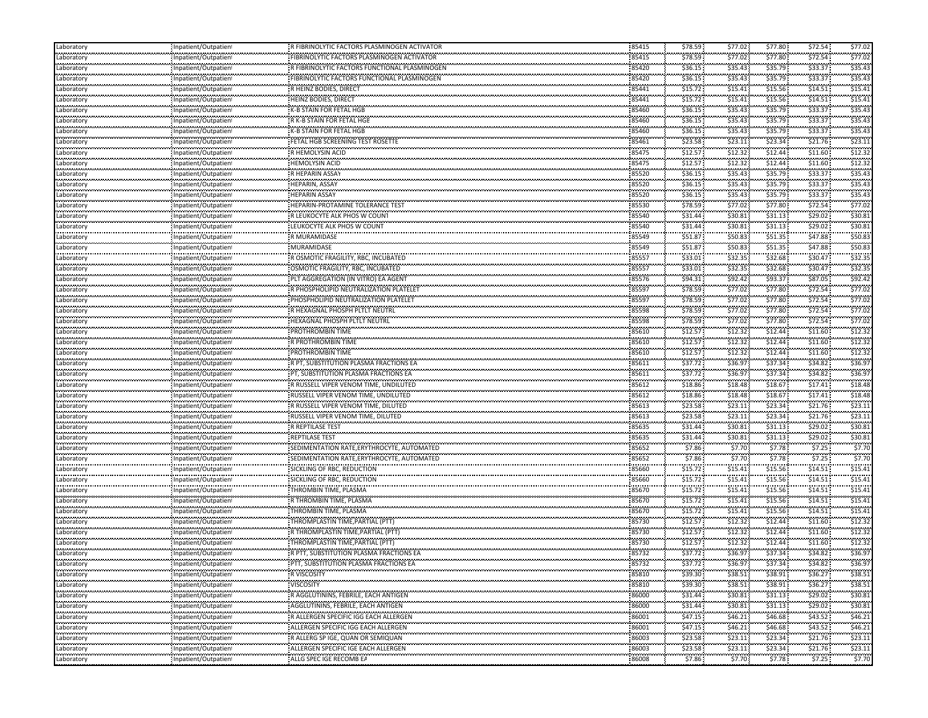| Laboratory                    | Inpatient/Outpatien                                  | R FIBRINOLYTIC FACTORS PLASMINOGEN ACTIVATOR                   | 85415                 | \$78.59            | \$77.02   | \$77.80              | \$72.54   | \$77.02 |
|-------------------------------|------------------------------------------------------|----------------------------------------------------------------|-----------------------|--------------------|-----------|----------------------|-----------|---------|
| Laboratory                    | Inpatient/Outpatient                                 | FIBRINOLYTIC FACTORS PLASMINOGEN ACTIVATOR                     | 85415                 | \$78.59            | \$77.02\$ | \$77.80              | \$72.54   | \$77.02 |
| <br>Laboratory                | Inpatient/Outpatient                                 | R FIBRINOLYTIC FACTORS FUNCTIONAL PLASMINOGEN                  | 85420                 | \$36.15            | \$35.43   | \$35.79              | \$33.37   | \$35.4  |
| Laboratory                    | Inpatient/Outpatient                                 | FIBRINOLYTIC FACTORS FUNCTIONAL PLASMINOGEN                    | 85420                 | \$36.15            | \$35.43   | \$35.79              | \$33.37   | \$35.43 |
| <br>Laboratory                | Inpatient/Outpatien!                                 | <br>R HEINZ BODIES, DIRECT                                     | 85441                 | \$15.72            | \$15.41   | \$15.56              | \$14.51   | \$15.4  |
| Laboratory                    | Inpatient/Outpatient                                 | <b>HEINZ BODIES, DIRECT</b>                                    | 85441                 | \$15.72            | \$15.41   | \$15.56              | \$14.51   | \$15.41 |
|                               |                                                      | K-B STAIN FOR FETAL HGB                                        | 85460                 | \$36.15            | \$35.43   | \$35.79              | \$33.37   | \$35.43 |
| Laboratory<br>بتبيته بتبيعها  | Inpatient/Outpatient                                 | R K-B STAIN FOR FETAL HGE                                      | 85460                 | \$36.15            | \$35.43   | \$35.79              | \$33.37   | \$35.43 |
| Laboratory<br>                | Inpatient/Outpatient                                 | K-B STAIN FOR FETAL HGB                                        | 85460                 | \$36.15            | \$35.43   | \$35.79              | \$33.37   | \$35.4  |
| Laboratory<br>                | Inpatient/Outpatien!                                 |                                                                |                       |                    |           |                      | \$21.76   |         |
| Laboratory<br>                | Inpatient/Outpatien                                  |                                                                | 85461                 | \$23.58            | \$23.11   | \$23.34              |           | \$23.1  |
| Laboratory<br>.               | Inpatient/Outpatient                                 | R HEMOLYSIN ACID                                               | 85475                 | \$12.57            | \$12.32   | \$12.44              | \$11.60   | \$12.3  |
| Laboratory<br>وموجودهم ووا    | Inpatient/Outpatient                                 | HEMOLYSIN ACID                                                 | 85475                 | \$12.57            | \$12.32   | \$12.44              | \$11.60   | \$12.32 |
| Laboratory                    | Inpatient/Outpatient                                 | R HEPARIN ASSAY                                                | 85520                 | \$36.15            | \$35.43   | \$35.79              | \$33.37   | \$35.43 |
| Laboratory<br>                | Inpatient/Outpatient                                 | <b>HEPARIN, ASSAY</b>                                          | 85520                 | \$36.15            | \$35.43   | \$35.79              | \$33.37   | \$35.43 |
| Laboratory                    | npatient/Outpatien!                                  |                                                                | 85520                 | \$36.15            | \$35.43   | \$35.79              | \$33.37   | \$35.4  |
| فتتبت بيت<br>Laboratory       | <br>Inpatient/Outpatient                             | HEPARIN-PROTAMINE TOLERANCE TEST                               | 85530                 | \$78.59            | \$77.02   | \$77.80              | \$72.54   | \$77.02 |
| <br>Laboratory                | Inpatient/Outpatien!                                 | .<br>: R LEUKOCYTE ALK PHOS W COUNT                            | 85540                 | \$31.44            | \$30.81   | \$31.13              | \$29.02   | \$30.8  |
| Laboratory                    | Inpatient/Outpatient                                 | LEUKOCYTE ALK PHOS W COUNT                                     | 85540                 | \$31.44            | \$30.81   | \$31.13              | \$29.02   | \$30.81 |
| <br>Laboratory                | Inpatient/Outpatient                                 | R MURAMIDASE                                                   | .<br>85549            | \$51.87            | \$50.83   | \$51.35              | \$47.88   | \$50.8  |
| .<br>Laboratory               | Inpatient/Outpatient                                 | MURAMIDASE                                                     | 85549                 | \$51.87            | \$50.83   | \$51.35              | \$47.88   | \$50.83 |
| .<br>Laboratory               | Inpatient/Outpatien!                                 | .<br>- R OSMOTIC FRAGILITY, RBC, INCUBATED                     | ,,,,,,,<br>85557      | \$33.01            | \$32.35   | \$32.68              | \$30.47   | \$32.3  |
| Laboratory                    | Inpatient/Outpatient                                 | OSMOTIC FRAGILITY, RBC, INCUBATED                              | 85557                 | \$33.01            | \$32.35   | \$32.68              | \$30.47   | \$32.35 |
| Laboratory                    | Inpatient/Outpatient                                 | PLT AGGREGATION (IN VITRO) EA AGENT                            | 85576                 | \$94.31            | \$92.42   | \$93.37              | \$87.05   | \$92.42 |
|                               | Inpatient/Outpatient                                 | R PHOSPHOLIPID NEUTRALIZATION PLATELET                         | 85597                 | \$78.59            | \$77.02   | \$77.80              | \$72.54   | \$77.02 |
| Laboratory<br>.<br>Laboratory |                                                      | PHOSPHOLIPID NEUTRALIZATION PLATELET                           | 85597                 | \$78.59            | \$77.02\$ | \$77.80              | \$72.54   | \$77.0  |
|                               | Inpatient/Outpatien!                                 |                                                                |                       | \$78.59            | \$77.02\$ | \$77.80              | \$72.54   | \$77.02 |
| Laboratory<br>                | Inpatient/Outpatient                                 | R HEXAGNAL PHOSPH PLTLT NEUTRL<br>HEXAGNAL PHOSPH PLTLT NEUTRL | 85598<br>85598        | \$78.59            | \$77.02   | \$77.80              | \$72.54   | \$77.0  |
| Laboratory                    | Inpatient/Outpatien!                                 |                                                                |                       |                    |           |                      |           |         |
| Laboratory<br>                | Inpatient/Outpatient                                 | <b>PROTHROMBIN TIME</b>                                        | 85610                 | \$12.57            | \$12.32   | \$12.44              | \$11.60   | \$12.32 |
| Laboratory                    | Inpatient/Outpatien!                                 | R PROTHROMBIN TIME                                             | 85610                 | \$12.57            | \$12.32   | \$12.44              | \$11.60   | \$12.3  |
| Laboratory                    | Inpatient/Outpatient                                 | PROTHROMBIN TIME                                               | 85610                 | \$12.57            | \$12.32   | \$12.44              | \$11.60   | \$12.3  |
| Laboratory<br>                | Inpatient/Outpatient                                 | R PT, SUBSTITUTION PLASMA FRACTIONS EA                         | 85611                 | \$37.72            | \$36.97   | \$37.34              | \$34.82   | \$36.97 |
| Laboratory                    | Inpatient/Outpatient                                 |                                                                | 85611                 | \$37.72            | \$36.97   | \$37.34              | \$34.82   | \$36.9  |
| Laboratory                    | Inpatient/Outpatien!                                 | R RUSSELL VIPER VENOM TIME, UNDILUTED                          | 85612                 | \$18.86            | \$18.48   | \$18.67              | \$17.41   | \$18.48 |
| Laboratory                    | Inpatient/Outpatient                                 | RUSSELL VIPER VENOM TIME, UNDILUTED                            | 85612                 | \$18.86            | \$18.48   | \$18.67              | \$17.41   | \$18.48 |
| <br>Laboratory                | Inpatient/Outpatien!                                 | R RUSSELL VIPER VENOM TIME, DILUTED                            | 85613                 | \$23.58            | \$23.11   | \$23.34              | \$21.76   | \$23.1  |
| Laboratory                    | Inpatient/Outpatient                                 | RUSSELL VIPER VENOM TIME, DILUTED                              | 85613                 | \$23.58            | \$23.11   | \$23.34              | \$21.76   | \$23.11 |
| <br>Laboratory                | Inpatient/Outpatien!                                 | R REPTILASE TEST                                               | ,,,,,,,<br>85635      | \$31.44            | \$30.81   | \$31.13              | \$29.02   | \$30.81 |
| Laboratory                    | Inpatient/Outpatient                                 | REPTILASE TEST                                                 | 85635                 | \$31.44            | \$30.81   | \$31.13              | \$29.02   | \$30.81 |
| Laboratory                    | Inpatient/Outpatient                                 | SEDIMENTATION RATE, ERYTHROCYTE, AUTOMATED                     | 85652                 | \$7.86             | \$7.70    | \$7.78               | \$7.25    | \$7.70  |
| <br>Laboratory                | Inpatient/Outpatient                                 | SEDIMENTATION RATE, ERYTHROCYTE, AUTOMATED                     | 85652                 | \$7.86             | \$7.70    | \$7.78               | \$7.25    | \$7.70  |
| <br>Laboratory                | Inpatient/Outpatien!                                 | SICKLING OF RBC, REDUCTION                                     | ,,,,,,,<br>85660      | \$15.72            | \$15.41   | \$15.56              | \$14.51   | \$15.4  |
|                               |                                                      | SICKLING OF RBC, REDUCTION                                     | 85660                 | rocher (           | \$15.41   | \$15.56              | \$14.51   | \$15.4  |
| Laboratory<br>                | Inpatient/Outpatien                                  | <br>THROMBIN TIME, PLASMA                                      | 85670                 | \$15.72<br>\$15.72 | \$15.41   | \$15.56              | \$14.51   | \$15.4  |
| Laboratory                    | Inpatient/Outpatient                                 | R THROMBIN TIME, PLASMA                                        | 85670                 | \$15.72            | \$15.41   | \$15.56              | \$14.51   | \$15.41 |
| Laboratory                    | Inpatient/Outpatient                                 |                                                                | 85670                 | \$15.72            | \$15.41   | \$15.56              | \$14.51   | \$15.41 |
| Laboratory                    | Inpatient/Outpatient                                 | THROMBIN TIME, PLASMA                                          |                       |                    |           |                      |           |         |
| Laboratory<br>                | Inpatient/Outpatient                                 | THROMPLASTIN TIME, PARTIAL (PTT)                               | 85730                 | \$12.57            | \$12.32\$ | \$12.44              | \$11.60   | \$12.32 |
| Laboratory<br>.               | npatient/Outpatien!                                  |                                                                | 85730                 | \$12.57            | \$12.32   | \$12.44              | \$11.60   | \$12.32 |
| Laboratory<br>                | Inpatient/Outpatien                                  |                                                                | 85730                 | \$12.57            | \$12.32   | \$12.44              | \$11.60   | \$12.32 |
| Laboratory                    | Inpatient/Outpatien!                                 | R PTT, SUBSTITUTION PLASMA FRACTIONS EA                        | 85732                 | \$37.72            | \$36.97   | \$37.34              | \$34.82   | \$36.97 |
| .<br>Laboratory               | Inpatient/Outpatient                                 | PTT, SUBSTITUTION PLASMA FRACTIONS EA                          | 85732                 | \$37.72            | \$36.97   | \$37.34              | \$34.82   | \$36.97 |
| Laboratory<br>.               | Inpatient/Outpatient                                 | R VISCOSITY                                                    | 85810                 | \$39.30            | \$38.51   | \$38.91              | \$36.27   | \$38.51 |
| Laboratory                    | Inpatient/Outpatient                                 | VISCOSITY                                                      | 85810                 | \$39.30            | \$38.51   | \$38.91              | \$36.27   | \$38.51 |
| Laboratory                    | ومعووما وموسوع ومعارضه معادا<br>Inpatient/Outpatient | R AGGLUTININS, FEBRILE, EACH ANTIGEN                           | 86000                 | \$31.44            | \$30.81   | \$31.13              | \$29.02   | \$30.81 |
| Laboratory                    | Inpatient/Outpatient                                 | AGGLUTININS, FEBRILE, EACH ANTIGEN                             | 86000                 | \$31.44            | \$30.81   | \$31.13              | \$29.02\$ | \$30.81 |
| <br>Laboratory                | ,,,,,,,,,,,,,,,,,,,,,,,,<br>Inpatient/Outpatient     | R ALLERGEN SPECIFIC IGG EACH ALLERGEN                          | 86001                 | \$47.15            | \$46.21   | \$46.68              | \$43.52   | \$46.21 |
| Laboratory                    | Inpatient/Outpatient                                 | ALLERGEN SPECIFIC IGG EACH ALLERGEN                            | 86001                 | \$47.15            | \$46.21   | \$46.68              | \$43.52   | \$46.21 |
| .<br>Laboratory               | Inpatient/Outpatient                                 | R ALLERG SP IGE, QUAN OR SEMIQUAN                              | 86003                 | \$23.58            | \$23.11   | \$23.34              | \$21.76   | \$23.11 |
| .<br>Laboratory               | ,,,,,,,,,,,,,,,,,,,,,,,,<br>Inpatient/Outpatient     | ALLERGEN SPECIFIC IGE EACH ALLERGEN                            | 86003                 | \$23.58            | \$23.11   | \$23.34              | \$21.76   | \$23.11 |
| Laboratory                    | ,,,,,,,,,,,,,,,,,,,,,,,,<br>Inpatient/Outpatient     |                                                                | <b>ELECT</b><br>86008 | \$7.86             | \$7.70    | ngan kanga<br>\$7.78 | \$7.25    | \$7.70  |
|                               |                                                      |                                                                |                       |                    |           |                      |           |         |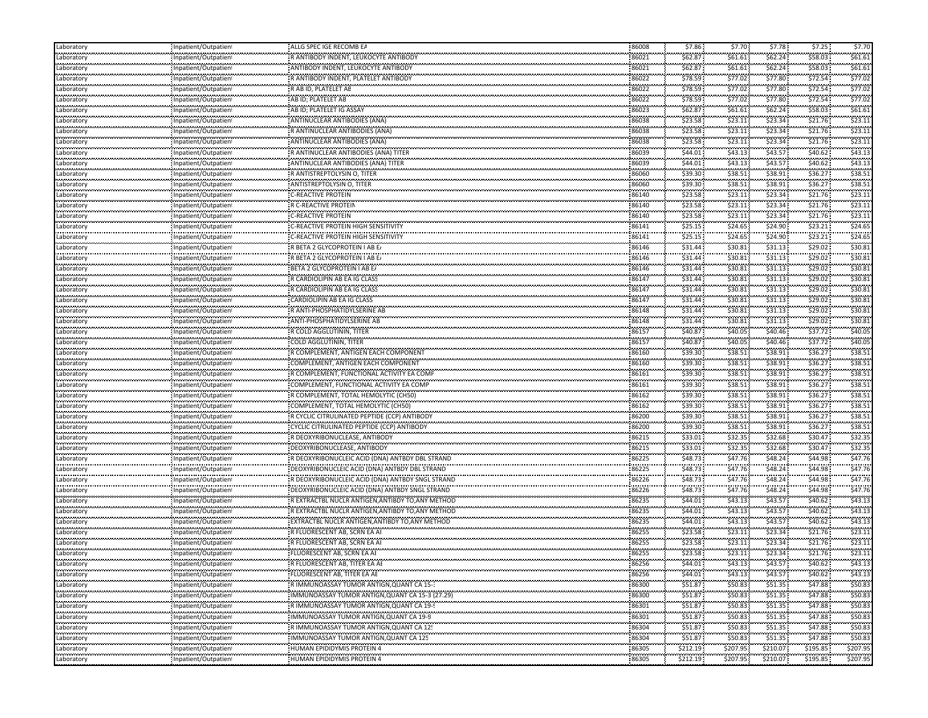| Laboratory                                       | Inpatient/Outpatient                                | ALLG SPEC IGE RECOMB EA                           | 86008      | \$7.86             | \$7.70              | \$7.78                                   | \$7.25               | \$7.70        |
|--------------------------------------------------|-----------------------------------------------------|---------------------------------------------------|------------|--------------------|---------------------|------------------------------------------|----------------------|---------------|
| معامد محمد محا<br>Laboratory                     | Inpatient/Outpatien                                 | R ANTIBODY INDENT, LEUKOCYTE ANTIBODY             | 86021      | \$62.87            | \$61.61             | \$62.24                                  | \$58.03              | \$61.61       |
| <br>Laboratory                                   | Inpatient/Outpatien                                 | ANTIBODY INDENT, LEUKOCYTE ANTIBODY               | 86021      | \$62.87            | \$61.61             | <b><i><u>ALCOHOL:</u></i></b><br>\$62.24 | \$58.03              | \$61.61       |
| .<br>Laboratory                                  | Inpatient/Outpatien                                 | R ANTIBODY INDENT, PLATELET ANTIBODY              | 86022      | \$78.59            | <br>\$77.02         | .<br>\$77.80                             | \$72.54              | <br>\$77.0    |
| Laboratory                                       | Inpatient/Outpatient                                | R AB ID, PLATELET AE                              | 86022      | \$78.59            | \$77.02\$           | \$77.80                                  | \$72.54\$            | \$77.02       |
| بالمحادث والمحادثان<br>Laboratory                | Inpatient/Outpatien                                 | AB ID; PLATELET AB                                | 86022      | \$78.59            | \$77.02             | \$77.80                                  | \$72.54\$            | \$77.02       |
| .<br>Laboratory                                  | Inpatient/Outpatien                                 | AB ID; PLATELET IG ASSAY                          | 86023      | \$62.87            | \$61.61             | \$62.24                                  | \$58.03              | \$61.61       |
| .<br>Laboratory                                  | <br>Inpatient/Outpatien <sup>.</sup>                | ANTINUCLEAR ANTIBODIES (ANA)                      | 86038      | \$23.58            | \$23.11             | \$23.34                                  | \$21.76              | \$23.1        |
| <br>Laboratory                                   | <br>Inpatient/Outpatien                             | R ANTINUCLEAR ANTIBODIES (ANA)                    | <br>86038  | \$23.58            | <br>\$23.11         | <br>\$23.34                              | \$21.76              | \$23.1        |
| .<br>Laboratory                                  | ,,,,,,,,,,,,,,,,,,,,,,,,,<br>Inpatient/Outpatien    | ANTINUCLEAR ANTIBODIES (ANA)                      | 86038      | \$23.58            | \$23.11             | \$23.34                                  | \$21.76              | \$23.1        |
| <br>Laboratory                                   | Inpatient/Outpatien                                 | R ANTINUCLEAR ANTIBODIES (ANA) TITER              | <br>86039  | .<br>\$44.01       | <br>\$43.13         | .<br>\$43.57                             | \$40.62              | \$43.13       |
| .<br>Laboratory                                  | Inpatient/Outpatien                                 | ANTINUCLEAR ANTIBODIES (ANA) TITER                | 86039      | \$44.01            | \$43.13             | \$43.57                                  | <br>\$40.62          | \$43.13       |
| .<br>Laboratory                                  | Inpatient/Outpatien                                 | R ANTISTREPTOLYSIN O, TITER                       | 86060      | \$39.30            | \$38.51             | \$38.91                                  | \$36.27              | \$38.51       |
| مستعدد متحددت<br>Laboratory                      | Inpatient/Outpatien                                 | ANTISTREPTOLYSIN O, TITER                         | 86060      | \$39.30            | \$38.51             | \$38.91                                  | \$36.27              | \$38.5        |
| .<br>Laboratory                                  |                                                     | <b>C-REACTIVE PROTEIN</b>                         | 86140      | \$23.58            | \$23.11             | \$23.34                                  | \$21.76              | \$23.1        |
| .                                                | Inpatient/Outpatien<br><br>                         | R C-REACTIVE PROTEIN                              |            | \$23.58            | \$23.11             | \$23.34                                  | \$21.76              | \$23.1        |
| Laboratory<br>Laboratory                         | Inpatient/Outpatien<br>                             | C-REACTIVE PROTEIN                                | 86140<br>  | \$23.58            | \$23.11             | \$23.34                                  | \$21.76              | \$23.1        |
|                                                  | Inpatient/Outpatien                                 |                                                   | 86140      |                    |                     |                                          | \$23.21              | \$24.65       |
| Laboratory<br>Laboratory                         | Inpatient/Outpatien                                 | C-REACTIVE PROTEIN HIGH SENSITIVITY               | 86141<br>  | \$25.15<br>\$25.15 | \$24.65<br>         | \$24.90<br>.                             | \$23.21              | \$24.6        |
| .                                                | Inpatient/Outpatien                                 | C-REACTIVE PROTEIN HIGH SENSITIVITY               | 86141      |                    | \$24.65             | \$24.90                                  | \$29.02              | \$30.8        |
| Laboratory<br>                                   | Inpatient/Outpatien<br>                             | R BETA 2 GLYCOPROTEIN I AB E                      | 86146<br>  | \$31.44            | \$30.81             | \$31.13                                  |                      | \$30.8        |
| Laboratory                                       | Inpatient/Outpatien                                 | R BETA 2 GLYCOPROTEIN I AB E                      | 86146      | \$31.44<br>\$31.44 | \$30.81             | \$31.13<br>\$31.13                       | \$29.02<br>\$29.02\$ | \$30.8        |
| Laboratory                                       | Inpatient/Outpatien                                 | BETA 2 GLYCOPROTEIN I AB E/                       | 86146      |                    | \$30.81             |                                          |                      |               |
| Laboratory<br>.                                  | Inpatient/Outpatien<br>.                            | R CARDIOLIPIN AB EA IG CLASS                      | 86147      | \$31.44            | \$30.81<br>         | \$31.13                                  | \$29.02              | \$30.8        |
| Laboratory                                       | Inpatient/Outpatien<br>                             | R CARDIOLIPIN AB EA IG CLASS                      | 86147      | \$31.44            | \$30.81             | \$31.13                                  | \$29.02              | \$30.8        |
| Laboratory<br>لمحتمد فتحتمد فتعا                 | Inpatient/Outpatien                                 | CARDIOLIPIN AB EA IG CLASS                        | 86147      | \$31.44            | \$30.81             | \$31.13                                  | \$29.02              | \$30.8        |
| Laboratory                                       | Inpatient/Outpatien                                 | R ANTI-PHOSPHATIDYLSERINE AB                      | 86148<br>  | \$31.44            | \$30.81             | \$31.13                                  | \$29.02\$            | \$30.8        |
| Laboratory<br>.                                  | Inpatient/Outpatien                                 | ANTI-PHOSPHATIDYLSERINE AB                        | 86148      | \$31.44            | \$30.81             | \$31.13                                  | \$29.02              | \$30.8        |
| Laboratory                                       | Inpatient/Outpatien                                 | R COLD AGGLUTININ, TITER                          | 86157<br>  | \$40.87            | \$40.05<br>.        | \$40.46                                  | \$37.72              | \$40.0        |
| Laboratory<br>بالمحادث والمحادثان                | Inpatient/Outpatien                                 | COLD AGGLUTININ, TITER                            | 86157      | \$40.87            | \$40.05             | \$40.46                                  | \$37.72              | \$40.05       |
| Laboratory                                       | : Inpatient/Outpatien                               | R COMPLEMENT, ANTIGEN EACH COMPONENT              | 86160      | \$39.30            | \$38.51             | \$38.91                                  | \$36.27              | \$38.51       |
| Laboratory                                       | Inpatient/Outpatien                                 | COMPLEMENT, ANTIGEN EACH COMPONENT                | 86160      | \$39.30            | \$38.51             | \$38.91                                  | \$36.27              | \$38.5        |
| .<br>Laboratory                                  | .<br>Inpatient/Outpatien                            | R COMPLEMENT, FUNCTIONAL ACTIVITY EA COMP         | 86161      | \$39.30            | \$38.51             | \$38.91                                  | \$36.27              | \$38.5        |
| Laboratory                                       | <br>Inpatient/Outpatien                             | COMPLEMENT, FUNCTIONAL ACTIVITY EA COMP           | 86161      | \$39.30            | <br>\$38.51         | .<br>\$38.91                             | \$36.27              | \$38.5        |
| مستعدد متحددت<br>Laboratory                      | Inpatient/Outpatien                                 | R COMPLEMENT, TOTAL HEMOLYTIC (CH50)              | 86162      | \$39.30            | \$38.51             | \$38.91                                  | \$36.27              | \$38.5        |
| .<br>Laboratory                                  | .<br>Inpatient/Outpatien                            | COMPLEMENT, TOTAL HEMOLYTIC (CH50)                | 86162      | \$39.30            | \$38.51             | \$38.91                                  | \$36.27              | \$38.5        |
| .<br>Laboratory                                  | Inpatient/Outpatien                                 | R CYCLIC CITRULINATED PEPTIDE (CCP) ANTIBODY      | 86200      | <br>\$39.30        | --------<br>\$38.51 | <br>\$38.91                              | \$36.27              | \$38.5        |
| Laboratory                                       | <br>Inpatient/Outpatien                             | CYCLIC CITRULINATED PEPTIDE (CCP) ANTIBODY        | 86200      | \$39.30            | \$38.51             | \$38.91                                  | \$36.27              | \$38.5        |
| Laboratory                                       | Inpatient/Outpatien                                 | R DEOXYRIBONUCLEASE, ANTIBODY                     | 86215      | \$33.01            | \$32.35             | \$32.68                                  | \$30.47              | \$32.35       |
| بالمحادث والمحادث<br>Laboratory                  | Inpatient/Outpatien                                 | DEOXYRIBONUCLEASE, ANTIBODY                       | 86215      | \$33.01            | \$32.35             | \$32.68                                  | \$30.47              | \$32.35       |
| .<br>Laboratory                                  | <br>Inpatient/Outpatien <sup>.</sup>                | R DEOXYRIBONUCLEIC ACID (DNA) ANTBDY DBL STRAND   | 86225      | \$48.73            | \$47.76             | \$48.24                                  | \$44.98              | \$47.76       |
| <br>Laboratory                                   | Inpatient/Outpatien                                 | DEOXYRIBONUCLEIC ACID (DNA) ANTBDY DBL STRAND     | <br>86225  | <br>\$48.73        | <br>\$47.76         | .<br>\$48.24                             | \$44.98              | \$47.76       |
| .<br>Laboratory                                  | Inpatient/Outpatien                                 | R DEOXYRIBONUCLEIC ACID (DNA) ANTBDY SNGL STRAND  | 86226      | \$48.73            | <br>\$47.76         | \$48.24                                  | \$44.98              | \$47.76       |
| <br>Laboratory                                   | <br>Inpatient/Outpatien                             | DEOXYRIBONUCLEIC ACID (DNA) ANTBDY SNGL STRAND    | .<br>86226 | \$48.73            | \$47.76             | .<br>\$48.24                             | \$44.98              | \$47.76       |
| .<br>Laboratory                                  | Inpatient/Outpatien                                 | R EXTRACTBL NUCLR ANTIGEN, ANTIBDY TO, ANY METHOD | 86235      | \$44.01            | \$43.13             | \$43.57                                  | .<br>\$40.62         | <br>\$43.13   |
| <b><i><u>ALCOHOL: 2001</u></i></b><br>Laboratory | Inpatient/Outpatien                                 | R EXTRACTBL NUCLR ANTIGEN, ANTIBDY TO, ANY METHOD | 86235      | \$44.01            | \$43.13             | \$43.57                                  | \$40.62              | \$43.13       |
| ستحدث والمتحدث<br>Laboratory                     | Inpatient/Outpatien                                 | EXTRACTBL NUCLR ANTIGEN, ANTIBDY TO, ANY METHOD   | 86235      | \$44.01            | \$43.13             | \$43.57                                  | \$40.62\$            | \$43.13       |
| .<br>Laboratory                                  | .<br>Inpatient/Outpatien                            | R FLUORESCENT AB, SCRN EA AI                      | <br>86255  | \$23.58            | \$23.11             | .<br>\$23.34                             | \$21.76              | \$23.11       |
| .<br>Laboratory                                  | <br>.<br>npatient/Outpatien                         | R FLUORESCENT AB, SCRN EA AI                      | <br>86255  | \$23.58            | \$23.11             | .<br>\$23.34                             | \$21.76              | \$23.1        |
| <br>Laboratory                                   | Inpatient/Outpatient                                | FLUORESCENT AB, SCRN EA AI                        | <br>86255  | \$23.58            | <br>\$23.11         | .<br>\$23.34                             | \$21.76              | \$23.11       |
| Laboratory                                       | Inpatient/Outpatien                                 | R FLUORESCENT AB, TITER EA AL                     | 86256      | \$44.01            | \$43.13             | \$43.57                                  | \$40.62\$            | \$43.13       |
| Laboratory                                       | <br>Inpatient/Outpatient                            | FLUORESCENT AB, TITER EA AE                       | .<br>86256 | \$44.01            | \$43.13             | .<br>\$43.57                             | \$40.62\$            | .<br>\$43.13  |
| .<br>Laboratory                                  | Inpatient/Outpatien                                 | R IMMUNOASSAY TUMOR ANTIGN.QUANT CA 15-3          | 86300      | <br>\$51.87        | \$50.83             | <br>\$51.35                              | \$47.88              | <br>\$50.83   |
| Laboratory                                       | Inpatient/Outpatient                                | IMMUNOASSAY TUMOR ANTIGN, QUANT CA 15-3 (27.29)   | 86300      | \$51.87            | \$50.83             | \$51.35                                  | \$47.88              | \$50.83       |
| Laboratory                                       | Inpatient/Outpatient                                | R IMMUNOASSAY TUMOR ANTIGN, QUANT CA 19-9         | 86301      | \$51.87            | \$50.83             | \$51.35                                  | \$47.88              | \$50.83       |
| Laboratory                                       | <br>Inpatient/Outpatient                            | IMMUNOASSAY TUMOR ANTIGN, QUANT CA 19-9           | 86301      | \$51.87            | \$50.83\$           | \$51.35                                  | \$47.88              | \$50.83       |
| Laboratory                                       | ,,,,,,,,,,,,,,,,,,,,,,,,,,,<br>Inpatient/Outpatient | R IMMUNOASSAY TUMOR ANTIGN, QUANT CA 12!          | 86304      | \$51.87            | .<br>\$50.83        | \$51.35                                  | <br>\$47.88          | <br>\$50.8    |
| Laboratory                                       | <br>Inpatient/Outpatient                            | IMMUNOASSAY TUMOR ANTIGN, QUANT CA 125            | 86304      | \$51.87            | \$50.83             | \$51.35                                  | \$47.88              | \$50.83       |
| Laboratory                                       | <br>Inpatient/Outpatient                            | <b>HUMAN EPIDIDYMIS PROTEIN 4</b>                 | 86305      | \$212.19           | <br>\$207.95        | .<br>\$210.07                            | \$195.85             | .<br>\$207.95 |
| Laboratory                                       | <br>Inpatient/Outpatient                            | HUMAN EPIDIDYMIS PROTEIN 4<br>.                   | .          | .                  |                     |                                          | .                    |               |
|                                                  |                                                     |                                                   | 86305      | \$212.19           | \$207.95            | \$210.07                                 | \$195.85             | \$207.95      |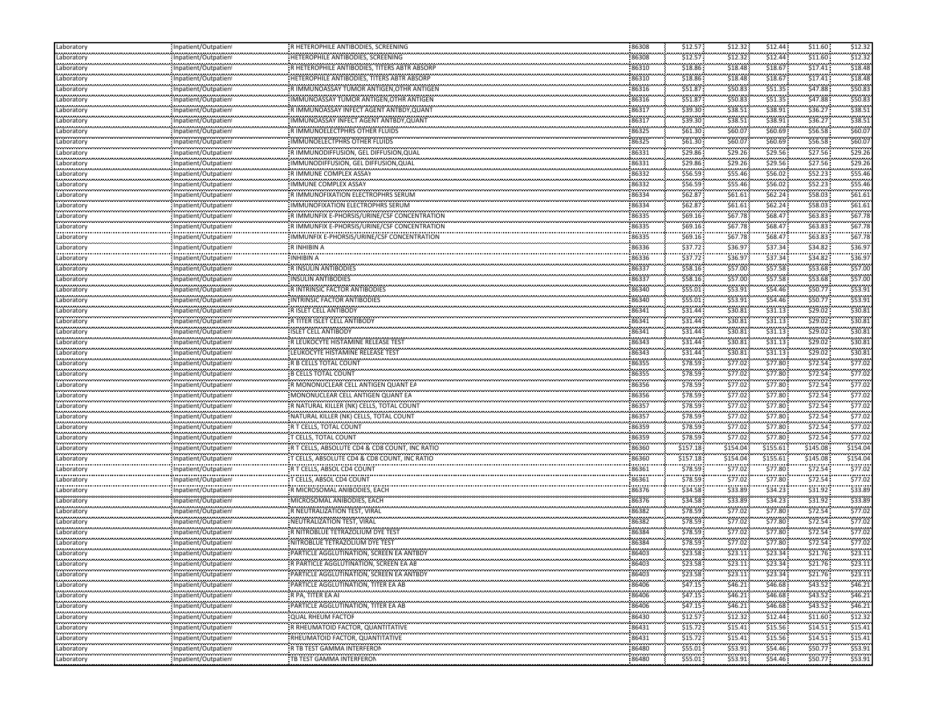| Laboratory                    | Inpatient/Outpatien                               | R HETEROPHILE ANTIBODIES, SCREENING            | 86308          | \$12.57  | \$12.32  | \$12.44  | \$11.60  | \$12.32            |
|-------------------------------|---------------------------------------------------|------------------------------------------------|----------------|----------|----------|----------|----------|--------------------|
| Laboratory                    | Inpatient/Outpatient                              | HETEROPHILE ANTIBODIES, SCREENING              | 86308          | \$12.57  | \$12.32  | \$12.44  | \$11.60  | \$12.32            |
| <br>Laboratory                | Inpatient/Outpatient                              | R HETEROPHILE ANTIBODIES, TITERS ABTR ABSORP   | 86310          | \$18.86  | \$18.48  | \$18.67  | \$17.41  | \$18.48            |
| Laboratory                    | Inpatient/Outpatient                              | HETEROPHILE ANTIBODIES, TITERS ABTR ABSORP     | 86310          | \$18.86  | \$18.48  | \$18.67  | \$17.41  | \$18.48            |
| <br>Laboratory                | Inpatient/Outpatien!                              | RIMMUNOASSAY TUMOR ANTIGEN, OTHR ANTIGEN       | 86316          | \$51.87  | \$50.83  | \$51.35  | \$47.88  | \$50.83            |
| Laboratory                    | Inpatient/Outpatient                              | IMMUNOASSAY TUMOR ANTIGEN, OTHR ANTIGEN        | 86316          | \$51.87  | \$50.83  | \$51.35  | \$47.88  | \$50.83            |
| Laboratory                    | Inpatient/Outpatient                              | R IMMUNOASSAY INFECT AGENT ANTBDY, QUANT       | 86317          | \$39.30  | \$38.51  | \$38.91  | \$36.27  | \$38.51            |
| ngan magaalo<br>Laboratory    | ,,,,,,,,,,,,,,,,,,,,,,,,,<br>Inpatient/Outpatient | IMMUNOASSAY INFECT AGENT ANTBDY, QUANT         | 86317          | \$39.30  | \$38.51  | \$38.91  | \$36.27  | \$38.51            |
|                               |                                                   | R IMMUNOELECTPHRS OTHER FLUIDS                 | 86325          | \$61.30  | \$60.07  | \$60.69  | \$56.58  | \$60.0\$           |
| Laboratory<br>                | Inpatient/Outpatient                              | IMMUNOELECTPHRS OTHER FLUIDS                   | 86325          | \$61.30  | \$60.07  | \$60.69  | \$56.58  | \$60.0             |
| Laboratory<br>                | Inpatient/Outpatien                               | R IMMUNODIFFUSION, GEL DIFFUSION, QUAL         | 86331          | \$29.86  | \$29.26  | \$29.56  | \$27.56  | \$29.26            |
| Laboratory<br>.               | Inpatient/Outpatient                              |                                                | 86331          | \$29.86  | \$29.26  | \$29.56  | \$27.56  | \$29.26            |
| Laboratory<br>                | Inpatient/Outpatient<br>Inpatient/Outpatient      | IMMUNODIFFUSION, GEL DIFFUSION, QUAL           |                |          |          |          |          |                    |
| Laboratory                    |                                                   | R IMMUNE COMPLEX ASSAY                         | 86332          | \$56.59  | \$55.46  | \$56.02  | \$52.23  | \$55.46            |
| Laboratory<br>                | Inpatient/Outpatient                              | <b>IMMUNE COMPLEX ASSAY</b>                    | 86332          | \$56.59  | \$55.46  | \$56.02  | \$52.23  | \$55.46            |
| Laboratory<br>                | npatient/Outpatien!                               | R IMMUNOFIXATION ELECTROPHRS SERUM             | 86334          | \$62.87  | \$61.61  | \$62.24  | \$58.03  | \$61.61            |
| Laboratory<br>                | Inpatient/Outpatien                               | IMMUNOFIXATION ELECTROPHRS SERUM               | 86334<br>.     | \$62.87  | \$61.61  | \$62.24  | \$58.03  | \$61.61            |
| Laboratory                    | Inpatient/Outpatient                              |                                                | 86335          | \$69.16  | \$67.78  | \$68.47  | \$63.83  | \$67.78            |
| Laboratory<br>                | Inpatient/Outpatient                              | R IMMUNFIX E-PHORSIS/URINE/CSF CONCENTRATION   | 86335          | \$69.16  | \$67.78  | \$68.47  | \$63.83  | \$67.78            |
| Laboratory                    | Inpatient/Outpatient                              | IMMUNFIX E-PHORSIS/URINE/CSF CONCENTRATION     | .<br>86335     | \$69.16  | \$67.78  | \$68.47  | \$63.83  | \$67.78            |
| .<br>Laboratory               | Inpatient/Outpatient                              | R INHIBIN A                                    | 86336          | \$37.72  | \$36.97  | \$37.34  | \$34.82  | \$36.97            |
| <br>Laboratory                | Inpatient/Outpatien!                              | INHIBIN A                                      | 86336          | \$37.72  | \$36.97  | \$37.34  | \$34.82  | \$36.97            |
| Laboratory                    | Inpatient/Outpatient                              | R INSULIN ANTIBODIES                           | 86337          | \$58.16  | \$57.00  | \$57.58  | \$53.68  | \$57.00            |
| Laboratory                    | Inpatient/Outpatient                              | <b>INSULIN ANTIBODIES</b>                      | 86337          | \$58.16  | \$57.00  | \$57.58  | \$53.68  | \$57.00            |
| .<br>Laboratory               | Inpatient/Outpatien!                              | R INTRINSIC FACTOR ANTIBODIES                  | 86340          | \$55.01  | \$53.91  | \$54.46  | \$50.77  | \$53.91            |
| <br>Laboratory                | Inpatient/Outpatien!                              | INTRINSIC FACTOR ANTIBODIES                    | 86340          | \$55.01  | \$53.91  | \$54.46  | \$50.77  | \$53.91            |
| Laboratory                    | Inpatient/Outpatient                              | R ISLET CELL ANTIBODY                          | 86341          | \$31.44  | \$30.81  | \$31.13  | \$29.02  | \$30.81            |
| <br>Laboratory                | Inpatient/Outpatien!                              | R TITER ISLET CELL ANTIBODY                    | .<br>86341     | \$31.44  | \$30.81  | \$31.13  | \$29.02  | \$30.8             |
| Laboratory                    | Inpatient/Outpatient                              | <b>ISLET CELL ANTIBODY</b>                     | 86341          | \$31.44  | \$30.81  | \$31.13  | \$29.02  | \$30.81            |
|                               |                                                   | R LEUKOCYTE HISTAMINE RELEASE TEST             |                | \$31.44  | \$30.81  | \$31.13  | \$29.02  | \$30.81            |
| Laboratory<br>Laboratory      | Inpatient/Outpatien!                              | LEUKOCYTE HISTAMINE RELEASE TEST               | 86343<br>86343 | \$31.44  | \$30.81  | \$31.13  | \$29.02  | \$30.81            |
|                               | Inpatient/Outpatient                              |                                                |                | \$78.59  | \$77.02  | \$77.80  | \$72.54  | \$77.02            |
| Laboratory<br>.               | Inpatient/Outpatient                              | R B CELLS TOTAL COUNT<br>B CELLS TOTAL COUNT   | 86355<br>86355 | \$78.59  | \$77.02  | \$77.80  | \$72.54  | \$77.02            |
| Laboratory<br>.               | Inpatient/Outpatient                              |                                                | 86356          | \$78.59  | \$77.02  |          | \$72.54  | \$77.02            |
| Laboratory                    | Inpatient/Outpatien!                              | R MONONUCLEAR CELL ANTIGEN QUANT EA            |                |          |          | \$77.80  |          |                    |
| Laboratory<br>                | Inpatient/Outpatient                              | MONONUCLEAR CELL ANTIGEN QUANT EA              | 86356<br>86357 | \$78.59  | \$77.02  | \$77.80  | \$72.54  | \$77.02<br>\$77.02 |
| Laboratory                    | Inpatient/Outpatien!                              | R NATURAL KILLER (NK) CELLS, TOTAL COUNT       |                | \$78.59  | \$77.02  | \$77.80  | \$72.54  |                    |
| Laboratory<br>                | Inpatient/Outpatient                              | NATURAL KILLER (NK) CELLS, TOTAL COUNT         | 86357          | \$78.59  | \$77.02  | \$77.80  | \$72.54  | \$77.02            |
| Laboratory                    | Inpatient/Outpatien!                              | R T CELLS, TOTAL COUNT                         | 86359          | \$78.59  | \$77.02  | \$77.80  | \$72.54  | \$77.02            |
| Laboratory                    | Inpatient/Outpatient                              | <b>T CELLS, TOTAL COUNT</b>                    | 86359          | \$78.59  | \$77.02  | \$77.80  | \$72.54  | \$77.02            |
| Laboratory<br>.               | Inpatient/Outpatient                              | R T CELLS, ABSOLUTE CD4 & CD8 COUNT, INC RATIO | 86360          | \$157.18 | \$154.04 | \$155.61 | \$145.08 | \$154.04           |
| Laboratory                    | Inpatient/Outpatien                               | CELLS, ABSOLUTE CD4 & CD8 COUNT, INC RATIO     | 86360          | \$157.18 | \$154.04 | \$155.61 | \$145.08 | \$154.04           |
| <br>Laboratory                | Inpatient/Outpatient                              | <br>R T CELLS, ABSOL CD4 COUNT                 | 86361          | \$78.59  | \$77.02  | \$77.80  | \$72.54  | \$77.02            |
| .<br>Laboratory               | Inpatient/Outpatien                               | T CELLS, ABSOL CD4 COUNT                       | 86361          | \$78.59  | \$77.02  | \$77.80  | \$72.54  | \$77.02            |
| <br>Laboratory                | Inpatient/Outpatient                              |                                                | 86376          | \$34.58  | \$33.89  | \$34.23  | \$31.92  | \$33.89            |
| Laboratory                    | Inpatient/Outpatient                              | MICROSOMAL ANIBODIES, EACH                     | 86376          | \$34.58  | \$33.89  | \$34.23  | \$31.92  | \$33.89            |
| .<br>Laboratory               | Inpatient/Outpatient                              | R NEUTRALIZATION TEST, VIRAL                   | 86382          | \$78.59  | \$77.02  | \$77.80  | \$72.54  | \$77.02            |
| Laboratory                    | Inpatient/Outpatient                              | NEUTRALIZATION TEST, VIRAL                     | 86382          | \$78.59  | \$77.02  | \$77.80  | \$72.54  | \$77.02            |
| .<br>Laboratory               | npatient/Outpatien!                               | .<br>ER NITROBLUE TETRAZOLIUM DYE TEST         | 86384          | \$78.59  | \$77.02  | \$77.80  | \$72.54  | \$77.02            |
| .<br>Laboratory               | Inpatient/Outpatien                               | NITROBLUE TETRAZOLIUM DYE TEST                 | 86384          | \$78.59  | \$77.02  | \$77.80  | \$72.54  | \$77.02            |
| <br>Laboratory                | Inpatient/Outpatien!                              |                                                | 86403          | \$23.58  | \$23.11  | \$23.34  | \$21.76  | \$23.11            |
| .<br>Laboratory               | Inpatient/Outpatient                              | R PARTICLE AGGLUTINATION, SCREEN EA AB         | 86403          | \$23.58  | \$23.11  | \$23.34  | \$21.76  | \$23.11            |
| Laboratory                    | Inpatient/Outpatient                              | PARTICLE AGGLUTINATION, SCREEN EA ANTBDY       | 86403          | \$23.58  | \$23.11  | \$23.34  | \$21.76  | \$23.11            |
| Laboratory                    | Inpatient/Outpatient                              | PARTICLE AGGLUTINATION, TITER EA AB            | 86406          | \$47.15  | \$46.21  | \$46.68  | \$43.52  | \$46.21            |
| Laboratory                    | Inpatient/Outpatient                              | : R PA, TITER EA Al                            | 86406          | \$47.15  | \$46.21  | \$46.68  | \$43.52  | \$46.21            |
|                               |                                                   | PARTICLE AGGLUTINATION, TITER EA AB            | 86406          | \$47.15  | \$46.21  | \$46.68  | \$43.52  | \$46.21            |
| Laboratory<br>.<br>Laboratory | Inpatient/Outpatient<br>,,,,,,,,,,,,,,,,,,,,,,,   | QUAL RHEUM FACTOR                              | 86430          | \$12.57  | \$12.32  | \$12.44  | \$11.60  | \$12.32            |
| .<br>Laboratory               | Inpatient/Outpatien!<br>,,,,,,,,,,,,,,,,,,,,,,,,  | R RHEUMATOID FACTOR, QUANTITATIVE              | 86431          | \$15.72  | \$15.41  | \$15.56  | \$14.51  | \$15.41            |
| .                             | Inpatient/Outpatient                              | RHEUMATOID FACTOR, QUANTITATIVE                | 86431          |          | \$15.41  |          | \$14.51  |                    |
| Laboratory                    | Inpatient/Outpatient<br>,,,,,,,,,,,,,,,,,,,,,,,,  |                                                |                | \$15.72  |          | \$15.56  |          | \$15.41            |
| .<br>Laboratory               | Inpatient/Outpatient<br>,,,,,,,,,,,,,,,,,,,,,,,   |                                                | 86480          | \$55.01  | \$53.91  | \$54.46  | \$50.77  | \$53.91            |
| .<br>Laboratory               | Inpatient/Outpatient                              | TB TEST GAMMA INTERFERON                       | 86480          | \$55.01  | \$53.91  | \$54.46  | \$50.77  | \$53.91            |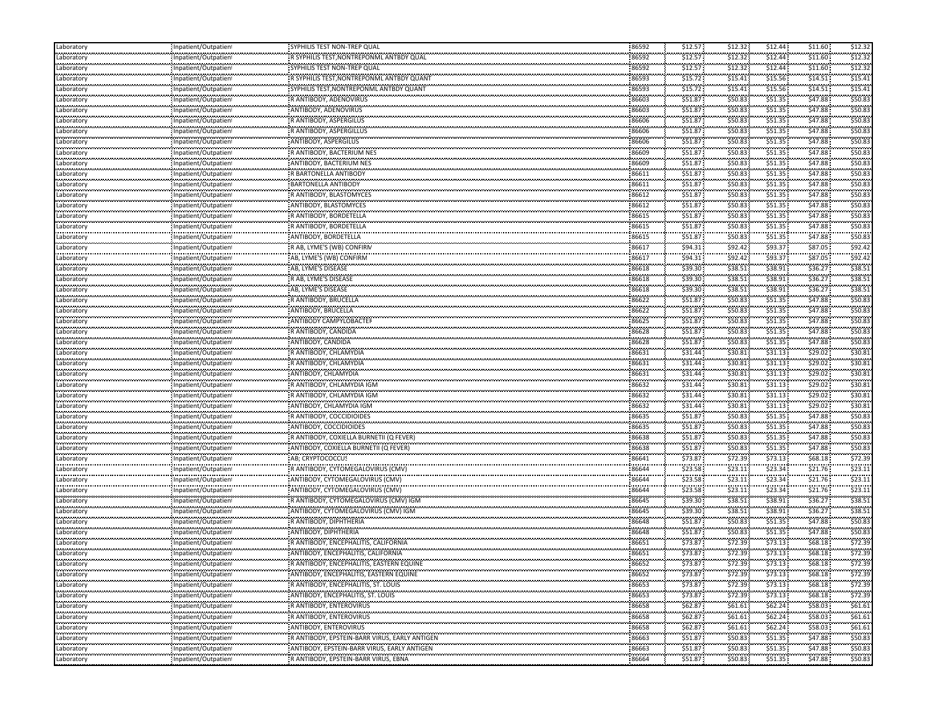| Laboratory<br>محامد محامد محا                   | Inpatient/Outpatient                                | SYPHILIS TEST NON-TREP QUAL                   | 86592              | \$12.57      | \$12.32      | \$12.44      | \$11.60     | \$12.32     |
|-------------------------------------------------|-----------------------------------------------------|-----------------------------------------------|--------------------|--------------|--------------|--------------|-------------|-------------|
| Laboratory<br>                                  | Inpatient/Outpatien                                 | R SYPHILIS TEST, NONTREPONML ANTBDY QUAL      | 86592<br>          | \$12.57      | \$12.32<br>. | \$12.44      | \$11.60     | \$12.32     |
| Laboratory<br>.                                 | Inpatient/Outpatien                                 | SYPHILIS TEST NON-TREP QUAL                   | 86592              | \$12.57      | \$12.32      | \$12.44      | \$11.60     | \$12.3      |
| Laboratory<br>.                                 | Inpatient/Outpatien<br>                             | R SYPHILIS TEST, NONTREPONML ANTBDY QUANT     | 86593              | \$15.72      | \$15.41<br>  | \$15.56      | \$14.51     | \$15.4      |
| Laboratory                                      | Inpatient/Outpatien                                 | SYPHILIS TEST, NONTREPONML ANTBDY QUANT       | 86593              | \$15.72      | \$15.41      | \$15.56      | \$14.51     | \$15.4      |
| Laboratory                                      | : Inpatient/Outpatien                               | R ANTIBODY, ADENOVIRUS                        | 86603              | \$51.87      | \$50.83      | \$51.35      | \$47.88     | \$50.8      |
| .<br>Laboratory                                 | Inpatient/Outpatien                                 | ANTIBODY, ADENOVIRUS                          | 86603              | \$51.87      | \$50.83      | \$51.35      | \$47.88     | \$50.8      |
| .<br>Laboratory                                 | Inpatient/Outpatient                                | R ANTIBODY, ASPERGILUS                        | 86606              | \$51.87      | \$50.83      | \$51.35      | \$47.88     | \$50.8      |
| .<br>Laboratory                                 | <br>.<br>Inpatient/Outpatien                        | R ANTIBODY, ASPERGILLUS                       | .<br>86606         | .<br>\$51.87 | <br>\$50.83  | \$51.35      | \$47.88     | \$50.8      |
| .<br>Laboratory                                 | Inpatient/Outpatien                                 | ANTIBODY, ASPERGILUS                          | 86606              | \$51.87      | \$50.83      | \$51.35      | \$47.88     | \$50.8      |
| .<br>Laboratory                                 | <br>Inpatient/Outpatien                             | R ANTIBODY, BACTERIUM NES                     | <br>86609          | .<br>\$51.87 | <br>\$50.83  | \$51.35      | \$47.88     | \$50.8      |
| .<br>Laboratory                                 | Inpatient/Outpatien                                 | ANTIBODY, BACTERIUM NES                       | <br>86609          | \$51.87      | \$50.83      | \$51.35      | \$47.88     | \$50.8      |
| ---------<br>Laboratory                         | Inpatient/Outpatien                                 | R BARTONELLA ANTIBODY                         | 86611              | \$51.87      | \$50.83      | \$51.35      | \$47.88     | \$50.8      |
| Laboratory                                      | : Inpatient/Outpatien                               | <b>BARTONELLA ANTIBODY</b>                    | 86611              | \$51.87      | \$50.83      | \$51.35      | \$47.88     | \$50.8      |
| .<br>Laborator                                  | Inpatient/Outpatien                                 | R ANTIBODY, BLASTOMYCES                       | <br>86612          | \$51.87      | \$50.83      | \$51.35      | \$47.88     | \$50.8      |
| .<br>Laboratory                                 | Inpatient/Outpatien                                 | ANTIBODY, BLASTOMYCES                         | .<br>86612         | \$51.87      | \$50.83      | \$51.35      | \$47.88     | \$50.8      |
| <br>Laboratory                                  | <br>Inpatient/Outpatien                             | R ANTIBODY, BORDETELLA                        | .<br>86615         | \$51.87      | \$50.83      | \$51.35      | \$47.88     | \$50.8      |
| Laboratory                                      | Inpatient/Outpatien                                 | R ANTIBODY, BORDETELLA                        | 86615              | \$51.87      | \$50.83      | \$51.35      | \$47.88     | \$50.8      |
| .<br>Laboratory                                 | Inpatient/Outpatien                                 | ANTIBODY, BORDETELLA                          | .<br>86615         | \$51.87      | \$50.83      | \$51.35      | \$47.88     | \$50.8      |
| .<br>Laboratory                                 | Inpatient/Outpatient                                | R AB, LYME'S (WB) CONFIRM                     | 86617              | \$94.31      | \$92.42      | \$93.37      | \$87.05     | \$92.42     |
| .<br>Laboratory                                 | Inpatient/Outpatien                                 | AB, LYME'S (WB) CONFIRM                       | .<br>86617         | .<br>\$94.31 | \$92.42      | \$93.37      | \$87.05     | \$92.4      |
| فالمتحدث والمتحدث<br>Laboratory                 | Inpatient/Outpatien                                 | AB, LYME'S DISEASE                            | 86618              | \$39.30      | \$38.51      | \$38.91      | \$36.27     | \$38.51     |
| Laboratory                                      | Inpatient/Outpatien                                 | R AB, LYME'S DISEASE                          | 86618              | \$39.30      | \$38.51      | \$38.91      | \$36.27     | \$38.51     |
| .<br>Laboratory                                 | Inpatient/Outpatien                                 | AB, LYME'S DISEASE                            | .<br>86618         | \$39.30      | \$38.51      | \$38.91      | \$36.27     | \$38.5      |
| .<br>Laboratory                                 | <br>Inpatient/Outpatien                             | R ANTIBODY, BRUCELLA                          | 86622              | \$51.87      | \$50.83      | \$51.35      | \$47.88     | \$50.8      |
| Laboratory                                      | : Inpatient/Outpatien                               | ANTIBODY, BRUCELLA                            | 86622              | \$51.87      | \$50.83      | \$51.35      | \$47.88     | \$50.8      |
| .<br>Laboratory                                 | .<br>Inpatient/Outpatien                            | ANTIBODY CAMPYLOBACTER                        | .<br>86625         | \$51.87      | \$50.83      | \$51.35      | \$47.88     | \$50.8      |
| <br>Laboratory                                  | Inpatient/Outpatient                                | R ANTIBODY, CANDIDA                           | 86628              | \$51.87      | \$50.83      | \$51.35      | \$47.88     | \$50.8      |
| .<br>Laboratory                                 | <br>Inpatient/Outpatien                             | ANTIBODY, CANDIDA                             | .<br>86628         | \$51.87      | \$50.83      | \$51.35      | \$47.88     | \$50.8      |
| فالمتحدث والمتحدث<br>Laboratory                 | Inpatient/Outpatien                                 | R ANTIBODY, CHLAMYDIA                         | 86631              | \$31.44      | \$30.81      | \$31.13      | \$29.02     | \$30.81     |
| Laboratory                                      | Inpatient/Outpatien                                 | R ANTIBODY, CHLAMYDIA                         | 86631              | \$31.44      | \$30.81      | \$31.13      | \$29.02     | \$30.81     |
| .<br>Laboratory                                 | Inpatient/Outpatien                                 | ANTIBODY, CHLAMYDIA                           | .<br>86631         | \$31.44      | \$30.81      | \$31.13      | \$29.02     | \$30.8      |
| .<br>Laboratory                                 | Inpatient/Outpatien                                 | R ANTIBODY, CHLAMYDIA IGM                     | <br>86632          | \$31.44      | \$30.81      | \$31.13      | \$29.02     | \$30.8      |
| Laboratory                                      | : Inpatient/Outpatien                               | R ANTIBODY, CHLAMYDIA IGM                     | 86632              | \$31.44      | \$30.81      | \$31.13      | \$29.02     | \$30.81     |
| .<br>Laboratory                                 | Inpatient/Outpatien                                 | ANTIBODY, CHLAMYDIA IGM                       | .<br>86632         | \$31.44      | \$30.81      | \$31.13      | \$29.02     | \$30.8      |
| .<br>Laboratory                                 | Inpatient/Outpatien                                 | R ANTIBODY, COCCIDIOIDES                      | 86635              | \$51.87      | \$50.83      | \$51.35      | \$47.88     | \$50.8      |
| <br>Laboratory                                  | <br>Inpatient/Outpatien                             | ANTIBODY, COCCIDIOIDES                        | 86635              | \$51.87      | \$50.83      | \$51.35      | \$47.88     | \$50.8      |
| Laboratory                                      | : Inpatient/Outpatien                               | R ANTIBODY, COXIELLA BURNETII (Q FEVER)       | 86638              | \$51.87      | \$50.83      | \$51.35      | \$47.88     | \$50.83     |
| .<br>Laboratory                                 | Inpatient/Outpatien                                 | ANTIBODY, COXIELLA BURNETII (Q FEVER)         | 86638              | \$51.87      | \$50.83      | \$51.35      | \$47.88     | \$50.8      |
| <br>Laboratory                                  | .<br>Inpatient/Outpatient                           | AB; CRYPTOCOCCUS                              | 86641              | \$73.87      | \$72.39      | \$73.13      | \$68.18     | \$72.39     |
| .<br>Laboratory                                 | .<br>Inpatient/Outpatien                            | R ANTIBODY, CYTOMEGALOVIRUS (CMV)             | <br>86644          | \$23.58      | \$23.11      | .<br>\$23.34 | \$21.76     | \$23.1      |
| .<br>Laboratory                                 | Inpatient/Outpatien                                 | ANTIBODY, CYTOMEGALOVIRUS (CMV)               | .<br>86644         | \$23.58      | \$23.11      | \$23.34      | \$21.76     | \$23.1      |
| .<br>Laboratory                                 | <br>Inpatient/Outpatien                             | ANTIBODY, CYTOMEGALOVIRUS (CMV)               | <br>86644          | \$23.58      | \$23.11      | \$23.34      | \$21.76     | \$23.1      |
| .<br>Laboratory                                 | Inpatient/Outpatien                                 | R ANTIBODY, CYTOMEGALOVIRUS (CMV) IGN         | .<br>86645         | \$39.30      | \$38.51      | \$38.91      | \$36.27     | \$38.5      |
| ---------<br>Laboratory                         | Inpatient/Outpatien                                 | ANTIBODY, CYTOMEGALOVIRUS (CMV) IGM           | 86645              | \$39.30      | \$38.51      | \$38.91      | \$36.27     | \$38.51     |
| Laboratory                                      | : Inpatient/Outpatien                               | R ANTIBODY, DIPHTHERIA                        | 86648              | \$51.87      | \$50.83      | \$51.35      | \$47.88     | \$50.8      |
| .<br>Laboratory                                 | <br>Inpatient/Outpatien                             | ANTIBODY, DIPHTHERIA                          | .<br>86648         | \$51.87      | \$50.83      | \$51.35      | \$47.88     | \$50.83     |
| .<br>Laboratory                                 | Inpatient/Outpatien                                 | R ANTIBODY, ENCEPHALITIS, CALIFORNIA          | .<br>86651         | \$73.87      | \$72.39      | \$73.13      | \$68.18     | \$72.39     |
| .<br>Laboratory                                 | .<br><br>Inpatient/Outpatien                        | ANTIBODY, ENCEPHALITIS, CALIFORNIA            | <br>86651          | \$73.87      | <br>\$72.39  | .<br>\$73.13 | \$68.18     | \$72.39     |
| <br>Laboratory                                  | Inpatient/Outpatient                                | R ANTIBODY, ENCEPHALITIS, EASTERN EQUINE      | .<br>86652         | \$73.87      | \$72.39      | \$73.13      | \$68.18\$   | \$72.39     |
| Laboratory                                      | Inpatient/Outpatient                                | ANTIBODY, ENCEPHALITIS, EASTERN EQUINE        | 86652              | \$73.87      | \$72.39      | \$73.13      | \$68.18     | \$72.39     |
| <b></b><br>Laboratory                           | Inpatient/Outpatient                                | R ANTIBODY, ENCEPHALITIS, ST. LOUIS           | .<br>86653         | \$73.87      | \$72.39      | \$73.13      | <br>\$68.18 | <br>\$72.39 |
| <b><i><u>ALCOHOL: 000</u></i></b><br>Laboratory | Inpatient/Outpatien                                 | ANTIBODY, ENCEPHALITIS, ST. LOUIS             | 86653              | \$73.87      | \$72.39      | \$73.13      | \$68.18     | \$72.39     |
| محصوص ومحادثا<br>Laboratory                     | Inpatient/Outpatient                                | R ANTIBODY, ENTEROVIRUS                       | 86658              | \$62.87      | \$61.61      | \$62.24      | \$58.03     | \$61.61     |
| <br>Laboratory                                  | Inpatient/Outpatient                                | R ANTIBODY, ENTEROVIRUS                       | 86658              | \$62.87      | \$61.61      | \$62.24\$    | \$58.03     | \$61.61     |
| <br>Laboratory                                  | Inpatient/Outpatient                                | <br>ANTIBODY, ENTEROVIRUS                     | 86658              | \$62.87      | .<br>\$61.61 | \$62.24      | \$58.03     | \$61.61     |
| <br>Laboratory                                  | Inpatient/Outpatient                                | R ANTIBODY, EPSTEIN-BARR VIRUS, EARLY ANTIGEN | 86663              | \$51.87      | \$50.83\$    | .<br>\$51.35 | \$47.88     | \$50.83     |
| <br>Laboratory                                  | ,,,,,,,,,,,,,,,,,,,,,,,,,,,<br>Inpatient/Outpatient | ANTIBODY, EPSTEIN-BARR VIRUS, EARLY ANTIGEN   | 86663              | \$51.87      | \$50.83      | \$51.35      | \$47.88     | \$50.83     |
| <br>Laboratory                                  | Inpatient/Outpatient                                | R ANTIBODY, EPSTEIN-BARR VIRUS, EBNA          | ,,,,,,,,,<br>86664 | .<br>\$51.87 | .<br>\$50.83 | .<br>\$51.35 | \$47.88     | <br>\$50.83 |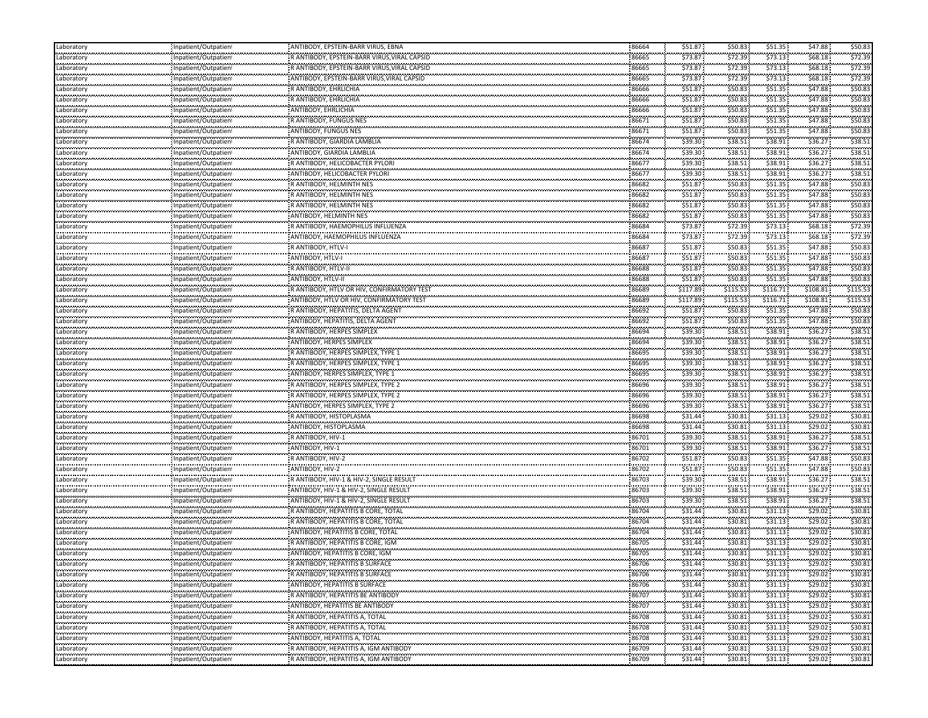| \$73.87<br>\$73.13<br>\$68.18\$<br>\$72.39<br>\$72.39<br>86665<br>R ANTIBODY, EPSTEIN-BARR VIRUS, VIRAL CAPSID<br>Laboratory<br>Inpatient/Outpatien<br>.<br>\$73.13<br>86665<br>\$73.87<br>\$72.39<br>\$68.18<br>\$72.39<br>R ANTIBODY, EPSTEIN-BARR VIRUS, VIRAL CAPSID<br>Laboratory<br>Inpatient/Outpatien<br>.<br>86665<br>\$73.13<br>\$68.18<br>\$73.87<br>\$72.39<br>\$72.39<br>Inpatient/Outpatient<br>ANTIBODY, EPSTEIN-BARR VIRUS VIRAL CAPSID<br>Laboratory<br><br>\$51.87<br>\$51.35<br>\$47.88<br>\$50.8<br>R ANTIBODY, EHRLICHIA<br>86666<br>\$50.83<br>Laboratory<br>Inpatient/Outpatient<br>.<br>\$51.35<br>\$51.87<br>\$47.88<br>\$50.83<br>\$50.83<br>R ANTIBODY, EHRLICHIA<br>86666<br>Inpatient/Outpatient<br>Laboratory<br>\$47.88<br>\$50.8<br>\$51.87<br>\$51.35<br>ANTIBODY, EHRLICHIA<br>86666<br>\$50.83<br>Laboratory<br>Inpatient/Outpatien<br><br>86671<br>\$51.87<br>\$51.35<br>\$47.88<br>\$50.8<br>\$50.83<br>R ANTIBODY, FUNGUS NES<br>Inpatient/Outpatien<br>Laboratory<br><br><br>\$51.8<br>\$50.83<br>\$51.35<br>\$47.88<br>\$50.8<br>ANTIBODY, FUNGUS NES<br>86671<br>Laboratory<br>Inpatient/Outpatien!<br>.<br>86674<br>\$39.30<br>\$38.91<br>\$36.27<br>\$38.5<br>\$38.51<br>Inpatient/Outpatien<br>R ANTIBODY, GIARDIA LAMBLIA<br>Laboratory<br><br>\$39.30<br>\$38.51<br>\$38.91<br>\$36.27<br>\$38.5<br>ANTIBODY, GIARDIA LAMBLIA<br>86674<br>Laboratory<br>Inpatient/Outpatient<br><br>\$38.91<br>\$36.27<br>\$38.51<br>\$39.30<br>R ANTIBODY, HELICOBACTER PYLORI<br>86677<br>\$38.51<br>Inpatient/Outpatient<br>Laboratory<br>\$38.51<br>\$36.27<br>\$39.30<br>\$38.51<br>\$38.91<br>ANTIBODY, HELICOBACTER PYLORI<br>86677<br>Laboratory<br>Inpatient/Outpatient<br>\$51.35<br>\$47.88<br>\$50.83<br>86682<br>\$51.87<br>\$50.83<br>R ANTIBODY, HELMINTH NES<br>Laboratory<br>Inpatient/Outpatient<br>.<br><br>\$51.35<br>\$51.87<br><br>\$47.88<br>\$50.8<br><b>ANTIBODY, HELMINTH NES</b><br>86682<br>\$50.83<br>Laboratory<br>Inpatient/Outpatient<br>.<br>86682<br>\$51.35<br>\$47.88<br>\$51.87<br>\$50.83<br>\$50.8<br>R ANTIBODY, HELMINTH NES<br>Inpatient/Outpatien<br>Laboratory<br><br>\$51.87<br>\$51.35<br>\$50.8<br>\$47.88<br>ANTIBODY, HELMINTH NES<br>86682<br>\$50.83<br>Laboratory<br>Inpatient/Outpatien<br>\$73.13<br>\$68.18\$<br>\$72.39<br>\$73.87<br>\$72.39<br>86684<br>Inpatient/Outpatient<br>R ANTIBODY, HAEMOPHILUS INFLUENZA<br>Laboratory<br><br><br>\$73.87<br>\$72.39<br>\$73.13<br>\$68.18<br>\$72.39<br>ANTIBODY, HAEMOPHILUS INFLUENZA<br>86684<br>Laboratory<br>Inpatient/Outpatient<br><br>86687<br>\$51.35<br>\$51.87<br>\$47.88<br>\$50.8<br>R ANTIBODY, HTLV-I<br>\$50.83<br>Inpatient/Outpatient<br>Laboratory<br><br>86687<br>\$51.87<br>\$50.83<br>\$51.35<br>\$47.88<br>\$50.8<br>ANTIBODY, HTLV-I<br>Laboratory<br>Inpatient/Outpatient<br>\$51.35<br>\$47.88<br>\$50.83<br>\$51.87<br>\$50.83<br>R ANTIBODY, HTLV-II<br>86688<br>Laboratory<br>Inpatient/Outpatient<br>\$51.35<br>\$47.88<br>\$50.8<br>\$51.87<br>\$50.83<br>ANTIBODY, HTLV-II<br>86688<br>Laboratory<br>Inpatient/Outpatient<br>.<br>86689<br>\$116.71<br>\$117.89<br>\$115.53<br>\$108.81<br>\$115.53<br>R ANTIBODY, HTLV OR HIV, CONFIRMATORY TEST<br>Inpatient/Outpatien!<br>Laboratory<br><br>\$108.81<br><br>\$115.5<br>ANTIBODY, HTLV OR HIV, CONFIRMATORY TEST<br>86689<br>\$117.89<br>\$115.53<br>\$116.71<br>Laboratory<br>Inpatient/Outpatien<br>.<br>\$51.35<br>\$47.88<br>\$50.8<br>\$51.87<br>\$50.83<br>86692<br>Inpatient/Outpatient<br>R ANTIBODY, HEPATITIS, DELTA AGENT<br>Laboratory<br>.<br><br>\$51.35<br>\$51.87<br>\$47.88<br>\$50.8<br>ANTIBODY, HEPATITIS, DELTA AGENT<br>86692<br>\$50.83<br>Laboratory<br>Inpatient/Outpatient<br>.<br>86694<br>\$38.91<br>\$36.27<br>\$39.30<br>\$38.5<br>R ANTIBODY, HERPES SIMPLEX<br>\$38.51<br>Inpatient/Outpatient<br>Laboratory<br><br>86694<br>\$38.51<br>\$38.91<br>\$36.27<br>\$38.5<br>\$39.30<br>ANTIBODY, HERPES SIMPLEX<br>Laboratory<br>Inpatient/Outpatient<br>\$36.27<br>\$38.91<br>\$38.51<br>\$39.30<br>\$38.51<br>R ANTIBODY, HERPES SIMPLEX, TYPE 1<br>86695<br>Laboratory<br>Inpatient/Outpatient<br>ستستحصص<br>\$38.91<br>\$36.27<br>\$38.51<br>\$39.30<br>\$38.51<br>R ANTIBODY, HERPES SIMPLEX, TYPE 1<br>86695<br>Laboratory<br>Inpatient/Outpatient<br>.<br>86695<br>\$38.91<br>\$36.27<br>\$38.5<br>\$39.30<br>\$38.51<br>Inpatient/Outpatien<br>ANTIBODY, HERPES SIMPLEX, TYPE 1<br>Laboratory<br><br>86696<br>\$38.91<br>\$36.27<br>\$38.5<br>\$39.30<br>\$38.51<br>R ANTIBODY, HERPES SIMPLEX, TYPE 2<br>Laboratory<br>Inpatient/Outpatien<br>\$36.27<br>\$38.91<br>\$38.51<br>\$39.30<br>\$38.51<br>86696<br>Inpatient/Outpatient<br>R ANTIBODY, HERPES SIMPLEX, TYPE 2<br>Laboratory<br>.<br>\$38.91<br>\$36.27<br><br>\$39.30<br><br>\$38.5<br>\$38.51<br>ANTIBODY, HERPES SIMPLEX, TYPE 2<br>86696<br>Laboratory<br>Inpatient/Outpatient<br><br>86698<br>\$31.44<br>\$31.13<br>\$29.02<br>\$30.8<br>\$30.81<br>Inpatient/Outpatient<br>R ANTIBODY, HISTOPLASMA<br>Laboratory<br><br>\$31.44<br>\$29.02<br>\$30.8<br>ANTIBODY, HISTOPLASMA<br>86698<br>\$30.81<br>\$31.13<br>Laboratory<br>Inpatient/Outpatient<br>محامد محامدت<br>\$36.27<br>\$39.30<br>\$38.51<br>\$38.91<br>\$38.51<br>R ANTIBODY, HIV-1<br>86701<br>Laboratory<br>Inpatient/Outpatient |
|------------------------------------------------------------------------------------------------------------------------------------------------------------------------------------------------------------------------------------------------------------------------------------------------------------------------------------------------------------------------------------------------------------------------------------------------------------------------------------------------------------------------------------------------------------------------------------------------------------------------------------------------------------------------------------------------------------------------------------------------------------------------------------------------------------------------------------------------------------------------------------------------------------------------------------------------------------------------------------------------------------------------------------------------------------------------------------------------------------------------------------------------------------------------------------------------------------------------------------------------------------------------------------------------------------------------------------------------------------------------------------------------------------------------------------------------------------------------------------------------------------------------------------------------------------------------------------------------------------------------------------------------------------------------------------------------------------------------------------------------------------------------------------------------------------------------------------------------------------------------------------------------------------------------------------------------------------------------------------------------------------------------------------------------------------------------------------------------------------------------------------------------------------------------------------------------------------------------------------------------------------------------------------------------------------------------------------------------------------------------------------------------------------------------------------------------------------------------------------------------------------------------------------------------------------------------------------------------------------------------------------------------------------------------------------------------------------------------------------------------------------------------------------------------------------------------------------------------------------------------------------------------------------------------------------------------------------------------------------------------------------------------------------------------------------------------------------------------------------------------------------------------------------------------------------------------------------------------------------------------------------------------------------------------------------------------------------------------------------------------------------------------------------------------------------------------------------------------------------------------------------------------------------------------------------------------------------------------------------------------------------------------------------------------------------------------------------------------------------------------------------------------------------------------------------------------------------------------------------------------------------------------------------------------------------------------------------------------------------------------------------------------------------------------------------------------------------------------------------------------------------------------------------------------------------------------------------------------------------------------------------------------------------------------------------------------------------------------------------------------------------------------------------------------------------------------------------------------------------------------------------------------------------------------------------------------------------------------------------------------------------------------------------------------------------------------------------------------------------------------------------------------------------------------------------------------------------------------------------------------------------------------------------------------------------------------------------------------------------------------------------------------------------------------------------------------------------------------------------------------------------------------------------------------------------------------------------------------------------------------------------------------------------------------------------------------|
|                                                                                                                                                                                                                                                                                                                                                                                                                                                                                                                                                                                                                                                                                                                                                                                                                                                                                                                                                                                                                                                                                                                                                                                                                                                                                                                                                                                                                                                                                                                                                                                                                                                                                                                                                                                                                                                                                                                                                                                                                                                                                                                                                                                                                                                                                                                                                                                                                                                                                                                                                                                                                                                                                                                                                                                                                                                                                                                                                                                                                                                                                                                                                                                                                                                                                                                                                                                                                                                                                                                                                                                                                                                                                                                                                                                                                                                                                                                                                                                                                                                                                                                                                                                                                                                                                                                                                                                                                                                                                                                                                                                                                                                                                                                                                                                                                                                                                                                                                                                                                                                                                                                                                                                                                                                                                                                        |
|                                                                                                                                                                                                                                                                                                                                                                                                                                                                                                                                                                                                                                                                                                                                                                                                                                                                                                                                                                                                                                                                                                                                                                                                                                                                                                                                                                                                                                                                                                                                                                                                                                                                                                                                                                                                                                                                                                                                                                                                                                                                                                                                                                                                                                                                                                                                                                                                                                                                                                                                                                                                                                                                                                                                                                                                                                                                                                                                                                                                                                                                                                                                                                                                                                                                                                                                                                                                                                                                                                                                                                                                                                                                                                                                                                                                                                                                                                                                                                                                                                                                                                                                                                                                                                                                                                                                                                                                                                                                                                                                                                                                                                                                                                                                                                                                                                                                                                                                                                                                                                                                                                                                                                                                                                                                                                                        |
|                                                                                                                                                                                                                                                                                                                                                                                                                                                                                                                                                                                                                                                                                                                                                                                                                                                                                                                                                                                                                                                                                                                                                                                                                                                                                                                                                                                                                                                                                                                                                                                                                                                                                                                                                                                                                                                                                                                                                                                                                                                                                                                                                                                                                                                                                                                                                                                                                                                                                                                                                                                                                                                                                                                                                                                                                                                                                                                                                                                                                                                                                                                                                                                                                                                                                                                                                                                                                                                                                                                                                                                                                                                                                                                                                                                                                                                                                                                                                                                                                                                                                                                                                                                                                                                                                                                                                                                                                                                                                                                                                                                                                                                                                                                                                                                                                                                                                                                                                                                                                                                                                                                                                                                                                                                                                                                        |
|                                                                                                                                                                                                                                                                                                                                                                                                                                                                                                                                                                                                                                                                                                                                                                                                                                                                                                                                                                                                                                                                                                                                                                                                                                                                                                                                                                                                                                                                                                                                                                                                                                                                                                                                                                                                                                                                                                                                                                                                                                                                                                                                                                                                                                                                                                                                                                                                                                                                                                                                                                                                                                                                                                                                                                                                                                                                                                                                                                                                                                                                                                                                                                                                                                                                                                                                                                                                                                                                                                                                                                                                                                                                                                                                                                                                                                                                                                                                                                                                                                                                                                                                                                                                                                                                                                                                                                                                                                                                                                                                                                                                                                                                                                                                                                                                                                                                                                                                                                                                                                                                                                                                                                                                                                                                                                                        |
|                                                                                                                                                                                                                                                                                                                                                                                                                                                                                                                                                                                                                                                                                                                                                                                                                                                                                                                                                                                                                                                                                                                                                                                                                                                                                                                                                                                                                                                                                                                                                                                                                                                                                                                                                                                                                                                                                                                                                                                                                                                                                                                                                                                                                                                                                                                                                                                                                                                                                                                                                                                                                                                                                                                                                                                                                                                                                                                                                                                                                                                                                                                                                                                                                                                                                                                                                                                                                                                                                                                                                                                                                                                                                                                                                                                                                                                                                                                                                                                                                                                                                                                                                                                                                                                                                                                                                                                                                                                                                                                                                                                                                                                                                                                                                                                                                                                                                                                                                                                                                                                                                                                                                                                                                                                                                                                        |
|                                                                                                                                                                                                                                                                                                                                                                                                                                                                                                                                                                                                                                                                                                                                                                                                                                                                                                                                                                                                                                                                                                                                                                                                                                                                                                                                                                                                                                                                                                                                                                                                                                                                                                                                                                                                                                                                                                                                                                                                                                                                                                                                                                                                                                                                                                                                                                                                                                                                                                                                                                                                                                                                                                                                                                                                                                                                                                                                                                                                                                                                                                                                                                                                                                                                                                                                                                                                                                                                                                                                                                                                                                                                                                                                                                                                                                                                                                                                                                                                                                                                                                                                                                                                                                                                                                                                                                                                                                                                                                                                                                                                                                                                                                                                                                                                                                                                                                                                                                                                                                                                                                                                                                                                                                                                                                                        |
|                                                                                                                                                                                                                                                                                                                                                                                                                                                                                                                                                                                                                                                                                                                                                                                                                                                                                                                                                                                                                                                                                                                                                                                                                                                                                                                                                                                                                                                                                                                                                                                                                                                                                                                                                                                                                                                                                                                                                                                                                                                                                                                                                                                                                                                                                                                                                                                                                                                                                                                                                                                                                                                                                                                                                                                                                                                                                                                                                                                                                                                                                                                                                                                                                                                                                                                                                                                                                                                                                                                                                                                                                                                                                                                                                                                                                                                                                                                                                                                                                                                                                                                                                                                                                                                                                                                                                                                                                                                                                                                                                                                                                                                                                                                                                                                                                                                                                                                                                                                                                                                                                                                                                                                                                                                                                                                        |
|                                                                                                                                                                                                                                                                                                                                                                                                                                                                                                                                                                                                                                                                                                                                                                                                                                                                                                                                                                                                                                                                                                                                                                                                                                                                                                                                                                                                                                                                                                                                                                                                                                                                                                                                                                                                                                                                                                                                                                                                                                                                                                                                                                                                                                                                                                                                                                                                                                                                                                                                                                                                                                                                                                                                                                                                                                                                                                                                                                                                                                                                                                                                                                                                                                                                                                                                                                                                                                                                                                                                                                                                                                                                                                                                                                                                                                                                                                                                                                                                                                                                                                                                                                                                                                                                                                                                                                                                                                                                                                                                                                                                                                                                                                                                                                                                                                                                                                                                                                                                                                                                                                                                                                                                                                                                                                                        |
|                                                                                                                                                                                                                                                                                                                                                                                                                                                                                                                                                                                                                                                                                                                                                                                                                                                                                                                                                                                                                                                                                                                                                                                                                                                                                                                                                                                                                                                                                                                                                                                                                                                                                                                                                                                                                                                                                                                                                                                                                                                                                                                                                                                                                                                                                                                                                                                                                                                                                                                                                                                                                                                                                                                                                                                                                                                                                                                                                                                                                                                                                                                                                                                                                                                                                                                                                                                                                                                                                                                                                                                                                                                                                                                                                                                                                                                                                                                                                                                                                                                                                                                                                                                                                                                                                                                                                                                                                                                                                                                                                                                                                                                                                                                                                                                                                                                                                                                                                                                                                                                                                                                                                                                                                                                                                                                        |
|                                                                                                                                                                                                                                                                                                                                                                                                                                                                                                                                                                                                                                                                                                                                                                                                                                                                                                                                                                                                                                                                                                                                                                                                                                                                                                                                                                                                                                                                                                                                                                                                                                                                                                                                                                                                                                                                                                                                                                                                                                                                                                                                                                                                                                                                                                                                                                                                                                                                                                                                                                                                                                                                                                                                                                                                                                                                                                                                                                                                                                                                                                                                                                                                                                                                                                                                                                                                                                                                                                                                                                                                                                                                                                                                                                                                                                                                                                                                                                                                                                                                                                                                                                                                                                                                                                                                                                                                                                                                                                                                                                                                                                                                                                                                                                                                                                                                                                                                                                                                                                                                                                                                                                                                                                                                                                                        |
|                                                                                                                                                                                                                                                                                                                                                                                                                                                                                                                                                                                                                                                                                                                                                                                                                                                                                                                                                                                                                                                                                                                                                                                                                                                                                                                                                                                                                                                                                                                                                                                                                                                                                                                                                                                                                                                                                                                                                                                                                                                                                                                                                                                                                                                                                                                                                                                                                                                                                                                                                                                                                                                                                                                                                                                                                                                                                                                                                                                                                                                                                                                                                                                                                                                                                                                                                                                                                                                                                                                                                                                                                                                                                                                                                                                                                                                                                                                                                                                                                                                                                                                                                                                                                                                                                                                                                                                                                                                                                                                                                                                                                                                                                                                                                                                                                                                                                                                                                                                                                                                                                                                                                                                                                                                                                                                        |
|                                                                                                                                                                                                                                                                                                                                                                                                                                                                                                                                                                                                                                                                                                                                                                                                                                                                                                                                                                                                                                                                                                                                                                                                                                                                                                                                                                                                                                                                                                                                                                                                                                                                                                                                                                                                                                                                                                                                                                                                                                                                                                                                                                                                                                                                                                                                                                                                                                                                                                                                                                                                                                                                                                                                                                                                                                                                                                                                                                                                                                                                                                                                                                                                                                                                                                                                                                                                                                                                                                                                                                                                                                                                                                                                                                                                                                                                                                                                                                                                                                                                                                                                                                                                                                                                                                                                                                                                                                                                                                                                                                                                                                                                                                                                                                                                                                                                                                                                                                                                                                                                                                                                                                                                                                                                                                                        |
|                                                                                                                                                                                                                                                                                                                                                                                                                                                                                                                                                                                                                                                                                                                                                                                                                                                                                                                                                                                                                                                                                                                                                                                                                                                                                                                                                                                                                                                                                                                                                                                                                                                                                                                                                                                                                                                                                                                                                                                                                                                                                                                                                                                                                                                                                                                                                                                                                                                                                                                                                                                                                                                                                                                                                                                                                                                                                                                                                                                                                                                                                                                                                                                                                                                                                                                                                                                                                                                                                                                                                                                                                                                                                                                                                                                                                                                                                                                                                                                                                                                                                                                                                                                                                                                                                                                                                                                                                                                                                                                                                                                                                                                                                                                                                                                                                                                                                                                                                                                                                                                                                                                                                                                                                                                                                                                        |
|                                                                                                                                                                                                                                                                                                                                                                                                                                                                                                                                                                                                                                                                                                                                                                                                                                                                                                                                                                                                                                                                                                                                                                                                                                                                                                                                                                                                                                                                                                                                                                                                                                                                                                                                                                                                                                                                                                                                                                                                                                                                                                                                                                                                                                                                                                                                                                                                                                                                                                                                                                                                                                                                                                                                                                                                                                                                                                                                                                                                                                                                                                                                                                                                                                                                                                                                                                                                                                                                                                                                                                                                                                                                                                                                                                                                                                                                                                                                                                                                                                                                                                                                                                                                                                                                                                                                                                                                                                                                                                                                                                                                                                                                                                                                                                                                                                                                                                                                                                                                                                                                                                                                                                                                                                                                                                                        |
|                                                                                                                                                                                                                                                                                                                                                                                                                                                                                                                                                                                                                                                                                                                                                                                                                                                                                                                                                                                                                                                                                                                                                                                                                                                                                                                                                                                                                                                                                                                                                                                                                                                                                                                                                                                                                                                                                                                                                                                                                                                                                                                                                                                                                                                                                                                                                                                                                                                                                                                                                                                                                                                                                                                                                                                                                                                                                                                                                                                                                                                                                                                                                                                                                                                                                                                                                                                                                                                                                                                                                                                                                                                                                                                                                                                                                                                                                                                                                                                                                                                                                                                                                                                                                                                                                                                                                                                                                                                                                                                                                                                                                                                                                                                                                                                                                                                                                                                                                                                                                                                                                                                                                                                                                                                                                                                        |
|                                                                                                                                                                                                                                                                                                                                                                                                                                                                                                                                                                                                                                                                                                                                                                                                                                                                                                                                                                                                                                                                                                                                                                                                                                                                                                                                                                                                                                                                                                                                                                                                                                                                                                                                                                                                                                                                                                                                                                                                                                                                                                                                                                                                                                                                                                                                                                                                                                                                                                                                                                                                                                                                                                                                                                                                                                                                                                                                                                                                                                                                                                                                                                                                                                                                                                                                                                                                                                                                                                                                                                                                                                                                                                                                                                                                                                                                                                                                                                                                                                                                                                                                                                                                                                                                                                                                                                                                                                                                                                                                                                                                                                                                                                                                                                                                                                                                                                                                                                                                                                                                                                                                                                                                                                                                                                                        |
|                                                                                                                                                                                                                                                                                                                                                                                                                                                                                                                                                                                                                                                                                                                                                                                                                                                                                                                                                                                                                                                                                                                                                                                                                                                                                                                                                                                                                                                                                                                                                                                                                                                                                                                                                                                                                                                                                                                                                                                                                                                                                                                                                                                                                                                                                                                                                                                                                                                                                                                                                                                                                                                                                                                                                                                                                                                                                                                                                                                                                                                                                                                                                                                                                                                                                                                                                                                                                                                                                                                                                                                                                                                                                                                                                                                                                                                                                                                                                                                                                                                                                                                                                                                                                                                                                                                                                                                                                                                                                                                                                                                                                                                                                                                                                                                                                                                                                                                                                                                                                                                                                                                                                                                                                                                                                                                        |
|                                                                                                                                                                                                                                                                                                                                                                                                                                                                                                                                                                                                                                                                                                                                                                                                                                                                                                                                                                                                                                                                                                                                                                                                                                                                                                                                                                                                                                                                                                                                                                                                                                                                                                                                                                                                                                                                                                                                                                                                                                                                                                                                                                                                                                                                                                                                                                                                                                                                                                                                                                                                                                                                                                                                                                                                                                                                                                                                                                                                                                                                                                                                                                                                                                                                                                                                                                                                                                                                                                                                                                                                                                                                                                                                                                                                                                                                                                                                                                                                                                                                                                                                                                                                                                                                                                                                                                                                                                                                                                                                                                                                                                                                                                                                                                                                                                                                                                                                                                                                                                                                                                                                                                                                                                                                                                                        |
|                                                                                                                                                                                                                                                                                                                                                                                                                                                                                                                                                                                                                                                                                                                                                                                                                                                                                                                                                                                                                                                                                                                                                                                                                                                                                                                                                                                                                                                                                                                                                                                                                                                                                                                                                                                                                                                                                                                                                                                                                                                                                                                                                                                                                                                                                                                                                                                                                                                                                                                                                                                                                                                                                                                                                                                                                                                                                                                                                                                                                                                                                                                                                                                                                                                                                                                                                                                                                                                                                                                                                                                                                                                                                                                                                                                                                                                                                                                                                                                                                                                                                                                                                                                                                                                                                                                                                                                                                                                                                                                                                                                                                                                                                                                                                                                                                                                                                                                                                                                                                                                                                                                                                                                                                                                                                                                        |
|                                                                                                                                                                                                                                                                                                                                                                                                                                                                                                                                                                                                                                                                                                                                                                                                                                                                                                                                                                                                                                                                                                                                                                                                                                                                                                                                                                                                                                                                                                                                                                                                                                                                                                                                                                                                                                                                                                                                                                                                                                                                                                                                                                                                                                                                                                                                                                                                                                                                                                                                                                                                                                                                                                                                                                                                                                                                                                                                                                                                                                                                                                                                                                                                                                                                                                                                                                                                                                                                                                                                                                                                                                                                                                                                                                                                                                                                                                                                                                                                                                                                                                                                                                                                                                                                                                                                                                                                                                                                                                                                                                                                                                                                                                                                                                                                                                                                                                                                                                                                                                                                                                                                                                                                                                                                                                                        |
|                                                                                                                                                                                                                                                                                                                                                                                                                                                                                                                                                                                                                                                                                                                                                                                                                                                                                                                                                                                                                                                                                                                                                                                                                                                                                                                                                                                                                                                                                                                                                                                                                                                                                                                                                                                                                                                                                                                                                                                                                                                                                                                                                                                                                                                                                                                                                                                                                                                                                                                                                                                                                                                                                                                                                                                                                                                                                                                                                                                                                                                                                                                                                                                                                                                                                                                                                                                                                                                                                                                                                                                                                                                                                                                                                                                                                                                                                                                                                                                                                                                                                                                                                                                                                                                                                                                                                                                                                                                                                                                                                                                                                                                                                                                                                                                                                                                                                                                                                                                                                                                                                                                                                                                                                                                                                                                        |
|                                                                                                                                                                                                                                                                                                                                                                                                                                                                                                                                                                                                                                                                                                                                                                                                                                                                                                                                                                                                                                                                                                                                                                                                                                                                                                                                                                                                                                                                                                                                                                                                                                                                                                                                                                                                                                                                                                                                                                                                                                                                                                                                                                                                                                                                                                                                                                                                                                                                                                                                                                                                                                                                                                                                                                                                                                                                                                                                                                                                                                                                                                                                                                                                                                                                                                                                                                                                                                                                                                                                                                                                                                                                                                                                                                                                                                                                                                                                                                                                                                                                                                                                                                                                                                                                                                                                                                                                                                                                                                                                                                                                                                                                                                                                                                                                                                                                                                                                                                                                                                                                                                                                                                                                                                                                                                                        |
|                                                                                                                                                                                                                                                                                                                                                                                                                                                                                                                                                                                                                                                                                                                                                                                                                                                                                                                                                                                                                                                                                                                                                                                                                                                                                                                                                                                                                                                                                                                                                                                                                                                                                                                                                                                                                                                                                                                                                                                                                                                                                                                                                                                                                                                                                                                                                                                                                                                                                                                                                                                                                                                                                                                                                                                                                                                                                                                                                                                                                                                                                                                                                                                                                                                                                                                                                                                                                                                                                                                                                                                                                                                                                                                                                                                                                                                                                                                                                                                                                                                                                                                                                                                                                                                                                                                                                                                                                                                                                                                                                                                                                                                                                                                                                                                                                                                                                                                                                                                                                                                                                                                                                                                                                                                                                                                        |
|                                                                                                                                                                                                                                                                                                                                                                                                                                                                                                                                                                                                                                                                                                                                                                                                                                                                                                                                                                                                                                                                                                                                                                                                                                                                                                                                                                                                                                                                                                                                                                                                                                                                                                                                                                                                                                                                                                                                                                                                                                                                                                                                                                                                                                                                                                                                                                                                                                                                                                                                                                                                                                                                                                                                                                                                                                                                                                                                                                                                                                                                                                                                                                                                                                                                                                                                                                                                                                                                                                                                                                                                                                                                                                                                                                                                                                                                                                                                                                                                                                                                                                                                                                                                                                                                                                                                                                                                                                                                                                                                                                                                                                                                                                                                                                                                                                                                                                                                                                                                                                                                                                                                                                                                                                                                                                                        |
|                                                                                                                                                                                                                                                                                                                                                                                                                                                                                                                                                                                                                                                                                                                                                                                                                                                                                                                                                                                                                                                                                                                                                                                                                                                                                                                                                                                                                                                                                                                                                                                                                                                                                                                                                                                                                                                                                                                                                                                                                                                                                                                                                                                                                                                                                                                                                                                                                                                                                                                                                                                                                                                                                                                                                                                                                                                                                                                                                                                                                                                                                                                                                                                                                                                                                                                                                                                                                                                                                                                                                                                                                                                                                                                                                                                                                                                                                                                                                                                                                                                                                                                                                                                                                                                                                                                                                                                                                                                                                                                                                                                                                                                                                                                                                                                                                                                                                                                                                                                                                                                                                                                                                                                                                                                                                                                        |
|                                                                                                                                                                                                                                                                                                                                                                                                                                                                                                                                                                                                                                                                                                                                                                                                                                                                                                                                                                                                                                                                                                                                                                                                                                                                                                                                                                                                                                                                                                                                                                                                                                                                                                                                                                                                                                                                                                                                                                                                                                                                                                                                                                                                                                                                                                                                                                                                                                                                                                                                                                                                                                                                                                                                                                                                                                                                                                                                                                                                                                                                                                                                                                                                                                                                                                                                                                                                                                                                                                                                                                                                                                                                                                                                                                                                                                                                                                                                                                                                                                                                                                                                                                                                                                                                                                                                                                                                                                                                                                                                                                                                                                                                                                                                                                                                                                                                                                                                                                                                                                                                                                                                                                                                                                                                                                                        |
|                                                                                                                                                                                                                                                                                                                                                                                                                                                                                                                                                                                                                                                                                                                                                                                                                                                                                                                                                                                                                                                                                                                                                                                                                                                                                                                                                                                                                                                                                                                                                                                                                                                                                                                                                                                                                                                                                                                                                                                                                                                                                                                                                                                                                                                                                                                                                                                                                                                                                                                                                                                                                                                                                                                                                                                                                                                                                                                                                                                                                                                                                                                                                                                                                                                                                                                                                                                                                                                                                                                                                                                                                                                                                                                                                                                                                                                                                                                                                                                                                                                                                                                                                                                                                                                                                                                                                                                                                                                                                                                                                                                                                                                                                                                                                                                                                                                                                                                                                                                                                                                                                                                                                                                                                                                                                                                        |
|                                                                                                                                                                                                                                                                                                                                                                                                                                                                                                                                                                                                                                                                                                                                                                                                                                                                                                                                                                                                                                                                                                                                                                                                                                                                                                                                                                                                                                                                                                                                                                                                                                                                                                                                                                                                                                                                                                                                                                                                                                                                                                                                                                                                                                                                                                                                                                                                                                                                                                                                                                                                                                                                                                                                                                                                                                                                                                                                                                                                                                                                                                                                                                                                                                                                                                                                                                                                                                                                                                                                                                                                                                                                                                                                                                                                                                                                                                                                                                                                                                                                                                                                                                                                                                                                                                                                                                                                                                                                                                                                                                                                                                                                                                                                                                                                                                                                                                                                                                                                                                                                                                                                                                                                                                                                                                                        |
|                                                                                                                                                                                                                                                                                                                                                                                                                                                                                                                                                                                                                                                                                                                                                                                                                                                                                                                                                                                                                                                                                                                                                                                                                                                                                                                                                                                                                                                                                                                                                                                                                                                                                                                                                                                                                                                                                                                                                                                                                                                                                                                                                                                                                                                                                                                                                                                                                                                                                                                                                                                                                                                                                                                                                                                                                                                                                                                                                                                                                                                                                                                                                                                                                                                                                                                                                                                                                                                                                                                                                                                                                                                                                                                                                                                                                                                                                                                                                                                                                                                                                                                                                                                                                                                                                                                                                                                                                                                                                                                                                                                                                                                                                                                                                                                                                                                                                                                                                                                                                                                                                                                                                                                                                                                                                                                        |
|                                                                                                                                                                                                                                                                                                                                                                                                                                                                                                                                                                                                                                                                                                                                                                                                                                                                                                                                                                                                                                                                                                                                                                                                                                                                                                                                                                                                                                                                                                                                                                                                                                                                                                                                                                                                                                                                                                                                                                                                                                                                                                                                                                                                                                                                                                                                                                                                                                                                                                                                                                                                                                                                                                                                                                                                                                                                                                                                                                                                                                                                                                                                                                                                                                                                                                                                                                                                                                                                                                                                                                                                                                                                                                                                                                                                                                                                                                                                                                                                                                                                                                                                                                                                                                                                                                                                                                                                                                                                                                                                                                                                                                                                                                                                                                                                                                                                                                                                                                                                                                                                                                                                                                                                                                                                                                                        |
|                                                                                                                                                                                                                                                                                                                                                                                                                                                                                                                                                                                                                                                                                                                                                                                                                                                                                                                                                                                                                                                                                                                                                                                                                                                                                                                                                                                                                                                                                                                                                                                                                                                                                                                                                                                                                                                                                                                                                                                                                                                                                                                                                                                                                                                                                                                                                                                                                                                                                                                                                                                                                                                                                                                                                                                                                                                                                                                                                                                                                                                                                                                                                                                                                                                                                                                                                                                                                                                                                                                                                                                                                                                                                                                                                                                                                                                                                                                                                                                                                                                                                                                                                                                                                                                                                                                                                                                                                                                                                                                                                                                                                                                                                                                                                                                                                                                                                                                                                                                                                                                                                                                                                                                                                                                                                                                        |
|                                                                                                                                                                                                                                                                                                                                                                                                                                                                                                                                                                                                                                                                                                                                                                                                                                                                                                                                                                                                                                                                                                                                                                                                                                                                                                                                                                                                                                                                                                                                                                                                                                                                                                                                                                                                                                                                                                                                                                                                                                                                                                                                                                                                                                                                                                                                                                                                                                                                                                                                                                                                                                                                                                                                                                                                                                                                                                                                                                                                                                                                                                                                                                                                                                                                                                                                                                                                                                                                                                                                                                                                                                                                                                                                                                                                                                                                                                                                                                                                                                                                                                                                                                                                                                                                                                                                                                                                                                                                                                                                                                                                                                                                                                                                                                                                                                                                                                                                                                                                                                                                                                                                                                                                                                                                                                                        |
|                                                                                                                                                                                                                                                                                                                                                                                                                                                                                                                                                                                                                                                                                                                                                                                                                                                                                                                                                                                                                                                                                                                                                                                                                                                                                                                                                                                                                                                                                                                                                                                                                                                                                                                                                                                                                                                                                                                                                                                                                                                                                                                                                                                                                                                                                                                                                                                                                                                                                                                                                                                                                                                                                                                                                                                                                                                                                                                                                                                                                                                                                                                                                                                                                                                                                                                                                                                                                                                                                                                                                                                                                                                                                                                                                                                                                                                                                                                                                                                                                                                                                                                                                                                                                                                                                                                                                                                                                                                                                                                                                                                                                                                                                                                                                                                                                                                                                                                                                                                                                                                                                                                                                                                                                                                                                                                        |
|                                                                                                                                                                                                                                                                                                                                                                                                                                                                                                                                                                                                                                                                                                                                                                                                                                                                                                                                                                                                                                                                                                                                                                                                                                                                                                                                                                                                                                                                                                                                                                                                                                                                                                                                                                                                                                                                                                                                                                                                                                                                                                                                                                                                                                                                                                                                                                                                                                                                                                                                                                                                                                                                                                                                                                                                                                                                                                                                                                                                                                                                                                                                                                                                                                                                                                                                                                                                                                                                                                                                                                                                                                                                                                                                                                                                                                                                                                                                                                                                                                                                                                                                                                                                                                                                                                                                                                                                                                                                                                                                                                                                                                                                                                                                                                                                                                                                                                                                                                                                                                                                                                                                                                                                                                                                                                                        |
|                                                                                                                                                                                                                                                                                                                                                                                                                                                                                                                                                                                                                                                                                                                                                                                                                                                                                                                                                                                                                                                                                                                                                                                                                                                                                                                                                                                                                                                                                                                                                                                                                                                                                                                                                                                                                                                                                                                                                                                                                                                                                                                                                                                                                                                                                                                                                                                                                                                                                                                                                                                                                                                                                                                                                                                                                                                                                                                                                                                                                                                                                                                                                                                                                                                                                                                                                                                                                                                                                                                                                                                                                                                                                                                                                                                                                                                                                                                                                                                                                                                                                                                                                                                                                                                                                                                                                                                                                                                                                                                                                                                                                                                                                                                                                                                                                                                                                                                                                                                                                                                                                                                                                                                                                                                                                                                        |
|                                                                                                                                                                                                                                                                                                                                                                                                                                                                                                                                                                                                                                                                                                                                                                                                                                                                                                                                                                                                                                                                                                                                                                                                                                                                                                                                                                                                                                                                                                                                                                                                                                                                                                                                                                                                                                                                                                                                                                                                                                                                                                                                                                                                                                                                                                                                                                                                                                                                                                                                                                                                                                                                                                                                                                                                                                                                                                                                                                                                                                                                                                                                                                                                                                                                                                                                                                                                                                                                                                                                                                                                                                                                                                                                                                                                                                                                                                                                                                                                                                                                                                                                                                                                                                                                                                                                                                                                                                                                                                                                                                                                                                                                                                                                                                                                                                                                                                                                                                                                                                                                                                                                                                                                                                                                                                                        |
|                                                                                                                                                                                                                                                                                                                                                                                                                                                                                                                                                                                                                                                                                                                                                                                                                                                                                                                                                                                                                                                                                                                                                                                                                                                                                                                                                                                                                                                                                                                                                                                                                                                                                                                                                                                                                                                                                                                                                                                                                                                                                                                                                                                                                                                                                                                                                                                                                                                                                                                                                                                                                                                                                                                                                                                                                                                                                                                                                                                                                                                                                                                                                                                                                                                                                                                                                                                                                                                                                                                                                                                                                                                                                                                                                                                                                                                                                                                                                                                                                                                                                                                                                                                                                                                                                                                                                                                                                                                                                                                                                                                                                                                                                                                                                                                                                                                                                                                                                                                                                                                                                                                                                                                                                                                                                                                        |
|                                                                                                                                                                                                                                                                                                                                                                                                                                                                                                                                                                                                                                                                                                                                                                                                                                                                                                                                                                                                                                                                                                                                                                                                                                                                                                                                                                                                                                                                                                                                                                                                                                                                                                                                                                                                                                                                                                                                                                                                                                                                                                                                                                                                                                                                                                                                                                                                                                                                                                                                                                                                                                                                                                                                                                                                                                                                                                                                                                                                                                                                                                                                                                                                                                                                                                                                                                                                                                                                                                                                                                                                                                                                                                                                                                                                                                                                                                                                                                                                                                                                                                                                                                                                                                                                                                                                                                                                                                                                                                                                                                                                                                                                                                                                                                                                                                                                                                                                                                                                                                                                                                                                                                                                                                                                                                                        |
|                                                                                                                                                                                                                                                                                                                                                                                                                                                                                                                                                                                                                                                                                                                                                                                                                                                                                                                                                                                                                                                                                                                                                                                                                                                                                                                                                                                                                                                                                                                                                                                                                                                                                                                                                                                                                                                                                                                                                                                                                                                                                                                                                                                                                                                                                                                                                                                                                                                                                                                                                                                                                                                                                                                                                                                                                                                                                                                                                                                                                                                                                                                                                                                                                                                                                                                                                                                                                                                                                                                                                                                                                                                                                                                                                                                                                                                                                                                                                                                                                                                                                                                                                                                                                                                                                                                                                                                                                                                                                                                                                                                                                                                                                                                                                                                                                                                                                                                                                                                                                                                                                                                                                                                                                                                                                                                        |
| \$36.27<br>\$38.91<br>\$38.51<br>\$39.30<br>\$38.51<br>ANTIBODY, HIV-1<br>86701<br>Laboratory<br>Inpatient/Outpatient                                                                                                                                                                                                                                                                                                                                                                                                                                                                                                                                                                                                                                                                                                                                                                                                                                                                                                                                                                                                                                                                                                                                                                                                                                                                                                                                                                                                                                                                                                                                                                                                                                                                                                                                                                                                                                                                                                                                                                                                                                                                                                                                                                                                                                                                                                                                                                                                                                                                                                                                                                                                                                                                                                                                                                                                                                                                                                                                                                                                                                                                                                                                                                                                                                                                                                                                                                                                                                                                                                                                                                                                                                                                                                                                                                                                                                                                                                                                                                                                                                                                                                                                                                                                                                                                                                                                                                                                                                                                                                                                                                                                                                                                                                                                                                                                                                                                                                                                                                                                                                                                                                                                                                                                  |
| .<br>86702<br>\$51.87<br>\$50.83<br>\$51.35<br>\$47.88<br>\$50.8<br>R ANTIBODY, HIV-2<br>Inpatient/Outpatien<br>Laboratory                                                                                                                                                                                                                                                                                                                                                                                                                                                                                                                                                                                                                                                                                                                                                                                                                                                                                                                                                                                                                                                                                                                                                                                                                                                                                                                                                                                                                                                                                                                                                                                                                                                                                                                                                                                                                                                                                                                                                                                                                                                                                                                                                                                                                                                                                                                                                                                                                                                                                                                                                                                                                                                                                                                                                                                                                                                                                                                                                                                                                                                                                                                                                                                                                                                                                                                                                                                                                                                                                                                                                                                                                                                                                                                                                                                                                                                                                                                                                                                                                                                                                                                                                                                                                                                                                                                                                                                                                                                                                                                                                                                                                                                                                                                                                                                                                                                                                                                                                                                                                                                                                                                                                                                             |
| <br>\$51.8<br>\$50.83<br>\$51.35<br>\$47.88<br>\$50.8<br>ANTIBODY, HIV-2<br>86702<br>Laboratory<br>Inpatient/Outpatient                                                                                                                                                                                                                                                                                                                                                                                                                                                                                                                                                                                                                                                                                                                                                                                                                                                                                                                                                                                                                                                                                                                                                                                                                                                                                                                                                                                                                                                                                                                                                                                                                                                                                                                                                                                                                                                                                                                                                                                                                                                                                                                                                                                                                                                                                                                                                                                                                                                                                                                                                                                                                                                                                                                                                                                                                                                                                                                                                                                                                                                                                                                                                                                                                                                                                                                                                                                                                                                                                                                                                                                                                                                                                                                                                                                                                                                                                                                                                                                                                                                                                                                                                                                                                                                                                                                                                                                                                                                                                                                                                                                                                                                                                                                                                                                                                                                                                                                                                                                                                                                                                                                                                                                                |
| .<br><br>\$38.91<br>\$36.27<br>\$38.5<br>86703<br>\$39.30<br>\$38.51<br>Inpatient/Outpatien<br>R ANTIBODY, HIV-1 & HIV-2, SINGLE RESULT<br>Laboratory                                                                                                                                                                                                                                                                                                                                                                                                                                                                                                                                                                                                                                                                                                                                                                                                                                                                                                                                                                                                                                                                                                                                                                                                                                                                                                                                                                                                                                                                                                                                                                                                                                                                                                                                                                                                                                                                                                                                                                                                                                                                                                                                                                                                                                                                                                                                                                                                                                                                                                                                                                                                                                                                                                                                                                                                                                                                                                                                                                                                                                                                                                                                                                                                                                                                                                                                                                                                                                                                                                                                                                                                                                                                                                                                                                                                                                                                                                                                                                                                                                                                                                                                                                                                                                                                                                                                                                                                                                                                                                                                                                                                                                                                                                                                                                                                                                                                                                                                                                                                                                                                                                                                                                  |
| .<br>\$36.27<br><br>\$38.91<br>\$38.5<br>\$39.30<br>\$38.51<br>ANTIBODY, HIV-1 & HIV-2, SINGLE RESULT<br>86703<br>Laboratory<br>Inpatient/Outpatient                                                                                                                                                                                                                                                                                                                                                                                                                                                                                                                                                                                                                                                                                                                                                                                                                                                                                                                                                                                                                                                                                                                                                                                                                                                                                                                                                                                                                                                                                                                                                                                                                                                                                                                                                                                                                                                                                                                                                                                                                                                                                                                                                                                                                                                                                                                                                                                                                                                                                                                                                                                                                                                                                                                                                                                                                                                                                                                                                                                                                                                                                                                                                                                                                                                                                                                                                                                                                                                                                                                                                                                                                                                                                                                                                                                                                                                                                                                                                                                                                                                                                                                                                                                                                                                                                                                                                                                                                                                                                                                                                                                                                                                                                                                                                                                                                                                                                                                                                                                                                                                                                                                                                                   |
| .<br>\$36.27<br>\$38.51<br>\$39.30<br>\$38.91<br>ANTIBODY, HIV-1 & HIV-2, SINGLE RESULT<br>86703<br>\$38.51<br>Inpatient/Outpatient<br>Laboratory                                                                                                                                                                                                                                                                                                                                                                                                                                                                                                                                                                                                                                                                                                                                                                                                                                                                                                                                                                                                                                                                                                                                                                                                                                                                                                                                                                                                                                                                                                                                                                                                                                                                                                                                                                                                                                                                                                                                                                                                                                                                                                                                                                                                                                                                                                                                                                                                                                                                                                                                                                                                                                                                                                                                                                                                                                                                                                                                                                                                                                                                                                                                                                                                                                                                                                                                                                                                                                                                                                                                                                                                                                                                                                                                                                                                                                                                                                                                                                                                                                                                                                                                                                                                                                                                                                                                                                                                                                                                                                                                                                                                                                                                                                                                                                                                                                                                                                                                                                                                                                                                                                                                                                      |
| \$30.8<br>\$29.02<br>\$31.44<br>\$31.13<br>R ANTIBODY, HEPATITIS B CORE, TOTAL<br>86704<br>\$30.81<br>Laboratory<br>Inpatient/Outpatient                                                                                                                                                                                                                                                                                                                                                                                                                                                                                                                                                                                                                                                                                                                                                                                                                                                                                                                                                                                                                                                                                                                                                                                                                                                                                                                                                                                                                                                                                                                                                                                                                                                                                                                                                                                                                                                                                                                                                                                                                                                                                                                                                                                                                                                                                                                                                                                                                                                                                                                                                                                                                                                                                                                                                                                                                                                                                                                                                                                                                                                                                                                                                                                                                                                                                                                                                                                                                                                                                                                                                                                                                                                                                                                                                                                                                                                                                                                                                                                                                                                                                                                                                                                                                                                                                                                                                                                                                                                                                                                                                                                                                                                                                                                                                                                                                                                                                                                                                                                                                                                                                                                                                                               |
| .<br>\$31.13<br>\$29.02<br>\$31.44<br>\$30.81<br>\$30.81<br>86704<br>R ANTIBODY, HEPATITIS B CORE, TOTAL<br>Laboratory                                                                                                                                                                                                                                                                                                                                                                                                                                                                                                                                                                                                                                                                                                                                                                                                                                                                                                                                                                                                                                                                                                                                                                                                                                                                                                                                                                                                                                                                                                                                                                                                                                                                                                                                                                                                                                                                                                                                                                                                                                                                                                                                                                                                                                                                                                                                                                                                                                                                                                                                                                                                                                                                                                                                                                                                                                                                                                                                                                                                                                                                                                                                                                                                                                                                                                                                                                                                                                                                                                                                                                                                                                                                                                                                                                                                                                                                                                                                                                                                                                                                                                                                                                                                                                                                                                                                                                                                                                                                                                                                                                                                                                                                                                                                                                                                                                                                                                                                                                                                                                                                                                                                                                                                 |
| Inpatient/Outpatient<br><br><br>.<br>\$29.02<br>\$30.8                                                                                                                                                                                                                                                                                                                                                                                                                                                                                                                                                                                                                                                                                                                                                                                                                                                                                                                                                                                                                                                                                                                                                                                                                                                                                                                                                                                                                                                                                                                                                                                                                                                                                                                                                                                                                                                                                                                                                                                                                                                                                                                                                                                                                                                                                                                                                                                                                                                                                                                                                                                                                                                                                                                                                                                                                                                                                                                                                                                                                                                                                                                                                                                                                                                                                                                                                                                                                                                                                                                                                                                                                                                                                                                                                                                                                                                                                                                                                                                                                                                                                                                                                                                                                                                                                                                                                                                                                                                                                                                                                                                                                                                                                                                                                                                                                                                                                                                                                                                                                                                                                                                                                                                                                                                                 |
| ANTIBODY, HEPATITIS B CORE, TOTAL<br>86704<br>\$31.44<br>\$30.81<br>\$31.13<br>Laboratory<br>Inpatient/Outpatient<br>.<br>\$31.44<br>\$31.13<br>\$29.02\$<br>86705<br>\$30.81<br>\$30.8                                                                                                                                                                                                                                                                                                                                                                                                                                                                                                                                                                                                                                                                                                                                                                                                                                                                                                                                                                                                                                                                                                                                                                                                                                                                                                                                                                                                                                                                                                                                                                                                                                                                                                                                                                                                                                                                                                                                                                                                                                                                                                                                                                                                                                                                                                                                                                                                                                                                                                                                                                                                                                                                                                                                                                                                                                                                                                                                                                                                                                                                                                                                                                                                                                                                                                                                                                                                                                                                                                                                                                                                                                                                                                                                                                                                                                                                                                                                                                                                                                                                                                                                                                                                                                                                                                                                                                                                                                                                                                                                                                                                                                                                                                                                                                                                                                                                                                                                                                                                                                                                                                                                |
| R ANTIBODY, HEPATITIS B CORE, IGM<br>npatient/Outpatien<br>Laborator<br><br>\$31.44<br>.<br>\$29.02<br>\$30.8                                                                                                                                                                                                                                                                                                                                                                                                                                                                                                                                                                                                                                                                                                                                                                                                                                                                                                                                                                                                                                                                                                                                                                                                                                                                                                                                                                                                                                                                                                                                                                                                                                                                                                                                                                                                                                                                                                                                                                                                                                                                                                                                                                                                                                                                                                                                                                                                                                                                                                                                                                                                                                                                                                                                                                                                                                                                                                                                                                                                                                                                                                                                                                                                                                                                                                                                                                                                                                                                                                                                                                                                                                                                                                                                                                                                                                                                                                                                                                                                                                                                                                                                                                                                                                                                                                                                                                                                                                                                                                                                                                                                                                                                                                                                                                                                                                                                                                                                                                                                                                                                                                                                                                                                          |
| ANTIBODY, HEPATITIS B CORE, IGM<br>\$30.81<br>\$31.13<br>Inpatient/Outpatient<br>86705<br>Laboratory<br>.<br>\$31.44<br>\$31.13<br>\$29.02\$                                                                                                                                                                                                                                                                                                                                                                                                                                                                                                                                                                                                                                                                                                                                                                                                                                                                                                                                                                                                                                                                                                                                                                                                                                                                                                                                                                                                                                                                                                                                                                                                                                                                                                                                                                                                                                                                                                                                                                                                                                                                                                                                                                                                                                                                                                                                                                                                                                                                                                                                                                                                                                                                                                                                                                                                                                                                                                                                                                                                                                                                                                                                                                                                                                                                                                                                                                                                                                                                                                                                                                                                                                                                                                                                                                                                                                                                                                                                                                                                                                                                                                                                                                                                                                                                                                                                                                                                                                                                                                                                                                                                                                                                                                                                                                                                                                                                                                                                                                                                                                                                                                                                                                           |
| \$30.81<br>\$30.81<br>R ANTIBODY, HEPATITIS B SURFACE<br>Inpatient/Outpatien<br>86706<br>Laboratory                                                                                                                                                                                                                                                                                                                                                                                                                                                                                                                                                                                                                                                                                                                                                                                                                                                                                                                                                                                                                                                                                                                                                                                                                                                                                                                                                                                                                                                                                                                                                                                                                                                                                                                                                                                                                                                                                                                                                                                                                                                                                                                                                                                                                                                                                                                                                                                                                                                                                                                                                                                                                                                                                                                                                                                                                                                                                                                                                                                                                                                                                                                                                                                                                                                                                                                                                                                                                                                                                                                                                                                                                                                                                                                                                                                                                                                                                                                                                                                                                                                                                                                                                                                                                                                                                                                                                                                                                                                                                                                                                                                                                                                                                                                                                                                                                                                                                                                                                                                                                                                                                                                                                                                                                    |
| R ANTIBODY, HEPATITIS B SURFACE<br>\$31.44<br>\$30.81<br>\$31.13<br>\$29.02<br>Laboratory<br>Inpatient/Outpatient<br>86706<br>\$30.81<br>                                                                                                                                                                                                                                                                                                                                                                                                                                                                                                                                                                                                                                                                                                                                                                                                                                                                                                                                                                                                                                                                                                                                                                                                                                                                                                                                                                                                                                                                                                                                                                                                                                                                                                                                                                                                                                                                                                                                                                                                                                                                                                                                                                                                                                                                                                                                                                                                                                                                                                                                                                                                                                                                                                                                                                                                                                                                                                                                                                                                                                                                                                                                                                                                                                                                                                                                                                                                                                                                                                                                                                                                                                                                                                                                                                                                                                                                                                                                                                                                                                                                                                                                                                                                                                                                                                                                                                                                                                                                                                                                                                                                                                                                                                                                                                                                                                                                                                                                                                                                                                                                                                                                                                              |
| \$31.44<br>\$29.02<br>ANTIBODY, HEPATITIS B SURFACE<br>86706<br>\$30.81<br>\$31.13<br>\$30.81<br>Laboratory<br>Inpatient/Outpatient                                                                                                                                                                                                                                                                                                                                                                                                                                                                                                                                                                                                                                                                                                                                                                                                                                                                                                                                                                                                                                                                                                                                                                                                                                                                                                                                                                                                                                                                                                                                                                                                                                                                                                                                                                                                                                                                                                                                                                                                                                                                                                                                                                                                                                                                                                                                                                                                                                                                                                                                                                                                                                                                                                                                                                                                                                                                                                                                                                                                                                                                                                                                                                                                                                                                                                                                                                                                                                                                                                                                                                                                                                                                                                                                                                                                                                                                                                                                                                                                                                                                                                                                                                                                                                                                                                                                                                                                                                                                                                                                                                                                                                                                                                                                                                                                                                                                                                                                                                                                                                                                                                                                                                                    |
| \$29.02<br>\$30.81<br>\$31.44<br>\$31.13<br>\$30.81<br>R ANTIBODY, HEPATITIS BE ANTIBODY<br>86707<br>Laboratory<br>Inpatient/Outpatient<br>بالمحمد لمحمد لما                                                                                                                                                                                                                                                                                                                                                                                                                                                                                                                                                                                                                                                                                                                                                                                                                                                                                                                                                                                                                                                                                                                                                                                                                                                                                                                                                                                                                                                                                                                                                                                                                                                                                                                                                                                                                                                                                                                                                                                                                                                                                                                                                                                                                                                                                                                                                                                                                                                                                                                                                                                                                                                                                                                                                                                                                                                                                                                                                                                                                                                                                                                                                                                                                                                                                                                                                                                                                                                                                                                                                                                                                                                                                                                                                                                                                                                                                                                                                                                                                                                                                                                                                                                                                                                                                                                                                                                                                                                                                                                                                                                                                                                                                                                                                                                                                                                                                                                                                                                                                                                                                                                                                           |
| \$31.44<br>\$31.13<br>86707<br>\$30.81<br>\$29.02\$<br>\$30.81<br>Laboratory<br>Inpatient/Outpatient<br>ANTIBODY, HEPATITIS BE ANTIBODY<br>.<br>.<br>.                                                                                                                                                                                                                                                                                                                                                                                                                                                                                                                                                                                                                                                                                                                                                                                                                                                                                                                                                                                                                                                                                                                                                                                                                                                                                                                                                                                                                                                                                                                                                                                                                                                                                                                                                                                                                                                                                                                                                                                                                                                                                                                                                                                                                                                                                                                                                                                                                                                                                                                                                                                                                                                                                                                                                                                                                                                                                                                                                                                                                                                                                                                                                                                                                                                                                                                                                                                                                                                                                                                                                                                                                                                                                                                                                                                                                                                                                                                                                                                                                                                                                                                                                                                                                                                                                                                                                                                                                                                                                                                                                                                                                                                                                                                                                                                                                                                                                                                                                                                                                                                                                                                                                                 |
| \$31.44<br>86708<br>\$29.02<br>\$30.81<br>R ANTIBODY, HEPATITIS A, TOTAL<br>\$30.81<br>\$31.13<br>Laboratory<br>Inpatient/Outpatient                                                                                                                                                                                                                                                                                                                                                                                                                                                                                                                                                                                                                                                                                                                                                                                                                                                                                                                                                                                                                                                                                                                                                                                                                                                                                                                                                                                                                                                                                                                                                                                                                                                                                                                                                                                                                                                                                                                                                                                                                                                                                                                                                                                                                                                                                                                                                                                                                                                                                                                                                                                                                                                                                                                                                                                                                                                                                                                                                                                                                                                                                                                                                                                                                                                                                                                                                                                                                                                                                                                                                                                                                                                                                                                                                                                                                                                                                                                                                                                                                                                                                                                                                                                                                                                                                                                                                                                                                                                                                                                                                                                                                                                                                                                                                                                                                                                                                                                                                                                                                                                                                                                                                                                   |
| .<br>Inpatient/Outpatient<br>86708<br>\$31.44<br>\$31.13<br>\$29.02\$<br>\$30.81<br>\$30.81<br>R ANTIBODY, HEPATITIS A, TOTAL<br>Laboratory                                                                                                                                                                                                                                                                                                                                                                                                                                                                                                                                                                                                                                                                                                                                                                                                                                                                                                                                                                                                                                                                                                                                                                                                                                                                                                                                                                                                                                                                                                                                                                                                                                                                                                                                                                                                                                                                                                                                                                                                                                                                                                                                                                                                                                                                                                                                                                                                                                                                                                                                                                                                                                                                                                                                                                                                                                                                                                                                                                                                                                                                                                                                                                                                                                                                                                                                                                                                                                                                                                                                                                                                                                                                                                                                                                                                                                                                                                                                                                                                                                                                                                                                                                                                                                                                                                                                                                                                                                                                                                                                                                                                                                                                                                                                                                                                                                                                                                                                                                                                                                                                                                                                                                            |
| .<br>\$31.44<br>.<br>.<br>.<br>\$29.02<br>\$30.81<br>ANTIBODY, HEPATITIS A, TOTAL<br>86708<br>\$30.81<br>\$31.13<br>Laboratory<br>Inpatient/Outpatient                                                                                                                                                                                                                                                                                                                                                                                                                                                                                                                                                                                                                                                                                                                                                                                                                                                                                                                                                                                                                                                                                                                                                                                                                                                                                                                                                                                                                                                                                                                                                                                                                                                                                                                                                                                                                                                                                                                                                                                                                                                                                                                                                                                                                                                                                                                                                                                                                                                                                                                                                                                                                                                                                                                                                                                                                                                                                                                                                                                                                                                                                                                                                                                                                                                                                                                                                                                                                                                                                                                                                                                                                                                                                                                                                                                                                                                                                                                                                                                                                                                                                                                                                                                                                                                                                                                                                                                                                                                                                                                                                                                                                                                                                                                                                                                                                                                                                                                                                                                                                                                                                                                                                                 |
| .<br>86709<br>\$31.44<br>\$30.81<br>\$31.13<br>\$29.02\$<br>,,,,,,,,,,,,,,,,,,,,,,,,,,,,,,,,,,,,,<br>\$30.81<br>R ANTIBODY, HEPATITIS A, IGM ANTIBODY<br>Inpatient/Outpatient<br>Laboratory                                                                                                                                                                                                                                                                                                                                                                                                                                                                                                                                                                                                                                                                                                                                                                                                                                                                                                                                                                                                                                                                                                                                                                                                                                                                                                                                                                                                                                                                                                                                                                                                                                                                                                                                                                                                                                                                                                                                                                                                                                                                                                                                                                                                                                                                                                                                                                                                                                                                                                                                                                                                                                                                                                                                                                                                                                                                                                                                                                                                                                                                                                                                                                                                                                                                                                                                                                                                                                                                                                                                                                                                                                                                                                                                                                                                                                                                                                                                                                                                                                                                                                                                                                                                                                                                                                                                                                                                                                                                                                                                                                                                                                                                                                                                                                                                                                                                                                                                                                                                                                                                                                                            |
| .<br>86709<br>\$31.44<br>\$30.81<br>\$31.13<br>\$29.02<br>\$30.81<br>R ANTIBODY, HEPATITIS A, IGM ANTIBODY<br>Inpatient/Outpatient<br>Laboratory                                                                                                                                                                                                                                                                                                                                                                                                                                                                                                                                                                                                                                                                                                                                                                                                                                                                                                                                                                                                                                                                                                                                                                                                                                                                                                                                                                                                                                                                                                                                                                                                                                                                                                                                                                                                                                                                                                                                                                                                                                                                                                                                                                                                                                                                                                                                                                                                                                                                                                                                                                                                                                                                                                                                                                                                                                                                                                                                                                                                                                                                                                                                                                                                                                                                                                                                                                                                                                                                                                                                                                                                                                                                                                                                                                                                                                                                                                                                                                                                                                                                                                                                                                                                                                                                                                                                                                                                                                                                                                                                                                                                                                                                                                                                                                                                                                                                                                                                                                                                                                                                                                                                                                       |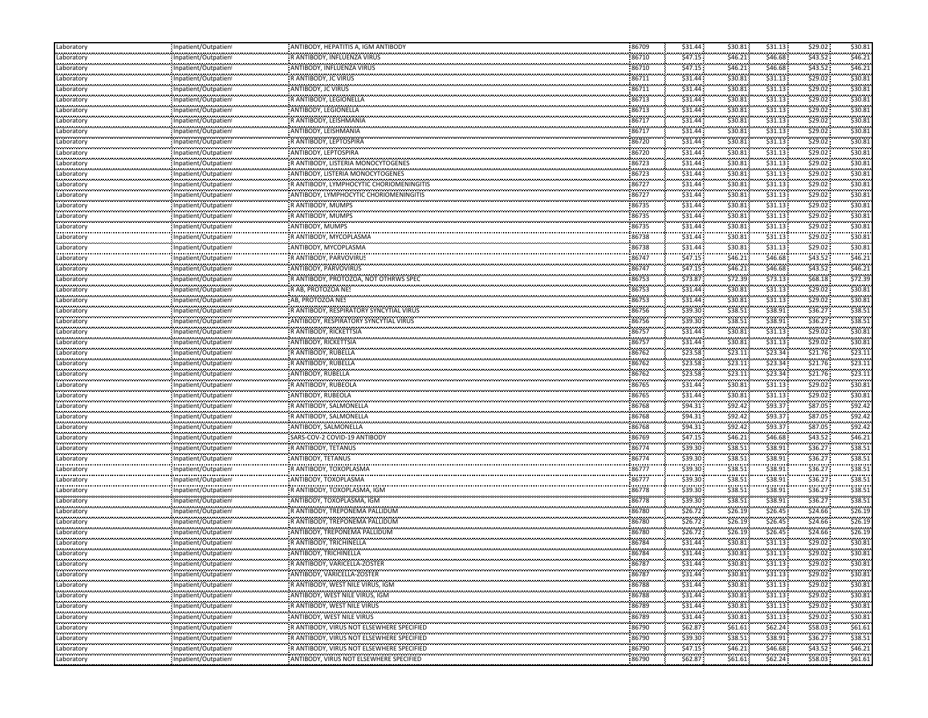| Laboratory                        | Inpatient/Outpatient     | ANTIBODY, HEPATITIS A, IGM ANTIBODY        | 86709          | \$31.44            | \$30.81      | \$31.13        | \$29.02            | \$30.81  |
|-----------------------------------|--------------------------|--------------------------------------------|----------------|--------------------|--------------|----------------|--------------------|----------|
| Laboratory                        | Inpatient/Outpatient     | R ANTIBODY, INFLUENZA VIRUS                | 86710          | \$47.15            | \$46.21      | \$46.68        | \$43.52            | \$46.21  |
| .<br>Laboratory                   | <br>Inpatient/Outpatient | ANTIBODY, INFLUENZA VIRUS                  | 86710          | \$47.15            | \$46.21      | .<br>\$46.68   | \$43.52            | \$46.2\$ |
| .<br>Laboratory                   | Inpatient/Outpatient     | R ANTIBODY, JC VIRUS                       | 86711          | \$31.44            | \$30.81      | \$31.13        | \$29.02            | \$30.81  |
| .<br>Laboratory                   | Inpatient/Outpatient     | ANTIBODY, JC VIRUS                         | 86711          | \$31.44            | \$30.81      | .<br>\$31.13   | \$29.02            | \$30.8   |
| .<br>Laboratory                   | Inpatient/Outpatient     | R ANTIBODY, LEGIONELLA                     | 86713          | \$31.44            | \$30.81      | \$31.13        | \$29.02            | \$30.81  |
| Laboratory                        | Inpatient/Outpatien      | ANTIBODY, LEGIONELLA                       | 86713          | \$31.44            | \$30.81      | \$31.13        | \$29.02            | \$30.81  |
| <br>Laboratory                    | Inpatient/Outpatien      | R ANTIBODY, LEISHMANIA                     | 86717          | \$31.44            | \$30.81      | \$31.13        | \$29.02\$          | \$30.8   |
| <br>Laboratory                    | Inpatient/Outpatient     | ANTIBODY, LEISHMANIA                       | 86717          | \$31.44            | \$30.81      | \$31.13        | \$29.02            | \$30.8   |
| .<br>Laboratory                   | Inpatient/Outpatien      | R ANTIBODY, LEPTOSPIRA                     | 86720          | \$31.44            | \$30.81      | \$31.13        | \$29.02            | \$30.8   |
| .                                 |                          | ANTIBODY, LEPTOSPIRA                       | 86720          | \$31.44            | \$30.81      | \$31.13        | \$29.02            | \$30.8   |
| Laboratory<br>                    | Inpatient/Outpatient<br> |                                            |                | \$31.44            |              | \$31.13        | \$29.02            | \$30.81  |
| Laboratory                        | Inpatient/Outpatient     | R ANTIBODY, LISTERIA MONOCYTOGENES         | 86723          |                    | \$30.81      |                | \$29.02            | \$30.8   |
| Laboratory                        | Inpatient/Outpatient     | ANTIBODY, LISTERIA MONOCYTOGENES           | 86723          | \$31.44            | \$30.81      | \$31.13        |                    |          |
| Laboratory<br>.                   | Inpatient/Outpatient<br> | R ANTIBODY, LYMPHOCYTIC CHORIOMENINGITIS   | 86727          | \$31.44<br>.       | \$30.81<br>  | \$31.13<br>    | \$29.02            | \$30.81  |
| Laboratory<br>.                   | Inpatient/Outpatient     | ANTIBODY, LYMPHOCYTIC CHORIOMENINGITIS     | 86727          | \$31.44            | \$30.81      | \$31.13        | \$29.02            | \$30.8   |
| Laboratory<br>                    | Inpatient/Outpatien      | R ANTIBODY, MUMPS                          | 86735          | \$31.44            | \$30.81      | \$31.13<br>.   | \$29.02\$          | \$30.8   |
| Laboratory<br>                    | Inpatient/Outpatient     | R ANTIBODY, MUMPS                          | 86735          | \$31.44            | \$30.81      | \$31.13        | \$29.02            | \$30.8   |
| Laboratory<br>.                   | Inpatient/Outpatient     | ANTIBODY, MUMPS                            | 86735          | \$31.44            | \$30.81      | \$31.13        | \$29.02            | \$30.81  |
| Laboratory                        | Inpatient/Outpatient     | R ANTIBODY, MYCOPLASMA                     | 86738          | \$31.44            | \$30.81      | \$31.13        | \$29.02            | \$30.8   |
| <br>Laboratory                    | Inpatient/Outpatient     | ANTIBODY, MYCOPLASMA                       | 86738          | \$31.44            | \$30.81      | \$31.13        | \$29.02            | \$30.8   |
| <br>Laboratory                    | Inpatient/Outpatient     | R ANTIBODY, PARVOVIRUS                     | 86747          | \$47.15            | \$46.21      | \$46.68        | \$43.52            | \$46.2   |
| Laboratory                        | Inpatient/Outpatient     | ANTIBODY, PARVOVIRUS                       | 86747          | \$47.15            | \$46.21      | \$46.68        | \$43.52            | \$46.21  |
| Laboratory                        | Inpatient/Outpatient     | R ANTIBODY, PROTOZOA, NOT OTHRWS SPEC      | 86753          | \$73.87            | \$72.39      | \$73.13        | \$68.18\$          | \$72.39  |
| .<br>Laboratory                   | Inpatient/Outpatien!     | R AB, PROTOZOA NES                         | 86753          | \$31.44            | \$30.81      | 531.13         | \$29.02            | \$30.8   |
| .<br>Laboratory                   | Inpatient/Outpatient     | AB, PROTOZOA NES                           | 86753          | .<br>\$31.44       | \$30.81      | .<br>\$31.13   | \$29.02            | \$30.8   |
| .<br>Laboratory                   | Inpatient/Outpatient     | R ANTIBODY, RESPIRATORY SYNCYTIAL VIRUS    | 86756          | \$39.30            | \$38.51      | \$38.91        | \$36.27            | \$38.51  |
| .<br>Laboratory                   | <br>Inpatient/Outpatient | ANTIBODY, RESPIRATORY SYNCYTIAL VIRUS      | 86756          | \$39.30            | \$38.51      | \$38.91        | \$36.27            | \$38.5   |
| .<br>Laboratory                   | Inpatient/Outpatient     | R ANTIBODY, RICKETTSIA                     | 86757          | \$31.44            | \$30.81      | 531.13         | \$29.02            | \$30.8   |
| <br>Laboratory                    |                          | ANTIBODY, RICKETTSIA                       | 86757          | \$31.44            | \$30.81      | \$31.13        | \$29.02            | \$30.8   |
|                                   | Inpatient/Outpatient     |                                            | 86762          | \$23.58            | \$23.11      | \$23.34        | \$21.76            | \$23.11  |
| Laboratory<br>.                   | Inpatient/Outpatient     | R ANTIBODY, RUBELLA<br>R ANTIBODY, RUBELLA |                | \$23.58            | \$23.11      | \$23.34        | \$21.76            | \$23.1   |
| Laboratory<br>.                   | Inpatient/Outpatient     |                                            | 86762<br>86762 | \$23.58            | \$23.11      | \$23.34        | \$21.76            | \$23.1   |
| Laboratory<br>.                   | Inpatient/Outpatient     | ANTIBODY, RUBELLA                          | 86765          | \$31.44            |              | .              | \$29.02            | \$30.8   |
| Laboratory                        | Inpatient/Outpatient     | R ANTIBODY, RUBEOLA                        |                |                    | \$30.81      | \$31.13        |                    |          |
| Laboratory<br>.                   | Inpatient/Outpatient     | ANTIBODY, RUBEOLA                          | 86765          | \$31.44<br>.       | \$30.81<br>  | \$31.13        | \$29.02            | \$30.81  |
| Laboratory<br>                    | Inpatient/Outpatient     | R ANTIBODY, SALMONELLA                     | 86768          | \$94.31            | \$92.42      | \$93.37        | \$87.05            | \$92.4   |
| Laboratory<br>                    | Inpatient/Outpatient     | R ANTIBODY, SALMONELLA                     | 86768          | \$94.31            | \$92.42      | \$93.37        | \$87.05            | \$92.4   |
| Laboratory                        | Inpatient/Outpatient     | ANTIBODY, SALMONELLA                       | 86768          | \$94.31            | \$92.42      | \$93.37        | \$87.05            | \$92.4   |
| Laboratory                        | Inpatient/Outpatient     | SARS-COV-2 COVID-19 ANTIBODY               | 86769          | \$47.15            | \$46.21      | \$46.68        | \$43.52            | \$46.21  |
| Laboratory                        | Inpatient/Outpatient     | R ANTIBODY, TETANUS                        | 86774          | \$39.30            | \$38.51      | \$38.91        | \$36.27            | \$38.51  |
| .<br>Laboratory                   | Inpatient/Outpatien      | ANTIBODY, TETANUS                          | 86774          | \$39.30            | \$38.51      | \$38.91        | \$36.27            | \$38.5   |
| <br>Laboratory                    | Inpatient/Outpatient     | R ANTIBODY, TOXOPLASMA                     | 86777          | \$39.30            | \$38.51      | \$38.91        | \$36.27            | \$38.5   |
| .<br>Laboratory                   | <br>Inpatient/Outpatien  | ANTIBODY, TOXOPLASMA                       | 86777          | \$39.30            | \$38.51      | \$38.91        | \$36.27            | \$38.5   |
| .<br>Laboratory                   | Inpatient/Outpatient     | R ANTIBODY, TOXOPLASMA, IGM                | 86778          | \$39.30            | <br>\$38.51  | \$38.91        | \$36.27            | \$38.5   |
| .<br>Laboratory                   | Inpatient/Outpatient     | ANTIBODY, TOXOPLASMA, IGM                  | 86778          | \$39.30            | \$38.51      | \$38.91        | \$36.27            | \$38.51  |
| Laboratory                        | Inpatient/Outpatient     | R ANTIBODY, TREPONEMA PALLIDUM             | 86780          | \$26.72            | \$26.19      | \$26.45        | \$24.66            | \$26.19  |
| .<br>Laboratory                   | Inpatient/Outpatient     | R ANTIBODY, TREPONEMA PALLIDUM             | 86780          | \$26.72\$          | \$26.19      | \$26.45        | \$24.66            | \$26.19  |
| <br>Laboratory                    | Inpatient/Outpatient     | ANTIBODY, TREPONEMA PALLIDUM               | 86780          | \$26.72            | <br>\$26.19  | .<br>\$26.45   | \$24.66            | \$26.19  |
| .<br>Laborator                    | npatient/Outpatien       | R ANTIBODY, TRICHINELLA                    | 86784          | \$31.44            | \$30.81      | \$31.13        | \$29.02\$          | \$30.81  |
| <br>Laboratory                    | Inpatient/Outpatien      | ANTIBODY, TRICHINELLA                      | 86784          | \$31.44            | \$30.81      | .<br>\$31.13   | \$29.02            | \$30.81  |
| .                                 | Inpatient/Outpatien      | R ANTIBODY, VARICELLA-ZOSTER               | 86787          | \$31.44            | \$30.81      | \$31.13        | \$29.02\$          | \$30.81  |
| Laboratory                        |                          | : ANTIBODY, VARICELLA-ZOSTER               |                |                    |              |                |                    |          |
| Laboratory<br>                    | Inpatient/Outpatient     |                                            | 86787          | \$31.44<br>\$31.44 | \$30.81      | \$31.13        | \$29.02<br>\$29.02 | \$30.81  |
| Laboratory                        | Inpatient/Outpatient     | R ANTIBODY, WEST NILE VIRUS, IGM           | 86788          |                    | \$30.81      | \$31.13        |                    | \$30.81  |
| Laboratory<br>بالمحامد بالمحامدات | Inpatient/Outpatient     | ANTIBODY, WEST NILE VIRUS, IGM             | 86788          | \$31.44            | \$30.81      | \$31.13        | \$29.02            | \$30.81  |
| Laboratory<br>                    | Inpatient/Outpatient     | R ANTIBODY, WEST NILE VIRUS<br>            | 86789          | \$31.44            | \$30.81<br>. | \$31.13<br>.   | \$29.02\$          | \$30.81  |
| Laboratory<br>.                   | Inpatient/Outpatient     | ANTIBODY, WEST NILE VIRUS                  | 86789          | \$31.44            | \$30.81      | \$31.13        | \$29.02            | \$30.81  |
| Laboratory<br>.                   | Inpatient/Outpatient<br> | R ANTIBODY, VIRUS NOT ELSEWHERE SPECIFIED  | 86790<br>.     | \$62.87            | \$61.61      | \$62.24\$<br>. | \$58.03            | \$61.61  |
| Laboratory<br>.                   | Inpatient/Outpatient     | R ANTIBODY, VIRUS NOT ELSEWHERE SPECIFIED  | 86790          | \$39.30            | \$38.51      | \$38.91        | \$36.27            | \$38.51  |
| Laboratory<br>.                   | Inpatient/Outpatient     | RANTIBODY, VIRUS NOT ELSEWHERE SPECIFIED   | 86790          | \$47.15            | \$46.21      | \$46.68        | \$43.52            | \$46.21  |
| Laboratory                        | Inpatient/Outpatient     | ANTIBODY, VIRUS NOT ELSEWHERE SPECIFIED    | 86790          | \$62.87            | \$61.61      | \$62.24\$      | \$58.03            | \$61.61  |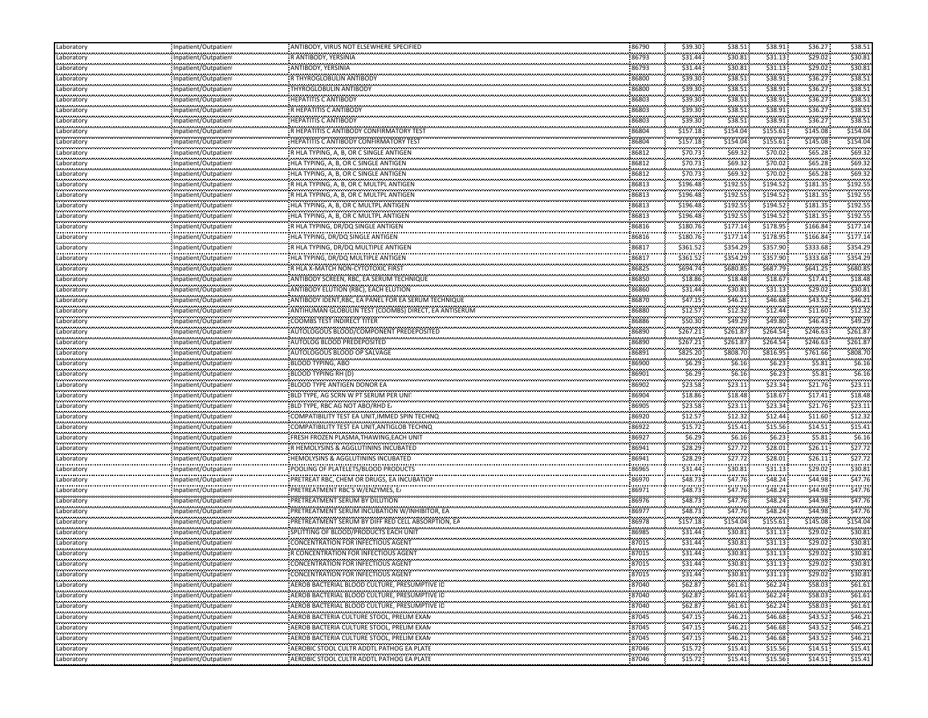| Laboratory                  | Inpatient/Outpatient                                                                     | : ANTIBODY, VIRUS NOT ELSEWHERE SPECIFIED               | 86790      | \$39.30               | \$38.51       | \$38.91                                      | \$36.27               | \$38.51      |
|-----------------------------|------------------------------------------------------------------------------------------|---------------------------------------------------------|------------|-----------------------|---------------|----------------------------------------------|-----------------------|--------------|
| Laboratory                  | Inpatient/Outpatien                                                                      | R ANTIBODY, YERSINIA                                    | 86793      | \$31.44               | \$30.81       | \$31.13                                      | \$29.02\$             | \$30.81      |
| .<br>Laboratory             | Inpatient/Outpatien                                                                      | ANTIBODY, YERSINIA                                      | 86793      | \$31.44               | \$30.81       | \$31.13                                      | \$29.02               | \$30.8       |
| .<br>Laboratory             | Inpatient/Outpatien                                                                      | R THYROGLOBULIN ANTIBODY                                | 86800      | <br>\$39.30           | <br>\$38.51   | \$38.91                                      | .<br>\$36.27          | .<br>\$38.5  |
| Laboratory                  | Inpatient/Outpatient                                                                     | THYROGLOBULIN ANTIBODY                                  | 86800      | \$39.30               | \$38.51       | \$38.91                                      | \$36.27               | \$38.5       |
| ومحدد محامدتك<br>Laboratory | : Inpatient/Outpatien                                                                    | <b>HEPATITIS C ANTIBODY</b>                             | 86803      | \$39.30               | \$38.51       | \$38.91                                      | \$36.27               | \$38.5       |
| .<br>Laboratory             | Inpatient/Outpatien                                                                      | R HEPATITIS C ANTIBODY                                  | 86803      | \$39.30               | \$38.51       | \$38.91                                      | \$36.27               | \$38.5       |
| .<br>Laboratory             | .<br>Inpatient/Outpatien <sup>.</sup>                                                    | <b>HEPATITIS C ANTIBODY</b>                             | 86803      | \$39.30               | \$38.51       | \$38.91                                      | \$36.27               | \$38.5       |
| <br>Laboratory              | <br>Inpatient/Outpatien                                                                  | R HEPATITIS C ANTIBODY CONFIRMATORY TEST                | <br>86804  | ,,,,,,,,,<br>\$157.18 | \$154.04      | .<br>\$155.61                                | \$145.08              | \$154.0      |
| .<br>Laboratory             | ,,,,,,,,,,,,,,,,,,,,,,,,,,<br>Inpatient/Outpatien                                        | <b>HEPATITIS C ANTIBODY CONFIRMATORY TEST</b>           | 86804      | \$157.18              | \$154.04      | ,,,,,,,,,<br>\$155.61                        | \$145.08              | \$154.0      |
| <br>Laboratory              | <br>Inpatient/Outpatien                                                                  | R HLA TYPING, A, B, OR C SINGLE ANTIGEN                 | <br>86812  | \$70.73               | .<br>\$69.32  | .<br>\$70.02                                 | \$65.28\$             | \$69.3       |
| .<br>Laboratory             | Inpatient/Outpatien                                                                      | HLA TYPING, A, B, OR C SINGLE ANTIGEN                   | 86812      | \$70.73               | \$69.32       | \$70.02                                      | .<br>\$65.28          | .<br>\$69.3  |
| .<br>Laboratory             | Inpatient/Outpatien                                                                      | HLA TYPING, A, B, OR C SINGLE ANTIGEN                   | 86812      | \$70.73               | \$69.32       | \$70.02                                      | \$65.28               | \$69.3       |
| مستعدد متحددت<br>Laboratory | Inpatient/Outpatien                                                                      | R HLA TYPING, A, B, OR C MULTPL ANTIGEN                 | 86813      | \$196.48              | \$192.55      | \$194.52                                     | \$181.35              | \$192.55     |
| .<br>Laboratory             | Inpatient/Outpatien                                                                      | R HLA TYPING, A, B, OR C MULTPL ANTIGEN                 | 86813      | \$196.48              | \$192.55      | \$194.52                                     | \$181.35              | \$192.5      |
| .<br>Laboratory             | .<br>.<br>Inpatient/Outpatien                                                            | HLA TYPING, A, B, OR C MULTPL ANTIGEN                   | <br>86813  | .<br>\$196.48         | .<br>\$192.55 | ,,,,,,,,,<br>\$194.52                        | \$181.35              | \$192.55     |
| Laboratory                  | <br>Inpatient/Outpatien                                                                  | HLA TYPING, A, B, OR C MULTPL ANTIGEN                   | <br>86813  | \$196.48              | \$192.55      | \$194.52                                     | \$181.35              | \$192.55     |
| Laboratory                  |                                                                                          | R HLA TYPING, DR/DQ SINGLE ANTIGEN                      | 86816      | \$180.76              | \$177.14      | \$178.95                                     | \$166.84              | \$177.14     |
| Laboratory                  | Inpatient/Outpatien<br>                                                                  | HLA TYPING, DR/DQ SINGLE ANTIGEN                        | <br>86816  | \$180.76              | \$177.14      | .<br>\$178.95                                | \$166.84              | \$177.1      |
| .<br>Laboratory             | Inpatient/Outpatien<br>Inpatient/Outpatien                                               | R HLA TYPING, DR/DQ MULTIPLE ANTIGEN                    | 86817      | \$361.52              | \$354.29      | \$357.90                                     | \$333.68              | \$354.29     |
| <br>Laboratory              | <br>Inpatient/Outpatien                                                                  | HLA TYPING, DR/DQ MULTIPLE ANTIGEN                      | <br>86817  | .<br>\$361.52         | \$354.29      | \$357.90                                     | \$333.68              | \$354.29     |
| Laboratory                  | : Inpatient/Outpatien                                                                    | R HLA X-MATCH NON-CYTOTOXIC FIRS                        | 86825      | \$694.74              | \$680.85      | \$687.79                                     | \$641.25              | \$680.85     |
| Laboratory                  | Inpatient/Outpatien                                                                      | ANTIBODY SCREEN, RBC, EA SERUM TECHNIQUE                | 86850      | \$18.86               | \$18.48       | \$18.67                                      | \$17.41               | \$18.48      |
| .<br>Laboratory             | .<br>Inpatient/Outpatien                                                                 | ANTIBODY ELUTION (RBC), EACH ELUTION                    | 86860      | \$31.44               | <br>\$30.81   | \$31.13                                      | \$29.02               | \$30.8       |
| Laboratory                  | <br>Inpatient/Outpatien                                                                  | ANTIBODY IDENT, RBC, EA PANEL FOR EA SERUM TECHNIQUE    | <br>86870  | \$47.15               | \$46.21       | \$46.68                                      | \$43.52               | \$46.2\$     |
| ومحدد محامدتك<br>Laboratory | Inpatient/Outpatien                                                                      | : ANTIHUMAN GLOBULIN TEST (COOMBS) DIRECT, EA ANTISERUM | 86880      | \$12.57               | \$12.32       | \$12.44                                      | \$11.60               | \$12.3       |
| <br>Laboratory              | <br>Inpatient/Outpatien                                                                  | COOMBS TEST INDIRECT TITER                              | <br>86886  | \$50.30               | \$49.29       | .<br>\$49.80                                 | \$46.43               | \$49.29      |
| .<br>Laboratory             | Inpatient/Outpatien                                                                      | AUTOLOGOUS BLOOD/COMPONENT PREDEPOSITED                 | 86890      | \$267.21              | \$261.87      | \$264.54                                     | \$246.63              | \$261.8      |
| <br>Laboratory              | Inpatient/Outpatien                                                                      | AUTOLOG BLOOD PREDEPOSITED                              | <br>86890  | \$267.21              | \$261.87      | \$264.54                                     | \$246.63              | \$261.8      |
| Laboratory                  | : Inpatient/Outpatien                                                                    | AUTOLOGOUS BLOOD OP SALVAGE                             | 86891      | \$825.20              | \$808.70      | \$816.95                                     | \$761.66              | \$808.70     |
| Laboratory                  | Inpatient/Outpatien                                                                      | <b>BLOOD TYPING, ABO</b>                                | 86900      | \$6.29                | \$6.16        | \$6.23                                       | \$5.81                | \$6.16       |
| .<br>Laboratory             | .<br>Inpatient/Outpatien                                                                 | <b>BLOOD TYPING RH (D)</b>                              | 86901      | \$6.29                | \$6.16        | \$6.23                                       | \$5.81                | \$6.16       |
| .<br>Laboratory             | <br>Inpatient/Outpatien                                                                  | BLOOD TYPE ANTIGEN DONOR EA                             | 86902      | \$23.58               | \$23.11       | <br>\$23.34                                  | \$21.76               | \$23.1       |
| مستعدد متحددت<br>Laboratory | Inpatient/Outpatien                                                                      | BLD TYPE, AG SCRN W PT SERUM PER UNI                    | 86904      | \$18.86               | \$18.48       | \$18.67                                      | \$17.41               | \$18.48      |
| .<br>Laboratory             | .<br>Inpatient/Outpatien                                                                 | BLD TYPE, RBC AG NOT ABO/RHD E.                         | <br>86905  | \$23.58               | \$23.11       | \$23.34                                      | \$21.76               | \$23.1       |
| .<br>Laboratory             | Inpatient/Outpatien                                                                      | COMPATIBILITY TEST EA UNIT, IMMED SPIN TECHNQ           | 86920      | <br>\$12.57           | \$12.32       | .<br>\$12.44                                 | \$11.60               | .<br>\$12.32 |
| <br>Laboratory              | Inpatient/Outpatien                                                                      | COMPATIBILITY TEST EA UNIT, ANTIGLOB TECHNQ             | <br>86922  | \$15.72               | .<br>\$15.41  | \$15.56                                      | \$14.51               | \$15.4       |
| Laboratory                  | Inpatient/Outpatien                                                                      | FRESH FROZEN PLASMA, THAWING, EACH UNIT                 | 86927      | \$6.29                | \$6.16\$      | \$6.23\$                                     | \$5.81                | \$6.16       |
| سيبيب<br>Laboratory         | Inpatient/Outpatien                                                                      | R HEMOLYSINS & AGGLUTININS INCUBATED                    | 86941      | \$28.29               | \$27.72       | \$28.01                                      | \$26.11               | \$27.72      |
| .<br>Laboratory             | .<br>Inpatient/Outpatien <sup>.</sup>                                                    | HEMOLYSINS & AGGLUTININS INCUBATED                      | 86941      | \$28.29               | \$27.72       | \$28.01                                      | \$26.11               | \$27.72      |
| <br>Laboratory              | Inpatient/Outpatien                                                                      | POOLING OF PLATELETS/BLOOD PRODUCTS                     | <br>86965  | <br>\$31.44           | <br>\$30.81   | .<br>\$31.13                                 | \$29.02               | \$30.8       |
| .<br>Laboratory             | Inpatient/Outpatien                                                                      | PRETREAT RBC, CHEM OR DRUGS, EA INCUBATION              | 86970      | \$48.73               | <br>\$47.76   | \$48.24                                      | \$44.98               | \$47.76      |
| <br>Laboratory              | Inpatient/Outpatien                                                                      | PRETREATMENT RBC'S W/ENZYMES, E.                        | 86971      | \$48.73               | \$47.76       | .<br>\$48.24                                 | \$44.98               | \$47.76      |
| .<br>Laboratory             | Inpatient/Outpatien                                                                      | PRETREATMENT SERUM BY DILUTION                          | 86976      | \$48.73               | \$47.76       | .<br>\$48.24                                 | .<br>\$44.98          | .<br>\$47.76 |
| .<br>Laboratory             | Inpatient/Outpatien                                                                      | <b>PRETREATMENT SERUM INCUBATION W/INHIBITOR, EA</b>    | 86977      | \$48.73               | \$47.76       | \$48.24                                      | \$44.98               | \$47.76      |
| ومحمد محمد مح<br>Laboratory | Inpatient/Outpatien                                                                      | PRETREATMENT SERUM BY DIFF RED CELL ABSORPTION, EA      | 86978      | \$157.18              | \$154.04      | \$155.61                                     | \$145.08              | \$154.04     |
| .<br>Laboratory             | .<br>Inpatient/Outpatien                                                                 | SPLITTING OF BLOOD/PRODUCTS EACH UNIT                   | <br>86985  | \$31.44               | .<br>\$30.81  | \$31.13                                      | \$29.02               | \$30.8       |
| .<br>Laboratory             | <br>npatient/Outpatien                                                                   | CONCENTRATION FOR INFECTIOUS AGENT                      | 87015      | .<br>$$31.44$ :       | <br>\$30.81   | .<br>\$31.13                                 | \$29.02               | \$30.8       |
| <br>Laboratory              | Inpatient/Outpatient                                                                     | R CONCENTRATION FOR INFECTIOUS AGENT                    | 87015      | .<br>\$31.44          | .<br>\$30.81  | \$31.13                                      | \$29.02               | \$30.81      |
| Laboratory                  | Inpatient/Outpatien                                                                      | CONCENTRATION FOR INFECTIOUS AGENT                      | 87015      | \$31.44               | <br>\$30.81   | \$31.13                                      | \$29.02\$             | \$30.81      |
| Laboratory                  | Inpatient/Outpatient                                                                     | CONCENTRATION FOR INFECTIOUS AGENT                      | .<br>87015 | \$31.44               | \$30.81       | <br>\$31.13                                  | \$29.02               | .<br>\$30.81 |
| .<br>Laboratory             | Inpatient/Outpatien                                                                      | AEROB BACTERIAL BLOOD CULTURE, PRESUMPTIVE ID           | 87040      | <br>\$62.87           | \$61.61       | <br>\$62.24\$                                | <b></b><br>\$58.03    | <br>\$61.61  |
| Laboratory                  | Inpatient/Outpatient                                                                     | AEROB BACTERIAL BLOOD CULTURE, PRESUMPTIVE ID           | 87040      | \$62.87               | \$61.61       | \$62.24                                      | \$58.03               | \$61.61      |
| Laboratory                  | بالمحامد والمحاملة والمحامد والمحامد والمحامد والمحامد والمداوات<br>Inpatient/Outpatient | AEROB BACTERIAL BLOOD CULTURE, PRESUMPTIVE ID           | 87040      | \$62.87\$             | \$61.61       | \$62.24\$                                    | \$58.03               | \$61.61      |
| Laboratory                  | <br>Inpatient/Outpatient                                                                 |                                                         | 87045      | \$47.15               | \$46.21       | \$46.68                                      | \$43.52\$             | \$46.21      |
| .<br>Laboratory             | ,,,,,,,,,,,,,,,,,,,,,,,,,,,<br>Inpatient/Outpatient                                      | AEROB BACTERIA CULTURE STOOL, PRELIM EXAM               | 87045      | \$47.15               | .<br>\$46.21  | <b><i><u>ALCOHOL: 000</u></i></b><br>\$46.68 | والمتعبدات<br>\$43.52 | <br>\$46.2   |
| Laboratory                  | <br>Inpatient/Outpatient                                                                 | AEROB BACTERIA CULTURE STOOL, PRELIM EXAM               | 87045      | \$47.15               | \$46.21       | .<br>\$46.68                                 | \$43.52               | .<br>\$46.21 |
| .<br>Laboratory             | <br>Inpatient/Outpatient                                                                 | AEROBIC STOOL CULTR ADDTL PATHOG EA PLATE               | 87046      | \$15.72               | .<br>\$15.41  | <br>\$15.56                                  | ومريومون<br>\$14.51   | <br>\$15.41  |
| Laboratory                  | <br>Inpatient/Outpatient                                                                 | AEROBIC STOOL CULTR ADDTL PATHOG EA PLATE               | .<br>87046 | <br>\$15.72           | \$15.41       | <br>\$15.56                                  | --------<br>\$14.51   | \$15.41      |
|                             |                                                                                          |                                                         |            |                       |               |                                              |                       |              |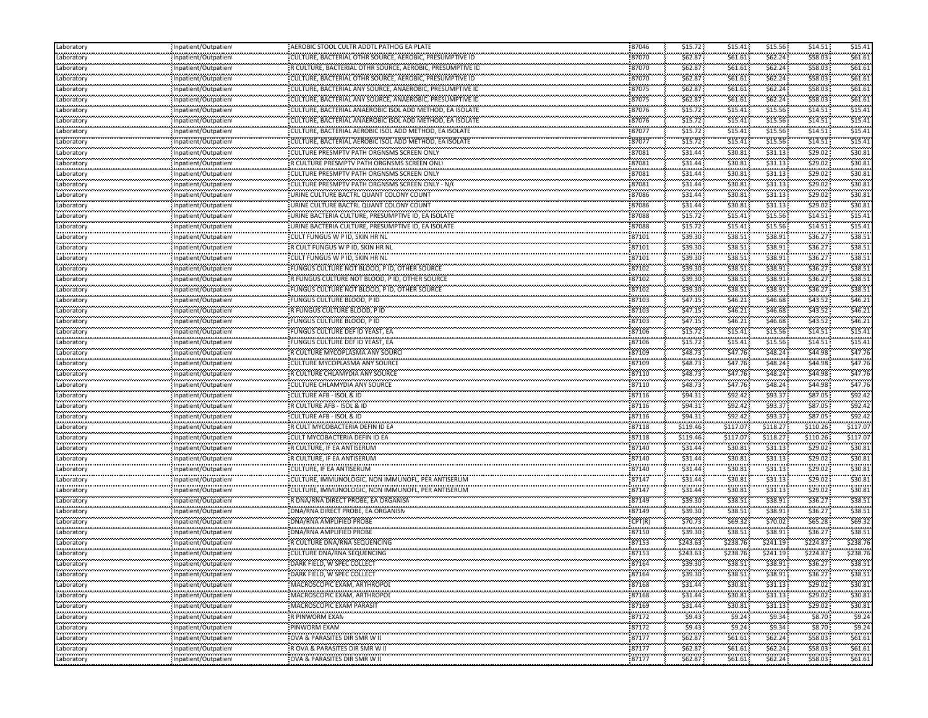| Laboratory                     | Inpatient/Outpatien                                 | AEROBIC STOOL CULTR ADDTL PATHOG EA PLATE                 | 87046               | \$15.72               | \$15.41                                       | \$15.56                | \$14.51     | \$15.41      |
|--------------------------------|-----------------------------------------------------|-----------------------------------------------------------|---------------------|-----------------------|-----------------------------------------------|------------------------|-------------|--------------|
| Laboratory                     | Inpatient/Outpatien                                 | CULTURE, BACTERIAL OTHR SOURCE, AEROBIC, PRESUMPTIVE ID   | 87070               | \$62.87               | \$61.61                                       | \$62.24                | \$58.03     | \$61.61      |
| <br>Laboratory                 | Inpatient/Outpatien                                 | R CULTURE, BACTERIAL OTHR SOURCE, AEROBIC, PRESUMPTIVE ID | <br>87070           | .<br>\$62.87          | .<br>\$61.61                                  | .<br>\$62.24           | \$58.03     | \$61.6\$     |
| <b></b><br>Laboratory          | Inpatient/Outpatien                                 | CULTURE, BACTERIAL OTHR SOURCE, AEROBIC, PRESUMPTIVE ID   | 87070               | \$62.87               | \$61.61                                       | \$62.24                | \$58.03     | \$61.61      |
| <br>Laboratory                 | Inpatient/Outpatien                                 | CULTURE, BACTERIAL ANY SOURCE, ANAEROBIC, PRESUMPTIVE ID  | <br>87075           | .<br>\$62.87          | .<br>\$61.61                                  | .<br>\$62.24           | \$58.03     | \$61.6\$     |
| محدسته<br>Laboratory           | : Inpatient/Outpatien                               | CULTURE, BACTERIAL ANY SOURCE, ANAEROBIC, PRESUMPTIVE ID  | 87075               | \$62.87               | \$61.61                                       | \$62.24                | \$58.03     | \$61.61      |
| Laboratory                     | Inpatient/Outpatien                                 | CULTURE, BACTERIAL ANAEROBIC ISOL ADD METHOD, EA ISOLATE  | 87076               | \$15.72               | \$15.41                                       | \$15.56                | \$14.51     | \$15.41      |
| .<br>Laboratory                | <br>                                                | CULTURE, BACTERIAL ANAEROBIC ISOL ADD METHOD, EA ISOLATE  | 87076               | .<br>\$15.72          | <br>\$15.41                                   | \$15.56                | \$14.51     | \$15.4       |
|                                | Inpatient/Outpatien                                 |                                                           |                     | \$15.72               | .                                             | \$15.56                | \$14.51     | \$15.4       |
| Laboratory<br>.                | npatient/Outpatien                                  | CULTURE, BACTERIAL AEROBIC ISOL ADD METHOD, EA ISOLATE    | 87077<br>           | .                     | \$15.41<br>                                   | \$15.56                | \$14.51     | \$15.4       |
| Laboratory<br>                 | Inpatient/Outpatien<br>                             | CULTURE, BACTERIAL AEROBIC ISOL ADD METHOD, EA ISOLATE    | 87077<br>           | \$15.72<br>\$31.44    | \$15.41<br>.                                  | \$31.13                | \$29.02     | \$30.8       |
| Laboratory<br><b></b>          | Inpatient/Outpatien                                 | CULTURE PRESMPTV PATH ORGNSMS SCREEN ONLY                 | 87081               |                       | \$30.81                                       |                        | \$29.02     | \$30.8       |
| Laboratory<br>.                | Inpatient/Outpatien                                 | R CULTURE PRESMPTV PATH ORGNSMS SCREEN ONLY               | 87081               | \$31.44               | \$30.81                                       | \$31.13                |             |              |
| Laboratory<br>.                | Inpatient/Outpatien                                 | CULTURE PRESMPTV PATH ORGNSMS SCREEN ONLY                 | 87081               | \$31.44               | \$30.81                                       | \$31.13                | \$29.02     | \$30.81      |
| Laboratory<br>                 | Inpatient/Outpatien                                 | CULTURE PRESMPTV PATH ORGNSMS SCREEN ONLY - N/            | 87081<br>           | \$31.44<br>.          | \$30.81<br>.                                  | \$31.13<br>.           | \$29.02     | \$30.81      |
| Laboratory<br>.                | Inpatient/Outpatien                                 | URINE CULTURE BACTRL QUANT COLONY COUNT                   | 87086               | \$31.44               | \$30.81<br>                                   | \$31.13                | \$29.02     | \$30.8       |
| aboratory<br>                  | Inpatient/Outpatien                                 | URINE CULTURE BACTRL QUANT COLONY COUNT                   | 87086<br>           | \$31.44               | \$30.81<br>.                                  | \$31.13                | \$29.02     | \$30.8       |
| Laboratory<br>محدسته           | Inpatient/Outpatien                                 | URINE BACTERIA CULTURE, PRESUMPTIVE ID, EA ISOLATE        | 87088               | \$15.72               | \$15.41                                       | \$15.56                | \$14.51     | \$15.4       |
| Laboratory                     | Inpatient/Outpatien                                 | URINE BACTERIA CULTURE, PRESUMPTIVE ID, EA ISOLATE        | 87088               | \$15.72               | \$15.41                                       | \$15.56                | \$14.51     | \$15.4       |
| <br>Laboratory                 | <br>npatient/Outpatien                              | CULT FUNGUS W P ID, SKIN HR NL                            | 87101               | \$39.30               | .<br>\$38.51                                  | \$38.91                | \$36.27     | \$38.5       |
| <br>Laboratory                 | <br>Inpatient/Outpatien                             | R CULT FUNGUS W P ID, SKIN HR NL                          | 87101               | greenwood.<br>\$39.30 | <b><i><u>ALCOHOL: 2005</u></i></b><br>\$38.51 | \$38.91                | \$36.27     | 538.5        |
| <br>Laboratory                 | Inpatient/Outpatien                                 | CULT FUNGUS W P ID, SKIN HR NL                            | 87101               | \$39.30               | \$38.51                                       | \$38.91                | \$36.27     | \$38.5       |
| Laboratory                     | : Inpatient/Outpatien                               | FUNGUS CULTURE NOT BLOOD, P ID, OTHER SOURCE              | 87102               | \$39.30               | \$38.51                                       | \$38.91                | \$36.27     | \$38.51      |
| Laboratory                     | Inpatient/Outpatien                                 | R FUNGUS CULTURE NOT BLOOD, P ID, OTHER SOURCE            | 87102               | \$39.30               | \$38.51                                       | \$38.91                | \$36.27     | \$38.5       |
| .<br>aboratory                 | .<br>.<br>Inpatient/Outpatien                       | FUNGUS CULTURE NOT BLOOD, P ID, OTHER SOURCE              | 87102               | \$39.30               | \$38.51                                       | \$38.91                | \$36.27     | \$38.5       |
| <br>Laboratory                 | <br>Inpatient/Outpatien                             | FUNGUS CULTURE BLOOD, P ID                                | <br>87103           | \$47.15               | .<br>\$46.21                                  | .<br>\$46.68           | \$43.52     | \$46.2\$     |
| .<br>Laboratory                | Inpatient/Outpatien                                 | R FUNGUS CULTURE BLOOD, P ID                              | 87103               | \$47.15               | \$46.21                                       | \$46.68                | \$43.52     | \$46.21      |
| <br>Laboratory                 | Inpatient/Outpatien                                 | FUNGUS CULTURE BLOOD, P ID                                | <br>87103           | \$47.15               | <br>\$46.21                                   | .<br>\$46.68           | \$43.52     | \$46.2\$     |
| .<br>aboratory                 | <br>Inpatient/Outpatien                             | FUNGUS CULTURE DEF ID YEAST, EA                           | 87106               | .<br>\$15.72          | .<br>\$15.41                                  | <br>\$15.56            | \$14.51     | \$15.4       |
| <br>Laboratory                 |                                                     | FUNGUS CULTURE DEF ID YEAST, EA                           | 87106               | \$15.72               | .                                             | \$15.56                | \$14.51     | \$15.4       |
| محدسته                         | Inpatient/Outpatien                                 | R CULTURE MYCOPLASMA ANY SOURC                            | 87109               | \$48.73               | \$15.41<br>\$47.76                            | \$48.24                | \$44.98     | \$47.76      |
| Laboratory                     | : Inpatient/Outpatien                               |                                                           | 87109               | \$48.73               | \$47.76                                       | \$48.24                | \$44.98     | \$47.76      |
| Laboratory<br>.                | Inpatient/Outpatien                                 | CULTURE MYCOPLASMA ANY SOURCE                             | 87110               | .                     | .                                             | \$48.24                | \$44.98     | \$47.7       |
| Laboratory<br>                 | Inpatient/Outpatien                                 | R CULTURE CHLAMYDIA ANY SOURCE                            |                     | \$48.73<br>\$48.73    | \$47.76                                       | .                      | \$44.98     | \$47.7       |
| Laboratory<br>.                | Inpatient/Outpatien                                 | CULTURE CHLAMYDIA ANY SOURCE                              | 87110               |                       | \$47.76                                       | \$48.24                |             |              |
| Laboratory<br>                 | Inpatient/Outpatien                                 | <b>CULTURE AFB - ISOL &amp; ID</b>                        | 87116<br>           | \$94.31               | \$92.42<br>.                                  | \$93.37<br>.           | \$87.05     | \$92.4       |
| Laboratory<br><b></b>          | Inpatient/Outpatien <sup>.</sup>                    | R CULTURE AFB - ISOL & ID                                 | 87116               | \$94.31               | \$92.42                                       | \$93.37                | \$87.05     | \$92.4       |
| aboratory<br>                  | Inpatient/Outpatien                                 | CULTURE AFB - ISOL & ID                                   | 87116               | \$94.31               | \$92.42                                       | \$93.37<br>,,,,,,,,,   | \$87.05     | 592.4        |
| Laboratory<br>محدسته           | Inpatient/Outpatien                                 | R CULT MYCOBACTERIA DEFIN ID EA                           | 87118               | \$119.46              | \$117.07                                      | \$118.27               | \$110.26    | \$117.0      |
| Laboratory                     | : Inpatient/Outpatien                               | CULT MYCOBACTERIA DEFIN ID EA                             | 87118               | \$119.46              | \$117.07                                      | \$118.27               | \$110.26    | \$117.07     |
| Laboratory                     | Inpatient/Outpatien                                 | R CULTURE, IF EA ANTISERUM                                | 87140               | \$31.44               | \$30.81                                       | \$31.13                | \$29.02     | \$30.81      |
| .<br>Laboratory                | .<br>.<br>Inpatient/Outpatien                       | R CULTURE, IF EA ANTISERUM                                | 87140               | .<br>\$31.44          | .<br>\$30.81                                  | \$31.13                | \$29.02\$   | \$30.8       |
| <br>Laboratory                 | npatient/Outpatien                                  | CULTURE, IF EA ANTISERUM                                  | <br>87140           | \$31.44               | .<br>\$30.81                                  | \$31.13                | \$29.02     | \$30.8       |
| ,,,,,,,,,,<br>Laboratory       | Inpatient/Outpatien                                 | CULTURE, IMMUNOLOGIC, NON IMMUNOFL, PER ANTISERUM         | .<br>87147          | .<br>\$31.44          | .<br>\$30.81                                  | \$31.13                | \$29.02     | \$30.8       |
| <br>Laboratory                 | <br>Inpatient/Outpatien                             | CULTURE, IMMUNOLOGIC, NON IMMUNOFL, PER ANTISERUM         | <br>87147           | .<br>\$31.44          | <br>\$30.81                                   | \$31.13                | \$29.02     | \$30.8       |
| <b></b><br>Laboratory          | Inpatient/Outpatien                                 | R DNA/RNA DIRECT PROBE, EA ORGANISM                       | 87149               | \$39.30               | \$38.51                                       | \$38.91                | \$36.27     | \$38.51      |
| .<br>Laboratory                | Inpatient/Outpatien                                 | DNA/RNA DIRECT PROBE, EA ORGANISN                         | 87149               | \$39.30               | \$38.51                                       | \$38.91                | \$36.27     | \$38.51      |
| لمحدث محدث<br>Laboratory       | Inpatient/Outpatien                                 | DNA/RNA AMPLIFIED PROBE                                   | CPT(R)              | \$70.73               | \$69.32\$                                     | \$70.02\$              | \$65.28\$   | \$69.3       |
| <br>aboratory                  | npatient/Outpatien                                  | DNA/RNA AMPLIFIED PROBE                                   | 87150               | .<br>\$39.30          | .<br>\$38.51                                  | .<br>\$38.91           | \$36.27     | \$38.5       |
| .<br>aboratory                 | <br>npatient/Outpatien                              | R CULTURE DNA/RNA SEQUENCING                              | <br>87153           | .<br>\$243.63         | ,,,,,,,,,,<br>\$238.76                        | ,,,,,,,,,,<br>\$241.19 | \$224.87    | \$238.7      |
| <br>Laboratory                 | npatient/Outpatien                                  | CULTURE DNA/RNA SEQUENCING                                | 87153               | .<br>\$243.63         | \$238.76                                      | \$241.19               | \$224.87    | \$238.7      |
| Laboratory                     | Inpatient/Outpatien                                 | DARK FIELD, W SPEC COLLECT                                | .<br>87164          | .<br>\$39.30          | <br>S38.51                                    | .<br>\$38.91           | \$36.27     | .<br>\$38.51 |
| Laboratory                     | Inpatient/Outpatient                                | DARK FIELD, W SPEC COLLECT                                | .<br>87164          | \$39.30               | \$38.51                                       | \$38.91                | \$36.27     | \$38.51      |
| Laboratory                     | ,,,,,,,,,,,,,,,,,,,,,,,,,,<br>: Inpatient/Outpatien | MACROSCOPIC EXAM, ARTHROPOL                               | 87168               | .<br>\$31.44          | \$30.81                                       | \$31.13                | \$29.02     | \$30.81      |
| .<br>Laboratory                | Inpatient/Outpatient                                | MACROSCOPIC EXAM, ARTHROPOL                               | 87168               | \$31.44               | \$30.81                                       | \$31.13                | \$29.02     | \$30.81      |
| بالمحمد للمحمدات<br>Laboratory |                                                     | MACROSCOPIC EXAM PARASIT                                  | 87169               | \$31.44               | \$30.81                                       | \$31.13                | \$29.02\$   | \$30.81      |
| Laboratory                     | Inpatient/Outpatient<br>                            |                                                           | .                   | \$9.43                | \$9.24                                        |                        | \$8.70      | \$9.24       |
| Laboratory                     | Inpatient/Outpatient<br>,,,,,,,,,,,,,,,,,,,,,,,,,,  | R PINWORM EXAM                                            | 87172<br>87172      | \$9.43                | \$9.24                                        | \$9.34<br>.            | .           | \$9.2        |
|                                | Inpatient/Outpatient<br>                            | PINWORM EXAM                                              | .                   | .                     | .                                             | \$9.34<br>,,,,,,,,,    | \$8.70<br>. | .            |
| Laboratory<br>.                | Inpatient/Outpatien!<br>,,,,,,,,,,,,,,,,,,,,,,,,,,  | OVA & PARASITES DIR SMR W II                              | 87177<br>           | \$62.87<br>           | \$61.61<br>.                                  | \$62.24<br>            | \$58.03<br> | \$61.61<br>. |
| Laboratory                     | Inpatient/Outpatient<br>                            | R OVA & PARASITES DIR SMR W II                            | 87177<br>,,,,,,,,,, | \$62.87               | \$61.61                                       | \$62.24<br>.           | \$58.03     | \$61.61      |
| Laboratory                     | Inpatient/Outpatient                                | OVA & PARASITES DIR SMR W II                              | 87177               | \$62.87               | \$61.61                                       | \$62.24                | \$58.03     | \$61.61      |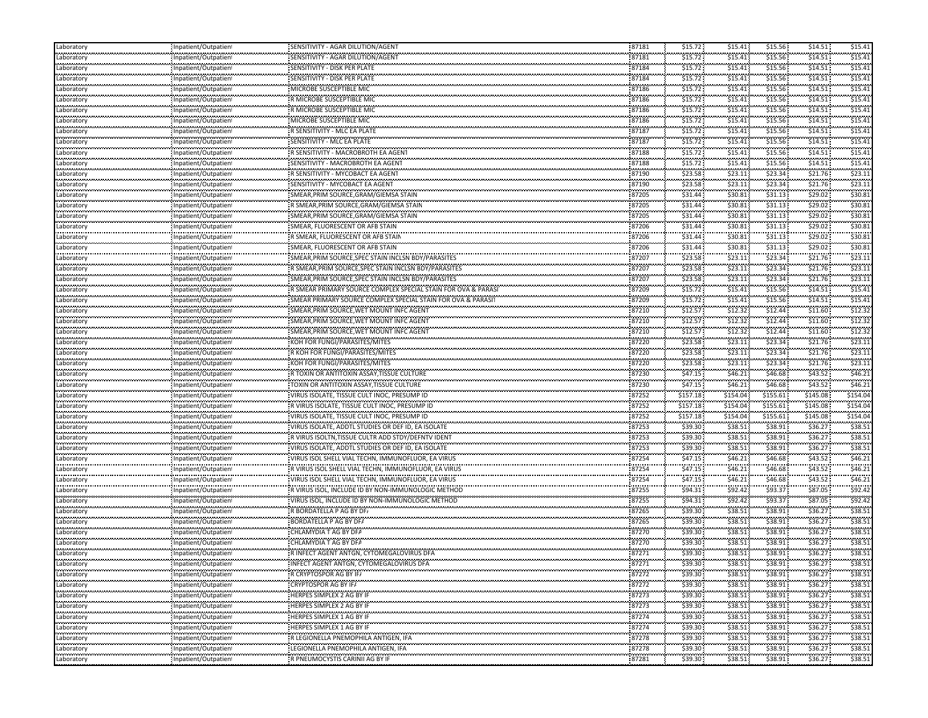| Laboratory                 | Inpatient/Outpatien                        | SENSITIVITY - AGAR DILUTION/AGENT                                   | 87181                | \$15.72               | \$15.41      | \$15.56            | \$14.51                    | \$15.41     |
|----------------------------|--------------------------------------------|---------------------------------------------------------------------|----------------------|-----------------------|--------------|--------------------|----------------------------|-------------|
| Laboratory                 | Inpatient/Outpatien                        | SENSITIVITY - AGAR DILUTION/AGENT                                   | 87181                | \$15.72               | \$15.41      | \$15.56            | \$14.51                    | \$15.41     |
| .<br>Laboratory            | Inpatient/Outpatien                        | SENSITIVITY - DISK PER PLATE                                        | <br>87184            | \$15.72               | .<br>\$15.41 | .<br>\$15.56       | \$14.51                    | \$15.41     |
| Laboratory                 | Inpatient/Outpatien                        | SENSITIVITY - DISK PER PLATE                                        | 87184                | \$15.72               | \$15.41      | \$15.56            | \$14.51                    | \$15.4      |
| .<br>Laboratory            | <br>Inpatient/Outpatient                   | MICROBE SUSCEPTIBLE MIC                                             | <br>87186            | \$15.72               | .<br>\$15.41 | .<br>\$15.56       | \$14.51                    | \$15.4      |
| .<br>Laboratory            | Inpatient/Outpatien                        | R MICROBE SUSCEPTIBLE MIC                                           | 87186                | \$15.72               | \$15.41      | \$15.56            | \$14.51                    | \$15.41     |
| Laboratory                 | Inpatient/Outpatient                       | R MICROBE SUSCEPTIBLE MIC                                           | 87186                | \$15.72               | \$15.41      | \$15.56            | \$14.51                    | \$15.41     |
|                            |                                            | MICROBE SUSCEPTIBLE MIC                                             | 87186                | <br>\$15.72           | .<br>\$15.41 | \$15.56            | \$14.51                    | \$15.4      |
| Laboratory<br>.            | Inpatient/Outpatien                        |                                                                     | 87187                | \$15.72               | \$15.41      | \$15.56            | \$14.51                    | \$15.4      |
| Laboratory<br>             | Inpatient/Outpatient                       | R SENSITIVITY - MLC EA PLATE<br>,,,,,,,,,,,,,,,,,,,,,,,,,,,,,,,,,,, | 87187                | .                     | .            |                    | \$14.51                    | \$15.4      |
| Laboratory<br>.            | Inpatient/Outpatien<br>                    | SENSITIVITY - MLC EA PLATE                                          |                      | \$15.72<br>\$15.72    | \$15.41<br>. | \$15.56<br>.       | \$14.51                    | \$15.4      |
| Laboratory                 | Inpatient/Outpatien                        | R SENSITIVITY - MACROBROTH EA AGENT                                 | 87188<br>87188       |                       | \$15.41      | \$15.56            | \$14.51                    | \$15.4      |
| Laboratory<br>---------    | Inpatient/Outpatien                        | SENSITIVITY - MACROBROTH EA AGENT                                   |                      | \$15.72               | \$15.41      | \$15.56            |                            |             |
| Laboratory<br>.            | Inpatient/Outpatient                       | R SENSITIVITY - MYCOBACT EA AGENT                                   | 87190                | \$23.58               | \$23.11      | \$23.34            | \$21.76                    | \$23.11     |
| Laboratory<br>.            | Inpatient/Outpatien<br>                    | SENSITIVITY - MYCOBACT EA AGENT                                     | 87190<br>            | \$23.58               | \$23.11<br>. | \$23.34            | \$21.76                    | \$23.1      |
| Laboratory<br>             | Inpatient/Outpatien                        | SMEAR,PRIM SOURCE,GRAM/GIEMSA STAIN                                 | 87205<br>            | \$31.44               | \$30.81<br>. | \$31.13            | \$29.02\$                  | \$30.8      |
| Laboratory<br>.            | Inpatient/Outpatien<br>                    | R SMEAR,PRIM SOURCE,GRAM/GIEMSA STAIN                               | 87205                | \$31.44               | \$30.81      | \$31.13            | \$29.02                    | \$30.8      |
| Laboratory<br>.            | Inpatient/Outpatient                       | SMEAR, PRIM SOURCE, GRAM/GIEMSA STAIN                               | 87205                | \$31.44               | \$30.81      | \$31.13            | \$29.02                    | \$30.8      |
| Laboratory                 | Inpatient/Outpatien                        | SMEAR, FLUORESCENT OR AFB STAIN                                     | 87206                | \$31.44               | \$30.81      | \$31.13            | \$29.02                    | \$30.8      |
| .<br>Laboratory            | Inpatient/Outpatien                        | R SMEAR, FLUORESCENT OR AFB STAIN                                   | <br>87206            | \$31.44               | .<br>\$30.81 | \$31.13            | \$29.02                    | \$30.8      |
| <br>Laboratory             | Inpatient/Outpatien                        | SMEAR, FLUORESCENT OR AFB STAIN                                     | 87206                | \$31.44               | \$30.81      | \$31.13            | \$29.02                    | \$30.8      |
| .<br>Laboratory            | <br>Inpatient/Outpatient                   | SMEAR, PRIM SOURCE, SPEC STAIN INCLSN BDY/PARASITES                 | <br>87207            | \$23.58               | .<br>\$23.11 | .<br>\$23.34       | \$21.76                    | \$23.1      |
| محمد سيستمرس<br>Laboratory | Inpatient/Outpatien                        | R SMEAR, PRIM SOURCE, SPEC STAIN INCLSN BDY/PARASITES               | 87207                | \$23.58               | \$23.11      | \$23.34            | \$21.76                    | \$23.1      |
| Laboratory                 | Inpatient/Outpatien                        | SMEAR, PRIM SOURCE, SPEC STAIN INCLSN BDY/PARASITES                 | 87207                | \$23.58               | \$23.11      | \$23.34            | \$21.76                    | \$23.1      |
| <br>Laboratory             | Inpatient/Outpatien                        | R SMEAR PRIMARY SOURCE COMPLEX SPECIAL STAIN FOR OVA & PARAS        | 87209                | \$15.72               | .<br>\$15.41 | \$15.56            | \$14.51                    | \$15.4      |
| .<br>Laboratory            | Inpatient/Outpatient                       | SMEAR PRIMARY SOURCE COMPLEX SPECIAL STAIN FOR OVA & PARASI         | 87209                | \$15.72               | \$15.41      | \$15.56            | \$14.51                    | \$15.41     |
| .<br>Laboratory            | Inpatient/Outpatien                        | SMEAR, PRIM SOURCE, WET MOUNT INFC AGENT                            | 87210                | \$12.57               | \$12.32      | \$12.44            | \$11.60                    | \$12.3      |
| .<br>Laboratory            |                                            | SMEAR,PRIM SOURCE,WET MOUNT INFC AGENT                              | 87210                | \$12.57               | \$12.32      | \$12.44            | \$11.60                    | \$12.3      |
|                            | Inpatient/Outpatien<br>Inpatient/Outpatien |                                                                     | 87210                |                       | \$12.32      | \$12.44            | \$11.60                    | \$12.3      |
| Laboratory<br>             |                                            | SMEAR, PRIM SOURCE, WET MOUNT INFC AGENT                            |                      | \$12.57<br>\$23.58    | \$23.11      | .                  | \$21.76                    | \$23.1      |
| Laboratory<br>محمد سيستمرس | Inpatient/Outpatient                       | KOH FOR FUNGI/PARASITES/MITES                                       | 87220<br>87220       | \$23.58               | \$23.11      | \$23.34<br>\$23.34 | \$21.76                    | \$23.1      |
| Laboratory                 | Inpatient/Outpatien                        | R KOH FOR FUNGI/PARASITES/MITES                                     |                      |                       |              |                    |                            |             |
| Laboratory<br>             | Inpatient/Outpatien                        | KOH FOR FUNGI/PARASITES/MITES                                       | 87220<br>87230       | \$23.58               | \$23.11<br>. | \$23.34            | \$21.76                    | \$23.1      |
| Laboratory<br>.            | Inpatient/Outpatien                        | R TOXIN OR ANTITOXIN ASSAY, TISSUE CULTURE                          |                      | \$47.15               | \$46.21      | \$46.68            | \$43.52                    | \$46.2      |
| Laboratory<br>.            | Inpatient/Outpatient                       | TOXIN OR ANTITOXIN ASSAY, TISSUE CULTURE                            | 87230                | \$47.15               | \$46.21      | \$46.68            | \$43.52                    | \$46.2\$    |
| Laboratory<br>.            | Inpatient/Outpatien<br>                    | VIRUS ISOLATE, TISSUE CULT INOC, PRESUMP ID                         | 87252                | \$157.18<br>,,,,,,,,, | \$154.04     | \$155.61           | \$145.08                   | \$154.04    |
| Laboratory<br>             | Inpatient/Outpatien                        | R VIRUS ISOLATE, TISSUE CULT INOC, PRESUMP ID                       | 87252                | \$157.18              | \$154.04     | \$155.61           | \$145.08                   | \$154.04    |
| Laboratory<br>             | Inpatient/Outpatien<br>                    | VIRUS ISOLATE, TISSUE CULT INOC, PRESUMP ID                         | 87252<br>.           | \$157.18              | \$154.04     | \$155.61           | \$145.08                   | \$154.04    |
| Laboratory                 | Inpatient/Outpatien                        | VIRUS ISOLATE, ADDTL STUDIES OR DEF ID, EA ISOLATE                  | 87253                | .<br>\$39.30          | \$38.51      | \$38.91            | \$36.27                    | \$38.5      |
| محمد سيستمرس<br>Laboratory | Inpatient/Outpatien                        | R VIRUS ISOLTN, TISSUE CULTR ADD STDY/DEFNTV IDENT                  | 87253                | \$39.30               | \$38.51      | \$38.91            | \$36.27                    | \$38.5      |
| Laboratory                 | Inpatient/Outpatien                        | VIRUS ISOLATE, ADDTL STUDIES OR DEF ID, EA ISOLATE                  | 87253                | \$39.30               | \$38.51      | \$38.91            | \$36.27                    | \$38.5      |
| <br>Laboratory             | Inpatient/Outpatien                        | VIRUS ISOL SHELL VIAL TECHN, IMMUNOFLUOR, EA VIRUS                  | 87254                | \$47.15               | .<br>\$46.21 | \$46.68            | \$43.52                    | \$46.2      |
| <br>Laboratory             | Inpatient/Outpatient                       | R VIRUS ISOL SHELL VIAL TECHN, IMMUNOFLUOR, EA VIRUS                | <br>87254            | \$47.15               | .<br>\$46.21 | \$46.68            | \$43.52                    | \$46.2\$    |
| .<br>Laboratory            | Inpatient/Outpatien                        | VIRUS ISOL SHELL VIAL TECHN, IMMUNOFLUOR, EA VIRUS                  | <br>87254            | .<br>\$47.15          | .<br>\$46.21 | <br>\$46.68        | <br>\$43.52                | \$46.2\$    |
| .<br>Laboratory            | <br>Inpatient/Outpatien                    | R VIRUS ISOL, INCLUDE ID BY NON-IMMUNOLOGIC METHOD                  | <br>87255            | \$94.31               | \$92.42      | \$93.37            | \$87.05                    | \$92.4      |
| <br>Laboratory             | Inpatient/Outpatien                        | VIRUS ISOL, INCLUDE ID BY NON-IMMUNOLOGIC METHOD                    | 87255                | \$94.31               | \$92.42      | \$93.37            | \$87.05                    | \$92.4      |
| .<br>Laboratory            | Inpatient/Outpatient                       | R BORDATELLA P AG BY DF.                                            | 87265                | \$39.30               | \$38.51      | \$38.91            | \$36.27                    | \$38.51     |
| .<br>Laboratory            | Inpatient/Outpatien                        | BORDATELLA P AG BY DFA                                              | 87265                | \$39.30               | \$38.51      | \$38.91            | \$36.27\$                  | \$38.5      |
| .<br>Laboratory            | Inpatient/Outpatien                        | CHLAMYDIA T AG BY DFA                                               | <br>87270            | .<br>\$39.30          | .<br>\$38.51 | \$38.91            | \$36.27                    | \$38.5      |
| <br>Laboratory             | Inpatient/Outpatien                        | ,,,,,,,,,,,,,,,,,,,,,,,,,,,,,,,<br>CHLAMYDIA T AG BY DFA            | .<br>87270           | .<br>\$39.30          | .<br>\$38.51 | <br>\$38.91        | <br>\$36.27                | \$38.5      |
| .                          |                                            | R INFECT AGENT ANTGN, CYTOMEGALOVIRUS DFA                           | <br>87271            | .<br>\$39.30          | <br>\$38.51  | \$38.91            | \$36.27                    | \$38.51     |
| Laboratory<br>             | Inpatient/Outpatient                       |                                                                     | .                    | .                     | .            |                    |                            | \$38.51     |
| Laboratory<br>------------ | Inpatient/Outpatien                        | INFECT AGENT ANTGN, CYTOMEGALOVIRUS DFA                             | 87271<br>.           | \$39.30<br>\$39.30    | \$38.51      | \$38.91            | \$36.27                    |             |
| Laboratory<br>.            | Inpatient/Outpatient                       | R CRYPTOSPOR AG BY IF/                                              | 87272                |                       | \$38.51      | \$38.91            | \$36.27                    | \$38.51     |
| Laboratory<br>.            | Inpatient/Outpatien                        | CRYPTOSPOR AG BY IF/                                                | 87272                | \$39.30               | \$38.51      | \$38.91            | \$36.27:                   | \$38.51     |
| Laboratory<br>ستعجب ومحمدت | Inpatient/Outpatient                       | HERPES SIMPLEX 2 AG BY IF                                           | 87273                | \$39.30               | \$38.51      | \$38.91            | \$36.27                    | \$38.51     |
| Laboratory<br>             | Inpatient/Outpatient<br>                   | HERPES SIMPLEX 2 AG BY IF<br>                                       | 87273<br>.           | \$39.30               | \$38.51<br>. | \$38.91<br>.       | \$36.27<br>.               | \$38.51     |
| Laboratory<br>             | Inpatient/Outpatient                       | HERPES SIMPLEX 1 AG BY IF                                           | 87274                | \$39.30               | \$38.51<br>. | \$38.91<br>        | \$36.27<br><b>ALCOHOL:</b> | \$38.51<br> |
| Laboratory<br>             | Inpatient/Outpatient<br>                   | HERPES SIMPLEX 1 AG BY IF<br>                                       | 87274<br>            | \$39.30               | \$38.51      | \$38.91<br>.       | \$36.27<br>.               | \$38.53     |
| Laboratory                 | Inpatient/Outpatient                       | R LEGIONELLA PNEMOPHILA ANTIGEN, IFA                                | 87278                | \$39.30               | \$38.51      | \$38.91            | \$36.27                    | \$38.5      |
| <br>Laboratory             | Inpatient/Outpatient                       | LEGIONELLA PNEMOPHILA ANTIGEN, IFA                                  | .<br>87278           | .<br>\$39.30          | .<br>\$38.51 | .<br>\$38.91       | <br>\$36.27                | <br>\$38.51 |
| <br>Laboratory             | Inpatient/Outpatient                       | R PNEUMOCYSTIS CARINII AG BY IF                                     | ,,,,,,,,,,,<br>87281 | \$39.30               | \$38.51      | .<br>\$38.91       | .<br>\$36.27               | \$38.51     |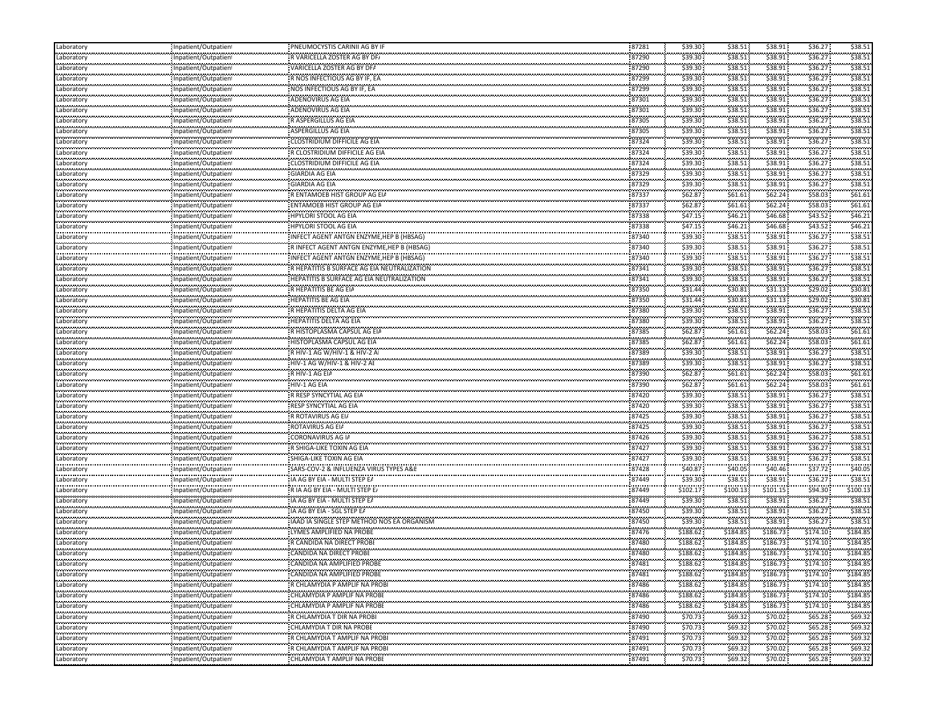| Laboratory                    | Inpatient/Outpatient     | PNEUMOCYSTIS CARINII AG BY IF                              | 87281          | \$39.30      | \$38.51            | \$38.91              | \$36.27      | \$38.51      |
|-------------------------------|--------------------------|------------------------------------------------------------|----------------|--------------|--------------------|----------------------|--------------|--------------|
| Laboratory                    | Inpatient/Outpatient     | R VARICELLA ZOSTER AG BY DF/                               | 87290          | \$39.30      | \$38.51            | \$38.91              | \$36.27      | \$38.51      |
| .<br>Laboratory               | <br>Inpatient/Outpatient | VARICELLA ZOSTER AG BY DF/                                 | 87290          | \$39.30      | <br>\$38.51        | \$38.91              | \$36.27      | \$38.5       |
| <b></b><br>Laboratory         | Inpatient/Outpatient     | R NOS INFECTIOUS AG BY IF, EA                              | 87299          | \$39.30      | \$38.51            | \$38.91              | \$36.27      | \$38.51      |
| .<br>Laboratory               | Inpatient/Outpatient     | NOS INFECTIOUS AG BY IF, EA                                | <br>87299      | \$39.30      | <br>\$38.51        | <br>\$38.91          | \$36.27      | \$38.5       |
| .<br>Laboratory               | Inpatient/Outpatient     | ADENOVIRUS AG EIA                                          | 87301          | \$39.30      | \$38.51            | \$38.91              | \$36.27      | \$38.51      |
| Laboratory                    | Inpatient/Outpatient     | ADENOVIRUS AG EIA                                          | 87301          | \$39.30      | \$38.51            | \$38.91              | \$36.27      | \$38.51      |
| <br>Laboratory                | Inpatient/Outpatien      | R ASPERGILLUS AG EIA                                       | 87305          | \$39.30      | \$38.51            | \$38.91              | \$36.27      | \$38.5       |
| .<br>Laboratory               | Inpatient/Outpatient     | ASPERGILLUS AG EIA                                         | 87305          | \$39.30      | \$38.51            | \$38.91              | \$36.27      | \$38.5       |
| .<br>Laboratory               | Inpatient/Outpatien      | <br>CLOSTRIDIUM DIFFICILE AG EIA                           | 87324          | \$39.30      | \$38.51            | \$38.91              | \$36.27      | \$38.5       |
| .<br>Laboratory               | Inpatient/Outpatient     | R CLOSTRIDIUM DIFFICILE AG EIA                             | 87324          | \$39.30      | \$38.51            | \$38.91              | \$36.27      | \$38.5       |
| <b></b><br>Laboratory         | Inpatient/Outpatient     | CLOSTRIDIUM DIFFICILE AG EIA                               | 87324          | \$39.30      | \$38.51            | \$38.91              | \$36.27      | \$38.51      |
| Laboratory                    | Inpatient/Outpatient     | <b>GIARDIA AG EIA</b>                                      | 87329          | \$39.30      | \$38.51            | \$38.91              | \$36.27      | \$38.51      |
| Laboratory                    |                          | <b>GIARDIA AG EIA</b>                                      | 87329          | \$39.30      | \$38.51            | \$38.91              | \$36.27      | \$38.51      |
| .                             | Inpatient/Outpatient     | .                                                          |                | \$62.87      | .                  |                      | \$58.03      | \$61.61      |
| Laboratory<br>.               | Inpatient/Outpatient     | R ENTAMOEB HIST GROUP AG EIA<br>ENTAMOEB HIST GROUP AG EIA | 87337<br>87337 | \$62.87      | \$61.61<br>\$61.61 | \$62.24<br>\$62.24\$ | \$58.03      | \$61.61      |
| Laboratory<br>.               | Inpatient/Outpatient<br> |                                                            |                |              |                    |                      | \$43.52      | \$46.2       |
| Laboratory                    | Inpatient/Outpatient     | HPYLORI STOOL AG EIA                                       | 87338          | \$47.15      | \$46.21            | \$46.68              |              |              |
| Laboratory<br>.               | Inpatient/Outpatient     | <b>HPYLORI STOOL AG EIA</b>                                | 87338          | \$47.15      | \$46.21            | \$46.68              | \$43.52\$    | \$46.2       |
| Laboratory<br>.               | Inpatient/Outpatient     | INFECT AGENT ANTGN ENZYME,HEP B (HBSAG)                    | 87340          | \$39.30      | \$38.51            | \$38.91              | \$36.27      | \$38.5       |
| Laboratory<br>                | Inpatient/Outpatient     | R INFECT AGENT ANTGN ENZYME, HEP B (HBSAG)                 | 87340          | \$39.30      | \$38.51            | \$38.91              | \$36.27      | \$38.5       |
| Laboratory                    | Inpatient/Outpatient     | INFECT AGENT ANTGN ENZYME, HEP B (HBSAG)                   | 87340          | \$39.30      | \$38.51            | \$38.91              | \$36.27      | \$38.5       |
| Laboratory                    | Inpatient/Outpatient     | R HEPATITIS B SURFACE AG EIA NEUTRALIZATION                | 87341          | \$39.30      | \$38.51            | \$38.91              | \$36.27      | \$38.51      |
| Laboratory                    | Inpatient/Outpatient     | <b>HEPATITIS B SURFACE AG EIA NEUTRALIZATION</b>           | 87341          | \$39.30      | \$38.51            | \$38.91              | \$36.27      | \$38.51      |
| .<br>Laboratory               | Inpatient/Outpatien!     | R HEPATITIS BE AG EIA                                      | 87350          | \$31.44      | \$30.81            | \$31.13              | \$29.02      | \$30.8       |
| .<br>Laboratory               | Inpatient/Outpatient     | HEPATITIS BE AG EIA                                        | 87350          | .<br>\$31.44 | \$30.81            | <br>\$31.13          | \$29.02      | \$30.8       |
| متحدد فتحددت<br>Laboratory    | Inpatient/Outpatient     | R HEPATITIS DELTA AG EIA                                   | 87380          | \$39.30      | \$38.51            | \$38.91              | \$36.27      | \$38.51      |
| .<br>Laboratory               | <br>Inpatient/Outpatient | HEPATITIS DELTA AG EIA                                     | 87380          | \$39.30      | <br>\$38.51        | <br>\$38.91          | \$36.27      | \$38.5       |
| .<br>Laboratory               | Inpatient/Outpatient     | R HISTOPLASMA CAPSUL AG EIA                                | 87385          | \$62.87      | \$61.61            | \$62.24\$            | \$58.03      | \$61.61      |
| .<br>Laboratory               | Inpatient/Outpatient     | HISTOPLASMA CAPSUL AG EIA                                  | 87385          | \$62.87      | \$61.61            | \$62.24              | \$58.03      | \$61.61      |
| Laboratory                    | Inpatient/Outpatient     | : R HIV-1 AG W/HIV-1 & HIV-2 AI                            | 87389          | \$39.30      | \$38.51            | \$38.91              | \$36.27      | \$38.51      |
| .<br>Laboratory               | Inpatient/Outpatient     | HIV-1 AG W/HIV-1 & HIV-2 AI                                | 87389          | \$39.30      | \$38.51            | \$38.91              | \$36.27      | \$38.51      |
| .<br>Laboratory               | Inpatient/Outpatien!     | R HIV-1 AG EIA                                             | 87390          | \$62.87      | \$61.61            | \$62.24\$            | \$58.03      | \$61.61      |
| .<br>Laboratory               | <br>Inpatient/Outpatient | .<br>HIV-1 AG EIA                                          | 87390          | \$62.87      | \$61.61            | \$62.24              | \$58.03      | \$61.61      |
| Laboratory                    | Inpatient/Outpatient     | R RESP SYNCYTIAL AG EIA                                    | 87420          | \$39.30      | \$38.51            | \$38.91              | \$36.27      | \$38.51      |
| .<br>Laboratory               | Inpatient/Outpatient     | <br>RESP SYNCYTIAL AG EIA                                  | 87420          | \$39.30      | .<br>\$38.51       | .<br>\$38.91         | \$36.27      | \$38.5       |
| .<br>Laboratory               | Inpatient/Outpatient     | R ROTAVIRUS AG EI/                                         | 87425          | \$39.30      | \$38.51            | \$38.91              | \$36.27      | \$38.51      |
| .<br>Laboratory               |                          | ROTAVIRUS AG EIA                                           | 87425          | \$39.30      | <br>\$38.51        | \$38.91              | \$36.27      | \$38.5       |
| محامد محامد محا<br>Laboratory | Inpatient/Outpatient     | CORONAVIRUS AG IA                                          | 87426          | \$39.30      | \$38.51            | \$38.91              | \$36.27      | \$38.51      |
|                               | Inpatient/Outpatient     | R SHIGA-LIKE TOXIN AG EIA                                  | 87427          | \$39.30      | \$38.51            | \$38.91              | \$36.27      | \$38.51      |
| Laboratory<br>                | Inpatient/Outpatient     | ,,,,,,,,,,,,,,,,,,,,,,,,,,,,,,,,,,                         | 87427          | \$39.30      | \$38.51            | \$38.91              | \$36.27      | \$38.5       |
| Laboratory<br>.               | Inpatient/Outpatien!     | SHIGA-LIKE TOXIN AG EIA                                    | 87428          | \$40.87      |                    | .                    | \$37.72      | \$40.0       |
| Laboratory<br>.               | Inpatient/Outpatient     | SARS-COV-2 & INFLUENZA VIRUS TYPES A&E                     | 87449          | \$39.30      | \$40.05<br>\$38.51 | \$40.46<br>\$38.91   | \$36.27      | \$38.5       |
| Laboratory<br>.               | Inpatient/Outpatient     | IA AG BY EIA - MULTI STEP EA                               |                |              |                    | .                    | \$94.30      | \$100.1      |
| Laboratory<br>.               | Inpatient/Outpatient     | R IA AG BY EIA - MULTI STEP E/                             | 87449          | \$102.17     | \$100.13           | \$101.15             | \$36.27      | \$38.51      |
| Laboratory                    | Inpatient/Outpatient     | IA AG BY EIA - MULTI STEP E/                               | 87449          | \$39.30      | \$38.51            | \$38.91              |              |              |
| Laboratory<br>متحدد فتحددت    | Inpatient/Outpatient     | IA AG BY EIA - SGL STEP E/                                 | 87450          | \$39.30      | \$38.51            | \$38.91              | \$36.27      | \$38.5       |
| Laboratory<br>.               | Inpatient/Outpatient<br> | IAAD IA SINGLE STEP METHOD NOS EA ORGANISM                 | 87450          | \$39.30      | \$38.51<br>        | \$38.91<br>.         | \$36.27      | \$38.51      |
| Laboratory<br>.               | Inpatient/Outpatien      | LYMES AMPLIFIED NA PROBE                                   | 87476          | \$188.62     | \$184.85<br>.      | \$186.73             | \$174.10     | \$184.85     |
| Laboratory<br>.               | npatient/Outpatien       | R CANDIDA NA DIRECT PROBI                                  | 87480          | \$188.62     | \$184.85           | \$186.73<br>         | \$174.10     | \$184.85     |
| Laboratory<br>                | Inpatient/Outpatient     | CANDIDA NA DIRECT PROBE                                    | 87480          | \$188.62     | \$184.85<br>.      | \$186.73             | \$174.10     | \$184.85     |
| Laboratory                    | Inpatient/Outpatient     | CANDIDA NA AMPLIFIED PROBE                                 | 87481          | \$188.62     | \$184.85           | \$186.73             | \$174.10     | \$184.85     |
| Laboratory<br>.               | Inpatient/Outpatient     | CANDIDA NA AMPLIFIED PROBE                                 | 87481          | \$188.62     | \$184.85           | \$186.73             | \$174.10<br> | \$184.85     |
| Laboratory                    | Inpatient/Outpatient     | R CHLAMYDIA P AMPLIF NA PROBI                              | 87486          | \$188.62     | \$184.85           | \$186.73             | \$174.10     | \$184.85     |
| Laboratory                    | Inpatient/Outpatient     | CHLAMYDIA P AMPLIF NA PROBE                                | 87486          | \$188.62     | \$184.85           | \$186.73             | \$174.10     | \$184.85     |
| .<br>Laboratory               | Inpatient/Outpatient     | CHLAMYDIA P AMPLIF NA PROBI                                | 87486          | \$188.62     | \$184.85           | \$186.73             | \$174.10     | \$184.85     |
| <br>Laboratory                | Inpatient/Outpatient     | <br>R CHLAMYDIA T DIR NA PROBI                             | 87490          | \$70.73      | <br>\$69.32        | <br>\$70.02          | \$65.28      | <br>\$69.3   |
| .<br>Laboratory               | Inpatient/Outpatient     | CHLAMYDIA T DIR NA PROBE                                   | 87490          | \$70.73      | \$69.32            | \$70.02\$            | \$65.28      | \$69.32      |
| .<br>Laboratory               | <br>Inpatient/Outpatient | R CHLAMYDIA T AMPLIF NA PROBI                              | 87491          | \$70.73      | .<br>\$69.32       | .<br>\$70.02         | <br>\$65.28  | .<br>\$69.32 |
| .<br>Laboratory               | Inpatient/Outpatient     | R CHLAMYDIA T AMPLIF NA PROBI                              | 87491          | \$70.73      | \$69.32            | \$70.02\$            | \$65.28      | <br>\$69.32  |
| .<br>Laboratory               | Inpatient/Outpatient     | CHLAMYDIA T AMPLIF NA PROBI                                | 87491          | \$70.73      | \$69.32            | .<br>\$70.02         | \$65.28      | \$69.32      |
|                               |                          |                                                            |                |              |                    |                      |              |              |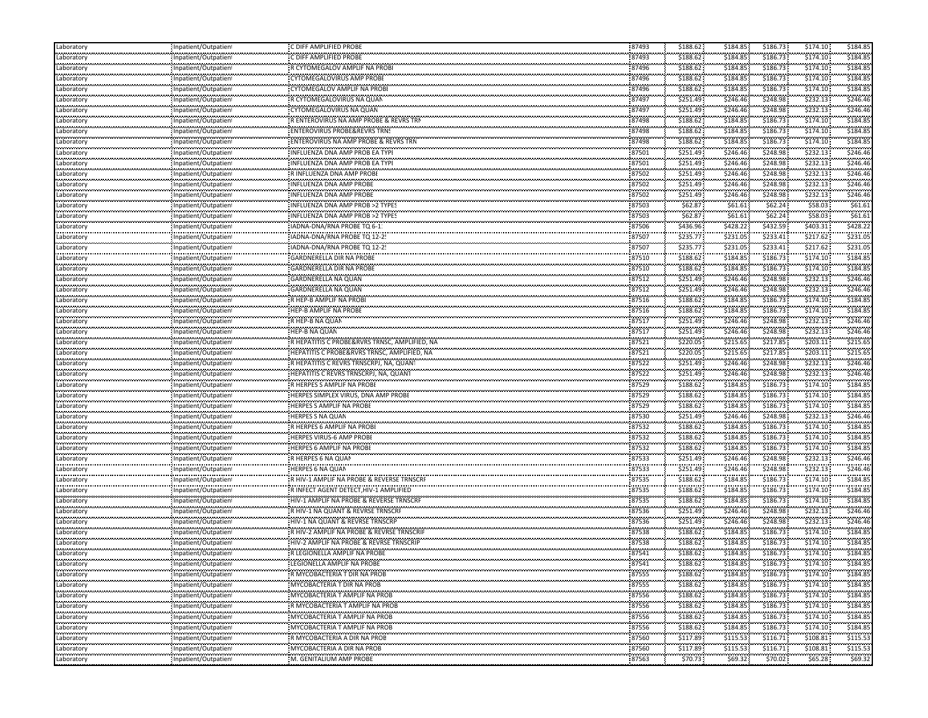| Laboratory                      | Inpatient/Outpatient                                                                         | C DIFF AMPLIFIED PROBE                                          | 87493          | \$188.62              | \$184.85             | \$186.73              | \$174.10      | \$184.85             |
|---------------------------------|----------------------------------------------------------------------------------------------|-----------------------------------------------------------------|----------------|-----------------------|----------------------|-----------------------|---------------|----------------------|
| Laboratory                      | Inpatient/Outpatien                                                                          | C DIFF AMPLIFIED PROBE                                          | 87493          | \$188.62              | \$184.85             | \$186.73              | \$174.10      | \$184.85             |
| .<br>Laboratory                 | Inpatient/Outpatient                                                                         | R CYTOMEGALOV AMPLIF NA PROBI                                   | 87496          | \$188.62              | \$184.85             | \$186.73              | \$174.10      | \$184.8              |
| .<br>Laboratory                 | Inpatient/Outpatient                                                                         | <b>CYTOMEGALOVIRUS AMP PROBE</b>                                | 87496          | \$188.62              | \$184.85             | \$186.73              | \$174.10      | .<br>\$184.85        |
| .<br>Laboratory                 | Inpatient/Outpatient                                                                         | CYTOMEGALOV AMPLIF NA PROBE                                     | <br>87496      | \$188.62              | \$184.85             | \$186.73              | \$174.10      | \$184.8              |
| Laboratory                      | Inpatient/Outpatient                                                                         | R CYTOMEGALOVIRUS NA QUAN                                       | 87497          | \$251.49              | \$246.46             | \$248.98              | \$232.13      | \$246.46             |
| سيستعبث<br>Laboratory           | Inpatient/Outpatient                                                                         | CYTOMEGALOVIRUS NA QUAN                                         | 87497          | \$251.49              | \$246.46             | \$248.98              | \$232.13      | \$246.46             |
| .<br>Laboratory                 | Inpatient/Outpatien                                                                          | R ENTEROVIRUS NA AMP PROBE & REVRS TRI                          | .<br>87498     | <br>\$188.62          | .<br>\$184.85        | .<br>\$186.73         | \$174.10      | \$184.8              |
| .<br>Laboratory                 | Inpatient/Outpatient                                                                         | <b>ENTEROVIRUS PROBE&amp;REVRS TRNS</b>                         | <br>87498      | .<br>\$188.62         | <br>\$184.85         | ,,,,,,,,,<br>\$186.73 | \$174.10      | \$184.85             |
| .                               |                                                                                              | ENTEROVIRUS NA AMP PROBE & REVRS TRN                            | 87498          | \$188.62              | \$184.85             | \$186.73              | \$174.10      | \$184.8              |
| Laboratory<br>.                 | Inpatient/Outpatien                                                                          |                                                                 |                |                       |                      | .                     | \$232.13      | \$246.4              |
| Laboratory<br>.                 | Inpatient/Outpatien                                                                          | INFLUENZA DNA AMP PROB EA TYPI                                  | 87501          | \$251.49              | \$246.46             | \$248.98              | \$232.13      | .                    |
| Laboratory<br>.                 | Inpatient/Outpatient                                                                         | INFLUENZA DNA AMP PROB EA TYPI<br>R INFLUENZA DNA AMP PROBI     | 87501<br>87502 | \$251.49              | \$246.46             | \$248.98<br>\$248.98  | \$232.13      | \$246.46<br>\$246.46 |
| Laboratory<br>.<br>Laboratory   | Inpatient/Outpatient                                                                         |                                                                 |                | \$251.49<br>\$251.49  | \$246.46             | \$248.98              | \$232.13      | \$246.46             |
| .                               | Inpatient/Outpatient                                                                         | INFLUENZA DNA AMP PROBE                                         | 87502          |                       | \$246.46<br>         |                       |               | \$246.46             |
| Laboratory<br>.                 | Inpatient/Outpatient                                                                         | INFLUENZA DNA AMP PROBE                                         | 87502<br>      | \$251.49              | \$246.46<br>.        | \$248.98              | \$232.13      |                      |
| Laboratory<br>.                 | Inpatient/Outpatien                                                                          | INFLUENZA DNA AMP PROB >2 TYPES                                 | 87503          | \$62.87               | \$61.61              | \$62.24               | \$58.03       | \$61.6\$             |
| Laboratory                      | Inpatient/Outpatient                                                                         | INFLUENZA DNA AMP PROB >2 TYPES                                 | 87503          | \$62.87               | \$61.61              | \$62.24               | \$58.03       | \$61.61              |
| Laboratory<br>.                 | Inpatient/Outpatient                                                                         | IADNA-DNA/RNA PROBE TO 6-1                                      | 87506          | \$436.96<br>          | \$428.22             | \$432.59              | \$403.31      | \$428.2              |
| Laboratory<br>.                 | Inpatient/Outpatient                                                                         | IADNA-DNA/RNA PROBE TQ 12-2!                                    | 87507          | \$235.77              | \$231.05             | \$233.41              | \$217.62      | \$231.0              |
| Laboratory<br>.                 | Inpatient/Outpatient                                                                         | IADNA-DNA/RNA PROBE TO 12-2!                                    | 87507<br>      | \$235.77<br>          | \$231.05             | \$233.41              | \$217.62      | \$231.05             |
| Laboratory                      | Inpatient/Outpatient                                                                         | <b>GARDNERELLA DIR NA PROBE</b>                                 | 87510          | \$188.62              | \$184.85             | ,,,,,,,,,<br>\$186.73 | \$174.10      | \$184.8              |
| Laboratory                      | Inpatient/Outpatient                                                                         | <b>GARDNERELLA DIR NA PROBE</b>                                 | 87510          | \$188.62              | \$184.85             | \$186.73              | \$174.10      | \$184.8              |
| Laboratory                      | Inpatient/Outpatient                                                                         | <b>GARDNERELLA NA QUAN</b>                                      | 87512          | \$251.49              | \$246.46             | \$248.98              | \$232.13      | \$246.46             |
| .<br>Laboratory                 | Inpatient/Outpatient                                                                         | ,,,,,,,,,,,,,,,,,,,,,,,,,,,,,,,,,<br><b>GARDNERELLA NA QUAN</b> | 87512          | \$251.49              | \$246.46             | \$248.98              | \$232.13      | \$246.46             |
| .<br>Laboratory                 | Inpatient/Outpatient                                                                         | R HEP-B AMPLIF NA PROBI                                         | <br>87516      | \$188.62              | \$184.85             | \$186.73              | \$174.10      | \$184.8              |
| بالمحدد لمحاليات<br>Laboratory  | Inpatient/Outpatient                                                                         | <b>HEP-B AMPLIF NA PROBE</b>                                    | 87516          | \$188.62              | \$184.85             | \$186.73              | \$174.10      | \$184.8              |
| .<br>Laboratory                 | Inpatient/Outpatient                                                                         | R HEP-B NA QUAN                                                 | 87517          | \$251.49              | <br>\$246.46         | \$248.98              | \$232.13      | \$246.46             |
| .<br>Laboratory                 | Inpatient/Outpatien                                                                          | HEP-B NA QUAN                                                   | 87517          | \$251.49              | \$246.46             | \$248.98              | \$232.13      | \$246.46             |
| .<br>Laboratory                 | Inpatient/Outpatient                                                                         | R HEPATITIS C PROBE&RVRS TRNSC, AMPLIFIED, NA                   | 87521          | \$220.05              | \$215.65             | ,,,,,,,,,<br>\$217.85 | \$203.11      | \$215.65             |
| Laboratory                      | Inpatient/Outpatient                                                                         | HEPATITIS C PROBE&RVRS TRNSC, AMPLIFIED, NA                     | 87521          | \$220.05              | \$215.65             | \$217.85              | \$203.11      | \$215.65             |
| Laboratory                      | Inpatient/Outpatient                                                                         | R HEPATITIS C REVRS TRNSCRPJ, NA, QUAN                          | 87522          | \$251.49              | \$246.46             | \$248.98              | \$232.13      | \$246.46             |
| .<br>Laboratory                 | Inpatient/Outpatient                                                                         | HEPATITIS C REVRS TRNSCRPJ, NA, QUANT                           | 87522          | \$251.49              | \$246.46             | \$248.98              | \$232.13      | \$246.46             |
| .<br>Laboratory                 | <br>Inpatient/Outpatient                                                                     | R HERPES S AMPLIF NA PROBI                                      | <br>87529      | ,,,,,,,,,<br>\$188.62 | \$184.85             | ,,,,,,,,,<br>\$186.73 | \$174.10      | \$184.8              |
| فحالت فتحدث<br>Laboratory       | Inpatient/Outpatient                                                                         | HERPES SIMPLEX VIRUS, DNA AMP PROBE                             | 87529          | \$188.62              | \$184.85             | \$186.73              | \$174.10      | \$184.8              |
| .<br>Laboratory                 | Inpatient/Outpatient                                                                         | HERPES S AMPLIF NA PROBE                                        | 87529          | \$188.62              | \$184.85             | \$186.73              | \$174.10      | \$184.8              |
| .                               |                                                                                              | <b>HERPES S NA QUAN</b>                                         | 87530          |                       | \$246.46             | \$248.98              | \$232.13      | .                    |
| Laboratory<br>.                 | Inpatient/Outpatient                                                                         | R HERPES 6 AMPLIF NA PROBI                                      | 87532          | \$251.49<br>\$188.62  | \$184.85             | \$186.73              | \$174.10      | \$246.46<br>\$184.8  |
| Laboratory                      | Inpatient/Outpatient                                                                         |                                                                 |                |                       |                      | \$186.73              | \$174.10      | \$184.8              |
| Laboratory<br><b>CONTRACTOR</b> | Inpatient/Outpatient                                                                         | <b>HERPES VIRUS-6 AMP PROBE</b>                                 | 87532<br>87532 | \$188.62              | \$184.85             |                       | \$174.10      | \$184.85             |
| Laboratory<br>.                 | Inpatient/Outpatient                                                                         | <b>HERPES 6 AMPLIF NA PROBE</b><br>R HERPES 6 NA QUAM           | 87533          | \$188.62<br>\$251.49  | \$184.85<br>\$246.46 | \$186.73<br>\$248.98  | \$232.13      | \$246.46             |
| Laboratory<br>.                 | Inpatient/Outpatient<br>                                                                     |                                                                 |                | --------              |                      |                       |               | \$246.46             |
| Laboratory<br>.                 | Inpatient/Outpatient<br>                                                                     | <b>HERPES 6 NA QUAN</b>                                         | 87533          | \$251.49<br>          | \$246.46<br>         | \$248.98<br>.         | \$232.13      |                      |
| Laboratory<br>.                 | Inpatient/Outpatien                                                                          | R HIV-1 AMPLIF NA PROBE & REVERSE TRNSCRI                       | 87535<br>      | \$188.62<br>          | \$184.85             | \$186.73<br>.         | \$174.10      | \$184.8              |
| Laboratory<br>.                 | Inpatient/Outpatien                                                                          | R INFECT AGENT DETECT, HIV-1 AMPLIFIED                          | 87535          | \$188.62              | \$184.85             | \$186.73<br>          | \$174.10      | \$184.8<br>.         |
| Laboratory<br>.                 | Inpatient/Outpatient                                                                         | HIV-1 AMPLIF NA PROBE & REVERSE TRNSCRF                         | 87535          | \$188.62              | \$184.85             | \$186.73              | \$174.10      | \$184.85             |
| Laboratory<br>ومحمد محمد مح     | Inpatient/Outpatient                                                                         | R HIV-1 NA QUANT & REVRSE TRNSCRI                               | 87536          | \$251.49              | \$246.46             | \$248.98              | \$232.13      | \$246.46             |
| Laboratory<br>.                 | Inpatient/Outpatient                                                                         | HIV-1 NA QUANT & REVRSE TRNSCRP                                 | 87536          | \$251.49              | \$246.46<br>         | \$248.98<br>.         | \$232.13      | \$246.46             |
| Laboratory<br>.                 | Inpatient/Outpatient                                                                         | R HIV-2 AMPLIF NA PROBE & REVRSE TRNSCRIP                       | 87538<br>.     | \$188.62<br>          | \$184.85<br>.        | \$186.73<br>          | \$174.10      | \$184.85             |
| Laboratory<br>.                 | Inpatient/Outpatien                                                                          | HIV-2 AMPLIF NA PROBE & REVRSE TRNSCRIF                         | 87538          | \$188.62              | \$184.85             | \$186.73              | \$174.10      | \$184.85             |
| Laboratory                      | Inpatient/Outpatient                                                                         | R LEGIONELLA AMPLIF NA PROBE                                    | <br>87541      | .<br>\$188.62         | \$184.85             | <br>\$186.73          | \$174.10      | \$184.85             |
| Laboratory                      | Inpatient/Outpatient                                                                         | LEGIONELLA AMPLIF NA PROBE                                      | 87541          | .<br>\$188.62         | <br>\$184.85         | <br>\$186.73          | \$174.10      | \$184.85             |
| Laboratory                      | Inpatient/Outpatient                                                                         | R MYCOBACTERIA T DIR NA PROB                                    | .<br>87555     | \$188.62              | \$184.85             | \$186.73              | \$174.10      | \$184.85             |
| Laboratory                      | Inpatient/Outpatient                                                                         | MYCOBACTERIA T DIR NA PROB                                      | 87555          | \$188.62              | \$184.85             | \$186.73              | \$174.10      | \$184.85             |
| .<br>Laboratory                 | Inpatient/Outpatient                                                                         | MYCOBACTERIA T AMPLIF NA PROB                                   | 87556          | \$188.62              | \$184.85             | \$186.73              | \$174.10      | \$184.85             |
| Laboratory                      | والمحاملات والمتحدث والمستحدث المحاملات المحاملات المحاملات المحاملة<br>Inpatient/Outpatient | R MYCOBACTERIA T AMPLIF NA PROB                                 | 87556          | \$188.62              | \$184.85             | \$186.73              | \$174.10      | \$184.85             |
| Laboratory                      | Inpatient/Outpatient                                                                         | MYCOBACTERIA T AMPLIF NA PROB                                   | 87556          | \$188.62              | <br>\$184.85         | \$186.73              | \$174.10      | \$184.85             |
| Laboratory                      | ,,,,,,,,,,,,,,,,,,,,,,,,,,,<br>Inpatient/Outpatient                                          | MYCOBACTERIA T AMPLIF NA PROB                                   | <br>87556      | .<br>\$188.62         | <br>\$184.85         | .<br>\$186.73         | .<br>\$174.10 | .<br>\$184.85        |
| Laboratory                      | Inpatient/Outpatient                                                                         | .<br>- R MYCOBACTERIA A DIR NA PROE                             | 87560          | \$117.89              | <br>\$115.53         | <br>\$116.71          | \$108.81      | \$115.53             |
| Laboratory                      | <br>Inpatient/Outpatient                                                                     | MYCOBACTERIA A DIR NA PROB                                      | .<br>87560     | <br>\$117.89          | <br>\$115.53         | .<br>\$116.71         | \$108.81      | .<br>\$115.53        |
| .<br>Laboratory                 | <br>Inpatient/Outpatient                                                                     | M. GENITALIUM AMP PROBE                                         | ,<br>87563     | <br>\$70.73           | .<br>\$69.32         | \$70.02               | \$65.28\$     | <br>\$69.32          |
|                                 |                                                                                              |                                                                 |                |                       |                      |                       |               |                      |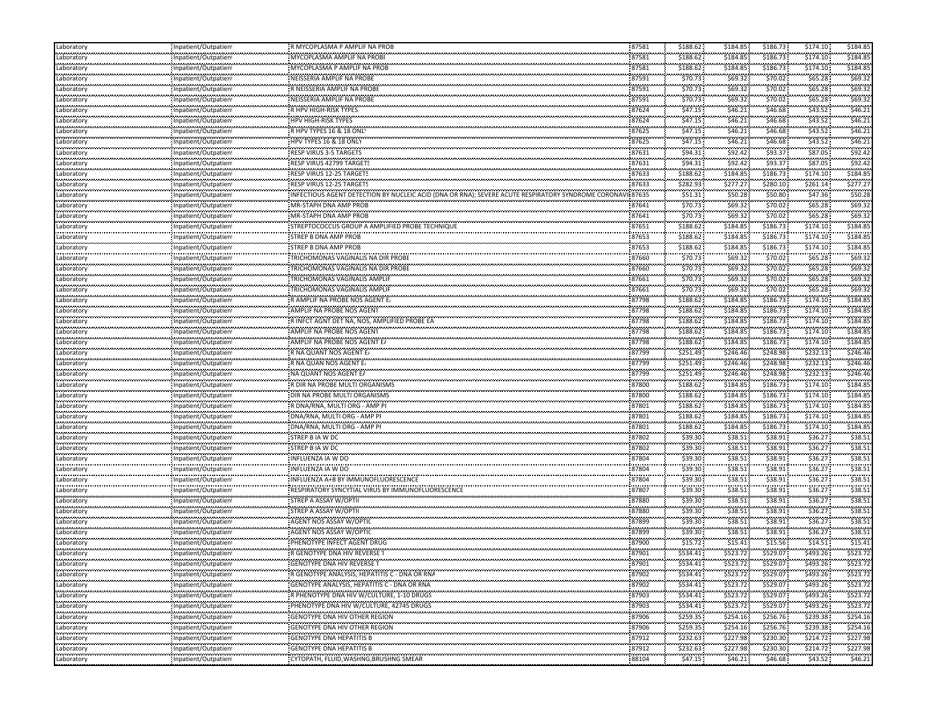| Laboratory               | Inpatient/Outpatient                                 | R MYCOPLASMA P AMPLIF NA PROB                                            | 87581             | \$188.62              | \$184.85             | \$186.73               | \$174.10                | \$184.85         |
|--------------------------|------------------------------------------------------|--------------------------------------------------------------------------|-------------------|-----------------------|----------------------|------------------------|-------------------------|------------------|
| Laboratory               | Inpatient/Outpatient                                 | MYCOPLASMA AMPLIF NA PROBI                                               | 87581             | \$188.62              | \$184.85             | \$186.73               | \$174.10                | \$184.85         |
| <br>Laboratory           | Inpatient/Outpatient                                 | MYCOPLASMA P AMPLIF NA PROB                                              | <br>87581         | ,,,,,,,,,<br>\$188.62 | .<br>\$184.85        | \$186.73               | \$174.10                | \$184.8          |
| <br>Laboratory           | Inpatient/Outpatient                                 | NEISSERIA AMPLIF NA PROBE                                                | 87591             | \$70.73               | \$69.32              | \$70.02                | \$65.28\$               | \$69.3           |
| <br>Laboratory           | <br>Inpatient/Outpatien!                             | R NEISSERIA AMPLIF NA PROBE                                              | <br>87591         | .<br>\$70.73          | <br>\$69.32          | .<br>\$70.02           | .<br>\$65.28            | \$69.32          |
| Laboratory               | Inpatient/Outpatient                                 | NEISSERIA AMPLIF NA PROBE                                                | 87591             | \$70.73               | \$69.32\$            | \$70.02                | \$65.28\$               | \$69.37          |
| Laboratory               | Inpatient/Outpatient                                 | R HPV HIGH-RISK TYPES                                                    | 87624             | \$47.15               | \$46.21              | \$46.68                | \$43.52                 | \$46.21          |
| <br>Laboratory           |                                                      | HPV HIGH-RISK TYPES                                                      | 87624             | \$47.15               | .                    |                        |                         | \$46.2           |
| .                        | Inpatient/Outpatient                                 |                                                                          |                   | \$47.15               | \$46.21<br>          | \$46.68<br>.           | \$43.52<br>\$43.52      | \$46.2\$         |
| Laboratory<br>           | Inpatient/Outpatient<br>                             | R HPV TYPES 16 & 18 ONLY<br>,,,,,,,,,,,,,,,,,,,,,,,,,,,,,,,              | 87625<br>         | .                     | \$46.21<br>.         | \$46.68<br>            |                         |                  |
| Laboratory<br>.          | Inpatient/Outpatient                                 | HPV TYPES 16 & 18 ONLY                                                   | 87625<br>         | \$47.15<br>\$94.31    | \$46.21<br>\$92.42   | \$46.68<br>.           | \$43.52<br>\$87.05      | \$46.2<br>\$92.4 |
| Laboratory<br>           | Inpatient/Outpatient                                 | RESP VIRUS 3-5 TARGETS                                                   | 87631             |                       |                      | \$93.37                |                         | \$92.4           |
| Laboratory<br>.          | Inpatient/Outpatient                                 | RESP VIRUS 42799 TARGETS                                                 | 87631             | \$94.31               | \$92.42              | \$93.37                | \$87.05                 |                  |
| Laboratory               | Inpatient/Outpatient                                 | RESP VIRUS 12-25 TARGETS                                                 | 87633             | \$188.62              | \$184.85             | \$186.73               | \$174.10                | \$184.85         |
| Laboratory<br>.          | Inpatient/Outpatient<br>                             | RESP VIRUS 12-25 TARGETS                                                 | 87633<br>         | \$282.93<br>.         | \$277.27<br>         | \$280.10<br>.          | \$261.14                | \$277.2          |
| Laboratory<br>           | Inpatient/Outpatient                                 | INFECTIOUS AGENT DETECTION BY NUCLEIC ACID                               | 87635             | \$51.31               | \$50.28<br>.         | \$50.80<br>            | \$47.36                 | \$50.28          |
| Laboratory<br>           | Inpatient/Outpatient<br>                             | MR-STAPH DNA AMP PROB<br>                                                | 87641<br>         | \$70.73               | \$69.32<br>          | \$70.02<br>.           | \$65.28\$               | \$69.3           |
| Laboratory               | Inpatient/Outpatien!                                 | MR-STAPH DNA AMP PROB                                                    | 87641             | \$70.73               | \$69.32              | \$70.02                | \$65.28\$               | \$69.3\$         |
| Laboratory               | Inpatient/Outpatient                                 | STREPTOCOCCUS GROUP A AMPLIFIED PROBE TECHNIQUE                          | 87651             | \$188.62              | \$184.85             | \$186.73               | \$174.10                | \$184.8          |
| .<br>Laboratory          | Inpatient/Outpatient                                 | ,,,,,,,,,,,,,,,,,,,,,,,,,,,,,<br>STREP B DNA AMP PROB                    | <br>87653         | .<br>\$188.62         | \$184.85             | ,,,,,,,,,<br>\$186.73  | \$174.10                | \$184.8          |
| .<br>Laboratory          | Inpatient/Outpatient                                 | STREP B DNA AMP PROB                                                     | 87653             | \$188.62              | \$184.85             | \$186.73               | \$174.10                | \$184.85         |
| <br>Laboratory           | <br>Inpatient/Outpatient                             | TRICHOMONAS VAGINALIS NA DIR PROBE                                       | <br>87660         | \$70.73               | .<br>\$69.32         | .<br>\$70.02           | \$65.28\$               | \$69.32          |
| Laboratory               | Inpatient/Outpatient                                 | TRICHOMONAS VAGINALIS NA DIR PROBE                                       | 87660             | \$70.73               | \$69.32              | \$70.02                | \$65.28\$               | \$69.37          |
| Laboratory               | Inpatient/Outpatient                                 | TRICHOMONAS VAGINALIS AMPLIF                                             | 87661             | \$70.73               | \$69.32\$            | \$70.02                | \$65.28\$               | \$69.37          |
| .<br>Laboratory          | Inpatient/Outpatient                                 | TRICHOMONAS VAGINALIS AMPLIF                                             | 87661             | \$70.73               | .<br>\$69.32         | \$70.02                | \$65.28\$               | \$69.3           |
| <br>Laboratory           | <br>Inpatient/Outpatient                             | <br>R AMPLIF NA PROBE NOS AGENT E.                                       | --------<br>87798 | ,,,,,,,,,<br>\$188.62 | .<br>\$184.85        | ,,,,,,,,,,<br>\$186.73 | ,,,,,,,,,<br>\$174.10   | \$184.8          |
| Laboratory               | Inpatient/Outpatient                                 | AMPLIF NA PROBE NOS AGENT                                                | 87798             | \$188.62              | \$184.85             | \$186.73               | \$174.10                | \$184.8          |
| .<br>Laboratory          |                                                      | R INFCT AGNT DET NA, NOS, AMPLIFIED PROBE EA                             |                   | .                     | .<br>\$184.85        |                        | ,,,,,,,,,<br>\$174.10   | \$184.8          |
| .                        | Inpatient/Outpatient                                 |                                                                          | 87798             | \$188.62              |                      | \$186.73               |                         | \$184.85         |
| Laboratory<br>.          | Inpatient/Outpatient<br>                             | AMPLIF NA PROBE NOS AGENT<br>AMPLIF NA PROBE NOS AGENT EA                | 87798<br>         | \$188.62<br>.         | \$184.85<br>\$184.85 | \$186.73<br>\$186.73   | \$174.10<br>\$174.10    | \$184.8          |
| Laboratory               | Inpatient/Outpatient                                 |                                                                          | 87798             | \$188.62              |                      | \$248.98               | \$232.13                | \$246.46         |
| Laboratory               | Inpatient/Outpatient                                 | R NA QUANT NOS AGENT E                                                   | 87799             | \$251.49              | \$246.46             |                        |                         |                  |
| Laboratory<br>           | Inpatient/Outpatient                                 | R NA QUAN NOS AGENT E                                                    | 87799             | \$251.49              | \$246.46<br>         | \$248.98               | \$232.13                | \$246.46         |
| Laboratory<br>           | Inpatient/Outpatient                                 | NA QUANT NOS AGENT EA                                                    | 87799<br>         | \$251.49<br>.         | \$246.46             | \$248.98<br>,,,,,,,,,, | \$232.13                | \$246.46         |
| Laboratory               | Inpatient/Outpatient                                 | R DIR NA PROBE MULTI ORGANISMS                                           | 87800             | \$188.62              | \$184.85             | \$186.73               | \$174.10                | \$184.8          |
| Laboratory<br>.          | Inpatient/Outpatient                                 | DIR NA PROBE MULTI ORGANISMS                                             | 87800<br>         | \$188.62<br>.         | \$184.85<br>.        | \$186.73<br>,,,,,,,,,  | \$174.10<br>,,,,,,,,,   | \$184.8          |
| Laboratory<br>.          | Inpatient/Outpatient                                 | R DNA/RNA, MULTI ORG - AMP PI                                            | 87801             | \$188.62              | \$184.85             | \$186.73               | \$174.10                | \$184.8          |
| Laboratory<br>           | Inpatient/Outpatient                                 | : DNA/RNA, MULTI ORG - AMP PI                                            | 87801             | \$188.62              | \$184.85             | \$186.73               | \$174.10                | \$184.85         |
| Laboratory               | <br>Inpatient/Outpatient                             | DNA/RNA, MULTI ORG - AMP PI                                              | <br>87801         | .<br>\$188.62         | <br>\$184.85         | ,,,,,,,,,,<br>\$186.73 | \$174.10                | \$184.8          |
| Laboratory               | Inpatient/Outpatient                                 | STREP B IA W DC                                                          | 87802             | \$39.30               | \$38.51              | \$38.91                | \$36.27                 | \$38.5           |
| Laboratory               | Inpatient/Outpatient                                 | STREP B IA W DC                                                          | 87802             | \$39.30               | \$38.51              | \$38.91                | \$36.27                 | \$38.5           |
| <br>Laboratory           | <br>Inpatient/Outpatient                             | INFLUENZA IA W DO                                                        | 87804             | .<br>\$39.30          | .<br>\$38.51         | \$38.91                | <br>\$36.27             | \$38.5           |
| .<br>Laboratory          | Inpatient/Outpatient                                 | ,,,,,,,,,,,,,,,,,,,,,,,,,<br>INFLUENZA IA W DO                           | 87804             | \$39.30               | \$38.51              | \$38.91                | \$36.27                 | \$38.5           |
| <br>Laboratory           | <br>Inpatient/Outpatient                             | INFLUENZA A+B BY IMMUNOFLUORESCENCE                                      | 87804             | .<br>\$39.30          | .<br>\$38.51         | <br>\$38.91            | <br>\$36.27             | \$38.5           |
| .<br>Laboratory          | Inpatient/Outpatient                                 | RESPIRATORY SYNCYTIAL VIRUS BY IMMUNOFLUORESCENCE                        | 87807             | .<br>\$39.30          | .<br>\$38.51         | .<br>\$38.91           | \$36.27                 | \$38.5           |
| <br>Laboratory           | Inpatient/Outpatient                                 | STREP A ASSAY W/OPTI                                                     | 87880             | \$39.30               | \$38.51              | \$38.91                | \$36.27                 | \$38.5           |
| .<br>Laboratory          | Inpatient/Outpatient                                 | STREP A ASSAY W/OPTII                                                    | 87880             | \$39.30               | \$38.51              | \$38.91                | \$36.27                 | \$38.51          |
| Laboratory               | Inpatient/Outpatient                                 | AGENT NOS ASSAY W/OPTIC                                                  | 87899             | \$39.30               | \$38.51              | \$38.91                | \$36.27                 | \$38.5           |
| .<br>Laboratory          | Inpatient/Outpatien!                                 | <br>AGENT NOS ASSAY W/OPTIC                                              | <br>87899         | .<br>\$39.30          | <br>\$38.51          | .<br>\$38.91           | \$36.27                 | \$38.5           |
| .                        |                                                      | ,,,,,,,,,,,,,,,,,,,,,,,,,,,,,,,,,,<br>PHENOTYPE INFECT AGENT DRUG        | 87900             |                       | .                    |                        |                         | \$15.4           |
| Laboratory<br>.          | Inpatient/Outpatien                                  |                                                                          |                   | \$15.72<br>,,,,,,,,,  | \$15.41<br>.         | \$15.56                | \$14.51                 | \$523.72         |
| Laboratory<br>Laboratory | Inpatient/Outpatient<br>,,,,,,,,,,,,,,,,,,,,,,,,,,,, | R GENOTYPE DNA HIV REVERSE                                               | 87901<br>         | \$534.41              | \$523.72<br>         | \$529.07               | \$493.26                |                  |
| Laboratory               | Inpatient/Outpatient                                 | GENOTYPE DNA HIV REVERSE                                                 | 87901<br>.        | \$534.41              | S523.72              | \$529.07               | \$493.26                | \$523.72         |
|                          | Inpatient/Outpatient                                 | R GENOTYPE ANALYSIS, HEPATITIS C - DNA OR RNA                            | 87902             | \$534.41              | \$523.72             | \$529.07               | \$493.26                | \$523.72         |
| Laboratory               | Inpatient/Outpatient                                 | GENOTYPE ANALYSIS, HEPATITIS C - DNA OR RNA                              | 87902             | \$534.41              | \$523.72             | \$529.07               | \$493.26                | \$523.72         |
| Laboratory               | Inpatient/Outpatient                                 | R PHENOTYPE DNA HIV W/CULTURE, 1-10 DRUGS                                | 87903             | \$534.41              | \$523.72             | \$529.07               | \$493.26                | \$523.72         |
| Laboratory<br>.          | Inpatient/Outpatient<br>                             | PHENOTYPE DNA HIV W/CULTURE, 42745 DRUGS                                 | 87903<br>         | \$534.41<br>.         | \$523.72<br>.        | \$529.07<br>.          | \$493.26<br>,,,,,,,,,,, | \$523.72<br>.    |
| Laboratory               | Inpatient/Outpatient                                 | <b>GENOTYPE DNA HIV OTHER REGION</b>                                     | 87906             | \$259.35              | \$254.16<br>.        | \$256.76               | \$239.38                | \$254.16         |
| Laboratory               | Inpatient/Outpatient<br>                             | GENOTYPE DNA HIV OTHER REGION                                            | 87906<br>.        | \$259.35<br>.         | \$254.16             | \$256.76               | \$239.38<br>.           | \$254.16<br>.    |
| Laboratory               | Inpatient/Outpatient                                 | <b>GENOTYPE DNA HEPATITIS B</b>                                          | 87912             | \$232.63              | \$227.98             | .<br>\$230.30          | \$214.72                | \$227.98         |
| Laboratory               | Inpatient/Outpatient                                 | ,,,,,,,,,,,,,,,,,,,,,,,,,,,,,,,,,,,,,<br><b>GENOTYPE DNA HEPATITIS B</b> | .<br>87912        | \$232.63              | .<br>\$227.98        | \$230.30               | \$214.72                | \$227.98         |
| Laboratory               | Inpatient/Outpatient                                 | CYTOPATH, FLUID, WASHNG, BRUSHNG SMEAR                                   | .<br>88104        | .<br>\$47.15          | <br>\$46.21          | .<br>\$46.68           | \$43.52                 | \$46.21          |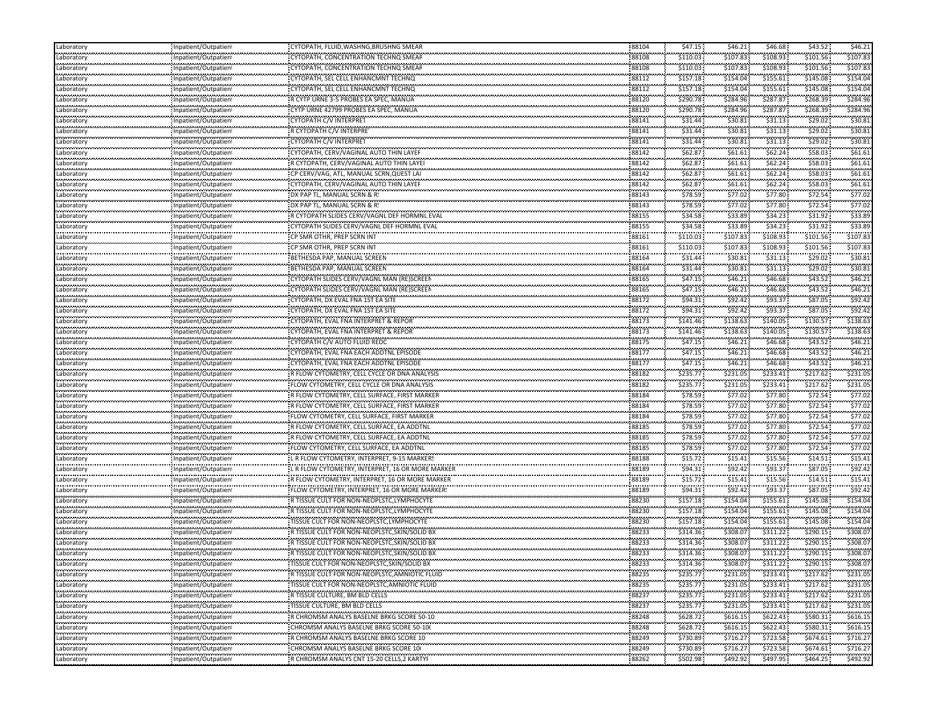| Laboratory      | Inpatient/Outpatien      | CYTOPATH, FLUID, WASHNG, BRUSHNG SMEAR                                                  | 88104          | \$47.15            | \$46.21  | \$46.68   | \$43.52   | \$46.21  |
|-----------------|--------------------------|-----------------------------------------------------------------------------------------|----------------|--------------------|----------|-----------|-----------|----------|
| Laboratory      | Inpatient/Outpatien      | CYTOPATH, CONCENTRATION TECHNQ SMEAR                                                    | 88108          | \$110.03           | \$107.83 | \$108.93  | \$101.56  | \$107.83 |
| <br>Laboratory  | Inpatient/Outpatient     | CYTOPATH, CONCENTRATION TECHNO SMEAF                                                    | 88108          | \$110.03           | \$107.83 | \$108.93  | \$101.56  | \$107.83 |
| Laboratory      | Inpatient/Outpatient     | CYTOPATH, SEL CELL ENHANCMNT TECHNQ                                                     | 88112          | \$157.18           | \$154.04 | \$155.61  | \$145.08  | \$154.04 |
| <br>Laboratory  | Inpatient/Outpatient     | CYTOPATH, SEL CELL ENHANCMNT TECHNQ                                                     | 88112          | \$157.18           | \$154.04 | \$155.61  | \$145.08  | \$154.04 |
| Laboratory      | Inpatient/Outpatient     | R CYTP URNE 3-5 PROBES EA SPEC, MANUA                                                   | 88120          | \$290.78           | \$284.96 | \$287.87  | \$268.39  | \$284.96 |
| Laboratory      |                          | CYTP URNE 42799 PROBES EA SPEC, MANUA                                                   | 88120          | \$290.78           | \$284.96 | \$287.87  | \$268.39  | \$284.96 |
| .               | Inpatient/Outpatient     | CYTOPATH C/V INTERPRET                                                                  | 88141          | \$31.44            | \$30.81  | \$31.13   | \$29.02\$ | \$30.81  |
| Laboratory<br>  | Inpatient/Outpatien      | R CYTOPATH C/V INTERPRET                                                                |                | \$31.44            | \$30.81  | \$31.13   | \$29.02   | \$30.8   |
| Laboratory<br>. | Inpatient/Outpatien!     | CYTOPATH C/V INTERPRET                                                                  | 88141<br>88141 | \$31.44            | \$30.81  | \$31.13   | \$29.02   | \$30.81  |
| Laboratory<br>  | Inpatient/Outpatien      |                                                                                         | 88142          | \$62.87            | \$61.61  | \$62.24   | \$58.03   | \$61.61  |
| Laboratory<br>. | Inpatient/Outpatient     | CYTOPATH, CERV/VAGINAL AUTO THIN LAYER                                                  |                |                    |          |           |           |          |
| Laboratory<br>  | Inpatient/Outpatient     | R CYTOPATH, CERV/VAGINAL AUTO THIN LAYEI                                                | 88142          | \$62.87            | \$61.61  | \$62.24   | \$58.03\$ | \$61.61  |
| Laboratory      | Inpatient/Outpatient     | CP CERV/VAG, ATL, MANUAL SCRN, QUEST LAI                                                | 88142          | \$62.87            | \$61.61  | \$62.24   | \$58.03   | \$61.61  |
| Laboratory<br>  | Inpatient/Outpatient     | CYTOPATH, CERV/VAGINAL AUTO THIN LAYER                                                  | 88142          | \$62.87            | \$61.61  | \$62.24\$ | \$58.03   | \$61.61  |
| Laboratory<br>. | Inpatient/Outpatien!     | DX PAP TL, MANUAL SCRN & R!                                                             | 88143          | \$78.59            | \$77.02  | \$77.80   | \$72.54   | \$77.02  |
| Laboratory      | Inpatient/Outpatien      | DX PAP TL, MANUAL SCRN & R!                                                             | 88143          | \$78.59            | \$77.02  | \$77.80   | \$72.54   | \$77.02  |
| <br>Laboratory  | Inpatient/Outpatient     | R CYTOPATH SLIDES CERV/VAGNL DEF HORMNL EVAL                                            | 88155          | \$34.58            | \$33.89  | \$34.23   | \$31.92   | \$33.8   |
| Laboratory      | Inpatient/Outpatient     | CYTOPATH SLIDES CERV/VAGNL DEF HORMNL EVAL                                              | 88155          | \$34.58            | \$33.89  | \$34.23   | \$31.92   | \$33.89  |
| <br>Laboratory  | Inpatient/Outpatient     | CP SMR OTHR, PREP SCRN INT                                                              | 88161          | \$110.03           | \$107.83 | \$108.93  | \$101.56  | \$107.8  |
| Laboratory      | Inpatient/Outpatient     | CP SMR OTHR, PREP SCRN INT                                                              | 88161          | \$110.03           | \$107.83 | \$108.93  | \$101.56  | \$107.83 |
| <br>Laboratory  | Inpatient/Outpatient     | BETHESDA PAP, MANUAL SCREEN                                                             | 88164          | \$31.44            | \$30.81  | \$31.13   | \$29.02   | \$30.8   |
| Laboratory      | Inpatient/Outpatient     | BETHESDA PAP, MANUAL SCREEN                                                             | 88164          | \$31.44            | \$30.81  | \$31.13   | \$29.02   | \$30.81  |
| Laboratory      | Inpatient/Outpatient     | CYTOPATH SLIDES CERV/VAGNL MAN (RE)SCREEN                                               | 88165          | \$47.15            | \$46.21  | \$46.68   | \$43.52   | \$46.21  |
| .               |                          | CYTOPATH SLIDES CERV/VAGNL MAN (RE)SCREEN                                               | 88165          | \$47.15            | \$46.21  | \$46.68   | \$43.52   | 546.21   |
| Laboratory<br>  | Inpatient/Outpatien      | CYTOPATH, DX EVAL FNA 1ST EA SITE                                                       | 88172          | \$94.31            | \$92.42  | \$93.37   | \$87.05   | \$92.4   |
| Laboratory      | Inpatient/Outpatient     |                                                                                         |                | \$94.31            | \$92.42  | \$93.37   | \$87.05   | \$92.42  |
| Laboratory<br>  | Inpatient/Outpatient     | CYTOPATH, DX EVAL FNA 1ST EA SITE                                                       | 88172<br>88173 | \$141.46           | \$138.63 | \$140.05  | \$130.57  | \$138.63 |
| Laboratory      | Inpatient/Outpatient     | CYTOPATH, EVAL FNA INTERPRET & REPORT                                                   |                |                    |          |           |           |          |
| Laboratory<br>  | Inpatient/Outpatient     | CYTOPATH, EVAL FNA INTERPRET & REPOR                                                    | 88173          | \$141.46           | \$138.63 | \$140.05  | \$130.57  | \$138.63 |
| Laboratory      | Inpatient/Outpatient     | CYTOPATH C/V AUTO FLUID REDC                                                            | 88175          | \$47.15            | \$46.21  | \$46.68   | \$43.52   | \$46.2   |
| Laboratory      | Inpatient/Outpatient     | CYTOPATH, EVAL FNA EACH ADDTNL EPISODE                                                  | 88177          | \$47.15            | \$46.21  | \$46.68   | \$43.52\$ | \$46.21  |
| Laboratory<br>. | Inpatient/Outpatient     | CYTOPATH, EVAL FNA EACH ADDTNL EPISODE                                                  | 88177          | \$47.15            | \$46.21  | \$46.68   | \$43.52   | \$46.2\$ |
| Laboratory      | Inpatient/Outpatien      | R FLOW CYTOMETRY, CELL CYCLE OR DNA ANALYSIS                                            | 88182          | \$235.77           | \$231.05 | \$233.41  | \$217.62  | \$231.05 |
| .<br>Laboratory | Inpatient/Outpatient     | FLOW CYTOMETRY, CELL CYCLE OR DNA ANALYSIS                                              | 88182          | \$235.77           | \$231.05 | \$233.41  | \$217.62  | \$231.0  |
| Laboratory      | Inpatient/Outpatient     | R FLOW CYTOMETRY, CELL SURFACE, FIRST MARKER                                            | 88184          | \$78.59            | \$77.02  | \$77.80   | \$72.54   | \$77.02  |
| <br>Laboratory  | Inpatient/Outpatient     | R FLOW CYTOMETRY, CELL SURFACE, FIRST MARKER                                            | 88184          | \$78.59            | \$77.02  | \$77.80   | \$72.54   | \$77.0   |
| Laboratory      | Inpatient/Outpatient     | FLOW CYTOMETRY, CELL SURFACE, FIRST MARKER                                              | 88184          | \$78.59            | \$77.02  | \$77.80   | \$72.54   | \$77.02  |
| <br>Laboratory  | Inpatient/Outpatient     | R FLOW CYTOMETRY, CELL SURFACE, EA ADDTNL                                               | 88185          | \$78.59            | \$77.02  | \$77.80   | \$72.54   | \$77.0   |
| Laboratory      | Inpatient/Outpatient     | R FLOW CYTOMETRY, CELL SURFACE, EA ADDTNL                                               | 88185          | \$78.59            | \$77.02  | \$77.80   | \$72.54\$ | \$77.02  |
| Laboratory      | Inpatient/Outpatient     | FLOW CYTOMETRY, CELL SURFACE, EA ADDTNL                                                 | 88185          | \$78.59            | \$77.02  | \$77.80   | \$72.54   | \$77.02  |
| .<br>Laboratory | Inpatient/Outpatien      | L R FLOW CYTOMETRY, INTERPRET, 9-15 MARKERS                                             | 88188          | \$15.72            | \$15.41  | \$15.56   | \$14.51   | \$15.41  |
| <br>Laboratory  |                          | L R FLOW CYTOMETRY, INTERPRET, 16 OR MORE MARKER                                        | 88189          | \$94.31            | \$92.42  | \$93.37   | \$87.05   | \$92.4   |
| .               | npatient/Outpatien!      |                                                                                         | 88189          | 101010<br>\$15.72: | \$15.41  | \$15.56   | \$14.51   | \$15.4   |
| Laboratory<br>  | Inpatient/Outpatien      | FLOW CYTOMETRY, INTERPRET, 16 OR MORE MARKER:                                           | 88189          | \$94.31            | \$92.42  | \$93.37   | \$87.05   | \$92.4   |
| Laboratory      | Inpatient/Outpatient     |                                                                                         | 88230          | \$157.18           | \$154.04 | \$155.61  | \$145.08  | \$154.04 |
| Laboratory<br>. | Inpatient/Outpatient     | R TISSUE CULT FOR NON-NEOPLSTC, LYMPHOCYTE<br>R TISSUE CULT FOR NON-NEOPLSTC,LYMPHOCYTE | 88230          | \$157.18           | \$154.04 | \$155.61  | \$145.08  | \$154.04 |
| Laboratory      | Inpatient/Outpatient     |                                                                                         |                |                    |          |           |           |          |
| Laboratory<br>  | Inpatient/Outpatient     | TISSUE CULT FOR NON-NEOPLSTC, LYMPHOCYTE                                                | 88230          | \$157.18           | \$154.04 | \$155.61  | \$145.08  | \$154.04 |
| Laboratory<br>. | npatient/Outpatien!      | R TISSUE CULT FOR NON-NEOPLSTC, SKIN/SOLID BX                                           | 88233          | \$314.36           | \$308.07 | \$311.22  | \$290.15  | \$308.07 |
| Laboratory<br>  | Inpatient/Outpatien      | R TISSUE CULT FOR NON-NEOPLSTC, SKIN/SOLID BX                                           | 88233          | \$314.36           | \$308.07 | \$311.22  | \$290.15  | \$308.07 |
| Laboratory<br>. | Inpatient/Outpatien!     |                                                                                         | 88233          | \$314.36           | \$308.07 | \$311.22  | \$290.15  | \$308.07 |
| Laboratory      | Inpatient/Outpatient     | TISSUE CULT FOR NON-NEOPLSTC, SKIN/SOLID BX                                             | 88233          | \$314.36           | \$308.07 | \$311.22  | \$290.15  | \$308.07 |
| Laboratory      | Inpatient/Outpatient     | R TISSUE CULT FOR NON-NEOPLSTC, AMNIOTIC FLUID                                          | 88235          | \$235.77           | \$231.05 | \$233.41  | \$217.62  | \$231.05 |
| .<br>Laboratory | Inpatient/Outpatient     | TISSUE CULT FOR NON-NEOPLSTC, AMNIOTIC FLUID                                            | 88235          | \$235.77           | \$231.05 | \$233.41  | \$217.62  | \$231.05 |
| .<br>Laboratory | <br>Inpatient/Outpatient | R TISSUE CULTURE, BM BLD CELLS                                                          | 88237          | \$235.77           | \$231.05 | \$233.41  | \$217.62  | \$231.05 |
| Laboratory      | Inpatient/Outpatient     | TISSUE CULTURE, BM BLD CELLS                                                            | 88237          | \$235.77           | \$231.05 | \$233.41  | \$217.62  | \$231.05 |
| .<br>Laboratory | <br>Inpatient/Outpatient | R CHROMSM ANALYS BASELNE BRKG SCORE 50-10                                               | 88248          | \$628.72           | \$616.15 | \$622.43  | \$580.31  | \$616.15 |
| .<br>Laboratory | Inpatient/Outpatient     | CHROMSM ANALYS BASELNE BRKG SCORE 50-10                                                 | 88248          | \$628.72           | \$616.15 | \$622.43  | \$580.31  | \$616.15 |
| <br>Laboratory  | Inpatient/Outpatient     | R CHROMSM ANALYS BASELNE BRKG SCORE 10                                                  | 88249          | \$730.89           | \$716.27 | \$723.58  | \$674.61  | \$716.2  |
| .<br>Laboratory | Inpatient/Outpatient     | :<br>CHROMSM ANALYS BASELNE BRKG SCORE 10(                                              | 88249          | \$730.89           | \$716.27 | \$723.58  | \$674.61  | \$716.27 |
| .<br>Laboratory |                          |                                                                                         | 88262          | \$502.98           | \$492.92 | \$497.95  |           | \$492.92 |
|                 | Inpatient/Outpatient     |                                                                                         |                |                    |          |           | \$464.25  |          |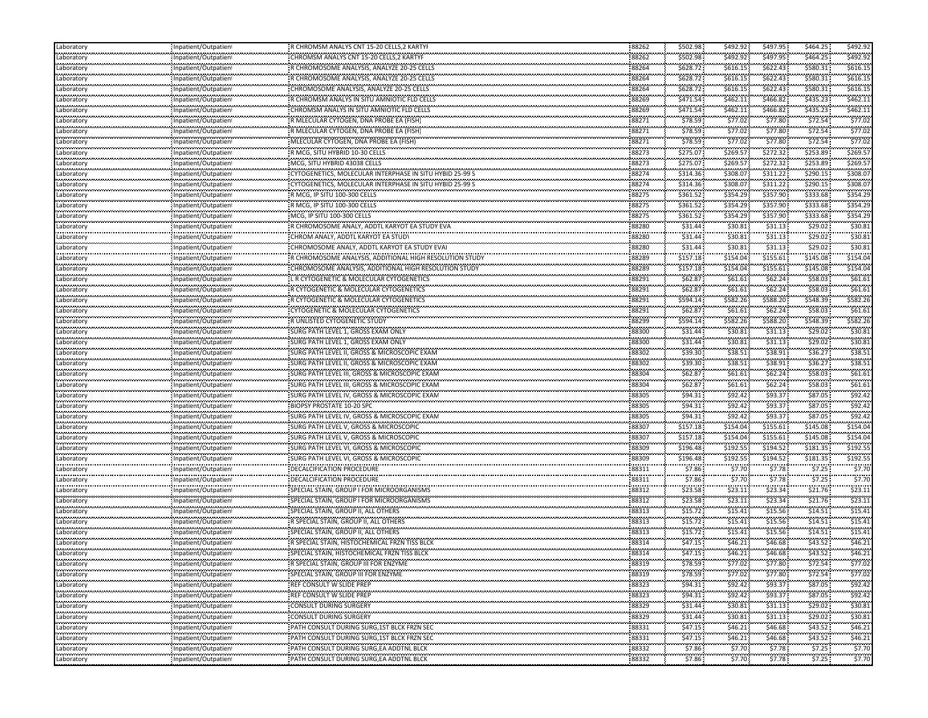| Laboratory                 | Inpatient/Outpatien                              | R CHROMSM ANALYS CNT 15-20 CELLS, 2 KARTYI                               | 88262             | \$502.98          | \$492.92           | \$497.95              | \$464.25  | \$492.92 |
|----------------------------|--------------------------------------------------|--------------------------------------------------------------------------|-------------------|-------------------|--------------------|-----------------------|-----------|----------|
| Laboratory                 | Inpatient/Outpatien                              | CHROMSM ANALYS CNT 15-20 CELLS, 2 KARTYF                                 | 88262             | \$502.98          | \$492.92           | \$497.95              | \$464.25  | \$492.92 |
| <br>Laboratory             | Inpatient/Outpatient                             | R CHROMOSOME ANALYSIS, ANALYZE 20-25 CELLS                               | 88264             | \$628.72          | \$616.15           | \$622.43              | \$580.31  | \$616.15 |
| Laboratory                 | Inpatient/Outpatient                             | R CHROMOSOME ANALYSIS, ANALYZE 20-25 CELLS                               | 88264             | \$628.72          | \$616.15           | \$622.43              | \$580.31  | \$616.15 |
| <br>Laboratory             | Inpatient/Outpatient                             |                                                                          | 88264             | \$628.72          | \$616.15           | \$622.43              | \$580.31  | \$616.15 |
| Laboratory                 | Inpatient/Outpatient                             | R CHROMSM ANALYS IN SITU AMNIOTIC FLD CELLS                              | 88269             | \$471.54          | \$462.11           | \$466.82              | \$435.23  | \$462.11 |
| Laboratory                 | Inpatient/Outpatient                             | CHROMSM ANALYS IN SITU AMNIOTIC FLD CELLS                                | 88269             | \$471.54          | \$462.11           | \$466.82              | \$435.23  | \$462.11 |
| فتتبت بيت                  |                                                  | R MLECULAR CYTOGEN, DNA PROBE EA (FISH)                                  | 88271             | \$78.59           | \$77.02            | \$77.80               | \$72.54   | \$77.02  |
| Laboratory<br>             | Inpatient/Outpatien                              | R MLECULAR CYTOGEN, DNA PROBE EA (FISH)                                  | 88271             | \$78.59           | \$77.02            | \$77.80               | \$72.54   | \$77.0   |
| Laboratory<br>فتتبت متبتيا | Inpatient/Outpatient                             | MLECULAR CYTOGEN, DNA PROBE EA (FISH)                                    | 88271             | \$78.59           | \$77.02            | \$77.80               | \$72.54   | \$77.0   |
| Laboratory<br>             | Inpatient/Outpatien                              | R MCG, SITU HYBRID 10-30 CELLS                                           | 88273             | \$275.07          | \$269.57           | \$272.32              | \$253.89  | \$269.5  |
| Laboratory<br>.            | Inpatient/Outpatient                             | MCG, SITU HYBRID 43038 CELLS                                             | 88273             | \$275.07          | \$269.57           | \$272.32              | \$253.89  | \$269.5  |
| Laboratory<br>.            | Inpatient/Outpatient<br>                         |                                                                          |                   |                   |                    |                       |           |          |
| Laboratory                 | Inpatient/Outpatient                             | CYTOGENETICS, MOLECULAR INTERPHASE IN SITU HYBID 25-99 S                 | 88274             | \$314.36          | \$308.07           | \$311.22              | \$290.15  | \$308.07 |
| Laboratory<br>             | Inpatient/Outpatient                             | CYTOGENETICS, MOLECULAR INTERPHASE IN SITU HYBID 25-99 S                 | 88274             | \$314.36          | \$308.07           | \$311.22              | \$290.15  | \$308.07 |
| Laboratory<br>فتتبت متبتيا | Inpatient/Outpatien!<br>                         |                                                                          | 88275             | \$361.52          | \$354.29           | \$357.90              | \$333.68  | \$354.29 |
| Laboratory<br>             | Inpatient/Outpatien                              | R MCG, IP SITU 100-300 CELLS                                             | 88275             | \$361.52          | \$354.29           | \$357.90              | \$333.68  | \$354.29 |
| Laboratory                 | Inpatient/Outpatient                             | MCG, IP SITU 100-300 CELLS                                               | 88275             | \$361.52          | \$354.29           | \$357.90              | \$333.68  | \$354.29 |
| Laboratory                 | Inpatient/Outpatient                             | R CHROMOSOME ANALY, ADDTL KARYOT EA STUDY EVA                            | 88280             | \$31.44           | \$30.81            | \$31.13               | \$29.02\$ | \$30.81  |
| <br>Laboratory             | Inpatient/Outpatient                             | CHROM ANALY, ADDTL KARYOT EA STUDY                                       | 88280             | \$31.44           | \$30.81            | \$31.13               | \$29.02   | \$30.8   |
| .<br>Laboratory            | Inpatient/Outpatient                             | CHROMOSOME ANALY, ADDTL KARYOT EA STUDY EVAI                             | 88280             | \$31.44           | \$30.81            | \$31.13               | \$29.02   | \$30.81  |
| .<br>Laboratory            | Inpatient/Outpatient                             | R CHROMOSOME ANALYSIS, ADDITIONAL HIGH RESOLUTION STUDY                  | 88289             | \$157.18          | \$154.04           | ,,,,,,,,,<br>\$155.61 | \$145.08  | \$154.04 |
| Laboratory                 | Inpatient/Outpatient                             | CHROMOSOME ANALYSIS, ADDITIONAL HIGH RESOLUTION STUDY                    | 88289             | \$157.18          | \$154.04           | \$155.61              | \$145.08  | \$154.04 |
| Laboratory                 | Inpatient/Outpatient                             | L R CYTOGENETIC & MOLECULAR CYTOGENETICS                                 | 88291             | \$62.87           | \$61.61            | \$62.24               | \$58.03   | \$61.61  |
| <br>Laboratory             | Inpatient/Outpatient                             | R CYTOGENETIC & MOLECULAR CYTOGENETICS                                   | 88291             | \$62.87           | \$61.61            | \$62.24               | \$58.03   | \$61.61  |
| .<br>Laboratory            | Inpatient/Outpatient                             | R CYTOGENETIC & MOLECULAR CYTOGENETICS                                   | 88291             | \$594.14          | \$582.26           | \$588.20              | \$548.39  | \$582.2  |
|                            |                                                  | <b>CYTOGENETIC &amp; MOLECULAR CYTOGENETICS</b>                          | 88291             | \$62.87\$         | \$61.61            | \$62.24\$             | \$58.03   | \$61.61  |
| Laboratory<br>             | Inpatient/Outpatient                             | R UNLISTED CYTOGENETIC STUDY                                             | 88299             | \$594.14          | \$582.26           | \$588.20              | \$548.39  | \$582.2  |
| Laboratory                 | Inpatient/Outpatient                             |                                                                          |                   |                   |                    |                       | \$29.02   | \$30.81  |
| Laboratory<br>             | Inpatient/Outpatient                             | SURG PATH LEVEL 1, GROSS EXAM ONLY<br>SURG PATH LEVEL 1, GROSS EXAM ONLY | 88300             | \$31.44           | \$30.81<br>\$30.81 | \$31.13               |           | \$30.8   |
| Laboratory                 | Inpatient/Outpatient                             |                                                                          | 88300             | \$31.44           |                    | \$31.13               | \$29.02   |          |
| Laboratory                 | Inpatient/Outpatient                             | SURG PATH LEVEL II, GROSS & MICROSCOPIC EXAM                             | 88302             | \$39.30           | \$38.51            | \$38.91               | \$36.27   | \$38.51  |
| Laboratory<br>             | Inpatient/Outpatient                             | SURG PATH LEVEL II, GROSS & MICROSCOPIC EXAM                             | 88302             | \$39.30           | \$38.51            | \$38.91               | \$36.27   | \$38.51  |
| Laboratory                 | Inpatient/Outpatient<br>                         | SURG PATH LEVEL III, GROSS & MICROSCOPIC EXAM                            | 88304             | \$62.87           | \$61.61            | \$62.24               | \$58.03   | \$61.61  |
| Laboratory                 | Inpatient/Outpatient                             | SURG PATH LEVEL III, GROSS & MICROSCOPIC EXAM                            | 88304             | \$62.87           | \$61.61            | \$62.24               | \$58.03   | \$61.61  |
| Laboratory                 | Inpatient/Outpatient                             | SURG PATH LEVEL IV, GROSS & MICROSCOPIC EXAM                             | 88305             | \$94.31           | \$92.42            | \$93.37               | \$87.05   | \$92.42  |
| <br>Laboratory             | Inpatient/Outpatient                             | BIOPSY PROSTATE 10-20 SPC                                                | 88305             | \$94.31           | \$92.42            | \$93.37               | \$87.05   | \$92.4   |
| Laboratory                 | Inpatient/Outpatient                             | SURG PATH LEVEL IV, GROSS & MICROSCOPIC EXAM                             | 88305             | \$94.31           | \$92.42            | \$93.37               | \$87.05   | \$92.42  |
| <br>Laboratory             | Inpatient/Outpatient                             | SURG PATH LEVEL V, GROSS & MICROSCOPIC                                   | 88307             | \$157.18          | \$154.04           | \$155.61              | \$145.08  | \$154.0  |
| Laboratory                 | Inpatient/Outpatient                             | SURG PATH LEVEL V, GROSS & MICROSCOPIC                                   | 88307             | \$157.18          | \$154.04           | \$155.61              | \$145.08  | \$154.04 |
| Laboratory                 | Inpatient/Outpatient                             | SURG PATH LEVEL VI, GROSS & MICROSCOPIC                                  | 88309             | \$196.48          | \$192.55           | \$194.52              | \$181.35  | \$192.55 |
| <br>Laboratory             | Inpatient/Outpatien                              | SURG PATH LEVEL VI, GROSS & MICROSCOPIC                                  | 88309             | \$196.48          | \$192.55           | \$194.52              | \$181.35  | \$192.55 |
| <br>Laboratory             | Inpatient/Outpatient                             | DECALCIFICATION PROCEDURE                                                | 88311             | \$7.86            | \$7.70             | \$7.78                | \$7.25    | \$7.7    |
| <br>Laboratory             | Inpatient/Outpatien                              | DECALCIFICATION PROCEDURE                                                | 88311             | \$7.86            | \$7.70             | \$7.78                | \$7.25    | \$7.7    |
| <br>Laboratory             |                                                  | SPECIAL STAIN, GROUP I FOR MICROORGANISMS                                | 88312             | \$23.58           | \$23.11            | \$23.34               | \$21.76   | \$23.1   |
|                            | Inpatient/Outpatient<br>Inpatient/Outpatient     | SPECIAL STAIN, GROUP I FOR MICROORGANISMS                                | 88312             | \$23.58           | \$23.11            | \$23.34               | \$21.76   | \$23.11  |
| Laboratory                 |                                                  | SPECIAL STAIN, GROUP II, ALL OTHERS                                      | 88313             | \$15.72           | \$15.41            | \$15.56               | \$14.51   | \$15.41  |
| Laboratory                 | Inpatient/Outpatient                             |                                                                          |                   |                   |                    | \$15.56               | \$14.51   | \$15.41  |
| Laboratory<br>             | Inpatient/Outpatient                             | R SPECIAL STAIN, GROUP II, ALL OTHERS                                    | 88313<br>88313    | \$15.72<br>ومعصور | \$15.41<br>,,,,,,, | \$15.56               | \$14.51   | \$15.41  |
| Laboratory<br>فتتبت بيت    | Inpatient/Outpatient<br>                         | SPECIAL STAIN, GROUP II, ALL OTHERS                                      |                   | \$15.72           | \$15.41            |                       |           |          |
| Laboratory<br>             | Inpatient/Outpatien                              | R SPECIAL STAIN, HISTOCHEMICAL FRZN TISS BLCK                            | 88314             | \$47.15           | \$46.21            | \$46.68               | \$43.52   | \$46.21  |
| Laboratory                 | Inpatient/Outpatient                             |                                                                          | 88314             | \$47.15           | \$46.21            | \$46.68               | \$43.52   | \$46.21  |
| Laboratory                 | Inpatient/Outpatient                             | : R SPECIAL STAIN, GROUP III FOR ENZYME                                  | 88319             | \$78.59           | \$77.02\$          | \$77.80               | \$72.54   | \$77.02  |
| Laboratory                 | Inpatient/Outpatient                             | SPECIAL STAIN, GROUP III FOR ENZYME                                      | 88319             | \$78.59           | \$77.02\$          | \$77.80               | \$72.54   | \$77.02  |
| Laboratory                 | Inpatient/Outpatient                             | REF CONSULT W SLIDE PREP                                                 | 88323             | \$94.31           | \$92.42            | \$93.37               | \$87.05   | \$92.42  |
| Laboratory                 | Inpatient/Outpatient                             | REF CONSULT W SLIDE PREP                                                 | 88323             | \$94.31           | \$92.42            | \$93.37               | \$87.05   | \$92.42  |
| Laboratory                 | Inpatient/Outpatient                             | CONSULT DURING SURGERY                                                   | 88329             | \$31.44           | \$30.81            | \$31.13               | \$29.02\$ | \$30.81  |
| <br>Laboratory             | ,,,,,,,,,,,,,,,,,,,,,,,,<br>Inpatient/Outpatient | <br>CONSULT DURING SURGERY                                               | 88329             | \$31.44           | \$30.81            | \$31.13               | \$29.02   | \$30.81  |
| .<br>Laboratory            | Inpatient/Outpatient                             |                                                                          | 88331             | \$47.15           | \$46.21            | \$46.68               | \$43.52   | \$46.21  |
| <br>Laboratory             | Inpatient/Outpatient                             | PATH CONSULT DURING SURG, 1ST BLCK FRZN SEC                              | 88331             | \$47.15           | \$46.21            | \$46.68               | \$43.52   | \$46.21  |
| .<br>Laboratory            | ,,,,,,,,,,,,,,,,,,,,,,,,<br>Inpatient/Outpatient | :<br>: PATH CONSULT DURING SURG,EA ADDTNL BLCK                           | 88332             | \$7.86            | \$7.70             | \$7.78                | \$7.25    | \$7.70   |
| Laboratory                 | ,,,,,,,,,,,,,,,,,,,,,,,,<br>Inpatient/Outpatient | PATH CONSULT DURING SURG,EA ADDTNL BLCK                                  | alla con<br>88332 | \$7.86            | \$7.70             | \$7.78                | \$7.25    | \$7.70   |
|                            |                                                  |                                                                          |                   |                   |                    |                       |           |          |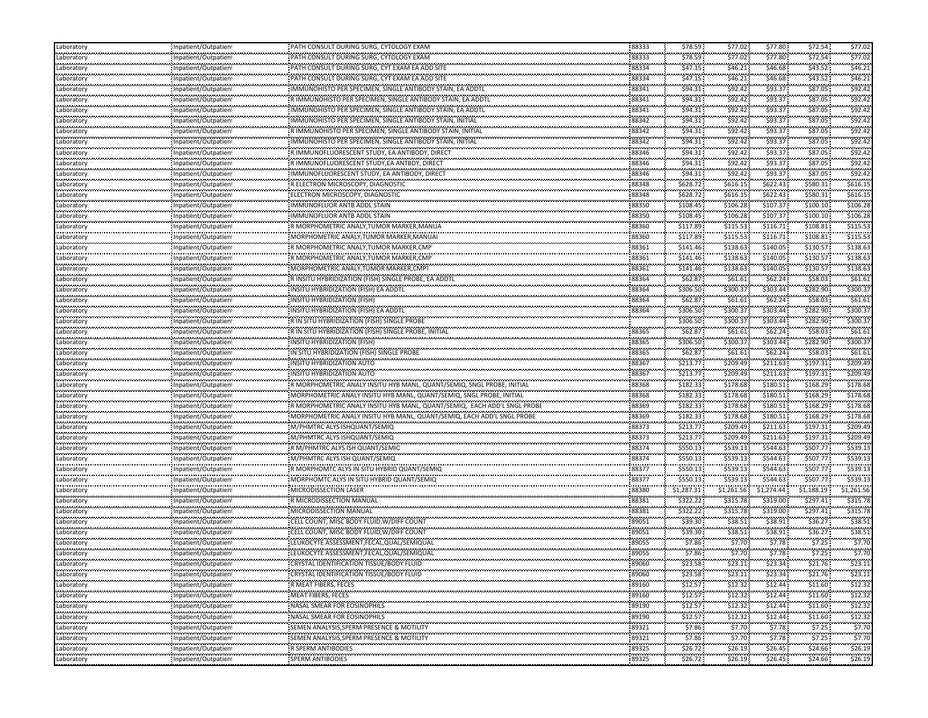| Laboratory                   | Inpatient/Outpatient                                 | PATH CONSULT DURING SURG, CYTOLOGY EXAM                                  | 88333      | \$78.59            | \$77.02              | \$77.80                | \$72.54              | \$77.02    |
|------------------------------|------------------------------------------------------|--------------------------------------------------------------------------|------------|--------------------|----------------------|------------------------|----------------------|------------|
| Laboratory                   | Inpatient/Outpatient                                 | PATH CONSULT DURING SURG, CYTOLOGY EXAM                                  | 88333      | \$78.59            | \$77.02              | \$77.80                | \$72.54              | \$77.02    |
| <br>aboratory                | Inpatient/Outpatient                                 | PATH CONSULT DURING SURG, CYT EXAM EA ADD SITE                           | 88334      | \$47.15            | \$46.21              | .<br>\$46.68           | \$43.52              | \$46.2     |
| aboratory                    | Inpatient/Outpatient                                 | PATH CONSULT DURING SURG, CYT EXAM EA ADD SITE                           | 88334      | \$47.15            | \$46.21              | \$46.68                | \$43.52              | \$46.21    |
| <br>aboratory                | <br>Inpatient/Outpatient                             | MMUNOHISTO PER SPECIMEN, SINGLE ANTIBODY STAIN, EA ADDTL                 | 88341      | \$94.31            | .<br>\$92.42         | .<br>\$93.37           | \$87.05              | \$92.4     |
| ,,,,,,,,,,<br>Laboratory     | Inpatient/Outpatient                                 | R IMMUNOHISTO PER SPECIMEN, SINGLE ANTIBODY STAIN, EA ADDTL              | 88341      | \$94.31            | \$92.42              | \$93.37                | \$87.05              | \$92.42    |
| aboratory                    | Inpatient/Outpatient                                 | IMMUNOHISTO PER SPECIMEN, SINGLE ANTIBODY STAIN, EA ADDTL                | 88341      | \$94.31            | \$92.42              | \$93.37                | \$87.05              | \$92.4     |
| .<br>Laboratory              | Inpatient/Outpatien                                  | IMMUNOHISTO PER SPECIMEN, SINGLE ANTIBODY STAIN, INITIAL                 | 88342      | \$94.31            | \$92.42              | \$93.37                | \$87.05              | \$92.4     |
| .<br>aboratory               | <br>Inpatient/Outpatient                             | NIMMUNOHISTO PER SPECIMEN, SINGLE ANTIBODY STAIN, INITIAL                | 88342      | \$94.31            | \$92.42              | \$93.37                | \$87.05              | \$92.4     |
| <br>Laboratory               | <br>Inpatient/Outpatien                              | MMUNOHISTO PER SPECIMEN, SINGLE ANTIBODY STAIN, INITIAL                  | 88342      | \$94.31            | \$92.42              | \$93.37                | \$87.05              | \$92.4     |
|                              |                                                      | R IMMUNOFLUORESCENT STUDY, EA ANTIBODY, DIRECT                           | 88346      | \$94.31            | \$92.42              | \$93.37                | \$87.05              | \$92.4     |
| Laboratory<br>.              | Inpatient/Outpatient                                 | R IMMUNOFLUORESCENT STUDY, EA ANTBDY, DIRECT                             | 88346      |                    |                      | \$93.37                | \$87.05              | \$92.4     |
| aboratory                    | Inpatient/Outpatient                                 |                                                                          |            | \$94.31<br>\$94.31 | \$92.42              | \$93.37                | \$87.05              | \$92.4     |
| aboratory                    | Inpatient/Outpatient                                 | IMMUNOFLUORESCENT STUDY, EA ANTIBODY, DIRECT                             | 88346      |                    | \$92.42              |                        | \$580.31             |            |
| aboratory<br>                | Inpatient/Outpatient                                 | R ELECTRON MICROSCOPY, DIAGNOSTIC                                        | 88348<br>  | \$628.72           | \$616.15<br>\$616.15 | \$622.43<br>\$622.43   | \$580.31             | \$616.15   |
| aboratory<br>                | Inpatient/Outpatient<br>                             | ELECTRON MICROSCOPY, DIAGNOSTIC                                          | 88348      | \$628.72           |                      |                        |                      | \$616.1    |
| Laboratory<br>.              | Inpatient/Outpatien<br>                              | IMMUNOFLUOR ANTB ADDL STAIN                                              | 88350      | \$108.45           | \$106.28             | \$107.37               | \$100.10             | \$106.28   |
| aboratory<br>محمد محمد       | Inpatient/Outpatient                                 | IMMUNOFLUOR ANTB ADDL STAIN                                              | 88350      | \$108.45           | \$106.28             | \$107.37               | \$100.10             | \$106.28   |
| aboratory<br>.               | Inpatient/Outpatient<br>                             | R MORPHOMETRIC ANALY, TUMOR MARKER, MANUA                                | 88360      | \$117.89           | \$115.53             | \$116.71               | \$108.81             | \$115.5    |
| aboratory<br>.               | Inpatient/Outpatient                                 | MORPHOMETRIC ANALY, TUMOR MARKER, MANUA                                  | 88360      | \$117.89           | \$115.53             | ,,,,,,,,,<br>\$116.71  | \$108.81             | \$115.5    |
| aboratory                    | Inpatient/Outpatient                                 | R MORPHOMETRIC ANALY, TUMOR MARKER, CMP                                  | 88361      | \$141.46           | \$138.63             | <br>\$140.05           | \$130.57             | \$138.6    |
| .<br>aboratory               | <br>Inpatient/Outpatient                             | R MORPHOMETRIC ANALY, TUMOR MARKER, CMP                                  | 88361      | \$141.46           | \$138.63             | \$140.05               | \$130.57             | \$138.6    |
| Laboratory                   | Inpatient/Outpatient                                 | MORPHOMETRIC ANALY, TUMOR MARKER, CMP                                    | 88361      | \$141.46           | \$138.63             | \$140.05               | \$130.57             | \$138.63   |
| aboratory                    | Inpatient/Outpatient                                 | R INSITU HYBRIDIZATION (FISH) SINGLE PROBE. EA ADDTL                     | 88364      | \$62.87            | \$61.61              | \$62.24                | \$58.03              | \$61.6\$   |
| <br>Laboratory               | <br>Inpatient/Outpatient                             | INSITU HYBRIDIZATION (FISH) EA ADDTL                                     | 88364      | \$306.50           | \$300.37             | \$303.44               | \$282.90             | \$300.3    |
| .<br>aboratory               | Inpatient/Outpatient                                 | INSITU HYBRIDIZATION (FISH)                                              | 88364      | \$62.87            | \$61.61              | \$62.24                | \$58.03              | \$61.6\$   |
| معتبدتين<br>aboratory        | Inpatient/Outpatient                                 | INSITU HYBRIDIZATION (FISH) EA ADDTL                                     | 88364      | \$306.50           | \$300.37             | \$303.44               | \$282.90             | \$300.3    |
| .<br>aboratory               | Inpatient/Outpatient                                 | R IN SITU HYBRIDIZATION (FISH) SINGLE PROBE                              |            | \$306.50           | \$300.37             | .<br>\$303.44          | \$282.90             | \$300.3    |
| <br>Laboratory               | Inpatient/Outpatient                                 | R IN SITU HYBRIDIZATION (FISH) SINGLE PROBE, INITIAL                     | 88365      | \$62.87            | \$61.61              | \$62.24                | \$58.03              | \$61.6\$   |
| .<br>aboratory               |                                                      | INSITU HYBRIDIZATION (FISH                                               | 88365      | \$306.50           | \$300.37             | \$303.44               | \$282.90             | \$300.3    |
|                              | Inpatient/Outpatient                                 | IN SITU HYBRIDIZATION (FISH) SINGLE PROBE                                | 88365      | \$62.87            | \$61.61              | \$62.24                | \$58.03              | \$61.61    |
| Laboratory                   | Inpatient/Outpatient                                 |                                                                          | 88367      | \$213.77           | \$209.49             | \$211.63               | \$197.31             | \$209.49   |
| aboratory<br>                | Inpatient/Outpatient<br>                             | INSITU HYBRIDIZATION AUTO                                                | 88367      | \$213.77           | \$209.49             | \$211.63               | \$197.31             | \$209.49   |
| Laboratory<br>               | Inpatient/Outpatient                                 | INSITU HYBRIDIZATION AUTO                                                |            |                    | \$178.68             | \$180.51               | \$168.29             | \$178.68   |
| Laboratory                   | Inpatient/Outpatient                                 | R MORPHOMETRIC ANALY INSITU HYB MANL, QUANT/SEMIQ, SNGL PROBE, INITIAL   | 88368      | \$182.33           |                      |                        |                      |            |
| aboratory<br>                | Inpatient/Outpatient                                 | MORPHOMETRIC ANALY INSITU HYB MANL, QUANT/SEMIQ, SNGL PROBE, INITIAL     | 88368<br>  | \$182.33           | \$178.68             | \$180.51<br>           | \$168.29<br>\$168.29 | \$178.68   |
| aboratory<br>.               | Inpatient/Outpatient                                 | ? MORPHOMETRIC ANALY INSITU HYB MANL, QUANT/SEMIQ, EACH ADD'L SNGL PROBI | 88369      | \$182.33           | \$178.68             | \$180.51               |                      | \$178.6    |
| Laboratory<br>.              | Inpatient/Outpatient<br>                             | MORPHOMETRIC ANALY INSITU HYB MANL, QUANT/SEMIQ, EACH ADD'L SNGL PROBE   | 88369      | \$182.33           | \$178.68             | \$180.51<br>,,,,,,,,,, | \$168.29             | \$178.68   |
| aboratory                    | Inpatient/Outpatient                                 | M/PHMTRC ALYS ISHQUANT/SEMIQ                                             | 88373      | \$213.77           | \$209.49             | \$211.63               | \$197.31             | \$209.4    |
| Laboratory                   | Inpatient/Outpatient                                 | M/PHMTRC ALYS ISHQUANT/SEMIQ                                             | 88373      | \$213.77           | \$209.49             | \$211.63               | \$197.31             | \$209.49   |
| aboratory<br>                | Inpatient/Outpatient<br>                             | R M/PHMTRC ALYS ISH QUANT/SEMIQ                                          | 88374      | \$550.13           | \$539.13             | \$544.63               | \$507.77             | \$539.1    |
| Laboratory                   | Inpatient/Outpatien                                  | M/PHMTRC ALYS ISH QUANT/SEMIQ                                            | 88374      | \$550.13           | \$539.13             | \$544.63               | \$507.77             | \$539.1    |
| .<br>aborator                | <br>Inpatient/Outpatient                             | R MORPHOMTC ALYS IN SITU HYBRID QUANT/SEMIQ                              | 88377      | \$550.13           | \$539.13             | \$544.63               | \$507.77             | \$539.1    |
| <br>Laboratory               | <br>Inpatient/Outpatien                              | MORPHOMTC ALYS IN SITU HYBRID QUANT/SEMIQ                                | 88377      | \$550.13           | \$539.13             | \$544.63               | \$507.77             | \$539.1    |
| <br>Laboratory               | Inpatient/Outpatient                                 | MICRODISSECTION LASER                                                    | 88380      | \$1,287.31         | \$1,261.56           | .<br>\$1,274.44        | \$1,188.19           | \$1,261.56 |
| aboratory.                   | Inpatient/Outpatient                                 | R MICRODISSECTION MANUAL                                                 | 88381      | \$322.22           | \$315.78             | \$319.00               | \$297.41             | \$315.78   |
| aboratory                    | Inpatient/Outpatient                                 | MICRODISSECTION MANUAL                                                   | 88381      | \$322.22           | \$315.78             | \$319.00               | \$297.41             | \$315.78   |
| ستستستعد<br>aboratory        | Inpatient/Outpatient                                 | CELL COUNT. MISC BODY FLUID W/DIFF COUNT                                 | 89051      | \$39.30            | \$38.51              | \$38.91                | \$36.27              | \$38.51    |
| .<br>aboratory               | Inpatient/Outpatient                                 | CELL COUNT, MISC BODY FLUID, W/DIFF COUNT                                | 89051      | \$39.30            | <br>\$38.51          | .<br>\$38.91           | \$36.27              | \$38.5     |
| <br>Laboratory               | <br>Inpatient/Outpatien                              | LEUKOCYTE ASSESSMENT,FECAL,QUAL/SEMIQUAL                                 | 89055      | \$7.86             | \$7.70               | \$7.78                 | \$7.25               | \$7.70     |
| .<br>Laboratory              | <br>Inpatient/Outpatient                             | LEUKOCYTE ASSESSMENT,FECAL,QUAL/SEMIQUAL                                 | 89055      | \$7.86             | \$7.70               | \$7.78                 | \$7.25               | \$7.70     |
| <br>Laboratory               | Inpatient/Outpatient                                 | CRYSTAL IDENTIFICATION TISSUE/BODY FLUID                                 | .<br>89060 | \$23.58            | \$23.11              | \$23.34                | \$21.76              | \$23.11    |
| Laboratory                   | Inpatient/Outpatient                                 | CRYSTAL IDENTIFICATION TISSUE/BODY FLUID                                 | 89060      | \$23.58            | \$23.11              | \$23.34                | \$21.76              | \$23.11    |
| .<br>Laboratory              |                                                      | R MEAT FIBERS, FECES                                                     | 89160      | \$12.57            | \$12.32              |                        | \$11.60              | \$12.32    |
|                              | Inpatient/Outpatient                                 | MEAT FIBERS, FECES                                                       | 89160      | \$12.57            | \$12.32              | \$12.44<br>\$12.44     |                      | \$12.32    |
| Laboratory<br>فالمتحدث فتحدث | Inpatient/Outpatient                                 |                                                                          | 89190      | \$12.57            | \$12.32              | \$12.44                | \$11.60<br>\$11.60   | \$12.32    |
| Laboratory<br>.              | Inpatient/Outpatient<br>                             | NASAL SMEAR FOR EOSINOPHILS<br>                                          | 89190      | \$12.57            | .                    | .                      |                      | \$12.32    |
| Laboratory<br>.              | Inpatient/Outpatient                                 | NASAL SMEAR FOR EOSINOPHILS                                              | 89321      |                    | \$12.32              | \$12.44                | \$11.60              |            |
| Laboratory<br>               | Inpatient/Outpatient                                 |                                                                          |            | \$7.86             | \$7.70               | \$7.78                 | \$7.25<br>           | \$7.70     |
| Laboratory<br>.              | Inpatient/Outpatient<br>,,,,,,,,,,,,,,,,,,,,,,,,,,,, | SEMEN ANALYSIS,SPERM PRESENCE & MOTILITY<br>                             | 89321      | \$7.86             | \$7.70<br>           | \$7.78<br>,,,,,,,,,    | \$7.25               | \$7.70<br> |
| Laboratory<br>               | Inpatient/Outpatient<br>                             | R SPERM ANTIBODIES<br>                                                   | 89325      | \$26.72            | \$26.19              | \$26.45                | \$24.66              | \$26.19    |
| Laboratory                   | Inpatient/Outpatient                                 | SPERM ANTIBODIES                                                         | 89325      | \$26.72            | \$26.19              | \$26.45                | \$24.66              | \$26.19    |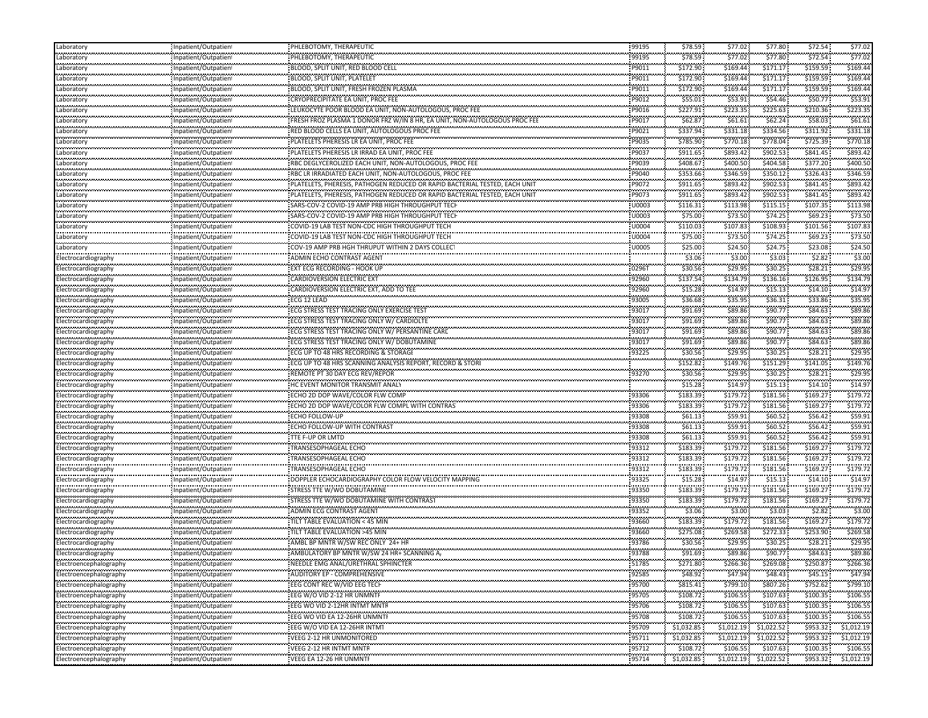| Laboratory                                      | Inpatient/Outpatient      | PHLEBOTOMY, THERAPEUTIC                                                        | 99195               | \$78.59             | \$77.02                    | \$77.80                                      | \$72.54                 | \$77.02       |
|-------------------------------------------------|---------------------------|--------------------------------------------------------------------------------|---------------------|---------------------|----------------------------|----------------------------------------------|-------------------------|---------------|
| Laboratory                                      | Inpatient/Outpatien       | PHLEBOTOMY, THERAPEUTIC                                                        | 99195               | \$78.59             | \$77.02                    | \$77.80                                      | \$72.54                 | \$77.02       |
| .<br>Laboratory                                 | Inpatient/Outpatient      | BLOOD, SPLIT UNIT, RED BLOOD CELL                                              | P9011               | \$172.90            | \$169.44                   | \$171.17                                     | \$159.59                | \$169.4       |
| .<br>Laboratory                                 | Inpatient/Outpatient      | BLOOD, SPLIT UNIT, PLATELET                                                    | P9011               | \$172.90            | \$169.44                   | \$171.17                                     | \$159.59                | \$169.44      |
| .<br>Laboratory                                 | <br>Inpatient/Outpatient  | BLOOD, SPLIT UNIT, FRESH FROZEN PLASMA                                         | P9011               | \$172.90            | <br>\$169.44               | ,,,,,,,,,<br>\$171.17                        | \$159.59                | \$169.4       |
| Laboratory                                      | Inpatient/Outpatient      | CRYOPRECIPITATE EA UNIT, PROC FEE                                              | P9012               | \$55.01             | \$53.91                    | \$54.46                                      | \$50.77                 | \$53.91       |
| Laboratory                                      | Inpatient/Outpatient      | LEUKOCYTE POOR BLOOD EA UNIT, NON-AUTOLOGOUS, PROC FEE                         | P9016               | \$227.91            | \$223.35                   | \$225.63                                     | \$210.36                | \$223.35      |
|                                                 |                           | FRESH FROZ PLASMA 1 DONOR FRZ W/IN 8 HR, EA UNIT, NON-AUTOLOGOUS PROC FEI      | P9017               | .                   |                            | \$62.24\$                                    | \$58.03                 | \$61.6\$      |
| Laboratory<br>                                  | Inpatient/Outpatient<br>  |                                                                                | P9021               | \$62.87<br>\$337.94 | \$61.61<br>\$331.18        | ,,,,,,,,,                                    | \$311.92                | \$331.18      |
| Laboratory<br>                                  | Inpatient/Outpatient      | RED BLOOD CELLS EA UNIT, AUTOLOGOUS PROC FEE                                   | .                   | \$785.90            | \$770.18                   | \$334.56<br>\$778.04                         | \$725.39                | \$770.1       |
| Laboratory<br>                                  | Inpatient/Outpatient<br>  | PLATELETS PHERESIS LR EA UNIT, PROC FEE                                        | P9035               |                     |                            | ,,,,,,,,,                                    | \$841.45                | \$893.4       |
| Laboratory<br>.                                 | Inpatient/Outpatient      | PLATELETS PHERESIS LR IRRAD EA UNIT, PROC FEE                                  | P9037               | \$911.65            | \$893.42                   | \$902.53                                     |                         |               |
| Laboratory<br>---------                         | Inpatient/Outpatient      | RBC DEGLYCEROLIZED EACH UNIT, NON-AUTOLOGOUS, PROC FEE                         | P9039               | \$408.67            | \$400.50                   | \$404.58                                     | \$377.20                | \$400.50      |
| Laboratory<br>بمدينهم                           | Inpatient/Outpatient      | RBC LR IRRADIATED EACH UNIT, NON-AUTOLOGOUS, PROC FEE                          | P9040               | \$353.66            | \$346.59                   | \$350.12                                     | \$326.43                | \$346.59      |
| Laboratory<br>.                                 | Inpatient/Outpatient<br>  | PLATELETS, PHERESIS, PATHOGEN REDUCED OR RAPID BACTERIAL TESTED, EACH UNIT     | P9072               | \$911.65<br>.       | \$893.42                   | \$902.53<br>,,,,,,,,,,                       | \$841.45                | \$893.47      |
| Laboratory<br>                                  | Inpatient/Outpatient      | PLATELETS, PHERESIS, PATHOGEN REDUCED OR RAPID BACTERIAL TESTED, EACH UNIT<br> | P9073<br>.          | \$911.65<br>.       | \$893.42<br>               | \$902.53<br>.                                | \$841.45                | \$893.4       |
| Laboratory<br>                                  | Inpatient/Outpatient      | SARS-COV-2 COVID-19 AMP PRB HIGH THROUGHPUT TECI                               | U0003               | \$116.31            | \$113.98                   | \$115.15                                     | \$107.35                | \$113.98      |
| Laboratory                                      | <br>Inpatient/Outpatient  | SARS-COV-2 COVID-19 AMP PRB HIGH THROUGHPUT TECH                               | U0003               | \$75.00             | \$73.50                    | \$74.25                                      | \$69.23\$               | \$73.5        |
| والمحاولات المادانية<br>Laboratory              | Inpatient/Outpatient      | COVID-19 LAB TEST NON-CDC HIGH THROUGHPUT TECH                                 | U0004               | \$110.03            | \$107.83                   | \$108.93                                     | \$101.56                | \$107.8       |
| .<br>Laboratory                                 | <br>Inpatient/Outpatient  | COVID-19 LAB TEST NON-CDC HIGH THROUGHPUT TECH                                 | U0004               | .<br>\$75.00        | <br>\$73.50                | \$74.25                                      | \$69.23\$               | \$73.5        |
| Laboratory                                      | Inpatient/Outpatient      | COV-19 AMP PRB HGH THRUPUT WITHIN 2 DAYS COLLECT                               | U0005               | \$25.00             | \$24.50                    | \$24.75                                      | \$23.08                 | \$24.5        |
| ,,,,,,,,,,,,,<br>Electrocardiography            | Inpatient/Outpatient      | ADMIN ECHO CONTRAST AGENT                                                      |                     | \$3.06              | \$3.00                     | <b><i><u>PERMIT BRITIS</u></i></b><br>\$3.03 | \$2.82                  | \$3.0         |
| Electrocardiography                             | Inpatient/Outpatient      | <b>EXT ECG RECORDING - HOOK UP</b>                                             | 02961               | \$30.56             | \$29.95                    | \$30.25                                      | \$28.21                 | \$29.95       |
| Electrocardiography                             | Inpatient/Outpatient      | <b>CARDIOVERSION ELECTRIC EXT</b>                                              | 92960               | \$137.54            | \$134.79                   | \$136.16                                     | \$126.95                | \$134.79      |
| Electrocardiography                             | Inpatient/Outpatient      | CARDIOVERSION ELECTRIC EXT, ADD TO TEE                                         | 92960               | <br>\$15.28         | .<br>\$14.97               | \$15.13                                      | \$14.10                 | \$14.9        |
| <br>Electrocardiography                         | <br>Inpatient/Outpatient  | <br>ECG 12 LEAD                                                                | 93005               | \$36.68             | \$35.95                    | \$36.31                                      | \$33.86                 | \$35.9        |
|                                                 | Inpatient/Outpatient      | ECG STRESS TEST TRACING ONLY EXERCISE TEST                                     | 93017               | \$91.69             | \$89.86                    | \$90.77                                      | \$84.63                 | \$89.8        |
| Electrocardiography                             |                           |                                                                                | 93017               | .                   | .                          | \$90.77                                      | \$84.63                 | \$89.8        |
| Electrocardiography<br><b>*****************</b> | Inpatient/Outpatient      | ECG STRESS TEST TRACING ONLY W/ CARDIOLTE                                      | 93017               | \$91.69<br>\$91.69  | \$89.86                    | \$90.77                                      | \$84.63                 | \$89.8        |
| Electrocardiography<br>                         | Inpatient/Outpatient<br>  | ECG STRESS TEST TRACING ONLY W/ PERSANTINE CARD                                |                     | \$91.69             | \$89.86<br>                | \$90.77                                      | \$84.63                 | \$89.8        |
| Electrocardiography                             | Inpatient/Outpatient      | ECG STRESS TEST TRACING ONLY W/ DOBUTAMINE                                     | 93017               |                     | \$89.86                    |                                              | \$28.21                 | \$29.95       |
| Electrocardiography                             | Inpatient/Outpatient      | ECG UP TO 48 HRS RECORDING & STORAGE                                           | 93225               | \$30.56             | \$29.95                    | \$30.25                                      |                         |               |
| Electrocardiography                             | Inpatient/Outpatient      | ECG UP TO 48 HRS SCANNING ANALYSIS REPORT, RECORD & STORI                      |                     | \$152.82            | \$149.76<br>.              | \$151.29                                     | \$141.05                | \$149.76      |
| Electrocardiography<br>                         | Inpatient/Outpatient<br>  | REMOTE PT 30 DAY ECG REV/REPOR                                                 | 93270               | \$30.56             | \$29.95<br>                | \$30.25                                      | \$28.21                 | .<br>\$29.9   |
| Electrocardiography                             | Inpatient/Outpatient      | HC EVENT MONITOR TRANSMIT ANALY                                                |                     | \$15.28             | \$14.97                    | \$15.13                                      | \$14.10                 | \$14.9        |
| Electrocardiography                             | Inpatient/Outpatient<br>  | ECHO 2D DOP WAVE/COLOR FLW COMP                                                | 93306               | \$183.39<br>.       | \$179.72<br>.              | \$181.56<br>,,,,,,,,,,                       | \$169.27                | \$179.7       |
| Electrocardiography                             | Inpatient/Outpatient      | ECHO 2D DOP WAVE/COLOR FLW COMPL WITH CONTRAS                                  | 93306               | \$183.39            | \$179.72                   | \$181.56                                     | \$169.27                | \$179.7       |
| <b>*****************</b><br>Electrocardiography | Inpatient/Outpatient      | ECHO FOLLOW-UP                                                                 | 93308               | \$61.13             | \$59.91                    | \$60.52                                      | \$56.42                 | \$59.9        |
| <br>Electrocardiography                         | <br>Inpatient/Outpatient  | <br>ECHO FOLLOW-UP WITH CONTRAST                                               | <br>93308           | \$61.13\$           | <br>\$59.91                | .<br>\$60.52                                 | \$56.42                 | \$59.9        |
| Electrocardiography                             | Inpatient/Outpatient      | <b>TTE F-UP OR LMTD</b>                                                        | 93308               | \$61.13\$           | \$59.91                    | \$60.52\$                                    | \$56.42\$               | \$59.91       |
| Electrocardiography                             | Inpatient/Outpatient      | TRANSESOPHAGEAL ECHO                                                           | 93312               | \$183.39            | \$179.72                   | \$181.56                                     | \$169.27                | \$179.72      |
| Electrocardiography                             | Inpatient/Outpatient      | TRANSESOPHAGEAL ECHO                                                           | 93312               | \$183.39            | \$179.72                   | \$181.56                                     | \$169.27                | \$179.7       |
| Electrocardiography                             | <br>Inpatient/Outpatient  | <br>TRANSESOPHAGEAL ECHO                                                       | <br>93312           | .<br>\$183.39       | \$179.72                   | ,,,,,,,,,,<br>\$181.56                       | \$169.27                | \$179.7       |
| <br>Electrocardiography                         | Inpatient/Outpatien       | DOPPLER ECHOCARDIOGRAPHY COLOR FLOW VELOCITY MAPPING                           | .<br>93325          | \$15.28             | .<br>\$14.97               | \$15.13                                      | \$14.10                 | \$14.9        |
| Electrocardiography                             | <br>Inpatient/Outpatient  | STRESS TTE W/WO DOBUTAMINE                                                     | <br>93350           | \$183.39            | \$179.72                   | ,,,,,,,,,<br>\$181.56                        | \$169.27                | \$179.7       |
| <b>***************</b><br>Electrocardiography   | Inpatient/Outpatient      | STRESS TTE W/WO DOBUTAMINE WITH CONTRAST                                       | 93350               | \$183.39            | \$179.72                   | \$181.56                                     | \$169.27                | \$179.72      |
| Electrocardiography                             | Inpatient/Outpatient      | <b>ADMIN ECG CONTRAST AGENT</b>                                                | 93352               | \$3.06              | \$3.00                     | \$3.03                                       | \$2.82                  | \$3.00        |
| Electrocardiography                             | Inpatient/Outpatient      | TILT TABLE EVALUATION < 45 MIN                                                 | 93660               | \$183.39            | \$179.72                   | \$181.56                                     | \$169.27                | \$179.7       |
| Electrocardiography                             | <br>Inpatient/Outpatient  | TILT TABLE EVALUATION >45 MIN                                                  | <br>93660           | .<br>\$275.08       | .<br>\$269.58              | ,,,,,,,,,<br>\$272.33                        | \$253.90                | \$269.58      |
|                                                 |                           | AMBL BP MNTR W/SW REC ONLY 24+ HF                                              | .<br>93786          |                     | .                          | \$30.25                                      | \$28.21                 | \$29.9        |
| Electrocardiography                             | Inpatient/Outpatien<br>   |                                                                                |                     | \$30.56<br>\$91.69  | \$29.95<br>                | \$90.77                                      | \$84.63                 | \$89.86       |
| Electrocardiography<br>Electroencephalography   | Inpatient/Outpatient      | AMBULATORY BP MNTR W/SW 24 HR+ SCANNING A,                                     | 93788<br>           | .                   | \$89.86<br>,,,,,,,,,,,     | .                                            |                         | .             |
|                                                 | Inpatient/Outpatien       | NEEDLE EMG ANAL/URETHRAL SPHINCTER                                             | 51785<br>,,,,,,,,,, | \$271.80            | \$266.36                   | \$269.08                                     | \$250.87                | \$266.36      |
| Electroencephalography                          | Inpatient/Outpatient      | AUDITORY EP - COMPREHENSIVE                                                    | 92585               | \$48.92             | \$47.94                    | \$48.43                                      | \$45.15                 | \$47.94       |
| Electroencephalography                          | Inpatient/Outpatient      | EEG CONT REC W/VID EEG TECH                                                    | 95700               | \$815.41            | \$799.10                   | \$807.26                                     | \$752.62                | \$799.10      |
| Electroencephalography                          | Inpatient/Outpatient      | EEG W/O VID 2-12 HR UNMNTF                                                     | 95705               | \$108.72            | \$106.55                   | \$107.63                                     | \$100.35                | \$106.55      |
| Electroencephalography<br>                      | Inpatient/Outpatient      | EEG WO VID 2-12HR INTMT MNTR                                                   | 95706<br>           | \$108.72<br>        | \$106.55<br>.              | \$107.63<br>.                                | \$100.35<br>,,,,,,,,,,, | \$106.55<br>. |
| Electroencephalography                          | Inpatient/Outpatient      | EEG WO VID EA 12-26HR UNMNTF                                                   | 95708<br>.          | \$108.72<br>        | \$106.55<br>,,,,,,,,,,,,   | \$107.63<br>.                                | \$100.35                | \$106.5       |
| Electroencephalography                          | Inpatient/Outpatient      | EEG W/O VID EA 12-26HR INTM1                                                   | 95709               | \$1,032.85          | \$1,012.19                 | \$1,022.52                                   | \$953.32                | \$1,012.19    |
| Electroencephalography                          | Inpatient/Outpatient      | <br>VEEG 2-12 HR UNMONITORED                                                   | 95711               | .<br>\$1,032.85     | ,,,,,,,,,,,,<br>\$1,012.19 | ,,,,,,,,,,,,<br>\$1,022.52                   | ,,,,,,,,,,,<br>\$953.32 | \$1,012.19    |
| Electroencephalography                          | Inpatient/Outpatient      | VEEG 2-12 HR INTMT MNTR                                                        | .<br>95712          | \$108.72            | <br>\$106.55               | \$107.63                                     | .<br>\$100.35           | \$106.55      |
| Electroencephalography                          | :<br>Inpatient/Outpatient | VEEG EA 12-26 HR UNMNTH                                                        | .<br>95714          | \$1,032.85          | $$1,012.19$ $$1,022.52$    |                                              | \$953.32                | \$1,012.19    |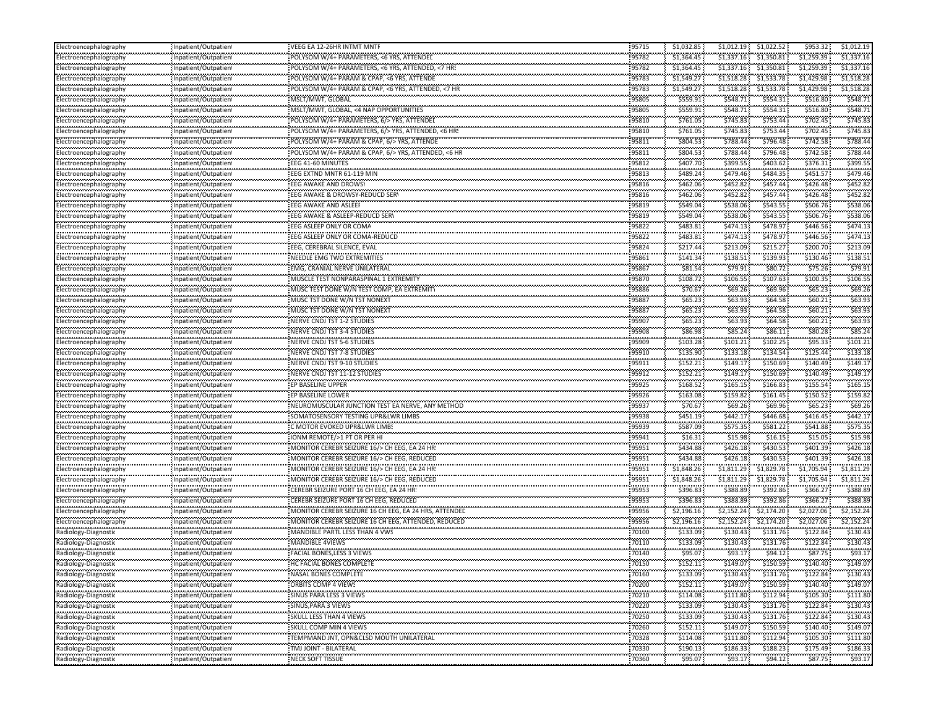| Electroencephalography     | Inpatient/Outpatient                                | VEEG EA 12-26HR INTMT MNTF                            | 95715               | \$1,032.85           | \$1,012.19             | \$1,022.52                     | \$953.32                 | \$1,012.19               |
|----------------------------|-----------------------------------------------------|-------------------------------------------------------|---------------------|----------------------|------------------------|--------------------------------|--------------------------|--------------------------|
| Electroencephalography     | Inpatient/Outpatient                                | POLYSOM W/4+ PARAMETERS, <6 YRS, ATTENDED             | 95782               | \$1,364.45           | \$1,337.16             | \$1,350.81                     | \$1,259.39               | \$1,337.16               |
| <br>Electroencephalography | Inpatient/Outpatient                                | POLYSOM W/4+ PARAMETERS, <6 YRS, ATTENDED, <7 HRS     | 95782               | \$1,364.45           | \$1,337.16             | \$1,350.81                     | \$1,259.39               | \$1,337.16               |
| Electroencephalography     | Inpatient/Outpatient                                | POLYSOM W/4+ PARAM & CPAP, <6 YRS, ATTENDE            | 95783               | \$1,549.27           | \$1.518.28             | \$1.533.78                     | \$1,429.98               | \$1,518.28               |
| <br>:lectroencephalography | Inpatient/Outpatient                                | POLYSOM W/4+ PARAM & CPAP, <6 YRS, ATTENDED, <7 HR    | 95783               | \$1,549.27           | \$1,518.28             | \$1,533.78                     | \$1,429.98               | \$1,518.28               |
| Electroencephalography     | Inpatient/Outpatient                                | MSLT/MWT, GLOBAL                                      | 95805               | \$559.91             | \$548.71               | \$554.31                       | \$516.80                 | \$548.7                  |
| Electroencephalography     | Inpatient/Outpatient                                | MSLT/MWT, GLOBAL, <4 NAP OPPORTUNITIES                | 95805               | \$559.91             | \$548.71               | \$554.31                       | \$516.80                 | \$548.7                  |
| lectroencephalography      | ,,,,,,,,,,,,,,,,,,,,,,,,,,,<br>Inpatient/Outpatient | POLYSOM W/4+ PARAMETERS, 6/> YRS, ATTENDEL            | 95810               | \$761.05             | \$745.83               | \$753.44                       | \$702.45                 | \$745.8                  |
| <br>Electroencephalography | Inpatient/Outpatient                                | POLYSOM W/4+ PARAMETERS, 6/> YRS, ATTENDED, <6 HR!    | 95810               | \$761.05             | <br>\$745.83           | \$753.44                       | \$702.45                 | \$745.8                  |
| Electroencephalography     | Inpatient/Outpatient                                | POLYSOM W/4+ PARAM & CPAP, 6/> YRS, ATTENDE           | 95811               | \$804.53             | \$788.44               | \$796.48                       | \$742.58                 | \$788.4                  |
| <br>Electroencephalography | Inpatient/Outpatient                                | POLYSOM W/4+ PARAM & CPAP, 6/> YRS, ATTENDED, <6 HR   | <br>95811           | --------<br>\$804.53 | \$788.44               | \$796.48                       | \$742.58                 | \$788.4                  |
| Electroencephalography     | Inpatient/Outpatient                                | EEG 41-60 MINUTES                                     | 95812               | \$407.70             | \$399.55               | \$403.62                       | \$376.31                 | \$399.5                  |
|                            | Inpatient/Outpatient                                | EEG EXTND MNTR 61-119 MIN                             | 95813               | \$489.24             | \$479.46               | \$484.35                       | \$451.57                 | \$479.4                  |
| Electroencephalography     |                                                     | <b>EEG AWAKE AND DROWSY</b>                           |                     |                      | \$452.82               | \$457.44                       |                          | \$452.8                  |
| lectroencephalography<br>  | Inpatient/Outpatient                                |                                                       | 95816<br>           | \$462.06             | \$452.82               | \$457.44                       | \$426.48<br>\$426.48     | \$452.8                  |
| Electroencephalography     | Inpatient/Outpatient                                | EEG AWAKE & DROWSY-REDUCD SER\                        | 95816<br>95819      | \$462.06<br>\$549.04 | \$538.06               | \$543.55                       | \$506.76                 | \$538.0                  |
| Electroencephalography<br> | Inpatient/Outpatient                                | EEG AWAKE AND ASLEEF                                  | .                   |                      |                        |                                |                          | \$538.0                  |
| Electroencephalography     | Inpatient/Outpatient                                | EEG AWAKE & ASLEEP-REDUCD SERV                        | 95819               | \$549.04             | \$538.06               | \$543.55                       | \$506.76                 |                          |
| Electroencephalography<br> | Inpatient/Outpatient                                | EEG ASLEEP ONLY OR COMA                               | 95822<br>.          | \$483.81<br>         | \$474.13               | \$478.97                       | \$446.56<br>             | \$474.1                  |
| Electroencephalography     | Inpatient/Outpatient                                | EEG ASLEEP ONLY OR COMA-REDUCD                        | 95822<br>.          | \$483.81             | \$474.13               | \$478.97                       | \$446.56                 | \$474.1                  |
| Electroencephalography<br> | Inpatient/Outpatient                                | EEG, CEREBRAL SILENCE, EVAL                           | 95824               | \$217.44             | \$213.09               | \$215.27                       | \$200.70                 | \$213.09                 |
| Electroencephalography     | Inpatient/Outpatient                                | NEEDLE EMG TWO EXTREMITIES                            | 95861               | \$141.34             | \$138.51               | \$139.93                       | \$130.46                 | \$138.5                  |
| Electroencephalography     | Inpatient/Outpatient                                | EMG, CRANIAL NERVE UNILATERAL                         | 95867               | \$81.54              | \$79.91                | \$80.72                        | \$75.26                  | \$79.9                   |
| Electroencephalography     | Inpatient/Outpatient                                | MUSCLE TEST NONPARASPINAL 1 EXTREMITY                 | 95870               | \$108.72             | \$106.55               | \$107.63                       | \$100.35                 | \$106.5                  |
| Electroencephalography     | Inpatient/Outpatient                                | MUSC TEST DONE W/N TEST COMP, EA EXTREMITY            | 95886               | \$70.67              | \$69.26                | \$69.96                        | \$65.23\$                | \$69.2                   |
| <br>Electroencephalography | Inpatient/Outpatient                                | MUSC TST DONE W/N TST NONEXT                          | <br>95887           | \$65.23              | .<br>\$63.93           | \$64.58                        | \$60.21                  | \$63.9                   |
| Electroencephalography     | Inpatient/Outpatient                                | MUSC TST DONE W/N TST NONEXT                          | 95887               | \$65.23              | \$63.93                | \$64.58                        | \$60.21                  | \$63.9                   |
| <br>Electroencephalography | Inpatient/Outpatient                                | NERVE CNDJ TST 1-2 STUDIES                            | 95907               | \$65.23              | \$63.93                | \$64.58                        | \$60.21                  | \$63.9                   |
| Electroencephalography     | Inpatient/Outpatient                                | NERVE CNDJ TST 3-4 STUDIES                            | .<br>95908          | \$86.98              | \$85.24                | \$86.11                        | \$80.28                  | \$85.2                   |
| <br>Electroencephalography | <br>Inpatient/Outpatient                            | <b>NERVE CNDJ TST 5-6 STUDIES</b>                     | 95909               | \$103.28             | \$101.21               | \$102.25                       | \$95.33                  | \$101.2                  |
| Electroencephalography     | Inpatient/Outpatient                                | NERVE CNDJ TST 7-8 STUDIES                            | 95910               | \$135.90             | \$133.18               | \$134.54                       | \$125.44                 | \$133.18                 |
| lectroencephalography      | Inpatient/Outpatient                                | NERVE CNDJ TST 9-10 STUDIES                           | 95911               | \$152.21             | \$149.1                | \$150.69                       | \$140.49                 | \$149.1                  |
| Electroencephalography     | Inpatient/Outpatient                                | NERVE CNDJ TST 11-12 STUDIES                          | 95912               | \$152.21             | \$149.17               | \$150.69                       | \$140.49                 | \$149.1                  |
| <br>Electroencephalography | Inpatient/Outpatient                                | EP BASELINE UPPER                                     | .<br>95925          | \$168.52             | \$165.15               | \$166.83                       | \$155.54                 | \$165.1                  |
| Electroencephalography     | Inpatient/Outpatient                                | EP BASELINE LOWER                                     | 95926               | \$163.08             | \$159.82               | \$161.45                       | \$150.52                 | \$159.8                  |
| <br>Electroencephalography | Inpatient/Outpatient                                | NEUROMUSCULAR JUNCTION TEST EA NERVE, ANY METHOD      | 95937               | \$70.67              | \$69.26                | \$69.96                        | \$65.23\$                | \$69.2                   |
| Electroencephalography     | Inpatient/Outpatient                                | SOMATOSENSORY TESTING UPR&LWR LIMBS                   | 95938               | \$451.19             | \$442.17               | <br>\$446.68                   | <b></b><br>\$416.45      | \$442.1                  |
| <br>Electroencephalography | <br>Inpatient/Outpatient                            | C MOTOR EVOKED UPR&LWR LIMBS                          | 95939               | \$587.09             | \$575.35               | \$581.22                       | \$541.88                 | \$575.3                  |
| Electroencephalography     | Inpatient/Outpatient                                | IONM REMOTE/>1 PT OR PER HI                           | 95941               | \$16.31              | \$15.98                | \$16.15                        | \$15.05                  | \$15.98                  |
|                            |                                                     | MONITOR CEREBR SEIZURE 16/> CH EEG, EA 24 HR          | 95951               | \$434.88             | \$426.18               | \$430.53                       | \$401.39                 | \$426.18                 |
| lectroencephalography      | Inpatient/Outpatient                                | MONITOR CEREBR SEIZURE 16/> CH EEG, REDUCED           | 95951               | \$434.88             | \$426.18               | \$430.53                       | \$401.39                 | \$426.18                 |
| Electroencephalography<br> | Inpatient/Outpatient                                |                                                       |                     |                      |                        |                                |                          |                          |
| lectroencephalography      | Inpatient/Outpatient                                | MONITOR CEREBR SEIZURE 16/> CH EEG, EA 24 HR!         | 95951<br>95951      | \$1,848.26           | \$1,811.29             | \$1,829.78                     | \$1,705.94<br>\$1,705.94 | \$1,811.29<br>\$1,811.29 |
| Electroencephalography<br> | Inpatient/Outpatient                                | MONITOR CEREBR SEIZURE 16/> CH EEG, REDUCED           | .                   | \$1,848.26           | \$1,811.29<br>\$388.89 | \$1,829.78                     | \$366.27                 | \$388.89                 |
| Electroencephalography     | Inpatient/Outpatient                                | CEREBR SEIZURE PORT 16 CH EEG, EA 24 HR               | 95953               | \$396.83             |                        | \$392.86                       |                          |                          |
| Electroencephalography     | Inpatient/Outpatient                                | CEREBR SEIZURE PORT 16 CH EEG, REDUCED                | 95953               | \$396.83             | \$388.89               | \$392.86                       | \$366.27                 | \$388.89                 |
| Electroencephalography     | Inpatient/Outpatient                                | MONITOR CEREBR SEIZURE 16 CH EEG, EA 24 HRS, ATTENDED | 95956               | \$2,196.16           | \$2,152.24             | \$2,174.20                     | \$2,027.06               | \$2,152.24               |
| Electroencephalography<br> | Inpatient/Outpatient                                | MONITOR CEREBR SEIZURE 16 CH EEG, ATTENDED, REDUCED   | 95956               | \$2,196.16           | \$2,152.24             | \$2,174.20                     | \$2,027.06               | \$2,152.24               |
| Radiology-Diagnostic<br>   | Inpatient/Outpatient                                | MANDIBLE PARTL LESS THAN 4 VWS                        | 70100               | \$133.09             | \$130.43               | \$131.76                       | \$122.84                 | \$130.4                  |
| Radiology-Diagnostic       | Inpatient/Outpatient<br>.<br>.                      | MANDIBLE 4VIEWS                                       | 70110               | \$133.09             | \$130.43               | \$131.76                       | \$122.84                 | \$130.43                 |
| Radiology-Diagnostic       | Inpatient/Outpatient                                | FACIAL BONES.LESS 3 VIEWS                             | 70140               | \$95.07              | \$93.17                | \$94.12                        | \$87.75<br>.             | \$93.1                   |
| Radiology-Diagnostic       | Inpatient/Outpatient                                | HC FACIAL BONES COMPLETE                              | 70150               | \$152.11             | \$149.07               | \$150.59                       | \$140.40                 | \$149.07                 |
| Radiology-Diagnostic       | Inpatient/Outpatient                                | NASAL BONES COMPLETE                                  | 70160               | \$133.09             | \$130.43               | \$131.76                       | \$122.84                 | \$130.43                 |
| Radiology-Diagnostic       | Inpatient/Outpatient                                | <b>ORBITS COMP 4 VIEWS</b>                            | 70200               | \$152.11             | \$149.07               | \$150.59                       | \$140.40                 | \$149.07                 |
| Radiology-Diagnostic       | Inpatient/Outpatient                                | SINUS PARA LESS 3 VIEWS                               | 70210               | \$114.08             | \$111.80               | \$112.94                       | \$105.30                 | \$111.80                 |
| Radiology-Diagnostic       | Inpatient/Outpatient                                | SINUS, PARA 3 VIEWS                                   | 70220               | \$133.09             | \$130.43               | \$131.76                       | \$122.84                 | \$130.43                 |
| <br>Radiology-Diagnostic   | Inpatient/Outpatient                                | <br>SKULL LESS THAN 4 VIEWS                           | ,,,,,,,,,,<br>70250 | .<br>\$133.09        | <br>\$130.43           | <br>\$131.76                   | \$122.84                 | \$130.4                  |
| <br>Radiology-Diagnostic   | Inpatient/Outpatient                                | SKULL COMP MIN 4 VIEWS                                | 70260               | \$152.11             | .<br>\$149.07          | \$150.59                       | \$140.40                 | .<br>\$149.07            |
| Radiology-Diagnostic       | Inpatient/Outpatient                                | <br>TEMPMAND JNT, OPN&CLSD MOUTH UNILATERAL           | 70328               | \$114.08             | \$111.80               | \$112.94                       | \$105.30                 | \$111.80                 |
| Radiology-Diagnostic       | Inpatient/Outpatient                                | TMJ JOINT - BILATERAL                                 | 70330               | <br>\$190.13         | .<br>\$186.33          | <b>ALCOHOL: 00</b><br>\$188.23 | ,,,,,,,,,,,,<br>\$175.49 | \$186.33                 |
| <br>Radiology-Diagnostic   | Inpatient/Outpatient                                | NECK SOFT TISSUE                                      | .<br>70360          | \$95.07              | \$93.17                | \$94.12                        | \$87.75                  | \$93.17                  |
|                            |                                                     |                                                       |                     |                      |                        |                                |                          |                          |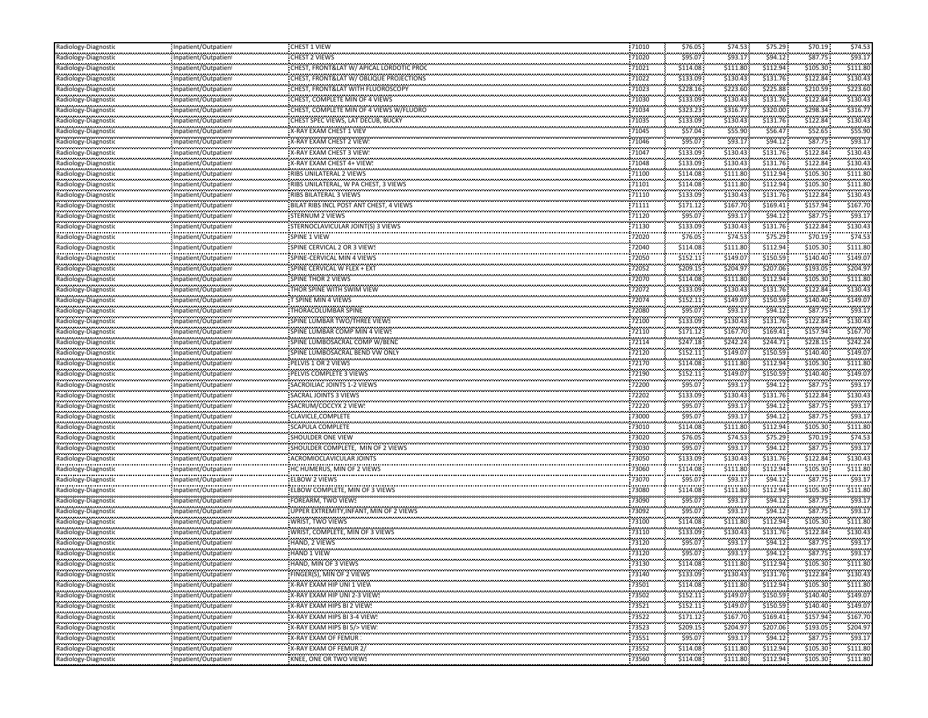| Radiology-Diagnostic                            | Inpatient/Outpatient     | CHEST 1 VIEW                                                                  | 71010              | \$76.05               | \$74.53                | \$75.29                | \$70.19       | \$74.53       |
|-------------------------------------------------|--------------------------|-------------------------------------------------------------------------------|--------------------|-----------------------|------------------------|------------------------|---------------|---------------|
| Radiology-Diagnostio                            | Inpatient/Outpatient     | CHEST 2 VIEWS                                                                 | 71020              | \$95.07               | \$93.17                | \$94.12                | \$87.75       | \$93.1        |
| <br>Radiology-Diagnostic                        | Inpatient/Outpatient     | CHEST, FRONT&LAT W/ APICAL LORDOTIC PROC                                      | <br>71021          | \$114.08              | ,,,,,,,,<br>\$111.80   | \$112.94               | ,<br>\$105.30 | \$111.8       |
| Radiology-Diagnostic                            | Inpatient/Outpatient     | CHEST, FRONT&LAT W/ OBLIQUE PROJECTIONS                                       | 71022              | \$133.09              | \$130.43               | \$131.76               | \$122.84      | \$130.4       |
| <br>Radiology-Diagnostic                        | Inpatient/Outpatient     | CHEST, FRONT&LAT WITH FLUOROSCOPY                                             | <br>71023          | \$228.16              | \$223.60               | ,,,,,,,,,<br>\$225.88  | \$210.59      | \$223.6       |
| Radiology-Diagnostic                            | Inpatient/Outpatient     | CHEST, COMPLETE MIN OF 4 VIEWS                                                | 71030              | \$133.09              | \$130.43               | \$131.76               | \$122.84      | \$130.43      |
| Radiology-Diagnostic                            | Inpatient/Outpatient     | CHEST, COMPLETE MIN OF 4 VIEWS W/FLUORO                                       | 71034              | \$323.23              | \$316.77               | \$320.00               | \$298.34      | \$316.7       |
| <br>Radiology-Diagnostic                        | Inpatient/Outpatient     | CHEST SPEC VIEWS, LAT DECUB, BUCKY                                            | .<br>71035         | \$133.09              | \$130.43               | \$131.76               | \$122.84      | \$130.4       |
| <br>Radiology-Diagnostic                        | <br>Inpatient/Outpatient | X-RAY EXAM CHEST 1 VIEV                                                       | <br>71045          | \$57.04               | \$55.90                | \$56.47                | \$52.65       | \$55.9        |
| Radiology-Diagnostic                            | Inpatient/Outpatient     | X-RAY EXAM CHEST 2 VIEW:                                                      | .<br>71046         | .<br>\$95.07          | \$93.17                | \$94.12                | \$87.75       | \$93.1        |
| <br>Radiology-Diagnostic                        | <br>Inpatient/Outpatient | X-RAY EXAM CHEST 3 VIEW:                                                      | 71047              | \$133.09              | ,,,,,,,,<br>\$130.43   | .<br>\$131.76          | \$122.84      | \$130.4       |
| ,,,,,,,,,,,,,,,,,,,,,,,<br>Radiology-Diagnostic | Inpatient/Outpatient     | X-RAY EXAM CHEST 4+ VIEW!                                                     | 71048              | \$133.09              | \$130.43               | \$131.76               | \$122.84      | \$130.4       |
| Radiology-Diagnostic                            | <br>Inpatient/Outpatient | .<br>RIBS UNILATERAL 2 VIEWS                                                  | 71100              | \$114.08              | \$111.80               | \$112.94               | \$105.30      | \$111.80      |
| Radiology-Diagnostic                            | Inpatient/Outpatient     | RIBS UNILATERAL, W PA CHEST, 3 VIEWS                                          | 71101              | \$114.08              | \$111.80               | \$112.94               | \$105.30      | \$111.80      |
| <br>Radiology-Diagnostic                        | <br>Inpatient/Outpatient | RIBS BILATERAL 3 VIEWS                                                        | <br>71110          | \$133.09              | \$130.43               | ,,,,,,,,,<br>\$131.76  | \$122.84      | \$130.4       |
|                                                 |                          | ,,,,,,,,,,,,,,,,,,,,,,,,,,,,,,,,,,<br>BILAT RIBS INCL POST ANT CHEST, 4 VIEWS | <br>71111          | \$171.12              | \$167.70               | \$169.41               | \$157.94      | \$167.7       |
| Radiology-Diagnostic<br>                        | Inpatient/Outpatient<br> |                                                                               |                    | .                     | \$93.17                | \$94.12                | \$87.75       | \$93.1        |
| Radiology-Diagnostic                            | Inpatient/Outpatient     | <b>STERNUM 2 VIEWS</b>                                                        | 71120<br>71130     | \$95.07<br>\$133.09   | \$130.43               | \$131.76               | \$122.84      | \$130.4       |
| Radiology-Diagnostic<br>                        | Inpatient/Outpatient     | STERNOCLAVICULAR JOINT(S) 3 VIEWS                                             |                    | .                     |                        | \$75.29                | \$70.19       | \$74.5        |
| Radiology-Diagnostic<br>                        | Inpatient/Outpatient     | SPINE 1 VIEW                                                                  | 72020<br>72040     | \$76.05               | \$74.53                |                        | \$105.30      | \$111.8       |
| Radiology-Diagnostic<br>                        | Inpatient/Outpatient<br> | SPINE CERVICAL 2 OR 3 VIEWS<br>SPINE-CERVICAL MIN 4 VIEWS                     | 72050              | \$114.08              | \$111.80<br>.          | \$112.94               |               | \$149.0       |
| Radiology-Diagnostic                            | Inpatient/Outpatient     |                                                                               |                    | \$152.11              | \$149.07               | \$150.59               | \$140.40      |               |
| Radiology-Diagnostic                            | Inpatient/Outpatient     | SPINE CERVICAL W FLEX + EXT                                                   | 72052              | \$209.15              | \$204.97               | \$207.06               | \$193.05      | \$204.9       |
| Radiology-Diagnostic<br>                        | Inpatient/Outpatient     | <b>SPINE THOR 2 VIEWS</b>                                                     | 72070<br>72072     | \$114.08              | \$111.80               | \$112.94               | \$105.30      | \$111.8       |
| Radiology-Diagnostic<br>                        | Inpatient/Outpatient<br> | THOR SPINE WITH SWIM VIEW                                                     |                    | \$133.09<br>.         | \$130.43<br>.          | \$131.76<br>,,,,,,,,,  | \$122.84<br>. | \$130.4       |
| Radiology-Diagnostic                            | Inpatient/Outpatient     | T SPINE MIN 4 VIEWS                                                           | 72074              | \$152.11              | \$149.07               | \$150.59               | \$140.40      | \$149.0       |
| Radiology-Diagnostic<br>                        | Inpatient/Outpatient<br> | THORACOLUMBAR SPINE                                                           | 72080              | \$95.07               | \$93.17                | \$94.12<br>,,,,,,,,,,  | \$87.75       | \$93.1        |
| Radiology-Diagnostic<br>                        | Inpatient/Outpatient     | SPINE LUMBAR TWO/THREE VIEWS                                                  | 72100              | \$133.09              | \$130.43               | \$131.76<br>,,,,,,,,,, | \$122.84      | \$130.4       |
| Radiology-Diagnostic<br>                        | Inpatient/Outpatient<br> | SPINE LUMBAR COMP MIN 4 VIEWS                                                 | 72110              | \$171.12              | \$167.70               | \$169.41               | \$157.94      | \$167.7       |
| Radiology-Diagnostic                            | Inpatient/Outpatient     | SPINE LUMBOSACRAL COMP W/BENL                                                 | 72114              | \$247.18              | \$242.24               | \$244.71               | \$228.15      | \$242.2       |
| Radiology-Diagnostic                            | Inpatient/Outpatient     | SPINE LUMBOSACRAL BEND VW ONLY                                                | 72120              | \$152.11              | \$149.07               | \$150.59               | \$140.40      | \$149.0       |
| Radiology-Diagnostic                            | Inpatient/Outpatient     | PELVIS 1 OR 2 VIEWS                                                           | 72170              | \$114.08              | \$111.80               | \$112.94               | \$105.30      | \$111.80      |
| Radiology-Diagnostic                            | Inpatient/Outpatient     | PELVIS COMPLETE 3 VIEWS                                                       | 72190              | \$152.11              | \$149.07               | \$150.59               | \$140.40      | \$149.0       |
| <br>Radiology-Diagnostic                        | <br>Inpatient/Outpatient | <br>SACROILIAC JOINTS 1-2 VIEWS                                               | <br>72200          | .<br>\$95.07          | \$93.17                | \$94.12                | \$87.75       | \$93.1        |
| Radiology-Diagnostic                            | Inpatient/Outpatient     | SACRAL JOINTS 3 VIEWS                                                         | 72202              | \$133.09              | \$130.43               | \$131.76               | \$122.84      | \$130.4       |
| <br>Radiology-Diagnostic                        | <br>Inpatient/Outpatient | SACRUM/COCCYX 2 VIEW:                                                         | 72220              | .<br>\$95.07          | \$93.17                | \$94.12                | \$87.75       | \$93.1        |
| <br>Radiology-Diagnostic                        | Inpatient/Outpatient     | <br>CLAVICLE, COMPLETE                                                        | 73000              | \$95.07               | \$93.17                | \$94.12                | \$87.75       | 593.1         |
| <br>Radiology-Diagnostic                        | <br>Inpatient/Outpatient | SCAPULA COMPLETE                                                              | <br>73010          | \$114.08              | \$111.80               | \$112.94               | \$105.30      | \$111.8       |
| Radiology-Diagnostic                            | Inpatient/Outpatient     | <b>SHOULDER ONE VIEW</b>                                                      | 73020              | \$76.05               | \$74.53                | \$75.29                | \$70.19       | \$74.53       |
| Radiology-Diagnostic                            | Inpatient/Outpatient     | SHOULDER COMPLETE, MIN OF 2 VIEWS                                             | 73030              | \$95.07               | \$93.17                | \$94.12                | \$87.75       | \$93.1        |
| Radiology-Diagnostic                            | Inpatient/Outpatient     | ACROMIOCLAVICULAR JOINTS                                                      | 73050              | \$133.09              | \$130.43               | \$131.76               | \$122.84      | \$130.4       |
| <br>Radiology-Diagnostic                        | Inpatient/Outpatient     | HC HUMERUS, MIN OF 2 VIEWS                                                    | <br>73060          | .<br>\$114.08         | .<br>\$111.80          | \$112.94               | \$105.30      | \$111.8       |
| Radiology-Diagnostic                            | Inpatient/Outpatient     | ELBOW 2 VIEWS                                                                 | <br>73070          | <br>\$95.07           | \$93.17                | \$94.12                | \$87.75       | \$93.1        |
| <br>Radiology-Diagnostic                        | <br>Inpatient/Outpatient | ELBOW COMPLETE, MIN OF 3 VIEWS                                                | 73080              | \$114.08              | ,,,,,,,,,<br>\$111.80  | \$112.94               | \$105.30      | \$111.8       |
| Radiology-Diagnostic                            | Inpatient/Outpatient     | FOREARM, TWO VIEWS                                                            | 73090              | \$95.07               | \$93.17                | \$94.12                | \$87.75       | \$93.1        |
| Radiology-Diagnostic                            | Inpatient/Outpatient     | UPPER EXTREMITY, INFANT, MIN OF 2 VIEWS                                       | 73092              | \$95.07               | \$93.17                | \$94.12                | \$87.75       | \$93.1        |
| Radiology-Diagnostic                            | Inpatient/Outpatient     | WRIST, TWO VIEWS                                                              | 73100              | \$114.08              | \$111.80               | \$112.94               | \$105.30      | \$111.80      |
| <br>Radiology-Diagnostic                        | <br>Inpatient/Outpatient | WRIST, COMPLETE, MIN OF 3 VIEWS                                               | <br>73110          | ,,,,,,,,,<br>\$133.09 | .<br>\$130.43          | ,,,,,,,,,,<br>\$131.76 | \$122.84      | \$130.4       |
| Radiology-Diagnostic                            | Inpatient/Outpatient     | HAND, 2 VIEWS                                                                 | <br>73120          | .<br>\$95.07          | .<br>\$93.17           | \$94.12                | \$87.75       | \$93.1        |
| Radiology-Diagnostic                            | Inpatient/Outpatient     | <br>HAND 1 VIEW                                                               | <br>73120          | .<br>\$95.07          | <br>\$93.17            | .<br>\$94.12           | \$87.75       | \$93.1        |
| <br>Radiology-Diagnostic                        | Inpatient/Outpatient     | ,,,,,,,,,,,,,,,,,,,,,,,,,,,,,,,,,<br>HAND, MIN OF 3 VIEWS                     | <br>73130          | \$114.08              | ,,,,,,,,,,<br>\$111.80 | .<br>\$112.94          | \$105.30      | .<br>\$111.80 |
| <br>Radiology-Diagnostic                        | Inpatient/Outpatient     | FINGER(S), MIN OF 2 VIEWS                                                     | .<br>73140         | \$133.09              | \$130.43               | \$131.76               | \$122.84      | \$130.43      |
| Radiology-Diagnostic                            | Inpatient/Outpatient     | X-RAY EXAM HIP UNI 1 VIEW                                                     | 73501              | \$114.08              | \$111.80               | \$112.94               | \$105.30      | \$111.80      |
| Radiology-Diagnostic                            | Inpatient/Outpatient     | X-RAY EXAM HIP UNI 2-3 VIEWS                                                  | 73502              | \$152.11              | \$149.07               | \$150.59               | \$140.40      | \$149.07      |
| Radiology-Diagnostic                            | Inpatient/Outpatient     | X-RAY EXAM HIPS BI 2 VIEW!                                                    | 73521              | \$152.11              | \$149.07               | \$150.59               | \$140.40      | \$149.07      |
| Radiology-Diagnostic                            | Inpatient/Outpatient     | ,,,,,,,,,,,,,,,,,,,,,,,,,,,,,,,,,,<br>X-RAY EXAM HIPS BI 3-4 VIEW!            | <br>73522          | .<br>\$171.12         | \$167.70               | .<br>\$169.41          | \$157.94      | .<br>\$167.70 |
| Radiology-Diagnostic                            | Inpatient/Outpatient     | X-RAY EXAM HIPS BI 5/> VIEW!                                                  | <br>73523          | \$209.15              | \$204.97               | .<br>\$207.06          | \$193.05      | \$204.9       |
| Radiology-Diagnostic                            | <br>Inpatient/Outpatient | <br>X-RAY EXAM OF FEMUR :                                                     | ,,,,,,,,,<br>73551 | \$95.07               | \$93.17                | \$94.12                | \$87.75       | \$93.1        |
| Radiology-Diagnostic                            | Inpatient/Outpatient     | <br>X-RAY EXAM OF FEMUR 2/                                                    | <br>73552          | .<br>\$114.08         | <br>\$111.80           | .<br>\$112.94          | \$105.30      | .<br>\$111.80 |
|                                                 |                          | ,,,,,,,,,,,,,,,,,,,,,,,,,,,,,,,,                                              | .                  | .                     |                        |                        |               |               |
| Radiology-Diagnostic                            | Inpatient/Outpatient     | KNEE, ONE OR TWO VIEWS                                                        | 73560              | \$114.08              | \$111.80               | \$112.94               | \$105.30      | \$111.80      |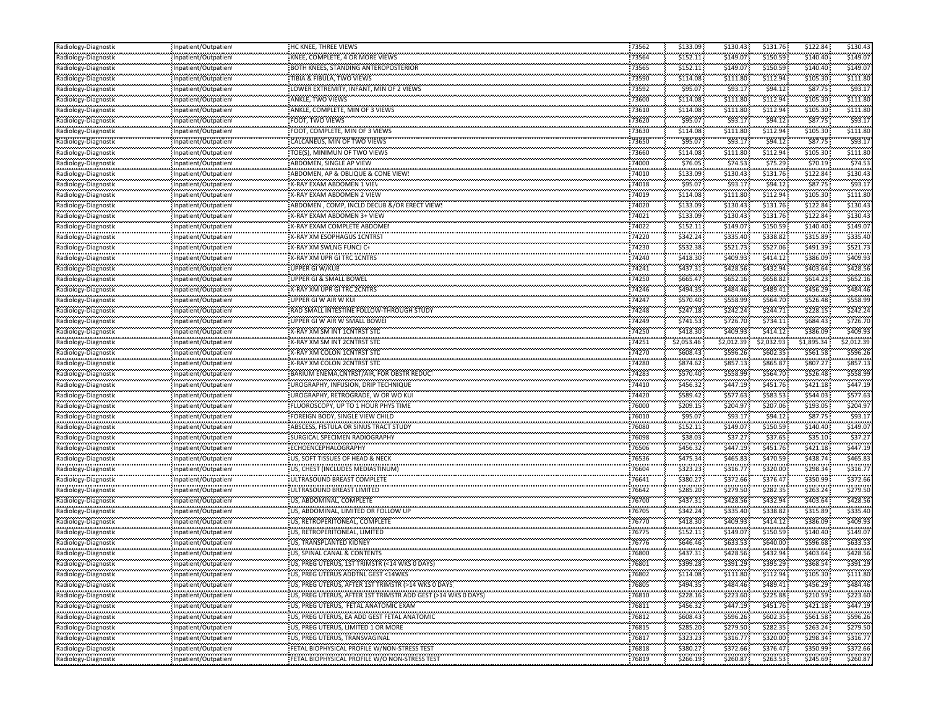| Radiology-Diagnostic                             | Inpatient/Outpatient      | HC KNEE, THREE VIEWS                                            | 73562               | \$133.09             | \$130.43              | \$131.76               | \$122.84      | \$130.43              |
|--------------------------------------------------|---------------------------|-----------------------------------------------------------------|---------------------|----------------------|-----------------------|------------------------|---------------|-----------------------|
| Radiology-Diagnostio                             | Inpatient/Outpatient      | KNEE, COMPLETE, 4 OR MORE VIEWS                                 | 73564               | \$152.11             | \$149.07              | \$150.59               | \$140.40      | \$149.07              |
| <br>Radiology-Diagnostic                         | Inpatient/Outpatient      | BOTH KNEES, STANDING ANTEROPOSTERIOR                            | <br>73565           | .<br>\$152.11        | .<br>\$149.07         | \$150.59               | \$140.40      | \$149.0               |
| Radiology-Diagnostic                             | Inpatient/Outpatient      | TIBIA & FIBULA, TWO VIEWS                                       | 73590               | \$114.08             | \$111.80              | \$112.94               | \$105.30      | \$111.8               |
| <br>Radiology-Diagnostic                         | Inpatient/Outpatient      | LOWER EXTREMITY, INFANT, MIN OF 2 VIEWS                         | <br>73592           | .<br>\$95.07         | \$93.17               | \$94.12                | \$87.75       | \$93.1                |
| Radiology-Diagnostic                             | Inpatient/Outpatient      | ANKLE, TWO VIEWS                                                | 73600               | \$114.08             | \$111.80              | \$112.94               | \$105.30      | \$111.80              |
| Radiology-Diagnostic                             | Inpatient/Outpatient      | ANKLE, COMPLETE, MIN OF 3 VIEWS                                 | 73610               | \$114.08             | \$111.80              | \$112.94               | \$105.30      | \$111.80              |
| <br>Radiology-Diagnostic                         | Inpatient/Outpatient      | <b>FOOT, TWO VIEWS</b>                                          | <br>73620           | .<br>\$95.07         | \$93.17               | \$94.12                | \$87.75       | \$93.1                |
| <br>Radiology-Diagnostic                         | <br>Inpatient/Outpatient  | FOOT, COMPLETE, MIN OF 3 VIEWS                                  | <br>73630           | \$114.08             | ,,,,,,,,,<br>\$111.80 | ,,,,,,,,,<br>\$112.94  | \$105.30      | \$111.8               |
| Radiology-Diagnostic                             | Inpatient/Outpatient      | CALCANEUS, MIN OF TWO VIEWS                                     | .<br>73650          | .<br>\$95.07         | \$93.17               | \$94.12                | \$87.75       | \$93.1                |
| <br>Radiology-Diagnostic                         | <br>Inpatient/Outpatient  | TOE(S), MINIMUN OF TWO VIEWS                                    | <br>73660           | .<br>\$114.08        | ,,,,,,,,<br>\$111.80  | ,,,,,,,,,<br>\$112.94  | \$105.30      | \$111.8               |
| Radiology-Diagnostic                             | Inpatient/Outpatient      | ABDOMEN, SINGLE AP VIEW                                         | 74000               | \$76.05              | \$74.53               | \$75.29                | \$70.19       | \$74.5                |
| Radiology-Diagnostic                             | <br>Inpatient/Outpatient  | ABDOMEN, AP & OBLIQUE & CONE VIEW!                              | 74010               | \$133.09             | \$130.43              | \$131.76               | \$122.84      | \$130.43              |
| Radiology-Diagnostic                             | Inpatient/Outpatient      | X-RAY EXAM ABDOMEN 1 VIEV                                       | 74018               | \$95.07              | \$93.17               | \$94.12                | \$87.75       | \$93.1                |
| <br>Radiology-Diagnostic                         | <br>Inpatient/Outpatient  | X-RAY EXAM ABDOMEN 2 VIEW                                       | 74019               | \$114.08             | ,,,,,,,,,<br>\$111.80 | ,,,,,,,,,<br>\$112.94  | \$105.30      | \$111.8               |
|                                                  |                           | ABDOMEN, COMP, INCLD DECUB &/OR ERECT VIEWS                     | .                   | \$133.09             | <br>\$130.43          | \$131.76               | \$122.84      | \$130.4               |
| Radiology-Diagnostic<br>                         | Inpatient/Outpatient<br>  |                                                                 | 74020<br>           | .                    | \$130.43              | ,,,,,,,,,              | \$122.84      | \$130.4               |
| Radiology-Diagnostic                             | Inpatient/Outpatient      | X-RAY EXAM ABDOMEN 3+ VIEW<br>X-RAY EXAM COMPLETE ABDOME        | 74021<br>74022      | \$133.09<br>\$152.11 | \$149.07              | \$131.76<br>\$150.59   | \$140.40      | \$149.0               |
| Radiology-Diagnostic<br>                         | Inpatient/Outpatient      |                                                                 |                     | .                    | .                     | ,,,,,,,,,              | \$315.89      | \$335.4               |
| Radiology-Diagnostic<br>                         | Inpatient/Outpatient      | X-RAY XM ESOPHAGUS 1CNTRST                                      | 74220               | \$342.24             | \$335.40              | \$338.82<br>\$527.06   | \$491.39      | 5521.7                |
| Radiology-Diagnostic<br>                         | Inpatient/Outpatient      | X-RAY XM SWLNG FUNCJ C+<br>X-RAY XM UPR GI TRC 1CNTRS           | 74230<br>74240      | \$532.38             | \$521.73<br>\$409.93  | \$414.12               | \$386.09      | \$409.9               |
| Radiology-Diagnostic                             | Inpatient/Outpatient      |                                                                 |                     | \$418.30             |                       |                        |               | \$428.5               |
| Radiology-Diagnostic                             | Inpatient/Outpatient      | UPPER GI W/KUE                                                  | 74241               | \$437.31             | \$428.56              | \$432.94               | \$403.64      |                       |
| Radiology-Diagnostic<br>                         | Inpatient/Outpatient      | UPPER GI & SMALL BOWEL                                          | 74250               | \$665.47             | \$652.16<br>          | \$658.82               | \$614.23      | \$652.1               |
| Radiology-Diagnostic<br>                         | Inpatient/Outpatient<br>  | X-RAY XM UPR GI TRC 2CNTRS<br>                                  | 74246<br>           | \$494.35<br>.        | \$484.46              | \$489.41<br>,,,,,,,,,, | \$456.29      | \$484.4               |
| Radiology-Diagnostic                             | Inpatient/Outpatient      | UPPER GI W AIR W KUI                                            | 74247               | \$570.40             | \$558.99              | \$564.70               | \$526.48      | \$558.9               |
| Radiology-Diagnostic<br>                         | Inpatient/Outpatient<br>  | RAD SMALL INTESTINE FOLLOW-THROUGH STUDY                        | 74248               | \$247.18<br>.        | \$242.24<br>.         | \$244.71<br>,,,,,,,,,  | \$228.15      | \$242.2               |
| Radiology-Diagnostic                             | Inpatient/Outpatient      | UPPER GI W AIR W SMALL BOWEI                                    | 74249               | \$741.53             | \$726.70              | \$734.11               | \$684.43<br>. | \$726.7               |
| Radiology-Diagnostic<br>                         | Inpatient/Outpatient<br>  | X-RAY XM SM INT 1CNTRST STC                                     | 74250               | \$418.30             | \$409.93<br>          | \$414.12               | \$386.09      | \$409.9               |
| Radiology-Diagnostic                             | Inpatient/Outpatient      | X-RAY XM SM INT 2CNTRST STL                                     | 74251               | \$2,053.46           | \$2,012.39            | \$2,032.93             | \$1,895.34    | \$2,012.39            |
| Radiology-Diagnostic                             | Inpatient/Outpatient      | X-RAY XM COLON 1CNTRST STD                                      | 74270               | \$608.43             | \$596.26              | \$602.35               | \$561.58      | \$596.20              |
| Radiology-Diagnostic                             | Inpatient/Outpatient      | X-RAY XM COLON 2CNTRST STD                                      | 74280               | \$874.62             | \$857.13              | \$865.87               | \$807.27      | \$857.1               |
| Radiology-Diagnostic                             | Inpatient/Outpatient      | BARIUM ENEMA, CNTRST/AIR, FOR OBSTR REDUC                       | 74283               | \$570.40             | \$558.99              | \$564.70               | \$526.48      | \$558.9               |
| <br>Radiology-Diagnostic                         | <br>Inpatient/Outpatient  | UROGRAPHY, INFUSION, DRIP TECHNIQUE                             | <br>74410           | .<br>\$456.32        | .<br>\$447.19         | ,,,,,,,,,<br>\$451.76  | \$421.18      | \$447.1               |
| Radiology-Diagnostic                             | Inpatient/Outpatient      | UROGRAPHY, RETROGRADE, W OR WO KU                               | 74420               | \$589.42             | \$577.63              | \$583.53               | \$544.03      | \$577.6               |
| <br>Radiology-Diagnostic                         | <br>Inpatient/Outpatient  | FLUOROSCOPY, UP TO 1 HOUR PHYS TIME                             | 76000               | .<br>\$209.15        | \$204.97              | ,,,,,,,,,<br>\$207.06  | \$193.05      | \$204.9               |
| <br>Radiology-Diagnostic                         | Inpatient/Outpatient      | FOREIGN BODY, SINGLE VIEW CHILD                                 | 76010               | \$95.07              | \$93.17               | \$94.12                | \$87.75       | \$93.1                |
| <br>Radiology-Diagnostic                         | <br>Inpatient/Outpatient  | ABSCESS, FISTULA OR SINUS TRACT STUDY                           | <br>76080           | \$152.11             | ,,,,,,,,,<br>\$149.07 | ,,,,,,,,,<br>\$150.59  | \$140.40      | \$149.0               |
| Radiology-Diagnostic                             | Inpatient/Outpatient      | SURGICAL SPECIMEN RADIOGRAPHY                                   | 76098               | \$38.03              | \$37.27               | \$37.65                | \$35.10       | \$37.2                |
| Radiology-Diagnostic                             | Inpatient/Outpatient      | ECHOENCEPHALOGRAPHY                                             | 76506               | \$456.32             | \$447.19              | \$451.76               | \$421.18      | \$447.19              |
| Radiology-Diagnostic                             | Inpatient/Outpatient      | US, SOFT TISSUES OF HEAD & NECK                                 | <br>76536           | \$475.34             | <br>\$465.83          | \$470.59               | \$438.74      | \$465.8               |
| <br>Radiology-Diagnostic                         | Inpatient/Outpatient      | US, CHEST (INCLUDES MEDIASTINUM)                                | <br>76604           | .<br>\$323.23        | <br>\$316.77          | ,,,,,,,,,<br>\$320.00  | \$298.34      | \$316.7               |
| Radiology-Diagnostic                             | Inpatient/Outpatient      | ULTRASOUND BREAST COMPLETE                                      | <br>76641           | .<br>\$380.27        | <br>\$372.66          | \$376.47               | \$350.99      | \$372.6               |
| <br>Radiology-Diagnostic                         | <br>Inpatient/Outpatient  | ULTRASOUND BREAST LIMITED                                       | <br>76642           | \$285.20             | \$279.50              | ,,,,,,,,,<br>\$282.35  | \$263.24      | \$279.5               |
| Radiology-Diagnostic                             | Inpatient/Outpatient      | US, ABDOMINAL, COMPLETE                                         | 76700               | \$437.31             | \$428.56              | \$432.94               | \$403.64      | \$428.5               |
| Radiology-Diagnostic                             | Inpatient/Outpatient      | US, ABDOMINAL, LIMITED OR FOLLOW UP                             | 76705               | \$342.24             | \$335.40              | \$338.82               | \$315.89      | \$335.40              |
| Radiology-Diagnostic                             | Inpatient/Outpatient      | US, RETROPERITONEAL, COMPLETE                                   | 76770               | \$418.30             | \$409.93              | \$414.12               | \$386.09      | \$409.9               |
| <br>Radiology-Diagnostic                         | <br>Inpatient/Outpatient  | US, RETROPERITONEAL, LIMITED                                    | <br>76775           | \$152.11             | .<br>\$149.07         | ,,,,,,,,,<br>\$150.59  | .<br>\$140.40 | \$149.0               |
| Radiology-Diagnostic                             | Inpatient/Outpatient      | US, TRANSPLANTED KIDNEY                                         | .<br>76776          | .<br>\$646.46        | .<br>\$633.53         | .<br>\$640.00          | \$596.68      | \$633.5               |
| Radiology-Diagnostic                             | <br>Inpatient/Outpatient  | ,,,,,,,,,,,,,,,,,,,,,,,,,,,,,,,,<br>US, SPINAL CANAL & CONTENTS | <br>76800           | \$437.31             | .<br>\$428.56         | \$432.94               | .<br>\$403.64 | \$428.56              |
| ,,,,,,,,,,,,,,,,,,,,,,,,<br>Radiology-Diagnostic | Inpatient/Outpatient      | US, PREG UTERUS, 1ST TRIMSTR (<14 WKS 0 DAYS)                   | <br>76801           | .<br>\$399.28        | <br>\$391.29          | \$395.29               | \$368.54      | 1,000,000<br>\$391.29 |
| <br>Radiology-Diagnostic                         | <br>Inpatient/Outpatient  | US, PREG UTERUS ADDTNL GEST <14WKS                              | ,,,,,,,,,,<br>76802 | \$114.08             | \$111.80              | \$112.94               | \$105.30      | \$111.80              |
| <br>Radiology-Diagnostic                         | Inpatient/Outpatient      | US, PREG UTERUS, AFTER 1ST TRIMSTR (>14 WKS 0 DAYS)             | 76805               | \$494.35             | \$484.46              | \$489.41               | \$456.29      | \$484.46              |
| Radiology-Diagnostic                             | Inpatient/Outpatient      | US, PREG UTERUS, AFTER 1ST TRIMSTR ADD GEST (>14 WKS 0 DAYS)    | 76810               | \$228.16             | \$223.60              | \$225.88               | \$210.59      | \$223.60              |
| Radiology-Diagnostic                             | Inpatient/Outpatient      | US, PREG UTERUS, FETAL ANATOMIC EXAM                            | 76811               | \$456.32             | \$447.19              | \$451.76               | \$421.18      | \$447.19              |
|                                                  | Inpatient/Outpatient      | US, PREG UTERUS, EA ADD GEST FETAL ANATOMIC                     | .                   | \$608.43             |                       | .                      | ,,,,,,,,,,,   | .<br>\$596.20         |
| Radiology-Diagnostic                             |                           |                                                                 | 76812<br>.          | .                    | \$596.26<br>\$279.50  | \$602.35               | \$561.58      | \$279.5               |
| Radiology-Diagnostic                             | Inpatient/Outpatient<br>  |                                                                 | 76815<br>           | \$285.20<br>.        |                       | \$282.35<br>.          | \$263.24<br>. | .                     |
| Radiology-Diagnostic                             | Inpatient/Outpatient      | FETAL BIOPHYSICAL PROFILE W/NON-STRESS TEST                     | 76817<br>.          | \$323.23<br>.        | \$316.77<br>\$372.66  | \$320.00               | \$298.34      | \$316.7<br>\$372.66   |
| Radiology-Diagnostic<br>                         | Inpatient/Outpatient<br>: | FETAL BIOPHYSICAL PROFILE W/O NON-STRESS TEST                   | 76818<br>.          | \$380.27<br>.        |                       | \$376.47<br>.          | \$350.99      |                       |
| Radiology-Diagnostic                             | Inpatient/Outpatient      |                                                                 | 76819               | \$266.19             | \$260.87              | \$263.53               | \$245.69      | \$260.87              |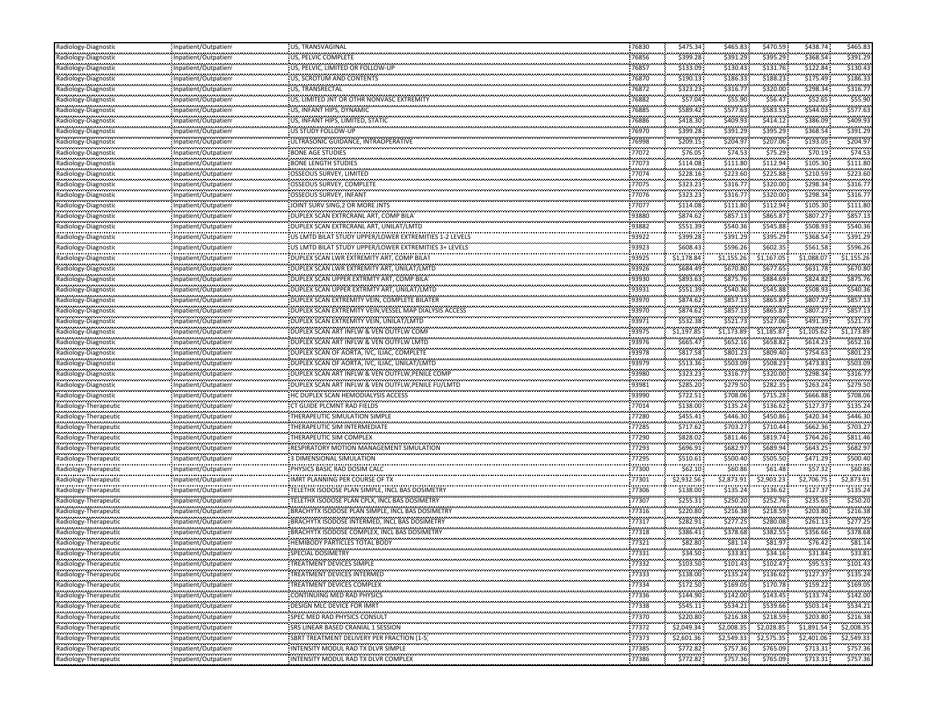| Radiology-Diagnostic                           | Inpatient/Outpatient                         | US, TRANSVAGINAL                                           | 76830          | \$475.34               | \$465.83   | \$470.59             | \$438.74               | \$465.83             |
|------------------------------------------------|----------------------------------------------|------------------------------------------------------------|----------------|------------------------|------------|----------------------|------------------------|----------------------|
| Radiology-Diagnostic                           | Inpatient/Outpatien                          | US, PELVIC COMPLETE                                        | 76856          | \$399.28               | \$391.29   | \$395.29             | \$368.54               | \$391.29             |
| Radiology-Diagnostic                           | Inpatient/Outpatien                          | US, PELVIC, LIMITED OR FOLLOW-UP                           | 76857          | \$133.09               | \$130.43   | \$131.76             | \$122.84               | \$130.43             |
| Radiology-Diagnostic                           | Inpatient/Outpatien                          | US, SCROTUM AND CONTENTS                                   | 76870          | \$190.13               | \$186.33   | \$188.23             | \$175.49               | \$186.3              |
| Radiology-Diagnostic                           | Inpatient/Outpatien                          | US, TRANSRECTAL                                            | 76872          | \$323.23               | \$316.77   | \$320.00             | \$298.34               | \$316.7              |
| Radiology-Diagnostic                           | Inpatient/Outpatien                          | US, LIMITED JNT OR OTHR NONVASC EXTREMITY                  | 76882          | \$57.04                | \$55.90    | \$56.47              | \$52.65                | \$55.90              |
| Radiology-Diagnostic                           | Inpatient/Outpatien                          | US, INFANT HIPS, DYNAMIC                                   | 76885          | \$589.42               | \$577.63   | \$583.53             | \$544.03               | \$577.63             |
|                                                | Inpatient/Outpatien                          | US, INFANT HIPS, LIMITED, STATIC                           | 76886          | \$418.30               | \$409.93   | \$414.12             | \$386.09               | \$409.9              |
| <br>Radiology-Diagnostic                       | Inpatient/Outpatien                          | US STUDY FOLLOW-UP                                         | 76970          | \$399.28               | \$391.29   | \$395.29             | \$368.54               | \$391.29             |
| Radiology-Diagnosti                            | Inpatient/Outpatien                          | ULTRASONIC GUIDANCE, INTRAOPERATIVE                        | 76998          | \$209.15               | \$204.97   | \$207.06             | \$193.05               | \$204.9              |
| .<br>Radiology-Diagnostic                      | Inpatient/Outpatien                          | <b>BONE AGE STUDIES</b>                                    | 77072          | \$76.05                | \$74.53    | \$75.29              | \$70.19                | \$74.53              |
| Radiology-Diagnostic                           | Inpatient/Outpatien                          | <b>BONE LENGTH STUDIES</b>                                 | 77073          | \$114.08               | \$111.80   | \$112.94             | \$105.30               | \$111.80             |
| Radiology-Diagnostic                           | Inpatient/Outpatien                          | <b>OSSEOUS SURVEY, LIMITED</b>                             | 77074          | \$228.16               | \$223.60   | \$225.88             | \$210.59               | \$223.60             |
|                                                |                                              | OSSEOUS SURVEY, COMPLETE                                   | 77075          | \$323.23               | \$316.77   | \$320.00             | \$298.34               | \$316.77             |
| Radiology-Diagnostic                           | Inpatient/Outpatien                          |                                                            | 77076          | \$323.23               | \$316.77   | \$320.00             | \$298.34               | \$316.7              |
| Radiology-Diagnosti                            | Inpatient/Outpatien                          | OSSEOUS SURVEY, INFANT<br>JOINT SURV SING, 2 OR MORE JNTS  | 77077          | \$114.08               | \$111.80   | \$112.94             | \$105.30               | \$111.8              |
| Radiology-Diagnostic<br>Radiology-Diagnostic   | Inpatient/Outpatien                          |                                                            | 93880          | \$874.62               | \$857.13   | \$865.87             | \$807.27               | \$857.13             |
|                                                | Inpatient/Outpatien                          | DUPLEX SCAN EXTRCRANL ART, COMP BILA                       |                |                        |            |                      |                        |                      |
| Radiology-Diagnostic                           | Inpatient/Outpatien                          | DUPLEX SCAN EXTRCRANL ART, UNILAT/LMTD                     | 93882<br>93922 | \$551.39               | \$540.36   | \$545.88             | \$508.93               | \$540.36<br>\$391.29 |
| <br>Radiology-Diagnostic                       | Inpatient/Outpatien                          | US LMTD BILAT STUDY UPPER/LOWER EXTREMITIES 1-2 LEVELS     |                | \$399.28               | \$391.29   | \$395.29             | \$368.54               |                      |
| Radiology-Diagnosti                            | Inpatient/Outpatien                          | US LMTD BILAT STUDY UPPER/LOWER EXTREMITIES 3+ LEVELS      | 93923          | \$608.43               | \$596.26   | \$602.35             | \$561.58               | \$596.2              |
| Radiology-Diagnostic                           | Inpatient/Outpatien                          | DUPLEX SCAN LWR EXTREMITY ART, COMP BILAT                  | 93925          | \$1,178.84             | \$1,155.26 | \$1,167.05           | \$1,088.07             | \$1,155.26           |
| Radiology-Diagnostic                           | Inpatient/Outpatien                          | DUPLEX SCAN LWR EXTREMITY ART, UNILAT/LMTD                 | 93926          | \$684.49               | \$670.80   | \$677.65             | \$631.78               | \$670.80             |
| Radiology-Diagnostic                           | Inpatient/Outpatien                          | DUPLEX SCAN UPPER EXTRMTY ART, COMP BILA                   | 93930          | \$893.63               | \$875.76   | \$884.69             | \$824.82               | \$875.76             |
|                                                | Inpatient/Outpatien                          | DUPLEX SCAN UPPER EXTRMTY ART, UNILAT/LMTD                 | 93931          | \$551.39               | \$540.36   | \$545.88             | \$508.93               | \$540.36             |
| Radiology-Diagnostic                           | Inpatient/Outpatien                          | DUPLEX SCAN EXTREMITY VEIN, COMPLETE BILATER               | 93970          | \$874.62               | \$857.13   | \$865.87             | \$807.27               | \$857.13             |
| Radiology-Diagnostic                           | Inpatient/Outpatien                          | DUPLEX SCAN EXTREMITY VEIN, VESSEL MAP DIALYSIS ACCESS     | 93970          | \$874.62               | \$857.13   | \$865.87             | \$807.27               | \$857.13             |
| <br>Radiology-Diagnostic                       | Inpatient/Outpatien                          | DUPLEX SCAN EXTREMITY VEIN, UNILAT/LMTD                    | 93971          | \$532.38               | \$521.73   | \$527.06             | \$491.39               | \$521.73             |
| Radiology-Diagnosti                            | Inpatient/Outpatien                          | DUPLEX SCAN ART INFLW & VEN OUTFLW COMI                    | 93975          | \$1,197.85             | \$1,173.89 | \$1,185.87           | \$1,105.62             | \$1,173.89           |
| Radiology-Diagnostic                           | Inpatient/Outpatien                          | DUPLEX SCAN ART INFLW & VEN OUTFLW LMTD                    | 93976          | \$665.47               | \$652.16   | \$658.82             | \$614.23               | \$652.16             |
| Radiology-Diagnostic                           | Inpatient/Outpatien                          | DUPLEX SCAN OF AORTA, IVC, ILIAC, COMPLETE                 | 93978          | \$817.58               | \$801.23   | \$809.40             | \$754.63               | \$801.23             |
| Radiology-Diagnostic                           | Inpatient/Outpatien                          | DUPLEX SCAN OF AORTA, IVC, ILIAC, UNILAT/LMTD              | 93979          | \$513.36               | \$503.09   | \$508.23             | \$473.83               | \$503.09             |
|                                                | Inpatient/Outpatien                          | DUPLEX SCAN ART INFLW & VEN OUTFLW.PENILE COMP             | 93980          | \$323.23               | \$316.77   | \$320.00             | \$298.34               | \$316.7              |
| Radiology-Diagnostic                           | Inpatient/Outpatien                          | DUPLEX SCAN ART INFLW & VEN OUTFLW, PENILE FU/LMTD         | 93981          | \$285.20               | \$279.50   | \$282.35             | \$263.24               | \$279.50             |
| Radiology-Diagnostic                           | Inpatient/Outpatien                          | HC DUPLEX SCAN HEMODIALYSIS ACCESS                         | 93990          | \$722.51               | \$708.06   | \$715.28             | \$666.88               | \$708.0              |
| Radiology-Therapeutio                          | Inpatient/Outpatien                          | CT GUIDE PLCMNT RAD FIELDS                                 | 77014          | \$138.00               | \$135.24   | \$136.62             | \$127.37               | \$135.2              |
| Radiology-Therapeuti                           | Inpatient/Outpatien                          | THERAPEUTIC SIMULATION SIMPLE                              | 77280          | \$455.41               | \$446.30   | \$450.86             | \$420.34               | \$446.30             |
| Radiology-Therapeutic                          | Inpatient/Outpatien                          | THERAPEUTIC SIM INTERMEDIATE                               | 77285          | \$717.62               | \$703.27   | \$710.44             | \$662.36               | \$703.2              |
| Radiology-Therapeutic                          | Inpatient/Outpatien                          | THERAPEUTIC SIM COMPLEX                                    | 77290          | \$828.02               | \$811.46   | \$819.74             | \$764.26               | \$811.46             |
| Radiology-Therapeutio                          | Inpatient/Outpatien                          | RESPIRATORY MOTION MANAGEMENT SIMULATION                   | 77293          | \$696.91               | \$682.97   | \$689.94             | \$643.25               | \$682.97             |
| Radiology-Therapeutio                          | Inpatient/Outpatien                          | <b>3 DIMENSIONAL SIMULATION</b>                            | 77295          | \$510.61               | \$500.40   | \$505.50             | \$471.29               | \$500.40             |
| Radiology-Therapeutic                          | Inpatient/Outpatien                          | PHYSICS BASIC RAD DOSIM CALC                               | 77300          | \$62.10                | \$60.86    | \$61.48              | \$57.32                | \$60.8               |
| Radiology-Therapeuti                           | Inpatient/Outpatien                          | <b>IMRT PLANNING PER COURSE OF TX</b>                      | 77301          | \$2,932.56             | \$2,873.91 | \$2,903.23           | \$2,706.75             | ,873.9               |
| <br>Radiology-Therapeutic                      | Inpatient/Outpatien                          | TELETHX ISODOSE PLAN SIMPLE, INCL BAS DOSIMETRY            | 77306          | \$138.00               | \$135.24   | \$136.62             | \$127.37               | \$135.2              |
| Radiology-Therapeutio                          | Inpatient/Outpatien                          | TELETHX ISODOSE PLAN CPLX, INCL BAS DOSIMETRY              | 77307          | \$255.31               | \$250.20   | \$252.76             | \$235.65               | \$250.2              |
| Radiology-Therapeutic                          | Inpatient/Outpatien                          | BRACHYTX ISODOSE PLAN SIMPLE, INCL BAS DOSIMETRY           | 77316          | \$220.80               | \$216.38   | \$218.59             | \$203.80               | \$216.38             |
| Radiology-Therapeutio                          | Inpatient/Outpatien                          | BRACHYTX ISODOSE INTERMED, INCL BAS DOSIMETRY              | 77317          | \$282.91               | \$277.25   | \$280.08             | \$261.13               | \$277.25             |
| Radiology-Therapeutio                          | Inpatient/Outpatien                          | BRACHYTX ISODOSE COMPLEX, INCL BAS DOSIMETRY               | 77318          | \$386.41               | \$378.68   | \$382.55             | \$356.66               | \$378.68             |
| Radiology-Therapeuti                           | Inpatient/Outpatien                          | <b>HEMIBODY PARTICLES TOTAL BODY</b>                       | 77321          | \$82.80                | \$81.14    | \$81.97              | \$76.42                | \$81.14              |
| Radiology-Therapeutic                          | Inpatient/Outpatien                          | <b>SPECIAL DOSIMETRY</b>                                   | 77331          | \$34.50                | \$33.81    | \$34.16              | \$31.84                | \$33.81              |
| Radiology-Therapeutic                          | Inpatient/Outpatien                          | TREATMENT DEVICES SIMPLE                                   |                | \$103.50               | \$101.43   | \$102.47             |                        | \$101.43             |
| Radiology-Therapeutic                          | <br>Inpatient/Outpatient                     | <b>TREATMENT DEVICES INTERMED</b>                          | 77333          | \$138.00               | \$135.24   | \$136.62             | \$127.37               | \$135.24             |
|                                                | Inpatient/Outpatien                          | <b>TREATMENT DEVICES COMPLEX</b>                           | 77334          | \$172.50               | \$169.05   | \$170.78             | .<br>\$159.22          | \$169.05             |
| Radiology-Therapeutic<br>Radiology-Therapeutic | Inpatient/Outpatien                          | <b>CONTINUING MED RAD PHYSICS</b>                          | 77336          | \$144.90               | \$142.00   | \$143.45             | \$133.74               | \$142.00             |
|                                                |                                              |                                                            | 77338          | \$545.11               | \$534.21   |                      | \$503.14               | \$534.21             |
| Radiology-Therapeutic<br>Radiology-Therapeutic | Inpatient/Outpatient<br>Inpatient/Outpatient | DESIGN MLC DEVICE FOR IMRT<br>SPEC MED RAD PHYSICS CONSULT | 77370          | \$220.80               | \$216.38   | \$539.66<br>\$218.59 | \$203.80               | \$216.38             |
| Radiology-Therapeutic                          | Inpatient/Outpatien                          |                                                            | 77372          | \$2,049.34             | \$2,008.35 | \$2,028.85           | \$1,891.54             | \$2,008.35           |
| Radiology-Therapeutic                          | Inpatient/Outpatient                         | SBRT TREATMENT DELIVERY PER FRACTION (1-5                  | 77373          |                        |            |                      |                        | \$2,549.33           |
| Radiology-Therapeutic                          | Inpatient/Outpatien                          | INTENSITY MODUL RAD TX DLVR SIMPLE                         | 77385          | \$2,601.36<br>\$772.82 | \$2,549.33 | \$2,575.35           | \$2,401.06<br>\$713.31 | \$757.36             |
|                                                |                                              |                                                            |                |                        | \$757.36   | \$765.09             |                        |                      |
| Radiology-Therapeutic                          | Inpatient/Outpatient                         | INTENSITY MODUL RAD TX DLVR COMPLEX                        | 77386          | \$772.82               | \$757.36   | \$765.09             | \$713.31               | \$757.36             |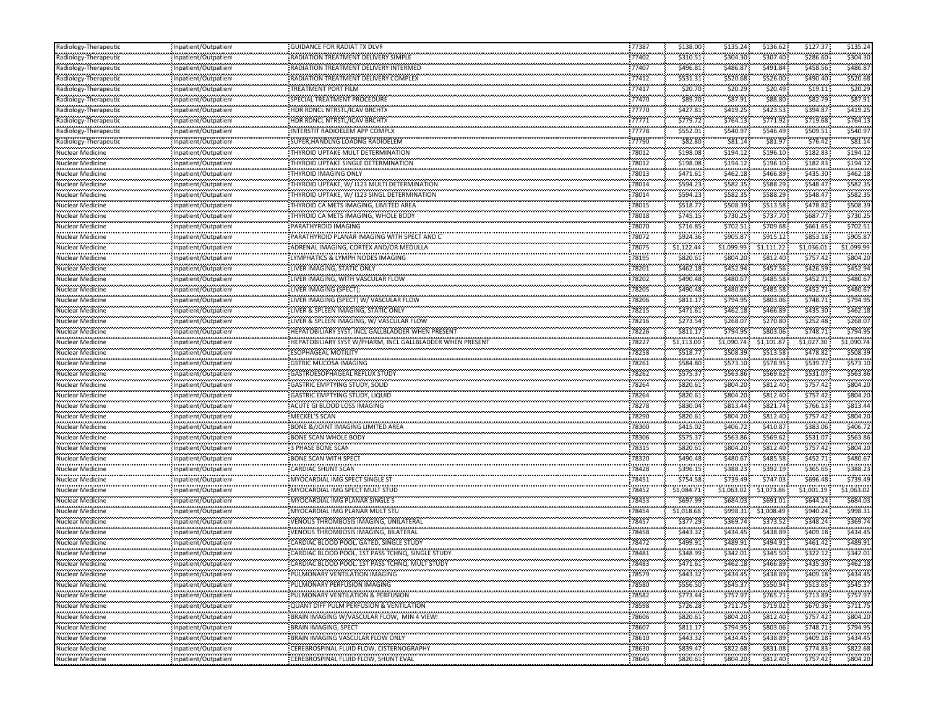| Radiology-Therapeutio                | Inpatient/Outpatient | <b>GUIDANCE FOR RADIAT TX DLVR</b>                                         | 77387          | \$138.00             | \$135.24             | \$136.62             | \$127.37             | \$135.24            |
|--------------------------------------|----------------------|----------------------------------------------------------------------------|----------------|----------------------|----------------------|----------------------|----------------------|---------------------|
| Radiology-Therapeutio                | Inpatient/Outpatient | RADIATION TREATMENT DELIVERY SIMPLE                                        | 77402          | \$310.51             | \$304.30             | \$307.40             | \$286.60             | \$304.30            |
| Radiology-Therapeutic                | Inpatient/Outpatient | RADIATION TREATMENT DELIVERY INTERMED                                      | 77407          | \$496.81             | \$486.8              | \$491.84             | \$458.56             | \$486.8             |
| Radiology-Therapeutio                | Inpatient/Outpatient | RADIATION TREATMENT DELIVERY COMPLEX                                       | 77412          | \$531.31             | \$520.68             | \$526.00             | \$490.40             | \$520.68            |
| Radiology-Therapeutic                | Inpatient/Outpatient | <b>TREATMENT PORT FILM</b>                                                 | 77417          | \$20.70              | \$20.29              | \$20.49              | \$19.11              | \$20.29             |
| Radiology-Therapeutio                | Inpatient/Outpatient | SPECIAL TREATMENT PROCEDURE                                                | 77470          | \$89.70              | \$87.91              | \$88.80              | \$82.79              | \$87.91             |
| Radiology-Therapeutio                | Inpatient/Outpatient | HDR RDNCL NTRSTL/ICAV BRCHTX                                               | 77770          | \$427.81             | \$419.25             | \$423.53             | \$394.87             | \$419.25            |
| Radiology-Therapeutic                | Inpatient/Outpatient | HDR RDNCL NTRSTL/ICAV BRCHTX                                               | 77771          | \$779.72             | \$764.13             | \$771.92             | \$719.68             | \$764.13            |
| Radiology-Therapeutic                | Inpatient/Outpatient | NTERSTIT RADIOELEM APP COMPLX                                              | 77778          | \$552.01             | \$540.97             | \$546.49             | \$509.51             | \$540.97            |
| Radiology-Therapeutic                | Inpatient/Outpatient | SUPER, HANDLNG LOADNG RADIOELEM                                            | 77790          | \$82.80              | \$81.14              | \$81.97              | \$76.42              | \$81.14             |
| Nuclear Medicine                     | Inpatient/Outpatient | <b>THYROID UPTAKE MULT DETERMINATION</b>                                   | 78012          | \$198.08             | \$194.12             | \$196.10             | \$182.83             | \$194.12            |
| Nuclear Medicine                     | Inpatient/Outpatient | THYROID UPTAKE SINGLE DETERMINATION                                        | 78012          | \$198.08             | \$194.12             | \$196.10             | \$182.83             | \$194.12            |
| Nuclear Medicine                     | Inpatient/Outpatient | THYROID IMAGING ONLY                                                       | 78013          | \$471.61             | \$462.18             | \$466.89             | \$435.30             | \$462.18            |
| <b>Nuclear Medicine</b>              | Inpatient/Outpatient | THYROID UPTAKE, W/ I123 MULTI DETERMINATION                                | 78014          | \$594.23             | \$582.35             | \$588.29             | \$548.47             | \$582.35            |
| Nuclear Medicine                     | Inpatient/Outpatient | <b>THYROID UPTAKE, W/ 1123 SINGL DETERMINATION</b>                         | 78014          | \$594.23             | \$582.35             | \$588.29             | \$548.47             | \$582.35            |
| Nuclear Medicine                     | Inpatient/Outpatient | THYROID CA METS IMAGING, LIMITED AREA                                      | 78015          | \$518.77             | \$508.39             | \$513.58             | \$478.82             | \$508.39            |
| Nuclear Medicine                     | Inpatient/Outpatient | THYROID CA METS IMAGING, WHOLE BODY                                        | 78018          | \$745.15             | \$730.25             | \$737.70             | \$687.77             | \$730.25            |
| Nuclear Medicine                     | Inpatient/Outpatient | PARATHYROID IMAGING                                                        | 78070          | \$716.85             | \$702.51             | \$709.68             | \$661.65             | \$702.51            |
| Nuclear Medicine                     | Inpatient/Outpatient | PARATHYROID PLANAR IMAGING WITH SPECT AND CT                               | 78072          | \$924.36             | \$905.87             | \$915.12             | \$853.18             | \$905.8             |
| Nuclear Medicine                     |                      |                                                                            | 78075          | \$1,122.44           | \$1,099.99           | \$1,111.22           | \$1,036.01           | \$1,099.99          |
|                                      | Inpatient/Outpatient | ADRENAL IMAGING, CORTEX AND/OR MEDULLA<br>LYMPHATICS & LYMPH NODES IMAGING | 78195          | \$820.61             | \$804.20             | \$812.40             | \$757.42             | \$804.20            |
| Nuclear Medicine                     | Inpatient/Outpatient |                                                                            | 78201          |                      | \$452.94             | \$457.56             | \$426.59             | \$452.94            |
| <b>Nuclear Medicine</b>              | Inpatient/Outpatient | LIVER IMAGING, STATIC ONLY                                                 |                | \$462.18             |                      |                      |                      |                     |
| Nuclear Medicine<br>Nuclear Medicine | Inpatient/Outpatient | LIVER IMAGING, WITH VASCULAR FLOW                                          | 78202<br>78205 | \$490.48<br>\$490.48 | \$480.67<br>\$480.67 | \$485.58<br>\$485.58 | \$452.71<br>\$452.71 | \$480.67<br>\$480.6 |
|                                      | Inpatient/Outpatient | LIVER IMAGING (SPECT);                                                     | 78206          |                      | \$794.95             | \$803.06             | \$748.71             | \$794.95            |
| Nuclear Medicine                     | Inpatient/Outpatient | LIVER IMAGING (SPECT) W/ VASCULAR FLOW                                     |                | \$811.17             |                      |                      |                      |                     |
| Nuclear Medicine                     | Inpatient/Outpatient | LIVER & SPLEEN IMAGING, STATIC ONLY                                        | 78215          | \$471.61             | \$462.18             | \$466.89             | \$435.30<br>\$252.48 | \$462.18            |
| Nuclear Medicine                     | Inpatient/Outpatient | LIVER & SPLEEN IMAGING, W/ VASCULAR FLOW                                   | 78216          | \$273.54             | \$268.07             | \$270.80             |                      | \$268.07            |
| Nuclear Medicine                     | Inpatient/Outpatient | HEPATOBILIARY SYST, INCL GALLBLADDER WHEN PRESENT                          | 78226          | \$811.17             | \$794.95             | \$803.06             | \$748.71             | \$794.95            |
| Nuclear Medicine                     | Inpatient/Outpatient | HEPATOBILIARY SYST W/PHARM, INCL GALLBLADDER WHEN PRESENT                  | 78227          | \$1,113.00           | \$1,090.74           | \$1,101.87           | \$1,027.30           | \$1,090.74          |
| <b>Nuclear Medicine</b>              | Inpatient/Outpatient | <b>ESOPHAGEAL MOTILITY</b>                                                 | 78258          | \$518.77             | \$508.39             | \$513.58             | \$478.82             | \$508.39            |
| Nuclear Medicine                     | Inpatient/Outpatient | <b>GSTRIC MUCOSA IMAGING</b>                                               | 78261          | \$584.80             | \$573.10             | \$578.95             | \$539.77             | \$573.10            |
| Nuclear Medicine                     | Inpatient/Outpatient | GASTROESOPHAGEAL REFLUX STUDY                                              | 78262          | \$575.37             | \$563.86             | \$569.62             | \$531.07             | \$563.86            |
| Nuclear Medicine                     | Inpatient/Outpatient | <b>GASTRIC EMPTYING STUDY, SOLID</b>                                       | 78264          | \$820.61             | \$804.20             | \$812.40             | \$757.42             | \$804.20            |
| Nuclear Medicine                     | Inpatient/Outpatient | <b>GASTRIC EMPTYING STUDY, LIQUID</b>                                      | 78264          | \$820.61             | \$804.20             | \$812.40             | \$757.42             | \$804.20            |
| Nuclear Medicine                     | Inpatient/Outpatient | ACUTE GI BLOOD LOSS IMAGING                                                | 78278          | \$830.04             | \$813.44             | \$821.74             | \$766.13             | \$813.44            |
| Nuclear Medicine                     | Inpatient/Outpatient | <b>MECKEL'S SCAN</b>                                                       | 78290          | \$820.61             | \$804.20             | \$812.40             | \$757.42             | \$804.20            |
| Nuclear Medicine                     | Inpatient/Outpatient | <b>BONE &amp;/JOINT IMAGING LIMITED AREA</b>                               | 78300          | \$415.02             | \$406.72             | \$410.87             | \$383.06             | \$406.72            |
| Nuclear Medicine                     | Inpatient/Outpatient | <b>BONE SCAN WHOLE BODY</b>                                                | 78306          | \$575.37             | \$563.86             | \$569.62             | \$531.07             | \$563.86            |
| Nuclear Medicine                     | Inpatient/Outpatient | 3 PHASE BONE SCAN                                                          | 78315          | \$820.61             | \$804.20             | \$812.40             | \$757.42             | \$804.20            |
| Nuclear Medicine                     | Inpatient/Outpatient | <b>BONE SCAN WITH SPECT</b>                                                | 78320          | \$490.48             | \$480.67             | \$485.58             | \$452.71             | \$480.67            |
| Nuclear Medicine                     | Inpatient/Outpatient | CARDIAC SHUNT SCAN                                                         | 78428          | \$396.15             | \$388.23             | \$392.19             | \$365.65             | \$388.23            |
| <br>Nuclear Medicine                 | Inpatient/Outpatient | MYOCARDIAL IMG SPECT SINGLE ST                                             | 78451          | \$754.58             | \$739.49             | \$747.03             | \$696.48             | \$739.49            |
| Nuclear Medicine                     | Inpatient/Outpatient | MYOCARDIAL IMG SPECT MULT STUD                                             | 78452          | \$1,084.71           | \$1,063.02           | \$1,073.86           | \$1,001.19           | \$1,063.02          |
| Nuclear Medicine                     | Inpatient/Outpatient | MYOCARDIAL IMG PLANAR SINGLE S                                             | 78453          | \$697.99             | \$684.03             | \$691.01             | \$644.24             | \$684.03            |
| Nuclear Medicine                     | Inpatient/Outpatient | MYOCARDIAL IMG PLANAR MULT STU                                             | 78454          | \$1,018.68           | \$998.31             | \$1,008.49           | \$940.24             | \$998.31            |
| Nuclear Medicine                     | Inpatient/Outpatient | VENOUS THROMBOSIS IMAGING, UNILATERAL                                      | 78457          | \$377.29             | \$369.74             | \$373.52             | \$348.24             | \$369.74            |
| Nuclear Medicine                     | Inpatient/Outpatient | VENOUS THROMBOSIS IMAGING, BILATERAL                                       | 78458          | \$443.32             | \$434.45             | \$438.89             | \$409.18             | \$434.45            |
| Nuclear Medicine                     | Inpatient/Outpatient | CARDIAC BLOOD POOL, GATED, SINGLE STUDY                                    | 78472          | \$499.91             | \$489.91             | \$494.91             | \$461.42             | \$489.91            |
| <b>Nuclear Medicine</b>              | Inpatient/Outpatient | CARDIAC BLOOD POOL, 1ST PASS TCHNQ, SINGLE STUDY                           | 78481          | \$348.99             | \$342.01             | \$345.50             | \$322.12             | \$342.01            |
| Nuclear Medicine                     | Inpatient/Outpatient | CARDIAC BLOOD POOL, 1ST PASS TCHNQ, MULT STUDY                             | 78483          | \$471.61             | \$462.18             | \$466.89             | \$435.30             | \$462.18            |
| <b>Nuclear Medicine</b>              | Inpatient/Outpatient | PULMONARY VENTILATION IMAGING                                              | 78579          | \$443.32             | \$434.45             | \$438.89             | \$409.18             | \$434.45            |
| .<br>Nuclear Medicine                | Inpatient/Outpatient | PULMONARY PERFUSION IMAGING                                                | 78580          | \$556.50             | \$545.37             | \$550.94             | <br>\$513.65         | \$545.37            |
| Nuclear Medicine                     | Inpatient/Outpatient | PULMONARY VENTILATION & PERFUSION                                          | 78582          | \$773.44             | \$757.97             | \$765.71             | \$713.89             | \$757.97            |
| <b>Nuclear Medicine</b>              | Inpatient/Outpatient | QUANT DIFF PULM PERFUSION & VENTILATION                                    | 78598          | \$726.28             | \$711.75             | \$719.02             | \$670.36             | \$711.75            |
| Nuclear Medicine                     | Inpatient/Outpatient | BRAIN IMAGING W/VASCULAR FLOW, MIN 4 VIEW!                                 | 78606          | \$820.61             | \$804.20             | \$812.40             | \$757.42             | \$804.20            |
| Nuclear Medicine                     | Inpatient/Outpatient | <b>BRAIN IMAGING, SPECT</b><br>                                            | 78607          | \$811.17             | \$794.95             | \$803.06             | \$748.71             | \$794.95            |
| .<br>Nuclear Medicine                | Inpatient/Outpatient | BRAIN IMAGING VASCULAR FLOW ONLY                                           | 78610          | \$443.32             | \$434.45             | \$438.89             | \$409.18             | \$434.45            |
| Nuclear Medicine                     | Inpatient/Outpatient | CEREBROSPINAL FLUID FLOW, CISTERNOGRAPHY                                   | 78630          | \$839.47             | \$822.68             | \$831.08             | \$774.83             | \$822.68            |
| <b>Nuclear Medicine</b>              | Inpatient/Outpatient |                                                                            | 78645          | \$820.61             | \$804.20             | \$812.40             | \$757.42             | \$804.20            |
|                                      |                      |                                                                            |                |                      |                      |                      |                      |                     |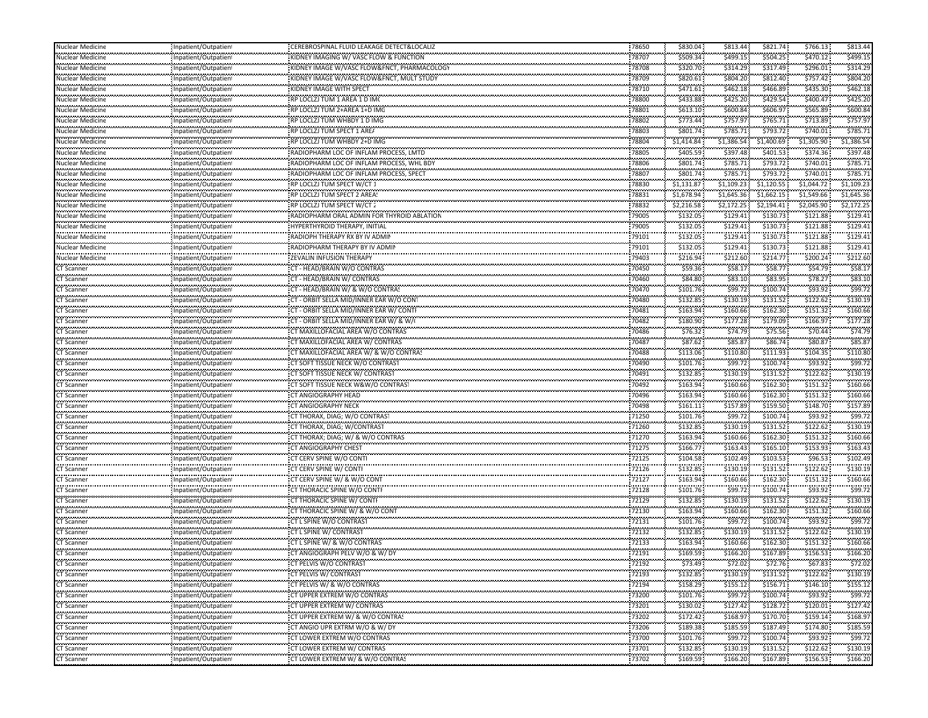| <b>Nuclear Medicine</b>        | Inpatient/Outpatient                               | CEREBROSPINAL FLUID LEAKAGE DETECT&LOCALIZ                           | 78650              | \$830.04       | \$813.44                   | \$821.74               | \$766.13               | \$813.44            |
|--------------------------------|----------------------------------------------------|----------------------------------------------------------------------|--------------------|----------------|----------------------------|------------------------|------------------------|---------------------|
| Nuclear Medicine<br>.          | Inpatient/Outpatien                                | KIDNEY IMAGING W/ VASC FLOW & FUNCTION                               | 78707              | \$509.34       | \$499.15                   | \$504.25               | \$470.12               | \$499.15            |
| Nuclear Medicine               | Inpatient/Outpatien                                | KIDNEY IMAGE W/VASC FLOW&FNCT, PHARMACOLOG                           | 78708              | \$320.70       | <br>\$314.29               | \$317.49               | \$296.01               | \$314.2             |
| Nuclear Medicine               | <br>Inpatient/Outpatient                           | KIDNEY IMAGE W/VASC FLOW&FNCT, MULT STUDY                            | 78709              | \$820.61       | \$804.20                   | \$812.40               | \$757.42               | \$804.20            |
| <br>Nuclear Medicine           | Inpatient/Outpatien                                | KIDNEY IMAGE WITH SPECT                                              | 78710              | \$471.61       | <br>\$462.18               | ,,,,,,,,<br>\$466.89   | \$435.30               | \$462.1             |
| Nuclear Medicine               | Inpatient/Outpatient                               | RP LOCLZJ TUM 1 AREA 1 D IM(                                         | 78800              | \$433.88       | \$425.20                   | \$429.54               | \$400.47               | \$425.20            |
| Nuclear Medicine               | Inpatient/Outpatien                                | RP LOCLZJ TUM 2+AREA 1+D IMC                                         | 78801              | \$613.10       | \$600.84                   | \$606.97               | \$565.89               | \$600.8             |
| .<br>Nuclear Medicine          | Inpatient/Outpatient                               | RP LOCLZJ TUM WHBDY 1 D IMG                                          | 78802              | \$773.44       | \$757.97                   | \$765.71               | \$713.89               | \$757.9             |
| <br>Nuclear Medicine           | Inpatient/Outpatien                                | RP LOCLZJ TUM SPECT 1 ARE/                                           | 78803              | <br>\$801.74   | \$785.71                   | ,,,,,,,,,<br>\$793.72  | \$740.01               | .<br>\$785.7        |
| .<br>Nuclear Medicine          | <br>Inpatient/Outpatien                            | RP LOCLZJ TUM WHBDY 2+D IMG                                          | .<br>78804         | \$1,414.84     | \$1,386.54                 | \$1,400.69             | \$1,305.90             | <br>\$1,386.54      |
| <br>Nuclear Medicine           | Inpatient/Outpatien                                | RADIOPHARM LOC OF INFLAM PROCESS, LMTD                               | 78805              | .<br>\$405.59  | \$397.48                   | \$401.53               | \$374.36               | \$397.4             |
| .<br>Nuclear Medicine          | <br>Inpatient/Outpatient                           | RADIOPHARM LOC OF INFLAM PROCESS, WHL BDY                            | 78806              | \$801.74       | \$785.71                   | \$793.72               | \$740.01               | \$785.7             |
| Nuclear Medicine               | Inpatient/Outpatien                                | RADIOPHARM LOC OF INFLAM PROCESS, SPECT                              | 78807              | \$801.74       | \$785.71                   | \$793.72               | \$740.01               | \$785.7             |
| Nuclear Medicine               | Inpatient/Outpatient                               | RP LOCLZJ TUM SPECT W/CT 1                                           | 78830              | \$1,131.87     | \$1,109.23                 | \$1,120.55             | \$1,044.72             | \$1,109.23          |
| <br>Nuclear Medicine           | Inpatient/Outpatien                                | RP LOCLZJ TUM SPECT 2 AREA!                                          | 78831              | \$1,678.94     | ,,,,,,,,,,,,<br>\$1,645.36 | <br>\$1,662.15         | \$1,549.66             | \$1,645.3           |
| .<br>Nuclear Medicine          | ,,,,,,,,,,,,,,,,,,,,,,,,<br>Inpatient/Outpatien    | <b>RP LOCLZJ TUM SPECT W/CT 2</b>                                    | 78832              | <br>\$2,216.58 | \$2,172.25                 | \$2,194.41             | \$2,045.90             | \$2,172.2           |
| <br>Nuclear Medicine           | Inpatient/Outpatien                                | RADIOPHARM ORAL ADMIN FOR THYROID ABLATION                           | 79005              | .<br>\$132.05  | <br>\$129.41               | \$130.73               | \$121.88               | .<br>\$129.4        |
| Nuclear Medicine               | Inpatient/Outpatien                                | HYPERTHYROID THERAPY, INITIAL                                        | 79005              | \$132.05       | \$129.41                   | \$130.73               | \$121.88               | \$129.4             |
| <br>Nuclear Medicine           | Inpatient/Outpatien                                | RADIOPH THERAPY RX BY IV ADMIN                                       | 79101              | \$132.05       | \$129.41                   | \$130.73               | \$121.88               | \$129.4             |
| .<br>Nuclear Medicine          | <br>Inpatient/Outpatien                            | RADIOPHARM THERAPY BY IV ADMII                                       | 79101              | \$132.05       | \$129.41                   | \$130.73               | \$121.88               | \$129.4             |
| <br>Nuclear Medicine           | Inpatient/Outpatien                                | ZEVALIN INFUSION THERAPY                                             | 79403              | \$216.94       | \$212.60                   | \$214.77               | \$200.24               | \$212.6             |
| CT Scanner                     | Inpatient/Outpatient                               | CT - HEAD/BRAIN W/O CONTRAS                                          | 70450              | \$59.36        | \$58.17                    | \$58.77                | \$54.79                | \$58.17             |
| CT Scanner                     | Inpatient/Outpatien                                | CT - HEAD/BRAIN W/ CONTRAS                                           | 70460              | \$84.80        | \$83.10                    | \$83.95                | \$78.27                | \$83.10             |
| .<br>CT Scanner                | Inpatient/Outpatient                               | CT - HEAD/BRAIN W/ & W/O CONTRAS                                     | 70470              | \$101.76       | \$99.72                    | \$100.74               | \$93.92                | \$99.7              |
| <br>CT Scanner                 | Inpatient/Outpatien                                | CT - ORBIT SELLA MID/INNER EAR W/O CON                               | 70480              | \$132.85       | \$130.19                   | ,,,,,,,,,,<br>\$131.52 | \$122.62               | \$130.1             |
| بمعصد معصد<br>CT Scanner       | Inpatient/Outpatien                                | CT - ORBIT SELLA MID/INNER EAR W/ CONTI                              | 70481              | \$163.94       | \$160.66                   | \$162.30               | \$151.32               | \$160.66            |
| .<br>CT Scanner                | Inpatient/Outpatien                                | CT - ORBIT SELLA MID/INNER EAR W/ & W/                               | 70482              | \$180.90       | <br>\$177.28               | ,,,,,,,,,,<br>\$179.09 | \$166.97               | \$177.2             |
| .<br><b>CT Scanner</b>         | Inpatient/Outpatient                               | CT MAXILLOFACIAL AREA W/O CONTRAS                                    | 70486              | \$76.32        | \$74.79                    | \$75.56                | \$70.44                | \$74.7              |
| <br>CT Scanner                 | Inpatient/Outpatien                                | CT MAXILLOFACIAL AREA W/ CONTRAS                                     | 70487              | \$87.62        | \$85.87                    | \$86.74                | \$80.87                | \$85.8              |
| CT Scanner                     | Inpatient/Outpatient                               | CT MAXILLOFACIAL AREA W/ & W/O CONTRAS                               | 70488              | \$113.06       | \$110.80                   | \$111.93               | \$104.35               | \$110.80            |
| CT Scanner                     | Inpatient/Outpatien                                | CT SOFT TISSUE NECK W/O CONTRAST                                     | 70490              | \$101.76       | \$99.72                    | \$100.74               | \$93.92                | \$99.7              |
| .<br>CT Scanner                | Inpatient/Outpatient                               | CT SOFT TISSUE NECK W/ CONTRAST                                      | .<br>70491         | \$132.85       | \$130.19                   | \$131.52               | \$122.62               | \$130.1             |
| <br>CT Scanner                 | Inpatient/Outpatien                                | CT SOFT TISSUE NECK W&W/O CONTRAS                                    | 70492              | <br>\$163.94   | <br>\$160.66               | ,,,,,,,,,<br>\$162.30  | \$151.32               | ,,,,,,,,<br>\$160.6 |
| بمحصد محصده<br>CT Scanner      | Inpatient/Outpatien                                | CT ANGIOGRAPHY HEAD                                                  | 70496              | \$163.94       | \$160.66                   | \$162.30               | \$151.32               | \$160.66            |
| .<br>CT Scanner                | Inpatient/Outpatien                                | <b>CT ANGIOGRAPHY NECK</b>                                           | 70498              | .<br>\$161.11  | <br>\$157.89               | \$159.50               | \$148.70               | \$157.8             |
| .<br><b>CT Scanner</b>         | Inpatient/Outpatient                               | CT THORAX, DIAG; W/O CONTRAS                                         | 71250              | \$101.76       | \$99.72                    | \$100.74               | \$93.92                | \$99.7              |
| .<br>CT Scanner                | Inpatient/Outpatien                                | CT THORAX, DIAG; W/CONTRAST                                          | 71260              | \$132.85       | \$130.19                   | \$131.52               | \$122.62               | \$130.1             |
| CT Scanner                     | Inpatient/Outpatient                               | CT THORAX; DIAG; W/ & W/O CONTRAS                                    | 71270              | \$163.94       | \$160.66                   | \$162.30               | \$151.32               | \$160.66            |
| CT Scanner                     | Inpatient/Outpatien                                | CT ANGIOGRAPHY CHEST                                                 | 71275              | \$166.77       | \$163.43                   | \$165.10               | \$153.93               | \$163.43            |
| .<br>CT Scanner                | Inpatient/Outpatient                               | CT CERV SPINE W/O CONTI                                              | 72125              | \$104.58       | \$102.49                   | \$103.53               | \$96.53                | \$102.4             |
| <br>CT Scanner                 | Inpatient/Outpatien                                | CT CERV SPINE W/ CONTI                                               | <br>72126          | <br>\$132.85   | <br>\$130.19               | ,,,,,,,,,<br>\$131.52  | <br>\$122.62           | \$130.1             |
| <br>CT Scanner                 | <br>Inpatient/Outpatien                            | CT CERV SPINE W/ & W/O CONT                                          | .<br>72127         | \$163.94       | \$160.66                   | \$162.30               | \$151.32               | \$160.6             |
| <br>CT Scanner                 | Inpatient/Outpatien                                | CT THORACIC SPINE W/O CONTP                                          | 72128              | \$101.76       | \$99.72                    | ,,,,,,,,,,<br>\$100.74 | \$93.92                | \$99.7              |
| .<br>CT Scanner                | Inpatient/Outpatient                               | CT THORACIC SPINE W/ CONTH                                           | 72129              | \$132.85       | \$130.19                   | \$131.52               | \$122.62               | \$130.1             |
| .<br>CT Scanner                | Inpatient/Outpatient                               | CT THORACIC SPINE W/ & W/O CONT                                      | 72130              | \$163.94       | \$160.66                   | \$162.30               | \$151.32               | \$160.6             |
| محامد محامدات<br>CT Scanner    | Inpatient/Outpatient                               | CT L SPINE W/O CONTRAST                                              | 72131              | \$101.76       | \$99.72                    | \$100.74               | \$93.92                | \$99.72             |
| <br>CT Scanner                 | Inpatient/Outpatien                                | CT L SPINE W/ CONTRAST                                               | 72132              | \$132.85       | \$130.19                   | ,,,,,,,,,,<br>\$131.52 | \$122.62               | \$130.1             |
| <br>CT Scanner                 | <br>Inpatient/Outpatien                            | CT L SPINE W/ & W/O CONTRAS                                          | .<br>72133         | \$163.94       | \$160.66                   | \$162.30               | \$151.32               | \$160.66            |
| <br>CT Scanner                 | Inpatient/Outpatien                                | CT ANGIOGRAPH PELV W/O & W/DY                                        | 72191              | \$169.59       | <br>\$166.20               | \$167.89               | ,,,,,,,,,,<br>\$156.53 | \$166.20            |
| .<br>CT Scanner                | ,,,,,,,,,,,,,,,,,,,,,,,,,,,<br>Inpatient/Outpatien | CT PELVIS W/O CONTRAST                                               | 72192              | \$73.49        | \$72.02                    | \$72.76                | \$67.83                | \$72.02             |
| .<br>CT Scanner                | Inpatient/Outpatient                               | CT PELVIS W/ CONTRAST                                                | 72193              | \$132.85       | \$130.19                   | \$131.52               | \$122.62               | \$130.19            |
| .<br>CT Scanner                | Inpatient/Outpatient                               | CT PELVIS W/ & W/O CONTRAS                                           | .<br>72194         | \$158.29       | \$155.12                   | .<br>\$156.71          | .<br>\$146.10:         | \$155.1             |
| .<br>CT Scanner                | Inpatient/Outpatien                                | CT UPPER EXTREM W/O CONTRAS                                          | 73200              | \$101.76       | \$99.72                    | \$100.74               | \$93.92                | \$99.7              |
| بمحمد بمحمد بمحب<br>CT Scanner | Inpatient/Outpatient                               | CT UPPER EXTREM W/ CONTRAS                                           | 73201              | \$130.02       | \$127.42                   | \$128.72               | \$120.01               | \$127.4             |
| <br>CT Scanner                 | Inpatient/Outpatient                               | :<br>"CT UPPER EXTREM W/ & W/O CONTRAS                               | .<br>73202         | \$172.42       | .<br>\$168.97              | .<br>\$170.70          | <br>\$159.14           | .<br>\$168.9        |
| .<br>CT Scanner                | Inpatient/Outpatient                               | CT ANGIO UPR EXTRM W/O & W/ DY                                       | ichte der<br>73206 | \$189.38       | \$185.59                   | .<br>\$187.49          | \$174.80               | .<br>\$185.5        |
| <br>CT Scanner                 | <br>Inpatient/Outpatient                           | ,,,,,,,,,,,,,,,,,,,,,,,,,,,,,,,,,,,,,<br>CT LOWER EXTREM W/O CONTRAS | .<br>73700         | .<br>\$101.76  | \$99.72                    | ,,,,,,,,,<br>\$100.74  | <br>\$93.92            | <br>\$99.7          |
| <br>CT Scanner                 | Inpatient/Outpatient                               | CT LOWER EXTREM W/ CONTRAS                                           | <br>73701          | \$132.85       | \$130.19                   | .<br>\$131.52          | \$122.62               | .<br>\$130.19       |
| <br>CT Scanner                 | Inpatient/Outpatient                               | CT LOWER EXTREM W/ & W/O CONTRAS                                     | ,,,,,,,,,<br>73702 | .<br>\$169.59  | .<br>\$166.20              | .<br>\$167.89          | .<br>\$156.53          | \$166.20            |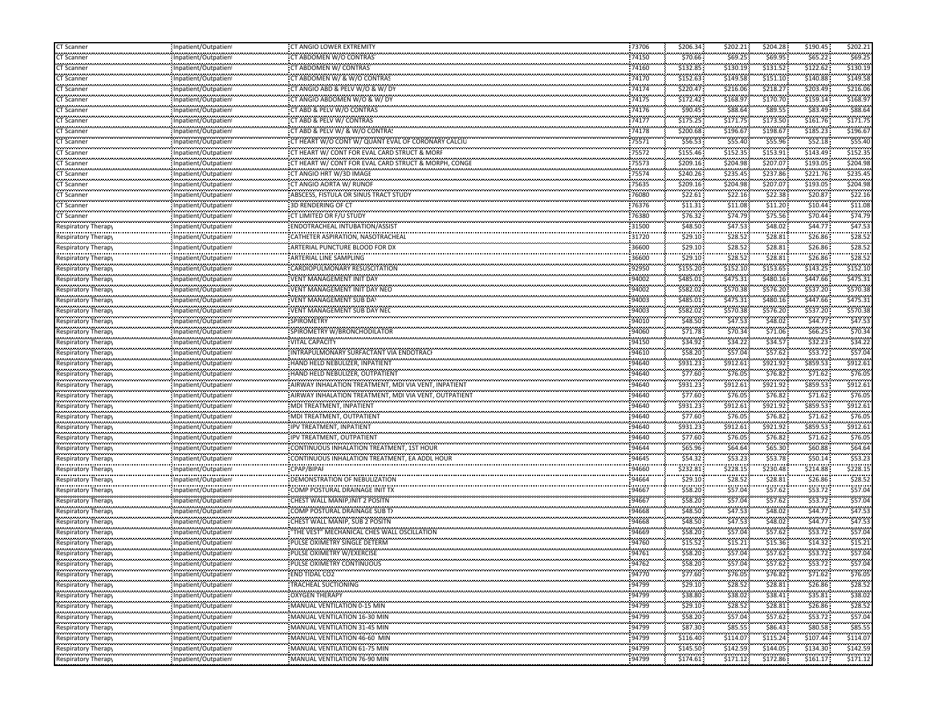| CT Scanner                                    | Inpatient/Outpatient                              | CT ANGIO LOWER EXTREMITY                                               | 73706             | \$206.34              | \$202.21                                   | \$204.28              | \$190.45              | \$202.21           |
|-----------------------------------------------|---------------------------------------------------|------------------------------------------------------------------------|-------------------|-----------------------|--------------------------------------------|-----------------------|-----------------------|--------------------|
| CT Scanner                                    | Inpatient/Outpatien                               | CT ABDOMEN W/O CONTRAS                                                 | 74150             | \$70.66               | \$69.25                                    | \$69.95               | \$65.22               | \$69.25            |
| -----------<br>CT Scanner                     | Inpatient/Outpatient                              | CT ABDOMEN W/ CONTRAS                                                  | <br>74160         | ,,,,,,,,,<br>\$132.85 | .<br>\$130.19                              | \$131.52              | \$122.62              | \$130.19           |
| .<br>CT Scanner                               | Inpatient/Outpatient                              | CT ABDOMEN W/ & W/O CONTRAS                                            | 74170             | \$152.63              | \$149.58                                   | \$151.10              | \$140.88              | \$149.58           |
| ,,,,,,,,,,,,<br>CT Scanner                    | Inpatient/Outpatient                              | CT ANGIO ABD & PELV W/O & W/DY                                         | <br>74174         | \$220.47              | <br>\$216.06                               | ,,,,,,,,<br>\$218.27  | \$203.49              | \$216.0            |
| CT Scanner                                    | Inpatient/Outpatient                              | CT ANGIO ABDOMEN W/O & W/ DY                                           | 74175             | \$172.42              | \$168.97                                   | \$170.70              | \$159.14              | \$168.9            |
| CT Scanner                                    | Inpatient/Outpatient                              | CT ABD & PELV W/O CONTRAS                                              | 74176             | \$90.45               | \$88.64                                    | \$89.55               | \$83.49               | \$88.64            |
| .                                             |                                                   | CT ABD & PELV W/ CONTRAS                                               | 74177             | ,,,,,,,,,,,           | .<br>\$171.75                              | \$173.50              | ,,,,,,,,,,,           | \$171.7            |
| CT Scanner<br>                                | Inpatient/Outpatien<br>                           | CT ABD & PELV W/ & W/O CONTRAS                                         |                   | \$175.25<br>\$200.68  | \$196.67                                   |                       | \$161.76<br>\$185.23  | \$196.6            |
| CT Scanner<br>                                | Inpatient/Outpatient<br>,,,,,,,,,,,,,,,,,,,,,,,,, | CT HEART W/O CONT W/ QUANT EVAL OF CORONARY CALCIU                     | 74178<br>,,,,,,,, | \$56.53               | \$55.40                                    | \$198.67<br>\$55.96   | \$52.18               | \$55.4             |
| CT Scanner<br>,,,,,,,,,,,,                    | Inpatient/Outpatien<br>                           | CT HEART W/ CONT FOR EVAL CARD STRUCT & MORF                           | 75571<br>         | ,,,,,,,,,             | \$152.35                                   |                       | \$143.49              | \$152.3            |
| CT Scanner<br>.                               | Inpatient/Outpatient                              |                                                                        | 75572             | \$155.46              |                                            | \$153.91              |                       |                    |
| CT Scanner<br>.                               | Inpatient/Outpatient                              | CT HEART W/ CONT FOR EVAL CARD STRUCT & MORPH, CONGE                   | 75573             | \$209.16              | \$204.98                                   | \$207.07              | \$193.05              | \$204.98           |
| CT Scanner<br>بالمحالف المحالفات              | Inpatient/Outpatient                              | CT ANGIO HRT W/3D IMAGE                                                | 75574             | \$240.26              | \$235.45                                   | \$237.86              | \$221.76              | \$235.45           |
| CT Scanner<br>-----------                     | Inpatient/Outpatient<br>                          | CT ANGIO AORTA W/ RUNOF                                                | 75635             | \$209.16              | \$204.98                                   | \$207.07              | \$193.05              | \$204.98           |
| CT Scanner<br>                                | Inpatient/Outpatient<br>,,,,,,,,,,,,,,,,,,,,,,,,, | ABSCESS, FISTULA OR SINUS TRACT STUDY                                  | 76080<br>.        | \$22.61               | \$22.16<br><b><i><u>ALCOHOL: 1</u></i></b> | \$22.38               | \$20.87               | \$22.1             |
| CT Scanner<br>,,,,,,,,,,,,                    | Inpatient/Outpatien                               | 3D RENDERING OF CT                                                     | 76376             | \$11.31               | \$11.08                                    | \$11.20               | \$10.44               | \$11.08            |
| CT Scanner                                    | <br>Inpatient/Outpatient                          | CT LIMITED OR F/U STUDY                                                | <br>76380         | \$76.32               | \$74.79                                    | \$75.56               | \$70.44               | \$74.7             |
| Respiratory Therapy                           | Inpatient/Outpatient                              | ENDOTRACHEAL INTUBATION/ASSIST                                         | 31500             | \$48.50               | \$47.53                                    | \$48.02               | \$44.77               | \$47.53            |
| <br>Respiratory Therapy                       | <br>Inpatient/Outpatient                          | CATHETER ASPIRATION, NASOTRACHEAL                                      | 31720             | \$29.10               | <br>\$28.52                                | \$28.81               | \$26.86               | \$28.5             |
| Respiratory Therapy                           | Inpatient/Outpatient                              | ARTERIAL PUNCTURE BLOOD FOR DX                                         | 36600             | \$29.10               | \$28.52                                    | \$28.81               | \$26.86               | \$28.5             |
| <br>Respiratory Therap <sub>)</sub>           | Inpatient/Outpatien                               | <br>ARTERIAL LINE SAMPLING                                             | <br>36600         | \$29.10               | \$28.52                                    | \$28.81               | \$26.86               | \$28.5             |
| Respiratory Therapy                           | Inpatient/Outpatient                              | CARDIOPULMONARY RESUSCITATION                                          | 92950             | \$155.20              | \$152.10                                   | \$153.65              | \$143.25              | \$152.10           |
| Respiratory Therapy                           | Inpatient/Outpatient                              | VENT MANAGEMENT INIT DAY                                               | 94002             | \$485.01              | \$475.31                                   | \$480.16              | \$447.66              | \$475.31           |
| Respiratory Therapy                           | Inpatient/Outpatient                              | ,,,,,,,,,,,,,,,,,,,,,,,,,,,,,,,,,,,,,,<br>VENT MANAGEMENT INIT DAY NEO | 94002             | \$582.02              | \$570.38                                   | \$576.20              | \$537.20              | \$570.38           |
| Respiratory Therap <sub>)</sub>               | <br>Inpatient/Outpatient                          | VENT MANAGEMENT SUB DAY                                                | 94003             | \$485.01              | \$475.31                                   | .<br>\$480.16         | \$447.66              | \$475.3\$          |
| Respiratory Therapy                           | Inpatient/Outpatient                              | VENT MANAGEMENT SUB DAY NEC                                            | 94003             | \$582.02              | \$570.38                                   | \$576.20              | \$537.20              | \$570.38           |
|                                               |                                                   | <br>SPIROMETRY                                                         | 94010             | .                     | \$47.53                                    | \$48.02               | \$44.77               | \$47.53            |
| Respiratory Therapy                           | Inpatient/Outpatient                              | SPIROMETRY W/BRONCHODILATOR                                            | 94060             | \$48.50<br>\$71.78    |                                            | \$71.06               |                       | \$70.3             |
| Respiratory Therapy<br>                       | Inpatient/Outpatient                              |                                                                        |                   | \$34.92               | \$70.34<br>                                | \$34.57               | \$66.25\$<br>\$32.23  | \$34.2             |
| Respiratory Therap <sub>)</sub>               | Inpatient/Outpatient                              | VITAL CAPACITY                                                         | 94150             |                       | \$34.22                                    |                       |                       | \$57.04            |
| <b>Respiratory Therapy</b>                    | Inpatient/Outpatient                              | INTRAPULMONARY SURFACTANT VIA ENDOTRAC                                 | 94610             | \$58.20               | \$57.04                                    | \$57.62               | \$53.72               |                    |
| Respiratory Therapy                           | Inpatient/Outpatient                              | HAND HELD NEBULIZER, INPATIENT                                         | 94640             | \$931.23              | \$912.61<br>.                              | \$921.92              | \$859.53              | \$912.61           |
| Respiratory Therapy                           | Inpatient/Outpatient<br>                          | HAND HELD NEBULIZER, OUTPATIENT                                        | 94640             | \$77.60               | \$76.05                                    | \$76.82               | \$71.62               | \$76.0             |
| Respiratory Therap <sub>)</sub>               | Inpatient/Outpatient                              | AIRWAY INHALATION TREATMENT, MDI VIA VENT, INPATIENT                   | 94640             | \$931.23              | \$912.61                                   | \$921.92              | \$859.53              | \$912.61           |
| Respiratory Therapy<br>                       | Inpatient/Outpatient<br>                          | AIRWAY INHALATION TREATMENT, MDI VIA VENT, OUTPATIENT                  | 94640             | \$77.60<br>,,,,,,,,,  | \$76.05                                    | \$76.82               | \$71.62               | \$76.05            |
| Respiratory Therapy                           | Inpatient/Outpatient                              | MDI TREATMENT, INPATIENT                                               | 94640             | \$931.23              | \$912.61                                   | \$921.92              | \$859.53              | \$912.6            |
| Respiratory Therapy                           | Inpatient/Outpatient                              | MDI TREATMENT, OUTPATIENT                                              | 94640             | \$77.60               | \$76.05                                    | \$76.82               | \$71.62               | \$76.0             |
| <br>Respiratory Therap <sub>)</sub>           | <br>Inpatient/Outpatient                          | <b>IPV TREATMENT, INPATIENT</b>                                        | 94640             | ,,,,,,,,,<br>\$931.23 | ,,,,,,,,,,<br>\$912.61                     | \$921.92              | \$859.53              | \$912.6            |
| Respiratory Therapy                           | Inpatient/Outpatient                              | IPV TREATMENT, OUTPATIENT                                              | 94640             | \$77.60               | \$76.05                                    | \$76.82               | \$71.62\$             | \$76.05            |
| Respiratory Therapy                           | Inpatient/Outpatien                               | CONTINUOUS INHALATION TREATMENT, 1ST HOUR                              | 94644             | \$65.96               | \$64.64                                    | \$65.30               | \$60.88               | \$64.64            |
| Respiratory Therapy                           | Inpatient/Outpatient                              | CONTINUOUS INHALATION TREATMENT, EA ADDL HOUR                          | 94645             | \$54.32               | <b><i><u>ALCOHOL: 1</u></i></b><br>\$53.23 | \$53.78               | \$50.14               | \$53.2             |
| <br>Respiratory Therapy                       | <br>Inpatient/Outpatient                          | .<br>CPAP/BIPAI                                                        | <br>94660         | \$232.81              | \$228.15                                   | ,,,,,,,,,<br>\$230.48 | \$214.88              | \$228.1            |
| Respiratory Therapy                           | ,,,,,,,,,,,,,,,,,,,,,,,,,<br>Inpatient/Outpatien  | .<br>DEMONSTRATION OF NEBULIZATION                                     | .<br>94664        | \$29.10               | .<br>\$28.52                               | \$28.81               | <br>\$26.86           | 528.5              |
| Respiratory Therapy                           | <br>Inpatient/Outpatient                          | COMP POSTURAL DRAINAGE INIT TX                                         | 94667             | \$58.20               | \$57.04                                    | \$57.62               | \$53.72               | \$57.0             |
| Respiratory Therapy                           | Inpatient/Outpatient                              | CHEST WALL MANIP, INIT 2 POSITN                                        | 94667             | \$58.20               | \$57.04                                    | \$57.62               | \$53.72               | \$57.04            |
| Respiratory Therapy                           | Inpatient/Outpatient                              | COMP POSTURAL DRAINAGE SUB TX                                          | 94668             | \$48.50               | \$47.53                                    | \$48.02               | \$44.77               | \$47.53            |
| Respiratory Therapy                           | Inpatient/Outpatient                              | CHEST WALL MANIP, SUB 2 POSITN                                         | 94668             | \$48.50               | \$47.53                                    | \$48.02               | \$44.77               | \$47.53            |
| Respiratory Therapy                           | <br>Inpatient/Outpatient                          | THE VEST" MECHANICAL CHES WALL OSCILLATION                             | <br>94669         | .<br>\$58.20          | .<br>\$57.04                               | ,,,,,,,,,<br>\$57.62  | \$53.72               | \$57.04            |
| espiratory Therap                             | Inpatient/Outpatien                               | PULSE OXIMETRY SINGLE DETERN                                           | 94760             | .<br>\$15.52          | .<br>\$15.21                               | \$15.36               | \$14.32               | \$15.21            |
| .                                             |                                                   |                                                                        | 94761             | \$58.20               | .                                          | \$57.62               | \$53.72               | \$57.04            |
| Respiratory Therapy<br>,,,,,,,,,,,,,,,,,,,,,, | Inpatient/Outpatient                              | PULSE OXIMETRY W/EXERCISE<br>PULSE OXIMETRY CONTINUOUS                 |                   | .                     | \$57.04<br>.                               | \$57.62               |                       | \$57.04            |
| Respiratory Therapy<br>                       | Inpatient/Outpatien                               |                                                                        | 94762             | \$58.20<br>\$77.60    | \$57.04                                    |                       | \$53.72<br>\$71.62    |                    |
| Respiratory Therapy                           | Inpatient/Outpatient                              | END TIDAL CO2<br>.                                                     | 94770             |                       | \$76.05                                    | \$76.82               |                       | \$76.05            |
| Respiratory Therapy                           | Inpatient/Outpatient                              | TRACHEAL SUCTIONING                                                    | 94799             | \$29.10               | \$28.52                                    | \$28.81               | \$26.86               | \$28.52            |
| Respiratory Therapy                           | Inpatient/Outpatient                              | <b>OXYGEN THERAPY</b>                                                  | 94799             | \$38.80               | \$38.02                                    | \$38.41               | \$35.81               | \$38.02            |
| Respiratory Therapy                           | Inpatient/Outpatient                              | MANUAL VENTILATION 0-15 MIN<br>                                        | 94799             | \$29.10               | \$28.52<br>                                | \$28.81<br>.          | \$26.86<br>           | \$28.52            |
| Respiratory Therapy                           | Inpatient/Outpatient                              | MANUAL VENTILATION 16-30 MIN                                           | 94799             | \$58.20               | \$57.04                                    | \$57.62<br>.          | \$53.72               | \$57.04<br>.       |
| Respiratory Therapy                           | Inpatient/Outpatient<br>                          | MANUAL VENTILATION 31-45 MIN<br>,,,,,,,,,,,,,,,,,,,,,,,,,,,,,,,,,,,,   | 94799             | \$87.30<br>.          | \$85.55<br>                                | \$86.43<br>,,,,,,,,,, | \$80.58<br>,,,,,,,,,, | \$85.5<br>,,,,,,,, |
| Respiratory Therapy                           | Inpatient/Outpatient                              | MANUAL VENTILATION 46-60 MIN                                           | 94799             | \$116.40              | \$114.07                                   | \$115.24              | \$107.44              | \$114.0            |
| Respiratory Therapy                           | Inpatient/Outpatient                              | MANUAL VENTILATION 61-75 MIN                                           | .<br>94799        | .<br>\$145.50         | <br>\$142.59                               | .<br>\$144.05         | \$134.30              | \$142.59           |
| Respiratory Therapy                           | Inpatient/Outpatient                              | MANUAL VENTILATION 76-90 MIN                                           | .<br>94799        | .<br>\$174.61         | \$171.12                                   | \$172.86              | .<br>\$161.17         | .<br>\$171.12      |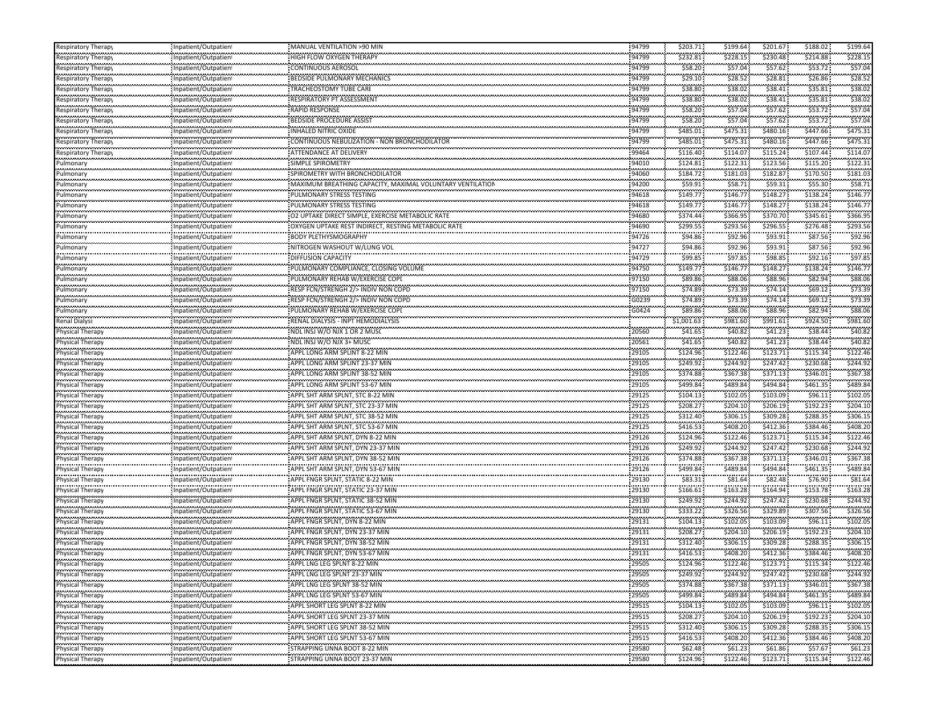| Respiratory Therapy                           | Inpatient/Outpatient                              | MANUAL VENTILATION >90 MIN                               | 94799          | \$203.71              | \$199.64              | \$201.67               | \$188.02                          | \$199.64             |
|-----------------------------------------------|---------------------------------------------------|----------------------------------------------------------|----------------|-----------------------|-----------------------|------------------------|-----------------------------------|----------------------|
| Respiratory Therap                            | Inpatient/Outpatient                              | HIGH FLOW OXYGEN THERAPY                                 | 94799          | \$232.81              | \$228.15              | \$230.48               | \$214.88                          | \$228.15             |
| <br>Respiratory Therapy                       | Inpatient/Outpatient                              | CONTINUOUS AEROSOL                                       | 94799          | .<br>\$58.20          | <br>\$57.04           | .<br>\$57.62           | \$53.72                           | \$57.0               |
| .<br>Respiratory Therap                       | Inpatient/Outpatient                              | BEDSIDE PULMONARY MECHANICS                              | 94799          | \$29.10               | \$28.52               | \$28.81                | \$26.86                           | \$28.5               |
| Respiratory Therapy                           | Inpatient/Outpatient                              | TRACHEOSTOMY TUBE CARE                                   | 94799          | \$38.80               | .<br>\$38.02          | .<br>\$38.41           | \$35.81                           | \$38.0               |
| Respiratory Therapy                           | Inpatient/Outpatient                              | <b>RESPIRATORY PT ASSESSMENT</b>                         | 94799          | \$38.80               | \$38.02               | \$38.41                | \$35.81                           | \$38.02              |
| Respiratory Therapy                           | Inpatient/Outpatient                              | <b>RAPID RESPONSE</b>                                    | 94799          | \$58.20               | \$57.04               | \$57.62                | \$53.72                           | \$57.04              |
| <br>Respiratory Therap                        | Inpatient/Outpatient                              | BEDSIDE PROCEDURE ASSIST                                 | 94799          | .<br>\$58.20          | \$57.04               | \$57.62                | \$53.72                           | \$57.0               |
| Respiratory Therapy                           | Inpatient/Outpatient                              | INHALED NITRIC OXIDE                                     | 94799          | \$485.01              | ,,,,,,,,,<br>\$475.31 | ,,,,,,,,,<br>\$480.16  | \$447.66                          | \$475.3              |
| ,,,,,,,,,,,,,,,,,,,,,,,<br>Respiratory Therap | Inpatient/Outpatient                              | CONTINUOUS NEBULIZATION - NON BRONCHODILATOR             | 94799          | \$485.01              | <br>\$475.31          | \$480.16               | \$447.66                          | \$475.3              |
| Respiratory Therapy                           | <br>Inpatient/Outpatient                          | ATTENDANCE AT DELIVERY                                   | <br>99464      | \$116.40              | .<br>\$114.07         | ,,,,,,,,,<br>\$115.24  | \$107.44                          | \$114.0              |
| وأواده والمتواردة<br>Pulmonary                | Inpatient/Outpatient                              | <b>SIMPLE SPIROMETRY</b>                                 | 94010          | \$124.81              | \$122.31              | \$123.56               | \$115.20                          | \$122.3              |
| .<br>Pulmonary                                | Inpatient/Outpatient                              | SPIROMETRY WITH BRONCHODILATOR                           | 94060          | \$184.72              | \$181.03              | \$182.87               | \$170.50                          | \$181.03             |
| Pulmonary                                     | Inpatient/Outpatient                              | MAXIMUM BREATHING CAPACITY, MAXIMAL VOLUNTARY VENTILATIO | 94200          | \$59.91               | \$58.71               | \$59.31                | \$55.30                           | \$58.7               |
| <br>ulmonary                                  | <br>Inpatient/Outpatient                          | PULMONARY STRESS TESTING                                 | 94618          | \$149.77              | ,,,,,,,,,<br>\$146.77 | ,,,,,,,,,<br>\$148.27  | \$138.24                          | \$146.7              |
|                                               |                                                   |                                                          | 94618          | \$149.77              |                       | .                      | \$138.24                          | \$146.7              |
| Pulmonary<br>                                 | Inpatient/Outpatient<br>                          | PULMONARY STRESS TESTING                                 |                | .                     | \$146.77<br>.         | \$148.27<br>,,,,,,,,,  | \$345.61                          | \$366.9              |
| Pulmonary<br>سيستعد متعاقد متعا               | Inpatient/Outpatient                              | O2 UPTAKE DIRECT SIMPLE, EXERCISE METABOLIC RATE         | 94680<br>94690 | \$374.44<br>\$299.55  | \$366.95<br>\$293.56  | \$370.70<br>\$296.55   | \$276.48                          | \$293.5              |
| Pulmonary<br>                                 | Inpatient/Outpatient                              | OXYGEN UPTAKE REST INDIRECT, RESTING METABOLIC RATE      |                | .                     |                       | \$93.91                | \$87.56                           | \$92.9               |
| Pulmonary<br>.                                | Inpatient/Outpatient                              | <b>BODY PLETHYSMOGRAPHY</b>                              | 94726<br>94727 | \$94.86               | \$92.96               | \$93.91                | \$87.56                           | 592.9                |
| Pulmonary<br>                                 | Inpatient/Outpatient                              | NITROGEN WASHOUT W/LUNG VOL<br>DIFFUSION CAPACITY        | 94729          | \$94.86<br>\$99.85    | \$92.96<br>\$97.85    | \$98.85                | \$92.16                           | \$97.8               |
| Pulmonary                                     | Inpatient/Outpatient                              |                                                          |                |                       |                       |                        |                                   |                      |
| Pulmonary                                     | Inpatient/Outpatient                              | PULMONARY COMPLIANCE, CLOSING VOLUME                     | 94750          | \$149.77              | \$146.77              | \$148.27               | \$138.24                          | \$146.77             |
| Pulmonary<br>                                 | Inpatient/Outpatient                              | PULMONARY REHAB W/EXERCISE COPI                          | 97150          | \$89.86               | \$88.06               | \$88.96                | \$82.94                           | \$88.06              |
| Pulmonary<br>                                 | Inpatient/Outpatient<br>                          | RESP FCN/STRENGH 2/> INDIV NON COPD                      | 97150<br>      | \$74.89               | \$73.39<br>.          | \$74.14<br>.           | \$69.12\$<br>.                    | \$73.3               |
| Pulmonary<br>بمحمد بمحمد بم                   | Inpatient/Outpatient                              | RESP FCN/STRENGH 2/> INDIV NON COPD                      | G0239          | \$74.89               | \$73.39               | \$74.14                | \$69.12                           | \$73.3               |
| Pulmonary<br>.                                | Inpatient/Outpatient<br>                          | PULMONARY REHAB W/EXERCISE COPE                          | G0424<br>      | \$89.86<br>.          | \$88.06               | \$88.96<br>,,,,,,,,,,  | \$82.94                           | \$88.06              |
| Renal Dialysi<br>.                            | Inpatient/Outpatient                              | RENAL DIALYSIS - INPT HEMODIALYSIS                       |                | \$1,001.63            | \$981.60              | \$991.61<br>.          | \$924.50<br><b>Agency Control</b> | \$981.6              |
| Physical Therapy<br>.                         | Inpatient/Outpatient<br>                          | NDL INSJ W/O NJX 1 OR 2 MUSO                             | 20560<br>      | \$41.65               | \$40.82               | \$41.23                | \$38.44                           | \$40.8               |
| <sup>2</sup> hysical Therapy                  | Inpatient/Outpatient                              | NDL INSJ W/O NJX 3+ MUSC                                 | 20561          | \$41.65               | \$40.82               | \$41.23                | \$38.44                           | \$40.8               |
| Physical Therapy                              | Inpatient/Outpatient                              | APPL LONG ARM SPLINT 8-22 MIN                            | 29105          | \$124.96              | \$122.46              | \$123.71               | \$115.34                          | \$122.46             |
| Physical Therapy                              | Inpatient/Outpatient                              | APPL LONG ARM SPLINT 23-37 MIN                           | 29105          | \$249.92              | \$244.92              | \$247.42               | \$230.68                          | \$244.9              |
| .<br>Physical Therapy                         | Inpatient/Outpatient                              | APPL LONG ARM SPLINT 38-52 MIN                           | 29105          | \$374.88              | \$367.38              | \$371.13               | \$346.01                          | \$367.38             |
| <br>Physical Therapy                          | <br>Inpatient/Outpatient                          | APPL LONG ARM SPLINT 53-67 MIN                           | <br>29105      | .<br>\$499.84         | .<br>\$489.84         | ,,,,,,,,,,<br>\$494.84 | .<br>\$461.35                     | \$489.8              |
| Physical Therapy                              | Inpatient/Outpatient                              | APPL SHT ARM SPLNT, STC 8-22 MIN                         | 29125          | \$104.13              | \$102.05              | \$103.09               | \$96.11                           | \$102.0              |
| .<br>Physical Therapy                         | Inpatient/Outpatient                              | APPL SHT ARM SPLNT, STC 23-37 MIN                        | 29125          | \$208.27              | \$204.10              | ,,,,,,,,,<br>\$206.19  | \$192.23                          | \$204.1              |
| .<br>Physical Therapy                         | ,,,,,,,,,,,,,,,,,,,,,,,,,<br>Inpatient/Outpatient | APPL SHT ARM SPLNT, STC 38-52 MIN                        | 29125          | \$312.40              | \$306.15              | \$309.28               | ومعجب ومعوج<br>\$288.35           | \$306.1              |
| <br><sup>2</sup> hysical Therapy              | <br>Inpatient/Outpatient                          | APPL SHT ARM SPLNT, STC 53-67 MIN                        | 29125          | \$416.53              | .<br>\$408.20         | .<br>\$412.36          | \$384.46                          | \$408.2              |
| Physical Therapy                              | Inpatient/Outpatient                              | APPL SHT ARM SPLNT, DYN 8-22 MIN                         | 29126          | \$124.96              | \$122.46              | \$123.71               | \$115.34                          | \$122.46             |
| Physical Therapy                              | Inpatient/Outpatient                              | APPL SHT ARM SPLNT, DYN 23-37 MIN                        | 29126          | \$249.92              | \$244.92              | \$247.42               | \$230.68                          | \$244.9              |
| ,,,,,,,,,,,,,,,,,,<br>Physical Therapy        | Inpatient/Outpatient                              | APPL SHT ARM SPLNT, DYN 38-52 MIN                        | 29126          | \$374.88              | \$367.38              | \$371.13               | \$346.01                          | \$367.38             |
| <br>Physical Therapy                          | Inpatient/Outpatient                              | APPL SHT ARM SPLNT, DYN 53-67 MIN                        | <br>29126      | .<br>\$499.84         | .<br>\$489.84         | ,,,,,,,,,<br>\$494.84  | .<br>\$461.35                     | \$489.8              |
| .<br>Physical Therapy                         | Inpatient/Outpatient                              | APPL FNGR SPLNT, STATIC 8-22 MIN                         | .<br>29130     | <br>\$83.31           | .<br>\$81.64          | \$82.48                | \$76.90                           | \$81.6               |
| <br>Physical Therapy                          | <br>Inpatient/Outpatient                          |                                                          | 29130          | ,,,,,,,,,<br>\$166.61 | \$163.28              | ,,,,,,,,,<br>\$164.94  | \$153.78                          | \$163.2              |
| Physical Therapy                              | Inpatient/Outpatient                              | APPL FNGR SPLNT, STATIC 38-52 MIN                        | 29130          | \$249.92              | \$244.92              | \$247.42               | \$230.68                          | \$244.9              |
| Physical Therapy                              | Inpatient/Outpatient                              | APPL FNGR SPLNT, STATIC 53-67 MIN                        | 29130          | \$333.22              | \$326.56              | \$329.89               | \$307.56                          | \$326.5              |
| Physical Therapy                              | Inpatient/Outpatient                              | APPL FNGR SPLNT, DYN 8-22 MIN                            | 29131          | \$104.13              | \$102.05              | \$103.09               | \$96.11                           | \$102.05             |
| .<br>Physical Therapy                         | Inpatient/Outpatient                              | APPL FNGR SPLNT, DYN 23-37 MIN                           | 29131          | \$208.27              | .<br>\$204.10         | ,,,,,,,,,<br>\$206.19  | \$192.23                          | \$204.1              |
| <br>Physical Therapy                          | Inpatient/Outpatient                              | APPL FNGR SPLNT, DYN 38-52 MIN                           | <br>29131      | \$312.40              | <br>\$306.15          | .<br>\$309.28          | \$288.35                          | \$306.15             |
| .<br>Physical Therapy                         | Inpatient/Outpatient                              | APPL FNGR SPLNT, DYN 53-67 MIN                           | 29131          | \$416.53              | \$408.20              | ,,,,,,,,,<br>\$412.36  | .<br>\$384.46                     | \$408.20             |
| .<br>Physical Therapy                         | Inpatient/Outpatient                              | APPL LNG LEG SPLNT 8-22 MIN                              | <br>29505      | .<br>\$124.96         | .<br>\$122.46         | .<br>\$123.71          | .<br>\$115.34                     | <br>\$122.46         |
| <br><b>Physical Therapy</b>                   | Inpatient/Outpatient                              | APPL LNG LEG SPLNT 23-37 MIN                             | .<br>29505     | \$249.92              | \$244.92              | \$247.42               | \$230.68                          | \$244.92             |
| .<br>Physical Therapy                         | Inpatient/Outpatient                              | APPL LNG LEG SPLNT 38-52 MIN                             | 29505          | \$374.88              | \$367.38              | \$371.13               | \$346.01                          | \$367.38             |
|                                               | Inpatient/Outpatient                              | APPL LNG LEG SPLNT 53-67 MIN                             | 29505          | \$499.84              | \$489.84              | \$494.84               | \$461.35                          | \$489.84             |
| <b>Physical Therapy</b><br>Physical Therapy   | Inpatient/Outpatient                              | APPL SHORT LEG SPLNT 8-22 MIN                            | 29515          | \$104.13              | \$102.05              |                        |                                   | \$102.05             |
|                                               |                                                   |                                                          | 29515          | .                     |                       | \$103.09<br>.          | \$96.11<br>,,,,,,,,,,,            | .                    |
| Physical Therapy<br>.                         | Inpatient/Outpatient                              | APPL SHORT LEG SPLNT 23-37 MIN                           | .              | \$208.27<br>.         | \$204.10<br>          | \$206.19<br>.          | \$192.23<br>\$288.35              | \$204.10<br>\$306.15 |
| Physical Therapy<br>                          | Inpatient/Outpatient<br>                          | APPL SHORT LEG SPLNT 38-52 MIN                           | 29515<br>29515 | \$312.40<br>.         | \$306.15              | \$309.28<br>.          | ,,,,,,,,,,,                       | .                    |
| Physical Therapy<br>                          | Inpatient/Outpatient                              | APPL SHORT LEG SPLNT 53-67 MIN                           |                | \$416.53<br>.         | \$408.20<br>.         | \$412.36<br>\$61.86    | \$384.46<br>.                     | \$408.20<br>         |
| <b>Physical Therapy</b><br>                   | Inpatient/Outpatient                              | STRAPPING UNNA BOOT 8-22 MIN                             | 29580<br>.     | \$62.48<br>.          | \$61.23<br>\$122.46   | .                      | \$57.67<br>,,,,,,,,,,,,           | \$61.23<br>\$122.46  |
| Physical Therapy                              | Inpatient/Outpatient                              | STRAPPING UNNA BOOT 23-37 MIN                            | 29580          | \$124.96              |                       | \$123.71               | \$115.34                          |                      |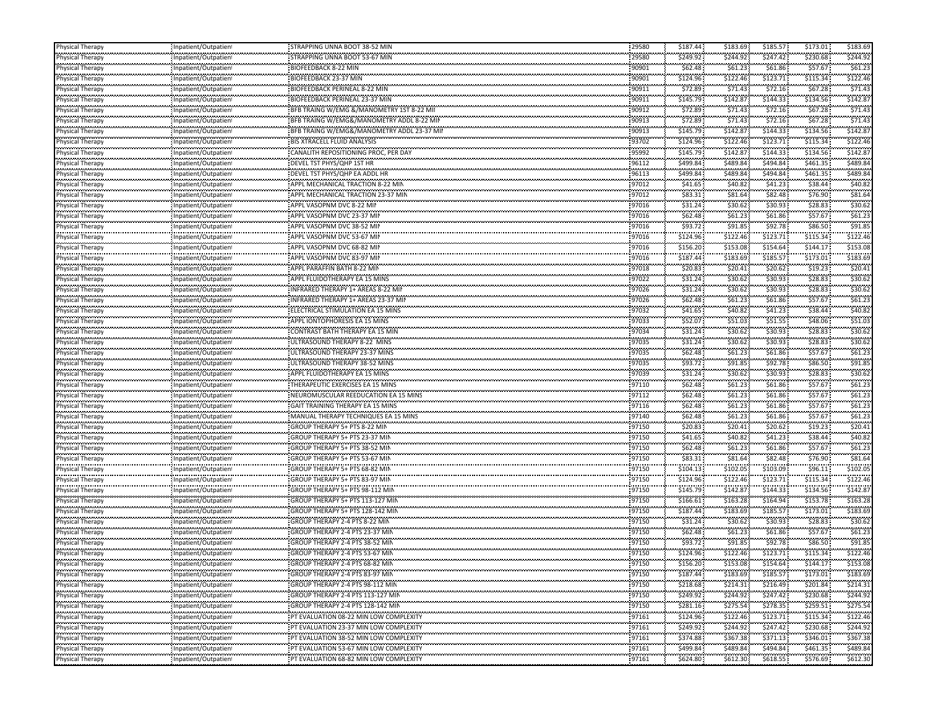| Physical Therapy                                                  | Inpatient/Outpatien                                | STRAPPING UNNA BOOT 38-52 MIN                                            | 29580          | \$187.44  | \$183.69  | \$185.57 | \$173.01  | \$183.69 |
|-------------------------------------------------------------------|----------------------------------------------------|--------------------------------------------------------------------------|----------------|-----------|-----------|----------|-----------|----------|
| <b>Physical Therapy</b>                                           | Inpatient/Outpatient                               | STRAPPING UNNA BOOT 53-67 MIN                                            | 29580          | \$249.92  | \$244.92  | \$247.42 | \$230.68  | \$244.92 |
| Physical Therapy                                                  | Inpatient/Outpatient                               |                                                                          | 90901          | \$62.48   | \$61.23   | \$61.86  | \$57.67   | \$61.23  |
| Physical Therapy                                                  | Inpatient/Outpatient                               | BIOFEEDBACK 23-37 MIN                                                    | 90901          | \$124.96  | \$122.46  | \$123.71 | \$115.34  | \$122.46 |
| Physical Therapy                                                  | Inpatient/Outpatient                               | BIOFEEDBACK PERINEAL 8-22 MIN                                            | 90911          | \$72.89   | \$71.43   | \$72.16  | \$67.28   | \$71.4   |
| Physical Therapy                                                  | Inpatient/Outpatient                               | <b>BIOFEEDBACK PERINEAL 23-37 MIN</b>                                    | 90911          | \$145.79  | \$142.87  | \$144.33 | \$134.56  | \$142.8  |
| Physical Therapy                                                  | Inpatient/Outpatient                               | BFB TRAING W/EMG &/MANOMETRY 1ST 8-22 MII                                | 90912          | \$72.89   | \$71.43   | \$72.16  | \$67.28\$ | \$71.43  |
| Physical Therapy                                                  | Inpatient/Outpatien                                | BFB TRAING W/EMG&/MANOMETRY ADDL 8-22 MIN                                | 90913          | \$72.89   | \$71.43   | \$72.16  | \$67.28\$ | \$71.4   |
|                                                                   |                                                    | BFB TRAING W/EMG&/MANOMETRY ADDL 23-37 MII                               | 90913          | \$145.79  | \$142.8   | \$144.33 | \$134.56  | \$142.8  |
| hysical Therapy<br><br>Physical Therapy                           | Inpatient/Outpatient<br>,,,,,,,,,,,,,,,,,,,,,,     |                                                                          | 93702          | \$124.96  | \$122.46  | \$123.71 | \$115.34  | \$122.46 |
|                                                                   | Inpatient/Outpatien                                | CANALITH REPOSITIONING PROC, PER DAY                                     | 95992          | \$145.79  | \$142.87  | \$144.33 | \$134.56  | \$142.8  |
| Physical Therapy<br>Physical Therapy                              | Inpatient/Outpatient                               |                                                                          |                |           |           | \$494.84 | \$461.35  | \$489.84 |
| <b>Physical Therapy</b>                                           | Inpatient/Outpatient                               | DEVEL TST PHYS/QHP 1ST HR                                                | 96112          | \$499.84  | \$489.84  |          |           |          |
|                                                                   | Inpatient/Outpatient                               | DEVEL TST PHYS/QHP EA ADDL HR                                            | 96113          | \$499.84  | \$489.84  | \$494.84 | \$461.35  | \$489.84 |
| Physical Therapy                                                  | Inpatient/Outpatient                               | APPL MECHANICAL TRACTION 8-22 MIN                                        | 97012          | \$41.65   | \$40.82   | \$41.23  | \$38.44   | \$40.82  |
| Physical Therapy                                                  | Inpatient/Outpatien!                               | APPL MECHANICAL TRACTION 23-37 MIN                                       | 97012          | \$83.31   | \$81.64   | \$82.48  | \$76.90   | \$81.64  |
| Physical Therapy                                                  | Inpatient/Outpatient<br>                           | APPL VASOPNM DVC 8-22 MIN                                                | 97016          | \$31.24   | \$30.62   | \$30.93  | \$28.83   | \$30.62  |
|                                                                   | Inpatient/Outpatient                               | APPL VASOPNM DVC 23-37 MIN                                               | 97016          | \$62.48   | \$61.23\$ | \$61.86  | \$57.67   | \$61.2\$ |
| Physical Therapy                                                  | Inpatient/Outpatient                               | APPL VASOPNM DVC 38-52 MII                                               | 97016          | \$93.72   | \$91.85   | \$92.78  | \$86.50   | \$91.85  |
| Physical Therapy                                                  | Inpatient/Outpatient                               | APPL VASOPNM DVC 53-67 MIN                                               | 97016          | \$124.96  | \$122.46  | \$123.71 | \$115.34  | \$122.4  |
| Physical Therapy                                                  | Inpatient/Outpatient                               | APPL VASOPNM DVC 68-82 MIN                                               | 97016          | \$156.20  | \$153.08  | \$154.64 | \$144.17  | \$153.08 |
| Physical Therapy                                                  | Inpatient/Outpatient                               | APPL VASOPNM DVC 83-97 MIN                                               | 97016          | \$187.44  | \$183.69  | \$185.57 | \$173.01  | \$183.69 |
| Physical Therapy                                                  | Inpatient/Outpatient                               | APPL PARAFFIN BATH 8-22 MIN                                              | 97018          | \$20.83   | \$20.41   | \$20.62  | \$19.23\$ | \$20.41  |
| Physical Therapy                                                  | Inpatient/Outpatient                               | APPL FLUIDOTHERAPY EA 15 MINS                                            | 97022          | \$31.24   | \$30.62   | \$30.93  | \$28.83   | \$30.62  |
| Physical Therapy                                                  | Inpatient/Outpatient                               | <br> INFRARED THERAPY 1+ AREAS 8-22 MIN                                  | 97026          | \$31.24   | \$30.62   | \$30.93  | \$28.83   | \$30.62  |
|                                                                   | <br>Inpatient/Outpatient                           | INFRARED THERAPY 1+ AREAS 23-37 MIN                                      | 97026          | \$62.48   | \$61.23\$ | \$61.86  | \$57.67   | \$61.23  |
| Physical Therapy                                                  | Inpatient/Outpatient                               | ELECTRICAL STIMULATION EA 15 MINS                                        | 97032          | \$41.65   | \$40.82   | \$41.23  | \$38.44   | \$40.82  |
| Physical Therapy                                                  | Inpatient/Outpatient                               | APPL IONTOPHORESIS EA 15 MINS                                            | 97033          | \$52.07   | \$51.03   | \$51.55  | \$48.06   | \$51.0   |
| Physical Therapy                                                  | Inpatient/Outpatient                               | CONTRAST BATH THERAPY EA 15 MIN                                          | 97034          | \$31.24   | \$30.62   | \$30.93  | \$28.83   | \$30.62  |
| Physical Therapy                                                  | Inpatient/Outpatient                               | ULTRASOUND THERAPY 8-22 MINS                                             | 97035          | \$31.24   | \$30.62   | \$30.93  | \$28.83   | \$30.62  |
| Physical Therapy                                                  | Inpatient/Outpatient                               | ULTRASOUND THERAPY 23-37 MINS                                            | 97035          | \$62.48\$ | \$61.23\$ | \$61.86  | \$57.67   | \$61.23  |
| Physical Therapy                                                  | Inpatient/Outpatient                               | ULTRASOUND THERAPY 38-52 MINS                                            | 97035          | \$93.72   | \$91.85   | \$92.78  | \$86.50   | \$91.85  |
| Physical Therapy                                                  |                                                    | APPL FLUIDOTHERAPY EA 15 MINS                                            | 97039          | \$31.24   | \$30.62   | \$30.93  | \$28.83   | \$30.62  |
|                                                                   | Inpatient/Outpatient                               | THERAPEUTIC EXERCISES EA 15 MINS                                         | 97110          | \$62.48   | \$61.23   | \$61.86  | \$57.67   | \$61.23  |
| <b>Physical Therapy</b>                                           | Inpatient/Outpatient                               |                                                                          |                | \$62.48\$ | \$61.23\$ | \$61.86  | \$57.67   | \$61.23  |
| .                                                                 | Inpatient/Outpatient                               | NEUROMUSCULAR REEDUCATION EA 15 MINS<br>GAIT TRAINING THERAPY EA 15 MINS | 97112<br>97116 | \$62.48   | \$61.23   | \$61.86  | \$57.67   | \$61.2\$ |
| Physical Therapy<br>Physical Therapy                              | Inpatient/Outpatient                               |                                                                          | 97140          |           |           | \$61.86  | \$57.67   | \$61.23  |
|                                                                   | Inpatient/Outpatient                               | MANUAL THERAPY TECHNIQUES EA 15 MINS                                     |                | \$62.48\$ | \$61.23\$ |          |           |          |
|                                                                   | Inpatient/Outpatient                               |                                                                          | 97150          | \$20.83   | \$20.41   | \$20.62  | \$19.23   | \$20.41  |
| Physical Therapy                                                  | Inpatient/Outpatient                               | GROUP THERAPY 5+ PTS 23-37 MIN                                           | 97150          | \$41.65   | \$40.82   | \$41.23  | \$38.44   | \$40.82  |
| <b>Physical Therapy</b>                                           | Inpatient/Outpatient                               | GROUP THERAPY 5+ PTS 38-52 MIN                                           | 97150          | \$62.48\$ | \$61.23   | \$61.86  | \$57.67   | \$61.23  |
|                                                                   | Inpatient/Outpatient                               | GROUP THERAPY 5+ PTS 53-67 MIN                                           | 97150          | \$83.31   | \$81.64   | \$82.48  | \$76.90   | \$81.64  |
| Physical Therapy                                                  | Inpatient/Outpatient                               |                                                                          | 97150          | \$104.13  | \$102.05  | \$103.09 | \$96.11   | \$102.0  |
| <br>Physical Therapy                                              | Inpatient/Outpatien                                | GROUP THERAPY 5+ PTS 83-97 MIN                                           | 97150          | \$124.96  | \$122.46  | \$123.71 | \$115.34  | \$122.46 |
| Physical Therapy                                                  | Inpatient/Outpatient                               |                                                                          | 97150          | \$145.79  | \$142.87  | \$144.33 | \$134.56  | \$142.8  |
| Physical Therapy                                                  | Inpatient/Outpatient                               | GROUP THERAPY 5+ PTS 113-127 MIN                                         | 97150          | \$166.61  | \$163.28  | \$164.94 | \$153.78  | \$163.28 |
| Physical Therapy                                                  | Inpatient/Outpatient                               | GROUP THERAPY 5+ PTS 128-142 MIN                                         | 97150          | \$187.44  | \$183.69  | \$185.57 | \$173.01  | \$183.69 |
| <b>Physical Therapy</b>                                           | Inpatient/Outpatient                               | GROUP THERAPY 2-4 PTS 8-22 MIN                                           | 97150          | \$31.24   | \$30.62   | \$30.93  | \$28.83   | \$30.62  |
| Physical Therapy                                                  | npatient/Outpatient                                |                                                                          | 97150          | \$62.48   | \$61.23   | \$61.86  | \$57.67   | \$61.23  |
| <u> 1909 - 1919 - 1919 - 1919 - 19</u><br><b>Physical Therapy</b> | Inpatient/Outpatien                                | GROUP THERAPY 2-4 PTS 38-52 MIN                                          | 97150          | \$93.72   | \$91.85   | \$92.78  | \$86.50   | \$91.85  |
| <b>Physical Therapy</b>                                           | Inpatient/Outpatient                               |                                                                          | 97150          | \$124.96  | \$122.46  | \$123.71 | \$115.34  | \$122.46 |
| Physical Therapy                                                  | ,,,,,,,,,,,,,,,,,,,,,,,,,,<br>Inpatient/Outpatient | GROUP THERAPY 2-4 PTS 68-82 MIN                                          | 97150          | \$156.20  | \$153.08  | \$154.64 | \$144.17  | \$153.08 |
| Physical Therapy                                                  | Inpatient/Outpatient                               | GROUP THERAPY 2-4 PTS 83-97 MIN                                          | 97150          | \$187.44  | \$183.69  | \$185.57 | \$173.01  | \$183.69 |
| Physical Therapy                                                  | Inpatient/Outpatient                               | GROUP THERAPY 2-4 PTS 98-112 MIN                                         | 97150          | \$218.68  | \$214.31  | \$216.49 | \$201.84  | \$214.31 |
| Physical Therapy                                                  | Inpatient/Outpatient                               | GROUP THERAPY 2-4 PTS 113-127 MIN                                        | 97150          | \$249.92  | \$244.92  | \$247.42 | \$230.68  | \$244.92 |
| <b>Physical Therapy</b>                                           |                                                    | GROUP THERAPY 2-4 PTS 128-142 MIN                                        | 97150          | \$281.16  | \$275.54  | \$278.35 | \$259.51  | \$275.54 |
| <u>gangng ganan</u>                                               | Inpatient/Outpatient<br>,,,,,,,,,,,,,,,,,,,,,,,,   | PT EVALUATION 08-22 MIN LOW COMPLEXITY                                   | 97161          | \$124.96  | \$122.46  | \$123.71 | \$115.34  | \$122.46 |
| Physical Therapy<br>Physical Therapy                              | Inpatient/Outpatient<br>Inpatient/Outpatient       | PT EVALUATION 23-37 MIN LOW COMPLEXITY                                   | 97161          | \$249.92  | \$244.92  | \$247.42 | \$230.68  | \$244.92 |
|                                                                   |                                                    | PT EVALUATION 38-52 MIN LOW COMPLEXITY                                   | 97161          | \$374.88  | \$367.38  | \$371.13 | \$346.01  | \$367.38 |
| Physical Therapy<br>Physical Therapy                              | Inpatient/Outpatient                               | THE EVALUATION 53-67 MIN LOW COMPLEXITY                                  | 97161          | \$499.84  | \$489.84  | \$494.84 | \$461.35  | \$489.84 |
|                                                                   | Inpatient/Outpatient<br>                           |                                                                          |                |           |           |          |           |          |
| Physical Therapy                                                  | Inpatient/Outpatient                               | PT EVALUATION 68-82 MIN LOW COMPLEXITY                                   | 97161          | \$624.80  | \$612.30  | \$618.55 | \$576.69  | \$612.30 |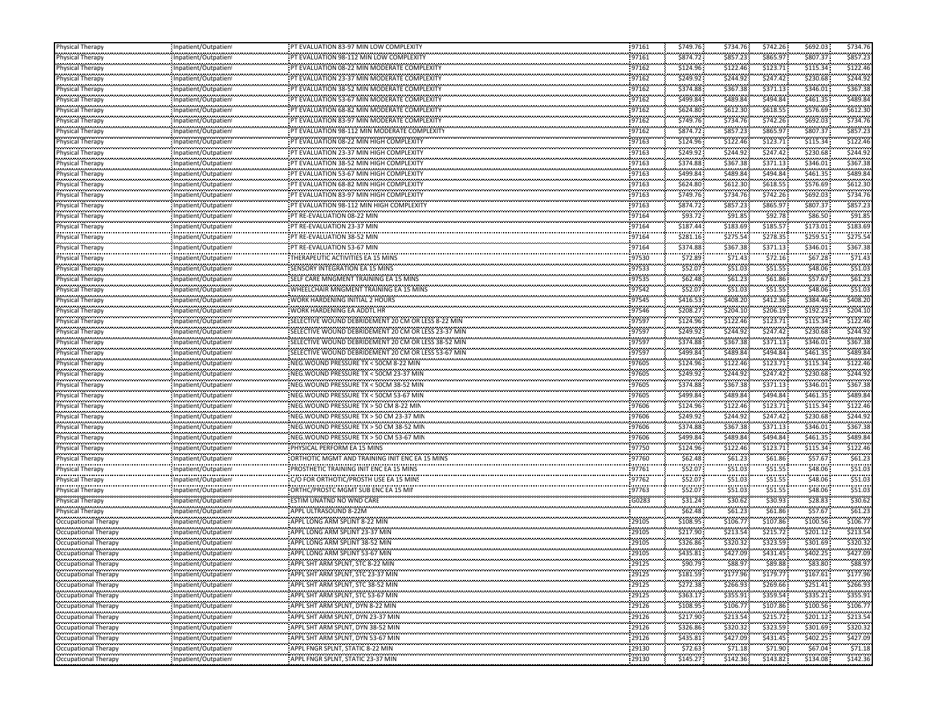| Physical Therapy                                    | Inpatient/Outpatient                               | PT EVALUATION 83-97 MIN LOW COMPLEXITY                                             | 97161               | \$749.76               | \$734.76            | \$742.26             | \$692.03               | \$734.76             |
|-----------------------------------------------------|----------------------------------------------------|------------------------------------------------------------------------------------|---------------------|------------------------|---------------------|----------------------|------------------------|----------------------|
| Physical Therapy                                    | Inpatient/Outpatien                                | PT EVALUATION 98-112 MIN LOW COMPLEXITY                                            | 97161               | \$874.72               | \$857.23            | \$865.97             | \$807.37               | \$857.23             |
| .<br>Physical Therapy                               | Inpatient/Outpatient                               | PT EVALUATION 08-22 MIN MODERATE COMPLEXIT                                         | 97162               | <br>\$124.96           | \$122.46            | <br>\$123.71         | ,,,,,,,,,<br>\$115.34  | \$122.46             |
| .<br>Physical Therapy                               | <br>Inpatient/Outpatient                           | PT EVALUATION 23-37 MIN MODERATE COMPLEXITY                                        | 97162               | \$249.92               | \$244.92            | \$247.42             | \$230.68               | \$244.92             |
| .<br>hysical Therapy                                | <br>Inpatient/Outpatient                           | PT EVALUATION 38-52 MIN MODERATE COMPLEXITY                                        | 97162               | <br>\$374.88           | \$367.38            | <br>\$371.13         | \$346.01               | \$367.38             |
| Physical Therapy                                    | Inpatient/Outpatient                               | PT EVALUATION 53-67 MIN MODERATE COMPLEXITY                                        | 97162               | \$499.84               | \$489.84            | \$494.84             | \$461.35               | \$489.84             |
| Physical Therapy                                    | Inpatient/Outpatient                               | PT EVALUATION 68-82 MIN MODERATE COMPLEXITY                                        | 97162               | \$624.80               | \$612.30            | \$618.55             | \$576.69               | \$612.30             |
| .<br>'hysical Therapy                               | Inpatient/Outpatien                                | PT EVALUATION 83-97 MIN MODERATE COMPLEXITY                                        | 97162               | .<br>\$749.76          | \$734.76            | .<br>\$742.26        | \$692.03               | \$734.76             |
| .<br>hysical Therapy                                | Inpatient/Outpatient                               | PT EVALUATION 98-112 MIN MODERATE COMPLEXITY                                       | 97162               | \$874.72               | \$857.23            | <br>\$865.97         | \$807.37               | \$857.23             |
| <br>hysical Therapy                                 | ,,,,,,,,,,,,,,,,,,,,,,,,<br>Inpatient/Outpatien    | PT EVALUATION 08-22 MIN HIGH COMPLEXITY                                            | 97163               | .<br>\$124.96          | \$122.46            | \$123.71             | \$115.34               | \$122.46             |
| .                                                   |                                                    |                                                                                    | 97163               |                        | \$244.92            |                      | \$230.68               | \$244.92             |
| Physical Therapy<br>.                               | Inpatient/Outpatien<br>.                           | PT EVALUATION 23-37 MIN HIGH COMPLEXITY<br>PT EVALUATION 38-52 MIN HIGH COMPLEXITY | 97163               | \$249.92               | \$367.38            | \$247.42<br>\$371.13 | \$346.01               | \$367.38             |
| Physical Therapy                                    | Inpatient/Outpatient                               |                                                                                    |                     | \$374.88               | \$489.84            | \$494.84             | \$461.35               | \$489.84             |
| Physical Therapy                                    | Inpatient/Outpatient                               | PT EVALUATION 53-67 MIN HIGH COMPLEXITY                                            | 97163<br>97163      | \$499.84<br>\$624.80   | \$612.30            | \$618.55             | \$576.69               | \$612.30             |
| Physical Therapy<br>.                               | Inpatient/Outpatien                                | PT EVALUATION 68-82 MIN HIGH COMPLEXITY                                            | 97163               |                        |                     |                      | \$692.03               | \$734.76             |
| hysical Therapy<br>                                 | Inpatient/Outpatient<br>,,,,,,,,,,,,,,,,,,,,,,,,,, | PT EVALUATION 83-97 MIN HIGH COMPLEXITY                                            |                     | \$749.76<br>.          | \$734.76<br>.       | \$742.26<br>.        |                        | \$857.23             |
| hysical Therapy<br>                                 | Inpatient/Outpatien<br>                            | PT EVALUATION 98-112 MIN HIGH COMPLEXITY                                           | 97163               | \$874.72               | \$857.23            | \$865.97             | \$807.37               |                      |
| Physical Therapy                                    | Inpatient/Outpatient                               | PT RE-EVALUATION 08-22 MIN                                                         | 97164               | \$93.72                | \$91.85             | \$92.78              | \$86.50                | \$91.8               |
| Physical Therapy<br>.                               | Inpatient/Outpatien                                | PT RE-EVALUATION 23-37 MIN                                                         | 97164               | \$187.44               | \$183.69            | \$185.57             | \$173.01               | \$183.69             |
| hysical Therapy                                     | Inpatient/Outpatient                               | PT RE-EVALUATION 38-52 MIN                                                         | 97164               | \$281.16               | \$275.54            | \$278.35             | \$259.51               | \$275.54             |
| Physical Therapy                                    | Inpatient/Outpatient                               | PT RE-EVALUATION 53-67 MIN                                                         | 97164               | \$374.88               | \$367.38            | \$371.13             | \$346.01               | \$367.38             |
| <br>hysical Therapy                                 | Inpatient/Outpatient                               | THERAPEUTIC ACTIVITIES EA 15 MINS                                                  | <br>97530           | .<br>\$72.89           | \$71.43             | \$72.16              | \$67.28                | \$71.4               |
| Physical Therapy                                    | Inpatient/Outpatient                               | SENSORY INTEGRATION EA 15 MINS                                                     | 97533               | \$52.07                | \$51.03             | \$51.55              | \$48.06                | \$51.03              |
| Physical Therapy                                    | Inpatient/Outpatient                               | SELF CARE MNGMENT TRAINING EA 15 MINS                                              | 97535               | \$62.48                | \$61.23\$           | \$61.86              | \$57.67                | \$61.23              |
| .<br>hysical Therapy                                | Inpatient/Outpatien                                | WHEELCHAIR MNGMENT TRAINING EA 15 MINS                                             | 97542               | \$52.07                | \$51.03             | \$51.55              | \$48.06                | \$51.03              |
| <br>Physical Therapy                                | <br>Inpatient/Outpatient                           | WORK HARDENING INITIAL 2 HOURS                                                     | 97545               | \$416.53               | \$408.20            | \$412.36             | \$384.46               | \$408.20             |
| Physical Therapy                                    | Inpatient/Outpatien                                | WORK HARDENING EA ADDTL HR                                                         | 97546               | \$208.27               | \$204.10            | \$206.19             | \$192.23               | \$204.10             |
| .<br>hysical Therapy                                | <br>Inpatient/Outpatient                           | SELECTIVE WOUND DEBRIDEMENT 20 CM OR LESS 8-22 MII                                 | 97597               | ,,,,,,,,,,<br>\$124.96 | \$122.46            | <br>\$123.71         | \$115.34               | \$122.40             |
| Physical Therapy                                    | Inpatient/Outpatien                                | SELECTIVE WOUND DEBRIDEMENT 20 CM OR LESS 23-37 MIN                                | 97597               | \$249.92               | \$244.92            | \$247.42             | \$230.68               | \$244.97             |
| <br>hysical Therapy                                 | Inpatient/Outpatient                               | SELECTIVE WOUND DEBRIDEMENT 20 CM OR LESS 38-52 MIN                                | <br>97597           | .<br>\$374.88          | \$367.38            | .<br>\$371.13        | \$346.01               | \$367.38             |
| Physical Therapy                                    | Inpatient/Outpatient                               | SELECTIVE WOUND DEBRIDEMENT 20 CM OR LESS 53-67 MIN                                | 97597               | \$499.84               | \$489.84            | \$494.84             | \$461.35               | \$489.84             |
| Physical Therapy                                    | Inpatient/Outpatient                               | NEG. WOUND PRESSURE TX < 50CM 8-22 MIN                                             | 97605               | \$124.96               | \$122.46            | \$123.71             | \$115.34               | \$122.46             |
| .<br>hysical Therapy                                | Inpatient/Outpatien                                | NEG. WOUND PRESSURE TX < 50CM 23-37 MIN                                            | 97605               | .<br>\$249.92          | \$244.92            | \$247.42             | \$230.68               | .<br>\$244.92        |
| <br>Physical Therapy                                | <br>Inpatient/Outpatient                           | NEG. WOUND PRESSURE TX < 50CM 38-52 MIN                                            | 97605               | \$374.88               | \$367.38            | \$371.13             | \$346.01               | \$367.38             |
| Physical Therapy                                    | Inpatient/Outpatien                                | NEG. WOUND PRESSURE TX < 50CM 53-67 MIN                                            | 97605               | \$499.84               | \$489.84            | \$494.84             | \$461.35               | \$489.84             |
| .<br>hysical Therapy                                | <br>Inpatient/Outpatient                           | NEG. WOUND PRESSURE TX > 50 CM 8-22 MIN                                            | 97606               | <br>\$124.96           | \$122.46            | <br>\$123.71         | \$115.34               | \$122.40             |
| Physical Therapy                                    | Inpatient/Outpatien                                | NEG. WOUND PRESSURE TX > 50 CM 23-37 MIN                                           | 97606               | \$249.92               | \$244.92            | \$247.42             | \$230.68               | \$244.97             |
| <br>hysical Therapy                                 |                                                    | NEG. WOUND PRESSURE TX > 50 CM 38-52 MIN                                           | <br>97606           | .<br>\$374.88          | \$367.38            | .<br>\$371.13        | \$346.01               | \$367.38             |
|                                                     | Inpatient/Outpatient                               | NEG. WOUND PRESSURE TX > 50 CM 53-67 MIN                                           | 97606               | \$499.84               | \$489.84            | \$494.84             | \$461.35               | \$489.84             |
| Physical Therapy                                    | Inpatient/Outpatient                               | PHYSICAL PERFORM EA 15 MINS                                                        | 97750               | \$124.96               | \$122.46            | \$123.71             | \$115.34               | \$122.46             |
| Physical Therapy<br>.                               | Inpatient/Outpatient                               |                                                                                    | 97760               | .                      | \$61.23\$           | \$61.86              | \$57.67                | \$61.2               |
| 'hysical Therapy<br>.                               | Inpatient/Outpatien                                | ORTHOTIC MGMT AND TRAINING INIT ENC EA 15 MINS                                     | 97761               | \$62.48<br>\$52.07     | \$51.03             | \$51.55              | \$48.06                | \$51.03              |
| hysical Therapy<br>                                 | Inpatient/Outpatient                               | PROSTHETIC TRAINING INIT ENC EA 15 MINS                                            |                     | .                      | .                   | \$51.55              | \$48.06                | \$51.0               |
| hysical Therapy<br>.                                | Inpatient/Outpatien<br>                            | C/O FOR ORTHOTIC/PROSTH USE EA 15 MINS                                             | 97762<br>97763      | \$52.07<br>\$52.07     | \$51.03             | \$51.55              | \$48.06                | \$51.03              |
| Physical Therapy                                    | Inpatient/Outpatient                               | ORTHC/PROSTC MGMT SUB ENC EA 15 MII                                                |                     |                        | \$51.03             |                      |                        |                      |
| Physical Therapy                                    | Inpatient/Outpatient                               | ESTIM UNATND NO WND CARE                                                           | G0283               | \$31.24                | \$30.62             | \$30.93              | \$28.83                | \$30.62              |
| Physical Therapy                                    | Inpatient/Outpatient                               | APPL ULTRASOUND 8-22M                                                              |                     | \$62.48\$              | \$61.23\$           | \$61.86              | \$57.67                | \$61.23              |
| Occupational Therapy                                | Inpatient/Outpatien<br>                            | APPL LONG ARM SPLINT 8-22 MIN                                                      | 29105               | \$108.95               | \$106.77            | \$107.86<br>,,,,,,,, | \$100.56<br>,,,,,,,,,, | \$106.7              |
| Occupational Therapy<br>                            | Inpatient/Outpatient<br>,,,,,,,,,,,,,,,,,,,,,,,,,, | APPL LONG ARM SPLINT 23-37 MIN                                                     | 29105<br>.          | \$217.90<br>.          | \$213.54<br>        | \$215.72<br>.        | \$201.12               | \$213.54             |
| Occupational Therapy                                | Inpatient/Outpatien<br>                            | APPL LONG ARM SPLINT 38-52 MIN                                                     | 29105               | \$326.86<br>.          | \$320.32            | \$323.59<br>.        | \$301.69               | \$320.32             |
| Occupational Therapy<br>,,,,,,,,,,,,,,,,,,,,,,,,,,, | Inpatient/Outpatient                               | APPL LONG ARM SPLINT 53-67 MIN                                                     | 29105<br>.          | \$435.81<br>.          | \$427.09<br>        | \$431.45<br>.        | \$402.25<br>.          | \$427.09             |
| Occupational Therapy<br>                            | Inpatient/Outpatien                                | APPL SHT ARM SPLNT, STC 8-22 MIN                                                   | 29125<br>.          | \$90.79                | \$88.97             | \$89.88              | \$83.80                | \$88.97              |
| Occupational Therapy                                | Inpatient/Outpatient                               | APPL SHT ARM SPLNT, STC 23-37 MIN                                                  | 29125               | \$181.59               | \$177.96            | \$179.77             | \$167.61               | \$177.96             |
| Occupational Therapy                                | Inpatient/Outpatient                               | APPL SHT ARM SPLNT, STC 38-52 MIN                                                  | 29125               | \$272.38               | \$266.93            | \$269.66             | \$251.41 :             | \$266.93             |
| Occupational Therapy                                | Inpatient/Outpatient                               | APPL SHT ARM SPLNT, STC 53-67 MIN                                                  | 29125               | \$363.17               | \$355.91            | \$359.54             | \$335.21               | \$355.91             |
| Occupational Therapy                                | Inpatient/Outpatient                               | APPL SHT ARM SPLNT, DYN 8-22 MIN                                                   | 29126               | \$108.95               | \$106.77            | \$107.86             | \$100.56               | \$106.7              |
| <br>Occupational Therapy                            | Inpatient/Outpatient                               | APPL SHT ARM SPLNT, DYN 23-37 MIN                                                  | .<br>29126          | .<br>\$217.90          | \$213.54            | .<br>\$215.72        | .<br>\$201.12          | \$213.54             |
| <br>Occupational Therapy                            | Inpatient/Outpatient                               | APPL SHT ARM SPLNT, DYN 38-52 MIN                                                  | 29126               | .<br>\$326.86          | \$320.32            | \$323.59             | \$301.69               | متبعينين<br>\$320.32 |
| <br>Occupational Therapy                            | <br>Inpatient/Outpatient                           | APPL SHT ARM SPLNT, DYN 53-67 MIN                                                  | .<br>29126          | <br>\$435.81           | \$427.09            | <br>\$431.45         | \$402.25               | \$427.09             |
| <br>Occupational Therapy                            |                                                    |                                                                                    |                     |                        | .                   | .                    |                        | .                    |
|                                                     | Inpatient/Outpatient<br>:                          | APPL FNGR SPLNT, STATIC 8-22 MIN<br>APPL FNGR SPLNT, STATIC 23-37 MIN              | 29130<br>,,,,,,,,,, | \$72.63<br>\$145.27    | \$71.18<br>\$142.36 | \$71.90              | \$67.04                | \$71.18<br>\$142.36  |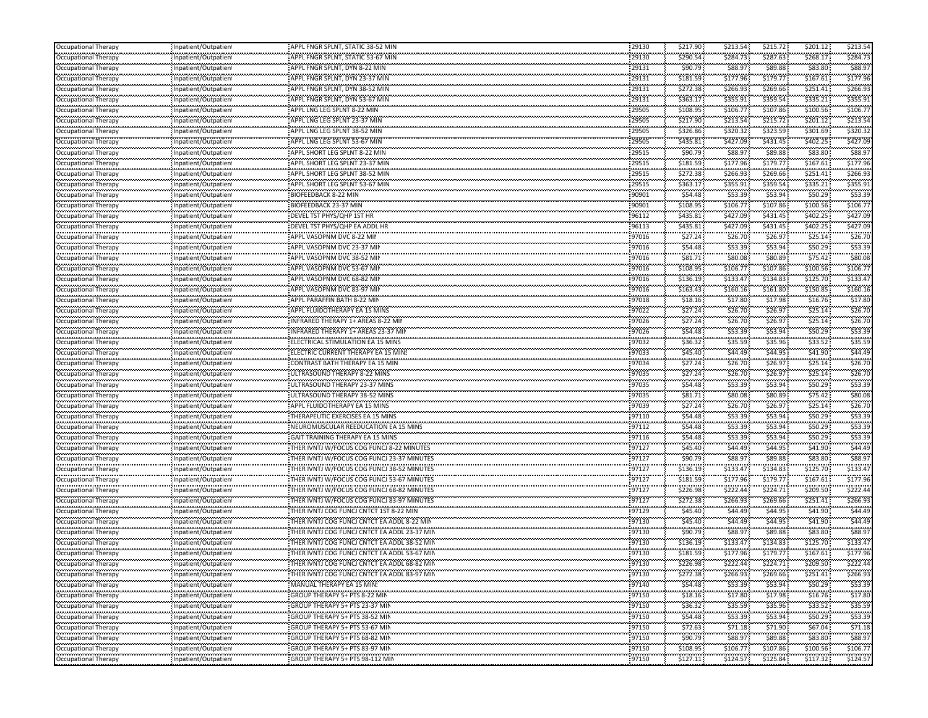| <b>Occupational Therapy</b>                         | Inpatient/Outpatien                                | APPL FNGR SPLNT, STATIC 38-52 MIN                                                            | 29130               | \$217.90            | \$213.54             | \$215.72               | \$201.12               | \$213.54           |
|-----------------------------------------------------|----------------------------------------------------|----------------------------------------------------------------------------------------------|---------------------|---------------------|----------------------|------------------------|------------------------|--------------------|
| Occupational Therapy                                | Inpatient/Outpatien                                | APPL FNGR SPLNT, STATIC 53-67 MIN                                                            | 29130               | \$290.54            | \$284.73             | \$287.63               | \$268.17               | \$284.73           |
| Occupational Therapy                                | Inpatient/Outpatien                                | APPL FNGR SPLNT, DYN 8-22 MIN                                                                | <br>29131           | .<br>\$90.79        | <br>\$88.97          | \$89.88                | \$83.80                | \$88.9             |
| ,,,,,,,,,,,,,,,,,,,,,,,,<br>Occupational Therapy    | Inpatient/Outpatien                                | APPL FNGR SPLNT, DYN 23-37 MIN                                                               | 29131               | \$181.59            | \$177.96             | \$179.77               | \$167.61               | \$177.9            |
| Occupational Therapy                                | <br>Inpatient/Outpatient                           | APPL FNGR SPLNT, DYN 38-52 MIN                                                               | <br>29131           | <br>\$272.38        | \$266.93             | ,,,,,,,,,,<br>\$269.66 | \$251.41               | \$266.9            |
| Occupational Therapy                                | Inpatient/Outpatient                               | APPL FNGR SPLNT, DYN 53-67 MIN                                                               | 29131               | \$363.17            | \$355.91             | \$359.54               | \$335.21               | \$355.9            |
| Occupational Therapy                                | Inpatient/Outpatien                                | APPL LNG LEG SPLNT 8-22 MIN                                                                  | 29505               | \$108.95            | \$106.77             | \$107.86               | \$100.56               | \$106.7            |
| <br>Occupational Therapy                            | Inpatient/Outpatien                                | APPL LNG LEG SPLNT 23-37 MIN                                                                 | 29505               | \$217.90            | \$213.54             | .<br>\$215.72          | \$201.12               | \$213.5            |
| Occupational Therapy                                | <br>Inpatient/Outpatien                            | APPL LNG LEG SPLNT 38-52 MIN                                                                 | <br>29505           | .<br>\$326.86       | <br>\$320.32         | ,,,,,,,,,,<br>\$323.59 | .<br>\$301.69          | \$320.3            |
| <br>Occupational Therapy                            | Inpatient/Outpatien                                | APPL LNG LEG SPLNT 53-67 MIN                                                                 | .<br>29505          | \$435.81            | <br>\$427.09         | .<br>\$431.45          | \$402.25               | \$427.0            |
| Occupational Therapy                                | Inpatient/Outpatien                                | APPL SHORT LEG SPLNT 8-22 MIN                                                                | <br>29515           | \$90.79             | \$88.97              | \$89.88                | \$83.80                | \$88.9             |
| Occupational Therapy                                | -------------------------<br>: Inpatient/Outpatien | APPL SHORT LEG SPLNT 23-37 MIN                                                               | .<br>29515          | \$181.59            | \$177.96             | \$179.77               | ,,,,,,,,,,<br>\$167.61 | \$177.9            |
| Occupational Therapy                                | ------------------------<br>Inpatient/Outpatient   | APPL SHORT LEG SPLNT 38-52 MIN                                                               | 29515               | \$272.38            | \$266.93             | \$269.66               | \$251.41               | \$266.9            |
| Occupational Therapy                                | : Inpatient/Outpatien                              | APPL SHORT LEG SPLNT 53-67 MIN                                                               | 29515               | \$363.17            | \$355.91             | \$359.54               | \$335.21               | \$355.91           |
| Occupational Therapy                                | <br>Inpatient/Outpatien                            | <br>BIOFEEDBACK 8-22 MIN                                                                     | 90901               | .<br>\$54.48        | \$53.39              | \$53.94                | \$50.29                | \$53.3             |
| <br>Occupational Therapy                            | Inpatient/Outpatien                                | ,,,,,,,,,,,,,,,,,,,,,,,,,,,,,,<br>BIOFEEDBACK 23-37 MIN                                      | 90901               | .<br>\$108.95       | .<br>\$106.77        | .<br>\$107.86          | \$100.56               | \$106.7            |
|                                                     | <br>Inpatient/Outpatient                           | <br>DEVEL TST PHYS/QHP 1ST HR                                                                | <br>96112           | <br>\$435.81        | \$427.09             | \$431.45               | \$402.25               | \$427.0            |
| Occupational Therapy                                |                                                    | DEVEL TST PHYS/QHP EA ADDL HR                                                                | 96113               | \$435.81            | \$427.09             | معتصدهم<br>\$431.45    | \$402.25               | \$427.0            |
| Occupational Therapy                                | Inpatient/Outpatien<br>                            | APPL VASOPNM DVC 8-22 MIN                                                                    | 97016               | \$27.24             | <br>\$26.70          | \$26.97                | \$25.14                | \$26.7             |
| Occupational Therapy<br>                            | Inpatient/Outpatien                                | APPL VASOPNM DVC 23-37 MIN                                                                   | 97016               |                     | \$53.39              | \$53.94                | \$50.29                | \$53.3             |
| Occupational Therapy                                | : Inpatient/Outpatien<br>                          | APPL VASOPNM DVC 38-52 MIN                                                                   |                     | \$54.48<br>\$81.71  | \$80.08              | \$80.89                | \$75.42                | \$80.0             |
| Occupational Therapy<br>Occupational Therapy        | Inpatient/Outpatient<br>Inpatient/Outpatient       | APPL VASOPNM DVC 53-67 MII                                                                   | 97016<br>97016      | \$108.95            | \$106.77             | \$107.86               | \$100.56               | \$106.77           |
|                                                     |                                                    |                                                                                              | 97016               | \$136.19            | \$133.47             | \$134.83               | \$125.70               | \$133.4            |
| Occupational Therapy                                | Inpatient/Outpatien                                | APPL VASOPNM DVC 68-82 MII<br>APPL VASOPNM DVC 83-97 MIN                                     | 97016               | .                   | \$160.16             | .                      | \$150.85               | \$160.1            |
| Occupational Therapy                                | Inpatient/Outpatien<br>                            | APPL PARAFFIN BATH 8-22 MIN                                                                  | 97018               | \$163.43<br>\$18.16 | \$17.80              | \$161.80<br>\$17.98    | \$16.76                | \$17.8             |
| Occupational Therapy                                | Inpatient/Outpatient                               |                                                                                              | 97022               | \$27.24\$           |                      | \$26.97                | \$25.14                | \$26.7             |
| Occupational Therapy                                | : Inpatient/Outpatien                              | APPL FLUIDOTHERAPY EA 15 MINS                                                                | 97026               | .                   | \$26.70<br>          | .                      | \$25.14                | \$26.7             |
| Occupational Therapy<br>                            | Inpatient/Outpatien                                | INFRARED THERAPY 1+ AREAS 8-22 MII                                                           | 97026               | \$27.24             | \$26.70              | \$26.97<br>\$53.94     | \$50.29                | \$53.3             |
| Occupational Therapy                                | : Inpatient/Outpatien<br>                          | INFRARED THERAPY 1+ AREAS 23-37 MIN                                                          |                     | \$54.48<br>.        | \$53.39              | .                      | \$33.52                | \$35.5             |
| Occupational Therapy                                | Inpatient/Outpatient                               | ELECTRICAL STIMULATION EA 15 MINS                                                            | 97032<br>97033      | \$36.32<br>\$45.40  | \$35.59<br>\$44.49   | \$35.96<br>\$44.95     | \$41.90                | \$44.49            |
| Occupational Therapy                                | Inpatient/Outpatient                               | ELECTRIC CURRENT THERAPY EA 15 MINS                                                          | 97034               | \$27.24             |                      | \$26.97                | \$25.14                | \$26.70            |
| Occupational Therapy<br>                            | Inpatient/Outpatien                                | CONTRAST BATH THERAPY EA 15 MIN                                                              | .                   |                     | \$26.70<br>.         | \$26.97                | \$25.14                | \$26.7             |
| Occupational Therapy                                | Inpatient/Outpatien<br>                            | ULTRASOUND THERAPY 8-22 MINS                                                                 | 97035<br>           | \$27.24<br>.        | \$26.70<br>\$53.39   | \$53.94                | \$50.29                | \$53.3             |
| Occupational Therapy                                | Inpatient/Outpatient                               | ULTRASOUND THERAPY 23-37 MINS<br>ULTRASOUND THERAPY 38-52 MINS                               | 97035<br>97035      | \$54.48<br>\$81.71  | \$80.08              | \$80.89                | \$75.42                | \$80.0             |
| Occupational Therapy                                | : Inpatient/Outpatien<br>                          |                                                                                              |                     | .                   |                      | .                      | \$25.14                | \$26.7             |
| Occupational Therapy                                | Inpatient/Outpatien<br>-------------------------   | APPL FLUIDOTHERAPY EA 15 MINS                                                                | 97039<br>97110      | \$27.24             | \$26.70              | \$26.97<br>\$53.94     | \$50.29                | \$53.3             |
| Occupational Therapy                                | Inpatient/Outpatien<br>                            | THERAPEUTIC EXERCISES EA 15 MINS                                                             | 97112               | \$54.48<br>.        | \$53.39<br>\$53.39   | \$53.94                | \$50.29                | \$53.3             |
| Occupational Therapy                                | Inpatient/Outpatient                               | NEUROMUSCULAR REEDUCATION EA 15 MINS                                                         | 97116               | \$54.48<br>\$54.48  | \$53.39              | \$53.94                | \$50.29                | \$53.3             |
| Occupational Therapy                                | Inpatient/Outpatient                               | GAIT TRAINING THERAPY EA 15 MINS                                                             | 97127               | \$45.40             | \$44.49              | \$44.95                | \$41.90                | \$44.49            |
| Occupational Therapy                                | Inpatient/Outpatien                                | THER IVNTJ W/FOCUS COG FUNCJ 8-22 MINUTES                                                    | 97127               | \$90.79             | \$88.97              | \$89.88                | \$83.80                | \$88.9             |
| Occupational Therapy                                | Inpatient/Outpatien<br>                            | THER IVNTJ W/FOCUS COG FUNCJ 23-37 MINUTES                                                   |                     | ,,,,,,,,,           | \$133.47             | ,,,,,,,,,,             | \$125.70               | \$133.4            |
| Occupational Therapy<br>                            | Inpatient/Outpatien                                | THER IVNTJ W/FOCUS COG FUNCJ 38-52 MINUTES                                                   | 97127<br>97127      | \$136.19<br>.       | \$177.96             | \$134.83<br>.          | \$167.61               | \$177.9            |
| Occupational Therapy                                | Inpatient/Outpatien                                | THER IVNTJ W/FOCUS COG FUNCJ 53-67 MINUTES                                                   | 97127               | \$181.59<br>.       | \$222.44             | \$179.77<br>,,,,,,,,,, | \$209.50               | \$222.4            |
| Occupational Therapy<br>,,,,,,,,,,,,,,,,,,,,,,,,    | Inpatient/Outpatien<br>-------------------------   | THER IVNTJ W/FOCUS COG FUNCJ 68-82 MINUTES                                                   |                     | \$226.98            |                      | \$224.71               |                        | ejen en en e       |
| Occupational Therapy                                | : Inpatient/Outpatien                              | THER IVNTJ W/FOCUS COG FUNCJ 83-97 MINUTES<br>THER IVNTJ COG FUNCJ CNTCT 1ST 8-22 MIN        | 97127<br>97129      | \$272.38<br>\$45.40 | \$266.93<br>\$44.49  | \$269.66<br>\$44.95    | $$251.41$ :<br>\$41.90 | \$266.9<br>\$44.49 |
| Occupational Therapy                                | Inpatient/Outpatient                               | THER IVNTJ COG FUNCJ CNTCT EA ADDL 8-22 MIN                                                  | 97130               | \$45.40             |                      | \$44.95                | \$41.90                | \$44.49            |
| Occupational Therapy                                | : Inpatient/Outpatien<br>                          |                                                                                              |                     |                     | \$44.49              | .                      | \$83.80                | \$88.9             |
| Occupational Therapy<br>                            | Inpatient/Outpatien                                | THER IVNTJ COG FUNCJ CNTCT EA ADDL 23-37 MIN                                                 | 97130<br>.          | \$90.79             | \$88.97<br>,,,,,,,,, | \$89.88                | \$125.70               | \$133.4            |
| Occupational Therapy                                | Inpatient/Outpatien                                | THER IVNTJ COG FUNCJ CNTCT EA ADDL 38-52 MIN<br>THER IVNTJ COG FUNCJ CNTCT EA ADDL 53-67 MIN | 97130<br>           | \$136.19            | \$133.47<br>.        | \$134.83               |                        | \$177.90           |
| Occupational Therapy<br>Occupational Therapy        | Inpatient/Outpatient                               |                                                                                              | 97130<br>.          | \$181.59            | \$177.96<br>         | \$179.77               | \$167.61               | .                  |
|                                                     | Inpatient/Outpatien                                | THER IVNTJ COG FUNCJ CNTCT EA ADDL 68-82 MIN                                                 | 97130<br>0.         | \$226.98            | \$222.44             | \$224.71               | \$209.50               | \$222.44           |
| Occupational Therapy                                | Inpatient/Outpatient                               | THER IVNTJ COG FUNCJ CNTCT EA ADDL 83-97 MIN                                                 | 97130<br>97140      | \$272.38            | \$266.93<br>\$53.39  | \$269.66               | \$251.41               | \$266.93<br>.      |
| <b>Occupational Therapy</b>                         | : Inpatient/Outpatien<br>Inpatient/Outpatient      | MANUAL THERAPY EA 15 MIN!<br>GROUP THERAPY 5+ PTS 8-22 MIN                                   | 97150               | \$54.48<br>\$18.16  | \$17.80              | \$53.94<br>\$17.98     | \$50.29<br>\$16.76     | \$53.39<br>\$17.80 |
| <b>Occupational Therapy</b>                         | gaanaan maanaan maanaan m                          |                                                                                              | 97150               | \$36.32             | \$35.59              | \$35.96                | \$33.52                | \$35.59            |
| Occupational Therapy<br>                            | Inpatient/Outpatient                               | GROUP THERAPY 5+ PTS 23-37 MIN                                                               |                     | \$54.48             | \$53.39              | \$53.94                | \$50.29                | \$53.3             |
| <b>Occupational Therapy</b><br>Decupational Therapy | Inpatient/Outpatient                               | GROUP THERAPY 5+ PTS 38-52 MIN                                                               | 97150<br>,,,,,,,,,  | \$72.63             | \$71.18              | .                      |                        | .                  |
|                                                     | Inpatient/Outpatient                               | GROUP THERAPY 5+ PTS 53-67 MIN                                                               | 97150<br>           | \$90.79             | \$88.97              | \$71.90<br>\$89.88     | \$67.04\$<br>\$83.80   | \$71.18<br>.       |
| Occupational Therapy<br>Occupational Therapy        | Inpatient/Outpatient                               | GROUP THERAPY 5+ PTS 68-82 MIN                                                               | 97150<br>.          | .                   | .                    | .                      |                        | \$88.97<br>.       |
|                                                     | Inpatient/Outpatient<br>Inpatient/Outpatient       | GROUP THERAPY 5+ PTS 83-97 MIN                                                               | 97150<br>,,,,,,,,,, | \$108.95<br>        | \$106.77<br>\$124.57 | \$107.86<br>           | \$100.56<br>.          | \$106.77<br>.      |
| Occupational Therapy                                |                                                    | GROUP THERAPY 5+ PTS 98-112 MIN                                                              | 97150               | \$127.11            |                      | \$125.84               | \$117.32               | \$124.57           |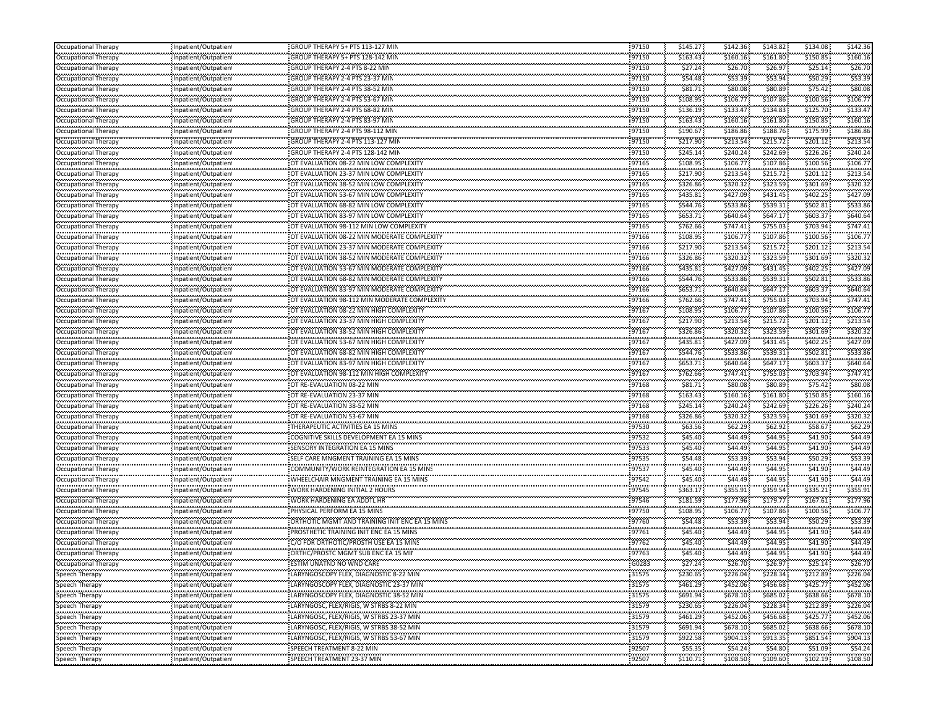| Occupational Therapy                         | Inpatient/Outpatient                         | GROUP THERAPY 5+ PTS 113-127 MIN                                         | 97150              | \$145.27             | \$142.36                | \$143.82                 | \$134.08            | \$142.36            |
|----------------------------------------------|----------------------------------------------|--------------------------------------------------------------------------|--------------------|----------------------|-------------------------|--------------------------|---------------------|---------------------|
| Occupational Therapy                         | Inpatient/Outpatient                         | GROUP THERAPY 5+ PTS 128-142 MIN                                         | 97150              | \$163.43             | \$160.16                | \$161.80                 | \$150.85            | \$160.16            |
| Occupational Therapy                         | Inpatient/Outpatient                         | GROUP THERAPY 2-4 PTS 8-22 MIN                                           | 97150              | \$27.24              | \$26.70                 | \$26.97                  | \$25.14             | \$26.70             |
| Occupational Therapy                         | Inpatient/Outpatient                         | GROUP THERAPY 2-4 PTS 23-37 MIN                                          | 97150              | \$54.48              | \$53.39                 | \$53.94                  | \$50.29             | \$53.39             |
| Occupational Therapy                         | Inpatient/Outpatient                         | GROUP THERAPY 2-4 PTS 38-52 MIN                                          | 97150              | \$81.71              | \$80.08                 | \$80.89                  | \$75.42             | \$80.0              |
| Occupational Therapy                         | Inpatient/Outpatient                         | GROUP THERAPY 2-4 PTS 53-67 MIN                                          | 97150              | \$108.95             | \$106.77                | \$107.86                 | \$100.56            | \$106.7             |
| Occupational Therapy                         | Inpatient/Outpatient                         | GROUP THERAPY 2-4 PTS 68-82 MIN                                          | 97150              | \$136.19             | \$133.47                | \$134.83                 | \$125.70            | \$133.4             |
| <br>Occupational Therapy                     | Inpatient/Outpatient                         | GROUP THERAPY 2-4 PTS 83-97 MIN                                          | 97150              | \$163.43             | \$160.16                | \$161.80                 | \$150.85            | \$160.16            |
| Occupational Therapy                         | Inpatient/Outpatient                         | GROUP THERAPY 2-4 PTS 98-112 MIN                                         | 97150              | \$190.67             | \$186.86                | \$188.76                 | \$175.99            | \$186.86            |
| Occupational Therapy                         | Inpatient/Outpatient                         | GROUP THERAPY 2-4 PTS 113-127 MIN                                        | 97150              | \$217.90             | \$213.54                | \$215.72                 | \$201.12            | \$213.5             |
| Occupational Therapy                         | Inpatient/Outpatient                         | GROUP THERAPY 2-4 PTS 128-142 MIN                                        | <br>97150          | \$245.14             | <br>\$240.24            | <br>\$242.69             | \$226.26            | \$240.2             |
| Occupational Therapy                         | Inpatient/Outpatient                         | OT EVALUATION 08-22 MIN LOW COMPLEXITY                                   | 97165              | \$108.95             | \$106.77                | \$107.86                 | \$100.56            | \$106.7             |
| Occupational Therapy                         | Inpatient/Outpatient                         | OT EVALUATION 23-37 MIN LOW COMPLEXITY                                   | 97165              | \$217.90             | \$213.54                | \$215.72                 | \$201.12            | \$213.54            |
| Occupational Therapy                         | Inpatient/Outpatient                         | OT EVALUATION 38-52 MIN LOW COMPLEXITY                                   | 97165              | \$326.86             | \$320.32                | \$323.59                 | \$301.69            | \$320.33            |
|                                              |                                              | OT EVALUATION 53-67 MIN LOW COMPLEXITY                                   | .<br>97165         | \$435.81             | \$427.09                | \$431.45                 | \$402.25            | \$427.09            |
| Occupational Therapy                         | Inpatient/Outpatient                         |                                                                          | .                  | .                    | \$533.86                | \$539.31                 | \$502.81            | \$533.8             |
| Occupational Therapy                         | Inpatient/Outpatient<br>                     | OT EVALUATION 68-82 MIN LOW COMPLEXITY                                   | 97165<br>          | \$544.76             |                         |                          | \$603.37            | \$640.6             |
| Occupational Therapy                         | Inpatient/Outpatient                         | OT EVALUATION 83-97 MIN LOW COMPLEXITY                                   | 97165              | \$653.71<br>\$762.66 | \$640.64<br>\$747.41    | \$647.17<br>\$755.03     | \$703.94            | \$747.41            |
| Occupational Therapy                         | Inpatient/Outpatient                         | OT EVALUATION 98-112 MIN LOW COMPLEXITY                                  | 97165<br>.         |                      |                         | .                        |                     |                     |
| Occupational Therapy                         | Inpatient/Outpatient                         | OT EVALUATION 08-22 MIN MODERATE COMPLEXITY                              | 97166<br>          | \$108.95             | \$106.77                | \$107.86                 | \$100.56            | \$106.7             |
| Occupational Therapy                         | Inpatient/Outpatient                         | OT EVALUATION 23-37 MIN MODERATE COMPLEXITY                              | 97166<br>          | \$217.90             | \$213.54                | \$215.72                 | \$201.12            | \$213.54            |
| Occupational Therapy                         | Inpatient/Outpatient                         | OT EVALUATION 38-52 MIN MODERATE COMPLEXITY                              | 97166              | \$326.86             | \$320.32                | \$323.59                 | \$301.69            | \$320.3             |
| Occupational Therapy                         | Inpatient/Outpatient                         | OT EVALUATION 53-67 MIN MODERATE COMPLEXITY                              | 97166              | \$435.81             | \$427.09                | \$431.45                 | \$402.25            | \$427.09            |
| Occupational Therapy                         | Inpatient/Outpatient                         | OT EVALUATION 68-82 MIN MODERATE COMPLEXITY                              | 97166              | \$544.76             | \$533.86                | \$539.31                 | \$502.81            | \$533.86            |
| Occupational Therapy                         | Inpatient/Outpatient<br>                     | OT EVALUATION 83-97 MIN MODERATE COMPLEXITY                              | 97166<br>.         | \$653.71<br>-------- | \$640.64                | \$647.17                 | \$603.37            | \$640.6             |
| Occupational Therapy                         | Inpatient/Outpatient                         | OT EVALUATION 98-112 MIN MODERATE COMPLEXITY                             | 97166              | \$762.66             | \$747.41                | \$755.03                 | \$703.94            | \$747.4             |
| Occupational Therapy                         | Inpatient/Outpatient                         | OT EVALUATION 08-22 MIN HIGH COMPLEXITY                                  | 97167              | \$108.95             | \$106.77                | \$107.86                 | \$100.56            | \$106.7             |
| Occupational Therapy                         | Inpatient/Outpatient                         | OT EVALUATION 23-37 MIN HIGH COMPLEXITY                                  | 97167              | \$217.90             | \$213.54                | .<br>\$215.72            | \$201.12            | \$213.5             |
| Occupational Therapy                         | Inpatient/Outpatient                         | OT EVALUATION 38-52 MIN HIGH COMPLEXITY                                  | <br>97167          | \$326.86             | \$320.32                | \$323.59                 | \$301.69            | \$320.3             |
| Occupational Therapy                         | <br>Inpatient/Outpatient                     | OT EVALUATION 53-67 MIN HIGH COMPLEXITY                                  | 97167              | \$435.81             | \$427.09                | \$431.45                 | \$402.25            | \$427.0             |
| Occupational Therapy                         | Inpatient/Outpatient                         | OT EVALUATION 68-82 MIN HIGH COMPLEXITY                                  | 97167              | \$544.76             | \$533.86                | \$539.31                 | \$502.81            | \$533.86            |
|                                              |                                              |                                                                          |                    |                      |                         |                          |                     |                     |
| Occupational Therapy                         | Inpatient/Outpatient                         | OT EVALUATION 83-97 MIN HIGH COMPLEXITY                                  | 97167              | \$653.71             | \$640.64                | \$647.17                 | \$603.37            | \$640.6             |
| Occupational Therapy                         | Inpatient/Outpatient                         | OT EVALUATION 98-112 MIN HIGH COMPLEXITY                                 | 97167              | \$762.66             | \$747.41                | \$755.03                 | \$703.94            | \$747.41            |
| Occupational Therapy                         | Inpatient/Outpatient                         | OT RE-EVALUATION 08-22 MIN                                               | 97168              | \$81.71              | \$80.08                 | \$80.89                  | \$75.42             | \$80.0              |
| Occupational Therapy                         | Inpatient/Outpatient                         | OT RE-EVALUATION 23-37 MIN                                               | 97168              | \$163.43             | \$160.16                | \$161.80                 | \$150.85            | \$160.16            |
| Occupational Therapy                         | Inpatient/Outpatient                         | OT RE-EVALUATION 38-52 MIN                                               | <br>97168          | \$245.14             | \$240.24                | .<br>\$242.69            | \$226.26            | \$240.2             |
| Occupational Therapy                         | Inpatient/Outpatient                         | OT RE-EVALUATION 53-67 MIN                                               | .<br>97168         | \$326.86             | \$320.32                | \$323.59                 | \$301.69            | \$320.32            |
|                                              | <br>Inpatient/Outpatient                     | THERAPEUTIC ACTIVITIES EA 15 MINS                                        | 97530              | \$63.56              | \$62.29                 | \$62.92                  | \$58.67             | \$62.29             |
| Occupational Therapy<br>Occupational Therapy | Inpatient/Outpatient                         | COGNITIVE SKILLS DEVELOPMENT EA 15 MINS                                  | 97532              | \$45.40              | \$44.49                 | \$44.95                  | \$41.90             | \$44.49             |
| Occupational Therapy                         |                                              | SENSORY INTEGRATION EA 15 MINS                                           | 97533              | \$45.40              | \$44.49                 | \$44.95                  | \$41.90             | \$44.49             |
|                                              | Inpatient/Outpatient                         | SELF CARE MNGMENT TRAINING EA 15 MINS                                    |                    |                      |                         |                          |                     |                     |
| Occupational Therapy<br>Occupational Therapy | Inpatient/Outpatient<br>Inpatient/Outpatient | COMMUNITY/WORK REINTEGRATION EA 15 MINS                                  | 97535<br><br>97537 | \$54.48<br>\$45.40   | \$53.39<br>.<br>\$44.49 | \$53.94<br>\$44.95       | \$50.29<br>\$41.90  | \$53.39<br>\$44.4   |
|                                              |                                              |                                                                          | <br>97542          |                      | .<br>\$44.49            |                          |                     |                     |
| Occupational Therapy                         | Inpatient/Outpatient                         | WHEELCHAIR MNGMENT TRAINING EA 15 MINS<br>WORK HARDENING INITIAL 2 HOURS | .<br>97545         | \$45.40              | \$355.91                | \$44.95<br>.<br>\$359.54 | \$41.90             | \$44.4              |
| Occupational Therapy                         | Inpatient/Outpatient                         |                                                                          |                    | \$363.17             |                         |                          | \$335.21            | \$355.9             |
| Occupational Therapy                         | Inpatient/Outpatient                         | WORK HARDENING EA ADDTL HR                                               | 97546              | \$181.59             | \$177.96                | \$179.77                 | \$167.61            | \$177.96            |
| Occupational Therapy                         | Inpatient/Outpatient                         | PHYSICAL PERFORM EA 15 MINS                                              | 97750              | \$108.95             | \$106.77                | \$107.86                 | \$100.56            | \$106.7             |
| Occupational Therapy                         | Inpatient/Outpatient<br>                     | ORTHOTIC MGMT AND TRAINING INIT ENC EA 15 MINS                           | 97760<br>.         | \$54.48<br>.         | \$53.39<br>             | \$53.94<br>.             | \$50.29<br>         | \$53.39             |
| Occupational Therapy                         | Inpatient/Outpatient                         | PROSTHETIC TRAINING INIT ENC EA 15 MINS                                  | 97761              | \$45.40<br>          | \$44.49                 | \$44.95                  | \$41.90             | \$44.49             |
| Occupational Therapy<br>                     | Inpatient/Outpatient<br>.                    | C/O FOR ORTHOTIC/PROSTH USE EA 15 MINS                                   | 97762              | \$45.40              | \$44.49                 | \$44.95                  | \$41.90             | \$44.49             |
| Occupational Therapy<br>                     | Inpatient/Outpatient                         | ORTHC/PROSTC MGMT SUB ENC EA 15 MII                                      | 97763<br>.         | \$45.40<br>          | \$44.49<br>.            | \$44.95<br>.             | \$41.90             | \$44.49             |
| <b>Occupational Therapy</b>                  | Inpatient/Outpatient                         | ESTIM UNATND NO WND CARE                                                 | G0283              | \$27.24              | \$26.70                 | \$26.97                  | \$25.14             | \$26.70             |
| Speech Therapy<br>.                          | Inpatient/Outpatient                         | LARYNGOSCOPY FLEX, DIAGNOSTIC 8-22 MIN                                   | 31575              | \$230.65             | \$226.04                | \$228.34                 | \$212.89            | \$226.04            |
| Speech Therapy                               | Inpatient/Outpatient                         | LARYNGOSCOPY FLEX, DIAGNOSTIC 23-37 MIN                                  | 31575              | \$461.29             | \$452.06                | \$456.68                 | \$425.77            | \$452.06            |
| Speech Therapy                               | Inpatient/Outpatient                         | LARYNGOSCOPY FLEX, DIAGNOSTIC 38-52 MIN                                  | 31575              | \$691.94             | \$678.10                | \$685.02                 | \$638.66            | \$678.10            |
| Speech Therapy<br>.                          | Inpatient/Outpatient                         | LARYNGOSC, FLEX/RIGIS, W STRBS 8-22 MIN                                  | 31579<br>.         | \$230.65<br>.        | \$226.04<br>            | \$228.34<br>             | \$212.89            | \$226.04            |
| Speech Therapy<br>.                          | Inpatient/Outpatient                         | LARYNGOSC, FLEX/RIGIS, W STRBS 23-37 MIN                                 | 31579              | \$461.29             | \$452.06                | \$456.68<br>             | \$425.77            | \$452.06<br>.       |
| Speech Therapy<br>                           | Inpatient/Outpatient                         | LARYNGOSC, FLEX/RIGIS, W STRBS 38-52 MIN                                 | 31579<br>.         | \$691.94             | \$678.10<br>            | \$685.02                 | \$638.66            | \$678.10            |
| Speech Therapy<br>.                          | Inpatient/Outpatient                         | LARYNGOSC, FLEX/RIGIS, W STRBS 53-67 MIN                                 | 31579              | \$922.58             | \$904.13                | \$913.35                 | \$851.54            | \$904.13            |
| Speech Therapy<br>.<br>Speech Therapy        | Inpatient/Outpatient<br>Inpatient/Outpatient | SPEECH TREATMENT 8-22 MIN<br><br>SPEECH TREATMENT 23-37 MIN              | 92507<br>92507     | \$55.35<br>\$110.71  | \$54.24<br>\$108.50     | \$54.80<br>\$109.60      | \$51.09<br>\$102.19 | \$54.24<br>\$108.50 |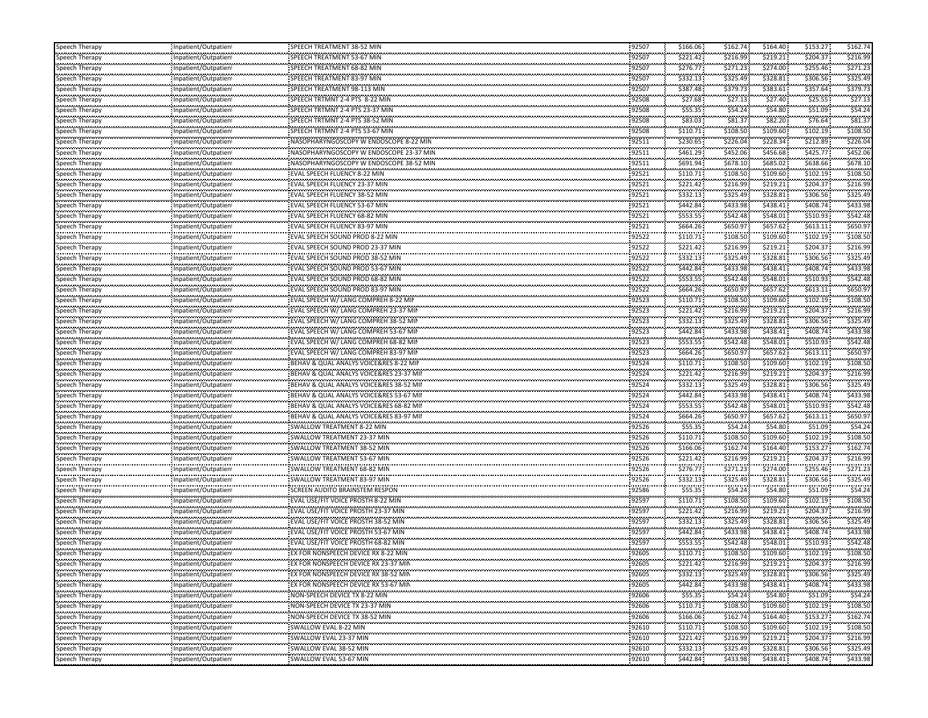| Speech Therapy                    | Inpatient/Outpatient                             | SPEECH TREATMENT 38-52 MIN              | 92507           | \$166.06 | \$162.74     | \$164.40 | \$153.27 | \$162.74 |
|-----------------------------------|--------------------------------------------------|-----------------------------------------|-----------------|----------|--------------|----------|----------|----------|
| Speech Therapy                    | Inpatient/Outpatient                             | SPEECH TREATMENT 53-67 MIN              | 92507           | \$221.42 | \$216.99     | \$219.21 | \$204.37 | \$216.99 |
| Speech Therapy                    | Inpatient/Outpatient                             | SPEECH TREATMENT 68-82 MIN              | 92507           | \$276.77 | \$271.23     | \$274.00 | \$255.46 | \$271.23 |
| Speech Therapy                    | Inpatient/Outpatient                             | SPEECH TREATMENT 83-97 MIN              | 92507           | \$332.13 | \$325.49     | \$328.81 | \$306.56 | \$325.49 |
| <br>Speech Therapy                | Inpatient/Outpatient                             |                                         | 92507           | \$387.48 | \$379.73     | \$383.61 | \$357.64 | \$379.7  |
| Speech Therapy                    | Inpatient/Outpatient                             | SPEECH TRTMNT 2-4 PTS 8-22 MIN          | 92508           | \$27.68  | \$27.13      | \$27.40  | \$25.55  | \$27.13  |
|                                   |                                                  | SPEECH TRTMNT 2-4 PTS 23-37 MIN         | 92508           | \$55.35  | \$54.24      | \$54.80  | \$51.09  | \$54.24  |
| Speech Therapy<br>a magayaran n   | Inpatient/Outpatient                             |                                         | 92508           | \$83.03  | \$81.37      | \$82.20  | \$76.64  | \$81.3   |
| Speech Therapy                    | Inpatient/Outpatient                             |                                         | 92508           |          | \$108.50     | \$109.60 | \$102.19 |          |
| Speech Therapy<br>.               | Inpatient/Outpatient                             |                                         |                 | \$110.71 |              |          |          | \$108.50 |
| Speech Therapy                    | Inpatient/Outpatient<br>                         | NASOPHARYNGOSCOPY W ENDOSCOPE 8-22 MIN  | 92511           | \$230.65 | \$226.04     | \$228.34 | \$212.89 | \$226.04 |
| Speech Therapy                    | Inpatient/Outpatient                             |                                         | 92511           | \$461.29 | \$452.06     | \$456.68 | \$425.77 | \$452.0  |
| Speech Therapy                    | Inpatient/Outpatient                             | NASOPHARYNGOSCOPY W ENDOSCOPE 38-52 MIN | 92511           | \$691.94 | \$678.10     | \$685.02 | \$638.66 | \$678.10 |
| Speech Therapy                    | Inpatient/Outpatient                             | <b>EVAL SPEECH FLUENCY 8-22 MIN</b>     | 92521           | \$110.71 | \$108.50     | \$109.60 | \$102.19 | \$108.50 |
| Speech Therapy                    | Inpatient/Outpatient                             | <b>EVAL SPEECH FLUENCY 23-37 MIN</b>    | 92521           | \$221.42 | \$216.99     | \$219.21 | \$204.37 | \$216.99 |
| Speech Therapy                    | Inpatient/Outpatient                             | EVAL SPEECH FLUENCY 38-52 MIN           | 92521           | \$332.13 | \$325.49     | \$328.81 | \$306.56 | \$325.49 |
| magayaanii<br>Speech Therapy      | Inpatient/Outpatient                             | EVAL SPEECH FLUENCY 53-67 MIN           | 92521           | \$442.84 | \$433.98     | \$438.41 | \$408.74 | \$433.98 |
| Speech Therapy                    | <br>Inpatient/Outpatient                         | EVAL SPEECH FLUENCY 68-82 MIN           | 92521           | \$553.55 | \$542.48     | \$548.01 | \$510.93 | \$542.48 |
| Speech Therapy                    | Inpatient/Outpatient                             | <b>EVAL SPEECH FLUENCY 83-97 MIN</b>    | 92521           | \$664.26 | \$650.97     | \$657.62 | \$613.11 | \$650.97 |
| Speech Therapy                    | <br>Inpatient/Outpatient                         | EVAL SPEECH SOUND PROD 8-22 MIN         | 92522           | \$110.71 | \$108.50     | \$109.60 | \$102.19 | \$108.50 |
|                                   |                                                  | EVAL SPEECH SOUND PROD 23-37 MIN        | 92522           | \$221.42 | \$216.99     | \$219.21 | \$204.37 | \$216.99 |
| Speech Therapy<br>                | Inpatient/Outpatient<br>                         | EVAL SPEECH SOUND PROD 38-52 MIN        | 92522           | \$332.13 | \$325.49     | \$328.81 | \$306.56 | \$325.49 |
| Speech Therapy                    | Inpatient/Outpatient                             |                                         |                 |          |              |          |          |          |
| Speech Therapy                    | Inpatient/Outpatient                             | EVAL SPEECH SOUND PROD 53-67 MIN        | 92522           | \$442.84 | \$433.98     | \$438.41 | \$408.74 | \$433.98 |
| Speech Therapy<br>                | Inpatient/Outpatient<br>                         | EVAL SPEECH SOUND PROD 68-82 MIN        | 92522           | \$553.55 | \$542.48     | \$548.01 | \$510.93 | \$542.48 |
| Speech Therapy                    | Inpatient/Outpatient<br>                         | EVAL SPEECH SOUND PROD 83-97 MIN        | 92522           | \$664.26 | \$650.97     | \$657.62 | \$613.11 | \$650.97 |
| Speech Therapy                    | Inpatient/Outpatient                             | EVAL SPEECH W/ LANG COMPREH 8-22 MIN    | 92523           | \$110.71 | \$108.50     | \$109.60 | \$102.19 | \$108.50 |
| Speech Therapy                    | Inpatient/Outpatient                             | EVAL SPEECH W/ LANG COMPREH 23-37 MII   | 92523           | \$221.42 | \$216.99     | \$219.21 | \$204.37 | \$216.99 |
| Speech Therapy                    | <br>Inpatient/Outpatient                         | EVAL SPEECH W/ LANG COMPREH 38-52 MIN   | 92523           | \$332.13 | \$325.49     | \$328.81 | \$306.56 | \$325.49 |
| Speech Therapy                    | Inpatient/Outpatient                             | EVAL SPEECH W/ LANG COMPREH 53-67 MIN   | 92523           | \$442.84 | \$433.98     | \$438.41 | \$408.74 | \$433.98 |
| <br>Speech Therapy                | <br>Inpatient/Outpatient                         | EVAL SPEECH W/ LANG COMPREH 68-82 MIN   | 92523           | \$553.55 | \$542.48     | \$548.01 | \$510.93 | \$542.48 |
| Speech Therapy                    | Inpatient/Outpatient                             | EVAL SPEECH W/ LANG COMPREH 83-97 MII   | 92523           | \$664.26 | \$650.97     | \$657.62 | \$613.11 | \$650.97 |
| Speech Therapy                    | Inpatient/Outpatient                             | BEHAV & QUAL ANALYS VOICE&RES 8-22 MII  | 92524           | \$110.71 | \$108.50     | \$109.60 | \$102.19 | \$108.50 |
| <br>Speech Therapy                |                                                  | BEHAV & QUAL ANALYS VOICE&RES 23-37 MII | 92524           | \$221.42 | \$216.99     | \$219.21 | \$204.37 | \$216.99 |
|                                   | Inpatient/Outpatient<br>                         | BEHAV & QUAL ANALYS VOICE&RES 38-52 MII | 92524           | \$332.13 | \$325.49     | \$328.81 | \$306.56 | \$325.49 |
| Speech Therapy                    | Inpatient/Outpatient                             |                                         | 92524           | \$442.84 | \$433.98     | \$438.41 | \$408.74 | \$433.98 |
| Speech Therapy                    | Inpatient/Outpatient<br>                         | BEHAV & QUAL ANALYS VOICE&RES 53-67 MII | 92524           | \$553.55 | \$542.48     | \$548.01 | \$510.93 | \$542.48 |
| Speech Therapy                    | Inpatient/Outpatient                             | BEHAV & QUAL ANALYS VOICE&RES 68-82 MII |                 |          |              |          |          |          |
| Speech Therapy<br>                | Inpatient/Outpatient<br>                         | BEHAV & QUAL ANALYS VOICE&RES 83-97 MII | 92524           | \$664.26 | \$650.97     | \$657.62 | \$613.11 | \$650.97 |
| Speech Therapy                    | Inpatient/Outpatient                             | SWALLOW TREATMENT 8-22 MIN              | 92526           | \$55.35  | \$54.24      | \$54.80  | \$51.09  | \$54.2   |
| Speech Therapy                    | Inpatient/Outpatient                             | SWALLOW TREATMENT 23-37 MIN             | 92526           | \$110.71 | \$108.50     | \$109.60 | \$102.19 | \$108.50 |
| Speech Therapy                    | Inpatient/Outpatient                             | SWALLOW TREATMENT 38-52 MIN             | 92526           | \$166.06 | \$162.74     | \$164.40 | \$153.27 | \$162.74 |
| <br>Speech Therapy                | Inpatient/Outpatient                             | SWALLOW TREATMENT 53-67 MIN             | 92526           | \$221.42 | \$216.99     | \$219.21 | \$204.37 | \$216.99 |
| Speech Therapy                    | Inpatient/Outpatient                             |                                         | 92526           | \$276.77 | \$271.23     | \$274.00 | \$255.46 | \$271.2  |
| .<br>Speech Therapy               | Inpatient/Outpatient                             |                                         | 92526           | \$332.13 | \$325.49     | \$328.81 | \$306.56 | \$325.49 |
| Speech Therapy                    | <br>Inpatient/Outpatient                         | SCREEN AUDITO BRAINSTEM RESPON          | 92586           | \$55.35  | \$54.24      | \$54.80  | \$51.09  | \$54.2   |
| Speech Therapy                    | Inpatient/Outpatient                             | EVAL USE/FIT VOICE PROSTH 8-22 MIN      | 92597           | \$110.71 | \$108.50     | \$109.60 | \$102.19 | \$108.50 |
| ---------------                   | Inpatient/Outpatient                             | EVAL USE/FIT VOICE PROSTH 23-37 MIN     | 92597           | \$221.42 | \$216.99     | \$219.21 | \$204.37 | \$216.99 |
| Speech Therapy                    |                                                  | EVAL USE/FIT VOICE PROSTH 38-52 MIN     | 92597           | \$332.13 | \$325.49     | \$328.81 | \$306.56 | \$325.49 |
| Speech Therapy                    | Inpatient/Outpatient                             | EVAL USE/FIT VOICE PROSTH 53-67 MIN     | 92597           | \$442.84 | \$433.98     | \$438.41 | \$408.74 | \$433.98 |
| Speech Therapy<br>.               | Inpatient/Outpatien!                             |                                         | 92597           | \$553.55 |              | \$548.01 | \$510.93 | \$542.48 |
| Speech Therapy                    | Inpatient/Outpatient                             | EVAL USE/FIT VOICE PROSTH 68-82 MIN     |                 |          | \$542.48     |          |          |          |
| Speech Therapy<br>mmpymii         | Inpatient/Outpatient<br>,,,,,,,,,,,,,,,,,,,,,,,, | EX FOR NONSPEECH DEVICE RX 8-22 MIN     | 92605           | \$110.71 | \$108.50     | \$109.60 | \$102.19 | \$108.50 |
| Speech Therapy                    | Inpatient/Outpatient                             | EX FOR NONSPEECH DEVICE RX 23-37 MIN    | 92605           | \$221.42 | \$216.99     | \$219.21 | \$204.37 | \$216.99 |
| Speech Therapy                    | Inpatient/Outpatient                             | EX FOR NONSPEECH DEVICE RX 38-52 MIN    | 92605           | \$332.13 | \$325.49     | \$328.81 | \$306.56 | \$325.49 |
| Speech Therapy                    | Inpatient/Outpatient                             | EX FOR NONSPEECH DEVICE RX 53-67 MIN    | 92605           | \$442.84 | \$433.98     | \$438.41 | \$408.74 | \$433.98 |
| ---------------<br>Speech Therapy | Inpatient/Outpatient                             | NON-SPEECH DEVICE TX 8-22 MIN           | 92606           | \$55.35  | \$54.24      | \$54.80  | \$51.09  | \$54.24  |
| Speech Therapy                    | : Inpatient/Outpatient                           | NON-SPEECH DEVICE TX 23-37 MIN          | 92606           | \$110.71 | \$108.50     | \$109.60 | \$102.19 | \$108.50 |
| <br>Speech Therapy                | <br>Inpatient/Outpatient                         | NON-SPEECH DEVICE TX 38-52 MIN          | 92606           | \$166.06 | \$162.74     | \$164.40 | \$153.27 | \$162.7  |
| .<br>Speech Therapy               | Inpatient/Outpatient                             |                                         | 92610           | \$110.71 | \$108.50     | \$109.60 | \$102.19 | \$108.50 |
| <br>Speech Therapy                | Inpatient/Outpatient                             | <br>SWALLOW EVAL 23-37 MIN              | 1.1111<br>92610 | \$221.42 | <br>\$216.99 | \$219.21 | \$204.37 | \$216.99 |
| .                                 |                                                  | SWALLOW EVAL 38-52 MIN                  | 92610           | \$332.13 | \$325.49     | \$328.81 | \$306.56 | \$325.49 |
| Speech Therapy<br>.               | Inpatient/Outpatient<br>,,,,,,,,,,,,,,,,,,,,,,,, | SWALLOW EVAL 53-67 MIN                  | 92610           | \$442.84 | \$433.98     | \$438.41 | \$408.74 |          |
| Speech Therapy                    | Inpatient/Outpatient                             |                                         |                 |          |              |          |          | \$433.98 |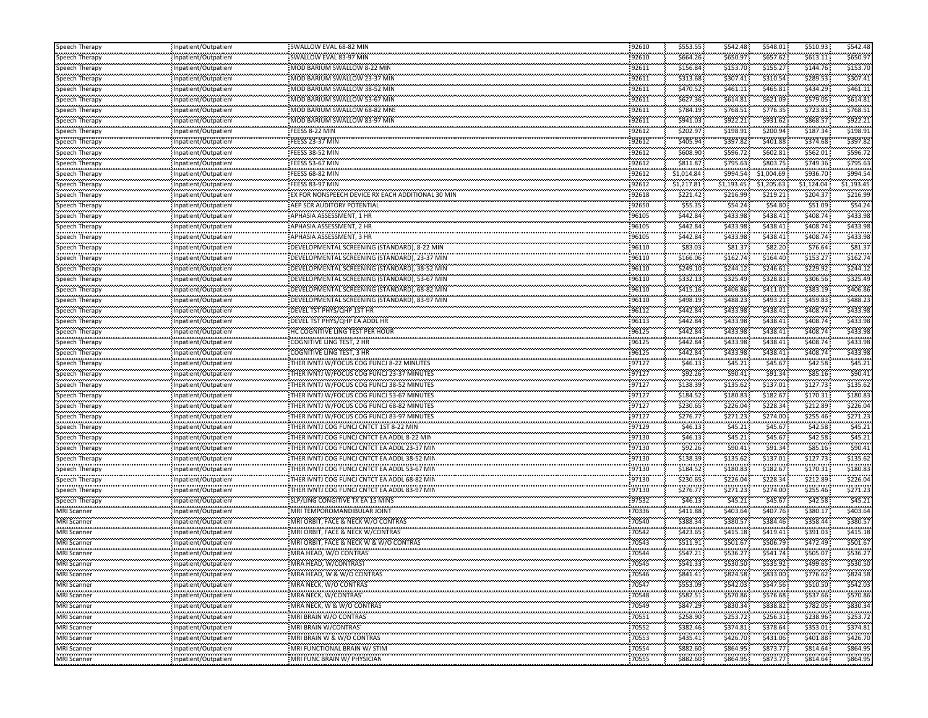| Speech Therapy                       | Inpatient/Outpatien                             | SWALLOW EVAL 68-82 MIN                                                             | 92610             | \$553.55             | \$542.48     | \$548.01             | \$510.93             | \$542.48             |
|--------------------------------------|-------------------------------------------------|------------------------------------------------------------------------------------|-------------------|----------------------|--------------|----------------------|----------------------|----------------------|
| Speech Therapy                       | Inpatient/Outpatien                             | SWALLOW EVAL 83-97 MIN                                                             | 92610             | \$664.26             | \$650.97     | \$657.62             | \$613.11             | \$650.97             |
| Speech Therapy                       | Inpatient/Outpatient                            | MOD BARIUM SWALLOW 8-22 MIN                                                        | 92611             | \$156.84             | \$153.70     | \$155.27             | \$144.76             | \$153.7              |
| Speech Therapy                       | Inpatient/Outpatient                            | MOD BARIUM SWALLOW 23-37 MIN                                                       | 92611             | \$313.68             | \$307.41     | \$310.54             | \$289.53             | \$307.41             |
| Speech Therapy                       | Inpatient/Outpatient                            | MOD BARIUM SWALLOW 38-52 MIN                                                       | 92611             | \$470.52             | \$461.11     | \$465.81             | \$434.29             | \$461.1              |
| Speech Therapy                       | Inpatient/Outpatient                            | MOD BARIUM SWALLOW 53-67 MIN                                                       | 92611             | \$627.36             | \$614.81     | \$621.09             | \$579.05             | \$614.81             |
| Speech Therapy                       | Inpatient/Outpatient                            | MOD BARIUM SWALLOW 68-82 MNS                                                       | 92611             | \$784.19             | \$768.51     | \$776.35             | \$723.81             | \$768.51             |
| .<br>Speech Therapy                  | Inpatient/Outpatient                            | MOD BARIUM SWALLOW 83-97 MIN                                                       | 92611             | \$941.03             | \$922.21     | \$931.62             | \$868.57             | \$922.21             |
|                                      |                                                 |                                                                                    | 92612             | \$202.97             | \$198.91     | \$200.94             | \$187.34             | \$198.9              |
| Speech Therapy<br>n mengenggan mena  | Inpatient/Outpatien!                            | FEESS 8-22 MIN<br>FEESS 23-37 MIN                                                  | 92612             | \$405.94             | \$397.82     | \$401.88             | \$374.68             | \$397.82             |
| Speech Therapy                       | Inpatient/Outpatien                             |                                                                                    | 92612             | \$608.90             | \$596.72     | \$602.81             | \$562.01             | \$596.7              |
| Speech Therapy<br><br>Speech Therapy | Inpatient/Outpatient                            | FEESS 53-67 MIN                                                                    | 92612             |                      | \$795.63     | \$803.75             | \$749.36             | \$795.63             |
|                                      | Inpatient/Outpatient                            | FEESS 68-82 MIN                                                                    |                   | \$811.87             |              |                      |                      |                      |
| Speech Therapy                       | Inpatient/Outpatient                            |                                                                                    | 92612             | \$1,014.84           | \$994.54     | \$1,004.69           | \$936.70             | \$994.54             |
| Speech Therapy                       | Inpatient/Outpatient                            | <b>FEESS 83-97 MIN</b>                                                             | 92612             | \$1,217.81           | \$1,193.45   | \$1,205.63           | \$1,124.04           | \$1,193.45           |
| Speech Therapy<br>mmpgmmii           | Inpatient/Outpatien!                            | EX FOR NONSPEECH DEVICE RX EACH ADDITIONAL 30 MIN<br>,,,,,,,,,,,,,,,,,,,,,,,,,,,,, | 92618             | \$221.42             | \$216.99     | \$219.21             | \$204.37             | \$216.99             |
| Speech Therapy                       | Inpatient/Outpatien                             | <b>AEP SCR AUDITORY POTENTIAL</b>                                                  | 92650             | \$55.35              | \$54.24      | \$54.80              | \$51.09              | \$54.2               |
| Speech Therapy                       | Inpatient/Outpatient                            | APHASIA ASSESSMENT, 1 HR                                                           | 96105             | \$442.84             | \$433.98     | \$438.41             | \$408.74             | \$433.98             |
| Speech Therapy                       | Inpatient/Outpatient                            | APHASIA ASSESSMENT, 2 HR                                                           | 96105             | \$442.84             | \$433.98     | \$438.41             | \$408.74             | \$433.98             |
| Speech Therapy                       | Inpatient/Outpatient                            | APHASIA ASSESSMENT, 3 HR                                                           | 96105             | \$442.84             | \$433.98     | \$438.41             | \$408.74             | \$433.98             |
|                                      | Inpatient/Outpatient                            | DEVELOPMENTAL SCREENING (STANDARD), 8-22 MIN                                       | 96110             | \$83.03              | \$81.37      | \$82.20              | \$76.64              | \$81.3               |
| Speech Therapy                       | Inpatient/Outpatient                            | DEVELOPMENTAL SCREENING (STANDARD), 23-37 MIN                                      | 96110             | \$166.06             | \$162.74     | \$164.40             | \$153.27             | \$162.7              |
| Speech Therapy                       | Inpatient/Outpatient                            | DEVELOPMENTAL SCREENING (STANDARD), 38-52 MIN                                      | 96110             | \$249.10             | \$244.12     | \$246.61             | \$229.92             | \$244.12             |
| Speech Therapy                       | Inpatient/Outpatient                            | DEVELOPMENTAL SCREENING (STANDARD), 53-67 MIN                                      | 96110             | \$332.13             | \$325.49     | \$328.81             | \$306.56             | \$325.49             |
| n mengenggan mena<br>Speech Therapy  | Inpatient/Outpatient                            | DEVELOPMENTAL SCREENING (STANDARD), 68-82 MIN                                      | 96110             | \$415.16             | \$406.86     | \$411.01             | \$383.19             | \$406.86             |
| Speech Therapy                       | Inpatient/Outpatient                            | .<br>DEVELOPMENTAL SCREENING (STANDARD), 83-97 MIN                                 | 96110             | \$498.19             | \$488.23     | \$493.21             | \$459.83             | \$488.2              |
| Speech Therapy                       | Inpatient/Outpatient                            | DEVEL TST PHYS/QHP 1ST HR                                                          | 96112             | \$442.84             | \$433.98     | \$438.41             | \$408.74             | \$433.98             |
| Speech Therapy                       | Inpatient/Outpatient                            | DEVEL TST PHYS/QHP EA ADDL HR                                                      | ,,,,,,,,<br>96113 | \$442.84             | \$433.98     | \$438.41             | \$408.74             | \$433.98             |
|                                      | Inpatient/Outpatient                            | HC COGNITIVE LING TEST PER HOUR                                                    | 96125             | \$442.84             | \$433.98     | \$438.41             | \$408.74             | \$433.98             |
|                                      |                                                 | COGNITIVE LING TEST, 2 HR                                                          | 96125             | \$442.84             | \$433.98     | \$438.41             | \$408.74             | \$433.98             |
| Speech Therapy<br>Speech Therapy     | Inpatient/Outpatient<br>Inpatient/Outpatient    | <b>COGNITIVE LING TEST, 3 HR</b>                                                   | 96125             | \$442.84             | \$433.98     | \$438.41             | \$408.74             | \$433.98             |
|                                      |                                                 | THER IVNTJ W/FOCUS COG FUNCJ 8-22 MINUTES                                          | 97127             | \$46.13              | \$45.21      | \$45.67              | \$42.58              | \$45.2               |
| Speech Therapy<br>n mengenggan mena  | Inpatient/Outpatient<br>Inpatient/Outpatient    | THER IVNTJ W/FOCUS COG FUNCJ 23-37 MINUTES                                         | -<br>97127        | \$92.26              | \$90.41      | \$91.34              | \$85.16              | \$90.41              |
| Speech Therapy                       |                                                 | THER IVNTJ W/FOCUS COG FUNCJ 38-52 MINUTES                                         | 97127             | \$138.39             | \$135.62     | \$137.01             | \$127.73             | \$135.62             |
| Speech Therapy                       | Inpatient/Outpatient                            |                                                                                    |                   |                      |              |                      |                      |                      |
| Speech Therapy                       | Inpatient/Outpatient                            | THER IVNTJ W/FOCUS COG FUNCJ 53-67 MINUTES                                         | 97127<br>97127    | \$184.52<br>\$230.65 | \$180.83     | \$182.67<br>\$228.34 | \$170.31<br>\$212.89 | \$180.83<br>\$226.04 |
| Speech Therapy                       | Inpatient/Outpatient                            | THER IVNTJ W/FOCUS COG FUNCJ 68-82 MINUTES                                         |                   |                      | \$226.04     |                      |                      |                      |
| Speech Therapy<br>.                  | Inpatient/Outpatient                            | THER IVNTJ W/FOCUS COG FUNCJ 83-97 MINUTES                                         | 97127             | \$276.77             | \$271.23     | \$274.00             | \$255.46             | \$271.23             |
| Speech Therapy                       | Inpatient/Outpatient                            | THER IVNTJ COG FUNCJ CNTCT 1ST 8-22 MIN                                            | 97129             | \$46.13              | \$45.21      | \$45.67              | \$42.58              | \$45.2\$             |
| Speech Therapy                       | Inpatient/Outpatient                            | THER IVNTJ COG FUNCJ CNTCT EA ADDL 8-22 MIN                                        | 97130             | \$46.13              | \$45.21      | \$45.67              | \$42.58              | \$45.21              |
| Speech Therapy<br>                   | Inpatient/Outpatient                            | THER IVNTJ COG FUNCJ CNTCT EA ADDL 23-37 MIN                                       | 97130             | \$92.26              | \$90.41      | \$91.34              | \$85.16              | \$90.41              |
| Speech Therapy                       | Inpatient/Outpatient                            | THER IVNTJ COG FUNCJ CNTCT EA ADDL 38-52 MIN                                       | 97130             | \$138.39             | \$135.62     | \$137.01             | \$127.73             | \$135.62             |
| Speech Therapy                       | Inpatient/Outpatien!                            | THER IVNTJ COG FUNCJ CNTCT EA ADDL 53-67 MIN                                       | 97130             | \$184.52             | \$180.83     | \$182.67             | \$170.31             | \$180.8              |
| mmpgmmii<br>Speech Therapy           | Inpatient/Outpatient                            | THER IVNTJ COG FUNCJ CNTCT EA ADDL 68-82 MIN                                       | 97130             | \$230.65             | \$226.04     | \$228.34             | \$212.89             | \$226.04             |
| Speech Therapy                       | Inpatient/Outpatient                            | THER IVNTJ COG FUNCJ CNTCT EA ADDL 83-97 MIN                                       | 97130             | \$276.77             | \$271.23     | \$274.00             | \$255.46             | \$271.2              |
| Speech Therapy                       | Inpatient/Outpatient                            | SLP/LING CONGITIVE TX EA 15 MINS                                                   | 97532             | \$46.13              | \$45.21      | \$45.67              | \$42.58              | \$45.21              |
| MRI Scanner                          | Inpatient/Outpatient                            | MRI TEMPOROMANDIBULAR JOINT                                                        | 70336             | \$411.88             | \$403.64     | \$407.76             | \$380.17             | \$403.64             |
| MRI Scanner                          | Inpatient/Outpatient                            | MRI ORBIT, FACE & NECK W/O CONTRAS                                                 | 70540             | \$388.34             | \$380.57     | \$384.46             | \$358.44             | \$380.57             |
| <br>MRI Scanner                      | Inpatient/Outpatien!                            | MRI ORBIT, FACE & NECK W/CONTRAS                                                   | 70542             | \$423.65             | \$415.18     | \$419.41             | \$391.03             | \$415.18             |
| MRI Scanner                          | Inpatient/Outpatien                             | MRI ORBIT, FACE & NECK W & W/O CONTRAS                                             | 70543             | \$511.91             | \$501.67     | \$506.79             | \$472.49             | \$501.67             |
| <b>MRI Scanner</b>                   | Inpatient/Outpatien!                            | MRA HEAD, W/O CONTRAS'                                                             | 70544             | \$547.21             | \$536.27     | \$541.74             | \$505.07             | \$536.27             |
| MRI Scanner                          | Inpatient/Outpatient                            | MRA HEAD, W/CONTRAS                                                                | 70545             | \$541.33             | \$530.50     | \$535.92             | \$499.65             | \$530.50             |
| <b>MRI Scanner</b>                   | Inpatient/Outpatient                            | MRA HEAD, W & W/O CONTRAS                                                          | 70546             | \$841.41             | \$824.58     | \$833.00             | \$776.62             | \$824.58             |
| .<br>MRI Scanner                     | Inpatient/Outpatient                            | MRA NECK, W/O CONTRAS                                                              | 70547             | \$553.09             | \$542.03     | \$547.56             | \$510.50             | \$542.03             |
| MRI Scanner                          | Inpatient/Outpatient                            | MRA NECK, W/CONTRAS                                                                | 70548             | \$582.51             | \$570.86     | \$576.68             | \$537.66             | \$570.86             |
| <b>MRI Scanner</b>                   |                                                 | MRA NECK, W & W/O CONTRAS                                                          | 70549             | \$847.29             | \$830.34     | \$838.82             | \$782.05             | \$830.34             |
| .                                    | Inpatient/Outpatient<br>                        | MRI BRAIN W/O CONTRAS                                                              | 70551             | \$258.90             | \$253.72     | \$256.31             | \$238.96             | \$253.7              |
| <b>MRI Scanner</b><br>MRI Scanner    | Inpatient/Outpatient<br>Inpatient/Outpatient    | MRI BRAIN W/CONTRAST                                                               | 70552             | \$382.46             | \$374.81     | \$378.64             | \$353.01             | \$374.81             |
|                                      |                                                 | MRI BRAIN W & W/O CONTRAS                                                          | Este est          | \$435.41             | .            |                      |                      |                      |
| <b>MRI Scanner</b><br>MRI Scanner    | Inpatient/Outpatient                            | MRI FUNCTIONAL BRAIN W/ STIM                                                       | 70553<br>70554    |                      | \$426.70     | \$431.06             | \$401.88             | \$426.70             |
|                                      | Inpatient/Outpatient<br>,,,,,,,,,,,,,,,,,,,,,,, |                                                                                    | 12222 M           | \$882.60             | \$864.95<br> | \$873.77             | \$814.64             | \$864.95             |
| MRI Scanner                          | Inpatient/Outpatient                            | MRI FUNC BRAIN W/ PHYSICIAN                                                        | 70555             | \$882.60             | \$864.95     | \$873.77             | \$814.64             | \$864.95             |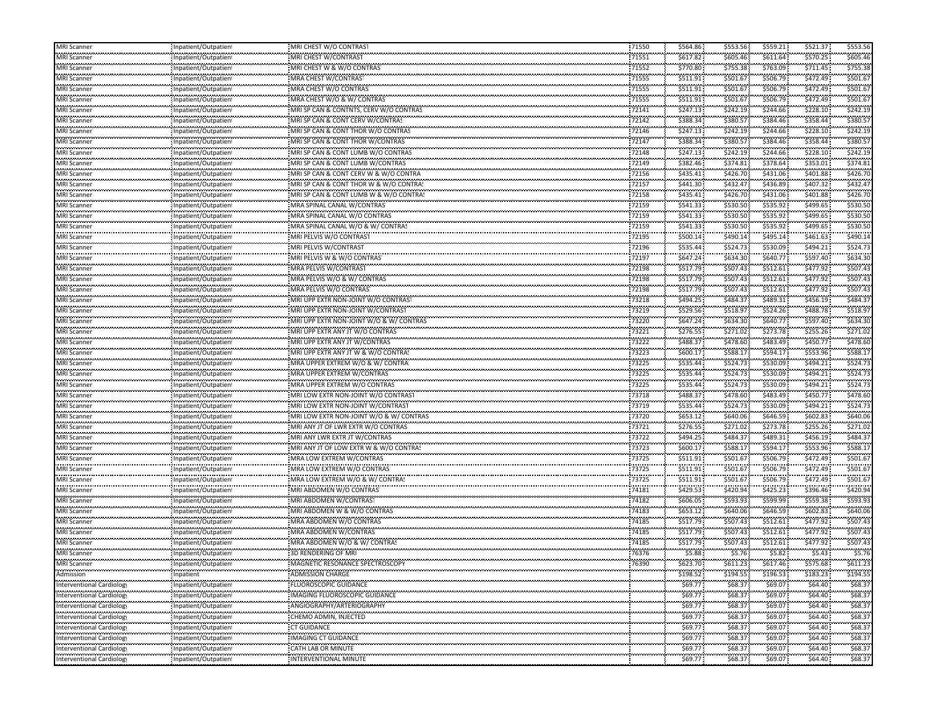| <b>MRI</b> Scanner                                              | Inpatient/Outpatient     | MRI CHEST W/O CONTRAST                                                 | 71550             | \$564.86             | \$553.56             | \$559.21              | \$521.37                | \$553.56            |
|-----------------------------------------------------------------|--------------------------|------------------------------------------------------------------------|-------------------|----------------------|----------------------|-----------------------|-------------------------|---------------------|
| MRI Scanner                                                     | Inpatient/Outpatien      | MRI CHEST W/CONTRAST                                                   | 71551             | \$617.82             | \$605.46             | \$611.64              | \$570.25                | \$605.46            |
| <br>MRI Scanner                                                 | Inpatient/Outpatien      | MRI CHEST W & W/O CONTRAS                                              | <br>71552         | \$770.80             | .<br>\$755.38        | \$763.09              | \$711.45                | \$755.3             |
| .<br><b>MRI Scanner</b>                                         | Inpatient/Outpatien      | MRA CHEST W/CONTRAS                                                    | 71555             | \$511.91             | \$501.67             | \$506.79              | \$472.49                | \$501.6             |
| <br>VRI Scanner                                                 | Inpatient/Outpatien      | MRA CHEST W/O CONTRAS                                                  | <br>71555         | \$511.91             | .<br>\$501.67        | ,,,,,,,,,<br>\$506.79 | \$472.49                | \$501.6             |
| MRI Scanner                                                     | Inpatient/Outpatien      | MRA CHEST W/O & W/ CONTRAS                                             | 71555             | \$511.91             | \$501.67             | \$506.79              | \$472.49                | \$501.67            |
| MRI Scanner                                                     | Inpatient/Outpatient     | MRI SP CAN & CONTNTS, CERV W/O CONTRAS                                 | 72141             | \$247.13             | \$242.19             | \$244.66              | \$228.10                | \$242.19            |
| .<br>VIRI Scanner                                               | Inpatient/Outpatien      | MRI SP CAN & CONT CERV W/CONTRAS                                       | .<br>72142        | \$388.34             | <br>\$380.57         | \$384.46              | \$358.44                | \$380.5             |
| <br>VIRI Scanner                                                | Inpatient/Outpatien      | MRI SP CAN & CONT THOR W/O CONTRAS                                     | <br>72146         | <br>\$247.13         | \$242.19             | ,,,,,,,,,<br>\$244.66 | \$228.10                | \$242.1             |
| <br>VIRI Scanner                                                | Inpatient/Outpatien      | MRI SP CAN & CONT THOR W/CONTRAS                                       | ,,,,,,,,<br>72147 | \$388.34             | <br>\$380.57         | \$384.46              | \$358.44                | \$380.5             |
|                                                                 |                          |                                                                        | 72148             | .                    |                      | ,,,,,,,,,             | \$228.10                | \$242.1             |
| VIRI Scanner<br>.                                               | Inpatient/Outpatien      | MRI SP CAN & CONT LUMB W/O CONTRAS<br>MRI SP CAN & CONT LUMB W/CONTRAS | 72149             | \$247.13             | \$242.19<br>\$374.81 | \$244.66<br>\$378.64  | \$353.01                | \$374.8             |
| <b>MRI Scanner</b><br>                                          | Inpatient/Outpatien      | MRI SP CAN & CONT CERV W & W/O CONTRA                                  | 72156             | \$382.46<br>\$435.41 | \$426.70             | \$431.06              | \$401.88                | \$426.70            |
| <b>MRI Scanner</b><br>MRI Scanner                               | Inpatient/Outpatient     |                                                                        | 72157             | \$441.30             | \$432.47             | \$436.89              | \$407.32                | \$432.4             |
| .                                                               | Inpatient/Outpatien<br>  | MRI SP CAN & CONT THOR W & W/O CONTRA!                                 |                   | .                    | .                    | ,,,,,,,,,             | \$401.88                | \$426.7             |
| MRI Scanner<br>                                                 | Inpatient/Outpatien      | MRI SP CAN & CONT LUMB W & W/O CONTRAS                                 | 72158<br>,,,,,,,, | \$435.41<br>.        | \$426.70             | \$431.06              | \$499.65                | \$530.5             |
| VIRI Scanner<br>.                                               | Inpatient/Outpatien      | MRA SPINAL CANAL W/CONTRAS                                             | 72159<br>         | \$541.33             | \$530.50             | \$535.92              |                         |                     |
| VIRI Scanner<br>بالمحادث والمحادث                               | Inpatient/Outpatient     | MRA SPINAL CANAL W/O CONTRAS                                           | 72159             | \$541.33             | \$530.50             | \$535.92              | \$499.65                | \$530.5             |
| MRI Scanner<br>.                                                | Inpatient/Outpatien      | MRA SPINAL CANAL W/O & W/ CONTRAS                                      | 72159             | \$541.33<br>.        | \$530.50             | \$535.92<br>,,,,,,,,, | \$499.65                | \$530.50            |
| VIRI Scanner<br>.                                               | Inpatient/Outpatien      | MRI PELVIS W/O CONTRAST                                                | 72195             | \$500.14             | \$490.14             | \$495.14              | \$461.63                | \$490.1             |
| VIRI Scanner<br>                                                | Inpatient/Outpatien      | MRI PELVIS W/CONTRAST                                                  | 72196<br>         | \$535.44<br>.        | \$524.73<br>         | \$530.09<br>,,,,,,,,  | \$494.21                | \$524.7             |
| VIRI Scanner                                                    | Inpatient/Outpatien      | MRI PELVIS W & W/O CONTRAS                                             | 72197             | \$647.24             | \$634.30             | \$640.77              | \$597.40                | \$634.3             |
| <b>MRI Scanner</b>                                              | Inpatient/Outpatient     | MRA PELVIS W/CONTRAS                                                   | 72198             | \$517.79             | \$507.43             | \$512.61              | \$477.92                | \$507.4             |
| MRI Scanner                                                     | Inpatient/Outpatien      | MRA PELVIS W/O & W/ CONTRAS                                            | 72198             | \$517.79             | \$507.43             | \$512.61              | \$477.92                | \$507.43            |
| <br>VRI Scanner                                                 | Inpatient/Outpatien      | MRA PELVIS W/O CONTRAS                                                 | .<br>72198        | \$517.79             | \$507.43             | \$512.61              | \$477.92                | \$507.4             |
| .<br>VIRI Scanner                                               | Inpatient/Outpatien      | MRI UPP EXTR NON-JOINT W/O CONTRAS                                     | <br>73218         | .<br>\$494.25        | \$484.37             | ,,,,,,,,,<br>\$489.31 | \$456.19                | \$484.3             |
| بالمحادث والمحادث<br>MRI Scanner                                | Inpatient/Outpatien      | MRI UPP EXTR NON-JOINT W/CONTRAST                                      | 73219             | \$529.56             | \$518.97             | \$524.26              | \$488.78                | \$518.9             |
| .<br>VIRI Scanner                                               | <br>Inpatient/Outpatien  | MRI UPP EXTR NON-JOINT W/O & W/ CONTRAS                                | <br>73220         | .<br>\$647.24        | \$634.30             | ,,,,,,,,,<br>\$640.77 | \$597.40                | \$634.3             |
| .<br>VIRI Scanner                                               | Inpatient/Outpatien      | MRI UPP EXTR ANY JT W/O CONTRAS                                        | 73221             | \$276.55             | \$271.02             | \$273.78              | \$255.26                | \$271.0             |
| <br>VIRI Scanner                                                | Inpatient/Outpatien      | MRI UPP EXTR ANY JT W/CONTRAS                                          | <br>73222         | \$488.37             | <br>\$478.60         | ,,,,,,,,,<br>\$483.49 | \$450.77                | \$478.6             |
| بمعتبد بمحدث<br>MRI Scanner                                     | Inpatient/Outpatien      | MRI UPP EXTR ANY JT W & W/O CONTRAS                                    | 73223             | \$600.17             | \$588.17             | \$594.17              | \$553.96                | \$588.1             |
| <b>MRI Scanner</b>                                              | Inpatient/Outpatien      | MRA UPPER EXTREM W/O & W/ CONTRA!                                      | 73225             | \$535.44             | \$524.73             | \$530.09              | \$494.21                | \$524.7             |
| <br>VRI Scanner                                                 | Inpatient/Outpatien      | MRA UPPER EXTREM W/CONTRAS                                             | <br>73225         | \$535.44             | \$524.73             | \$530.09              | \$494.21                | \$524.7             |
| .<br>VIRI Scanner                                               | Inpatient/Outpatient     | MRA UPPER EXTREM W/O CONTRAS                                           | <br>73225         | \$535.44             | \$524.73             | \$530.09              | \$494.21                | \$524.7             |
| بالمحادث والمحادث<br>MRI Scanner                                | Inpatient/Outpatien      | MRI LOW EXTR NON-JOINT W/O CONTRAST                                    | 73718             | \$488.37             | \$478.60             | \$483.49              | \$450.77                | \$478.60            |
| .<br>VIRI Scanner                                               | <br>Inpatient/Outpatien  | MRI LOW EXTR NON-JOINT W/CONTRAST                                      | 73719             | .<br>\$535.44        | \$524.73             | \$530.09              | \$494.21                | \$524.7             |
| .<br>VIRI Scanner                                               | Inpatient/Outpatien      | MRI LOW EXTR NON-JOINT W/O & W/ CONTRAS                                | 73720             | \$653.12             | \$640.06             | \$646.59              | \$602.83                | \$640.0             |
| <br>VIRI Scanner                                                | Inpatient/Outpatien      | MRI ANY JT OF LWR EXTR W/O CONTRAS                                     | <br>73721         | .<br>\$276.55        | <br>\$271.02         | ,,,,,,,,<br>\$273.78  | \$255.26                | \$271.0             |
| بمعتبد بمحدث<br>MRI Scanner                                     | Inpatient/Outpatien      | MRI ANY LWR EXTR JT W/CONTRAS                                          | 73722             | \$494.25             | \$484.37             | \$489.31              | \$456.19                | \$484.3             |
| <b>MRI Scanner</b>                                              | Inpatient/Outpatien      | MRI ANY JT OF LOW EXTR W & W/O CONTRAS                                 | 73723             | \$600.17             | \$588.17             | \$594.17              | \$553.96                | \$588.1             |
|                                                                 |                          | MRA LOW EXTREM W/CONTRAS                                               | .                 | \$511.91             | \$501.67             | \$506.79              | \$472.49                | \$501.6             |
| VRI Scanner<br>.                                                | Inpatient/Outpatien      |                                                                        | 73725<br>         | \$511.91             | \$501.67             | \$506.79              | \$472.49                | \$501.6             |
| VIRI Scanner<br>                                                | Inpatient/Outpatien      | MRA LOW EXTREM W/O CONTRAS                                             | 73725<br>.        | .                    | \$501.67             | .                     |                         | \$501.6             |
| VIRI Scanner<br>.                                               | Inpatient/Outpatien<br>  | MRA LOW EXTREM W/O & W/ CONTRA!                                        | 73725             | \$511.91             |                      | \$506.79<br>,,,,,,,,, | \$472.49<br>\$396.46    | \$420.9             |
| VIRI Scanner<br>.                                               | Inpatient/Outpatien      | MRI ABDOMEN W/O CONTRAS<br>MRI ABDOMEN W/CONTRAST                      | 74181             | \$429.53             | \$420.94<br>\$593.93 | \$425.23<br>\$599.99  | \$559.38                | \$593.9             |
| MRI Scanner<br>.                                                | Inpatient/Outpatien      |                                                                        | 74182             | \$606.05             |                      |                       | \$602.83                | \$640.0             |
| MRI Scanner<br>بمحصوص ويحدث                                     | Inpatient/Outpatient     | MRI ABDOMEN W & W/O CONTRAS                                            | 74183<br>74185    | \$653.12             | \$640.06             | \$646.59              |                         |                     |
| <b>MRI Scanner</b><br>                                          | Inpatient/Outpatien      | MRA ABDOMEN W/O CONTRAS<br>MRA ABDOMEN W/CONTRAS                       |                   | \$517.79             | \$507.43<br>.        | \$512.61              | \$477.92<br>.           | \$507.43<br>\$507.4 |
| VIRI Scanner<br>                                                | Inpatient/Outpatien      |                                                                        | 74185<br>.        | \$517.79<br>.        | \$507.43             | \$512.61              | \$477.92<br>.           |                     |
| VIRI Scanner<br>.                                               | Inpatient/Outpatien      | MRA ABDOMEN W/O & W/ CONTRAS                                           | 74185<br>         | \$517.79<br>.        | \$507.43<br>.        | \$512.61              | \$477.92                | \$507.4             |
| <b>MRI Scanner</b><br>.                                         | Inpatient/Outpatient     | 3D RENDERING OF MRI                                                    | 76376<br>         | \$5.88<br>.          | \$5.76<br>.          | \$5.82<br>.           | \$5.43<br>,,,,,,,,,,,,, | \$5.7<br>.          |
| <b>MRI Scanner</b><br>                                          | Inpatient/Outpatien<br>. | MAGNETIC RESONANCE SPECTROSCOP                                         | 76390             | \$623.70             | \$611.23             | \$617.46              | \$575.68                | \$611.23            |
| Admission<br>.                                                  | Inpatient<br>.           | ADMISSION CHARGE                                                       |                   | \$198.52             | \$194.55             | \$196.53              | \$183.23                | \$194.55            |
| <b>Interventional Cardiology</b>                                | Inpatient/Outpatien      | FLUOROSCOPIC GUIDANCE                                                  |                   | \$69.77              | \$68.37              | \$69.07               | \$64.40                 | \$68.37             |
| Interventional Cardiology<br>,,,,,,,,,,,,,,,,,,,,,,,,,,,,,,,,,, | Inpatient/Outpatient     | IMAGING FLUOROSCOPIC GUIDANCE                                          |                   | \$69.77              | \$68.37              | \$69.07               | \$64.40                 | \$68.37             |
| Interventional Cardiology                                       | Inpatient/Outpatient     | ANGIOGRAPHY/ARTERIOGRAPHY                                              |                   | \$69.77              | \$68.37              | \$69.07               | ومستعب<br>\$64.40       | \$68.3              |
| Interventional Cardiology                                       | Inpatient/Outpatient     | ,,,,,,,,,,,,,,,,,,,,,,,,,,,,,,,,,<br>CHEMO ADMIN, INJECTED             |                   | .<br>\$69.77         | <br>\$68.37          | .<br>\$69.07          | <br>\$64.40             | .<br>\$68.3         |
| Interventional Cardiology                                       | Inpatient/Outpatient     | ,,,,,,,,,,,,,,,,,,,,,,,,,,,,,,,,,,<br>CT GUIDANCE                      |                   | <br>\$69.77          | .<br>\$68.37         | \$69.07               | \$64.40                 | .<br>\$68.3         |
| Interventional Cardiology                                       | <br>Inpatient/Outpatient | .<br>IMAGING CT GUIDANCE                                               |                   | .<br>\$69.77         | <br>\$68.37          | .<br>\$69.07          | <br>\$64.40             | .<br>\$68.3         |
| ,,,,,,,,,,,,,,,,,,,,,,,,,,,,,<br>Interventional Cardiology      | Inpatient/Outpatient     | CATH LAB OR MINUTE                                                     |                   | .<br>\$69.77         | .<br>\$68.37         | .<br>\$69.07          | .<br>\$64.40            | .<br>\$68.37        |
| <br>Interventional Cardiology                                   | Inpatient/Outpatient     | INTERVENTIONAL MINUTE                                                  |                   | \$69.77              | <br>\$68.37          | .<br>\$69.07          | .<br>\$64.40            | \$68.37             |